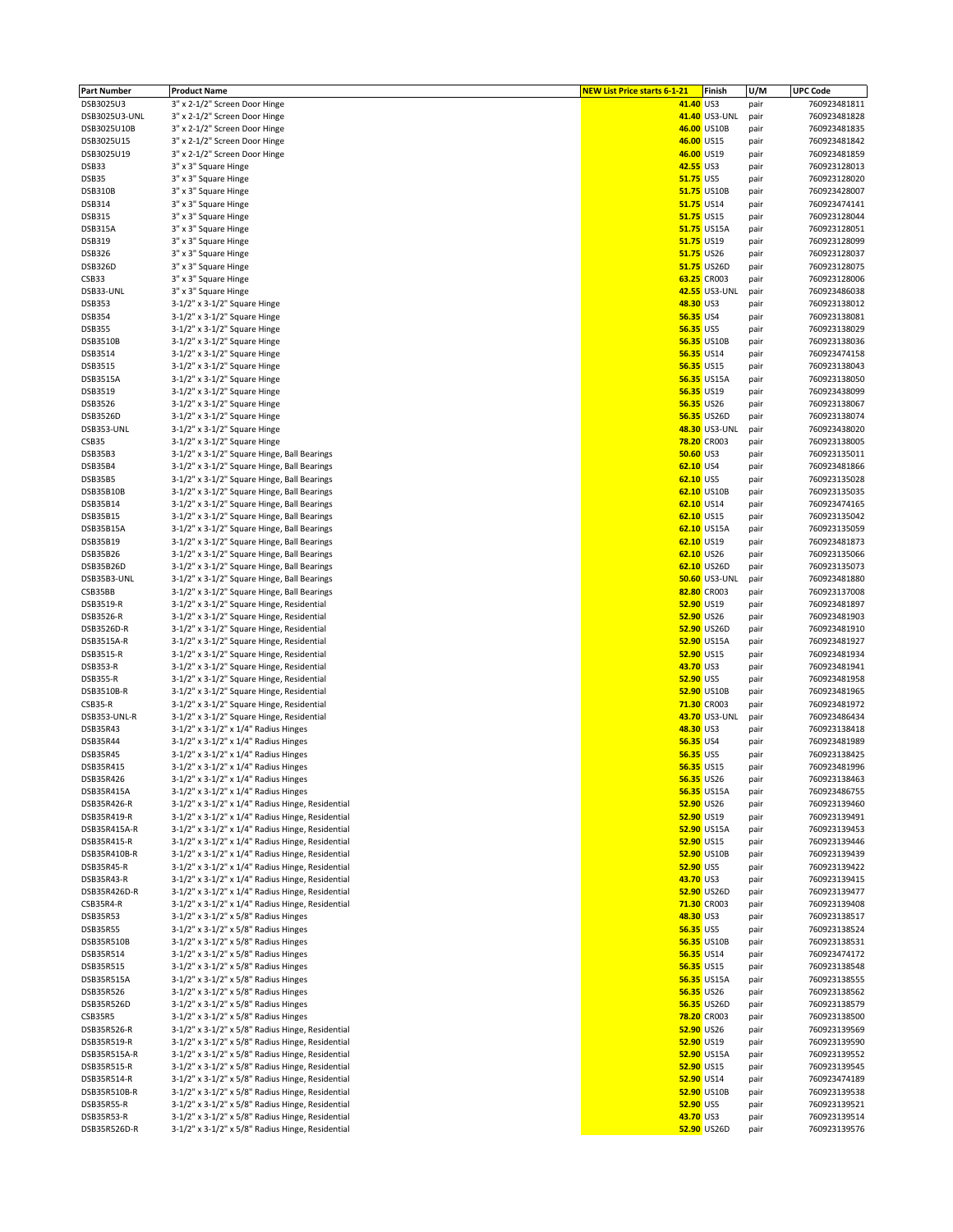| <b>Part Number</b> | <b>Product Name</b>                              | <b>NEW List Price starts 6-1-21</b> |                  | Finish               | U/M  | <b>UPC Code</b> |
|--------------------|--------------------------------------------------|-------------------------------------|------------------|----------------------|------|-----------------|
| DSB3025U3          | 3" x 2-1/2" Screen Door Hinge                    |                                     | 41.40 US3        |                      | pair | 760923481811    |
| DSB3025U3-UNL      | 3" x 2-1/2" Screen Door Hinge                    |                                     |                  | 41.40 US3-UNL        | pair | 760923481828    |
| DSB3025U10B        | 3" x 2-1/2" Screen Door Hinge                    |                                     |                  | 46.00 US10B          | pair | 760923481835    |
| DSB3025U15         | 3" x 2-1/2" Screen Door Hinge                    |                                     | 46.00 US15       |                      | pair | 760923481842    |
| DSB3025U19         | 3" x 2-1/2" Screen Door Hinge                    |                                     | 46.00 US19       |                      | pair | 760923481859    |
| DSB33              | 3" x 3" Square Hinge                             |                                     | 42.55 US3        |                      | pair | 760923128013    |
| DSB35              | 3" x 3" Square Hinge                             |                                     | 51.75 US5        |                      | pair | 760923128020    |
| <b>DSB310B</b>     | 3" x 3" Square Hinge                             |                                     |                  | 51.75 US10B          | pair | 760923428007    |
|                    |                                                  |                                     |                  |                      |      |                 |
| DSB314             | 3" x 3" Square Hinge                             |                                     | 51.75 US14       |                      | pair | 760923474141    |
| DSB315             | 3" x 3" Square Hinge                             |                                     | 51.75 US15       |                      | pair | 760923128044    |
| DSB315A            | 3" x 3" Square Hinge                             |                                     |                  | 51.75 US15A          | pair | 760923128051    |
| DSB319             | 3" x 3" Square Hinge                             |                                     | 51.75 US19       |                      | pair | 760923128099    |
| <b>DSB326</b>      | 3" x 3" Square Hinge                             |                                     | 51.75 US26       |                      | pair | 760923128037    |
| DSB326D            | 3" x 3" Square Hinge                             |                                     |                  | 51.75 US26D          | pair | 760923128075    |
| CSB33              | 3" x 3" Square Hinge                             |                                     |                  | 63.25 CR003          | pair | 760923128006    |
| DSB33-UNL          | 3" x 3" Square Hinge                             |                                     |                  | 42.55 US3-UNL        | pair | 760923486038    |
| <b>DSB353</b>      | 3-1/2" x 3-1/2" Square Hinge                     |                                     | 48.30 US3        |                      | pair | 760923138012    |
| <b>DSB354</b>      | 3-1/2" x 3-1/2" Square Hinge                     |                                     | 56.35 US4        |                      | pair | 760923138081    |
| <b>DSB355</b>      | 3-1/2" x 3-1/2" Square Hinge                     |                                     | 56.35 US5        |                      | pair | 760923138029    |
| DSB3510B           | 3-1/2" x 3-1/2" Square Hinge                     |                                     |                  | <b>56.35 US10B</b>   | pair | 760923138036    |
| DSB3514            | 3-1/2" x 3-1/2" Square Hinge                     |                                     | 56.35 US14       |                      | pair | 760923474158    |
| DSB3515            | 3-1/2" x 3-1/2" Square Hinge                     |                                     | 56.35 US15       |                      |      | 760923138043    |
|                    |                                                  |                                     |                  |                      | pair |                 |
| <b>DSB3515A</b>    | 3-1/2" x 3-1/2" Square Hinge                     |                                     |                  | 56.35 US15A          | pair | 760923138050    |
| DSB3519            | 3-1/2" x 3-1/2" Square Hinge                     |                                     | 56.35 US19       |                      | pair | 760923438099    |
| DSB3526            | 3-1/2" x 3-1/2" Square Hinge                     |                                     | 56.35 US26       |                      | pair | 760923138067    |
| DSB3526D           | 3-1/2" x 3-1/2" Square Hinge                     |                                     |                  | 56.35 US26D          | pair | 760923138074    |
| DSB353-UNL         | 3-1/2" x 3-1/2" Square Hinge                     |                                     |                  | 48.30 US3-UNL        | pair | 760923438020    |
| CSB35              | $3-1/2"$ x $3-1/2"$ Square Hinge                 |                                     |                  | 78.20 CR003          | pair | 760923138005    |
| DSB35B3            | 3-1/2" x 3-1/2" Square Hinge, Ball Bearings      |                                     | <b>50.60 US3</b> |                      | pair | 760923135011    |
| DSB35B4            | 3-1/2" x 3-1/2" Square Hinge, Ball Bearings      |                                     | 62.10 US4        |                      | pair | 760923481866    |
| DSB35B5            | 3-1/2" x 3-1/2" Square Hinge, Ball Bearings      |                                     | 62.10 US5        |                      | pair | 760923135028    |
| DSB35B10B          | 3-1/2" x 3-1/2" Square Hinge, Ball Bearings      |                                     |                  | 62.10 US10B          | pair | 760923135035    |
| DSB35B14           | 3-1/2" x 3-1/2" Square Hinge, Ball Bearings      |                                     | 62.10 US14       |                      |      | 760923474165    |
|                    |                                                  |                                     |                  |                      | pair |                 |
| DSB35B15           | 3-1/2" x 3-1/2" Square Hinge, Ball Bearings      |                                     | 62.10 US15       |                      | pair | 760923135042    |
| DSB35B15A          | 3-1/2" x 3-1/2" Square Hinge, Ball Bearings      |                                     |                  | 62.10 US15A          | pair | 760923135059    |
| DSB35B19           | 3-1/2" x 3-1/2" Square Hinge, Ball Bearings      |                                     | 62.10 US19       |                      | pair | 760923481873    |
| DSB35B26           | 3-1/2" x 3-1/2" Square Hinge, Ball Bearings      |                                     | 62.10 US26       |                      | pair | 760923135066    |
| DSB35B26D          | 3-1/2" x 3-1/2" Square Hinge, Ball Bearings      |                                     |                  | 62.10 US26D          | pair | 760923135073    |
| DSB35B3-UNL        | 3-1/2" x 3-1/2" Square Hinge, Ball Bearings      |                                     |                  | <b>50.60 US3-UNL</b> | pair | 760923481880    |
| CSB35BB            | 3-1/2" x 3-1/2" Square Hinge, Ball Bearings      |                                     |                  | 82.80 CR003          | pair | 760923137008    |
| DSB3519-R          | 3-1/2" x 3-1/2" Square Hinge, Residential        |                                     | 52.90 US19       |                      | pair | 760923481897    |
| DSB3526-R          | 3-1/2" x 3-1/2" Square Hinge, Residential        |                                     | 52.90 US26       |                      | pair | 760923481903    |
| DSB3526D-R         | 3-1/2" x 3-1/2" Square Hinge, Residential        |                                     |                  | 52.90 US26D          | pair | 760923481910    |
| DSB3515A-R         | 3-1/2" x 3-1/2" Square Hinge, Residential        |                                     |                  | 52.90 US15A          | pair | 760923481927    |
| DSB3515-R          | 3-1/2" x 3-1/2" Square Hinge, Residential        |                                     | 52.90 US15       |                      | pair | 760923481934    |
| DSB353-R           | 3-1/2" x 3-1/2" Square Hinge, Residential        |                                     | 43.70 US3        |                      | pair | 760923481941    |
| <b>DSB355-R</b>    | 3-1/2" x 3-1/2" Square Hinge, Residential        |                                     | 52.90 US5        |                      |      | 760923481958    |
|                    |                                                  |                                     |                  |                      | pair |                 |
| DSB3510B-R         | 3-1/2" x 3-1/2" Square Hinge, Residential        |                                     |                  | 52.90 US10B          | pair | 760923481965    |
| CSB35-R            | 3-1/2" x 3-1/2" Square Hinge, Residential        |                                     |                  | 71.30 CR003          | pair | 760923481972    |
| DSB353-UNL-R       | 3-1/2" x 3-1/2" Square Hinge, Residential        |                                     |                  | 43.70 US3-UNL        | pair | 760923486434    |
| DSB35R43           | 3-1/2" x 3-1/2" x 1/4" Radius Hinges             |                                     | 48.30 US3        |                      | pair | 760923138418    |
| DSB35R44           | 3-1/2" x 3-1/2" x 1/4" Radius Hinges             |                                     | 56.35 US4        |                      | pair | 760923481989    |
| DSB35R45           | 3-1/2" x 3-1/2" x 1/4" Radius Hinges             |                                     | <b>56.35 US5</b> |                      | pair | 760923138425    |
| DSB35R415          | 3-1/2" x 3-1/2" x 1/4" Radius Hinges             |                                     | 56.35 US15       |                      | pair | 760923481996    |
| DSB35R426          | 3-1/2" x 3-1/2" x 1/4" Radius Hinges             |                                     | 56.35 US26       |                      | pair | 760923138463    |
| DSB35R415A         | 3-1/2" x 3-1/2" x 1/4" Radius Hinges             |                                     |                  | <b>56.35 US15A</b>   | pair | 760923486755    |
| DSB35R426-R        | 3-1/2" x 3-1/2" x 1/4" Radius Hinge, Residential |                                     | 52.90 US26       |                      | pair | 760923139460    |
| DSB35R419-R        | 3-1/2" x 3-1/2" x 1/4" Radius Hinge, Residential |                                     | 52.90 US19       |                      | pair | 760923139491    |
| DSB35R415A-R       | 3-1/2" x 3-1/2" x 1/4" Radius Hinge, Residential |                                     |                  | 52.90 US15A          | pair | 760923139453    |
| DSB35R415-R        | 3-1/2" x 3-1/2" x 1/4" Radius Hinge, Residential |                                     | 52.90 US15       |                      | pair | 760923139446    |
| DSB35R410B-R       | 3-1/2" x 3-1/2" x 1/4" Radius Hinge, Residential |                                     |                  | 52.90 US10B          | pair | 760923139439    |
| DSB35R45-R         | 3-1/2" x 3-1/2" x 1/4" Radius Hinge, Residential |                                     | 52.90 US5        |                      |      | 760923139422    |
|                    |                                                  |                                     | 43.70 US3        |                      | pair |                 |
| DSB35R43-R         | 3-1/2" x 3-1/2" x 1/4" Radius Hinge, Residential |                                     |                  |                      | pair | 760923139415    |
| DSB35R426D-R       | 3-1/2" x 3-1/2" x 1/4" Radius Hinge, Residential |                                     |                  | 52.90 US26D          | pair | 760923139477    |
| CSB35R4-R          | 3-1/2" x 3-1/2" x 1/4" Radius Hinge, Residential |                                     |                  | 71.30 CR003          | pair | 760923139408    |
| DSB35R53           | 3-1/2" x 3-1/2" x 5/8" Radius Hinges             |                                     | 48.30 US3        |                      | pair | 760923138517    |
| <b>DSB35R55</b>    | 3-1/2" x 3-1/2" x 5/8" Radius Hinges             |                                     | 56.35 US5        |                      | pair | 760923138524    |
| DSB35R510B         | 3-1/2" x 3-1/2" x 5/8" Radius Hinges             |                                     |                  | 56.35 US10B          | pair | 760923138531    |
| DSB35R514          | 3-1/2" x 3-1/2" x 5/8" Radius Hinges             |                                     | 56.35 US14       |                      | pair | 760923474172    |
| DSB35R515          | 3-1/2" x 3-1/2" x 5/8" Radius Hinges             |                                     | 56.35 US15       |                      | pair | 760923138548    |
| DSB35R515A         | 3-1/2" x 3-1/2" x 5/8" Radius Hinges             |                                     |                  | <b>56.35 US15A</b>   | pair | 760923138555    |
| DSB35R526          | 3-1/2" x 3-1/2" x 5/8" Radius Hinges             |                                     | 56.35 US26       |                      | pair | 760923138562    |
| DSB35R526D         | 3-1/2" x 3-1/2" x 5/8" Radius Hinges             |                                     |                  | 56.35 US26D          | pair | 760923138579    |
| CSB35R5            | 3-1/2" x 3-1/2" x 5/8" Radius Hinges             |                                     |                  | 78.20 CR003          | pair | 760923138500    |
| DSB35R526-R        | 3-1/2" x 3-1/2" x 5/8" Radius Hinge, Residential |                                     | 52.90 US26       |                      |      | 760923139569    |
| DSB35R519-R        |                                                  |                                     | 52.90 US19       |                      | pair | 760923139590    |
|                    | 3-1/2" x 3-1/2" x 5/8" Radius Hinge, Residential |                                     |                  |                      | pair |                 |
| DSB35R515A-R       | 3-1/2" x 3-1/2" x 5/8" Radius Hinge, Residential |                                     |                  | 52.90 US15A          | pair | 760923139552    |
| DSB35R515-R        | 3-1/2" x 3-1/2" x 5/8" Radius Hinge, Residential |                                     | 52.90 US15       |                      | pair | 760923139545    |
| DSB35R514-R        | 3-1/2" x 3-1/2" x 5/8" Radius Hinge, Residential |                                     | 52.90 US14       |                      | pair | 760923474189    |
| DSB35R510B-R       | 3-1/2" x 3-1/2" x 5/8" Radius Hinge, Residential |                                     |                  | 52.90 US10B          | pair | 760923139538    |
| DSB35R55-R         | 3-1/2" x 3-1/2" x 5/8" Radius Hinge, Residential |                                     | 52.90 US5        |                      | pair | 760923139521    |
| DSB35R53-R         | 3-1/2" x 3-1/2" x 5/8" Radius Hinge, Residential |                                     | 43.70 US3        |                      | pair | 760923139514    |
| DSB35R526D-R       | 3-1/2" x 3-1/2" x 5/8" Radius Hinge, Residential |                                     |                  | 52.90 US26D          | pair | 760923139576    |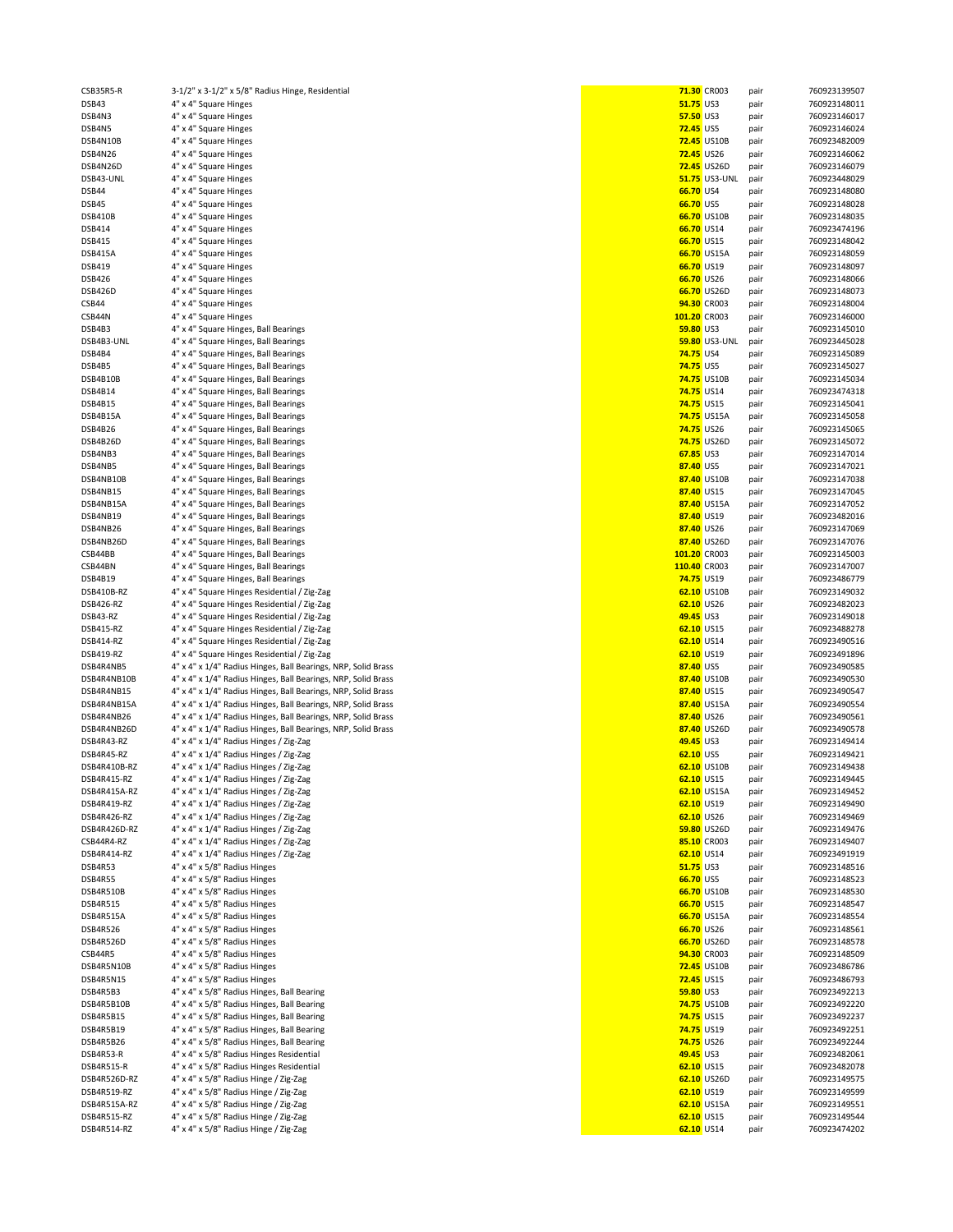| СУВЗУКУ-К    | 3-1/2" x 3-1/2" x 5/8" Radius Hinge, Residential              |                   | <b>71.30 CROO3</b>       | paır | /60923139507 |
|--------------|---------------------------------------------------------------|-------------------|--------------------------|------|--------------|
| DSB43        | 4" x 4" Square Hinges                                         | 51.75 US3         |                          | pair | 760923148011 |
| DSB4N3       | 4" x 4" Square Hinges                                         | 57.50 US3         |                          | pair | 760923146017 |
| DSB4N5       | 4" x 4" Square Hinges                                         | <b>72.45</b> US5  |                          | pair | 760923146024 |
|              |                                                               |                   |                          |      |              |
| DSB4N10B     | 4" x 4" Square Hinges                                         |                   | <b>72.45 US10B</b>       | pair | 760923482009 |
| DSB4N26      | 4" x 4" Square Hinges                                         | 72.45 US26        |                          | pair | 760923146062 |
| DSB4N26D     | 4" x 4" Square Hinges                                         |                   | <b>72.45 US26D</b>       | pair | 760923146079 |
| DSB43-UNL    | 4" x 4" Square Hinges                                         |                   | <b>51.75 US3-UNL</b>     | pair | 760923448029 |
|              |                                                               |                   |                          |      |              |
| DSB44        | 4" x 4" Square Hinges                                         | 66.70 US4         |                          | pair | 760923148080 |
| DSB45        | 4" x 4" Square Hinges                                         | 66.70 US5         |                          | pair | 760923148028 |
| DSB410B      | 4" x 4" Square Hinges                                         |                   | 66.70 US10B              | pair | 760923148035 |
| DSB414       | 4" x 4" Square Hinges                                         | 66.70 US14        |                          | pair | 760923474196 |
|              |                                                               |                   |                          |      |              |
| DSB415       | 4" x 4" Square Hinges                                         | 66.70 US15        |                          | pair | 760923148042 |
| DSB415A      | 4" x 4" Square Hinges                                         |                   | 66.70 US15A              | pair | 760923148059 |
| DSB419       | 4" x 4" Square Hinges                                         | 66.70 US19        |                          | pair | 760923148097 |
|              |                                                               | 66.70 US26        |                          |      |              |
| DSB426       | 4" x 4" Square Hinges                                         |                   |                          | pair | 760923148066 |
| DSB426D      | 4" x 4" Square Hinges                                         |                   | 66.70 US26D              | pair | 760923148073 |
| CSB44        | 4" x 4" Square Hinges                                         |                   | 94.30 CR003              | pair | 760923148004 |
| CSB44N       | 4" x 4" Square Hinges                                         | 101.20 CR003      |                          | pair | 760923146000 |
|              |                                                               |                   |                          |      |              |
| DSB4B3       | 4" x 4" Square Hinges, Ball Bearings                          | 59.80 US3         |                          | pair | 760923145010 |
| DSB4B3-UNL   | 4" x 4" Square Hinges, Ball Bearings                          |                   | 59.80 US3-UNL            | pair | 760923445028 |
| DSB4B4       | 4" x 4" Square Hinges, Ball Bearings                          | 74.75 US4         |                          | pair | 760923145089 |
| DSB4B5       | 4" x 4" Square Hinges, Ball Bearings                          | <b>74.75 US5</b>  |                          | pair | 760923145027 |
|              |                                                               |                   |                          |      |              |
| DSB4B10B     | 4" x 4" Square Hinges, Ball Bearings                          |                   | <b>74.75 US10B</b>       | pair | 760923145034 |
| DSB4B14      | 4" x 4" Square Hinges, Ball Bearings                          | 74.75 US14        |                          | pair | 760923474318 |
| DSB4B15      | 4" x 4" Square Hinges, Ball Bearings                          | <b>74.75 US15</b> |                          | pair | 760923145041 |
| DSB4B15A     |                                                               |                   | <b>74.75 US15A</b>       |      | 760923145058 |
|              | 4" x 4" Square Hinges, Ball Bearings                          |                   |                          | pair |              |
| DSB4B26      | 4" x 4" Square Hinges, Ball Bearings                          | <b>74.75 US26</b> |                          | pair | 760923145065 |
| DSB4B26D     | 4" x 4" Square Hinges, Ball Bearings                          |                   | <b>74.75 US26D</b>       | pair | 760923145072 |
| DSB4NB3      | 4" x 4" Square Hinges, Ball Bearings                          | 67.85 US3         |                          | pair | 760923147014 |
|              |                                                               |                   |                          |      |              |
| DSB4NB5      | 4" x 4" Square Hinges, Ball Bearings                          | 87.40 US5         |                          | pair | 760923147021 |
| DSB4NB10B    | 4" x 4" Square Hinges, Ball Bearings                          |                   | 87.40 US10B              | pair | 760923147038 |
| DSB4NB15     | 4" x 4" Square Hinges, Ball Bearings                          | 87.40 US15        |                          | pair | 760923147045 |
| DSB4NB15A    | 4" x 4" Square Hinges, Ball Bearings                          |                   | 87.40 US15A              | pair | 760923147052 |
|              |                                                               |                   |                          |      |              |
| DSB4NB19     | 4" x 4" Square Hinges, Ball Bearings                          | 87.40 US19        |                          | pair | 760923482016 |
| DSB4NB26     | 4" x 4" Square Hinges, Ball Bearings                          | 87.40 US26        |                          | pair | 760923147069 |
| DSB4NB26D    | 4" x 4" Square Hinges, Ball Bearings                          |                   | 87.40 US26D              | pair | 760923147076 |
|              |                                                               |                   |                          |      |              |
| CSB44BB      | 4" x 4" Square Hinges, Ball Bearings                          | 101.20 CR003      |                          | pair | 760923145003 |
| CSB44BN      | 4" x 4" Square Hinges, Ball Bearings                          | 110.40 CR003      |                          | pair | 760923147007 |
| DSB4B19      | 4" x 4" Square Hinges, Ball Bearings                          | 74.75 US19        |                          | pair | 760923486779 |
| DSB410B-RZ   | 4" x 4" Square Hinges Residential / Zig-Zag                   |                   | 62.10 US10B              | pair | 760923149032 |
|              |                                                               |                   |                          |      |              |
| DSB426-RZ    | 4" x 4" Square Hinges Residential / Zig-Zag                   | 62.10 US26        |                          | pair | 760923482023 |
| DSB43-RZ     | 4" x 4" Square Hinges Residential / Zig-Zag                   | 49.45 US3         |                          | pair | 760923149018 |
| DSB415-RZ    | 4" x 4" Square Hinges Residential / Zig-Zag                   | 62.10 US15        |                          | pair | 760923488278 |
| DSB414-RZ    | 4" x 4" Square Hinges Residential / Zig-Zag                   | 62.10 US14        |                          | pair | 760923490516 |
|              |                                                               |                   |                          |      |              |
| DSB419-RZ    | 4" x 4" Square Hinges Residential / Zig-Zag                   | 62.10 US19        |                          | pair | 760923491896 |
| DSB4R4NB5    | 4" x 4" x 1/4" Radius Hinges, Ball Bearings, NRP, Solid Brass | 87.40 US5         |                          | pair | 760923490585 |
| DSB4R4NB10B  | 4" x 4" x 1/4" Radius Hinges, Ball Bearings, NRP, Solid Brass |                   | 87.40 US10B              | pair | 760923490530 |
| DSB4R4NB15   | 4" x 4" x 1/4" Radius Hinges, Ball Bearings, NRP, Solid Brass | 87.40 US15        |                          |      | 760923490547 |
|              |                                                               |                   |                          | pair |              |
| DSB4R4NB15A  | 4" x 4" x 1/4" Radius Hinges, Ball Bearings, NRP, Solid Brass |                   | 87.40 US15A              | pair | 760923490554 |
| DSB4R4NB26   | 4" x 4" x 1/4" Radius Hinges, Ball Bearings, NRP, Solid Brass | 87.40 US26        |                          | pair | 760923490561 |
| DSB4R4NB26D  | 4" x 4" x 1/4" Radius Hinges, Ball Bearings, NRP, Solid Brass |                   | 87.40 US26D              | pair | 760923490578 |
| DSB4R43-RZ   | 4" x 4" x 1/4" Radius Hinges / Zig-Zag                        | 49.45 US3         |                          | pair | 760923149414 |
|              |                                                               |                   |                          |      |              |
| DSB4R45-RZ   | 4" x 4" x 1/4" Radius Hinges / Zig-Zag                        | 62.10 US5         |                          | pair | 760923149421 |
| DSB4R410B-RZ | 4" x 4" x 1/4" Radius Hinges / Zig-Zag                        |                   | 62.10 US10B              | pair | 760923149438 |
| DSB4R415-RZ  | 4" x 4" x 1/4" Radius Hinges / Zig-Zag                        | 62.10 US15        |                          | pair | 760923149445 |
| DSB4R415A-RZ | 4" x 4" x 1/4" Radius Hinges / Zig-Zag                        |                   | <mark>62.10</mark> US15A | pair | 760923149452 |
|              |                                                               |                   |                          |      |              |
| DSB4R419-RZ  | 4" x 4" x 1/4" Radius Hinges / Zig-Zag                        | 62.10 US19        |                          | pair | 760923149490 |
| DSB4R426-RZ  | 4" x 4" x 1/4" Radius Hinges / Zig-Zag                        | 62.10 US26        |                          | pair | 760923149469 |
| DSB4R426D-RZ | 4" x 4" x 1/4" Radius Hinges / Zig-Zag                        |                   | 59.80 US26D              | pair | 760923149476 |
| CSB44R4-RZ   | 4" x 4" x 1/4" Radius Hinges / Zig-Zag                        |                   | 85.10 CR003              | pair | 760923149407 |
|              |                                                               | 62.10 US14        |                          |      | 760923491919 |
| DSB4R414-RZ  | 4" x 4" x 1/4" Radius Hinges / Zig-Zag                        |                   |                          | pair |              |
| DSB4R53      | 4" x 4" x 5/8" Radius Hinges                                  | 51.75 US3         |                          | pair | 760923148516 |
| DSB4R55      | 4" x 4" x 5/8" Radius Hinges                                  | 66.70 US5         |                          | pair | 760923148523 |
| DSB4R510B    | 4" x 4" x 5/8" Radius Hinges                                  |                   | 66.70 US10B              | pair | 760923148530 |
|              |                                                               |                   |                          |      |              |
| DSB4R515     | 4" x 4" x 5/8" Radius Hinges                                  | 66.70 US15        |                          | pair | 760923148547 |
| DSB4R515A    | 4" x 4" x 5/8" Radius Hinges                                  |                   | 66.70 US15A              | pair | 760923148554 |
| DSB4R526     | 4" x 4" x 5/8" Radius Hinges                                  | 66.70 US26        |                          | pair | 760923148561 |
| DSB4R526D    | 4" x 4" x 5/8" Radius Hinges                                  |                   | 66.70 US26D              | pair | 760923148578 |
|              |                                                               |                   |                          |      |              |
| CSB44R5      | 4" x 4" x 5/8" Radius Hinges                                  |                   | 94.30 CR003              | pair | 760923148509 |
| DSB4R5N10B   | 4" x 4" x 5/8" Radius Hinges                                  |                   | <b>72.45 US10B</b>       | pair | 760923486786 |
| DSB4R5N15    | 4" x 4" x 5/8" Radius Hinges                                  | 72.45 US15        |                          | pair | 760923486793 |
| DSB4R5B3     | 4" x 4" x 5/8" Radius Hinges, Ball Bearing                    | 59.80 US3         |                          | pair | 760923492213 |
|              |                                                               |                   |                          |      |              |
| DSB4R5B10B   | 4" x 4" x 5/8" Radius Hinges, Ball Bearing                    |                   | <b>74.75 US10B</b>       | pair | 760923492220 |
| DSB4R5B15    | 4" x 4" x 5/8" Radius Hinges, Ball Bearing                    | <b>74.75 US15</b> |                          | pair | 760923492237 |
| DSB4R5B19    | 4" x 4" x 5/8" Radius Hinges, Ball Bearing                    | 74.75 US19        |                          | pair | 760923492251 |
| DSB4R5B26    | 4" x 4" x 5/8" Radius Hinges, Ball Bearing                    | 74.75 US26        |                          | pair | 760923492244 |
|              |                                                               |                   |                          |      |              |
| DSB4R53-R    | 4" x 4" x 5/8" Radius Hinges Residential                      | 49.45 US3         |                          | pair | 760923482061 |
| DSB4R515-R   | 4" x 4" x 5/8" Radius Hinges Residential                      | 62.10 US15        |                          | pair | 760923482078 |
| DSB4R526D-RZ | 4" x 4" x 5/8" Radius Hinge / Zig-Zag                         |                   | 62.10 US26D              | pair | 760923149575 |
| DSB4R519-RZ  | 4" x 4" x 5/8" Radius Hinge / Zig-Zag                         | 62.10 US19        |                          | pair | 760923149599 |
| DSB4R515A-RZ |                                                               |                   |                          |      | 760923149551 |
|              | 4" x 4" x 5/8" Radius Hinge / Zig-Zag                         |                   | 62.10 US15A              | pair |              |
| DSB4R515-RZ  | 4" x 4" x 5/8" Radius Hinge / Zig-Zag                         | 62.10 US15        |                          | pair | 760923149544 |
| DSB4R514-RZ  | 4" x 4" x 5/8" Radius Hinge / Zig-Zag                         | 62.10 US14        |                          | pair | 760923474202 |
|              |                                                               |                   |                          |      |              |

| CSB35R5-R      | 3-1/2" x 3-1/2" x 5/8" Radius Hinge, Residential              |                  | 71.30 CR003          | pair | 760923139507 |
|----------------|---------------------------------------------------------------|------------------|----------------------|------|--------------|
| DSB43          | 4" x 4" Square Hinges                                         | 51.75 US3        |                      | pair | 760923148011 |
| DSB4N3         | 4" x 4" Square Hinges                                         | 57.50 US3        |                      | pair | 760923146017 |
| DSB4N5         | 4" x 4" Square Hinges                                         | <b>72.45 US5</b> |                      |      | 760923146024 |
|                |                                                               |                  |                      | pair |              |
| DSB4N10B       | 4" x 4" Square Hinges                                         |                  | <b>72.45 US10B</b>   | pair | 760923482009 |
| DSB4N26        | 4" x 4" Square Hinges                                         |                  | <b>72.45 US26</b>    | pair | 760923146062 |
| DSB4N26D       | 4" x 4" Square Hinges                                         |                  | 72.45 US26D          | pair | 760923146079 |
|                |                                                               |                  |                      |      |              |
| DSB43-UNL      | 4" x 4" Square Hinges                                         |                  | <b>51.75 US3-UNL</b> | pair | 760923448029 |
| DSB44          | 4" x 4" Square Hinges                                         | 66.70 US4        |                      | pair | 760923148080 |
| DSB45          | 4" x 4" Square Hinges                                         | 66.70 US5        |                      | pair | 760923148028 |
|                |                                                               |                  |                      |      |              |
| DSB410B        | 4" x 4" Square Hinges                                         |                  | 66.70 US10B          | pair | 760923148035 |
| DSB414         | 4" x 4" Square Hinges                                         |                  | 66.70 US14           | pair | 760923474196 |
| DSB415         | 4" x 4" Square Hinges                                         |                  | 66.70 US15           | pair | 760923148042 |
|                |                                                               |                  |                      |      |              |
| DSB415A        | 4" x 4" Square Hinges                                         |                  | 66.70 US15A          | pair | 760923148059 |
| DSB419         | 4" x 4" Square Hinges                                         |                  | 66.70 US19           | pair | 760923148097 |
| <b>DSB426</b>  | 4" x 4" Square Hinges                                         |                  | 66.70 US26           | pair | 760923148066 |
|                |                                                               |                  |                      |      |              |
| DSB426D        | 4" x 4" Square Hinges                                         |                  | 66.70 US26D          | pair | 760923148073 |
| CSB44          | 4" x 4" Square Hinges                                         |                  | 94.30 CR003          | pair | 760923148004 |
| CSB44N         |                                                               |                  | 101.20 CR003         |      | 760923146000 |
|                | 4" x 4" Square Hinges                                         |                  |                      | pair |              |
| DSB4B3         | 4" x 4" Square Hinges, Ball Bearings                          | 59.80 US3        |                      | pair | 760923145010 |
| DSB4B3-UNL     | 4" x 4" Square Hinges, Ball Bearings                          |                  | <b>59.80 US3-UNL</b> | pair | 760923445028 |
|                |                                                               |                  |                      |      |              |
| DSB4B4         | 4" x 4" Square Hinges, Ball Bearings                          | 74.75 US4        |                      | pair | 760923145089 |
| DSB4B5         | 4" x 4" Square Hinges, Ball Bearings                          | <b>74.75 US5</b> |                      | pair | 760923145027 |
| DSB4B10B       | 4" x 4" Square Hinges, Ball Bearings                          |                  | <b>74.75 US10B</b>   | pair | 760923145034 |
|                |                                                               |                  |                      |      |              |
| DSB4B14        | 4" x 4" Square Hinges, Ball Bearings                          |                  | 74.75 US14           | pair | 760923474318 |
| DSB4B15        | 4" x 4" Square Hinges, Ball Bearings                          |                  | <b>74.75 US15</b>    | pair | 760923145041 |
| DSB4B15A       | 4" x 4" Square Hinges, Ball Bearings                          |                  | <b>74.75 US15A</b>   | pair | 760923145058 |
|                |                                                               |                  |                      |      |              |
| DSB4B26        | 4" x 4" Square Hinges, Ball Bearings                          |                  | 74.75 US26           | pair | 760923145065 |
| DSB4B26D       | 4" x 4" Square Hinges, Ball Bearings                          |                  | 74.75 US26D          | pair | 760923145072 |
| DSB4NB3        | 4" x 4" Square Hinges, Ball Bearings                          | 67.85 US3        |                      | pair | 760923147014 |
|                |                                                               |                  |                      |      |              |
| DSB4NB5        | 4" x 4" Square Hinges, Ball Bearings                          | 87.40 US5        |                      | pair | 760923147021 |
| DSB4NB10B      | 4" x 4" Square Hinges, Ball Bearings                          |                  | 87.40 US10B          | pair | 760923147038 |
| DSB4NB15       | 4" x 4" Square Hinges, Ball Bearings                          |                  | 87.40 US15           | pair | 760923147045 |
|                |                                                               |                  |                      |      |              |
| DSB4NB15A      | 4" x 4" Square Hinges, Ball Bearings                          |                  | 87.40 US15A          | pair | 760923147052 |
| DSB4NB19       | 4" x 4" Square Hinges, Ball Bearings                          |                  | 87.40 US19           | pair | 760923482016 |
| DSB4NB26       | 4" x 4" Square Hinges, Ball Bearings                          |                  | 87.40 US26           | pair | 760923147069 |
|                |                                                               |                  |                      |      |              |
| DSB4NB26D      | 4" x 4" Square Hinges, Ball Bearings                          |                  | 87.40 US26D          | pair | 760923147076 |
| CSB44BB        | 4" x 4" Square Hinges, Ball Bearings                          |                  | 101.20 CR003         | pair | 760923145003 |
| CSB44BN        | 4" x 4" Square Hinges, Ball Bearings                          |                  | 110.40 CR003         | pair | 760923147007 |
|                |                                                               |                  |                      |      |              |
| DSB4B19        | 4" x 4" Square Hinges, Ball Bearings                          |                  | 74.75 US19           | pair | 760923486779 |
| DSB410B-RZ     | 4" x 4" Square Hinges Residential / Zig-Zag                   |                  | 62.10 US10B          | pair | 760923149032 |
| DSB426-RZ      | 4" x 4" Square Hinges Residential / Zig-Zag                   |                  | 62.10 US26           | pair | 760923482023 |
|                |                                                               |                  |                      |      |              |
| DSB43-RZ       | 4" x 4" Square Hinges Residential / Zig-Zag                   | 49.45 US3        |                      | pair | 760923149018 |
| DSB415-RZ      | 4" x 4" Square Hinges Residential / Zig-Zag                   |                  | 62.10 US15           | pair | 760923488278 |
| DSB414-RZ      | 4" x 4" Square Hinges Residential / Zig-Zag                   |                  | 62.10 US14           |      | 760923490516 |
|                |                                                               |                  |                      | pair |              |
| DSB419-RZ      | 4" x 4" Square Hinges Residential / Zig-Zag                   |                  | 62.10 US19           | pair | 760923491896 |
| DSB4R4NB5      | 4" x 4" x 1/4" Radius Hinges, Ball Bearings, NRP, Solid Brass | 87.40 US5        |                      | pair | 760923490585 |
| DSB4R4NB10B    | 4" x 4" x 1/4" Radius Hinges, Ball Bearings, NRP, Solid Brass |                  | 87.40 US10B          | pair | 760923490530 |
|                |                                                               |                  |                      |      |              |
| DSB4R4NB15     | 4" x 4" x 1/4" Radius Hinges, Ball Bearings, NRP, Solid Brass |                  | 87.40 US15           | pair | 760923490547 |
| DSB4R4NB15A    | 4" x 4" x 1/4" Radius Hinges, Ball Bearings, NRP, Solid Brass |                  | 87.40 US15A          | pair | 760923490554 |
| DSB4R4NB26     | 4" x 4" x 1/4" Radius Hinges, Ball Bearings, NRP, Solid Brass |                  | 87.40 US26           | pair | 760923490561 |
|                |                                                               |                  |                      |      |              |
| DSB4R4NB26D    | 4" x 4" x 1/4" Radius Hinges, Ball Bearings, NRP, Solid Brass |                  | 87.40 US26D          | pair | 760923490578 |
| DSB4R43-RZ     | 4" x 4" x 1/4" Radius Hinges / Zig-Zag                        | 49.45 US3        |                      | pair | 760923149414 |
| DSB4R45-RZ     | 4" x 4" x 1/4" Radius Hinges / Zig-Zag                        | 62.10 US5        |                      |      | 760923149421 |
|                |                                                               |                  |                      | pair |              |
| DSB4R410B-RZ   | 4" x 4" x 1/4" Radius Hinges / Zig-Zag                        |                  | 62.10 US10B          | pair | 760923149438 |
| DSB4R415-RZ    | 4" x 4" x 1/4" Radius Hinges / Zig-Zag                        |                  | 62.10 US15           | pair | 760923149445 |
| DSB4R415A-RZ   | 4" x 4" x 1/4" Radius Hinges / Zig-Zag                        |                  | 62.10 US15A          | pair | 760923149452 |
|                |                                                               |                  |                      |      |              |
| DSB4R419-RZ    | 4" x 4" x 1/4" Radius Hinges / Zig-Zag                        |                  | 62.10 US19           | pair | 760923149490 |
| DSB4R426-RZ    | 4" x 4" x 1/4" Radius Hinges / Zig-Zag                        |                  | 62.10 US26           | pair | 760923149469 |
| DSB4R426D-RZ   | 4" x 4" x 1/4" Radius Hinges / Zig-Zag                        |                  | 59.80 US26D          | pair | 760923149476 |
|                |                                                               |                  |                      |      |              |
| CSB44R4-RZ     | 4" x 4" x 1/4" Radius Hinges / Zig-Zag                        |                  | 85.10 CR003          | pair | 760923149407 |
| DSB4R414-RZ    | 4" x 4" x 1/4" Radius Hinges / Zig-Zag                        |                  | 62.10 US14           | pair | 760923491919 |
| DSB4R53        | 4" x 4" x 5/8" Radius Hinges                                  | 51.75 US3        |                      | pair | 760923148516 |
|                |                                                               |                  |                      |      |              |
| DSB4R55        | 4" x 4" x 5/8" Radius Hinges                                  | 66.70 US5        |                      | pair | 760923148523 |
| DSB4R510B      | 4" x 4" x 5/8" Radius Hinges                                  |                  | 66.70 US10B          | pair | 760923148530 |
| DSB4R515       | 4" x 4" x 5/8" Radius Hinges                                  |                  | 66.70 US15           | pair | 760923148547 |
|                |                                                               |                  |                      |      |              |
| DSB4R515A      | 4" x 4" x 5/8" Radius Hinges                                  |                  | 66.70 US15A          | pair | 760923148554 |
| DSB4R526       | 4" x 4" x 5/8" Radius Hinges                                  |                  | 66.70 US26           | pair | 760923148561 |
| DSB4R526D      | 4" x 4" x 5/8" Radius Hinges                                  |                  | 66.70 US26D          | pair | 760923148578 |
|                |                                                               |                  |                      |      |              |
| <b>CSB44R5</b> | 4" x 4" x 5/8" Radius Hinges                                  |                  | 94.30 CR003          | pair | 760923148509 |
| DSB4R5N10B     | 4" x 4" x 5/8" Radius Hinges                                  |                  | 72.45 US10B          | pair | 760923486786 |
| DSB4R5N15      | 4" x 4" x 5/8" Radius Hinges                                  |                  | <b>72.45 US15</b>    | pair | 760923486793 |
|                |                                                               |                  |                      |      |              |
| DSB4R5B3       | 4" x 4" x 5/8" Radius Hinges, Ball Bearing                    | <b>59.80 US3</b> |                      | pair | 760923492213 |
| DSB4R5B10B     | 4" x 4" x 5/8" Radius Hinges, Ball Bearing                    |                  | <b>74.75 US10B</b>   | pair | 760923492220 |
| DSB4R5B15      | 4" x 4" x 5/8" Radius Hinges, Ball Bearing                    |                  | <b>74.75 US15</b>    | pair | 760923492237 |
|                |                                                               |                  |                      |      |              |
| DSB4R5B19      | 4" x 4" x 5/8" Radius Hinges, Ball Bearing                    |                  | 74.75 US19           | pair | 760923492251 |
| DSB4R5B26      | 4" x 4" x 5/8" Radius Hinges, Ball Bearing                    |                  | <b>74.75 US26</b>    | pair | 760923492244 |
| DSB4R53-R      | 4" x 4" x 5/8" Radius Hinges Residential                      | 49.45 US3        |                      | pair | 760923482061 |
|                |                                                               |                  |                      |      |              |
| DSB4R515-R     | 4" x 4" x 5/8" Radius Hinges Residential                      |                  | 62.10 US15           | pair | 760923482078 |
| DSB4R526D-RZ   | 4" x 4" x 5/8" Radius Hinge / Zig-Zag                         |                  | 62.10 US26D          | pair | 760923149575 |
| DSB4R519-RZ    | 4" x 4" x 5/8" Radius Hinge / Zig-Zag                         |                  | 62.10 US19           | pair | 760923149599 |
|                |                                                               |                  |                      |      |              |
| DSB4R515A-RZ   | 4" x 4" x 5/8" Radius Hinge / Zig-Zag                         |                  | 62.10 US15A          | pair | 760923149551 |
| DSB4R515-RZ    | 4" x 4" x 5/8" Radius Hinge / Zig-Zag                         |                  | 62.10 US15           | pair | 760923149544 |
| DSB4R514-RZ    | 4" x 4" x 5/8" Radius Hinge / Zig-Zag                         |                  | 62.10 US14           | pair | 760923474202 |
|                |                                                               |                  |                      |      |              |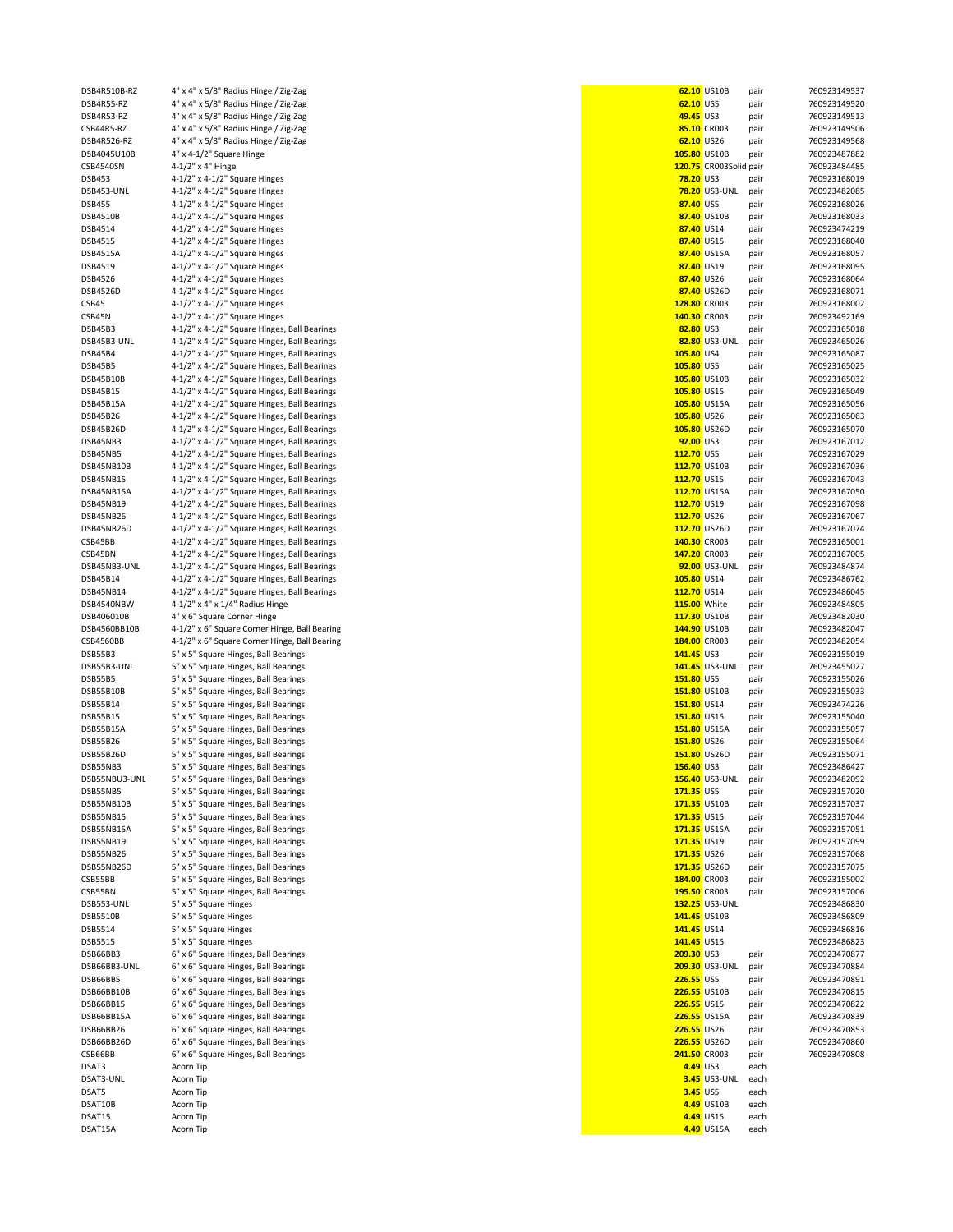| DSB4R510B-RZ      | 4" x 4" x 5/8" Radius Hinge / Zig-Zag         |                     | 62.10 US10B             | pair         | 760923149537 |
|-------------------|-----------------------------------------------|---------------------|-------------------------|--------------|--------------|
| DSB4R55-RZ        | 4" x 4" x 5/8" Radius Hinge / Zig-Zag         | 62.10 US5           |                         | pair         | 760923149520 |
| DSB4R53-RZ        | 4" x 4" x 5/8" Radius Hinge / Zig-Zag         | 49.45 US3           |                         | pair         | 760923149513 |
| CSB44R5-RZ        | 4" x 4" x 5/8" Radius Hinge / Zig-Zag         |                     | 85.10 CR003             | pair         | 760923149506 |
| DSB4R526-RZ       | 4" x 4" x 5/8" Radius Hinge / Zig-Zag         | 62.10 US26          |                         | pair         | 760923149568 |
| DSB4045U10B       | 4" x 4-1/2" Square Hinge                      | 105.80 US10B        |                         | pair         | 760923487882 |
| CSB4540SN         | 4-1/2" x 4" Hinge                             |                     | 120.75 CR003Solid pair  |              | 760923484485 |
| <b>DSB453</b>     | $4-1/2$ " x $4-1/2$ " Square Hinges           | <b>78.20 US3</b>    |                         | pair         | 760923168019 |
| DSB453-UNL        | 4-1/2" x 4-1/2" Square Hinges                 |                     | <b>78.20 US3-UNL</b>    | pair         | 760923482085 |
| <b>DSB455</b>     | 4-1/2" x 4-1/2" Square Hinges                 | 87.40 US5           |                         | pair         | 760923168026 |
| DSB4510B          | $4-1/2$ " x $4-1/2$ " Square Hinges           |                     | 87.40 US10B             | pair         | 760923168033 |
| DSB4514           |                                               | 87.40 US14          |                         |              | 760923474219 |
|                   | 4-1/2" x 4-1/2" Square Hinges                 |                     |                         | pair         |              |
| DSB4515           | 4-1/2" x 4-1/2" Square Hinges                 | 87.40 US15          |                         | pair         | 760923168040 |
| DSB4515A          | 4-1/2" x 4-1/2" Square Hinges                 |                     | 87.40 US15A             | pair         | 760923168057 |
| DSB4519           | 4-1/2" x 4-1/2" Square Hinges                 | 87.40 US19          |                         | pair         | 760923168095 |
| DSB4526           | $4-1/2$ " x $4-1/2$ " Square Hinges           | 87.40 US26          |                         | pair         | 760923168064 |
| DSB4526D          | 4-1/2" x 4-1/2" Square Hinges                 |                     | 87.40 US26D             | pair         | 760923168071 |
| CSB45             | 4-1/2" x 4-1/2" Square Hinges                 | 128.80 CR003        |                         | pair         | 760923168002 |
| CSB45N            | 4-1/2" x 4-1/2" Square Hinges                 | 140.30 CR003        |                         | pair         | 760923492169 |
| DSB45B3           | 4-1/2" x 4-1/2" Square Hinges, Ball Bearings  | 82.80 US3           |                         | pair         | 760923165018 |
| DSB45B3-UNL       | 4-1/2" x 4-1/2" Square Hinges, Ball Bearings  |                     | 82.80 US3-UNL           | pair         | 760923465026 |
| DSB45B4           | 4-1/2" x 4-1/2" Square Hinges, Ball Bearings  | 105.80 US4          |                         | pair         | 760923165087 |
| DSB45B5           | 4-1/2" x 4-1/2" Square Hinges, Ball Bearings  | 105.80 US5          |                         | pair         | 760923165025 |
| DSB45B10B         | 4-1/2" x 4-1/2" Square Hinges, Ball Bearings  | 105.80 US10B        |                         | pair         | 760923165032 |
| DSB45B15          | 4-1/2" x 4-1/2" Square Hinges, Ball Bearings  | 105.80 US15         |                         |              | 760923165049 |
|                   |                                               | 105.80 US15A        |                         | pair         | 760923165056 |
| DSB45B15A         | 4-1/2" x 4-1/2" Square Hinges, Ball Bearings  |                     |                         | pair         |              |
| DSB45B26          | 4-1/2" x 4-1/2" Square Hinges, Ball Bearings  | 105.80 US26         |                         | pair         | 760923165063 |
| DSB45B26D         | 4-1/2" x 4-1/2" Square Hinges, Ball Bearings  | 105.80 US26D        |                         | pair         | 760923165070 |
| DSB45NB3          | 4-1/2" x 4-1/2" Square Hinges, Ball Bearings  | 92.00 US3           |                         | pair         | 760923167012 |
| DSB45NB5          | 4-1/2" x 4-1/2" Square Hinges, Ball Bearings  | 112.70 US5          |                         | pair         | 760923167029 |
| DSB45NB10B        | 4-1/2" x 4-1/2" Square Hinges, Ball Bearings  | 112.70 US10B        |                         | pair         | 760923167036 |
| DSB45NB15         | 4-1/2" x 4-1/2" Square Hinges, Ball Bearings  | 112.70 US15         |                         | pair         | 760923167043 |
| DSB45NB15A        | 4-1/2" x 4-1/2" Square Hinges, Ball Bearings  | 112.70 US15A        |                         | pair         | 760923167050 |
| DSB45NB19         | 4-1/2" x 4-1/2" Square Hinges, Ball Bearings  | 112.70 US19         |                         | pair         | 760923167098 |
| DSB45NB26         | 4-1/2" x 4-1/2" Square Hinges, Ball Bearings  | 112.70 US26         |                         | pair         | 760923167067 |
| DSB45NB26D        | 4-1/2" x 4-1/2" Square Hinges, Ball Bearings  | 112.70 US26D        |                         | pair         | 760923167074 |
| CSB45BB           | 4-1/2" x 4-1/2" Square Hinges, Ball Bearings  | 140.30 CR003        |                         | pair         | 760923165001 |
|                   |                                               | 147.20 CR003        |                         |              |              |
| CSB45BN           | 4-1/2" x 4-1/2" Square Hinges, Ball Bearings  |                     |                         | pair         | 760923167005 |
| DSB45NB3-UNL      | 4-1/2" x 4-1/2" Square Hinges, Ball Bearings  |                     | 92.00 US3-UNL           | pair         | 760923484874 |
| DSB45B14          | 4-1/2" x 4-1/2" Square Hinges, Ball Bearings  | 105.80 US14         |                         | pair         | 760923486762 |
| DSB45NB14         | 4-1/2" x 4-1/2" Square Hinges, Ball Bearings  | 112.70 US14         |                         | pair         | 760923486045 |
| DSB4540NBW        | 4-1/2" x 4" x 1/4" Radius Hinge               | <b>115.00</b> White |                         | pair         | 760923484805 |
| DSB406010B        | 4" x 6" Square Corner Hinge                   | 117.30 US10B        |                         | pair         | 760923482030 |
| DSB4560BB10B      | 4-1/2" x 6" Square Corner Hinge, Ball Bearing | 144.90 US10B        |                         | pair         | 760923482047 |
| CSB4560BB         | 4-1/2" x 6" Square Corner Hinge, Ball Bearing | 184.00 CR003        |                         | pair         | 760923482054 |
| DSB55B3           | 5" x 5" Square Hinges, Ball Bearings          | 141.45 US3          |                         | pair         | 760923155019 |
| DSB55B3-UNL       | 5" x 5" Square Hinges, Ball Bearings          |                     | 141.45 US3-UNL          | pair         | 760923455027 |
| DSB55B5           | 5" x 5" Square Hinges, Ball Bearings          | 151.80 US5          |                         | pair         | 760923155026 |
| DSB55B10B         | 5" x 5" Square Hinges, Ball Bearings          | 151.80 US10B        |                         | pair         | 760923155033 |
| DSB55B14          | 5" x 5" Square Hinges, Ball Bearings          | 151.80 US14         |                         | pair         | 760923474226 |
| DSB55B15          | 5" x 5" Square Hinges, Ball Bearings          | 151.80 US15         |                         |              | 760923155040 |
|                   |                                               |                     |                         | pair         |              |
| DSB55B15A         | 5" x 5" Square Hinges, Ball Bearings          | 151.80 US15A        |                         | pair         | 760923155057 |
| DSB55B26          | 5" x 5" Square Hinges, Ball Bearings          | 151.80 US26         |                         | pair         | 760923155064 |
| DSB55B26D         | 5" x 5" Square Hinges, Ball Bearings          | 151.80 US26D        |                         | pair         | 760923155071 |
| DSB55NB3          | 5" x 5" Square Hinges, Ball Bearings          | 156.40 US3          |                         | pair         | 760923486427 |
| DSB55NBU3-UNL     | 5" x 5" Square Hinges, Ball Bearings          |                     | 156.40 US3-UNL          | pair         | 760923482092 |
| DSB55NB5          | 5" x 5" Square Hinges, Ball Bearings          | 171.35 US5          |                         | pair         | 760923157020 |
| DSB55NB10B        | 5" x 5" Square Hinges, Ball Bearings          | 171.35 US10B        |                         | pair         | 760923157037 |
| DSB55NB15         | 5" x 5" Square Hinges, Ball Bearings          | 171.35 US15         |                         | pair         | 760923157044 |
| DSB55NB15A        | 5" x 5" Square Hinges, Ball Bearings          | 171.35 US15A        |                         | pair         | 760923157051 |
| DSB55NB19         | 5" x 5" Square Hinges, Ball Bearings          | 171.35 US19         |                         | pair         | 760923157099 |
| DSB55NB26         | 5" x 5" Square Hinges, Ball Bearings          | 171.35 US26         |                         | pair         | 760923157068 |
| DSB55NB26D        | 5" x 5" Square Hinges, Ball Bearings          | 171.35 US26D        |                         | pair         | 760923157075 |
| CSB55BB           | 5" x 5" Square Hinges, Ball Bearings          | 184.00 CR003        |                         | pair         | 760923155002 |
| CSB55BN           | 5" x 5" Square Hinges, Ball Bearings          | 195.50 CR003        |                         | pair         | 760923157006 |
| DSB553-UNL        | 5" x 5" Square Hinges                         |                     | 132.25 US3-UNL          |              | 760923486830 |
| DSB5510B          | 5" x 5" Square Hinges                         | 141.45 US10B        |                         |              | 760923486809 |
| DSB5514           | 5" x 5" Square Hinges                         | 141.45 US14         |                         |              | 760923486816 |
|                   |                                               |                     |                         |              |              |
| DSB5515           | 5" x 5" Square Hinges                         | 141.45 US15         |                         |              | 760923486823 |
| DSB66BB3          | 6" x 6" Square Hinges, Ball Bearings          | 209.30 US3          |                         | pair         | 760923470877 |
| DSB66BB3-UNL      | 6" x 6" Square Hinges, Ball Bearings          |                     | <b>209.30 US3-UNL</b>   | pair         | 760923470884 |
| DSB66BB5          | 6" x 6" Square Hinges, Ball Bearings          | 226.55 US5          |                         | pair         | 760923470891 |
| DSB66BB10B        | 6" x 6" Square Hinges, Ball Bearings          | 226.55 US10B        |                         | pair         | 760923470815 |
| DSB66BB15         | 6" x 6" Square Hinges, Ball Bearings          | <b>226.55 US15</b>  |                         | pair         | 760923470822 |
| DSB66BB15A        | 6" x 6" Square Hinges, Ball Bearings          | 226.55 US15A        |                         | pair         | 760923470839 |
| DSB66BB26         | 6" x 6" Square Hinges, Ball Bearings          | 226.55 US26         |                         | pair         | 760923470853 |
| DSB66BB26D        | 6" x 6" Square Hinges, Ball Bearings          | <b>226.55 US26D</b> |                         | pair         | 760923470860 |
| CSB66BB           | 6" x 6" Square Hinges, Ball Bearings          | 241.50 CR003        |                         | pair         | 760923470808 |
| DSAT3             | Acorn Tip                                     | 4.49 US3            |                         | each         |              |
| DSAT3-UNL         |                                               |                     | <b>3.45</b> US3-UNL     |              |              |
|                   |                                               |                     |                         |              |              |
|                   | Acorn Tip                                     |                     |                         | each         |              |
| DSAT5             | Acorn Tip                                     | 3.45 US5            |                         | each         |              |
| DSAT10B           | Acorn Tip                                     |                     | 4.49 US10B              | each         |              |
| DSAT15<br>DSAT15A | Acorn Tip<br>Acorn Tip                        |                     | 4.49 US15<br>4.49 US15A | each<br>each |              |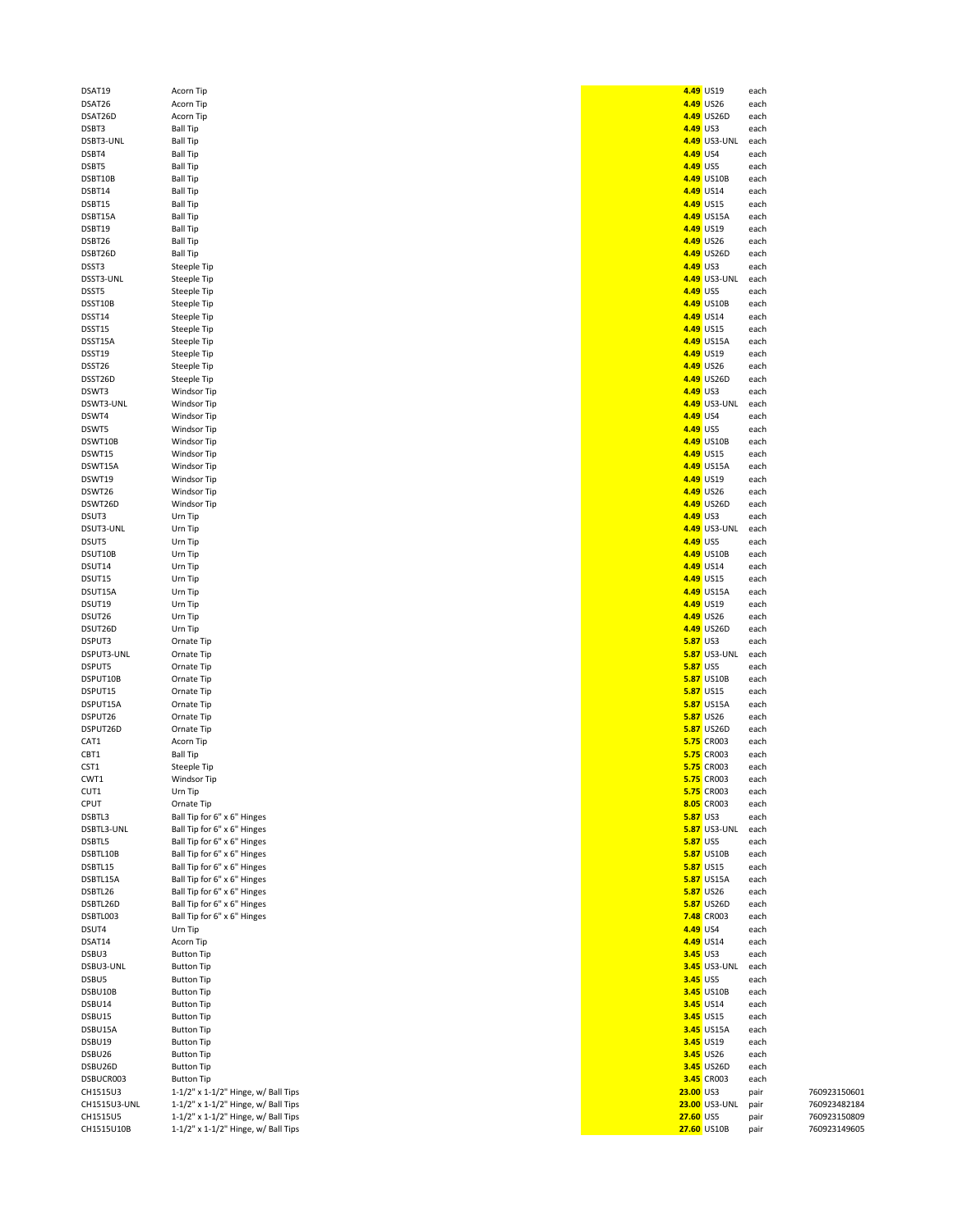| DSAT19       | Acorn Tip                                 |                 | 4.49 US19           | each |              |
|--------------|-------------------------------------------|-----------------|---------------------|------|--------------|
| DSAT26       | Acorn Tip                                 |                 | 4.49 US26           | each |              |
|              |                                           |                 |                     |      |              |
| DSAT26D      | Acorn Tip                                 |                 | 4.49 US26D          | each |              |
| DSBT3        | <b>Ball Tip</b>                           | 4.49 US3        |                     | each |              |
| DSBT3-UNL    | <b>Ball Tip</b>                           |                 | 4.49 US3-UNL        | each |              |
|              |                                           | 4.49 US4        |                     |      |              |
| DSBT4        | <b>Ball Tip</b>                           |                 |                     | each |              |
| DSBT5        | <b>Ball Tip</b>                           | 4.49 US5        |                     | each |              |
| DSBT10B      | <b>Ball Tip</b>                           |                 | 4.49 US10B          | each |              |
| DSBT14       | <b>Ball Tip</b>                           |                 | 4.49 US14           | each |              |
|              |                                           |                 |                     |      |              |
| DSBT15       | <b>Ball Tip</b>                           |                 | 4.49 US15           | each |              |
| DSBT15A      | <b>Ball Tip</b>                           |                 | 4.49 US15A          | each |              |
| DSBT19       | <b>Ball Tip</b>                           |                 | 4.49 US19           | each |              |
|              |                                           |                 |                     |      |              |
| DSBT26       | <b>Ball Tip</b>                           |                 | 4.49 US26           | each |              |
| DSBT26D      | <b>Ball Tip</b>                           |                 | 4.49 US26D          | each |              |
| DSST3        | Steeple Tip                               | 4.49 US3        |                     | each |              |
|              |                                           |                 |                     |      |              |
| DSST3-UNL    | Steeple Tip                               |                 | 4.49 US3-UNL        | each |              |
| DSST5        | Steeple Tip                               | 4.49 US5        |                     | each |              |
|              |                                           |                 |                     |      |              |
| DSST10B      | Steeple Tip                               |                 | 4.49 US10B          | each |              |
| DSST14       | Steeple Tip                               |                 | 4.49 US14           | each |              |
| DSST15       | Steeple Tip                               |                 | 4.49 US15           | each |              |
|              |                                           |                 |                     |      |              |
| DSST15A      | Steeple Tip                               |                 | 4.49 US15A          | each |              |
| DSST19       | Steeple Tip                               |                 | 4.49 US19           | each |              |
| DSST26       | Steeple Tip                               |                 | 4.49 US26           | each |              |
|              |                                           |                 |                     |      |              |
| DSST26D      | Steeple Tip                               |                 | 4.49 US26D          | each |              |
| DSWT3        | Windsor Tip                               | 4.49 US3        |                     | each |              |
| DSWT3-UNL    | Windsor Tip                               |                 | 4.49 US3-UNL        | each |              |
|              |                                           |                 |                     |      |              |
| DSWT4        | Windsor Tip                               | 4.49 US4        |                     | each |              |
| DSWT5        | Windsor Tip                               | 4.49 US5        |                     | each |              |
| DSWT10B      | Windsor Tip                               |                 | 4.49 US10B          | each |              |
|              |                                           |                 |                     |      |              |
| DSWT15       | Windsor Tip                               |                 | 4.49 US15           | each |              |
| DSWT15A      | Windsor Tip                               |                 | 4.49 US15A          | each |              |
| DSWT19       | Windsor Tip                               |                 | 4.49 US19           | each |              |
|              |                                           |                 |                     |      |              |
| DSWT26       | Windsor Tip                               |                 | 4.49 US26           | each |              |
| DSWT26D      | Windsor Tip                               |                 | 4.49 US26D          | each |              |
| DSUT3        | Urn Tip                                   | 4.49 US3        |                     | each |              |
|              |                                           |                 |                     |      |              |
| DSUT3-UNL    | Urn Tip                                   |                 | 4.49 US3-UNL        | each |              |
| DSUT5        | Urn Tip                                   | 4.49 US5        |                     | each |              |
| DSUT10B      | Urn Tip                                   |                 | 4.49 US10B          | each |              |
|              |                                           |                 |                     |      |              |
| DSUT14       | Urn Tip                                   |                 | 4.49 US14           | each |              |
| DSUT15       | Urn Tip                                   |                 | 4.49 US15           | each |              |
| DSUT15A      | Urn Tip                                   |                 | 4.49 US15A          | each |              |
|              |                                           |                 |                     |      |              |
| DSUT19       | Urn Tip                                   |                 | 4.49 US19           | each |              |
| DSUT26       | Urn Tip                                   |                 | 4.49 US26           | each |              |
| DSUT26D      | Urn Tip                                   |                 | 4.49 US26D          | each |              |
|              |                                           |                 |                     |      |              |
| DSPUT3       | Ornate Tip                                | <b>5.87 US3</b> |                     | each |              |
| DSPUT3-UNL   | Ornate Tip                                |                 | <b>5.87</b> US3-UNL | each |              |
| DSPUT5       |                                           |                 |                     |      |              |
|              | Ornate Tip                                | <b>5.87 US5</b> |                     | each |              |
| DSPUT10B     | Ornate Tip                                |                 | <b>5.87 US10B</b>   | each |              |
| DSPUT15      | Ornate Tip                                |                 | <b>5.87 US15</b>    | each |              |
| DSPUT15A     |                                           |                 |                     |      |              |
|              | Ornate Tip                                |                 | <b>5.87</b> US15A   | each |              |
| DSPUT26      | Ornate Tip                                |                 | <b>5.87</b> US26    | each |              |
| DSPUT26D     | Ornate Tip                                |                 | 5.87 US26D          | each |              |
|              |                                           |                 |                     |      |              |
| CAT1         | Acorn Tip                                 |                 | 5.75 CR003          | each |              |
| CBT1         | <b>Ball Tip</b>                           |                 | 5.75 CR003          | each |              |
| CST1         | Steeple Tip                               |                 | 5.75 CR003          | each |              |
| CWT1         | Windsor Tip                               |                 | 5.75 CR003          |      |              |
|              |                                           |                 |                     | each |              |
| CUT1         | Urn Tip                                   |                 | <b>5.75</b> CR003   | each |              |
| CPUT         | Ornate Tip                                |                 | 8.05 CR003          | each |              |
| DSBTL3       | Ball Tip for 6" x 6" Hinges               | <b>5.87 US3</b> |                     | each |              |
|              |                                           |                 |                     |      |              |
| DSBTL3-UNL   | Ball Tip for 6" x 6" Hinges               |                 | <b>5.87 US3-UNL</b> | each |              |
| DSBTL5       | Ball Tip for 6" x 6" Hinges               | <b>5.87 US5</b> |                     | each |              |
| DSBTL10B     | Ball Tip for 6" x 6" Hinges               |                 | <b>5.87 US10B</b>   | each |              |
|              |                                           |                 |                     |      |              |
| DSBTL15      | Ball Tip for 6" x 6" Hinges               |                 | <b>5.87 US15</b>    | each |              |
| DSBTL15A     | Ball Tip for 6" x 6" Hinges               |                 | <b>5.87 US15A</b>   | each |              |
| DSBTL26      | Ball Tip for 6" x 6" Hinges               |                 | <b>5.87 US26</b>    | each |              |
|              |                                           |                 |                     |      |              |
| DSBTL26D     | Ball Tip for 6" x 6" Hinges               |                 | <b>5.87</b> US26D   | each |              |
| DSBTL003     | Ball Tip for 6" x 6" Hinges               |                 | 7.48 CR003          | each |              |
| DSUT4        | Urn Tip                                   | 4.49 US4        |                     | each |              |
|              |                                           |                 |                     |      |              |
| DSAT14       | Acorn Tip                                 |                 | 4.49 US14           | each |              |
| DSBU3        | <b>Button Tip</b>                         | <b>3.45 US3</b> |                     | each |              |
| DSBU3-UNL    | <b>Button Tip</b>                         |                 | <b>3.45</b> US3-UNL | each |              |
|              |                                           |                 |                     |      |              |
| DSBU5        | <b>Button Tip</b>                         | 3.45 US5        |                     | each |              |
| DSBU10B      | <b>Button Tip</b>                         |                 | <b>3.45</b> US10B   | each |              |
| DSBU14       | <b>Button Tip</b>                         |                 | 3.45 US14           | each |              |
|              |                                           |                 |                     |      |              |
| DSBU15       | <b>Button Tip</b>                         |                 | 3.45 US15           | each |              |
| DSBU15A      | <b>Button Tip</b>                         |                 | 3.45 US15A          | each |              |
| DSBU19       | <b>Button Tip</b>                         |                 | 3.45 US19           | each |              |
|              |                                           |                 |                     |      |              |
| DSBU26       | <b>Button Tip</b>                         |                 | 3.45 US26           | each |              |
| DSBU26D      | <b>Button Tip</b>                         |                 | 3.45 US26D          | each |              |
|              |                                           |                 |                     |      |              |
| DSBUCR003    | <b>Button Tip</b>                         |                 | 3.45 CR003          | each |              |
| CH1515U3     | $1-1/2$ " x $1-1/2$ " Hinge, w/ Ball Tips | 23.00 US3       |                     | pair | 760923150601 |
| CH1515U3-UNL | $1-1/2$ " x $1-1/2$ " Hinge, w/ Ball Tips |                 | 23.00 US3-UNL       | pair | 760923482184 |
| CH1515U5     | $1-1/2$ " x $1-1/2$ " Hinge, w/ Ball Tips | 27.60 US5       |                     | pair | 760923150809 |
|              |                                           |                 |                     |      |              |
| CH1515U10B   | 1-1/2" x 1-1/2" Hinge, w/ Ball Tips       |                 | 27.60 US10B         | pair | 760923149605 |

|           | 4.49 US19    | each |
|-----------|--------------|------|
|           | 4.49 US26    | each |
| 4.49      | US26D        | each |
| 4.49      | US3          | each |
|           | 4.49 US3-UNL | each |
|           |              |      |
| 4.49      | US4          | each |
| 4.49      | US5          | each |
|           | 4.49 US10B   | each |
| 4.49      | <b>US14</b>  | each |
| 4.49      | <b>US15</b>  | each |
|           | 4.49 US15A   |      |
|           |              | each |
| 4.49      | <b>US19</b>  | each |
| 4.49      | <b>US26</b>  | each |
|           | 4.49 US26D   | each |
| 4.49      | US3          | each |
|           | 4.49 US3-UNL | each |
|           |              |      |
| 4.49      | US5          | each |
| 4.49      | <b>US10B</b> | each |
|           | 4.49 US14    | each |
| 4.49      | <b>US15</b>  | each |
| 4.49      | <b>US15A</b> | each |
|           |              |      |
|           | 4.49 US19    | each |
| 4.49      | <b>US26</b>  | each |
| 4.49      | US26D        | each |
| 4.49 US3  |              | each |
| 4.49      | US3-UNL      | each |
| 4.49      | US4          |      |
|           |              | each |
| 4.49 US5  |              | each |
| 4.49      | <b>US10B</b> | each |
| 4.49      | <b>US15</b>  | each |
|           | 4.49 US15A   | each |
| 4.49      | US19         | each |
|           |              |      |
| 4.49      | <b>US26</b>  | each |
|           | 4.49 US26D   | each |
| 4.49      | US3          | each |
| 4.49      | US3-UNL      | each |
| 4.49 US5  |              | each |
|           |              |      |
| 4.49      | US10B        | each |
| 4.49      | <b>US14</b>  | each |
| 4.49      | <b>US15</b>  | each |
| 4.49      | <b>US15A</b> | each |
| 4.49      | <b>US19</b>  | each |
|           |              |      |
| 4.49      | <b>US26</b>  | each |
| 4.49      | US26D        | each |
| 5.87      | US3          | each |
| 5.87      | US3-UNL      | each |
| 5.87      | US5          | each |
| 5.87      | US10B        | each |
|           |              |      |
| 5.87      | <b>US15</b>  | each |
| 5.87      | <b>US15A</b> | each |
| 5.87      | <b>US26</b>  | each |
| 5.87      | <b>US26D</b> | each |
| 5.75      | CR003        | each |
| 5.75      | CR003        | each |
| 5.75      | CR003        | each |
|           |              |      |
| , 7.      | CR003        | each |
| 5.75      | CR003        | each |
| 8.05      | CR003        | each |
| 5.87      | US3          | each |
| 5.87      | US3-UNL      | each |
| 5.87      | US5          | each |
|           |              | each |
| 5.87      | US10B        |      |
| 5.87      | <b>US15</b>  | each |
| 5.87      | <b>US15A</b> | each |
| 5.87      | <b>US26</b>  | each |
| 5.87      | <b>US26D</b> | each |
| 7.48      | CR003        | each |
| 4.49      | US4          | each |
|           |              |      |
| 4.49      | US14         | each |
| 3.45      | US3          | each |
| 3.45      | US3-UNL      | each |
| 3.45      | US5          | each |
| 3.45      | US10B        | each |
| 3.45      | US14         | each |
|           |              |      |
| 3.45      | <b>US15</b>  | each |
| 3.45      | <b>US15A</b> | each |
| 3.45      | <b>US19</b>  | each |
| 3.45      | <b>US26</b>  | each |
| 3.45      | <b>US26D</b> | each |
| 3.45      | CR003        | each |
| 23.00 US3 |              | pair |
|           |              |      |
| 23.00     | US3-UNL      | pair |
| 27.60 US5 |              | pair |
| 27.60     | <b>US10B</b> | pair |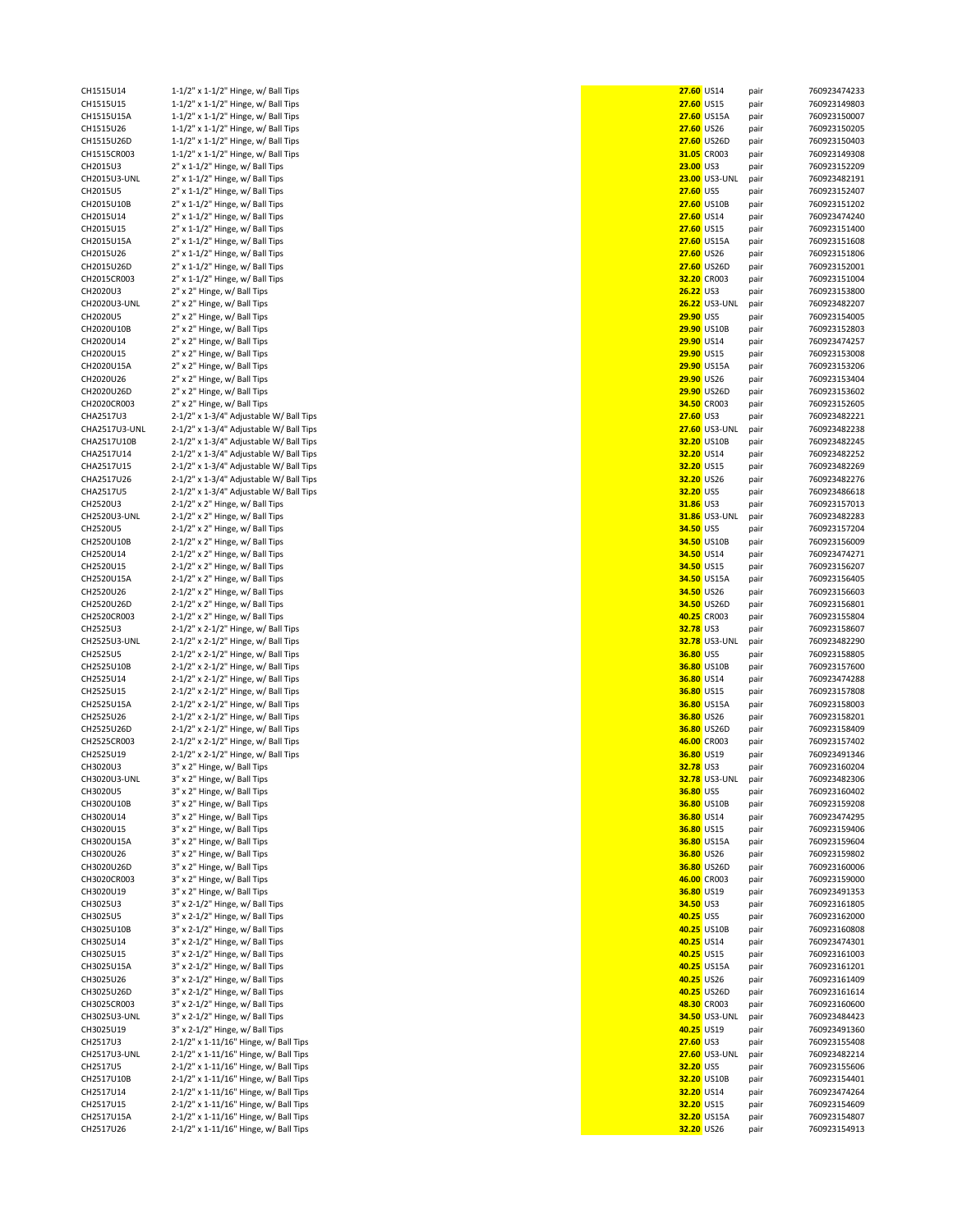| CH1515U14     | 1-1/2" x 1-1/2" Hinge, w/ Ball Tips    |
|---------------|----------------------------------------|
| CH1515U15     | 1-1/2" x 1-1/2" Hinge, w/ Ball Tips    |
| CH1515U15A    | 1-1/2" x 1-1/2" Hinge, w/ Ball Tips    |
| CH1515U26     | 1-1/2" x 1-1/2" Hinge, w/ Ball Tips    |
| CH1515U26D    | 1-1/2" x 1-1/2" Hinge, w/ Ball Tips    |
| CH1515CR003   | 1-1/2" x 1-1/2" Hinge, w/ Ball Tips    |
| CH2015U3      | 2" x 1-1/2" Hinge, w/ Ball Tips        |
| CH2015U3-UNL  | 2" x 1-1/2" Hinge, w/ Ball Tips        |
| CH2015U5      | 2" x 1-1/2" Hinge, w/ Ball Tips        |
| CH2015U10B    | 2" x 1-1/2" Hinge, w/ Ball Tips        |
| CH2015U14     | 2" x 1-1/2" Hinge, w/ Ball Tips        |
| CH2015U15     | 2" x 1-1/2" Hinge, w/ Ball Tips        |
| CH2015U15A    | 2" x 1-1/2" Hinge, w/ Ball Tips        |
| CH2015U26     | 2" x 1-1/2" Hinge, w/ Ball Tips        |
| CH2015U26D    | 2" x 1-1/2" Hinge, w/ Ball Tips        |
| CH2015CR003   | 2" x 1-1/2" Hinge, w/ Ball Tips        |
| CH2020U3      | 2" x 2" Hinge, w/ Ball Tips            |
| CH2020U3-UNL  | 2" x 2" Hinge, w/ Ball Tips            |
| CH2020U5      | 2" x 2" Hinge, w/ Ball Tips            |
| CH2020U10B    | 2" x 2" Hinge, w/ Ball Tips            |
| CH2020U14     | 2" x 2" Hinge, w/ Ball Tips            |
| CH2020U15     | 2" x 2" Hinge, w/ Ball Tips            |
| CH2020U15A    | 2" x 2" Hinge, w/ Ball Tips            |
| CH2020U26     | 2" x 2" Hinge, w/ Ball Tips            |
| CH2020U26D    | 2" x 2" Hinge, w/ Ball Tips            |
| CH2020CR003   | 2" x 2" Hinge, w/ Ball Tips            |
| CHA2517U3     | 2-1/2" x 1-3/4" Adjustable W/ Ball Tip |
| CHA2517U3-UNL | 2-1/2" x 1-3/4" Adjustable W/ Ball Tip |
| CHA2517U10B   | 2-1/2" x 1-3/4" Adjustable W/ Ball Tip |
| CHA2517U14    | 2-1/2" x 1-3/4" Adjustable W/ Ball Tip |
| CHA2517U15    | 2-1/2" x 1-3/4" Adjustable W/ Ball Tip |
| CHA2517U26    | 2-1/2" x 1-3/4" Adjustable W/ Ball Tip |
| CHA2517U5     | 2-1/2" x 1-3/4" Adjustable W/ Ball Tip |
|               |                                        |
| CH2520U3      | 2-1/2" x 2" Hinge, w/ Ball Tips        |
| CH2520U3-UNL  | 2-1/2" x 2" Hinge, w/ Ball Tips        |
| CH2520U5      | 2-1/2" x 2" Hinge, w/ Ball Tips        |
| CH2520U10B    | 2-1/2" x 2" Hinge, w/ Ball Tips        |
| CH2520U14     | 2-1/2" x 2" Hinge, w/ Ball Tips        |
| CH2520U15     | 2-1/2" x 2" Hinge, w/ Ball Tips        |
| CH2520U15A    | 2-1/2" x 2" Hinge, w/ Ball Tips        |
| CH2520U26     | 2-1/2" x 2" Hinge, w/ Ball Tips        |
| CH2520U26D    | 2-1/2" x 2" Hinge, w/ Ball Tips        |
| CH2520CR003   | 2-1/2" x 2" Hinge, w/ Ball Tips        |
| CH2525U3      | 2-1/2" x 2-1/2" Hinge, w/ Ball Tips    |
| CH2525U3-UNL  | 2-1/2" x 2-1/2" Hinge, w/ Ball Tips    |
| CH2525U5      | 2-1/2" x 2-1/2" Hinge, w/ Ball Tips    |
| CH2525U10B    | 2-1/2" x 2-1/2" Hinge, w/ Ball Tips    |
| CH2525U14     | 2-1/2" x 2-1/2" Hinge, w/ Ball Tips    |
| CH2525U15     | 2-1/2" x 2-1/2" Hinge, w/ Ball Tips    |
| CH2525U15A    | 2-1/2" x 2-1/2" Hinge, w/ Ball Tips    |
| CH2525U26     | 2-1/2" x 2-1/2" Hinge, w/ Ball Tips    |
| CH2525U26D    | 2-1/2" x 2-1/2" Hinge, w/ Ball Tips    |
| CH2525CR003   | 2-1/2" x 2-1/2" Hinge, w/ Ball Tips    |
| CH2525U19     | 2-1/2" x 2-1/2" Hinge, w/ Ball Tips    |
| CH3020U3      | 3" x 2" Hinge, w/ Ball Tips            |
| CH3020U3-UNL  | 3" x 2" Hinge, w/ Ball Tips            |
| CH3020U5      | 3" x 2" Hinge, w/ Ball Tips            |
| CH3020U10B    | 3" x 2" Hinge, w/ Ball Tips            |
| CH3020U14     | 3" x 2" Hinge, w/ Ball Tips            |
| CH3020U15     | 3" x 2" Hinge, w/ Ball Tips            |
| CH3020U15A    | 3" x 2" Hinge, w/ Ball Tips            |
| CH3020U26     | 3" x 2" Hinge, w/ Ball Tips            |
| CH3020U26D    | 3" x 2" Hinge, w/ Ball Tips            |
| CH3020CR003   | 3" x 2" Hinge, w/ Ball Tips            |
| CH3020U19     | 3" x 2" Hinge, w/ Ball Tips            |
| CH3025U3      | 3" x 2-1/2" Hinge, w/ Ball Tips        |
| CH3025U5      | 3" x 2-1/2" Hinge, w/ Ball Tips        |
| CH3025U10B    | 3" x 2-1/2" Hinge, w/ Ball Tips        |
| CH3025U14     | 3" x 2-1/2" Hinge, w/ Ball Tips        |
| CH3025U15     | 3" x 2-1/2" Hinge, w/ Ball Tips        |
| CH3025U15A    | 3" x 2-1/2" Hinge, w/ Ball Tips        |
| CH3025U26     | 3" x 2-1/2" Hinge, w/ Ball Tips        |
| CH3025U26D    | 3" x 2-1/2" Hinge, w/ Ball Tips        |
| CH3025CR003   | 3" x 2-1/2" Hinge, w/ Ball Tips        |
| CH3025U3-UNL  | 3" x 2-1/2" Hinge, w/ Ball Tips        |
| CH3025U19     | 3" x 2-1/2" Hinge, w/ Ball Tips        |
| CH2517U3      | 2-1/2" x 1-11/16" Hinge, w/ Ball Tips  |
| CH2517U3-UNL  |                                        |
| CH2517U5      | 2-1/2" x 1-11/16" Hinge, w/ Ball Tips  |
|               | 2-1/2" x 1-11/16" Hinge, w/ Ball Tips  |
| CH2517U10B    | 2-1/2" x 1-11/16" Hinge, w/ Ball Tips  |
| CH2517U14     | 2-1/2" x 1-11/16" Hinge, w/ Ball Tips  |
| CH2517U15     | 2-1/2" x 1-11/16" Hinge, w/ Ball Tips  |
| CH2517U15A    | 2-1/2" x 1-11/16" Hinge, w/ Ball Tips  |
| CH2517U26     | 2-1/2" x 1-11/16" Hinge, w/ Ball Tips  |

| CH1515U14               | 1-1/2" x 1-1/2" Hinge, w/ Ball Tips                                            | 27.60 US14       |                      |              | 760923474233                 |
|-------------------------|--------------------------------------------------------------------------------|------------------|----------------------|--------------|------------------------------|
|                         |                                                                                |                  |                      | pair         |                              |
| CH1515U15               | 1-1/2" x 1-1/2" Hinge, w/ Ball Tips                                            | 27.60 US15       |                      | pair         | 760923149803                 |
| CH1515U15A              | $1-1/2$ " x $1-1/2$ " Hinge, w/ Ball Tips                                      |                  | 27.60 US15A          | pair         | 760923150007                 |
| CH1515U26               | 1-1/2" x 1-1/2" Hinge, w/ Ball Tips                                            | 27.60 US26       |                      | pair         | 760923150205                 |
| CH1515U26D              | 1-1/2" x 1-1/2" Hinge, w/ Ball Tips                                            |                  | 27.60 US26D          | pair         | 760923150403                 |
|                         |                                                                                |                  |                      |              |                              |
| CH1515CR003             | $1-1/2$ " x $1-1/2$ " Hinge, w/ Ball Tips                                      |                  | 31.05 CR003          | pair         | 760923149308                 |
| CH2015U3                | 2" x 1-1/2" Hinge, w/ Ball Tips                                                | 23.00 US3        |                      | pair         | 760923152209                 |
| CH2015U3-UNL            | 2" x 1-1/2" Hinge, w/ Ball Tips                                                |                  | 23.00 US3-UNL        | pair         | 760923482191                 |
| CH2015U5                | 2" x 1-1/2" Hinge, w/ Ball Tips                                                | <b>27.60 US5</b> |                      | pair         | 760923152407                 |
|                         |                                                                                |                  |                      |              |                              |
| CH2015U10B              | 2" x 1-1/2" Hinge, w/ Ball Tips                                                |                  | 27.60 US10B          | pair         | 760923151202                 |
| CH2015U14               | 2" x 1-1/2" Hinge, w/ Ball Tips                                                | 27.60 US14       |                      | pair         | 760923474240                 |
| CH2015U15               | 2" x 1-1/2" Hinge, w/ Ball Tips                                                | 27.60 US15       |                      | pair         | 760923151400                 |
|                         |                                                                                |                  |                      |              |                              |
| CH2015U15A              | 2" x 1-1/2" Hinge, w/ Ball Tips                                                |                  | 27.60 US15A          | pair         | 760923151608                 |
| CH2015U26               | 2" x 1-1/2" Hinge, w/ Ball Tips                                                | 27.60 US26       |                      | pair         | 760923151806                 |
| CH2015U26D              | 2" x 1-1/2" Hinge, w/ Ball Tips                                                |                  | 27.60 US26D          | pair         | 760923152001                 |
|                         |                                                                                |                  |                      |              |                              |
| CH2015CR003             | 2" x 1-1/2" Hinge, w/ Ball Tips                                                |                  | 32.20 CR003          | pair         | 760923151004                 |
| CH2020U3                | 2" x 2" Hinge, w/ Ball Tips                                                    | 26.22 US3        |                      | pair         | 760923153800                 |
| CH2020U3-UNL            | 2" x 2" Hinge, w/ Ball Tips                                                    |                  | <b>26.22 US3-UNL</b> | pair         | 760923482207                 |
| CH2020U5                |                                                                                | 29.90 US5        |                      |              | 760923154005                 |
|                         | 2" x 2" Hinge, w/ Ball Tips                                                    |                  |                      | pair         |                              |
| CH2020U10B              | 2" x 2" Hinge, w/ Ball Tips                                                    |                  | <b>29.90 US10B</b>   | pair         | 760923152803                 |
| CH2020U14               | 2" x 2" Hinge, w/ Ball Tips                                                    | 29.90 US14       |                      | pair         | 760923474257                 |
| CH2020U15               | 2" x 2" Hinge, w/ Ball Tips                                                    | 29.90 US15       |                      | pair         | 760923153008                 |
|                         |                                                                                |                  |                      |              |                              |
| CH2020U15A              | 2" x 2" Hinge, w/ Ball Tips                                                    |                  | 29.90 US15A          | pair         | 760923153206                 |
| CH2020U26               | 2" x 2" Hinge, w/ Ball Tips                                                    | 29.90 US26       |                      | pair         | 760923153404                 |
| CH2020U26D              | 2" x 2" Hinge, w/ Ball Tips                                                    |                  | 29.90 US26D          | pair         | 760923153602                 |
|                         |                                                                                |                  |                      |              |                              |
| CH2020CR003             | 2" x 2" Hinge, w/ Ball Tips                                                    |                  | 34.50 CR003          | pair         | 760923152605                 |
| CHA2517U3               | 2-1/2" x 1-3/4" Adjustable W/ Ball Tips                                        | 27.60 US3        |                      | pair         | 760923482221                 |
| CHA2517U3-UNL           | 2-1/2" x 1-3/4" Adjustable W/ Ball Tips                                        |                  | <b>27.60 US3-UNL</b> | pair         | 760923482238                 |
| CHA2517U10B             |                                                                                |                  | 32.20 US10B          |              | 760923482245                 |
|                         | 2-1/2" x 1-3/4" Adjustable W/ Ball Tips                                        |                  |                      | pair         |                              |
| CHA2517U14              | 2-1/2" x 1-3/4" Adjustable W/ Ball Tips                                        | 32.20 US14       |                      | pair         | 760923482252                 |
| CHA2517U15              | 2-1/2" x 1-3/4" Adjustable W/ Ball Tips                                        | 32.20 US15       |                      | pair         | 760923482269                 |
| CHA2517U26              | 2-1/2" x 1-3/4" Adjustable W/ Ball Tips                                        | 32.20 US26       |                      |              | 760923482276                 |
|                         |                                                                                |                  |                      | pair         |                              |
| CHA2517U5               | 2-1/2" x 1-3/4" Adjustable W/ Ball Tips                                        | 32.20 US5        |                      | pair         | 760923486618                 |
| CH2520U3                | 2-1/2" x 2" Hinge, w/ Ball Tips                                                | 31.86 US3        |                      | pair         | 760923157013                 |
| CH2520U3-UNL            | 2-1/2" x 2" Hinge, w/ Ball Tips                                                |                  | <b>31.86 US3-UNL</b> | pair         | 760923482283                 |
|                         |                                                                                |                  |                      |              |                              |
| CH2520U5                | 2-1/2" x 2" Hinge, w/ Ball Tips                                                | 34.50 US5        |                      | pair         | 760923157204                 |
| CH2520U10B              | 2-1/2" x 2" Hinge, w/ Ball Tips                                                |                  | 34.50 US10B          | pair         | 760923156009                 |
| CH2520U14               | 2-1/2" x 2" Hinge, w/ Ball Tips                                                | 34.50 US14       |                      | pair         | 760923474271                 |
|                         |                                                                                |                  |                      |              |                              |
| CH2520U15               | 2-1/2" x 2" Hinge, w/ Ball Tips                                                | 34.50 US15       |                      | pair         | 760923156207                 |
| CH2520U15A              | 2-1/2" x 2" Hinge, w/ Ball Tips                                                |                  | 34.50 US15A          | pair         | 760923156405                 |
| CH2520U26               | 2-1/2" x 2" Hinge, w/ Ball Tips                                                | 34.50 US26       |                      | pair         | 760923156603                 |
| CH2520U26D              |                                                                                |                  | 34.50 US26D          |              | 760923156801                 |
|                         | 2-1/2" x 2" Hinge, w/ Ball Tips                                                |                  |                      | pair         |                              |
| CH2520CR003             | 2-1/2" x 2" Hinge, w/ Ball Tips                                                |                  | 40.25 CR003          | pair         | 760923155804                 |
| CH2525U3                | 2-1/2" x 2-1/2" Hinge, w/ Ball Tips                                            | 32.78 US3        |                      | pair         | 760923158607                 |
|                         |                                                                                |                  |                      |              |                              |
| CH2525U3-UNL            | 2-1/2" x 2-1/2" Hinge, w/ Ball Tips                                            |                  | <b>32.78</b> US3-UNL | pair         | 760923482290                 |
| CH2525U5                | 2-1/2" x 2-1/2" Hinge, w/ Ball Tips                                            | 36.80 US5        |                      | pair         | 760923158805                 |
| CH2525U10B              | 2-1/2" x 2-1/2" Hinge, w/ Ball Tips                                            |                  | 36.80 US10B          | pair         | 760923157600                 |
| CH2525U14               | 2-1/2" x 2-1/2" Hinge, w/ Ball Tips                                            | 36.80 US14       |                      | pair         | 760923474288                 |
|                         |                                                                                |                  |                      |              |                              |
| CH2525U15               | 2-1/2" x 2-1/2" Hinge, w/ Ball Tips                                            | 36.80 US15       |                      | pair         | 760923157808                 |
| CH2525U15A              | $2-1/2$ " x $2-1/2$ " Hinge, w/ Ball Tips                                      |                  | 36.80 US15A          | pair         | 760923158003                 |
| CH2525U26               | 2-1/2" x 2-1/2" Hinge, w/ Ball Tips                                            | 36.80 US26       |                      | pair         | 760923158201                 |
|                         |                                                                                |                  |                      |              |                              |
| CH2525U26D              | 2-1/2" x 2-1/2" Hinge, w/ Ball Tips                                            |                  | 36.80 US26D          | pair         | 760923158409                 |
| CH2525CR003             | 2-1/2" x 2-1/2" Hinge, w/ Ball Tips                                            |                  | 46.00 CR003          | pair         | 760923157402                 |
| CH2525U19               | 2-1/2" x 2-1/2" Hinge, w/ Ball Tips                                            | 36.80 US19       |                      | pair         | 760923491346                 |
|                         |                                                                                |                  |                      |              |                              |
| CH3020U3                | 3" x 2" Hinge, w/ Ball Tips                                                    | 32.78 US3        |                      | pair         | 760923160204                 |
| CH3020U3-UNL            | 3" x 2" Hinge, w/ Ball Tips                                                    |                  | <b>32.78 US3-UNL</b> | pair         | 760923482306                 |
| CH3020U5                | 3" x 2" Hinge, w/ Ball Tips                                                    | 36.80 US5        |                      | pair         | 760923160402                 |
| CH3020U10B              | 3" x 2" Hinge, w/ Ball Tips                                                    |                  | 36.80 US10B          |              | 760923159208                 |
|                         |                                                                                |                  |                      | pair         |                              |
| CH3020U14               | 3" x 2" Hinge, w/ Ball Tips                                                    | 36.80 US14       |                      | pair         | 760923474295                 |
| CH3020U15               | 3" x 2" Hinge, w/ Ball Tips                                                    | 36.80 US15       |                      | pair         | 760923159406                 |
| CH3020U15A              | 3" x 2" Hinge, w/ Ball Tips                                                    |                  | 36.80 US15A          | pair         | 760923159604                 |
| CH3020U26               | 3" x 2" Hinge, w/ Ball Tips                                                    | 36.80 US26       |                      |              | 760923159802                 |
|                         |                                                                                |                  |                      | pair         |                              |
| CH3020U26D              | 3" x 2" Hinge, w/ Ball Tips                                                    |                  | 36.80 US26D          | pair         | 760923160006                 |
| CH3020CR003             | 3" x 2" Hinge, w/ Ball Tips                                                    |                  | 46.00 CR003          | pair         | 760923159000                 |
| CH3020U19               | 3" x 2" Hinge, w/ Ball Tips                                                    | 36.80 US19       |                      | pair         | 760923491353                 |
|                         |                                                                                |                  |                      |              |                              |
| CH3025U3                | 3" x 2-1/2" Hinge, w/ Ball Tips                                                | 34.50 US3        |                      | pair         | 760923161805                 |
| CH3025U5                | 3" x 2-1/2" Hinge, w/ Ball Tips                                                | 40.25 US5        |                      | pair         | 760923162000                 |
| CH3025U10B              | 3" x 2-1/2" Hinge, w/ Ball Tips                                                |                  | 40.25 US10B          | pair         | 760923160808                 |
| CH3025U14               | 3" x 2-1/2" Hinge, w/ Ball Tips                                                | 40.25 US14       |                      |              | 760923474301                 |
|                         |                                                                                |                  |                      | pair         |                              |
| CH3025U15               | 3" x 2-1/2" Hinge, w/ Ball Tips                                                | 40.25 US15       |                      | pair         | 760923161003                 |
| CH3025U15A              | 3" x 2-1/2" Hinge, w/ Ball Tips                                                |                  | 40.25 US15A          | pair         | 760923161201                 |
| CH3025U26               | 3" x 2-1/2" Hinge, w/ Ball Tips                                                | 40.25 US26       |                      | pair         | 760923161409                 |
|                         |                                                                                |                  |                      |              |                              |
| CH3025U26D              | 3" x 2-1/2" Hinge, w/ Ball Tips                                                |                  | 40.25 US26D          | pair         | 760923161614                 |
| CH3025CR003             | 3" x 2-1/2" Hinge, w/ Ball Tips                                                |                  | 48.30 CR003          | pair         | 760923160600                 |
| CH3025U3-UNL            | 3" x 2-1/2" Hinge, w/ Ball Tips                                                |                  | <b>34.50 US3-UNL</b> | pair         | 760923484423                 |
|                         |                                                                                | 40.25 US19       |                      |              |                              |
| CH3025U19               | 3" x 2-1/2" Hinge, w/ Ball Tips                                                |                  |                      | pair         | 760923491360                 |
| CH2517U3                | 2-1/2" x 1-11/16" Hinge, w/ Ball Tips                                          | <b>27.60 US3</b> |                      | pair         | 760923155408                 |
| CH2517U3-UNL            | 2-1/2" x 1-11/16" Hinge, w/ Ball Tips                                          |                  | 27.60 US3-UNL        | pair         | 760923482214                 |
| CH2517U5                | 2-1/2" x 1-11/16" Hinge, w/ Ball Tips                                          | 32.20 US5        |                      | pair         | 760923155606                 |
|                         |                                                                                |                  |                      |              |                              |
| CH2517U10B              | 2-1/2" x 1-11/16" Hinge, w/ Ball Tips                                          |                  | 32.20 US10B          | pair         | 760923154401                 |
| CH2517U14               | 2-1/2" x 1-11/16" Hinge, w/ Ball Tips                                          | 32.20 US14       |                      | pair         | 760923474264                 |
|                         |                                                                                |                  |                      |              |                              |
| CH2517U15               |                                                                                |                  | 32.20 US15           |              | 760923154609                 |
|                         | 2-1/2" x 1-11/16" Hinge, w/ Ball Tips                                          |                  |                      | pair         |                              |
| CH2517U15A<br>CH2517U26 | 2-1/2" x 1-11/16" Hinge, w/ Ball Tips<br>2-1/2" x 1-11/16" Hinge, w/ Ball Tips | 32.20 US26       | 32.20 US15A          | pair<br>pair | 760923154807<br>760923154913 |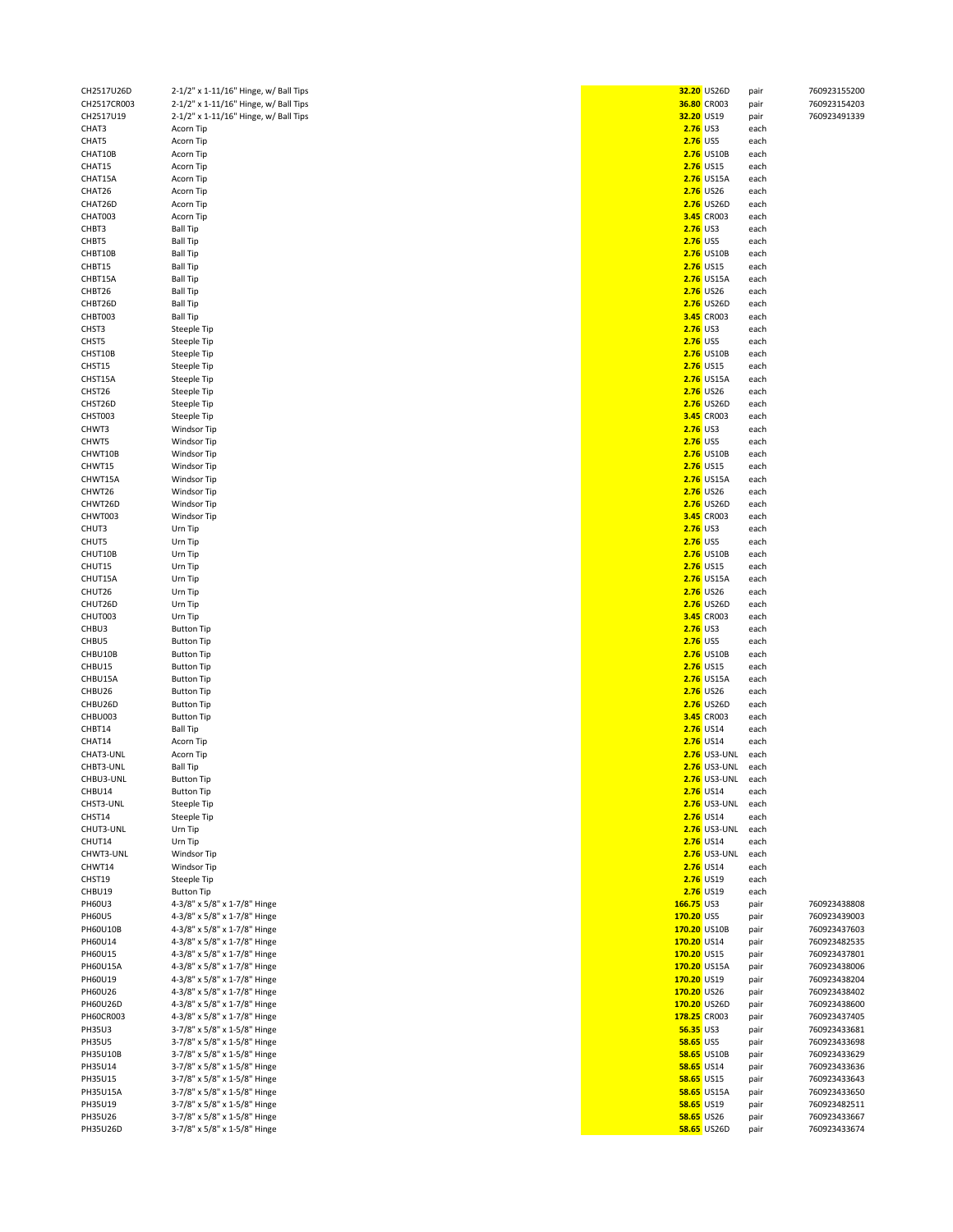| CH2517U26D      | 2-1/2" x 1-11/16" Hinge, w/ Ball Tips |                   | 32.20 US26D         | pair | 760923155200 |
|-----------------|---------------------------------------|-------------------|---------------------|------|--------------|
| CH2517CR003     | 2-1/2" x 1-11/16" Hinge, w/ Ball Tips | 36.80 CR003       |                     | pair | 760923154203 |
| CH2517U19       | 2-1/2" x 1-11/16" Hinge, w/ Ball Tips | 32.20 US19        |                     |      | 760923491339 |
|                 |                                       |                   |                     | pair |              |
| CHAT3           | Acorn Tip                             | 2.76 US3          |                     | each |              |
| CHAT5           | Acorn Tip                             | <b>2.76 US5</b>   |                     | each |              |
| CHAT10B         | Acorn Tip                             |                   | 2.76 US10B          | each |              |
| CHAT15          |                                       |                   | 2.76 US15           |      |              |
|                 | Acorn Tip                             |                   |                     | each |              |
| CHAT15A         | Acorn Tip                             |                   | 2.76 US15A          | each |              |
| CHAT26          | Acorn Tip                             |                   | <b>2.76</b> US26    | each |              |
| CHAT26D         | Acorn Tip                             |                   | 2.76 US26D          | each |              |
|                 |                                       |                   |                     |      |              |
| CHAT003         | Acorn Tip                             |                   | 3.45 CR003          | each |              |
| CHBT3           | <b>Ball Tip</b>                       | <b>2.76</b> US3   |                     | each |              |
| CHBT5           | <b>Ball Tip</b>                       | <b>2.76 US5</b>   |                     | each |              |
|                 |                                       |                   |                     |      |              |
| CHBT10B         | <b>Ball Tip</b>                       |                   | 2.76 US10B          | each |              |
| CHBT15          | <b>Ball Tip</b>                       |                   | <b>2.76</b> US15    | each |              |
| CHBT15A         | <b>Ball Tip</b>                       |                   | 2.76 US15A          | each |              |
|                 |                                       |                   |                     |      |              |
| CHBT26          | <b>Ball Tip</b>                       |                   | 2.76 US26           | each |              |
| CHBT26D         | <b>Ball Tip</b>                       |                   | 2.76 US26D          | each |              |
| CHBT003         | <b>Ball Tip</b>                       |                   | 3.45 CR003          | each |              |
|                 |                                       |                   |                     |      |              |
| CHST3           | Steeple Tip                           | 2.76 US3          |                     | each |              |
| CHST5           | Steeple Tip                           | 2.76 US5          |                     | each |              |
| CHST10B         | Steeple Tip                           |                   | 2.76 US10B          | each |              |
|                 |                                       |                   |                     |      |              |
| CHST15          | Steeple Tip                           |                   | 2.76 US15           | each |              |
| CHST15A         | Steeple Tip                           |                   | 2.76 US15A          | each |              |
| CHST26          | Steeple Tip                           |                   | 2.76 US26           | each |              |
| CHST26D         |                                       |                   | 2.76 US26D          | each |              |
|                 | Steeple Tip                           |                   |                     |      |              |
| CHST003         | Steeple Tip                           |                   | 3.45 CR003          | each |              |
| CHWT3           | Windsor Tip                           | 2.76 US3          |                     | each |              |
| CHWT5           | <b>Windsor Tip</b>                    | 2.76 US5          |                     | each |              |
|                 |                                       |                   |                     |      |              |
| CHWT10B         | Windsor Tip                           |                   | 2.76 US10B          | each |              |
| CHWT15          | Windsor Tip                           |                   | 2.76 US15           | each |              |
| CHWT15A         | Windsor Tip                           |                   | 2.76 US15A          | each |              |
|                 |                                       |                   |                     |      |              |
| CHWT26          | Windsor Tip                           |                   | 2.76 US26           | each |              |
| CHWT26D         | Windsor Tip                           |                   | 2.76 US26D          | each |              |
| CHWT003         | Windsor Tip                           |                   | 3.45 CR003          | each |              |
|                 |                                       |                   |                     |      |              |
| CHUT3           | Urn Tip                               | 2.76 US3          |                     | each |              |
| CHUT5           | Urn Tip                               | <b>2.76 US5</b>   |                     | each |              |
| CHUT10B         | Urn Tip                               |                   | 2.76 US10B          | each |              |
| CHUT15          | Urn Tip                               |                   | 2.76 US15           | each |              |
|                 |                                       |                   |                     |      |              |
| CHUT15A         | Urn Tip                               |                   | 2.76 US15A          | each |              |
| CHUT26          | Urn Tip                               |                   | 2.76 US26           | each |              |
| CHUT26D         | Urn Tip                               |                   | 2.76 US26D          | each |              |
|                 |                                       |                   |                     |      |              |
| CHUT003         | Urn Tip                               |                   | 3.45 CR003          | each |              |
| CHBU3           | <b>Button Tip</b>                     | <b>2.76</b> US3   |                     | each |              |
| CHBU5           | <b>Button Tip</b>                     | 2.76 US5          |                     | each |              |
|                 |                                       |                   |                     |      |              |
| CHBU10B         | <b>Button Tip</b>                     |                   | 2.76 US10B          | each |              |
| CHBU15          | <b>Button Tip</b>                     |                   | 2.76 US15           | each |              |
| CHBU15A         | <b>Button Tip</b>                     |                   | 2.76 US15A          | each |              |
|                 |                                       |                   |                     |      |              |
| CHBU26          | <b>Button Tip</b>                     |                   | 2.76 US26           | each |              |
| CHBU26D         | <b>Button Tip</b>                     |                   | 2.76 US26D          | each |              |
| CHBU003         | <b>Button Tip</b>                     |                   | 3.45 CR003          | each |              |
|                 |                                       |                   |                     |      |              |
| CHBT14          | <b>Ball Tip</b>                       |                   | 2.76 US14           | each |              |
| CHAT14          | Acorn Tip                             |                   | 2.76 US14           | each |              |
| CHAT3-UNL       | Acorn Tip                             |                   | <b>2.76</b> US3-UNL | each |              |
| CHBT3-UNL       | Ball Tip                              |                   | 2.76 US3-UNL        | each |              |
|                 |                                       |                   |                     |      |              |
| CHBU3-UNL       | <b>Button Tip</b>                     |                   | <b>2.76</b> US3-UNL | each |              |
| CHBU14          | <b>Button Tip</b>                     |                   | 2.76 US14           | each |              |
| CHST3-UNL       | Steeple Tip                           |                   | <b>2.76</b> US3-UNL | each |              |
|                 |                                       |                   |                     |      |              |
| CHST14          | Steeple Tip                           |                   | 2.76 US14           | each |              |
| CHUT3-UNL       | Urn Tip                               |                   | <b>2.76</b> US3-UNL | each |              |
| CHUT14          | Urn Tip                               |                   | 2.76 US14           | each |              |
| CHWT3-UNL       | Windsor Tip                           |                   | <b>2.76</b> US3-UNL | each |              |
|                 |                                       |                   |                     |      |              |
| CHWT14          | Windsor Tip                           |                   | 2.76 US14           | each |              |
| CHST19          | Steeple Tip                           |                   | 2.76 US19           | each |              |
| CHBU19          | <b>Button Tip</b>                     |                   | 2.76 US19           | each |              |
| PH60U3          | 4-3/8" x 5/8" x 1-7/8" Hinge          | 166.75 US3        |                     | pair | 760923438808 |
|                 |                                       |                   |                     |      |              |
| <b>PH60U5</b>   | 4-3/8" x 5/8" x 1-7/8" Hinge          | 170.20 US5        |                     | pair | 760923439003 |
| <b>PH60U10B</b> | 4-3/8" x 5/8" x 1-7/8" Hinge          | 170.20 US10B      |                     | pair | 760923437603 |
| PH60U14         | 4-3/8" x 5/8" x 1-7/8" Hinge          | 170.20 US14       |                     | pair | 760923482535 |
|                 |                                       |                   |                     |      |              |
| PH60U15         | 4-3/8" x 5/8" x 1-7/8" Hinge          | 170.20 US15       |                     | pair | 760923437801 |
| <b>PH60U15A</b> | 4-3/8" x 5/8" x 1-7/8" Hinge          | 170.20 US15A      |                     | pair | 760923438006 |
| PH60U19         | 4-3/8" x 5/8" x 1-7/8" Hinge          | 170.20 US19       |                     | pair | 760923438204 |
|                 |                                       |                   |                     |      |              |
| PH60U26         | 4-3/8" x 5/8" x 1-7/8" Hinge          | 170.20 US26       |                     | pair | 760923438402 |
| PH60U26D        | 4-3/8" x 5/8" x 1-7/8" Hinge          | 170.20 US26D      |                     | pair | 760923438600 |
| PH60CR003       | 4-3/8" x 5/8" x 1-7/8" Hinge          | 178.25 CR003      |                     | pair | 760923437405 |
|                 |                                       |                   |                     |      |              |
| <b>PH35U3</b>   | 3-7/8" x 5/8" x 1-5/8" Hinge          | 56.35 US3         |                     | pair | 760923433681 |
| <b>PH35U5</b>   | 3-7/8" x 5/8" x 1-5/8" Hinge          | <b>58.65 US5</b>  |                     | pair | 760923433698 |
| PH35U10B        | 3-7/8" x 5/8" x 1-5/8" Hinge          |                   | <b>58.65 US10B</b>  | pair | 760923433629 |
|                 |                                       |                   |                     |      |              |
| PH35U14         | 3-7/8" x 5/8" x 1-5/8" Hinge          | 58.65 US14        |                     | pair | 760923433636 |
| PH35U15         | 3-7/8" x 5/8" x 1-5/8" Hinge          | <b>58.65 US15</b> |                     | pair | 760923433643 |
| <b>PH35U15A</b> | 3-7/8" x 5/8" x 1-5/8" Hinge          |                   | 58.65 US15A         | pair | 760923433650 |
| PH35U19         | 3-7/8" x 5/8" x 1-5/8" Hinge          | 58.65 US19        |                     |      | 760923482511 |
|                 |                                       |                   |                     | pair |              |
| PH35U26         | 3-7/8" x 5/8" x 1-5/8" Hinge          | 58.65 US26        |                     | pair | 760923433667 |
| PH35U26D        | 3-7/8" x 5/8" x 1-5/8" Hinge          |                   | <b>58.65 US26D</b>  | pair | 760923433674 |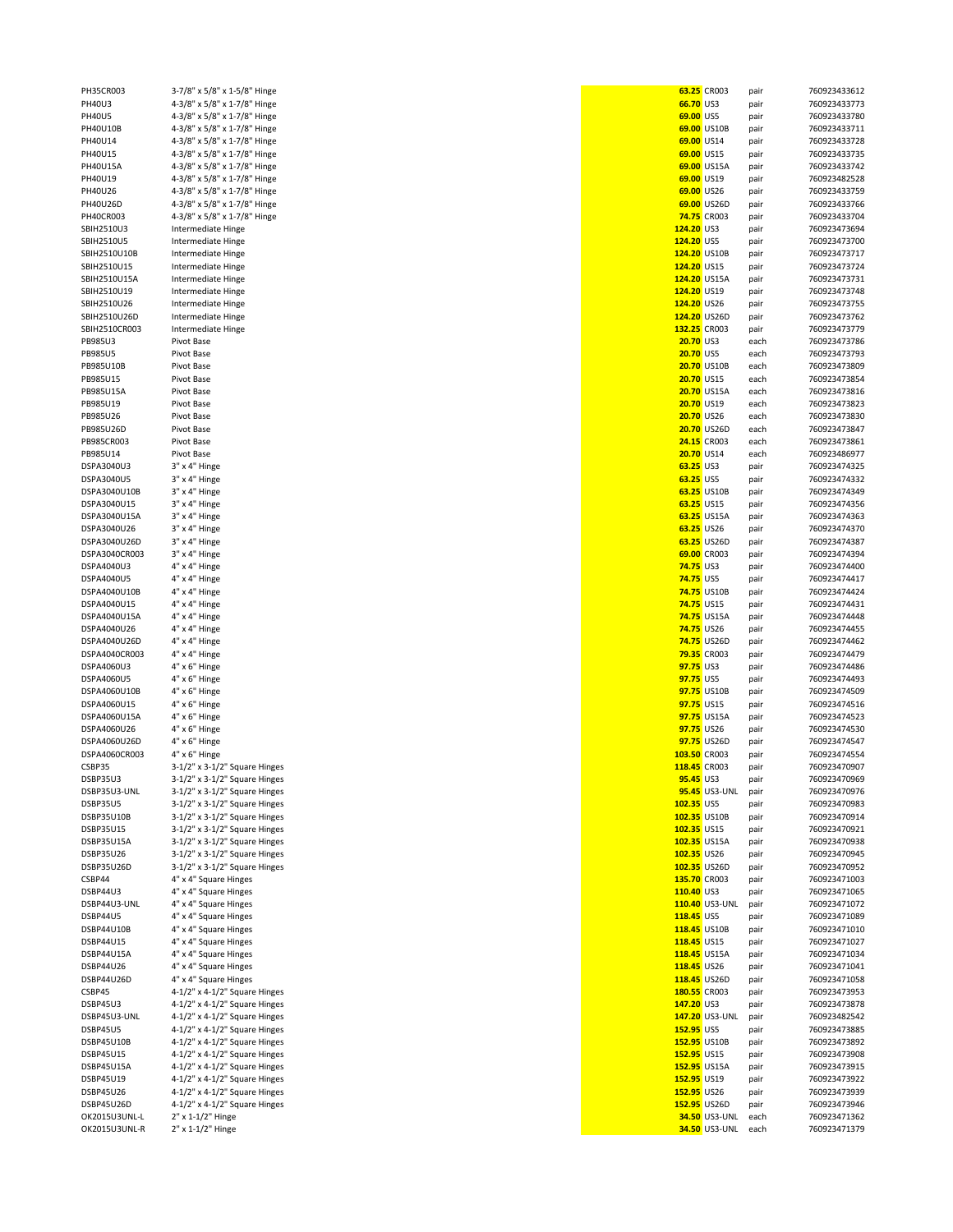| -nsscruus                      | ווח סקכ-דג סקכג סקי-כ      |
|--------------------------------|----------------------------|
| PH40U3                         | 4-3/8" x 5/8" x 1-7/8" Hir |
| <b>H40U5</b>                   | 4-3/8" x 5/8" x 1-7/8" Hir |
| <b>PH40U10B</b>                | 4-3/8" x 5/8" x 1-7/8" Hir |
| H40U14                         | 4-3/8" x 5/8" x 1-7/8" Hir |
| <b>H40U15</b>                  | 4-3/8" x 5/8" x 1-7/8" Hir |
| <b>PH40U15A</b>                | 4-3/8" x 5/8" x 1-7/8" Hir |
| <b>H40U19</b>                  | 4-3/8" x 5/8" x 1-7/8" Hir |
| H40U26                         | 4-3/8" x 5/8" x 1-7/8" Hir |
| H40U26D                        | 4-3/8" x 5/8" x 1-7/8" Hir |
| PH40CR003                      | 4-3/8" x 5/8" x 1-7/8" Hir |
| <b>SBIH2510U3</b>              | Intermediate Hinge         |
| <b>SBIH2510U5</b>              | Intermediate Hinge         |
| <b>SBIH2510U10B</b>            | Intermediate Hinge         |
| SBIH2510U15                    | Intermediate Hinge         |
| <b>SBIH2510U15A</b>            | Intermediate Hinge         |
| SBIH2510U19                    | Intermediate Hinge         |
|                                |                            |
| <b>SBIH2510U26</b>             | Intermediate Hinge         |
| SBIH2510U26D                   | Intermediate Hinge         |
| SBIH2510CR003                  | Intermediate Hinge         |
| <b>B985U3</b>                  | Pivot Base                 |
| <b>B985U5</b>                  | Pivot Base                 |
| B985U10B                       | Pivot Base                 |
| B985U15                        | Pivot Base                 |
| <b>B985U15A</b>                | Pivot Base                 |
| <b>B985U19</b>                 | Pivot Base                 |
| <b>B985U26</b>                 | Pivot Base                 |
| B985U26D                       | Pivot Base                 |
| B985CR003                      | Pivot Base                 |
| <b>B985U14</b>                 | Pivot Base                 |
| DSPA3040U3                     | 3" x 4" Hinge              |
| DSPA3040U5                     | 3" x 4" Hinge              |
| DSPA3040U10B                   | 3" x 4" Hinge              |
| DSPA3040U15                    | 3" x 4" Hinge              |
| DSPA3040U15A                   | 3" x 4" Hinge              |
| DSPA3040U26                    | 3" x 4" Hinge              |
| DSPA3040U26D                   | 3" x 4" Hinge              |
| DSPA3040CR003                  |                            |
|                                | 3" x 4" Hinge              |
| DSPA4040U3                     | 4" x 4" Hinge              |
| DSPA4040U5                     | 4" x 4" Hinge              |
| DSPA4040U10B                   | 4" x 4" Hinge              |
| DSPA4040U15                    | 4" x 4" Hinge              |
| DSPA4040U15A                   | 4" x 4" Hinge              |
| DSPA4040U26                    | 4" x 4" Hinge              |
| DSPA4040U26D                   | 4" x 4" Hinge              |
| DSPA4040CR003                  | 4" x 4" Hinge              |
| DSPA4060U3                     | 4" x 6" Hinge              |
| DSPA4060U5                     | 4" x 6" Hinge              |
| DSPA4060U10B                   | 4" x 6" Hinge              |
| DSPA4060U15                    | 4" x 6" Hinge              |
| DSPA4060U15A                   | 4" x 6" Hinge              |
| DSPA4060U26                    | 4" x 6" Hinge              |
| DSPA4060U26D                   | 4" x 6" Hinge              |
| DSPA4060CR003                  | 4" x 6" Hinge              |
| CSBP35                         | 3-1/2" x 3-1/2" Square Hi  |
| <b>DSBP35U3</b>                | 3-1/2" x 3-1/2" Square Hi  |
| DSBP35U3-UNL                   | 3-1/2" x 3-1/2" Square Hi  |
| <b>DSBP35U5</b>                | 3-1/2" x 3-1/2" Square Hi  |
| DSBP35U10B                     | 3-1/2" x 3-1/2" Square Hi  |
| <b>DSBP35U15</b>               | 3-1/2" x 3-1/2" Square Hi  |
|                                | 3-1/2" x 3-1/2" Square Hi  |
| <b>DSBP35U15A</b>              |                            |
| <b>DSBP35U26</b>               | 3-1/2" x 3-1/2" Square Hi  |
| DSBP35U26D                     | 3-1/2" x 3-1/2" Square Hi  |
| CSBP44                         | 4" x 4" Square Hinges      |
| DSBP44U3                       | 4" x 4" Square Hinges      |
| DSBP44U3-UNL                   | 4" x 4" Square Hinges      |
| DSBP44U5                       | 4" x 4" Square Hinges      |
| DSBP44U10B                     | 4" x 4" Square Hinges      |
| DSBP44U15                      | 4" x 4" Square Hinges      |
| DSBP44U15A                     | 4" x 4" Square Hinges      |
| <b>DSBP44U26</b>               | 4" x 4" Square Hinges      |
| DSBP44U26D                     | 4" x 4" Square Hinges      |
| CSBP45                         | 4-1/2" x 4-1/2" Square Hi  |
| <b>DSBP45U3</b>                | 4-1/2" x 4-1/2" Square Hi  |
| DSBP45U3-UNL                   | 4-1/2" x 4-1/2" Square Hi  |
| <b>DSBP45U5</b>                | 4-1/2" x 4-1/2" Square Hi  |
| <b>DSBP45U10B</b>              | 4-1/2" x 4-1/2" Square Hi  |
| <b>DSBP45U15</b>               | 4-1/2" x 4-1/2" Square Hi  |
| DSBP45U15A                     | 4-1/2" x 4-1/2" Square Hi  |
| DSBP45U19                      | 4-1/2" x 4-1/2" Square Hi  |
| DSBP45U26                      | 4-1/2" x 4-1/2" Square Hi  |
| DSBP45U26D                     | 4-1/2" x 4-1/2" Square Hi  |
|                                | 2" x 1-1/2" Hinge          |
| OK2015U3UNL-L<br>OK2015U3UNL-R | 2" x 1-1/2" Hinge          |
|                                |                            |

| PH35CR003      | 3-7/8" x 5/8" x 1-5/8" Hinge        |                   | 63.25 CR003          | pair | 760923433612 |
|----------------|-------------------------------------|-------------------|----------------------|------|--------------|
|                |                                     |                   |                      |      |              |
| PH40U3         | 4-3/8" x 5/8" x 1-7/8" Hinge        | 66.70 US3         |                      | pair | 760923433773 |
| <b>PH40U5</b>  | 4-3/8" x 5/8" x 1-7/8" Hinge        | 69.00 US5         |                      | pair | 760923433780 |
| PH40U10B       | 4-3/8" x 5/8" x 1-7/8" Hinge        |                   | 69.00 US10B          | pair | 760923433711 |
| PH40U14        | 4-3/8" x 5/8" x 1-7/8" Hinge        | 69.00 US14        |                      | pair | 760923433728 |
| PH40U15        | 4-3/8" x 5/8" x 1-7/8" Hinge        | 69.00 US15        |                      |      | 760923433735 |
|                |                                     |                   |                      | pair |              |
| PH40U15A       | 4-3/8" x 5/8" x 1-7/8" Hinge        |                   | 69.00 US15A          | pair | 760923433742 |
| PH40U19        | 4-3/8" x 5/8" x 1-7/8" Hinge        | 69.00 US19        |                      | pair | 760923482528 |
| PH40U26        | 4-3/8" x 5/8" x 1-7/8" Hinge        | 69.00 US26        |                      | pair | 760923433759 |
| PH40U26D       | 4-3/8" x 5/8" x 1-7/8" Hinge        |                   | 69.00 US26D          |      | 760923433766 |
|                |                                     |                   |                      | pair |              |
| PH40CR003      | 4-3/8" x 5/8" x 1-7/8" Hinge        |                   | 74.75 CR003          | pair | 760923433704 |
| SBIH2510U3     | Intermediate Hinge                  | 124.20 US3        |                      | pair | 760923473694 |
| SBIH2510U5     | Intermediate Hinge                  | 124.20 US5        |                      | pair | 760923473700 |
|                |                                     |                   |                      |      |              |
| SBIH2510U10B   | Intermediate Hinge                  | 124.20 US10B      |                      | pair | 760923473717 |
| SBIH2510U15    | <b>Intermediate Hinge</b>           | 124.20 US15       |                      | pair | 760923473724 |
| SBIH2510U15A   | Intermediate Hinge                  | 124.20 US15A      |                      | pair | 760923473731 |
| SBIH2510U19    | Intermediate Hinge                  | 124.20 US19       |                      | pair | 760923473748 |
|                |                                     |                   |                      |      |              |
| SBIH2510U26    | Intermediate Hinge                  | 124.20 US26       |                      | pair | 760923473755 |
| SBIH2510U26D   | Intermediate Hinge                  | 124.20 US26D      |                      | pair | 760923473762 |
| SBIH2510CR003  | Intermediate Hinge                  | 132.25 CR003      |                      | pair | 760923473779 |
| PB985U3        | Pivot Base                          | 20.70 US3         |                      |      | 760923473786 |
|                |                                     |                   |                      | each |              |
| <b>PB985U5</b> | Pivot Base                          | 20.70 US5         |                      | each | 760923473793 |
| PB985U10B      | Pivot Base                          |                   | 20.70 US10B          | each | 760923473809 |
| PB985U15       | Pivot Base                          | 20.70 US15        |                      | each | 760923473854 |
|                |                                     |                   |                      |      |              |
| PB985U15A      | Pivot Base                          |                   | 20.70 US15A          | each | 760923473816 |
| PB985U19       | Pivot Base                          | 20.70 US19        |                      | each | 760923473823 |
| PB985U26       | Pivot Base                          | 20.70 US26        |                      | each | 760923473830 |
| PB985U26D      | Pivot Base                          |                   | 20.70 US26D          | each | 760923473847 |
|                |                                     |                   |                      |      |              |
| PB985CR003     | Pivot Base                          |                   | 24.15 CR003          | each | 760923473861 |
| PB985U14       | Pivot Base                          | 20.70 US14        |                      | each | 760923486977 |
| DSPA3040U3     | 3" x 4" Hinge                       | 63.25 US3         |                      | pair | 760923474325 |
| DSPA3040U5     | 3" x 4" Hinge                       | 63.25 US5         |                      | pair | 760923474332 |
|                |                                     |                   |                      |      |              |
| DSPA3040U10B   | 3" x 4" Hinge                       |                   | 63.25 US10B          | pair | 760923474349 |
| DSPA3040U15    | 3" x 4" Hinge                       | 63.25 US15        |                      | pair | 760923474356 |
| DSPA3040U15A   | 3" x 4" Hinge                       |                   | 63.25 US15A          | pair | 760923474363 |
| DSPA3040U26    | 3" x 4" Hinge                       | 63.25 US26        |                      | pair | 760923474370 |
|                |                                     |                   |                      |      |              |
| DSPA3040U26D   | 3" x 4" Hinge                       |                   | 63.25 US26D          | pair | 760923474387 |
| DSPA3040CR003  | 3" x 4" Hinge                       |                   | 69.00 CR003          | pair | 760923474394 |
| DSPA4040U3     | 4" x 4" Hinge                       | <b>74.75 US3</b>  |                      | pair | 760923474400 |
| DSPA4040U5     | 4" x 4" Hinge                       | <b>74.75 US5</b>  |                      |      | 760923474417 |
|                |                                     |                   |                      | pair |              |
| DSPA4040U10B   | 4" x 4" Hinge                       |                   | <b>74.75 US10B</b>   | pair | 760923474424 |
| DSPA4040U15    | 4" x 4" Hinge                       | <b>74.75 US15</b> |                      | pair | 760923474431 |
| DSPA4040U15A   | 4" x 4" Hinge                       |                   | <b>74.75 US15A</b>   | pair | 760923474448 |
|                |                                     | 74.75 US26        |                      |      |              |
| DSPA4040U26    | 4" x 4" Hinge                       |                   |                      | pair | 760923474455 |
| DSPA4040U26D   | 4" x 4" Hinge                       |                   | <b>74.75 US26D</b>   | pair | 760923474462 |
| DSPA4040CR003  | 4" x 4" Hinge                       |                   | <b>79.35 CR003</b>   | pair | 760923474479 |
| DSPA4060U3     | $4" \times 6"$ Hinge                | 97.75 US3         |                      | pair | 760923474486 |
|                |                                     |                   |                      |      |              |
| DSPA4060U5     | $4" \times 6"$ Hinge                | 97.75 US5         |                      | pair | 760923474493 |
| DSPA4060U10B   | $4" \times 6"$ Hinge                |                   | 97.75 US10B          | pair | 760923474509 |
| DSPA4060U15    | $4" \times 6"$ Hinge                | 97.75 US15        |                      | pair | 760923474516 |
| DSPA4060U15A   | $4" \times 6"$ Hinge                |                   | 97.75 US15A          | pair | 760923474523 |
|                |                                     |                   |                      |      |              |
| DSPA4060U26    | $4" \times 6"$ Hinge                | 97.75 US26        |                      | pair | 760923474530 |
| DSPA4060U26D   | $4" \times 6"$ Hinge                |                   | 97.75 US26D          | pair | 760923474547 |
| DSPA4060CR003  | $4" \times 6"$ Hinge                | 103.50 CR003      |                      | pair | 760923474554 |
| CSBP35         | 3-1/2" x 3-1/2" Square Hinges       | 118.45 CR003      |                      | pair | 760923470907 |
|                |                                     |                   |                      |      |              |
| DSBP35U3       | 3-1/2" x 3-1/2" Square Hinges       | 95.45 US3         |                      | pair | 760923470969 |
| DSBP35U3-UNL   | $3-1/2$ " x $3-1/2$ " Square Hinges |                   | <b>95.45</b> US3-UNL | pair | 760923470976 |
| DSBP35U5       | $3-1/2$ " x $3-1/2$ " Square Hinges | 102.35 US5        |                      | pair | 760923470983 |
| DSBP35U10B     | 3-1/2" x 3-1/2" Square Hinges       | 102.35 US10B      |                      | pair | 760923470914 |
|                |                                     |                   |                      |      |              |
| DSBP35U15      | $3-1/2$ " x $3-1/2$ " Square Hinges | 102.35 US15       |                      | pair | 760923470921 |
| DSBP35U15A     | $3-1/2$ " x $3-1/2$ " Square Hinges | 102.35 US15A      |                      | pair | 760923470938 |
| DSBP35U26      | 3-1/2" x 3-1/2" Square Hinges       | 102.35 US26       |                      | pair | 760923470945 |
| DSBP35U26D     | 3-1/2" x 3-1/2" Square Hinges       | 102.35 US26D      |                      | pair | 760923470952 |
|                |                                     |                   |                      |      |              |
| CSBP44         | 4" x 4" Square Hinges               | 135.70 CR003      |                      | pair | 760923471003 |
| DSBP44U3       | 4" x 4" Square Hinges               | 110.40 US3        |                      | pair | 760923471065 |
| DSBP44U3-UNL   | 4" x 4" Square Hinges               |                   | 110.40 US3-UNL       | pair | 760923471072 |
| DSBP44U5       | 4" x 4" Square Hinges               | 118.45 US5        |                      | pair | 760923471089 |
| DSBP44U10B     | 4" x 4" Square Hinges               | 118.45 US10B      |                      |      | 760923471010 |
|                |                                     |                   |                      | pair |              |
| DSBP44U15      | 4" x 4" Square Hinges               | 118.45 US15       |                      | pair | 760923471027 |
| DSBP44U15A     | 4" x 4" Square Hinges               | 118.45 US15A      |                      | pair | 760923471034 |
| DSBP44U26      | 4" x 4" Square Hinges               | 118.45 US26       |                      | pair | 760923471041 |
| DSBP44U26D     | 4" x 4" Square Hinges               | 118.45 US26D      |                      |      | 760923471058 |
|                |                                     |                   |                      | pair |              |
| CSBP45         | 4-1/2" x 4-1/2" Square Hinges       | 180.55 CR003      |                      | pair | 760923473953 |
| DSBP45U3       | $4-1/2$ " x $4-1/2$ " Square Hinges | 147.20 US3        |                      | pair | 760923473878 |
| DSBP45U3-UNL   | $4-1/2$ " x $4-1/2$ " Square Hinges |                   | 147.20 US3-UNL       | pair | 760923482542 |
|                |                                     |                   |                      |      |              |
| DSBP45U5       | 4-1/2" x 4-1/2" Square Hinges       | 152.95 US5        |                      | pair | 760923473885 |
| DSBP45U10B     | 4-1/2" x 4-1/2" Square Hinges       | 152.95 US10B      |                      | pair | 760923473892 |
| DSBP45U15      | $4-1/2$ " x $4-1/2$ " Square Hinges | 152.95 US15       |                      | pair | 760923473908 |
| DSBP45U15A     | 4-1/2" x 4-1/2" Square Hinges       | 152.95 US15A      |                      | pair | 760923473915 |
|                |                                     |                   |                      |      |              |
| DSBP45U19      | $4-1/2$ " x $4-1/2$ " Square Hinges | 152.95 US19       |                      | pair | 760923473922 |
| DSBP45U26      | 4-1/2" x 4-1/2" Square Hinges       | 152.95 US26       |                      | pair | 760923473939 |
| DSBP45U26D     | 4-1/2" x 4-1/2" Square Hinges       | 152.95 US26D      |                      | pair | 760923473946 |
| OK2015U3UNL-L  | 2" x 1-1/2" Hinge                   |                   | <b>34.50 US3-UNL</b> | each | 760923471362 |
|                |                                     |                   |                      |      |              |
| OK2015U3UNL-R  | 2" x 1-1/2" Hinge                   |                   | 34.50 US3-UNL        | each | 760923471379 |
|                |                                     |                   |                      |      |              |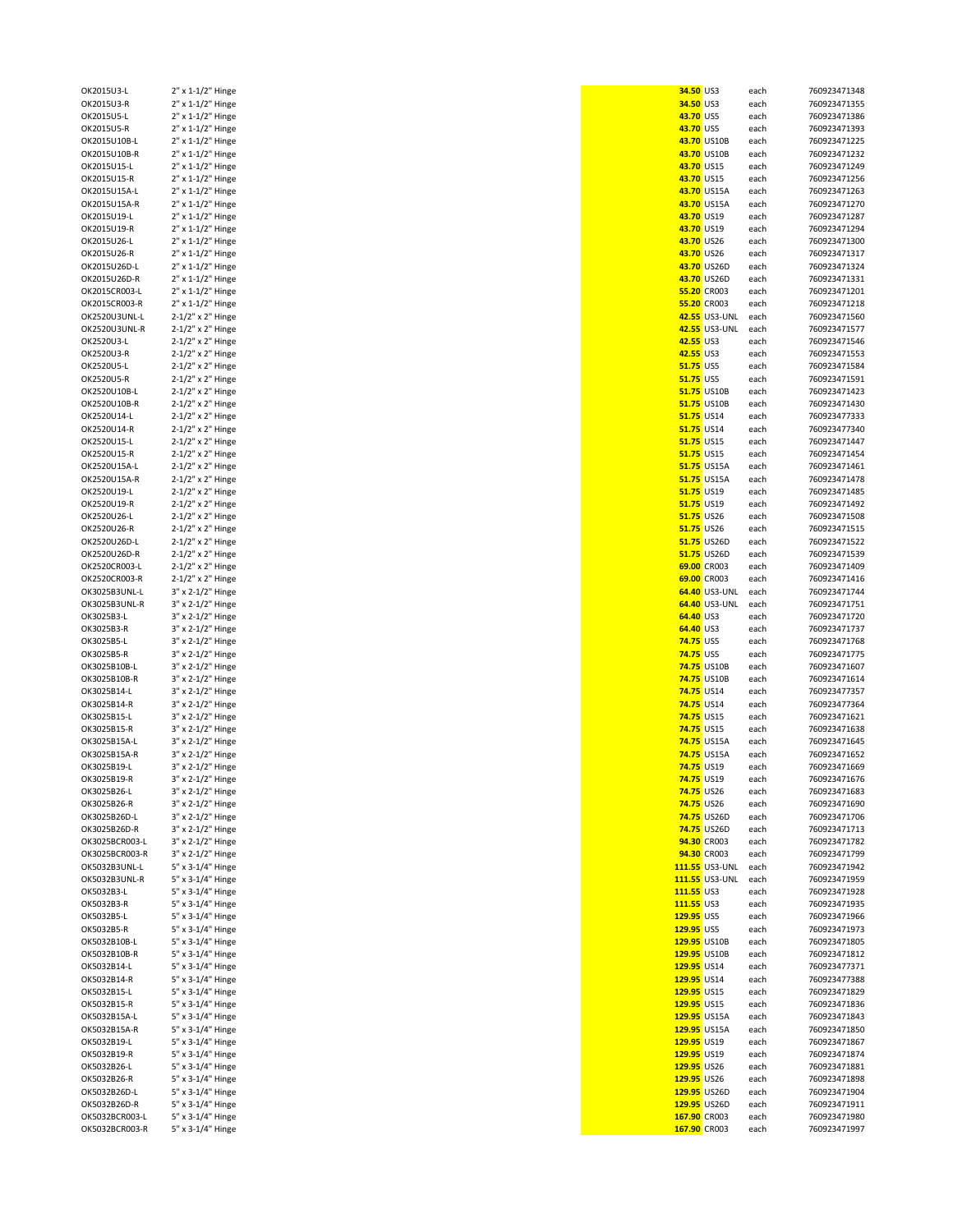| OK2015U3-L     |                                        |
|----------------|----------------------------------------|
|                | 2" x 1-1/2" Hinge                      |
| OK2015U3-R     | 2" x 1-1/2" Hinge                      |
| OK2015U5-L     | 2" x 1-1/2" Hinge                      |
| OK2015U5-R     |                                        |
|                | 2" x 1-1/2" Hinge                      |
| OK2015U10B-L   | 2" x 1-1/2" Hinge                      |
| OK2015U10B-R   | 2" x 1-1/2" Hinge                      |
| OK2015U15-L    | 2" x 1-1/2" Hinge                      |
|                |                                        |
| OK2015U15-R    | 2" x 1-1/2" Hinge                      |
| OK2015U15A-L   | 2" x 1-1/2" Hinge                      |
| OK2015U15A-R   | 2" x 1-1/2" Hinge                      |
| OK2015U19-L    | 2" x 1-1/2" Hinge                      |
|                |                                        |
| OK2015U19-R    | 2" x 1-1/2" Hinge                      |
| OK2015U26-L    | 2" x 1-1/2" Hinge                      |
| OK2015U26-R    | 2" x 1-1/2" Hinge                      |
| OK2015U26D-L   | 2" x 1-1/2" Hinge                      |
|                |                                        |
| OK2015U26D-R   | 2" x 1-1/2" Hinge                      |
| OK2015CR003-L  | 2" x 1-1/2" Hinge                      |
| OK2015CR003-R  | 2" x 1-1/2" Hinge                      |
| OK2520U3UNL-L  | 2-1/2" x 2" Hinge                      |
|                |                                        |
| OK2520U3UNL-R  | 2-1/2" x 2" Hinge                      |
| OK2520U3-L     | 2-1/2" x 2" Hinge                      |
| OK2520U3-R     | 2-1/2" x 2" Hinge                      |
| OK2520U5-L     | 2-1/2" x 2" Hinge                      |
|                |                                        |
| OK2520U5-R     | 2-1/2" x 2" Hinge                      |
| OK2520U10B-L   | 2-1/2" x 2" Hinge                      |
| OK2520U10B-R   | 2-1/2" x 2" Hinge                      |
| OK2520U14-L    | 2-1/2" x 2" Hinge                      |
|                |                                        |
| OK2520U14-R    | 2-1/2" x 2" Hinge                      |
| OK2520U15-L    | 2-1/2" x 2" Hinge                      |
| OK2520U15-R    | 2-1/2" x 2" Hinge                      |
| OK2520U15A-L   | 2-1/2" x 2" Hinge                      |
|                |                                        |
| OK2520U15A-R   | 2-1/2" x 2" Hinge                      |
| OK2520U19-L    | 2-1/2" x 2" Hinge                      |
| OK2520U19-R    | 2-1/2" x 2" Hinge                      |
| OK2520U26-L    | 2-1/2" x 2" Hinge                      |
|                | 2-1/2" x 2" Hinge                      |
| OK2520U26-R    |                                        |
| OK2520U26D-L   | 2-1/2" x 2" Hinge                      |
| OK2520U26D-R   | 2-1/2" x 2" Hinge                      |
| OK2520CR003-L  | 2-1/2" x 2" Hinge                      |
| OK2520CR003-R  |                                        |
|                | 2-1/2" x 2" Hinge                      |
| OK3025B3UNL-L  | 3" x 2-1/2" Hinge                      |
| OK3025B3UNL-R  | 3" x 2-1/2" Hinge                      |
| OK3025B3-L     | 3" x 2-1/2" Hinge                      |
| OK3025B3-R     | 3" x 2-1/2" Hinge                      |
|                |                                        |
|                |                                        |
| OK3025B5-L     | 3" x 2-1/2" Hinge                      |
| OK3025B5-R     |                                        |
|                | 3" x 2-1/2" Hinge                      |
| OK3025B10B-L   | 3" x 2-1/2" Hinge                      |
| OK3025B10B-R   | 3" x 2-1/2" Hinge                      |
| OK3025B14-L    | 3" x 2-1/2" Hinge                      |
| OK3025B14-R    | 3" x 2-1/2" Hinge                      |
| OK3025B15-L    |                                        |
|                | 3" x 2-1/2" Hinge                      |
| OK3025B15-R    | 3" x 2-1/2" Hinge                      |
| OK3025B15A-L   | 3" x 2-1/2" Hinge                      |
| OK3025B15A-R   | 3" x 2-1/2" Hinge                      |
| OK3025B19-L    | 3" x 2-1/2" Hinge                      |
|                |                                        |
| OK3025B19-R    | 3" x 2-1/2" Hinge                      |
| OK3025B26-L    | 3" x 2-1/2" Hinge                      |
| OK3025B26-R    | 3" x 2-1/2" Hinge                      |
| OK3025B26D-L   | 3" x 2-1/2" Hinge                      |
| OK3025B26D-R   | 3" x 2-1/2" Hinge                      |
| OK3025BCR003-L |                                        |
|                | 3" x 2-1/2" Hinge                      |
| OK3025BCR003-R | 3" x 2-1/2" Hinge                      |
| OK5032B3UNL-L  | 5" x 3-1/4" Hinge                      |
| OK5032B3UNL-R  | 5" x 3-1/4" Hinge                      |
|                |                                        |
| OK5032B3-L     | 5" x 3-1/4" Hinge                      |
| OK5032B3-R     | 5" x 3-1/4" Hinge                      |
| OK5032B5-L     | 5" x 3-1/4" Hinge                      |
| OK5032B5-R     | 5" x 3-1/4" Hinge                      |
| OK5032B10B-L   |                                        |
|                | 5" x 3-1/4" Hinge                      |
| OK5032B10B-R   | 5" x 3-1/4" Hinge                      |
| OK5032B14-L    | 5" x 3-1/4" Hinge                      |
| OK5032B14-R    | 5" x 3-1/4" Hinge                      |
| OK5032B15-L    | 5" x 3-1/4" Hinge                      |
|                |                                        |
| OK5032B15-R    | 5" x 3-1/4" Hinge                      |
| OK5032B15A-L   | 5" x 3-1/4" Hinge                      |
| OK5032B15A-R   | 5" x 3-1/4" Hinge                      |
| OK5032B19-L    | 5" x 3-1/4" Hinge                      |
|                |                                        |
| OK5032B19-R    | 5" x 3-1/4" Hinge                      |
| OK5032B26-L    | 5" x 3-1/4" Hinge                      |
| OK5032B26-R    | 5" x 3-1/4" Hinge                      |
| OK5032B26D-L   | 5" x 3-1/4" Hinge                      |
| OK5032B26D-R   |                                        |
| OK5032BCR003-L | 5" x 3-1/4" Hinge<br>5" x 3-1/4" Hinge |

| OK2015U3-L     | 2" x 1-1/2" Hinge | 34.50 US3          | each | 760923471348 |
|----------------|-------------------|--------------------|------|--------------|
| OK2015U3-R     | 2" x 1-1/2" Hinge | 34.50 US3          | each | 760923471355 |
| OK2015U5-L     | 2" x 1-1/2" Hinge | 43.70 US5          | each | 760923471386 |
| OK2015U5-R     | 2" x 1-1/2" Hinge | 43.70 US5          | each | 760923471393 |
| OK2015U10B-L   | 2" x 1-1/2" Hinge | 43.70 US10B        | each | 760923471225 |
| OK2015U10B-R   | 2" x 1-1/2" Hinge | 43.70 US10B        | each | 760923471232 |
| OK2015U15-L    | 2" x 1-1/2" Hinge | 43.70 US15         | each | 760923471249 |
| OK2015U15-R    | 2" x 1-1/2" Hinge | 43.70 US15         | each | 760923471256 |
| OK2015U15A-L   | 2" x 1-1/2" Hinge | 43.70 US15A        | each | 760923471263 |
| OK2015U15A-R   | 2" x 1-1/2" Hinge | 43.70 US15A        | each | 760923471270 |
|                |                   |                    |      |              |
| OK2015U19-L    | 2" x 1-1/2" Hinge | 43.70 US19         | each | 760923471287 |
| OK2015U19-R    | 2" x 1-1/2" Hinge | 43.70 US19         | each | 760923471294 |
| OK2015U26-L    | 2" x 1-1/2" Hinge | 43.70 US26         | each | 760923471300 |
| OK2015U26-R    | 2" x 1-1/2" Hinge | 43.70 US26         | each | 760923471317 |
| OK2015U26D-L   | 2" x 1-1/2" Hinge | 43.70 US26D        | each | 760923471324 |
| OK2015U26D-R   | 2" x 1-1/2" Hinge | 43.70 US26D        | each | 760923471331 |
| OK2015CR003-L  | 2" x 1-1/2" Hinge | 55.20 CR003        | each | 760923471201 |
| OK2015CR003-R  | 2" x 1-1/2" Hinge | 55.20 CR003        | each | 760923471218 |
| OK2520U3UNL-L  | 2-1/2" x 2" Hinge | 42.55 US3-UNL      | each | 760923471560 |
| OK2520U3UNL-R  | 2-1/2" x 2" Hinge | 42.55 US3-UNL      | each | 760923471577 |
|                |                   |                    |      |              |
| OK2520U3-L     | 2-1/2" x 2" Hinge | 42.55 US3          | each | 760923471546 |
| OK2520U3-R     | 2-1/2" x 2" Hinge | 42.55 US3          | each | 760923471553 |
| OK2520U5-L     | 2-1/2" x 2" Hinge | <b>51.75 US5</b>   | each | 760923471584 |
| OK2520U5-R     | 2-1/2" x 2" Hinge | 51.75 US5          | each | 760923471591 |
| OK2520U10B-L   | 2-1/2" x 2" Hinge | 51.75 US10B        | each | 760923471423 |
| OK2520U10B-R   | 2-1/2" x 2" Hinge | 51.75 US10B        | each | 760923471430 |
| OK2520U14-L    | 2-1/2" x 2" Hinge | 51.75 US14         | each | 760923477333 |
| OK2520U14-R    | 2-1/2" x 2" Hinge | 51.75 US14         | each | 760923477340 |
|                |                   |                    |      |              |
| OK2520U15-L    | 2-1/2" x 2" Hinge | 51.75 US15         | each | 760923471447 |
| OK2520U15-R    | 2-1/2" x 2" Hinge | 51.75 US15         | each | 760923471454 |
| OK2520U15A-L   | 2-1/2" x 2" Hinge | 51.75 US15A        | each | 760923471461 |
| OK2520U15A-R   | 2-1/2" x 2" Hinge | 51.75 US15A        | each | 760923471478 |
| OK2520U19-L    | 2-1/2" x 2" Hinge | 51.75 US19         | each | 760923471485 |
| OK2520U19-R    | 2-1/2" x 2" Hinge | 51.75 US19         | each | 760923471492 |
| OK2520U26-L    | 2-1/2" x 2" Hinge | 51.75 US26         | each | 760923471508 |
| OK2520U26-R    | 2-1/2" x 2" Hinge | 51.75 US26         | each | 760923471515 |
|                |                   |                    |      |              |
| OK2520U26D-L   | 2-1/2" x 2" Hinge | 51.75 US26D        | each | 760923471522 |
| OK2520U26D-R   | 2-1/2" x 2" Hinge | 51.75 US26D        | each | 760923471539 |
| OK2520CR003-L  | 2-1/2" x 2" Hinge | 69.00 CR003        | each | 760923471409 |
| OK2520CR003-R  | 2-1/2" x 2" Hinge | 69.00 CR003        | each | 760923471416 |
| OK3025B3UNL-L  | 3" x 2-1/2" Hinge | 64.40 US3-UNL      | each | 760923471744 |
| OK3025B3UNL-R  | 3" x 2-1/2" Hinge | 64.40 US3-UNL      | each | 760923471751 |
| OK3025B3-L     | 3" x 2-1/2" Hinge | 64.40 US3          | each | 760923471720 |
| OK3025B3-R     | 3" x 2-1/2" Hinge | 64.40 US3          | each | 760923471737 |
|                |                   | <b>74.75 US5</b>   |      |              |
| OK3025B5-L     | 3" x 2-1/2" Hinge |                    | each | 760923471768 |
| OK3025B5-R     | 3" x 2-1/2" Hinge | <b>74.75 US5</b>   | each | 760923471775 |
| OK3025B10B-L   | 3" x 2-1/2" Hinge | 74.75 US10B        | each | 760923471607 |
| OK3025B10B-R   | 3" x 2-1/2" Hinge | <b>74.75 US10B</b> | each | 760923471614 |
| OK3025B14-L    | 3" x 2-1/2" Hinge | 74.75 US14         | each | 760923477357 |
| OK3025B14-R    | 3" x 2-1/2" Hinge | 74.75 US14         | each | 760923477364 |
| OK3025B15-L    | 3" x 2-1/2" Hinge | <b>74.75 US15</b>  | each | 760923471621 |
| OK3025B15-R    | 3" x 2-1/2" Hinge | 74.75 US15         | each | 760923471638 |
| OK3025B15A-L   | 3" x 2-1/2" Hinge | 74.75 US15A        | each | 760923471645 |
| OK3025B15A-R   | 3" x 2-1/2" Hinge | 74.75 US15A        | each | 760923471652 |
|                |                   |                    |      |              |
| OK3025B19-L    | 3" x 2-1/2" Hinge | 74.75 US19         | each | 760923471669 |
| OK3025B19-R    | 3" x 2-1/2" Hinge | 74.75 US19         | each | 760923471676 |
| OK3025B26-L    | 3" x 2-1/2" Hinge | 74.75 US26         | each | 760923471683 |
| OK3025B26-R    | 3" x 2-1/2" Hinge | 74.75 US26         | each | 760923471690 |
| OK3025B26D-L   | 3" x 2-1/2" Hinge | <b>74.75 US26D</b> | each | 760923471706 |
| OK3025B26D-R   | 3" x 2-1/2" Hinge | 74.75 US26D        | each | 760923471713 |
| OK3025BCR003-L | 3" x 2-1/2" Hinge | 94.30 CR003        | each | 760923471782 |
| OK3025BCR003-R | 3" x 2-1/2" Hinge | 94.30 CR003        | each | 760923471799 |
| OK5032B3UNL-L  | 5" x 3-1/4" Hinge | 111.55 US3-UNL     | each | 760923471942 |
| OK5032B3UNL-R  | 5" x 3-1/4" Hinge | 111.55 US3-UNL     | each | 760923471959 |
|                |                   |                    |      |              |
| OK5032B3-L     | 5" x 3-1/4" Hinge | 111.55 US3         | each | 760923471928 |
| OK5032B3-R     | 5" x 3-1/4" Hinge | 111.55 US3         | each | 760923471935 |
| OK5032B5-L     | 5" x 3-1/4" Hinge | 129.95 US5         | each | 760923471966 |
| OK5032B5-R     | 5" x 3-1/4" Hinge | 129.95 US5         | each | 760923471973 |
| OK5032B10B-L   | 5" x 3-1/4" Hinge | 129.95 US10B       | each | 760923471805 |
| OK5032B10B-R   | 5" x 3-1/4" Hinge | 129.95 US10B       | each | 760923471812 |
| OK5032B14-L    | 5" x 3-1/4" Hinge | 129.95 US14        | each | 760923477371 |
| OK5032B14-R    | 5" x 3-1/4" Hinge | 129.95 US14        | each | 760923477388 |
|                |                   |                    |      |              |
| OK5032B15-L    | 5" x 3-1/4" Hinge | 129.95 US15        | each | 760923471829 |
| OK5032B15-R    | 5" x 3-1/4" Hinge | 129.95 US15        | each | 760923471836 |
| OK5032B15A-L   | 5" x 3-1/4" Hinge | 129.95 US15A       | each | 760923471843 |
| OK5032B15A-R   | 5" x 3-1/4" Hinge | 129.95 US15A       | each | 760923471850 |
| OK5032B19-L    | 5" x 3-1/4" Hinge | 129.95 US19        | each | 760923471867 |
| OK5032B19-R    | 5" x 3-1/4" Hinge | 129.95 US19        | each | 760923471874 |
| OK5032B26-L    | 5" x 3-1/4" Hinge | 129.95 US26        | each | 760923471881 |
| OK5032B26-R    | 5" x 3-1/4" Hinge | 129.95 US26        | each | 760923471898 |
|                |                   |                    |      |              |
| OK5032B26D-L   | 5" x 3-1/4" Hinge | 129.95 US26D       | each | 760923471904 |
| OK5032B26D-R   | 5" x 3-1/4" Hinge | 129.95 US26D       | each | 760923471911 |
| OK5032BCR003-L | 5" x 3-1/4" Hinge | 167.90 CR003       | each | 760923471980 |
| OK5032BCR003-R | 5" x 3-1/4" Hinge | 167.90 CR003       | each | 760923471997 |
|                |                   |                    |      |              |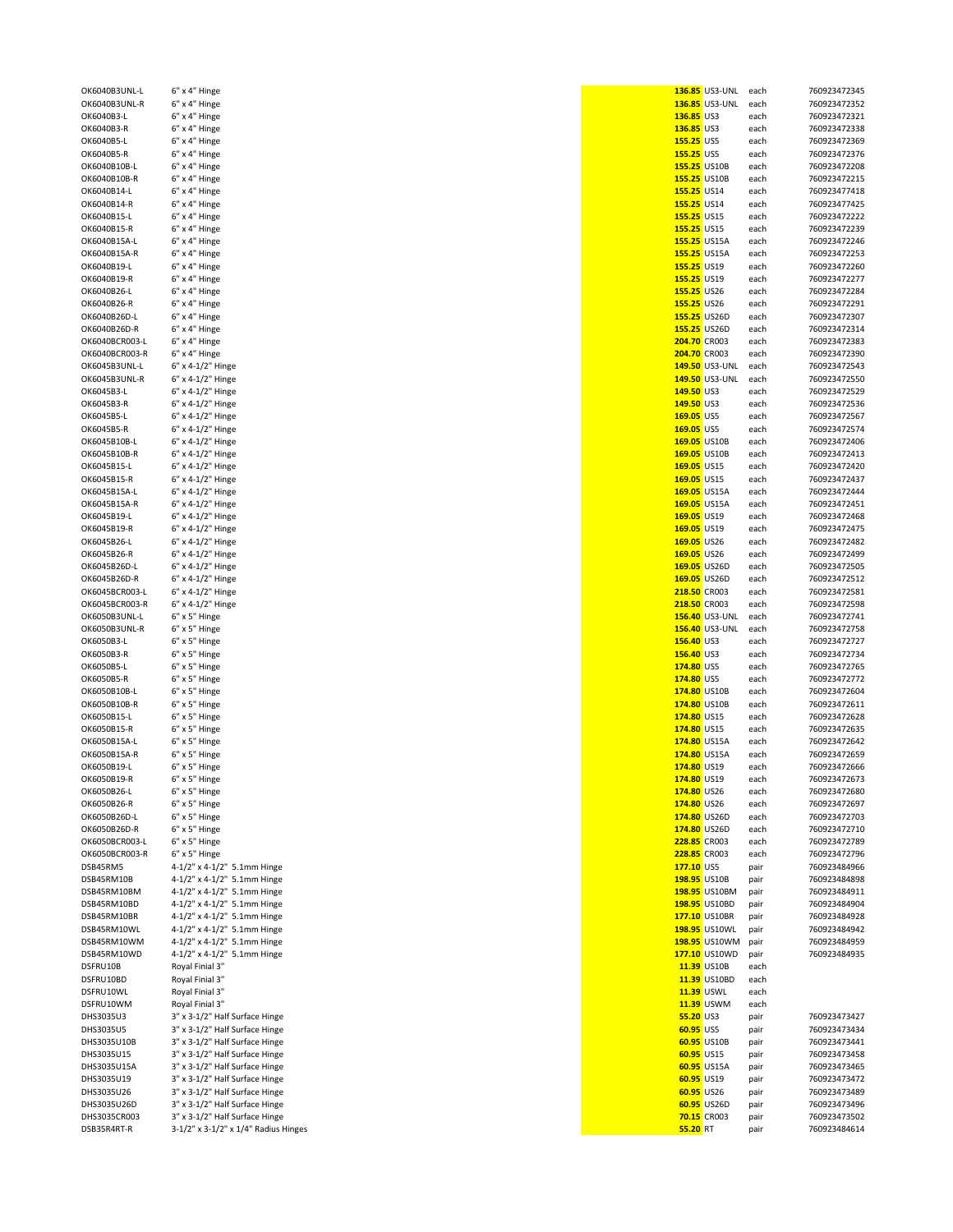|                             | 6" x 4" Hinge                                                          | <b>136.85 US3-UNL</b> |                       | each         |
|-----------------------------|------------------------------------------------------------------------|-----------------------|-----------------------|--------------|
| OK6040B3UNL-R               | 6" x 4" Hinge                                                          |                       | <b>136.85 US3-UNL</b> | each         |
|                             |                                                                        |                       |                       |              |
| OK6040B3-L                  | 6" x 4" Hinge                                                          | 136.85 US3            |                       | each         |
| OK6040B3-R                  | 6" x 4" Hinge                                                          | 136.85 US3            |                       | each         |
| OK6040B5-L                  | 6" x 4" Hinge                                                          | 155.25 US5            |                       | each         |
| OK6040B5-R                  |                                                                        | 155.25 US5            |                       |              |
|                             | 6" x 4" Hinge                                                          |                       |                       | each         |
| OK6040B10B-L                | $6"$ x 4" Hinge                                                        |                       | 155.25 US10B          | each         |
| OK6040B10B-R                | 6" x 4" Hinge                                                          |                       | 155.25 US10B          | each         |
| OK6040B14-L                 | 6" x 4" Hinge                                                          | 155.25 US14           |                       | each         |
|                             |                                                                        |                       |                       |              |
| OK6040B14-R                 | $6"$ x 4" Hinge                                                        | 155.25 US14           |                       | each         |
| OK6040B15-L                 | 6" x 4" Hinge                                                          | 155.25 US15           |                       | each         |
| OK6040B15-R                 | 6" x 4" Hinge                                                          | 155.25 US15           |                       | each         |
|                             |                                                                        |                       |                       |              |
| OK6040B15A-L                | $6"$ x 4" Hinge                                                        |                       | <b>155.25 US15A</b>   | each         |
| OK6040B15A-R                | 6" x 4" Hinge                                                          |                       | 155.25 US15A          | each         |
| OK6040B19-L                 | 6" x 4" Hinge                                                          | 155.25 US19           |                       | each         |
|                             |                                                                        |                       |                       |              |
| OK6040B19-R                 | 6" x 4" Hinge                                                          | 155.25 US19           |                       | each         |
| OK6040B26-L                 | 6" x 4" Hinge                                                          | 155.25 US26           |                       | each         |
| OK6040B26-R                 | $6"$ x 4" Hinge                                                        | 155.25 US26           |                       | each         |
|                             |                                                                        |                       |                       |              |
| OK6040B26D-L                | 6" x 4" Hinge                                                          |                       | 155.25 US26D          | each         |
| OK6040B26D-R                | 6" x 4" Hinge                                                          |                       | 155.25 US26D          | each         |
| OK6040BCR003-L              | 6" x 4" Hinge                                                          | <b>204.70 CR003</b>   |                       | each         |
| OK6040BCR003-R              | 6" x 4" Hinge                                                          | <b>204.70 CR003</b>   |                       | each         |
|                             |                                                                        |                       |                       |              |
| OK6045B3UNL-L               | 6" x 4-1/2" Hinge                                                      |                       | 149.50 US3-UNL        | each         |
| OK6045B3UNL-R               | 6" x 4-1/2" Hinge                                                      |                       | 149.50 US3-UNL        | each         |
| OK6045B3-L                  | 6" x 4-1/2" Hinge                                                      | 149.50 US3            |                       | each         |
|                             |                                                                        |                       |                       |              |
| OK6045B3-R                  | 6" x 4-1/2" Hinge                                                      | 149.50 US3            |                       | each         |
| OK6045B5-L                  | 6" x 4-1/2" Hinge                                                      | 169.05 US5            |                       | each         |
| OK6045B5-R                  | 6" x 4-1/2" Hinge                                                      | 169.05 US5            |                       | each         |
|                             |                                                                        |                       |                       |              |
| OK6045B10B-L                | 6" x 4-1/2" Hinge                                                      |                       | 169.05 US10B          | each         |
| OK6045B10B-R                | 6" x 4-1/2" Hinge                                                      |                       | 169.05 US10B          | each         |
| OK6045B15-L                 | 6" x 4-1/2" Hinge                                                      | 169.05 US15           |                       | each         |
| OK6045B15-R                 |                                                                        |                       |                       |              |
|                             | 6" x 4-1/2" Hinge                                                      | 169.05 US15           |                       | each         |
| OK6045B15A-L                | 6" x 4-1/2" Hinge                                                      |                       | 169.05 US15A          | each         |
| OK6045B15A-R                | 6" x 4-1/2" Hinge                                                      |                       | 169.05 US15A          | each         |
| OK6045B19-L                 | 6" x 4-1/2" Hinge                                                      | 169.05 US19           |                       | each         |
|                             |                                                                        |                       |                       |              |
| OK6045B19-R                 | 6" x 4-1/2" Hinge                                                      | 169.05 US19           |                       | each         |
| OK6045B26-L                 | 6" x 4-1/2" Hinge                                                      | 169.05 US26           |                       | each         |
| OK6045B26-R                 | 6" x 4-1/2" Hinge                                                      | 169.05 US26           |                       | each         |
|                             |                                                                        |                       |                       |              |
| OK6045B26D-L                | 6" x 4-1/2" Hinge                                                      |                       | 169.05 US26D          | each         |
| OK6045B26D-R                | 6" x 4-1/2" Hinge                                                      |                       | 169.05 US26D          | each         |
| OK6045BCR003-L              | 6" x 4-1/2" Hinge                                                      | 218.50 CR003          |                       | each         |
|                             |                                                                        |                       |                       |              |
| OK6045BCR003-R              | 6" x 4-1/2" Hinge                                                      | 218.50 CR003          |                       | each         |
| OK6050B3UNL-L               | $6" \times 5"$ Hinge                                                   |                       | <b>156.40 US3-UNL</b> | each         |
| OK6050B3UNL-R               | 6" x 5" Hinge                                                          |                       | 156.40 US3-UNL        | each         |
|                             |                                                                        |                       |                       |              |
| OK6050B3-L                  | 6" x 5" Hinge                                                          | 156.40 US3            |                       | each         |
| OK6050B3-R                  | $6" \times 5"$ Hinge                                                   | 156.40 US3            |                       | each         |
| OK6050B5-L                  | 6" x 5" Hinge                                                          | 174.80 US5            |                       | each         |
|                             |                                                                        |                       |                       |              |
| OK6050B5-R                  | 6" x 5" Hinge                                                          | 174.80 US5            |                       | each         |
| OK6050B10B-L                | 6" x 5" Hinge                                                          |                       | 174.80 US10B          | each         |
| OK6050B10B-R                | 6" x 5" Hinge                                                          |                       | 174.80 US10B          | each         |
|                             |                                                                        | 174.80 US15           |                       |              |
| OK6050B15-L                 | 6" x 5" Hinge                                                          |                       |                       | each         |
| OK6050B15-R                 | 6" x 5" Hinge                                                          |                       |                       |              |
|                             |                                                                        |                       | 174.80 US15           | each         |
|                             |                                                                        |                       |                       |              |
| OK6050B15A-L                | 6" x 5" Hinge                                                          |                       | 174.80 US15A          | each         |
| OK6050B15A-R                | $6" \times 5"$ Hinge                                                   |                       | 174.80 US15A          | each         |
| OK6050B19-L                 | 6" x 5" Hinge                                                          | 174.80 US19           |                       | each         |
|                             |                                                                        |                       |                       |              |
| OK6050B19-R                 | 6" x 5" Hinge                                                          | 174.80 US19           |                       | each         |
| OK6050B26-L                 | 6" x 5" Hinge                                                          | 174.80 US26           |                       | each         |
| OK6050B26-R                 | 6" x 5" Hinge                                                          | 174.80 US26           |                       | each         |
| OK6050B26D-L                | 6" x 5" Hinge                                                          |                       | 174.80 US26D          | each         |
|                             |                                                                        |                       |                       |              |
| OK6050B26D-R                | 6" x 5" Hinge                                                          |                       | 174.80 US26D          | each         |
| OK6050BCR003-L              | 6" x 5" Hinge                                                          |                       | <b>228.85</b> CR003   | each         |
| OK6050BCR003-R              | 6" x 5" Hinge                                                          | <b>228.85</b> CR003   |                       | each         |
|                             |                                                                        |                       |                       |              |
| DSB45RM5                    | 4-1/2" x 4-1/2" 5.1mm Hinge                                            | 177.10 US5            |                       | pair         |
| DSB45RM10B                  | 4-1/2" x 4-1/2" 5.1mm Hinge                                            |                       | 198.95 US10B          | pair         |
| DSB45RM10BM                 | 4-1/2" x 4-1/2" 5.1mm Hinge                                            |                       | 198.95 US10BM         | pair         |
|                             |                                                                        |                       |                       |              |
| DSB45RM10BD                 | 4-1/2" x 4-1/2" 5.1mm Hinge                                            |                       | 198.95 US10BD         | pair         |
| DSB45RM10BR                 | 4-1/2" x 4-1/2" 5.1mm Hinge                                            |                       | 177.10 US10BR         | pair         |
| DSB45RM10WL                 | 4-1/2" x 4-1/2" 5.1mm Hinge                                            |                       | 198.95 US10WL         | pair         |
| DSB45RM10WM                 | 4-1/2" x 4-1/2" 5.1mm Hinge                                            |                       | 198.95 US10WM         |              |
|                             |                                                                        |                       |                       | pair         |
| DSB45RM10WD                 | 4-1/2" x 4-1/2" 5.1mm Hinge                                            |                       | 177.10 US10WD         | pair         |
| DSFRU10B                    | Royal Finial 3"                                                        |                       | 11.39 US10B           | each         |
| DSFRU10BD                   | Royal Finial 3"                                                        |                       | 11.39 US10BD          | each         |
|                             |                                                                        |                       |                       |              |
| DSFRU10WL                   | Royal Finial 3"                                                        |                       | <b>11.39 USWL</b>     | each         |
| DSFRU10WM                   | Royal Finial 3"                                                        |                       | 11.39 USWM            | each         |
| DHS3035U3                   | 3" x 3-1/2" Half Surface Hinge                                         | 55.20 US3             |                       | pair         |
|                             |                                                                        |                       |                       |              |
| DHS3035U5                   | 3" x 3-1/2" Half Surface Hinge                                         | 60.95 US5             |                       | pair         |
| DHS3035U10B                 | 3" x 3-1/2" Half Surface Hinge                                         |                       | 60.95 US10B           | pair         |
| DHS3035U15                  | 3" x 3-1/2" Half Surface Hinge                                         |                       | 60.95 US15            | pair         |
|                             |                                                                        |                       |                       |              |
| DHS3035U15A                 | 3" x 3-1/2" Half Surface Hinge                                         |                       | 60.95 US15A           | pair         |
| DHS3035U19                  | 3" x 3-1/2" Half Surface Hinge                                         |                       | 60.95 US19            | pair         |
| DHS3035U26                  | 3" x 3-1/2" Half Surface Hinge                                         |                       | 60.95 US26            | pair         |
|                             |                                                                        |                       |                       |              |
| DHS3035U26D                 | 3" x 3-1/2" Half Surface Hinge                                         |                       | 60.95 US26D           | pair         |
| DHS3035CR003<br>DSB35R4RT-R | 3" x 3-1/2" Half Surface Hinge<br>3-1/2" x 3-1/2" x 1/4" Radius Hinges | 55.20 RT              | 70.15 CR003           | pair<br>pair |

| OK6040B3UNL-L  | 6" x 4" Hinge                        |              | <b>136.85 US3-UNL</b> | each | 760923472345 |
|----------------|--------------------------------------|--------------|-----------------------|------|--------------|
| OK6040B3UNL-R  | 6" x 4" Hinge                        |              | 136.85 US3-UNL        | each | 760923472352 |
| OK6040B3-L     | 6" x 4" Hinge                        | 136.85 US3   |                       | each | 760923472321 |
| OK6040B3-R     | 6" x 4" Hinge                        | 136.85 US3   |                       | each | 760923472338 |
| OK6040B5-L     | 6" x 4" Hinge                        | 155.25 US5   |                       | each | 760923472369 |
|                |                                      |              |                       |      |              |
| OK6040B5-R     | 6" x 4" Hinge                        | 155.25 US5   |                       | each | 760923472376 |
| OK6040B10B-L   | 6" x 4" Hinge                        |              | 155.25 US10B          | each | 760923472208 |
| OK6040B10B-R   | 6" x 4" Hinge                        |              | 155.25 US10B          | each | 760923472215 |
| OK6040B14-L    | 6" x 4" Hinge                        | 155.25 US14  |                       | each | 760923477418 |
|                |                                      |              |                       |      |              |
| OK6040B14-R    | 6" x 4" Hinge                        | 155.25 US14  |                       | each | 760923477425 |
| OK6040B15-L    | 6" x 4" Hinge                        | 155.25 US15  |                       | each | 760923472222 |
| OK6040B15-R    | 6" x 4" Hinge                        | 155.25 US15  |                       | each | 760923472239 |
| OK6040B15A-L   | 6" x 4" Hinge                        |              | 155.25 US15A          | each | 760923472246 |
|                |                                      |              |                       |      |              |
| OK6040B15A-R   | 6" x 4" Hinge                        |              | 155.25 US15A          | each | 760923472253 |
| OK6040B19-L    | 6" x 4" Hinge                        | 155.25 US19  |                       | each | 760923472260 |
| OK6040B19-R    | 6" x 4" Hinge                        | 155.25 US19  |                       | each | 760923472277 |
| OK6040B26-L    |                                      | 155.25 US26  |                       |      |              |
|                | 6" x 4" Hinge                        |              |                       | each | 760923472284 |
| OK6040B26-R    | 6" x 4" Hinge                        | 155.25 US26  |                       | each | 760923472291 |
| OK6040B26D-L   | 6" x 4" Hinge                        |              | 155.25 US26D          | each | 760923472307 |
| OK6040B26D-R   | 6" x 4" Hinge                        |              | 155.25 US26D          | each | 760923472314 |
|                |                                      |              |                       |      |              |
| OK6040BCR003-L | 6" x 4" Hinge                        |              | 204.70 CR003          | each | 760923472383 |
| OK6040BCR003-R | 6" x 4" Hinge                        |              | <b>204.70 CR003</b>   | each | 760923472390 |
| OK6045B3UNL-L  | 6" x 4-1/2" Hinge                    |              | 149.50 US3-UNL        | each | 760923472543 |
| OK6045B3UNL-R  | 6" x 4-1/2" Hinge                    |              | 149.50 US3-UNL        | each | 760923472550 |
|                |                                      |              |                       |      |              |
| OK6045B3-L     | 6" x 4-1/2" Hinge                    | 149.50 US3   |                       | each | 760923472529 |
| OK6045B3-R     | 6" x 4-1/2" Hinge                    | 149.50 US3   |                       | each | 760923472536 |
| OK6045B5-L     | 6" x 4-1/2" Hinge                    | 169.05 US5   |                       | each | 760923472567 |
|                |                                      |              |                       |      |              |
| OK6045B5-R     | 6" x 4-1/2" Hinge                    | 169.05 US5   |                       | each | 760923472574 |
| OK6045B10B-L   | 6" x 4-1/2" Hinge                    |              | 169.05 US10B          | each | 760923472406 |
| OK6045B10B-R   | 6" x 4-1/2" Hinge                    |              | 169.05 US10B          | each | 760923472413 |
| OK6045B15-L    | 6" x 4-1/2" Hinge                    | 169.05 US15  |                       | each | 760923472420 |
|                |                                      |              |                       |      |              |
| OK6045B15-R    | 6" x 4-1/2" Hinge                    | 169.05 US15  |                       | each | 760923472437 |
| OK6045B15A-L   | 6" x 4-1/2" Hinge                    |              | 169.05 US15A          | each | 760923472444 |
| OK6045B15A-R   | 6" x 4-1/2" Hinge                    |              | 169.05 US15A          | each | 760923472451 |
| OK6045B19-L    | 6" x 4-1/2" Hinge                    | 169.05 US19  |                       | each | 760923472468 |
|                |                                      |              |                       |      |              |
| OK6045B19-R    | 6" x 4-1/2" Hinge                    | 169.05 US19  |                       | each | 760923472475 |
| OK6045B26-L    | 6" x 4-1/2" Hinge                    | 169.05 US26  |                       | each | 760923472482 |
| OK6045B26-R    | 6" x 4-1/2" Hinge                    | 169.05 US26  |                       | each | 760923472499 |
|                |                                      |              | 169.05 US26D          |      |              |
| OK6045B26D-L   | 6" x 4-1/2" Hinge                    |              |                       | each | 760923472505 |
| OK6045B26D-R   | 6" x 4-1/2" Hinge                    |              | 169.05 US26D          | each | 760923472512 |
| OK6045BCR003-L | 6" x 4-1/2" Hinge                    | 218.50 CR003 |                       | each | 760923472581 |
| OK6045BCR003-R | 6" x 4-1/2" Hinge                    |              | 218.50 CR003          | each | 760923472598 |
|                |                                      |              |                       |      |              |
| OK6050B3UNL-L  | 6" x 5" Hinge                        |              | 156.40 US3-UNL        | each | 760923472741 |
| OK6050B3UNL-R  | 6" x 5" Hinge                        |              | 156.40 US3-UNL        | each | 760923472758 |
| OK6050B3-L     | 6" x 5" Hinge                        | 156.40 US3   |                       | each | 760923472727 |
|                |                                      | 156.40 US3   |                       |      |              |
| OK6050B3-R     | 6" x 5" Hinge                        |              |                       | each | 760923472734 |
| OK6050B5-L     | 6" x 5" Hinge                        | 174.80 US5   |                       | each | 760923472765 |
| OK6050B5-R     | 6" x 5" Hinge                        | 174.80 US5   |                       | each | 760923472772 |
| OK6050B10B-L   | 6" x 5" Hinge                        |              | 174.80 US10B          | each | 760923472604 |
|                |                                      |              |                       |      |              |
| OK6050B10B-R   | 6" x 5" Hinge                        |              | 174.80 US10B          | each | 760923472611 |
| OK6050B15-L    | 6" x 5" Hinge                        | 174.80 US15  |                       | each | 760923472628 |
| OK6050B15-R    | 6" x 5" Hinge                        | 174.80 US15  |                       | each | 760923472635 |
| OK6050B15A-L   | 6" x 5" Hinge                        |              | 174.80 US15A          | each | 760923472642 |
|                |                                      |              |                       |      |              |
| OK6050B15A-R   | 6" x 5" Hinge                        |              | 174.80 US15A          | each | 760923472659 |
| OK6050B19-L    | 6" x 5" Hinge                        | 174.80 US19  |                       | each | 760923472666 |
| OK6050B19-R    | 6" x 5" Hinge                        | 174.80 US19  |                       | each | 760923472673 |
|                |                                      | 174.80 US26  |                       |      | 760923472680 |
| OK6050B26-L    | 6" x 5" Hinge                        |              |                       | each |              |
| OK6050B26-R    | 6" x 5" Hinge                        | 174.80 US26  |                       | each | 760923472697 |
| OK6050B26D-L   | 6" x 5" Hinge                        |              | 174.80 US26D          | each | 760923472703 |
| OK6050B26D-R   | 6" x 5" Hinge                        |              | 174.80 US26D          | each | 760923472710 |
| OK6050BCR003-L | 6" x 5" Hinge                        |              | <b>228.85</b> CR003   | each | 760923472789 |
|                |                                      |              |                       |      |              |
| OK6050BCR003-R | 6" x 5" Hinge                        | 228.85 CR003 |                       | each | 760923472796 |
| DSB45RM5       | 4-1/2" x 4-1/2" 5.1mm Hinge          | 177.10 US5   |                       | pair | 760923484966 |
| DSB45RM10B     | 4-1/2" x 4-1/2" 5.1mm Hinge          |              | 198.95 US10B          | pair | 760923484898 |
| DSB45RM10BM    | 4-1/2" x 4-1/2" 5.1mm Hinge          |              | 198.95 US10BM         | pair | 760923484911 |
|                |                                      |              |                       |      |              |
| DSB45RM10BD    | 4-1/2" x 4-1/2" 5.1mm Hinge          |              | 198.95 US10BD         | pair | 760923484904 |
| DSB45RM10BR    | 4-1/2" x 4-1/2" 5.1mm Hinge          |              | 177.10 US10BR         | pair | 760923484928 |
| DSB45RM10WL    | 4-1/2" x 4-1/2" 5.1mm Hinge          |              | 198.95 US10WL         | pair | 760923484942 |
|                |                                      |              |                       |      |              |
| DSB45RM10WM    | 4-1/2" x 4-1/2" 5.1mm Hinge          |              | 198.95 US10WM         | pair | 760923484959 |
| DSB45RM10WD    | 4-1/2" x 4-1/2" 5.1mm Hinge          |              | 177.10 US10WD         | pair | 760923484935 |
| DSFRU10B       | Royal Finial 3"                      |              | 11.39 US10B           | each |              |
| DSFRU10BD      | Royal Finial 3"                      |              | 11.39 US10BD          | each |              |
|                |                                      |              |                       |      |              |
| DSFRU10WL      | Royal Finial 3"                      |              | <b>11.39 USWL</b>     | each |              |
| DSFRU10WM      | Royal Finial 3"                      |              | 11.39 USWM            | each |              |
| DHS3035U3      | 3" x 3-1/2" Half Surface Hinge       | 55.20 US3    |                       | pair | 760923473427 |
|                |                                      |              |                       |      |              |
| DHS3035U5      | 3" x 3-1/2" Half Surface Hinge       | 60.95 US5    |                       | pair | 760923473434 |
| DHS3035U10B    | 3" x 3-1/2" Half Surface Hinge       |              | 60.95 US10B           | pair | 760923473441 |
| DHS3035U15     | 3" x 3-1/2" Half Surface Hinge       | 60.95 US15   |                       | pair | 760923473458 |
| DHS3035U15A    | 3" x 3-1/2" Half Surface Hinge       |              | 60.95 US15A           | pair | 760923473465 |
|                |                                      |              |                       |      |              |
| DHS3035U19     | 3" x 3-1/2" Half Surface Hinge       | 60.95 US19   |                       | pair | 760923473472 |
| DHS3035U26     | 3" x 3-1/2" Half Surface Hinge       | 60.95 US26   |                       | pair | 760923473489 |
| DHS3035U26D    | 3" x 3-1/2" Half Surface Hinge       |              | 60.95 US26D           | pair | 760923473496 |
| DHS3035CR003   | 3" x 3-1/2" Half Surface Hinge       |              | <b>70.15 CR003</b>    | pair | 760923473502 |
| DSB35R4RT-R    | 3-1/2" x 3-1/2" x 1/4" Radius Hinges | 55.20 RT     |                       |      | 760923484614 |
|                |                                      |              |                       | pair |              |
|                |                                      |              |                       |      |              |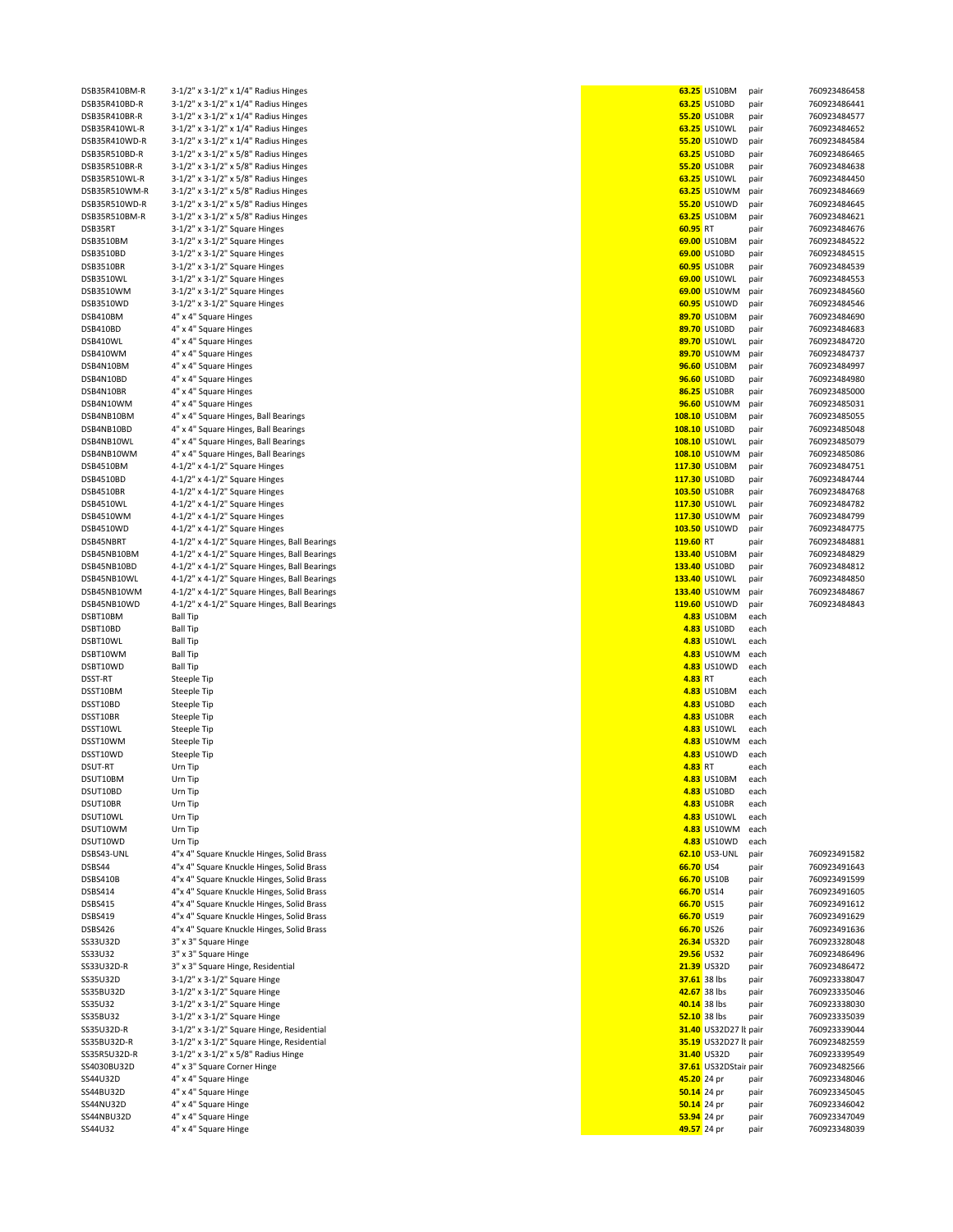| DSB35R410BM-R         | 3-1/2" x 3-1/2" x 1/4" Radius Hinges         |                            | 63.25 US10BM          | pair         | 760923486458                 |
|-----------------------|----------------------------------------------|----------------------------|-----------------------|--------------|------------------------------|
| DSB35R410BD-R         | 3-1/2" x 3-1/2" x 1/4" Radius Hinges         |                            | 63.25 US10BD          | pair         | 760923486441                 |
| DSB35R410BR-R         | 3-1/2" x 3-1/2" x 1/4" Radius Hinges         |                            | 55.20 US10BR          | pair         | 760923484577                 |
|                       |                                              |                            |                       |              |                              |
| DSB35R410WL-R         | 3-1/2" x 3-1/2" x 1/4" Radius Hinges         |                            | 63.25 US10WL          | pair         | 760923484652                 |
| DSB35R410WD-R         | 3-1/2" x 3-1/2" x 1/4" Radius Hinges         |                            | 55.20 US10WD          | pair         | 760923484584                 |
| DSB35R510BD-R         | 3-1/2" x 3-1/2" x 5/8" Radius Hinges         |                            | 63.25 US10BD          | pair         | 760923486465                 |
| DSB35R510BR-R         | 3-1/2" x 3-1/2" x 5/8" Radius Hinges         |                            | 55.20 US10BR          | pair         | 760923484638                 |
| DSB35R510WL-R         | 3-1/2" x 3-1/2" x 5/8" Radius Hinges         |                            | 63.25 US10WL          | pair         | 760923484450                 |
| DSB35R510WM-R         | 3-1/2" x 3-1/2" x 5/8" Radius Hinges         |                            | 63.25 US10WM          | pair         | 760923484669                 |
| DSB35R510WD-R         | 3-1/2" x 3-1/2" x 5/8" Radius Hinges         |                            | 55.20 US10WD          | pair         | 760923484645                 |
| DSB35R510BM-R         | 3-1/2" x 3-1/2" x 5/8" Radius Hinges         |                            | 63.25 US10BM          | pair         | 760923484621                 |
|                       |                                              |                            |                       |              |                              |
| DSB35RT               | 3-1/2" x 3-1/2" Square Hinges                | 60.95 RT                   |                       | pair         | 760923484676                 |
| DSB3510BM             | 3-1/2" x 3-1/2" Square Hinges                |                            | 69.00 US10BM          | pair         | 760923484522                 |
| DSB3510BD             | 3-1/2" x 3-1/2" Square Hinges                |                            | 69.00 US10BD          | pair         | 760923484515                 |
| DSB3510BR             | 3-1/2" x 3-1/2" Square Hinges                |                            | 60.95 US10BR          | pair         | 760923484539                 |
| DSB3510WL             | 3-1/2" x 3-1/2" Square Hinges                |                            | 69.00 US10WL          | pair         | 760923484553                 |
|                       |                                              |                            |                       |              |                              |
| DSB3510WM             | 3-1/2" x 3-1/2" Square Hinges                |                            | 69.00 US10WM          | pair         | 760923484560                 |
| DSB3510WD             | $3-1/2"$ x $3-1/2"$ Square Hinges            |                            | 60.95 US10WD          | pair         | 760923484546                 |
| DSB410BM              | 4" x 4" Square Hinges                        |                            | 89.70 US10BM          | pair         | 760923484690                 |
| DSB410BD              | 4" x 4" Square Hinges                        |                            | 89.70 US10BD          | pair         | 760923484683                 |
| DSB410WL              | 4" x 4" Square Hinges                        |                            | 89.70 US10WL          | pair         | 760923484720                 |
| DSB410WM              | 4" x 4" Square Hinges                        |                            | 89.70 US10WM          | pair         | 760923484737                 |
|                       |                                              |                            |                       |              |                              |
| DSB4N10BM             | 4" x 4" Square Hinges                        |                            | 96.60 US10BM          | pair         | 760923484997                 |
| DSB4N10BD             | 4" x 4" Square Hinges                        |                            | 96.60 US10BD          | pair         | 760923484980                 |
| DSB4N10BR             | 4" x 4" Square Hinges                        |                            | 86.25 US10BR          | pair         | 760923485000                 |
| DSB4N10WM             | 4" x 4" Square Hinges                        |                            | 96.60 US10WM          | pair         | 760923485031                 |
| DSB4NB10BM            | 4" x 4" Square Hinges, Ball Bearings         |                            | 108.10 US10BM         | pair         | 760923485055                 |
|                       |                                              |                            |                       |              |                              |
| DSB4NB10BD            | 4" x 4" Square Hinges, Ball Bearings         |                            | 108.10 US10BD         | pair         | 760923485048                 |
| DSB4NB10WL            | 4" x 4" Square Hinges, Ball Bearings         |                            | 108.10 US10WL         | pair         | 760923485079                 |
| DSB4NB10WM            | 4" x 4" Square Hinges, Ball Bearings         |                            | 108.10 US10WM         | pair         | 760923485086                 |
| DSB4510BM             | 4-1/2" x 4-1/2" Square Hinges                |                            | 117.30 US10BM         | pair         | 760923484751                 |
| DSB4510BD             | 4-1/2" x 4-1/2" Square Hinges                |                            | 117.30 US10BD         | pair         | 760923484744                 |
| DSB4510BR             | 4-1/2" x 4-1/2" Square Hinges                |                            | 103.50 US10BR         | pair         | 760923484768                 |
|                       |                                              |                            |                       |              |                              |
| DSB4510WL             | 4-1/2" x 4-1/2" Square Hinges                |                            | 117.30 US10WL         | pair         | 760923484782                 |
| DSB4510WM             | 4-1/2" x 4-1/2" Square Hinges                |                            | 117.30 US10WM         | pair         | 760923484799                 |
| DSB4510WD             | 4-1/2" x 4-1/2" Square Hinges                |                            | 103.50 US10WD         | pair         | 760923484775                 |
| DSB45NBRT             | 4-1/2" x 4-1/2" Square Hinges, Ball Bearings | 119.60 RT                  |                       | pair         | 760923484881                 |
| DSB45NB10BM           | 4-1/2" x 4-1/2" Square Hinges, Ball Bearings |                            | 133.40 US10BM         | pair         | 760923484829                 |
|                       |                                              |                            |                       |              |                              |
| DSB45NB10BD           | 4-1/2" x 4-1/2" Square Hinges, Ball Bearings |                            | 133.40 US10BD         | pair         | 760923484812                 |
| DSB45NB10WL           | 4-1/2" x 4-1/2" Square Hinges, Ball Bearings |                            | 133.40 US10WL         | pair         | 760923484850                 |
| DSB45NB10WM           | 4-1/2" x 4-1/2" Square Hinges, Ball Bearings |                            | 133.40 US10WM         | pair         | 760923484867                 |
| DSB45NB10WD           | 4-1/2" x 4-1/2" Square Hinges, Ball Bearings |                            | 119.60 US10WD         | pair         | 760923484843                 |
| DSBT10BM              | <b>Ball Tip</b>                              |                            | 4.83 US10BM           | each         |                              |
| DSBT10BD              | <b>Ball Tip</b>                              |                            | 4.83 US10BD           | each         |                              |
|                       |                                              |                            |                       |              |                              |
| DSBT10WL              | <b>Ball Tip</b>                              |                            | 4.83 US10WL           | each         |                              |
| DSBT10WM              | <b>Ball Tip</b>                              |                            | 4.83 US10WM           | each         |                              |
| DSBT10WD              | <b>Ball Tip</b>                              |                            | 4.83 US10WD           | each         |                              |
| DSST-RT               | Steeple Tip                                  | 4.83 RT                    |                       | each         |                              |
| DSST10BM              | Steeple Tip                                  |                            | 4.83 US10BM           | each         |                              |
|                       |                                              |                            |                       |              |                              |
| DSST10BD              | Steeple Tip                                  |                            | 4.83 US10BD           | each         |                              |
| DSST10BR              | Steeple Tip                                  |                            | 4.83 US10BR           | each         |                              |
| DSST10WL              | Steeple Tip                                  |                            | 4.83 US10WL           | each         |                              |
| DSST10WM              | Steeple Tip                                  |                            | 4.83 US10WM           | each         |                              |
| DSST10WD              | Steeple Tip                                  |                            | 4.83 US10WD           | each         |                              |
| <b>DSUT-RT</b>        | Urn Tip                                      | 4.83 RT                    |                       | each         |                              |
|                       |                                              |                            |                       | each         |                              |
| DSUT10BM              | Urn Tip                                      |                            | 4.83 US10BM           |              |                              |
| DSUT10BD              | Urn Tip                                      |                            | 4.83 US10BD           | each         |                              |
| DSUT10BR              | Urn Tip                                      |                            | 4.83 US10BR           | each         |                              |
| DSUT10WL              | Urn Tip                                      |                            | 4.83 US10WL           | each         |                              |
| DSUT10WM              | Urn Tip                                      |                            | 4.83 US10WM           | each         |                              |
| DSUT10WD              | Urn Tip                                      |                            | 4.83 US10WD           | each         |                              |
|                       |                                              |                            |                       |              |                              |
| DSBS43-UNL            | 4"x 4" Square Knuckle Hinges, Solid Brass    |                            | 62.10 US3-UNL         | pair         | 760923491582                 |
| DSBS44                | 4"x 4" Square Knuckle Hinges, Solid Brass    | 66.70 US4                  |                       | pair         | 760923491643                 |
| DSBS410B              | 4"x 4" Square Knuckle Hinges, Solid Brass    |                            | 66.70 US10B           | pair         | 760923491599                 |
| <b>DSBS414</b>        | 4"x 4" Square Knuckle Hinges, Solid Brass    | 66.70 US14                 |                       | pair         | 760923491605                 |
| DSBS415               | 4"x 4" Square Knuckle Hinges, Solid Brass    | 66.70 US15                 |                       | pair         | 760923491612                 |
| <b>DSBS419</b>        | 4"x 4" Square Knuckle Hinges, Solid Brass    | 66.70 US19                 |                       | pair         | 760923491629                 |
|                       |                                              | 66.70 US26                 |                       |              |                              |
| DSBS426               | 4"x 4" Square Knuckle Hinges, Solid Brass    |                            |                       | pair         | 760923491636                 |
| SS33U32D              | 3" x 3" Square Hinge                         |                            | 26.34 US32D           | pair         | 760923328048                 |
| SS33U32               | 3" x 3" Square Hinge                         | <b>29.56 US32</b>          |                       | pair         | 760923486496                 |
| SS33U32D-R            | 3" x 3" Square Hinge, Residential            |                            | 21.39 US32D           | pair         | 760923486472                 |
| SS35U32D              | 3-1/2" x 3-1/2" Square Hinge                 | 37.61 38 lbs               |                       | pair         | 760923338047                 |
| SS35BU32D             | 3-1/2" x 3-1/2" Square Hinge                 |                            | 42.67 38 lbs          | pair         | 760923335046                 |
|                       |                                              |                            |                       |              |                              |
| SS35U32               | 3-1/2" x 3-1/2" Square Hinge                 |                            | 40.14 38 lbs          | pair         | 760923338030                 |
| SS35BU32              | 3-1/2" x 3-1/2" Square Hinge                 | 52.10 38 lbs               |                       | pair         | 760923335039                 |
| SS35U32D-R            | 3-1/2" x 3-1/2" Square Hinge, Residential    |                            | 31.40 US32D27 lt pair |              | 760923339044                 |
| SS35BU32D-R           | 3-1/2" x 3-1/2" Square Hinge, Residential    |                            | 35.19 US32D27 lt pair |              | 760923482559                 |
| SS35R5U32D-R          |                                              |                            | 31.40 US32D           | pair         | 760923339549                 |
| SS4030BU32D           |                                              |                            | 37.61 US32DStair pair |              | 760923482566                 |
|                       | 3-1/2" x 3-1/2" x 5/8" Radius Hinge          |                            |                       |              |                              |
|                       | 4" x 3" Square Corner Hinge                  |                            |                       |              |                              |
| SS44U32D              | 4" x 4" Square Hinge                         | 45.20 24 pr                |                       | pair         | 760923348046                 |
| SS44BU32D             | 4" x 4" Square Hinge                         | 50.14 24 pr                |                       | pair         | 760923345045                 |
| SS44NU32D             | 4" x 4" Square Hinge                         | 50.14 24 pr                |                       | pair         | 760923346042                 |
|                       |                                              |                            |                       |              |                              |
| SS44NBU32D<br>SS44U32 | 4" x 4" Square Hinge<br>4" x 4" Square Hinge | 53.94 24 pr<br>49.57 24 pr |                       | pair<br>pair | 760923347049<br>760923348039 |

|                              | 63.25 US10BM                   | pair         | 760923486              |
|------------------------------|--------------------------------|--------------|------------------------|
|                              | 63.25 US10BD                   | pair         | 760923486              |
|                              | 55.20 US10BR<br>63.25 US10WL   | pair<br>pair | 760923484<br>760923484 |
|                              | 55.20 US10WD                   | pair         | 760923484              |
|                              | 63.25 US10BD                   | pair         | 760923486              |
|                              | 55.20 US10BR<br>63.25 US10WL   | pair         | 760923484<br>760923484 |
|                              | 63.25 US10WM                   | pair<br>pair | 760923484              |
|                              | 55.20 US10WD                   | pair         | 760923484              |
|                              | 63.25 US10BM                   | pair         | 760923484              |
| 60.95 RT                     | 69.00 US10BM                   | pair<br>pair | 760923484<br>760923484 |
|                              | 69.00 US10BD                   | pair         | 760923484              |
|                              | 60.95 US10BR                   | pair         | 760923484              |
|                              | 69.00 US10WL                   | pair         | 760923484              |
|                              | 69.00 US10WM<br>60.95 US10WD   | pair<br>pair | 760923484<br>760923484 |
|                              | 89.70 US10BM                   | pair         | 760923484              |
|                              | 89.70 US10BD                   | pair         | 760923484              |
|                              | 89.70 US10WL<br>89.70 US10WM   | pair         | 760923484<br>760923484 |
|                              | 96.60 US10BM                   | pair<br>pair | 760923484              |
|                              | 96.60 US10BD                   | pair         | 760923484              |
|                              | 86.25 US10BR                   | pair         | 760923485              |
|                              | 96.60 US10WM<br>108.10 US10BM  | pair         | 760923485<br>760923485 |
|                              | 108.10 US10BD                  | pair<br>pair | 760923485              |
|                              | 108.10 US10WL                  | pair         | 760923485              |
|                              | 108.10 US10WM                  | pair         | 760923485              |
|                              | 117.30 US10BM<br>117.30 US10BD | pair         | 760923484<br>760923484 |
|                              | 103.50 US10BR                  | pair<br>pair | 760923484              |
|                              | 117.30 US10WL                  | pair         | 760923484              |
|                              | 117.30 US10WM                  | pair         | 760923484              |
| 119.60 RT                    | 103.50 US10WD                  | pair<br>pair | 760923484<br>760923484 |
|                              | 133.40 US10BM                  | pair         | 760923484              |
|                              | 133.40 US10BD                  | pair         | 760923484              |
|                              | 133.40 US10WL                  | pair         | 760923484              |
|                              | 133.40 US10WM<br>119.60 US10WD | pair<br>pair | 760923484<br>760923484 |
|                              | 4.83 US10BM                    | each         |                        |
|                              | 4.83 US10BD                    | each         |                        |
|                              | 4.83 US10WL<br>4.83 US10WM     | each<br>each |                        |
|                              | 4.83 US10WD                    | each         |                        |
| 4.83 RT                      |                                | each         |                        |
|                              | 4.83 US10BM                    | each         |                        |
|                              | 4.83 US10BD<br>4.83 US10BR     | each<br>each |                        |
|                              | 4.83 US10WL                    | each         |                        |
|                              | 4.83 US10WM                    | each         |                        |
| 4.83 RT                      | 4.83 US10WD                    | each<br>each |                        |
|                              | 4.83 US10BM                    | each         |                        |
|                              | 4.83 US10BD                    | each         |                        |
|                              | 4.83 US10BR                    | each         |                        |
|                              | 4.83 US10WL<br>4.83 US10WM     | each<br>each |                        |
|                              | 4.83 US10WD                    | each         |                        |
|                              | 62.10 US3-UNL                  | pair         | 760923491              |
| 66.70 US4                    |                                | pair         | 760923491              |
| 66.70 US14                   | 66.70 US10B                    | pair<br>pair | 760923491<br>760923491 |
| 66.70 US15                   |                                | pair         | 760923491              |
| 66.70 US19                   |                                | pair         | 760923491              |
| 66.70 US26                   |                                | pair         | 760923491              |
| 29.56 US32                   | 26.34 US32D                    | pair<br>pair | 760923328<br>760923486 |
|                              | 21.39 US32D                    | pair         | 760923486              |
|                              | 37.61 38 lbs                   | pair         | 760923338              |
| 42.67 38 lbs                 |                                | pair         | 760923335              |
| 40.14 38 lbs<br>52.10 38 lbs |                                | pair<br>pair | 760923338<br>760923335 |
|                              | 31.40 US32D27 lt pair          |              | 760923339              |
|                              | 35.19 US32D27 lt pair          |              | 760923482              |
|                              | 31.40 US32D                    | pair         | 760923339              |
| 45.20 24 pr                  | 37.61 US32DStair pair          | pair         | 760923482<br>760923348 |
| 50.14 24 pr                  |                                | pair         | 760923345              |
| 50.14 24 pr                  |                                | pair         | 760923346              |
| 53.94 24 pr<br>49.57 24 pr   |                                | pair         | 760923347<br>760923348 |
|                              |                                | pair         |                        |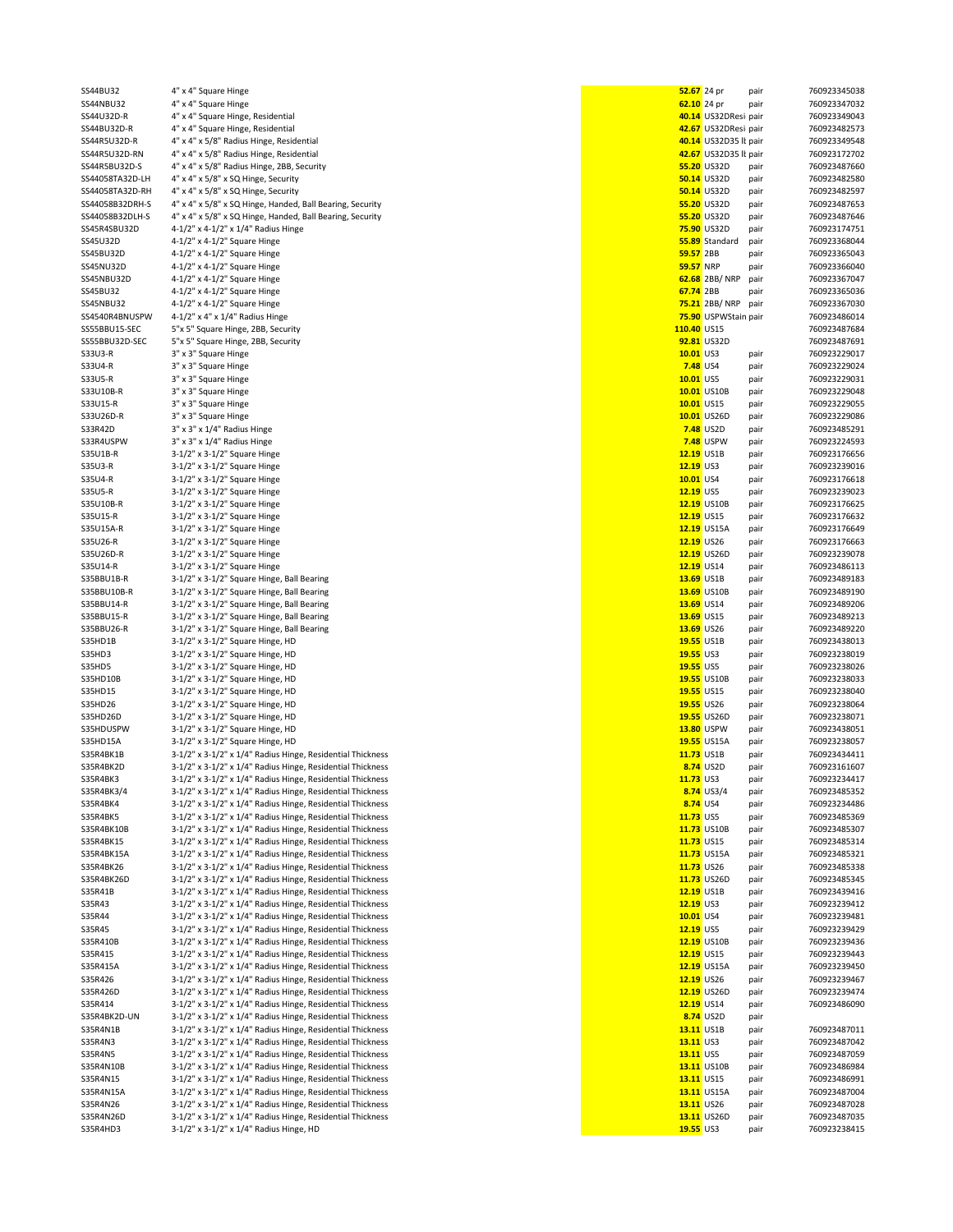| SS44BU32        | 4" x 4" Square Hinge                                       | 52.67 24 pr      |                       | pair | 760923345038 |
|-----------------|------------------------------------------------------------|------------------|-----------------------|------|--------------|
| SS44NBU32       | 4" x 4" Square Hinge                                       | 62.10 24 pr      |                       | pair | 760923347032 |
|                 |                                                            |                  |                       |      |              |
| SS44U32D-R      | 4" x 4" Square Hinge, Residential                          |                  | 40.14 US32DResi pair  |      | 760923349043 |
| SS44BU32D-R     | 4" x 4" Square Hinge, Residential                          |                  | 42.67 US32DResi pair  |      | 760923482573 |
| SS44R5U32D-R    | 4" x 4" x 5/8" Radius Hinge, Residential                   |                  | 40.14 US32D35 lt pair |      | 760923349548 |
| SS44R5U32D-RN   | 4" x 4" x 5/8" Radius Hinge, Residential                   |                  | 42.67 US32D35 lt pair |      | 760923172702 |
| SS44R5BU32D-S   | 4" x 4" x 5/8" Radius Hinge, 2BB, Security                 |                  | 55.20 US32D           | pair | 760923487660 |
|                 |                                                            |                  |                       |      |              |
| SS44058TA32D-LH | 4" x 4" x 5/8" x SQ Hinge, Security                        |                  | 50.14 US32D           | pair | 760923482580 |
| SS44058TA32D-RH | 4" x 4" x 5/8" x SQ Hinge, Security                        |                  | 50.14 US32D           | pair | 760923482597 |
| SS44058B32DRH-S | 4" x 4" x 5/8" x SQ Hinge, Handed, Ball Bearing, Security  |                  | 55.20 US32D           | pair | 760923487653 |
| SS44058B32DLH-S | 4" x 4" x 5/8" x SQ Hinge, Handed, Ball Bearing, Security  |                  | 55.20 US32D           | pair | 760923487646 |
|                 |                                                            |                  |                       |      |              |
| SS45R4SBU32D    | 4-1/2" x 4-1/2" x 1/4" Radius Hinge                        |                  | 75.90 US32D           | pair | 760923174751 |
| SS45U32D        | 4-1/2" x 4-1/2" Square Hinge                               |                  | 55.89 Standard        | pair | 760923368044 |
| SS45BU32D       | 4-1/2" x 4-1/2" Square Hinge                               | 59.57 2BB        |                       | pair | 760923365043 |
| SS45NU32D       | 4-1/2" x 4-1/2" Square Hinge                               | <b>59.57 NRP</b> |                       |      | 760923366040 |
|                 |                                                            |                  |                       | pair |              |
| SS45NBU32D      | 4-1/2" x 4-1/2" Square Hinge                               |                  | 62.68 2BB/NRP         | pair | 760923367047 |
| SS45BU32        | 4-1/2" x 4-1/2" Square Hinge                               | 67.74 2BB        |                       | pair | 760923365036 |
| SS45NBU32       | 4-1/2" x 4-1/2" Square Hinge                               |                  | 75.21 2BB/NRP         | pair | 760923367030 |
|                 |                                                            |                  |                       |      |              |
| SS4540R4BNUSPW  | 4-1/2" x 4" x 1/4" Radius Hinge                            |                  | 75.90 USPWStain pair  |      | 760923486014 |
| SS55BBU15-SEC   | 5"x 5" Square Hinge, 2BB, Security                         | 110.40 US15      |                       |      | 760923487684 |
| SS55BBU32D-SEC  | 5"x 5" Square Hinge, 2BB, Security                         |                  | 92.81 US32D           |      | 760923487691 |
| S33U3-R         | 3" x 3" Square Hinge                                       | 10.01 US3        |                       | pair | 760923229017 |
|                 |                                                            |                  |                       |      |              |
| S33U4-R         | 3" x 3" Square Hinge                                       | <b>7.48 US4</b>  |                       | pair | 760923229024 |
| S33U5-R         | 3" x 3" Square Hinge                                       | 10.01 US5        |                       | pair | 760923229031 |
| S33U10B-R       | 3" x 3" Square Hinge                                       |                  | 10.01 US10B           | pair | 760923229048 |
| S33U15-R        | 3" x 3" Square Hinge                                       | 10.01 US15       |                       | pair | 760923229055 |
|                 |                                                            |                  |                       |      |              |
| S33U26D-R       | 3" x 3" Square Hinge                                       |                  | 10.01 US26D           | pair | 760923229086 |
| S33R42D         | 3" x 3" x 1/4" Radius Hinge                                |                  | 7.48 US2D             | pair | 760923485291 |
| S33R4USPW       | 3" x 3" x 1/4" Radius Hinge                                |                  | <b>7.48</b> USPW      | pair | 760923224593 |
|                 |                                                            |                  |                       |      |              |
| S35U1B-R        | 3-1/2" x 3-1/2" Square Hinge                               | 12.19 US1B       |                       | pair | 760923176656 |
| S35U3-R         | $3-1/2"$ x $3-1/2"$ Square Hinge                           | 12.19 US3        |                       | pair | 760923239016 |
| S35U4-R         | 3-1/2" x 3-1/2" Square Hinge                               | 10.01 US4        |                       | pair | 760923176618 |
|                 |                                                            |                  |                       |      |              |
| S35U5-R         | 3-1/2" x 3-1/2" Square Hinge                               | 12.19 US5        |                       | pair | 760923239023 |
| S35U10B-R       | 3-1/2" x 3-1/2" Square Hinge                               |                  | 12.19 US10B           | pair | 760923176625 |
| S35U15-R        | 3-1/2" x 3-1/2" Square Hinge                               | 12.19 US15       |                       | pair | 760923176632 |
| S35U15A-R       | 3-1/2" x 3-1/2" Square Hinge                               |                  | 12.19 US15A           | pair | 760923176649 |
|                 |                                                            |                  |                       |      |              |
| S35U26-R        | 3-1/2" x 3-1/2" Square Hinge                               | 12.19 US26       |                       | pair | 760923176663 |
| S35U26D-R       | 3-1/2" x 3-1/2" Square Hinge                               |                  | 12.19 US26D           | pair | 760923239078 |
| S35U14-R        | 3-1/2" x 3-1/2" Square Hinge                               | 12.19 US14       |                       | pair | 760923486113 |
|                 |                                                            |                  |                       |      |              |
| S35BBU1B-R      | 3-1/2" x 3-1/2" Square Hinge, Ball Bearing                 | 13.69 US1B       |                       | pair | 760923489183 |
| S35BBU10B-R     | 3-1/2" x 3-1/2" Square Hinge, Ball Bearing                 |                  | 13.69 US10B           | pair | 760923489190 |
| S35BBU14-R      | 3-1/2" x 3-1/2" Square Hinge, Ball Bearing                 | 13.69 US14       |                       | pair | 760923489206 |
| S35BBU15-R      | 3-1/2" x 3-1/2" Square Hinge, Ball Bearing                 | 13.69 US15       |                       | pair | 760923489213 |
|                 |                                                            |                  |                       |      |              |
| S35BBU26-R      | 3-1/2" x 3-1/2" Square Hinge, Ball Bearing                 | 13.69 US26       |                       | pair | 760923489220 |
| S35HD1B         | 3-1/2" x 3-1/2" Square Hinge, HD                           | 19.55 US1B       |                       | pair | 760923438013 |
| S35HD3          | 3-1/2" x 3-1/2" Square Hinge, HD                           | 19.55 US3        |                       | pair | 760923238019 |
| <b>S35HD5</b>   | 3-1/2" x 3-1/2" Square Hinge, HD                           | 19.55 US5        |                       |      | 760923238026 |
|                 |                                                            |                  |                       | pair |              |
| S35HD10B        | 3-1/2" x 3-1/2" Square Hinge, HD                           |                  | 19.55 US10B           | pair | 760923238033 |
| S35HD15         | 3-1/2" x 3-1/2" Square Hinge, HD                           | 19.55 US15       |                       | pair | 760923238040 |
| S35HD26         | 3-1/2" x 3-1/2" Square Hinge, HD                           | 19.55 US26       |                       | pair | 760923238064 |
| S35HD26D        |                                                            |                  | 19.55 US26D           |      | 760923238071 |
|                 | 3-1/2" x 3-1/2" Square Hinge, HD                           |                  |                       | pair |              |
| S35HDUSPW       | 3-1/2" x 3-1/2" Square Hinge, HD                           |                  | 13.80 USPW            | pair | 760923438051 |
| S35HD15A        | 3-1/2" x 3-1/2" Square Hinge, HD                           |                  | 19.55 US15A           | pair | 760923238057 |
| S35R4BK1B       | 3-1/2" x 3-1/2" x 1/4" Radius Hinge, Residential Thickness | 11.73 US1B       |                       | pair | 760923434411 |
|                 |                                                            |                  |                       |      |              |
| S35R4BK2D       | 3-1/2" x 3-1/2" x 1/4" Radius Hinge, Residential Thickness |                  | 8.74 US2D             | pair | 760923161607 |
| S35R4BK3        | 3-1/2" x 3-1/2" x 1/4" Radius Hinge, Residential Thickness | 11.73 US3        |                       | pair | 760923234417 |
| S35R4BK3/4      | 3-1/2" x 3-1/2" x 1/4" Radius Hinge, Residential Thickness |                  | 8.74 US3/4            | pair | 760923485352 |
| S35R4BK4        | 3-1/2" x 3-1/2" x 1/4" Radius Hinge, Residential Thickness | 8.74 US4         |                       | pair | 760923234486 |
|                 |                                                            |                  |                       |      |              |
| <b>S35R4BK5</b> | 3-1/2" x 3-1/2" x 1/4" Radius Hinge, Residential Thickness | 11.73 US5        |                       | pair | 760923485369 |
| S35R4BK10B      | 3-1/2" x 3-1/2" x 1/4" Radius Hinge, Residential Thickness |                  | 11.73 US10B           | pair | 760923485307 |
| S35R4BK15       | 3-1/2" x 3-1/2" x 1/4" Radius Hinge, Residential Thickness | 11.73 US15       |                       | pair | 760923485314 |
| S35R4BK15A      | 3-1/2" x 3-1/2" x 1/4" Radius Hinge, Residential Thickness |                  | 11.73 US15A           | pair | 760923485321 |
|                 |                                                            |                  |                       |      |              |
| S35R4BK26       | 3-1/2" x 3-1/2" x 1/4" Radius Hinge, Residential Thickness | 11.73 US26       |                       | pair | 760923485338 |
| S35R4BK26D      | 3-1/2" x 3-1/2" x 1/4" Radius Hinge, Residential Thickness |                  | 11.73 US26D           | pair | 760923485345 |
| S35R41B         | 3-1/2" x 3-1/2" x 1/4" Radius Hinge, Residential Thickness | 12.19 US1B       |                       | pair | 760923439416 |
| S35R43          | 3-1/2" x 3-1/2" x 1/4" Radius Hinge, Residential Thickness | $12.19$ US3      |                       | pair | 760923239412 |
|                 |                                                            |                  |                       |      |              |
| S35R44          | 3-1/2" x 3-1/2" x 1/4" Radius Hinge, Residential Thickness | 10.01 US4        |                       | pair | 760923239481 |
| S35R45          | 3-1/2" x 3-1/2" x 1/4" Radius Hinge, Residential Thickness | 12.19 US5        |                       | pair | 760923239429 |
| S35R410B        | 3-1/2" x 3-1/2" x 1/4" Radius Hinge, Residential Thickness |                  | 12.19 US10B           | pair | 760923239436 |
|                 |                                                            |                  |                       |      |              |
| S35R415         | 3-1/2" x 3-1/2" x 1/4" Radius Hinge, Residential Thickness | 12.19 US15       |                       | pair | 760923239443 |
| S35R415A        | 3-1/2" x 3-1/2" x 1/4" Radius Hinge, Residential Thickness |                  | 12.19 US15A           | pair | 760923239450 |
| S35R426         | 3-1/2" x 3-1/2" x 1/4" Radius Hinge, Residential Thickness | 12.19 US26       |                       | pair | 760923239467 |
| S35R426D        | 3-1/2" x 3-1/2" x 1/4" Radius Hinge, Residential Thickness |                  | 12.19 US26D           | pair | 760923239474 |
|                 |                                                            |                  |                       |      |              |
| S35R414         | 3-1/2" x 3-1/2" x 1/4" Radius Hinge, Residential Thickness | 12.19 US14       |                       | pair | 760923486090 |
| S35R4BK2D-UN    | 3-1/2" x 3-1/2" x 1/4" Radius Hinge, Residential Thickness |                  | 8.74 US2D             | pair |              |
| S35R4N1B        | 3-1/2" x 3-1/2" x 1/4" Radius Hinge, Residential Thickness | 13.11 US1B       |                       | pair | 760923487011 |
| S35R4N3         |                                                            | 13.11 US3        |                       |      | 760923487042 |
|                 | 3-1/2" x 3-1/2" x 1/4" Radius Hinge, Residential Thickness |                  |                       | pair |              |
| S35R4N5         | 3-1/2" x 3-1/2" x 1/4" Radius Hinge, Residential Thickness | 13.11 US5        |                       | pair | 760923487059 |
| S35R4N10B       | 3-1/2" x 3-1/2" x 1/4" Radius Hinge, Residential Thickness |                  | 13.11 US10B           | pair | 760923486984 |
| S35R4N15        | 3-1/2" x 3-1/2" x 1/4" Radius Hinge, Residential Thickness | 13.11 US15       |                       | pair | 760923486991 |
|                 |                                                            |                  |                       |      |              |
| S35R4N15A       | 3-1/2" x 3-1/2" x 1/4" Radius Hinge, Residential Thickness |                  | <b>13.11 US15A</b>    | pair | 760923487004 |
| S35R4N26        | 3-1/2" x 3-1/2" x 1/4" Radius Hinge, Residential Thickness | 13.11 US26       |                       | pair | 760923487028 |
| S35R4N26D       | 3-1/2" x 3-1/2" x 1/4" Radius Hinge, Residential Thickness |                  | 13.11 US26D           | pair | 760923487035 |
| S35R4HD3        | 3-1/2" x 3-1/2" x 1/4" Radius Hinge, HD                    | 19.55 US3        |                       | pair | 760923238415 |
|                 |                                                            |                  |                       |      |              |

| 52.67 24 pr       |                                              | pair         | 76092334503                |
|-------------------|----------------------------------------------|--------------|----------------------------|
|                   | 62.10 24 pr                                  | pair         | 76092334703                |
|                   | 40.14 US32DResi pair<br>42.67 US32DResi pair |              | 76092334904                |
|                   | 40.14 US32D35 lt pair                        |              | 76092348257<br>76092334954 |
|                   | 42.67 US32D35 lt pair                        |              | 76092317270                |
|                   | 55.20 US32D                                  | pair         | 76092348766                |
|                   | 50.14 US32D                                  | pair         | 76092348258                |
|                   | 50.14 US32D                                  | pair         | 76092348259                |
|                   | 55.20 US32D                                  | pair         | 76092348765                |
|                   | 55.20 US32D                                  | pair         | 76092348764                |
|                   | 75.90 US32D                                  | pair         | 76092317475                |
|                   | 55.89 Standard pair                          |              | 76092336804                |
| 59.57 2BB         |                                              | pair         | 76092336504                |
| <b>59.57 NRP</b>  |                                              | pair         | 76092336604                |
|                   | 62.68 2BB/NRP pair                           |              | 76092336704                |
| 67.74 2BB         |                                              | pair         | 76092336503                |
|                   | 75.21 2BB/NRP pair                           |              | 76092336703                |
|                   | 75.90 USPWStain pair                         |              | 76092348601                |
| 110.40 US15       |                                              |              | 76092348768                |
| $10.01$ US3       | 92.81 US32D                                  |              | 76092348769<br>76092322901 |
| <b>7.48 US4</b>   |                                              | pair<br>pair | 76092322902                |
| 10.01 US5         |                                              | pair         | 76092322903                |
|                   | 10.01 US10B                                  | pair         | 76092322904                |
| 10.01 US15        |                                              | pair         | 76092322905                |
|                   | 10.01 US26D                                  | pair         | 76092322908                |
|                   | <b>7.48</b> US2D                             | pair         | 76092348529                |
|                   | <b>7.48</b> USPW                             | pair         | 76092322459                |
|                   | 12.19 US1B                                   | pair         | 76092317665                |
| 12.19 US3         |                                              | pair         | 76092323901                |
| 10.01 US4         |                                              | pair         | 76092317661                |
| 12.19 US5         |                                              | pair         | 76092323902                |
|                   | 12.19 US10B                                  | pair         | 76092317662                |
| 12.19 US15        |                                              | pair         | 76092317663                |
|                   | 12.19 US15A                                  | pair         | 76092317664                |
| 12.19 US26        |                                              | pair         | 76092317666                |
|                   | 12.19 US26D                                  | pair         | 76092323907                |
| 12.19 US14        |                                              | pair         | 76092348611                |
| 13.69 US1B        |                                              | pair         | 76092348918<br>76092348919 |
| 13.69 US14        | 13.69 US10B                                  | pair<br>pair | 76092348920                |
| 13.69 US15        |                                              | pair         | 76092348921                |
| 13.69 US26        |                                              | pair         | 76092348922                |
| <b>19.55 US1B</b> |                                              | pair         | 76092343801                |
| 19.55 US3         |                                              | pair         | 76092323801                |
| 19.55 US5         |                                              | pair         | 76092323802                |
|                   | 19.55 US10B                                  | pair         | 76092323803                |
| 19.55 US15        |                                              | pair         | 76092323804                |
| 19.55 US26        |                                              | pair         | 76092323806                |
|                   | 19.55 US26D                                  | pair         | 76092323807                |
|                   | 13.80 USPW                                   | pair         | 76092343805                |
|                   | <b>19.55</b> US15A                           | pair         | 76092323805                |
| 11.73 US1B        |                                              | pair         | 76092343441                |
| 11.73 US3         | 8.74 US2D                                    | pair         | 76092316160                |
|                   | 8.74 US3/4                                   | pair<br>pair | 76092323441<br>76092348535 |
| 8.74 US4          |                                              | pair         | 76092323448                |
| 11.73 US5         |                                              | pair         | 76092348536                |
|                   | 11.73 US10B                                  | pair         | 76092348530                |
| 11.73 US15        |                                              | pair         | 76092348531                |
|                   | 11.73 US15A                                  | pair         | 76092348532                |
| 11.73 US26        |                                              | pair         | 76092348533                |
|                   | 11.73 US26D                                  | pair         | 76092348534                |
| 12.19 US1B        |                                              | pair         | 76092343941                |
| 12.19 US3         |                                              | pair         | 76092323941                |
| 10.01 US4         |                                              | pair         | 76092323948                |
| 12.19 US5         |                                              | pair         | 76092323942                |
|                   | 12.19 US10B                                  | pair         | 76092323943                |
| 12.19 US15        |                                              | pair         | 76092323944                |
|                   | 12.19 US15A                                  | pair         | 76092323945                |
| 12.19 US26        | 12.19 US26D                                  | pair         | 76092323946<br>76092323947 |
| 12.19 US14        |                                              | pair<br>pair | 76092348609                |
|                   | 8.74 US2D                                    | pair         |                            |
| 13.11 US1B        |                                              | pair         | 76092348701                |
| 13.11 US3         |                                              | pair         | 76092348704                |
| 13.11 US5         |                                              | pair         | 76092348705                |
|                   | 13.11 US10B                                  | pair         | 76092348698                |
| 13.11 US15        |                                              | pair         | 76092348699                |
|                   | 13.11 US15A                                  | pair         | 76092348700                |
| 13.11 US26        |                                              | pair         | 76092348702                |
|                   | 13.11 US26D                                  | pair         | 76092348703                |
| 19.55 US3         |                                              | pair         | 76092323841                |
|                   |                                              |              |                            |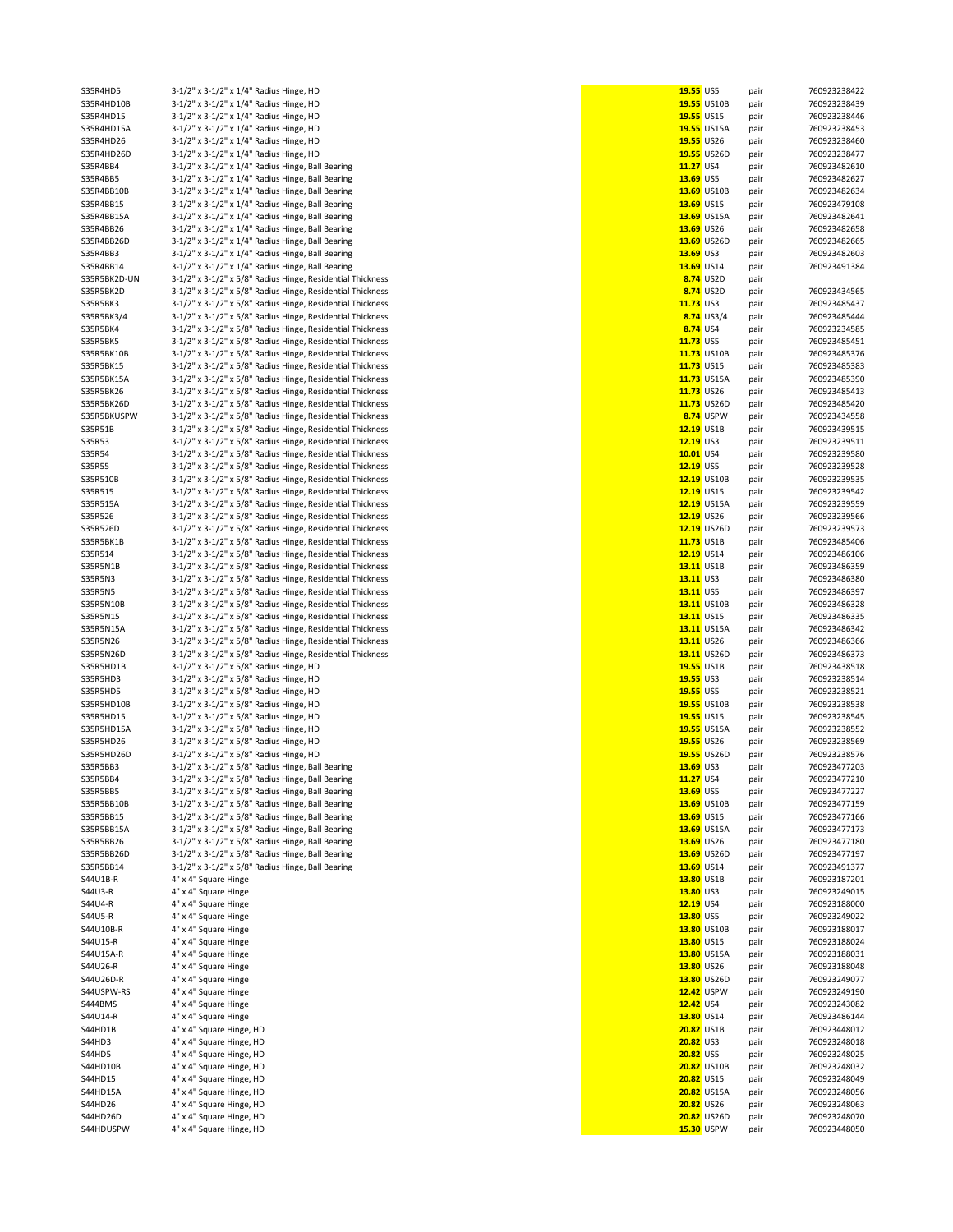| S35R4HD5              | 3-1/2" x 3-1/2" x 1/4" Radius Hinge, HD                    | 19.55 US5 |                           | pair         | 760923238422                 |
|-----------------------|------------------------------------------------------------|-----------|---------------------------|--------------|------------------------------|
|                       |                                                            |           |                           |              |                              |
| S35R4HD10B            | 3-1/2" x 3-1/2" x 1/4" Radius Hinge, HD                    |           | 19.55 US10B               | pair         | 760923238439                 |
| S35R4HD15             | 3-1/2" x 3-1/2" x 1/4" Radius Hinge, HD                    |           | 19.55 US15                | pair         | 760923238446                 |
| S35R4HD15A            | 3-1/2" x 3-1/2" x 1/4" Radius Hinge, HD                    |           | 19.55 US15A               | pair         | 760923238453                 |
|                       | 3-1/2" x 3-1/2" x 1/4" Radius Hinge, HD                    |           |                           |              | 760923238460                 |
| S35R4HD26             |                                                            |           | 19.55 US26                | pair         |                              |
| S35R4HD26D            | 3-1/2" x 3-1/2" x 1/4" Radius Hinge, HD                    |           | 19.55 US26D               | pair         | 760923238477                 |
| S35R4BB4              | 3-1/2" x 3-1/2" x 1/4" Radius Hinge, Ball Bearing          | 11.27 US4 |                           | pair         | 760923482610                 |
| S35R4BB5              | 3-1/2" x 3-1/2" x 1/4" Radius Hinge, Ball Bearing          | 13.69 US5 |                           | pair         | 760923482627                 |
|                       |                                                            |           |                           |              |                              |
| S35R4BB10B            | 3-1/2" x 3-1/2" x 1/4" Radius Hinge, Ball Bearing          |           | 13.69 US10B               | pair         | 760923482634                 |
| S35R4BB15             | 3-1/2" x 3-1/2" x 1/4" Radius Hinge, Ball Bearing          |           | 13.69 US15                | pair         | 760923479108                 |
| S35R4BB15A            | 3-1/2" x 3-1/2" x 1/4" Radius Hinge, Ball Bearing          |           | 13.69 US15A               | pair         | 760923482641                 |
|                       |                                                            |           |                           |              |                              |
| S35R4BB26             | 3-1/2" x 3-1/2" x 1/4" Radius Hinge, Ball Bearing          |           | 13.69 US26                | pair         | 760923482658                 |
| S35R4BB26D            | 3-1/2" x 3-1/2" x 1/4" Radius Hinge, Ball Bearing          |           | 13.69 US26D               | pair         | 760923482665                 |
|                       |                                                            |           |                           |              |                              |
| S35R4BB3              | 3-1/2" x 3-1/2" x 1/4" Radius Hinge, Ball Bearing          | 13.69 US3 |                           | pair         | 760923482603                 |
| S35R4BB14             | 3-1/2" x 3-1/2" x 1/4" Radius Hinge, Ball Bearing          |           | 13.69 US14                | pair         | 760923491384                 |
| S35R5BK2D-UN          | 3-1/2" x 3-1/2" x 5/8" Radius Hinge, Residential Thickness |           | 8.74 US2D                 | pair         |                              |
| S35R5BK2D             | 3-1/2" x 3-1/2" x 5/8" Radius Hinge, Residential Thickness |           | 8.74 US2D                 |              | 760923434565                 |
|                       |                                                            |           |                           | pair         |                              |
| S35R5BK3              | 3-1/2" x 3-1/2" x 5/8" Radius Hinge, Residential Thickness | 11.73 US3 |                           | pair         | 760923485437                 |
| S35R5BK3/4            | 3-1/2" x 3-1/2" x 5/8" Radius Hinge, Residential Thickness |           | 8.74 US3/4                | pair         | 760923485444                 |
|                       |                                                            |           |                           |              |                              |
| S35R5BK4              | 3-1/2" x 3-1/2" x 5/8" Radius Hinge, Residential Thickness | 8.74 US4  |                           | pair         | 760923234585                 |
| S35R5BK5              | 3-1/2" x 3-1/2" x 5/8" Radius Hinge, Residential Thickness | 11.73 US5 |                           | pair         | 760923485451                 |
| S35R5BK10B            | 3-1/2" x 3-1/2" x 5/8" Radius Hinge, Residential Thickness |           | 11.73 US10B               | pair         | 760923485376                 |
|                       |                                                            |           |                           |              |                              |
| S35R5BK15             | 3-1/2" x 3-1/2" x 5/8" Radius Hinge, Residential Thickness |           | 11.73 US15                | pair         | 760923485383                 |
| S35R5BK15A            | 3-1/2" x 3-1/2" x 5/8" Radius Hinge, Residential Thickness |           | 11.73 US15A               | pair         | 760923485390                 |
| S35R5BK26             | 3-1/2" x 3-1/2" x 5/8" Radius Hinge, Residential Thickness |           | 11.73 US26                | pair         | 760923485413                 |
|                       |                                                            |           |                           |              |                              |
| S35R5BK26D            | 3-1/2" x 3-1/2" x 5/8" Radius Hinge, Residential Thickness |           | 11.73 US26D               | pair         | 760923485420                 |
| S35R5BKUSPW           | 3-1/2" x 3-1/2" x 5/8" Radius Hinge, Residential Thickness |           | 8.74 USPW                 | pair         | 760923434558                 |
| S35R51B               | 3-1/2" x 3-1/2" x 5/8" Radius Hinge, Residential Thickness |           | 12.19 US1B                | pair         | 760923439515                 |
|                       |                                                            |           |                           |              |                              |
| S35R53                | 3-1/2" x 3-1/2" x 5/8" Radius Hinge, Residential Thickness | 12.19 US3 |                           | pair         | 760923239511                 |
| S35R54                | 3-1/2" x 3-1/2" x 5/8" Radius Hinge, Residential Thickness | 10.01 US4 |                           | pair         | 760923239580                 |
| S35R55                | 3-1/2" x 3-1/2" x 5/8" Radius Hinge, Residential Thickness | 12.19 US5 |                           | pair         | 760923239528                 |
|                       |                                                            |           |                           |              |                              |
| S35R510B              | 3-1/2" x 3-1/2" x 5/8" Radius Hinge, Residential Thickness |           | 12.19 US10B               | pair         | 760923239535                 |
| S35R515               | 3-1/2" x 3-1/2" x 5/8" Radius Hinge, Residential Thickness |           | 12.19 US15                | pair         | 760923239542                 |
| S35R515A              | 3-1/2" x 3-1/2" x 5/8" Radius Hinge, Residential Thickness |           | 12.19 US15A               |              | 760923239559                 |
|                       |                                                            |           |                           | pair         |                              |
| S35R526               | 3-1/2" x 3-1/2" x 5/8" Radius Hinge, Residential Thickness |           | 12.19 US26                | pair         | 760923239566                 |
| S35R526D              | 3-1/2" x 3-1/2" x 5/8" Radius Hinge, Residential Thickness |           | 12.19 US26D               | pair         | 760923239573                 |
| S35R5BK1B             | 3-1/2" x 3-1/2" x 5/8" Radius Hinge, Residential Thickness |           | 11.73 US1B                |              | 760923485406                 |
|                       |                                                            |           |                           | pair         |                              |
| S35R514               | 3-1/2" x 3-1/2" x 5/8" Radius Hinge, Residential Thickness |           | 12.19 US14                | pair         | 760923486106                 |
| S35R5N1B              | 3-1/2" x 3-1/2" x 5/8" Radius Hinge, Residential Thickness |           | 13.11 US1B                | pair         | 760923486359                 |
|                       |                                                            |           |                           |              |                              |
| S35R5N3               | 3-1/2" x 3-1/2" x 5/8" Radius Hinge, Residential Thickness | 13.11 US3 |                           | pair         | 760923486380                 |
| <b>S35R5N5</b>        | 3-1/2" x 3-1/2" x 5/8" Radius Hinge, Residential Thickness | 13.11 US5 |                           | pair         | 760923486397                 |
| S35R5N10B             | 3-1/2" x 3-1/2" x 5/8" Radius Hinge, Residential Thickness |           | 13.11 US10B               | pair         | 760923486328                 |
|                       |                                                            |           |                           |              |                              |
| S35R5N15              | 3-1/2" x 3-1/2" x 5/8" Radius Hinge, Residential Thickness |           | 13.11 US15                | pair         | 760923486335                 |
| S35R5N15A             | 3-1/2" x 3-1/2" x 5/8" Radius Hinge, Residential Thickness |           | 13.11 US15A               | pair         | 760923486342                 |
| S35R5N26              | 3-1/2" x 3-1/2" x 5/8" Radius Hinge, Residential Thickness |           | 13.11 US26                | pair         | 760923486366                 |
|                       |                                                            |           |                           |              |                              |
| S35R5N26D             | 3-1/2" x 3-1/2" x 5/8" Radius Hinge, Residential Thickness |           | 13.11 US26D               | pair         | 760923486373                 |
| S35R5HD1B             | 3-1/2" x 3-1/2" x 5/8" Radius Hinge, HD                    |           | 19.55 US1B                | pair         | 760923438518                 |
| S35R5HD3              | 3-1/2" x 3-1/2" x 5/8" Radius Hinge, HD                    | 19.55 US3 |                           | pair         | 760923238514                 |
|                       |                                                            |           |                           |              |                              |
| S35R5HD5              | 3-1/2" x 3-1/2" x 5/8" Radius Hinge, HD                    | 19.55 US5 |                           | pair         | 760923238521                 |
| S35R5HD10B            | 3-1/2" x 3-1/2" x 5/8" Radius Hinge, HD                    |           | 19.55 US10B               | pair         | 760923238538                 |
| S35R5HD15             | 3-1/2" x 3-1/2" x 5/8" Radius Hinge, HD                    |           | 19.55 US15                | pair         | 760923238545                 |
|                       |                                                            |           |                           |              |                              |
| S35R5HD15A            | 3-1/2" x 3-1/2" x 5/8" Radius Hinge, HD                    |           | 19.55 US15A               | pair         | 760923238552                 |
| S35R5HD26             | 3-1/2" x 3-1/2" x 5/8" Radius Hinge, HD                    |           | 19.55 US26                | pair         | 760923238569                 |
| S35R5HD26D            | 3-1/2" x 3-1/2" x 5/8" Radius Hinge, HD                    |           | 19.55 US26D               | pair         | 760923238576                 |
|                       |                                                            |           |                           |              |                              |
| S35R5BB3              | 3-1/2" x 3-1/2" x 5/8" Radius Hinge, Ball Bearing          |           |                           |              | 760923477203                 |
| S35R5BB4              | 3-1/2" x 3-1/2" x 5/8" Radius Hinge, Ball Bearing          |           | 13.69 US3                 | pair         |                              |
| S35R5BB5              |                                                            | 11.27 US4 |                           |              |                              |
|                       |                                                            |           |                           | pair         | 760923477210                 |
|                       | 3-1/2" x 3-1/2" x 5/8" Radius Hinge, Ball Bearing          | 13.69 US5 |                           | pair         | 760923477227                 |
| S35R5BB10B            | 3-1/2" x 3-1/2" x 5/8" Radius Hinge, Ball Bearing          |           | 13.69 US10B               | pair         | 760923477159                 |
| S35R5BB15             | 3-1/2" x 3-1/2" x 5/8" Radius Hinge, Ball Bearing          |           | 13.69 US15                | pair         | 760923477166                 |
|                       |                                                            |           |                           |              |                              |
| S35R5BB15A            | 3-1/2" x 3-1/2" x 5/8" Radius Hinge, Ball Bearing          |           | 13.69 US15A               | pair         | 760923477173                 |
| S35R5BB26             | 3-1/2" x 3-1/2" x 5/8" Radius Hinge, Ball Bearing          |           | 13.69 US26                | pair         | 760923477180                 |
| S35R5BB26D            | 3-1/2" x 3-1/2" x 5/8" Radius Hinge, Ball Bearing          |           | 13.69 US26D               | pair         | 760923477197                 |
|                       |                                                            |           |                           |              |                              |
| S35R5BB14             | 3-1/2" x 3-1/2" x 5/8" Radius Hinge, Ball Bearing          |           | 13.69 US14                | pair         | 760923491377                 |
| S44U1B-R              | 4" x 4" Square Hinge                                       |           | 13.80 US1B                | pair         | 760923187201                 |
|                       |                                                            |           |                           |              |                              |
| S44U3-R               | 4" x 4" Square Hinge                                       | 13.80 US3 |                           | pair         | 760923249015                 |
| S44U4-R               | 4" x 4" Square Hinge                                       | 12.19 US4 |                           | pair         | 760923188000                 |
| S44U5-R               | 4" x 4" Square Hinge                                       | 13.80 US5 |                           | pair         | 760923249022                 |
| S44U10B-R             | 4" x 4" Square Hinge                                       |           | 13.80 US10B               | pair         | 760923188017                 |
|                       |                                                            |           |                           |              |                              |
| S44U15-R              | 4" x 4" Square Hinge                                       |           | 13.80 US15                | pair         | 760923188024                 |
| S44U15A-R             | 4" x 4" Square Hinge                                       |           | 13.80 US15A               | pair         | 760923188031                 |
| S44U26-R              |                                                            |           | 13.80 US26                |              | 760923188048                 |
|                       | 4" x 4" Square Hinge                                       |           |                           | pair         |                              |
| S44U26D-R             | 4" x 4" Square Hinge                                       |           | 13.80 US26D               | pair         | 760923249077                 |
| S44USPW-RS            | 4" x 4" Square Hinge                                       |           | 12.42 USPW                | pair         | 760923249190                 |
|                       |                                                            |           |                           |              |                              |
| S444BMS               | 4" x 4" Square Hinge                                       | 12.42 US4 |                           | pair         | 760923243082                 |
| S44U14-R              | 4" x 4" Square Hinge                                       |           | 13.80 US14                | pair         | 760923486144                 |
| S44HD1B               | 4" x 4" Square Hinge, HD                                   |           | <b>20.82 US1B</b>         | pair         | 760923448012                 |
|                       |                                                            |           |                           |              |                              |
| S44HD3                | 4" x 4" Square Hinge, HD                                   | 20.82 US3 |                           | pair         | 760923248018                 |
| <b>S44HD5</b>         | 4" x 4" Square Hinge, HD                                   | 20.82 US5 |                           | pair         | 760923248025                 |
| S44HD10B              | 4" x 4" Square Hinge, HD                                   |           | <b>20.82 US10B</b>        | pair         | 760923248032                 |
|                       |                                                            |           |                           |              |                              |
| S44HD15               | 4" x 4" Square Hinge, HD                                   |           | 20.82 US15                | pair         | 760923248049                 |
| S44HD15A              | 4" x 4" Square Hinge, HD                                   |           | 20.82 US15A               | pair         | 760923248056                 |
| S44HD26               | 4" x 4" Square Hinge, HD                                   |           | 20.82 US26                | pair         | 760923248063                 |
|                       |                                                            |           |                           |              |                              |
| S44HD26D<br>S44HDUSPW | 4" x 4" Square Hinge, HD<br>4" x 4" Square Hinge, HD       |           | 20.82 US26D<br>15.30 USPW | pair<br>pair | 760923248070<br>760923448050 |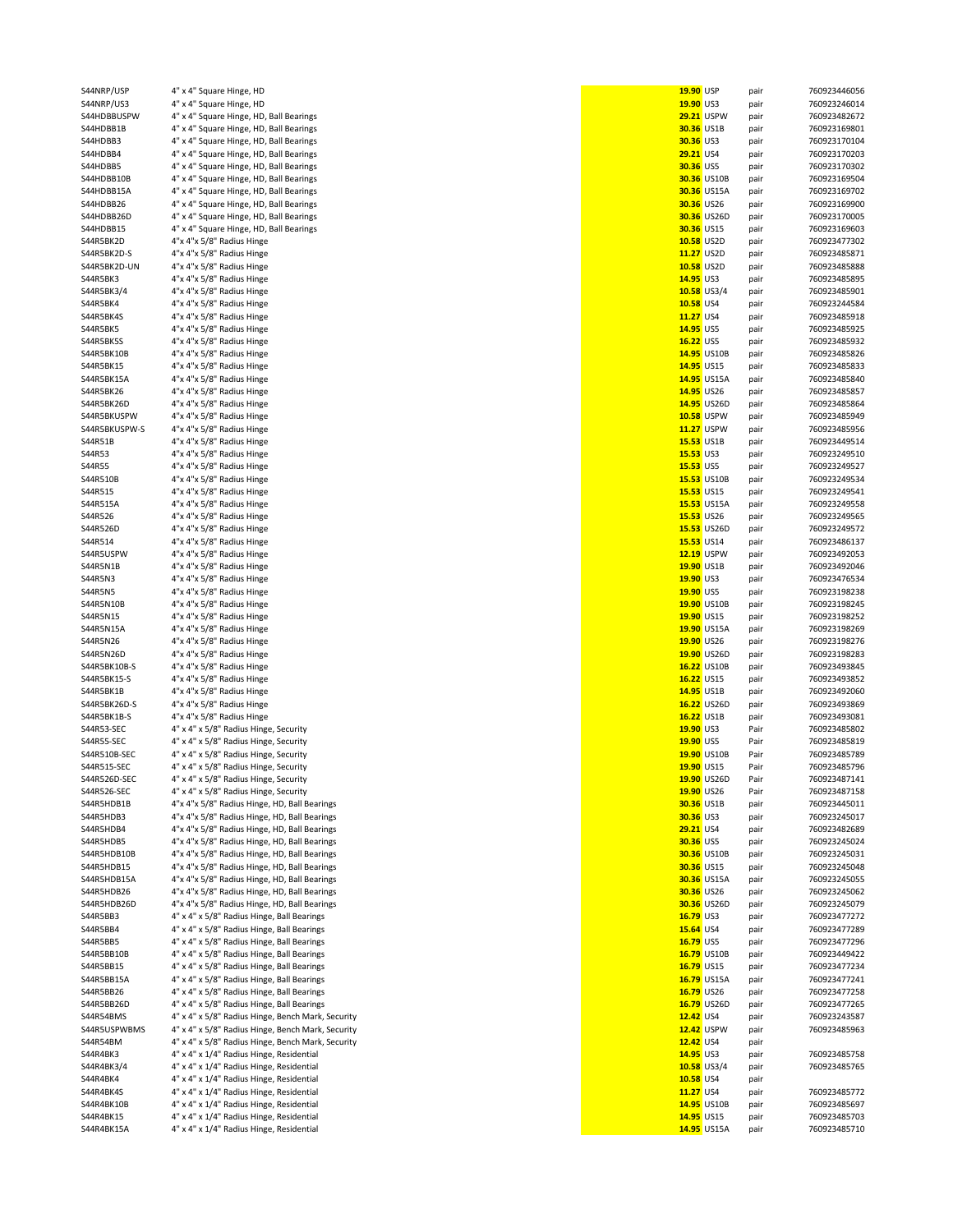| S44NRP/USP    | 4" x 4" Square Hinge, HD                          | 19.90 USP |                    | pair | 760923446056 |
|---------------|---------------------------------------------------|-----------|--------------------|------|--------------|
| S44NRP/US3    | 4" x 4" Square Hinge, HD                          | 19.90 US3 |                    | pair | 760923246014 |
| S44HDBBUSPW   | 4" x 4" Square Hinge, HD, Ball Bearings           |           | <b>29.21 USPW</b>  | pair | 760923482672 |
| S44HDBB1B     | 4" x 4" Square Hinge, HD, Ball Bearings           |           | <b>30.36 US1B</b>  | pair | 760923169801 |
| S44HDBB3      | 4" x 4" Square Hinge, HD, Ball Bearings           | 30.36 US3 |                    | pair | 760923170104 |
| S44HDBB4      | 4" x 4" Square Hinge, HD, Ball Bearings           | 29.21 US4 |                    | pair | 760923170203 |
| S44HDBB5      | 4" x 4" Square Hinge, HD, Ball Bearings           | 30.36 US5 |                    | pair | 760923170302 |
| S44HDBB10B    | 4" x 4" Square Hinge, HD, Ball Bearings           |           | <b>30.36 US10B</b> | pair | 760923169504 |
|               |                                                   |           |                    |      |              |
| S44HDBB15A    | 4" x 4" Square Hinge, HD, Ball Bearings           |           | <b>30.36 US15A</b> | pair | 760923169702 |
| S44HDBB26     | 4" x 4" Square Hinge, HD, Ball Bearings           |           | 30.36 US26         | pair | 760923169900 |
| S44HDBB26D    | 4" x 4" Square Hinge, HD, Ball Bearings           |           | 30.36 US26D        | pair | 760923170005 |
| S44HDBB15     | 4" x 4" Square Hinge, HD, Ball Bearings           |           | 30.36 US15         | pair | 760923169603 |
| S44R5BK2D     | 4"x 4"x 5/8" Radius Hinge                         |           | 10.58 US2D         | pair | 760923477302 |
| S44R5BK2D-S   | 4"x 4"x 5/8" Radius Hinge                         |           | 11.27 US2D         | pair | 760923485871 |
| S44R5BK2D-UN  | 4"x 4"x 5/8" Radius Hinge                         |           | 10.58 US2D         | pair | 760923485888 |
| S44R5BK3      | 4"x 4"x 5/8" Radius Hinge                         | 14.95 US3 |                    | pair | 760923485895 |
| S44R5BK3/4    | 4"x 4"x 5/8" Radius Hinge                         |           | 10.58 US3/4        |      | 760923485901 |
|               |                                                   |           |                    | pair |              |
| S44R5BK4      | 4"x 4"x 5/8" Radius Hinge                         | 10.58 US4 |                    | pair | 760923244584 |
| S44R5BK4S     | 4"x 4"x 5/8" Radius Hinge                         | 11.27 US4 |                    | pair | 760923485918 |
| S44R5BK5      | 4"x 4"x 5/8" Radius Hinge                         | 14.95 US5 |                    | pair | 760923485925 |
| S44R5BK5S     | 4"x 4"x 5/8" Radius Hinge                         | 16.22 US5 |                    | pair | 760923485932 |
| S44R5BK10B    | 4"x 4"x 5/8" Radius Hinge                         |           | 14.95 US10B        | pair | 760923485826 |
| S44R5BK15     | 4"x 4"x 5/8" Radius Hinge                         |           | 14.95 US15         | pair | 760923485833 |
| S44R5BK15A    | 4"x 4"x 5/8" Radius Hinge                         |           | 14.95 US15A        | pair | 760923485840 |
| S44R5BK26     | 4"x 4"x 5/8" Radius Hinge                         |           | 14.95 US26         | pair | 760923485857 |
|               | 4"x 4"x 5/8" Radius Hinge                         |           | 14.95 US26D        |      |              |
| S44R5BK26D    |                                                   |           |                    | pair | 760923485864 |
| S44R5BKUSPW   | 4"x 4"x 5/8" Radius Hinge                         |           | <b>10.58 USPW</b>  | pair | 760923485949 |
| S44R5BKUSPW-S | 4"x 4"x 5/8" Radius Hinge                         |           | <b>11.27 USPW</b>  | pair | 760923485956 |
| S44R51B       | 4"x 4"x 5/8" Radius Hinge                         |           | 15.53 US1B         | pair | 760923449514 |
| S44R53        | 4"x 4"x 5/8" Radius Hinge                         | 15.53 US3 |                    | pair | 760923249510 |
| S44R55        | 4"x 4"x 5/8" Radius Hinge                         | 15.53 US5 |                    | pair | 760923249527 |
| S44R510B      | 4"x 4"x 5/8" Radius Hinge                         |           | 15.53 US10B        | pair | 760923249534 |
| S44R515       | 4"x 4"x 5/8" Radius Hinge                         |           | 15.53 US15         | pair | 760923249541 |
|               |                                                   |           |                    |      |              |
| S44R515A      | 4"x 4"x 5/8" Radius Hinge                         |           | 15.53 US15A        | pair | 760923249558 |
| S44R526       | 4"x 4"x 5/8" Radius Hinge                         |           | 15.53 US26         | pair | 760923249565 |
| S44R526D      | 4"x 4"x 5/8" Radius Hinge                         |           | 15.53 US26D        | pair | 760923249572 |
| S44R514       | 4"x 4"x 5/8" Radius Hinge                         |           | 15.53 US14         | pair | 760923486137 |
| S44R5USPW     | 4"x 4"x 5/8" Radius Hinge                         |           | 12.19 USPW         | pair | 760923492053 |
| S44R5N1B      | 4"x 4"x 5/8" Radius Hinge                         |           | 19.90 US1B         | pair | 760923492046 |
| S44R5N3       | 4"x 4"x 5/8" Radius Hinge                         | 19.90 US3 |                    | pair | 760923476534 |
| S44R5N5       | 4"x 4"x 5/8" Radius Hinge                         | 19.90 US5 |                    | pair | 760923198238 |
|               |                                                   |           |                    |      |              |
| S44R5N10B     | 4"x 4"x 5/8" Radius Hinge                         |           | 19.90 US10B        | pair | 760923198245 |
| S44R5N15      | 4"x 4"x 5/8" Radius Hinge                         |           | 19.90 US15         | pair | 760923198252 |
| S44R5N15A     | 4"x 4"x 5/8" Radius Hinge                         |           | 19.90 US15A        | pair | 760923198269 |
| S44R5N26      | 4"x 4"x 5/8" Radius Hinge                         |           | 19.90 US26         | pair | 760923198276 |
| S44R5N26D     | 4"x 4"x 5/8" Radius Hinge                         |           | 19.90 US26D        | pair | 760923198283 |
| S44R5BK10B-S  | 4"x 4"x 5/8" Radius Hinge                         |           | 16.22 US10B        | pair | 760923493845 |
| S44R5BK15-S   | 4"x 4"x 5/8" Radius Hinge                         |           | 16.22 US15         | pair | 760923493852 |
| S44R5BK1B     | 4"x 4"x 5/8" Radius Hinge                         |           | 14.95 US1B         | pair | 760923492060 |
|               |                                                   |           |                    |      |              |
| S44R5BK26D-S  | 4"x 4"x 5/8" Radius Hinge                         |           | 16.22 US26D        | pair | 760923493869 |
| S44R5BK1B-S   | 4"x 4"x 5/8" Radius Hinge                         |           | 16.22 US1B         | pair | 760923493081 |
| S44R53-SEC    | 4" x 4" x 5/8" Radius Hinge, Security             | 19.90 US3 |                    | Pair | 760923485802 |
| S44R55-SEC    | 4" x 4" x 5/8" Radius Hinge, Security             | 19.90 US5 |                    | Pair | 760923485819 |
| S44R510B-SEC  | 4" x 4" x 5/8" Radius Hinge, Security             |           | 19.90 US10B        | Pair | 760923485789 |
| S44R515-SEC   | 4" x 4" x 5/8" Radius Hinge, Security             |           | 19.90 US15         | Pair | 760923485796 |
| S44R526D-SEC  | 4" x 4" x 5/8" Radius Hinge, Security             |           | 19.90 US26D        | Pair | 760923487141 |
|               | 4" x 4" x 5/8" Radius Hinge, Security             |           | 19.90 US26         | Pair | 760923487158 |
| S44R526-SEC   |                                                   |           |                    |      |              |
| S44R5HDB1B    | 4"x 4"x 5/8" Radius Hinge, HD, Ball Bearings      |           | 30.36 US1B         | pair | 760923445011 |
| S44R5HDB3     | 4"x 4"x 5/8" Radius Hinge, HD, Ball Bearings      | 30.36 US3 |                    | pair | 760923245017 |
| S44R5HDB4     | 4"x 4"x 5/8" Radius Hinge, HD, Ball Bearings      | 29.21 US4 |                    | pair | 760923482689 |
| S44R5HDB5     | 4"x 4"x 5/8" Radius Hinge, HD, Ball Bearings      | 30.36 US5 |                    | pair | 760923245024 |
| S44R5HDB10B   | 4"x 4"x 5/8" Radius Hinge, HD, Ball Bearings      |           | 30.36 US10B        | pair | 760923245031 |
| S44R5HDB15    | 4"x 4"x 5/8" Radius Hinge, HD, Ball Bearings      |           | 30.36 US15         | pair | 760923245048 |
| S44R5HDB15A   | 4"x 4"x 5/8" Radius Hinge, HD, Ball Bearings      |           | <b>30.36 US15A</b> | pair | 760923245055 |
|               |                                                   |           |                    |      |              |
| S44R5HDB26    | 4"x 4"x 5/8" Radius Hinge, HD, Ball Bearings      |           | 30.36 US26         | pair | 760923245062 |
| S44R5HDB26D   | 4"x 4"x 5/8" Radius Hinge, HD, Ball Bearings      |           | 30.36 US26D        | pair | 760923245079 |
| S44R5BB3      | 4" x 4" x 5/8" Radius Hinge, Ball Bearings        | 16.79 US3 |                    | pair | 760923477272 |
| S44R5BB4      | 4" x 4" x 5/8" Radius Hinge, Ball Bearings        | 15.64 US4 |                    | pair | 760923477289 |
| S44R5BB5      | 4" x 4" x 5/8" Radius Hinge, Ball Bearings        | 16.79 US5 |                    | pair | 760923477296 |
| S44R5BB10B    | 4" x 4" x 5/8" Radius Hinge, Ball Bearings        |           | 16.79 US10B        | pair | 760923449422 |
| S44R5BB15     | 4" x 4" x 5/8" Radius Hinge, Ball Bearings        |           | 16.79 US15         |      | 760923477234 |
|               |                                                   |           |                    | pair |              |
| S44R5BB15A    | 4" x 4" x 5/8" Radius Hinge, Ball Bearings        |           | 16.79 US15A        | pair | 760923477241 |
| S44R5BB26     | 4" x 4" x 5/8" Radius Hinge, Ball Bearings        |           | 16.79 US26         | pair | 760923477258 |
| S44R5BB26D    | 4" x 4" x 5/8" Radius Hinge, Ball Bearings        |           | 16.79 US26D        | pair | 760923477265 |
| S44R54BMS     | 4" x 4" x 5/8" Radius Hinge, Bench Mark, Security | 12.42 US4 |                    | pair | 760923243587 |
| S44R5USPWBMS  | 4" x 4" x 5/8" Radius Hinge, Bench Mark, Security |           | 12.42 USPW         | pair | 760923485963 |
| S44R54BM      | 4" x 4" x 5/8" Radius Hinge, Bench Mark, Security | 12.42 US4 |                    | pair |              |
| S44R4BK3      | 4" x 4" x 1/4" Radius Hinge, Residential          | 14.95 US3 |                    |      | 760923485758 |
|               |                                                   |           |                    | pair |              |
| S44R4BK3/4    | 4" x 4" x 1/4" Radius Hinge, Residential          |           | $10.58$ US3/4      | pair | 760923485765 |
| S44R4BK4      | 4" x 4" x 1/4" Radius Hinge, Residential          | 10.58 US4 |                    | pair |              |
| S44R4BK4S     | 4" x 4" x 1/4" Radius Hinge, Residential          | 11.27 US4 |                    | pair | 760923485772 |
| S44R4BK10B    | 4" x 4" x 1/4" Radius Hinge, Residential          |           | 14.95 US10B        | pair | 760923485697 |
| S44R4BK15     | 4" x 4" x 1/4" Radius Hinge, Residential          |           | 14.95 US15         | pair | 760923485703 |
| S44R4BK15A    | 4" x 4" x 1/4" Radius Hinge, Residential          |           | 14.95 US15A        | pair | 760923485710 |
|               |                                                   |           |                    |      |              |

| 19.90 USP                 |                   | pair         | 760923446056                 |
|---------------------------|-------------------|--------------|------------------------------|
| 19.90 US3                 |                   | pair         | 760923246014                 |
| <b>30.36 US1B</b>         | <b>29.21 USPW</b> | pair<br>pair | 760923482672<br>760923169801 |
| 30.36 US3                 |                   | pair         | 760923170104                 |
| 29.21 US4                 |                   | pair         | 760923170203                 |
| 30.36 US5                 |                   | pair         | 760923170302                 |
|                           | 30.36 US10B       | pair         | 760923169504                 |
|                           | 30.36 US15A       | pair         | 760923169702                 |
| 30.36 US26                |                   | pair         | 760923169900                 |
|                           | 30.36 US26D       | pair         | 760923170005                 |
| 30.36 US15                |                   | pair         | 760923169603                 |
| 10.58 US2D                |                   | pair         | 760923477302                 |
| 11.27 US2D                |                   | pair         | 760923485871                 |
| 10.58 US2D                |                   | pair         | 760923485888                 |
| 14.95 US3                 | 10.58 US3/4       | pair         | 760923485895                 |
| 10.58 US4                 |                   | pair         | 760923485901<br>760923244584 |
| 11.27 US4                 |                   | pair<br>pair | 760923485918                 |
| 14.95 US5                 |                   | pair         | 760923485925                 |
| 16.22 US5                 |                   | pair         | 760923485932                 |
|                           | 14.95 US10B       | pair         | 760923485826                 |
| 14.95 US15                |                   | pair         | 760923485833                 |
|                           | 14.95 US15A       | pair         | 760923485840                 |
| 14.95 US26                |                   | pair         | 760923485857                 |
|                           | 14.95 US26D       | pair         | 760923485864                 |
|                           | 10.58 USPW        | pair         | 760923485949                 |
| 11.27                     | <b>USPW</b>       | pair         | 760923485956                 |
| 15.53 US1B<br>$15.53$ US3 |                   | pair         | 760923449514                 |
| 15.53 US5                 |                   | pair<br>pair | 760923249510<br>760923249527 |
|                           | 15.53 US10B       | pair         | 760923249534                 |
| 15.53 US15                |                   | pair         | 760923249541                 |
|                           | 15.53 US15A       | pair         | 760923249558                 |
| 15.53 US26                |                   | pair         | 760923249565                 |
|                           | 15.53 US26D       | pair         | 760923249572                 |
| 15.53 US14                |                   | pair         | 760923486137                 |
|                           | 12.19 USPW        | pair         | 760923492053                 |
| 19.90 US1B                |                   | pair         | 760923492046                 |
| 19.90 US3                 |                   | pair         | 760923476534                 |
| 19.90 US5                 |                   | pair         | 760923198238                 |
|                           | 19.90 US10B       | pair         | 760923198245                 |
| 19.90 US15                |                   | pair         | 760923198252                 |
|                           | 19.90 US15A       | pair         | 760923198269                 |
| 19.90 US26                | 19.90 US26D       | pair         | 760923198276<br>760923198283 |
| 16.22                     | <b>US10B</b>      | pair<br>pair | 760923493845                 |
| 16.22 US15                |                   | pair         | 760923493852                 |
| 14.95 US1B                |                   | pair         | 760923492060                 |
|                           | 16.22 US26D       | pair         | 760923493869                 |
| 16.22 US1B                |                   | pair         | 760923493081                 |
| 19.90 US3                 |                   | Pair         | 760923485802                 |
| 19.90 US5                 |                   | Pair         | 760923485819                 |
|                           | 19.90 US10B       | Pair         | 760923485789                 |
| 19.90 US15                |                   | Pair         | 760923485796                 |
|                           | 19.90 US26D       | Pair         | 760923487141                 |
| 19.90 US26<br>30.36 US1B  |                   | Pair         | 760923487158<br>760923445011 |
| 30.36 US3                 |                   | pair<br>pair | 760923245017                 |
| 29.21 US4                 |                   | pair         | 760923482689                 |
| 30.36 US5                 |                   | pair         | 760923245024                 |
|                           | 30.36 US10B       | pair         | 760923245031                 |
| 30.36 US15                |                   | pair         | 760923245048                 |
|                           | 30.36 US15A       | pair         | 760923245055                 |
| 30.36 US26                |                   | pair         | 760923245062                 |
|                           | 30.36 US26D       | pair         | 760923245079                 |
| $16.79$ US3               |                   | pair         | 760923477272                 |
| 15.64 US4                 |                   | pair         | 760923477289                 |
| 16.79 US5                 |                   | pair         | 760923477296                 |
|                           | 16.79 US10B       | pair         | 760923449422                 |
| 16.79 US15                | 16.79 US15A       | pair         | 760923477234<br>760923477241 |
| 16.79 US26                |                   | pair         | 760923477258                 |
|                           | 16.79 US26D       | pair<br>pair | 760923477265                 |
| 12.42 US4                 |                   | pair         | 760923243587                 |
|                           | 12.42 USPW        | pair         | 760923485963                 |
| 12.42 US4                 |                   | pair         |                              |
| 14.95 US3                 |                   | pair         | 760923485758                 |
|                           | $10.58$ US3/4     | pair         | 760923485765                 |
| 10.58 US4                 |                   | pair         |                              |
| 11.27 US4                 |                   | pair         | 760923485772                 |
|                           | 14.95 US10B       | pair         | 760923485697                 |
| 14.95 US15                |                   | pair         | 760923485703                 |
|                           | 14.95 US15A       | pair         | 760923485710                 |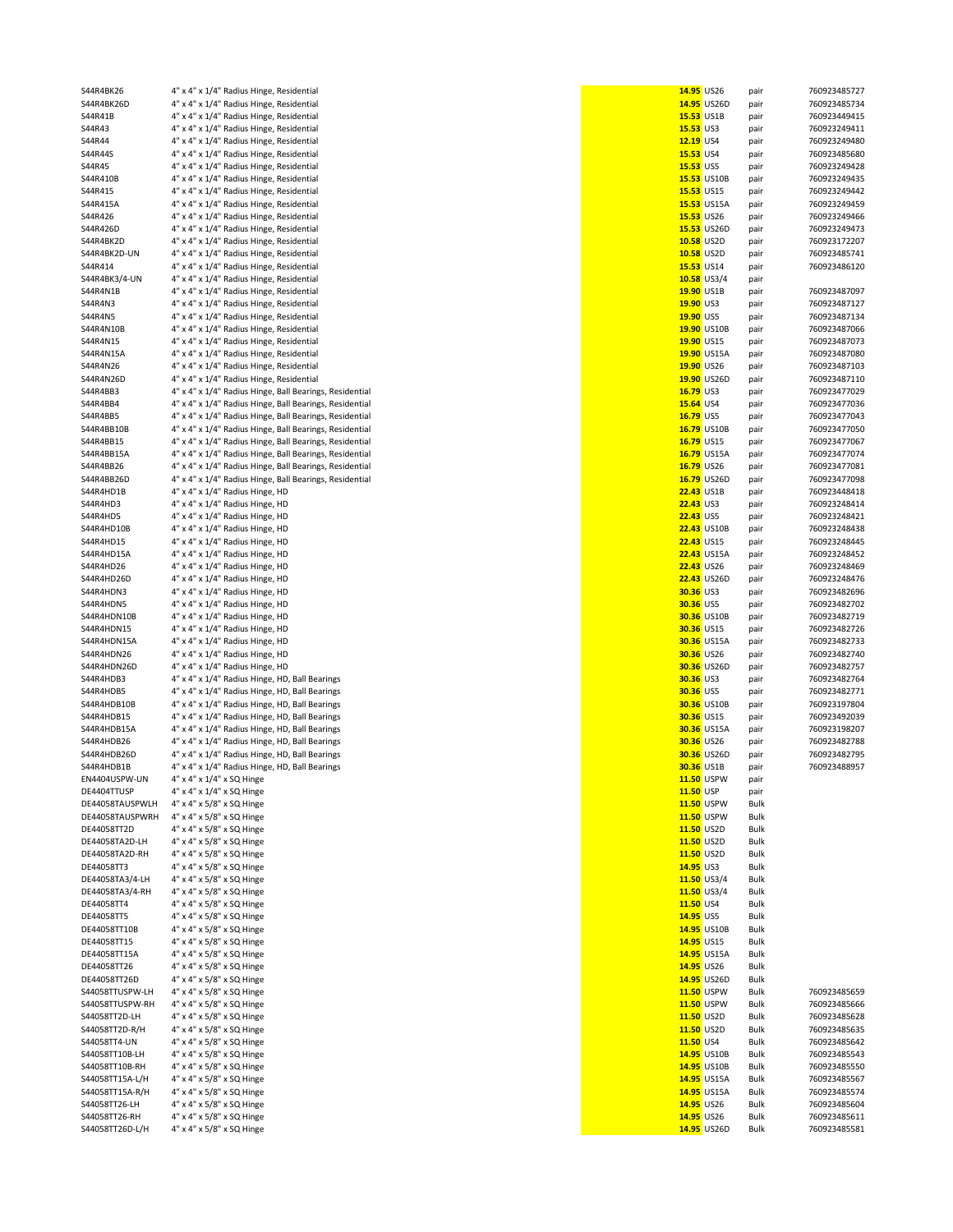| S44R4BK26       | 4" x 4" x 1/4" Radius Hinge, Residential                |            | 14.95 US26         | pair         | 760923485727 |
|-----------------|---------------------------------------------------------|------------|--------------------|--------------|--------------|
| S44R4BK26D      | 4" x 4" x 1/4" Radius Hinge, Residential                |            | 14.95 US26D        | pair         | 760923485734 |
| S44R41B         | 4" x 4" x 1/4" Radius Hinge, Residential                |            | 15.53 US1B         | pair         | 760923449415 |
| S44R43          | 4" x 4" x 1/4" Radius Hinge, Residential                | 15.53 US3  |                    | pair         | 760923249411 |
| S44R44          | 4" x 4" x 1/4" Radius Hinge, Residential                | 12.19 US4  |                    | pair         | 760923249480 |
| S44R44S         | 4" x 4" x 1/4" Radius Hinge, Residential                | 15.53 US4  |                    | pair         | 760923485680 |
| S44R45          | 4" x 4" x 1/4" Radius Hinge, Residential                | 15.53 US5  |                    | pair         | 760923249428 |
| S44R410B        | 4" x 4" x 1/4" Radius Hinge, Residential                |            | 15.53 US10B        | pair         | 760923249435 |
| S44R415         | 4" x 4" x 1/4" Radius Hinge, Residential                |            | 15.53 US15         | pair         | 760923249442 |
| S44R415A        | 4" x 4" x 1/4" Radius Hinge, Residential                |            | 15.53 US15A        | pair         | 760923249459 |
| S44R426         | 4" x 4" x 1/4" Radius Hinge, Residential                |            | 15.53 US26         | pair         | 760923249466 |
| S44R426D        | 4" x 4" x 1/4" Radius Hinge, Residential                |            | 15.53 US26D        | pair         | 760923249473 |
| S44R4BK2D       | 4" x 4" x 1/4" Radius Hinge, Residential                |            | 10.58 US2D         | pair         | 760923172207 |
| S44R4BK2D-UN    | 4" x 4" x 1/4" Radius Hinge, Residential                |            | 10.58 US2D         | pair         | 760923485741 |
| S44R414         | 4" x 4" x 1/4" Radius Hinge, Residential                | 15.53 US14 |                    | pair         | 760923486120 |
| S44R4BK3/4-UN   | 4" x 4" x 1/4" Radius Hinge, Residential                |            | 10.58 US3/4        | pair         |              |
| S44R4N1B        | 4" x 4" x 1/4" Radius Hinge, Residential                |            | 19.90 US1B         | pair         | 760923487097 |
| S44R4N3         | 4" x 4" x 1/4" Radius Hinge, Residential                | 19.90 US3  |                    | pair         | 760923487127 |
| S44R4N5         | 4" x 4" x 1/4" Radius Hinge, Residential                | 19.90 US5  |                    | pair         | 760923487134 |
| S44R4N10B       | 4" x 4" x 1/4" Radius Hinge, Residential                |            | 19.90 US10B        | pair         | 760923487066 |
| S44R4N15        | 4" x 4" x 1/4" Radius Hinge, Residential                | 19.90 US15 |                    | pair         | 760923487073 |
| S44R4N15A       | 4" x 4" x 1/4" Radius Hinge, Residential                |            | 19.90 US15A        | pair         | 760923487080 |
| S44R4N26        | 4" x 4" x 1/4" Radius Hinge, Residential                |            | 19.90 US26         | pair         | 760923487103 |
| S44R4N26D       | 4" x 4" x 1/4" Radius Hinge, Residential                |            | 19.90 US26D        | pair         | 760923487110 |
| S44R4BB3        | 4" x 4" x 1/4" Radius Hinge, Ball Bearings, Residential | 16.79 US3  |                    | pair         | 760923477029 |
| S44R4BB4        | 4" x 4" x 1/4" Radius Hinge, Ball Bearings, Residential | 15.64 US4  |                    | pair         | 760923477036 |
| S44R4BB5        | 4" x 4" x 1/4" Radius Hinge, Ball Bearings, Residential | 16.79 US5  |                    | pair         | 760923477043 |
| S44R4BB10B      | 4" x 4" x 1/4" Radius Hinge, Ball Bearings, Residential |            | 16.79 US10B        | pair         | 760923477050 |
| S44R4BB15       | 4" x 4" x 1/4" Radius Hinge, Ball Bearings, Residential |            | 16.79 US15         | pair         | 760923477067 |
| S44R4BB15A      | 4" x 4" x 1/4" Radius Hinge, Ball Bearings, Residential |            | 16.79 US15A        | pair         | 760923477074 |
| S44R4BB26       | 4" x 4" x 1/4" Radius Hinge, Ball Bearings, Residential |            | 16.79 US26         | pair         | 760923477081 |
| S44R4BB26D      | 4" x 4" x 1/4" Radius Hinge, Ball Bearings, Residential |            | 16.79 US26D        | pair         | 760923477098 |
| S44R4HD1B       | 4" x 4" x 1/4" Radius Hinge, HD                         |            | <b>22.43 US1B</b>  | pair         | 760923448418 |
| S44R4HD3        | 4" x 4" x 1/4" Radius Hinge, HD                         | 22.43 US3  |                    | pair         | 760923248414 |
| S44R4HD5        | 4" x 4" x 1/4" Radius Hinge, HD                         | 22.43 US5  |                    |              | 760923248421 |
|                 | 4" x 4" x 1/4" Radius Hinge, HD                         |            |                    | pair         | 760923248438 |
| S44R4HD10B      |                                                         |            | <b>22.43 US10B</b> | pair         |              |
| S44R4HD15       | 4" x 4" x 1/4" Radius Hinge, HD                         | 22.43 US15 |                    | pair         | 760923248445 |
| S44R4HD15A      | 4" x 4" x 1/4" Radius Hinge, HD                         |            | 22.43 US15A        | pair         | 760923248452 |
| S44R4HD26       | 4" x 4" x 1/4" Radius Hinge, HD                         |            | 22.43 US26         | pair         | 760923248469 |
| S44R4HD26D      | 4" x 4" x 1/4" Radius Hinge, HD                         |            | 22.43 US26D        | pair         | 760923248476 |
| S44R4HDN3       | 4" x 4" x 1/4" Radius Hinge, HD                         | 30.36 US3  |                    | pair         | 760923482696 |
| S44R4HDN5       | 4" x 4" x 1/4" Radius Hinge, HD                         | 30.36 US5  |                    | pair         | 760923482702 |
| S44R4HDN10B     | 4" x 4" x 1/4" Radius Hinge, HD                         |            | <b>30.36 US10B</b> | pair         | 760923482719 |
| S44R4HDN15      | 4" x 4" x 1/4" Radius Hinge, HD                         |            | 30.36 US15         | pair         | 760923482726 |
| S44R4HDN15A     | 4" x 4" x 1/4" Radius Hinge, HD                         |            | 30.36 US15A        | pair         | 760923482733 |
| S44R4HDN26      | 4" x 4" x 1/4" Radius Hinge, HD                         |            | 30.36 US26         | pair         | 760923482740 |
| S44R4HDN26D     | 4" x 4" x 1/4" Radius Hinge, HD                         |            | 30.36 US26D        | pair         | 760923482757 |
| S44R4HDB3       | 4" x 4" x 1/4" Radius Hinge, HD, Ball Bearings          | 30.36 US3  |                    | pair         | 760923482764 |
| S44R4HDB5       | 4" x 4" x 1/4" Radius Hinge, HD, Ball Bearings          | 30.36 US5  |                    | pair         | 760923482771 |
| S44R4HDB10B     | 4" x 4" x 1/4" Radius Hinge, HD, Ball Bearings          |            | 30.36 US10B        | pair         | 760923197804 |
| S44R4HDB15      | 4" x 4" x 1/4" Radius Hinge, HD, Ball Bearings          | 30.36 US15 |                    | pair         | 760923492039 |
| S44R4HDB15A     | 4" x 4" x 1/4" Radius Hinge, HD, Ball Bearings          |            | 30.36 US15A        | pair         | 760923198207 |
| S44R4HDB26      | 4" x 4" x 1/4" Radius Hinge, HD, Ball Bearings          |            | 30.36 US26         | pair         | 760923482788 |
| S44R4HDB26D     | 4" x 4" x 1/4" Radius Hinge, HD, Ball Bearings          |            | 30.36 US26D        | pair         | 760923482795 |
| S44R4HDB1B      | 4" x 4" x 1/4" Radius Hinge, HD, Ball Bearings          |            | 30.36 US1B         | pair         | 760923488957 |
| EN4404USPW-UN   | 4" x 4" x 1/4" x SQ Hinge                               |            | 11.50 USPW         | pair         |              |
| DE4404TTUSP     | 4" x 4" x 1/4" x SQ Hinge                               | 11.50 USP  |                    | pair         |              |
| DE44058TAUSPWLH | 4" x 4" x 5/8" x SQ Hinge                               |            | 11.50 USPW         | Bulk         |              |
| DE44058TAUSPWRH | 4" x 4" x 5/8" x SQ Hinge                               |            | 11.50 USPW         | Bulk         |              |
| DE44058TT2D     | 4" x 4" x 5/8" x SQ Hinge                               |            | 11.50 US2D         | Bulk         |              |
| DE44058TA2D-LH  | 4" x 4" x 5/8" x SQ Hinge                               |            | 11.50 US2D         | Bulk         |              |
| DE44058TA2D-RH  | 4" x 4" x 5/8" x SQ Hinge                               |            | 11.50 US2D         | Bulk         |              |
| DE44058TT3      | 4" x 4" x 5/8" x SQ Hinge                               | 14.95 US3  |                    | Bulk         |              |
| DE44058TA3/4-LH | 4" x 4" x 5/8" x SQ Hinge                               |            | $11.50$ US3/4      | Bulk         |              |
| DE44058TA3/4-RH | 4" x 4" x 5/8" x SQ Hinge                               |            | $11.50$ US3/4      | Bulk         |              |
| DE44058TT4      | 4" x 4" x 5/8" x SQ Hinge                               | 11.50 US4  |                    | Bulk         |              |
| DE44058TT5      | 4" x 4" x 5/8" x SQ Hinge                               | 14.95 US5  |                    | Bulk         |              |
| DE44058TT10B    | 4" x 4" x 5/8" x SQ Hinge                               |            | 14.95 US10B        | Bulk         |              |
| DE44058TT15     | 4" x 4" x 5/8" x SQ Hinge                               |            | 14.95 US15         | Bulk         |              |
| DE44058TT15A    | 4" x 4" x 5/8" x SQ Hinge                               |            | 14.95 US15A        | Bulk         |              |
| DE44058TT26     | 4" x 4" x 5/8" x SQ Hinge                               |            | 14.95 US26         | Bulk         |              |
| DE44058TT26D    | 4" x 4" x 5/8" x SQ Hinge                               |            | 14.95 US26D        | Bulk         |              |
| S44058TTUSPW-LH | 4" x 4" x 5/8" x SQ Hinge                               |            | 11.50 USPW         | Bulk         | 760923485659 |
| S44058TTUSPW-RH | 4" x 4" x 5/8" x SQ Hinge                               |            | 11.50 USPW         | Bulk         | 760923485666 |
| S44058TT2D-LH   | 4" x 4" x 5/8" x SQ Hinge                               |            | 11.50 US2D         | Bulk         | 760923485628 |
| S44058TT2D-R/H  | 4" x 4" x 5/8" x SQ Hinge                               |            | 11.50 US2D         | Bulk         | 760923485635 |
| S44058TT4-UN    | 4" x 4" x 5/8" x SQ Hinge                               | 11.50 US4  |                    | Bulk         | 760923485642 |
| S44058TT10B-LH  | 4" x 4" x 5/8" x SQ Hinge                               |            | 14.95 US10B        | Bulk         | 760923485543 |
| S44058TT10B-RH  | 4" x 4" x 5/8" x SQ Hinge                               |            | 14.95 US10B        | Bulk         | 760923485550 |
| S44058TT15A-L/H | 4" x 4" x 5/8" x SQ Hinge                               |            | 14.95 US15A        | Bulk         | 760923485567 |
| S44058TT15A-R/H | 4" x 4" x 5/8" x SQ Hinge                               |            | 14.95 US15A        | Bulk         | 760923485574 |
| S44058TT26-LH   | 4" x 4" x 5/8" x SQ Hinge                               |            | 14.95 US26         |              | 760923485604 |
| S44058TT26-RH   | 4" x 4" x 5/8" x SQ Hinge                               |            | 14.95 US26         | Bulk         | 760923485611 |
| S44058TT26D-L/H | 4" x 4" x 5/8" x SQ Hinge                               |            | 14.95 US26D        | Bulk<br>Bulk | 760923485581 |
|                 |                                                         |            |                    |              |              |

|           | 14.95 US26    | pair | 760923485727 |
|-----------|---------------|------|--------------|
| 14.95     | <b>US26D</b>  | pair | 760923485734 |
| 15.53     | US1B          | pair | 760923449415 |
| 15.53     | US3           | pair | 760923249411 |
| 12.19     | US4           | pair | 760923249480 |
| 15.53     | US4           | pair | 760923485680 |
| 15.53     | US5           | pair | 760923249428 |
| 15.53     | <b>US10B</b>  | pair | 760923249435 |
| 15.53     | <b>US15</b>   | pair | 760923249442 |
| 15.53     | <b>US15A</b>  | pair | 760923249459 |
| 15.53     | <b>US26</b>   | pair | 760923249466 |
| 15.53     | <b>US26D</b>  | pair | 760923249473 |
| 10.58     | US2D          | pair | 760923172207 |
| 10.58     | US2D          | pair | 760923485741 |
| 15.53     | US14          | pair | 760923486120 |
| 10.58     | US3/4         | pair |              |
| 19.90     | US1B          | pair | 760923487097 |
| 19.90     | US3           | pair | 760923487127 |
| 19.90     | US5           | pair | 760923487134 |
| 19.90     | <b>US10B</b>  | pair | 760923487066 |
| 19.90     | <b>US15</b>   | pair | 760923487073 |
| 19.90     | <b>US15A</b>  |      | 760923487080 |
| 19.90     |               | pair | 760923487103 |
|           | <b>US26</b>   | pair |              |
| 19.90     | <b>US26D</b>  | pair | 760923487110 |
| 16.79     | US3<br>US4    | pair | 760923477029 |
| 15.64     |               | pair | 760923477036 |
| 16.79     | US5           | pair | 760923477043 |
| 16.79     | <b>US10B</b>  | pair | 760923477050 |
| 16.79     | <b>US15</b>   | pair | 760923477067 |
| 16.79     | <b>US15A</b>  | pair | 760923477074 |
| 16.79     | <b>US26</b>   | pair | 760923477081 |
| 16.79     | <b>US26D</b>  | pair | 760923477098 |
| 22.43     | US1B          | pair | 760923448418 |
| 22.43     | US3           | pair | 760923248414 |
| 22.43     | US5           | pair | 760923248421 |
| 22.43     | <b>US10B</b>  | pair | 760923248438 |
| 22.43     | <b>US15</b>   | pair | 760923248445 |
| 22.43     | <b>US15A</b>  | pair | 760923248452 |
| 22.43     | <b>US26</b>   | pair | 760923248469 |
| 22.43     | <b>US26D</b>  | pair | 760923248476 |
| 30.36     | US3           | pair | 760923482696 |
| 30.36     | US5           | pair | 760923482702 |
| 30.36     | <b>US10B</b>  | pair | 760923482719 |
| 30.36     | <b>US15</b>   | pair | 760923482726 |
| 30.36     | <b>US15A</b>  | pair | 760923482733 |
| 30.36     | <b>US26</b>   | pair | 760923482740 |
| 30.36     | <b>US26D</b>  | pair | 760923482757 |
| 30.36     | US3           | pair | 760923482764 |
| 30.36     | US5           | pair | 760923482771 |
| 30.36     | <b>US10B</b>  | pair | 760923197804 |
| 30.36     | <b>US15</b>   | pair | 760923492039 |
| 30.36     | <b>US15A</b>  | pair | 760923198207 |
| 30.36     | <b>US26</b>   | pair | 760923482788 |
| 30.36     | <b>US26D</b>  | pair | 760923482795 |
| 30.36     | US1B          | pair | 760923488957 |
| 11.50     | <b>USPW</b>   | pair |              |
|           | 11.50 USP     | pair |              |
|           | 11.50 USPW    | Bulk |              |
|           | 11.50 USPW    | Bulk |              |
|           | 11.50 US2D    | Bulk |              |
|           | 11.50 US2D    | Bulk |              |
|           | 11.50 US2D    | Bulk |              |
| 14.95 US3 |               | Bulk |              |
|           | $11.50$ US3/4 | Bulk |              |
|           | 11.50 US3/4   | Bulk |              |
| 11.50 US4 |               | Bulk |              |
|           | 14.95 US5     | Bulk |              |
|           | 14.95 US10B   | Bulk |              |
|           | 14.95 US15    | Bulk |              |
|           | 14.95 US15A   | Bulk |              |
|           | 14.95 US26    | Bulk |              |
|           | 14.95 US26D   | Bulk |              |
|           | 11.50 USPW    | Bulk | 760923485659 |
|           | 11.50 USPW    | Bulk | 760923485666 |
|           | 11.50 US2D    | Bulk | 760923485628 |
|           | 11.50 US2D    | Bulk | 760923485635 |
| 11.50 US4 |               | Bulk | 760923485642 |
|           | 14.95 US10B   | Bulk | 760923485543 |
|           | 14.95 US10B   | Bulk | 760923485550 |
|           | 14.95 US15A   | Bulk | 760923485567 |
|           | 14.95 US15A   | Bulk | 760923485574 |
|           | 14.95 US26    | Bulk | 760923485604 |
|           | 14.95 US26    | Bulk | 760923485611 |
|           | 14.95 US26D   | Bulk | 760923485581 |
|           |               |      |              |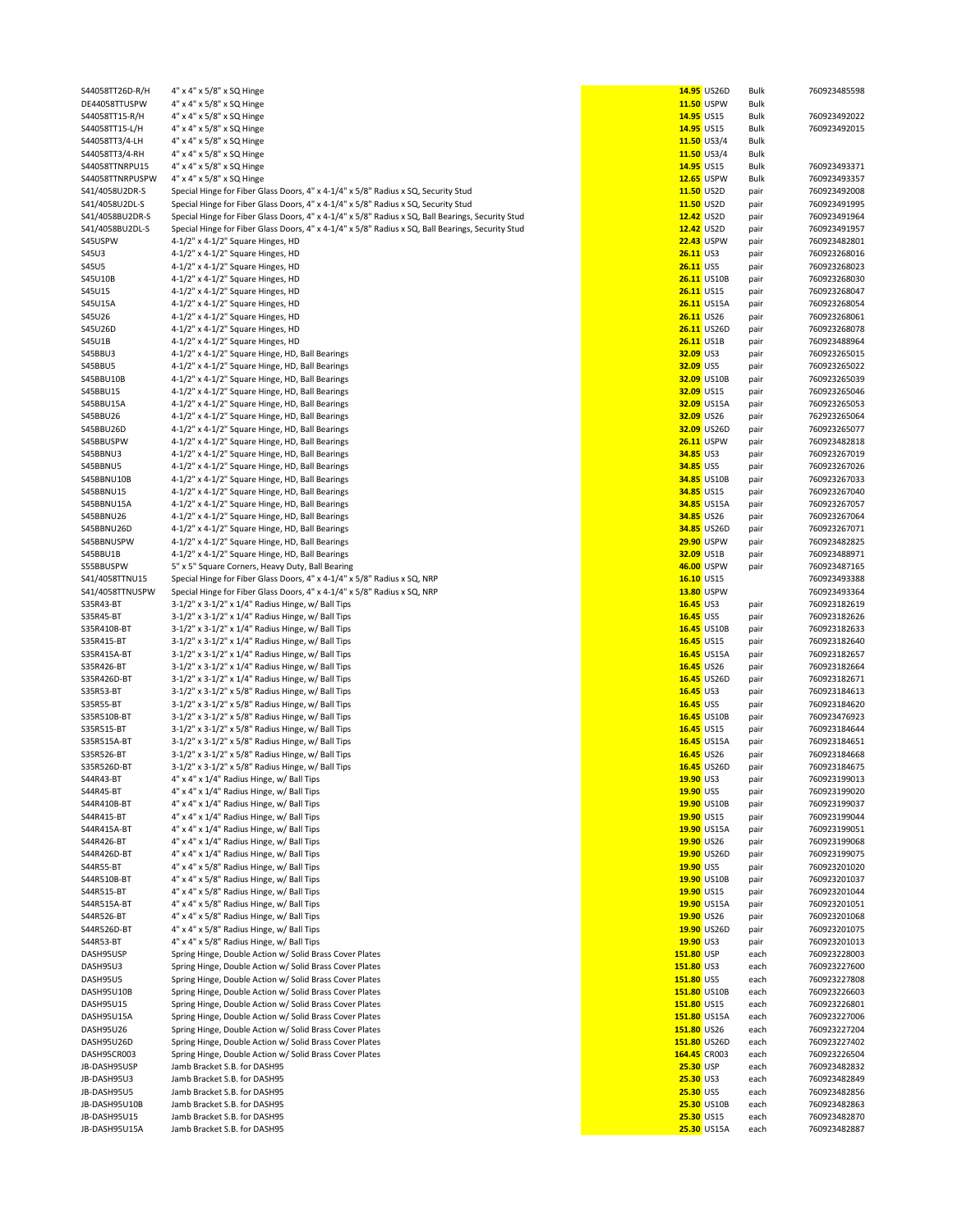| S44058TT26D-R/H                  | 4" x 4" x 5/8" x SQ Hinge                                                                                          |                             | 14.95 US26D        | Bulk         | 760923485598                 |
|----------------------------------|--------------------------------------------------------------------------------------------------------------------|-----------------------------|--------------------|--------------|------------------------------|
| DE44058TTUSPW                    | 4" x 4" x 5/8" x SQ Hinge                                                                                          |                             | 11.50 USPW         | Bulk         |                              |
| S44058TT15-R/H                   | 4" x 4" x 5/8" x SQ Hinge                                                                                          | 14.95 US15                  |                    | Bulk         | 760923492022                 |
| S44058TT15-L/H<br>S44058TT3/4-LH | 4" x 4" x 5/8" x SQ Hinge<br>4" x 4" x 5/8" x SQ Hinge                                                             | 14.95 US15                  | $11.50$ US3/4      | Bulk<br>Bulk | 760923492015                 |
| S44058TT3/4-RH                   | 4" x 4" x 5/8" x SQ Hinge                                                                                          |                             | $11.50$ US3/4      | Bulk         |                              |
| S44058TTNRPU15                   | 4" x 4" x 5/8" x SQ Hinge                                                                                          | 14.95 US15                  |                    | Bulk         | 760923493371                 |
| S44058TTNRPUSPW                  | 4" x 4" x 5/8" x SQ Hinge                                                                                          | <b>12.65 USPW</b>           |                    | <b>Bulk</b>  | 760923493357                 |
| S41/4058U2DR-S                   | Special Hinge for Fiber Glass Doors, 4" x 4-1/4" x 5/8" Radius x SQ, Security Stud                                 | 11.50 US2D                  |                    | pair         | 760923492008                 |
| S41/4058U2DL-S                   | Special Hinge for Fiber Glass Doors, 4" x 4-1/4" x 5/8" Radius x SQ, Security Stud                                 | 11.50 US2D                  |                    | pair         | 760923491995                 |
| S41/4058BU2DR-S                  | Special Hinge for Fiber Glass Doors, 4" x 4-1/4" x 5/8" Radius x SQ, Ball Bearings, Security Stud                  | 12.42 US2D                  |                    | pair         | 760923491964                 |
| S41/4058BU2DL-S                  | Special Hinge for Fiber Glass Doors, 4" x 4-1/4" x 5/8" Radius x SQ, Ball Bearings, Security Stud                  | 12.42 US2D                  |                    | pair         | 760923491957                 |
| S45USPW                          | 4-1/2" x 4-1/2" Square Hinges, HD                                                                                  |                             | 22.43 USPW         | pair         | 760923482801                 |
| S45U3                            | 4-1/2" x 4-1/2" Square Hinges, HD                                                                                  | $26.11$ US3                 |                    | pair         | 760923268016                 |
| <b>S45U5</b>                     | 4-1/2" x 4-1/2" Square Hinges, HD                                                                                  | <b>26.11</b> US5            |                    | pair         | 760923268023                 |
| S45U10B<br>S45U15                | 4-1/2" x 4-1/2" Square Hinges, HD<br>4-1/2" x 4-1/2" Square Hinges, HD                                             | <b>26.11 US15</b>           | <b>26.11 US10B</b> | pair         | 760923268030<br>760923268047 |
| S45U15A                          | 4-1/2" x 4-1/2" Square Hinges, HD                                                                                  |                             | 26.11 US15A        | pair<br>pair | 760923268054                 |
| S45U26                           | 4-1/2" x 4-1/2" Square Hinges, HD                                                                                  | <b>26.11 US26</b>           |                    | pair         | 760923268061                 |
| S45U26D                          | 4-1/2" x 4-1/2" Square Hinges, HD                                                                                  |                             | <b>26.11 US26D</b> | pair         | 760923268078                 |
| S45U1B                           | 4-1/2" x 4-1/2" Square Hinges, HD                                                                                  | 26.11 US1B                  |                    | pair         | 760923488964                 |
| S45BBU3                          | 4-1/2" x 4-1/2" Square Hinge, HD, Ball Bearings                                                                    | 32.09 US3                   |                    | pair         | 760923265015                 |
| S45BBU5                          | 4-1/2" x 4-1/2" Square Hinge, HD, Ball Bearings                                                                    | 32.09 US5                   |                    | pair         | 760923265022                 |
| S45BBU10B                        | 4-1/2" x 4-1/2" Square Hinge, HD, Ball Bearings                                                                    |                             | 32.09 US10B        | pair         | 760923265039                 |
| S45BBU15                         | 4-1/2" x 4-1/2" Square Hinge, HD, Ball Bearings                                                                    | 32.09 US15                  |                    | pair         | 760923265046                 |
| S45BBU15A                        | 4-1/2" x 4-1/2" Square Hinge, HD, Ball Bearings                                                                    |                             | 32.09 US15A        | pair         | 760923265053                 |
| S45BBU26                         | 4-1/2" x 4-1/2" Square Hinge, HD, Ball Bearings                                                                    | 32.09 US26                  |                    | pair         | 762923265064                 |
| S45BBU26D                        | 4-1/2" x 4-1/2" Square Hinge, HD, Ball Bearings                                                                    |                             | 32.09 US26D        | pair         | 760923265077                 |
| S45BBUSPW                        | 4-1/2" x 4-1/2" Square Hinge, HD, Ball Bearings                                                                    |                             | <b>26.11 USPW</b>  | pair         | 760923482818                 |
| S45BBNU3<br>S45BBNU5             | 4-1/2" x 4-1/2" Square Hinge, HD, Ball Bearings                                                                    | 34.85 US3<br>34.85 US5      |                    | pair         | 760923267019<br>760923267026 |
| S45BBNU10B                       | 4-1/2" x 4-1/2" Square Hinge, HD, Ball Bearings<br>4-1/2" x 4-1/2" Square Hinge, HD, Ball Bearings                 |                             | 34.85 US10B        | pair<br>pair | 760923267033                 |
| S45BBNU15                        | 4-1/2" x 4-1/2" Square Hinge, HD, Ball Bearings                                                                    | 34.85 US15                  |                    | pair         | 760923267040                 |
| S45BBNU15A                       | 4-1/2" x 4-1/2" Square Hinge, HD, Ball Bearings                                                                    |                             | 34.85 US15A        | pair         | 760923267057                 |
| S45BBNU26                        | 4-1/2" x 4-1/2" Square Hinge, HD, Ball Bearings                                                                    | 34.85 US26                  |                    | pair         | 760923267064                 |
| S45BBNU26D                       | 4-1/2" x 4-1/2" Square Hinge, HD, Ball Bearings                                                                    |                             | 34.85 US26D        | pair         | 760923267071                 |
| S45BBNUSPW                       | 4-1/2" x 4-1/2" Square Hinge, HD, Ball Bearings                                                                    |                             | <b>29.90 USPW</b>  | pair         | 760923482825                 |
| S45BBU1B                         | 4-1/2" x 4-1/2" Square Hinge, HD, Ball Bearings                                                                    | 32.09 US1B                  |                    | pair         | 760923488971                 |
| S55BBUSPW                        | 5" x 5" Square Corners, Heavy Duty, Ball Bearing                                                                   |                             | 46.00 USPW         | pair         | 760923487165                 |
| S41/4058TTNU15                   | Special Hinge for Fiber Glass Doors, 4" x 4-1/4" x 5/8" Radius x SQ, NRP                                           | 16.10 US15                  |                    |              | 760923493388                 |
| S41/4058TTNUSPW                  | Special Hinge for Fiber Glass Doors, 4" x 4-1/4" x 5/8" Radius x SQ, NRP                                           |                             | 13.80 USPW         |              | 760923493364                 |
| S35R43-BT                        | 3-1/2" x 3-1/2" x 1/4" Radius Hinge, w/ Ball Tips                                                                  | 16.45 US3                   |                    | pair         | 760923182619                 |
| S35R45-BT                        | 3-1/2" x 3-1/2" x 1/4" Radius Hinge, w/ Ball Tips                                                                  | 16.45 US5                   |                    | pair         | 760923182626                 |
| S35R410B-BT                      | 3-1/2" x 3-1/2" x 1/4" Radius Hinge, w/ Ball Tips                                                                  |                             | 16.45 US10B        | pair         | 760923182633                 |
| S35R415-BT<br>S35R415A-BT        | 3-1/2" x 3-1/2" x 1/4" Radius Hinge, w/ Ball Tips<br>3-1/2" x 3-1/2" x 1/4" Radius Hinge, w/ Ball Tips             | 16.45 US15                  | 16.45 US15A        | pair         | 760923182640<br>760923182657 |
| S35R426-BT                       | 3-1/2" x 3-1/2" x 1/4" Radius Hinge, w/ Ball Tips                                                                  | 16.45 US26                  |                    | pair<br>pair | 760923182664                 |
| S35R426D-BT                      | 3-1/2" x 3-1/2" x 1/4" Radius Hinge, w/ Ball Tips                                                                  |                             | 16.45 US26D        | pair         | 760923182671                 |
| S35R53-BT                        | 3-1/2" x 3-1/2" x 5/8" Radius Hinge, w/ Ball Tips                                                                  | <b>16.45 US3</b>            |                    | pair         | 760923184613                 |
| S35R55-BT                        | 3-1/2" x 3-1/2" x 5/8" Radius Hinge, w/ Ball Tips                                                                  | 16.45 US5                   |                    | pair         | 760923184620                 |
| S35R510B-BT                      | 3-1/2" x 3-1/2" x 5/8" Radius Hinge, w/ Ball Tips                                                                  |                             | 16.45 US10B        | pair         | 760923476923                 |
| S35R515-BT                       | 3-1/2" x 3-1/2" x 5/8" Radius Hinge, w/ Ball Tips                                                                  | <b>16.45 US15</b>           |                    | pair         | 760923184644                 |
| S35R515A-BT                      | 3-1/2" x 3-1/2" x 5/8" Radius Hinge, w/ Ball Tips                                                                  |                             | 16.45 US15A        | pair         | 760923184651                 |
| S35R526-BT                       | 3-1/2" x 3-1/2" x 5/8" Radius Hinge, w/ Ball Tips                                                                  | 16.45 US26                  |                    | pair         | 760923184668                 |
| S35R526D-BT                      | 3-1/2" x 3-1/2" x 5/8" Radius Hinge, w/ Ball Tips                                                                  |                             | 16.45 US26D        | pair         | 760923184675                 |
| S44R43-BT                        | 4" x 4" x 1/4" Radius Hinge, w/ Ball Tips                                                                          | 19.90 US3                   |                    | pair         | 760923199013                 |
| S44R45-BT                        | 4" x 4" x 1/4" Radius Hinge, w/ Ball Tips                                                                          | 19.90 US5                   |                    | pair         | 760923199020                 |
| S44R410B-BT                      | 4" x 4" x 1/4" Radius Hinge, w/ Ball Tips                                                                          |                             | 19.90 US10B        | pair         | 760923199037                 |
| S44R415-BT                       | 4" x 4" x 1/4" Radius Hinge, w/ Ball Tips<br>4" x 4" x 1/4" Radius Hinge, w/ Ball Tips                             | 19.90 US15                  |                    | pair         | 760923199044<br>760923199051 |
| S44R415A-BT<br>S44R426-BT        | 4" x 4" x 1/4" Radius Hinge, w/ Ball Tips                                                                          | 19.90 US26                  | 19.90 US15A        | pair<br>pair | 760923199068                 |
| S44R426D-BT                      | 4" x 4" x 1/4" Radius Hinge, w/ Ball Tips                                                                          |                             | 19.90 US26D        | pair         | 760923199075                 |
| S44R55-BT                        | 4" x 4" x 5/8" Radius Hinge, w/ Ball Tips                                                                          | 19.90 US5                   |                    | pair         | 760923201020                 |
| S44R510B-BT                      | 4" x 4" x 5/8" Radius Hinge, w/ Ball Tips                                                                          |                             | 19.90 US10B        | pair         | 760923201037                 |
| S44R515-BT                       | 4" x 4" x 5/8" Radius Hinge, w/ Ball Tips                                                                          | 19.90 US15                  |                    | pair         | 760923201044                 |
| S44R515A-BT                      | 4" x 4" x 5/8" Radius Hinge, w/ Ball Tips                                                                          |                             | 19.90 US15A        | pair         | 760923201051                 |
| S44R526-BT                       | 4" x 4" x 5/8" Radius Hinge, w/ Ball Tips                                                                          | 19.90 US26                  |                    | pair         | 760923201068                 |
| S44R526D-BT                      | 4" x 4" x 5/8" Radius Hinge, w/ Ball Tips                                                                          |                             | 19.90 US26D        | pair         | 760923201075                 |
| S44R53-BT                        | 4" x 4" x 5/8" Radius Hinge, w/ Ball Tips                                                                          | 19.90 US3                   |                    | pair         | 760923201013                 |
| DASH95USP                        | Spring Hinge, Double Action w/ Solid Brass Cover Plates                                                            | 151.80 USP                  |                    | each         | 760923228003                 |
| DASH95U3                         | Spring Hinge, Double Action w/ Solid Brass Cover Plates                                                            | 151.80 US3                  |                    | each         | 760923227600                 |
| DASH95U5                         | Spring Hinge, Double Action w/ Solid Brass Cover Plates                                                            | 151.80 US5                  |                    | each         | 760923227808                 |
| DASH95U10B<br>DASH95U15          | Spring Hinge, Double Action w/ Solid Brass Cover Plates<br>Spring Hinge, Double Action w/ Solid Brass Cover Plates | 151.80 US10B<br>151.80 US15 |                    | each         | 760923226603<br>760923226801 |
| DASH95U15A                       | Spring Hinge, Double Action w/ Solid Brass Cover Plates                                                            | 151.80 US15A                |                    | each<br>each | 760923227006                 |
| DASH95U26                        | Spring Hinge, Double Action w/ Solid Brass Cover Plates                                                            | 151.80 US26                 |                    | each         | 760923227204                 |
| DASH95U26D                       | Spring Hinge, Double Action w/ Solid Brass Cover Plates                                                            | 151.80 US26D                |                    | each         | 760923227402                 |
| DASH95CR003                      | Spring Hinge, Double Action w/ Solid Brass Cover Plates                                                            | 164.45 CR003                |                    | each         | 760923226504                 |
| JB-DASH95USP                     | Jamb Bracket S.B. for DASH95                                                                                       | 25.30 USP                   |                    | each         | 760923482832                 |
| JB-DASH95U3                      | Jamb Bracket S.B. for DASH95                                                                                       | <b>25.30 US3</b>            |                    | each         | 760923482849                 |
| JB-DASH95U5                      | Jamb Bracket S.B. for DASH95                                                                                       | 25.30 US5                   |                    | each         | 760923482856                 |
| JB-DASH95U10B                    | Jamb Bracket S.B. for DASH95                                                                                       |                             | 25.30 US10B        | each         | 760923482863                 |
| JB-DASH95U15                     | Jamb Bracket S.B. for DASH95                                                                                       | 25.30 US15                  |                    | each         | 760923482870                 |
| JB-DASH95U15A                    | Jamb Bracket S.B. for DASH95                                                                                       |                             | 25.30 US15A        | each         | 760923482887                 |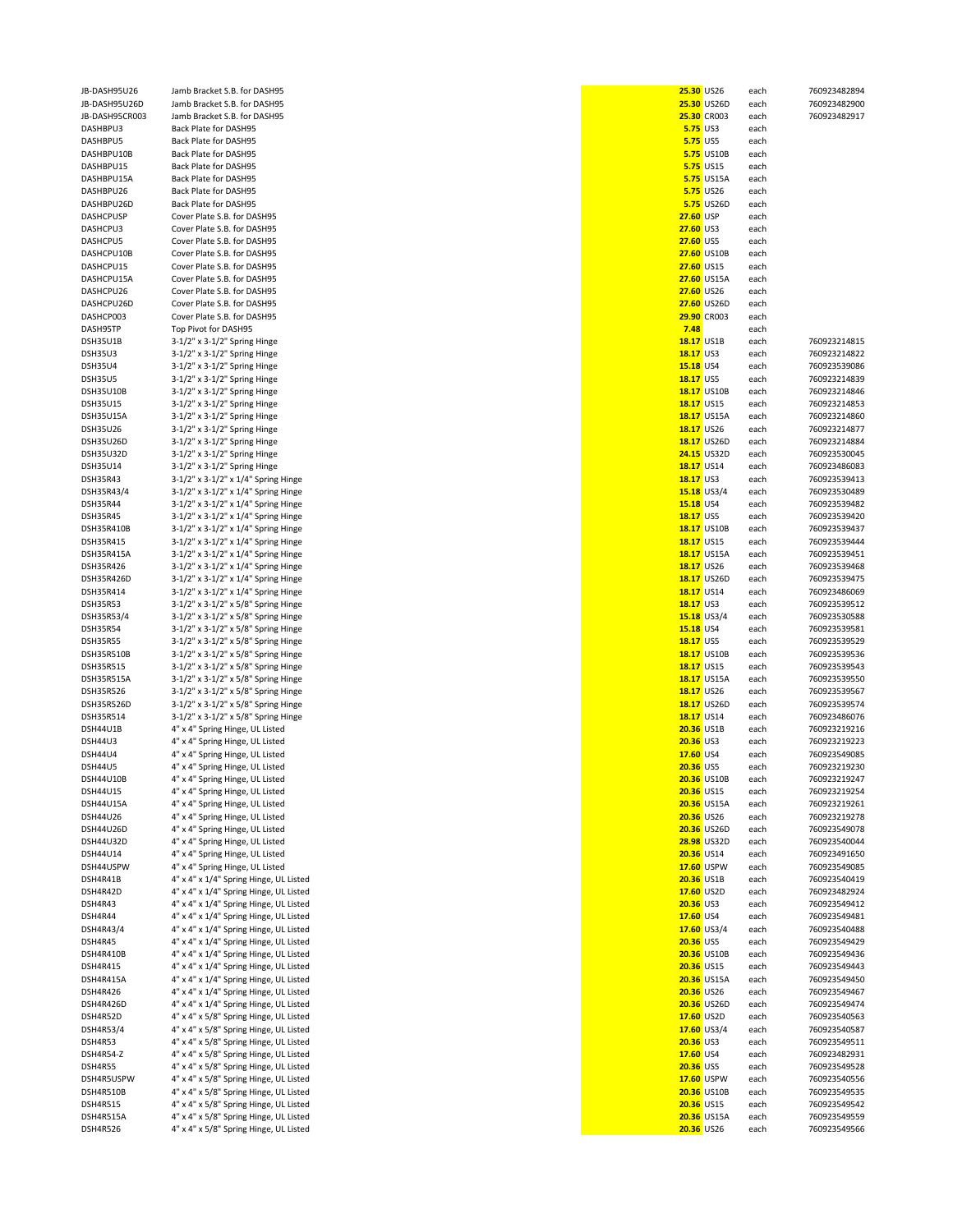| JB-DASH95U26     | Jamb Bracket S.B. for DASH95           |                  | 25.30 US26         |      | 760923482894 |
|------------------|----------------------------------------|------------------|--------------------|------|--------------|
|                  |                                        |                  |                    | each |              |
| JB-DASH95U26D    | Jamb Bracket S.B. for DASH95           |                  | 25.30 US26D        | each | 760923482900 |
| JB-DASH95CR003   | Jamb Bracket S.B. for DASH95           |                  | <b>25.30 CR003</b> | each | 760923482917 |
| DASHBPU3         | Back Plate for DASH95                  |                  | <b>5.75 US3</b>    | each |              |
| DASHBPU5         | Back Plate for DASH95                  |                  | <b>5.75 US5</b>    | each |              |
| DASHBPU10B       | Back Plate for DASH95                  |                  | <b>5.75 US10B</b>  | each |              |
| DASHBPU15        | Back Plate for DASH95                  |                  | <b>5.75 US15</b>   | each |              |
| DASHBPU15A       | Back Plate for DASH95                  |                  | <b>5.75 US15A</b>  | each |              |
| DASHBPU26        | <b>Back Plate for DASH95</b>           |                  | <b>5.75</b> US26   | each |              |
|                  |                                        |                  | <b>5.75 US26D</b>  |      |              |
| DASHBPU26D       | Back Plate for DASH95                  |                  |                    | each |              |
| <b>DASHCPUSP</b> | Cover Plate S.B. for DASH95            | <b>27.60 USP</b> |                    | each |              |
| DASHCPU3         | Cover Plate S.B. for DASH95            | 27.60 US3        |                    | each |              |
| DASHCPU5         | Cover Plate S.B. for DASH95            | 27.60 US5        |                    | each |              |
| DASHCPU10B       | Cover Plate S.B. for DASH95            |                  | <b>27.60 US10B</b> | each |              |
| DASHCPU15        | Cover Plate S.B. for DASH95            |                  | <b>27.60 US15</b>  | each |              |
|                  |                                        |                  |                    |      |              |
| DASHCPU15A       | Cover Plate S.B. for DASH95            |                  | 27.60 US15A        | each |              |
| DASHCPU26        | Cover Plate S.B. for DASH95            |                  | <b>27.60 US26</b>  | each |              |
| DASHCPU26D       | Cover Plate S.B. for DASH95            |                  | 27.60 US26D        | each |              |
| DASHCP003        | Cover Plate S.B. for DASH95            |                  | 29.90 CR003        | each |              |
| DASH95TP         | Top Pivot for DASH95                   | 7.48             |                    | each |              |
| DSH35U1B         | 3-1/2" x 3-1/2" Spring Hinge           |                  | 18.17 US1B         | each | 760923214815 |
|                  |                                        |                  |                    |      |              |
| <b>DSH35U3</b>   | 3-1/2" x 3-1/2" Spring Hinge           | 18.17 US3        |                    | each | 760923214822 |
| <b>DSH35U4</b>   | 3-1/2" x 3-1/2" Spring Hinge           | 15.18 US4        |                    | each | 760923539086 |
| <b>DSH35U5</b>   | 3-1/2" x 3-1/2" Spring Hinge           | 18.17 US5        |                    | each | 760923214839 |
| DSH35U10B        | 3-1/2" x 3-1/2" Spring Hinge           |                  | <b>18.17 US10B</b> | each | 760923214846 |
| <b>DSH35U15</b>  | 3-1/2" x 3-1/2" Spring Hinge           |                  | 18.17 US15         | each | 760923214853 |
| DSH35U15A        | $3-1/2"$ x $3-1/2"$ Spring Hinge       |                  | <b>18.17 US15A</b> | each | 760923214860 |
|                  |                                        |                  |                    |      | 760923214877 |
| <b>DSH35U26</b>  | 3-1/2" x 3-1/2" Spring Hinge           |                  | 18.17 US26         | each |              |
| DSH35U26D        | 3-1/2" x 3-1/2" Spring Hinge           |                  | 18.17 US26D        | each | 760923214884 |
| <b>DSH35U32D</b> | $3-1/2"$ x $3-1/2"$ Spring Hinge       |                  | <b>24.15 US32D</b> | each | 760923530045 |
| DSH35U14         | 3-1/2" x 3-1/2" Spring Hinge           |                  | 18.17 US14         | each | 760923486083 |
| DSH35R43         | 3-1/2" x 3-1/2" x 1/4" Spring Hinge    | 18.17 US3        |                    | each | 760923539413 |
|                  |                                        |                  |                    |      |              |
| DSH35R43/4       | 3-1/2" x 3-1/2" x 1/4" Spring Hinge    |                  | $15.18$ US3/4      | each | 760923530489 |
| <b>DSH35R44</b>  | 3-1/2" x 3-1/2" x 1/4" Spring Hinge    | 15.18 US4        |                    | each | 760923539482 |
| <b>DSH35R45</b>  | 3-1/2" x 3-1/2" x 1/4" Spring Hinge    | 18.17 US5        |                    | each | 760923539420 |
| DSH35R410B       | 3-1/2" x 3-1/2" x 1/4" Spring Hinge    |                  | 18.17 US10B        | each | 760923539437 |
| DSH35R415        | 3-1/2" x 3-1/2" x 1/4" Spring Hinge    |                  | 18.17 US15         | each | 760923539444 |
| DSH35R415A       | 3-1/2" x 3-1/2" x 1/4" Spring Hinge    |                  | 18.17 US15A        | each | 760923539451 |
|                  |                                        |                  |                    |      |              |
| DSH35R426        | 3-1/2" x 3-1/2" x 1/4" Spring Hinge    |                  | 18.17 US26         | each | 760923539468 |
| DSH35R426D       | 3-1/2" x 3-1/2" x 1/4" Spring Hinge    |                  | 18.17 US26D        | each | 760923539475 |
| DSH35R414        | 3-1/2" x 3-1/2" x 1/4" Spring Hinge    |                  | 18.17 US14         | each | 760923486069 |
| <b>DSH35R53</b>  | 3-1/2" x 3-1/2" x 5/8" Spring Hinge    | 18.17 US3        |                    | each | 760923539512 |
| DSH35R53/4       | 3-1/2" x 3-1/2" x 5/8" Spring Hinge    |                  | $15.18$ US3/4      | each | 760923530588 |
| <b>DSH35R54</b>  |                                        | 15.18 US4        |                    |      | 760923539581 |
|                  | 3-1/2" x 3-1/2" x 5/8" Spring Hinge    |                  |                    | each |              |
| <b>DSH35R55</b>  | 3-1/2" x 3-1/2" x 5/8" Spring Hinge    | <b>18.17 US5</b> |                    | each | 760923539529 |
| DSH35R510B       | 3-1/2" x 3-1/2" x 5/8" Spring Hinge    |                  | 18.17 US10B        | each | 760923539536 |
| <b>DSH35R515</b> | 3-1/2" x 3-1/2" x 5/8" Spring Hinge    |                  | 18.17 US15         | each | 760923539543 |
| DSH35R515A       | 3-1/2" x 3-1/2" x 5/8" Spring Hinge    |                  | 18.17 US15A        | each | 760923539550 |
| DSH35R526        | 3-1/2" x 3-1/2" x 5/8" Spring Hinge    |                  | 18.17 US26         | each | 760923539567 |
|                  |                                        |                  |                    |      |              |
| DSH35R526D       | 3-1/2" x 3-1/2" x 5/8" Spring Hinge    |                  | 18.17 US26D        | each | 760923539574 |
| DSH35R514        | 3-1/2" x 3-1/2" x 5/8" Spring Hinge    |                  | 18.17 US14         | each | 760923486076 |
| DSH44U1B         | 4" x 4" Spring Hinge, UL Listed        |                  | <b>20.36 US1B</b>  | each | 760923219216 |
| <b>DSH44U3</b>   | 4" x 4" Spring Hinge, UL Listed        | 20.36 US3        |                    | each | 760923219223 |
| <b>DSH44U4</b>   | 4" x 4" Spring Hinge, UL Listed        | 17.60 US4        |                    | each | 760923549085 |
| <b>DSH44U5</b>   | 4" x 4" Spring Hinge, UL Listed        | 20.36 US5        |                    | each | 760923219230 |
|                  |                                        |                  |                    |      |              |
| DSH44U10B        | 4" x 4" Spring Hinge, UL Listed        |                  | 20.36 US10B        | eacn | 760923219247 |
| DSH44U15         | 4" x 4" Spring Hinge, UL Listed        |                  | 20.36 US15         | each | 760923219254 |
| DSH44U15A        | 4" x 4" Spring Hinge, UL Listed        |                  | <b>20.36 US15A</b> | each | 760923219261 |
| DSH44U26         | 4" x 4" Spring Hinge, UL Listed        |                  | 20.36 US26         | each | 760923219278 |
| DSH44U26D        | 4" x 4" Spring Hinge, UL Listed        |                  | 20.36 US26D        | each | 760923549078 |
| DSH44U32D        | 4" x 4" Spring Hinge, UL Listed        |                  | <b>28.98 US32D</b> | each | 760923540044 |
|                  |                                        |                  |                    |      |              |
| DSH44U14         | 4" x 4" Spring Hinge, UL Listed        |                  | 20.36 US14         | each | 760923491650 |
| DSH44USPW        | 4" x 4" Spring Hinge, UL Listed        |                  | 17.60 USPW         | each | 760923549085 |
| DSH4R41B         | 4" x 4" x 1/4" Spring Hinge, UL Listed |                  | <b>20.36 US1B</b>  | each | 760923540419 |
| DSH4R42D         | 4" x 4" x 1/4" Spring Hinge, UL Listed |                  | 17.60 US2D         | each | 760923482924 |
| DSH4R43          | 4" x 4" x 1/4" Spring Hinge, UL Listed | 20.36 US3        |                    | each | 760923549412 |
| DSH4R44          |                                        | 17.60 US4        |                    |      | 760923549481 |
|                  | 4" x 4" x 1/4" Spring Hinge, UL Listed |                  |                    | each |              |
| DSH4R43/4        | 4" x 4" x 1/4" Spring Hinge, UL Listed |                  | 17.60 US3/4        | each | 760923540488 |
| DSH4R45          | 4" x 4" x 1/4" Spring Hinge, UL Listed | 20.36 US5        |                    | each | 760923549429 |
| DSH4R410B        | 4" x 4" x 1/4" Spring Hinge, UL Listed |                  | 20.36 US10B        | each | 760923549436 |
| DSH4R415         | 4" x 4" x 1/4" Spring Hinge, UL Listed |                  | 20.36 US15         | each | 760923549443 |
| DSH4R415A        | 4" x 4" x 1/4" Spring Hinge, UL Listed |                  | 20.36 US15A        | each | 760923549450 |
|                  |                                        |                  | 20.36 US26         |      |              |
| DSH4R426         | 4" x 4" x 1/4" Spring Hinge, UL Listed |                  |                    | each | 760923549467 |
| DSH4R426D        | 4" x 4" x 1/4" Spring Hinge, UL Listed |                  | 20.36 US26D        | each | 760923549474 |
| DSH4R52D         | 4" x 4" x 5/8" Spring Hinge, UL Listed |                  | 17.60 US2D         | each | 760923540563 |
| DSH4R53/4        | 4" x 4" x 5/8" Spring Hinge, UL Listed |                  | 17.60 US3/4        | each | 760923540587 |
| DSH4R53          | 4" x 4" x 5/8" Spring Hinge, UL Listed | 20.36 US3        |                    | each | 760923549511 |
| DSH4R54-Z        | 4" x 4" x 5/8" Spring Hinge, UL Listed | 17.60 US4        |                    |      | 760923482931 |
|                  |                                        |                  |                    | each |              |
| DSH4R55          | 4" x 4" x 5/8" Spring Hinge, UL Listed | 20.36 US5        |                    | each | 760923549528 |
| DSH4R5USPW       | 4" x 4" x 5/8" Spring Hinge, UL Listed |                  | 17.60 USPW         | each | 760923540556 |
| DSH4R510B        | 4" x 4" x 5/8" Spring Hinge, UL Listed |                  | 20.36 US10B        | each | 760923549535 |
| DSH4R515         | 4" x 4" x 5/8" Spring Hinge, UL Listed |                  | 20.36 US15         | each | 760923549542 |
| DSH4R515A        | 4" x 4" x 5/8" Spring Hinge, UL Listed |                  | 20.36 US15A        | each | 760923549559 |
| DSH4R526         | 4" x 4" x 5/8" Spring Hinge, UL Listed |                  | 20.36 US26         |      | 760923549566 |
|                  |                                        |                  |                    | each |              |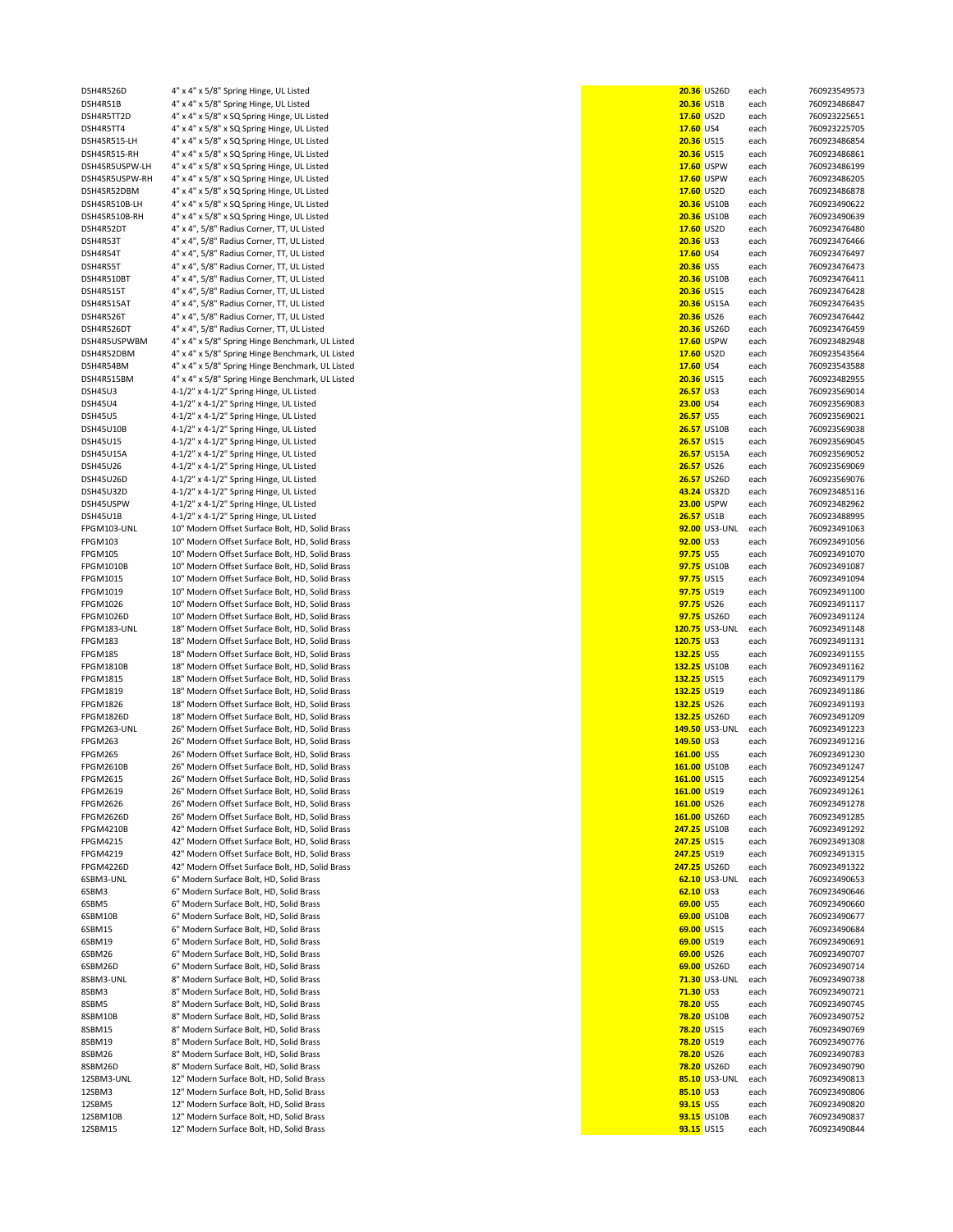| DSH4R526D        | 4" x 4" x 5/8" Spring Hinge, UL Listed           |                   | 20.36 US26D        | each | 760923549573 |
|------------------|--------------------------------------------------|-------------------|--------------------|------|--------------|
|                  |                                                  |                   |                    |      |              |
| DSH4R51B         | 4" x 4" x 5/8" Spring Hinge, UL Listed           | <b>20.36 US1B</b> |                    | each | 760923486847 |
| DSH4R5TT2D       | 4" x 4" x 5/8" x SQ Spring Hinge, UL Listed      | 17.60 US2D        |                    | each | 760923225651 |
| DSH4R5TT4        | 4" x 4" x 5/8" x SQ Spring Hinge, UL Listed      | 17.60 US4         |                    | each | 760923225705 |
| DSH4SR515-LH     | 4" x 4" x 5/8" x SQ Spring Hinge, UL Listed      | 20.36 US15        |                    | each | 760923486854 |
| DSH4SR515-RH     | 4" x 4" x 5/8" x SQ Spring Hinge, UL Listed      | 20.36 US15        |                    | each | 760923486861 |
|                  |                                                  |                   | 17.60 USPW         |      |              |
| DSH4SR5USPW-LH   | 4" x 4" x 5/8" x SQ Spring Hinge, UL Listed      |                   |                    | each | 760923486199 |
| DSH4SR5USPW-RH   | 4" x 4" x 5/8" x SQ Spring Hinge, UL Listed      |                   | 17.60 USPW         | each | 760923486205 |
| DSH4SR52DBM      | 4" x 4" x 5/8" x SQ Spring Hinge, UL Listed      | 17.60 US2D        |                    | each | 760923486878 |
| DSH4SR510B-LH    | 4" x 4" x 5/8" x SQ Spring Hinge, UL Listed      |                   | 20.36 US10B        | each | 760923490622 |
| DSH4SR510B-RH    | 4" x 4" x 5/8" x SQ Spring Hinge, UL Listed      |                   | 20.36 US10B        | each | 760923490639 |
|                  |                                                  |                   |                    |      |              |
| DSH4R52DT        | 4" x 4", 5/8" Radius Corner, TT, UL Listed       | 17.60 US2D        |                    | each | 760923476480 |
| DSH4R53T         | 4" x 4", 5/8" Radius Corner, TT, UL Listed       | 20.36 US3         |                    | each | 760923476466 |
| DSH4R54T         | 4" x 4", 5/8" Radius Corner, TT, UL Listed       | 17.60 US4         |                    | each | 760923476497 |
| DSH4R55T         | 4" x 4", 5/8" Radius Corner, TT, UL Listed       | 20.36 US5         |                    | each | 760923476473 |
|                  |                                                  |                   |                    |      |              |
| DSH4R510BT       | 4" x 4", 5/8" Radius Corner, TT, UL Listed       |                   | 20.36 US10B        | each | 760923476411 |
| DSH4R515T        | 4" x 4", 5/8" Radius Corner, TT, UL Listed       | 20.36 US15        |                    | each | 760923476428 |
| DSH4R515AT       | 4" x 4", 5/8" Radius Corner, TT, UL Listed       |                   | 20.36 US15A        | each | 760923476435 |
| DSH4R526T        | 4" x 4", 5/8" Radius Corner, TT, UL Listed       | 20.36 US26        |                    | each | 760923476442 |
|                  |                                                  |                   |                    |      |              |
| DSH4R526DT       | 4" x 4", 5/8" Radius Corner, TT, UL Listed       |                   | 20.36 US26D        | each | 760923476459 |
| DSH4R5USPWBM     | 4" x 4" x 5/8" Spring Hinge Benchmark, UL Listed |                   | 17.60 USPW         | each | 760923482948 |
| DSH4R52DBM       | 4" x 4" x 5/8" Spring Hinge Benchmark, UL Listed | 17.60 US2D        |                    | each | 760923543564 |
| DSH4R54BM        | 4" x 4" x 5/8" Spring Hinge Benchmark, UL Listed | 17.60 US4         |                    | each | 760923543588 |
|                  |                                                  |                   |                    |      |              |
| DSH4R515BM       | 4" x 4" x 5/8" Spring Hinge Benchmark, UL Listed | 20.36 US15        |                    | each | 760923482955 |
| <b>DSH45U3</b>   | 4-1/2" x 4-1/2" Spring Hinge, UL Listed          | 26.57 US3         |                    | each | 760923569014 |
| <b>DSH45U4</b>   | 4-1/2" x 4-1/2" Spring Hinge, UL Listed          | 23.00 US4         |                    | each | 760923569083 |
| <b>DSH45U5</b>   | 4-1/2" x 4-1/2" Spring Hinge, UL Listed          | <b>26.57 US5</b>  |                    | each | 760923569021 |
|                  |                                                  |                   |                    |      |              |
| <b>DSH45U10B</b> | 4-1/2" x 4-1/2" Spring Hinge, UL Listed          |                   | <b>26.57 US10B</b> | each | 760923569038 |
| <b>DSH45U15</b>  | 4-1/2" x 4-1/2" Spring Hinge, UL Listed          | 26.57 US15        |                    | each | 760923569045 |
| DSH45U15A        | 4-1/2" x 4-1/2" Spring Hinge, UL Listed          |                   | <b>26.57 US15A</b> | each | 760923569052 |
|                  |                                                  |                   |                    |      | 760923569069 |
| <b>DSH45U26</b>  | 4-1/2" x 4-1/2" Spring Hinge, UL Listed          | 26.57 US26        |                    | each |              |
| DSH45U26D        | 4-1/2" x 4-1/2" Spring Hinge, UL Listed          |                   | <b>26.57 US26D</b> | each | 760923569076 |
| DSH45U32D        | 4-1/2" x 4-1/2" Spring Hinge, UL Listed          |                   | 43.24 US32D        | each | 760923485116 |
| DSH45USPW        | 4-1/2" x 4-1/2" Spring Hinge, UL Listed          |                   | <b>23.00 USPW</b>  | each | 760923482962 |
|                  |                                                  |                   |                    |      |              |
| DSH45U1B         | 4-1/2" x 4-1/2" Spring Hinge, UL Listed          | <b>26.57 US1B</b> |                    | each | 760923488995 |
| FPGM103-UNL      | 10" Modern Offset Surface Bolt, HD, Solid Brass  |                   | 92.00 US3-UNL      | each | 760923491063 |
| <b>FPGM103</b>   | 10" Modern Offset Surface Bolt, HD, Solid Brass  | 92.00 US3         |                    | each | 760923491056 |
| <b>FPGM105</b>   | 10" Modern Offset Surface Bolt, HD, Solid Brass  | 97.75 US5         |                    | each | 760923491070 |
|                  |                                                  |                   |                    |      |              |
| <b>FPGM1010B</b> | 10" Modern Offset Surface Bolt, HD, Solid Brass  |                   | 97.75 US10B        | each | 760923491087 |
| FPGM1015         | 10" Modern Offset Surface Bolt, HD, Solid Brass  | 97.75 US15        |                    | each | 760923491094 |
| FPGM1019         | 10" Modern Offset Surface Bolt, HD, Solid Brass  | 97.75 US19        |                    | each | 760923491100 |
| FPGM1026         | 10" Modern Offset Surface Bolt, HD, Solid Brass  | 97.75 US26        |                    | each | 760923491117 |
|                  |                                                  |                   |                    |      |              |
| <b>FPGM1026D</b> | 10" Modern Offset Surface Bolt, HD, Solid Brass  |                   | 97.75 US26D        | each | 760923491124 |
| FPGM183-UNL      | 18" Modern Offset Surface Bolt, HD, Solid Brass  |                   | 120.75 US3-UNL     | each | 760923491148 |
| FPGM183          | 18" Modern Offset Surface Bolt, HD, Solid Brass  | 120.75 US3        |                    | each | 760923491131 |
|                  |                                                  |                   |                    |      |              |
| FPGM185          | 18" Modern Offset Surface Bolt, HD, Solid Brass  | 132.25 US5        |                    | each | 760923491155 |
| <b>FPGM1810B</b> | 18" Modern Offset Surface Bolt, HD, Solid Brass  | 132.25 US10B      |                    | each | 760923491162 |
| <b>FPGM1815</b>  | 18" Modern Offset Surface Bolt, HD, Solid Brass  | 132.25 US15       |                    | each | 760923491179 |
| <b>FPGM1819</b>  | 18" Modern Offset Surface Bolt, HD, Solid Brass  | 132.25 US19       |                    | each | 760923491186 |
|                  |                                                  |                   |                    |      |              |
| <b>FPGM1826</b>  | 18" Modern Offset Surface Bolt, HD, Solid Brass  | 132.25 US26       |                    | each | 760923491193 |
| <b>FPGM1826D</b> | 18" Modern Offset Surface Bolt, HD, Solid Brass  | 132.25 US26D      |                    | each | 760923491209 |
| FPGM263-UNL      | 26" Modern Offset Surface Bolt, HD, Solid Brass  |                   | 149.50 US3-UNL     | each | 760923491223 |
| FPGM263          | 26" Modern Offset Surface Bolt, HD, Solid Brass  | 149.50 US3        |                    | each | 760923491216 |
|                  |                                                  |                   |                    |      |              |
| FPGM265          | 26" Modern Offset Surface Bolt, HD, Solid Brass  | 161.00 US5        |                    | each | 760923491230 |
| <b>FPGM2610B</b> | 26" Modern Offset Surface Bolt, HD, Solid Brass  | 161.00 US10B      |                    | each | 760923491247 |
| <b>FPGM2615</b>  | 26" Modern Offset Surface Bolt, HD, Solid Brass  | 161.00 US15       |                    | each | 760923491254 |
| FPGM2619         | 26" Modern Offset Surface Bolt, HD, Solid Brass  | 161.00 US19       |                    | each | 760923491261 |
|                  |                                                  |                   |                    |      |              |
| <b>FPGM2626</b>  | 26" Modern Offset Surface Bolt, HD, Solid Brass  | 161.00 US26       |                    | each | 760923491278 |
| FPGM2626D        | 26" Modern Offset Surface Bolt, HD, Solid Brass  | 161.00 US26D      |                    | each | 760923491285 |
| <b>FPGM4210B</b> | 42" Modern Offset Surface Bolt, HD, Solid Brass  | 247.25 US10B      |                    | each | 760923491292 |
| <b>FPGM4215</b>  | 42" Modern Offset Surface Bolt, HD, Solid Brass  | 247.25 US15       |                    | each | 760923491308 |
| FPGM4219         | 42" Modern Offset Surface Bolt, HD, Solid Brass  | 247.25 US19       |                    | each | 760923491315 |
|                  |                                                  |                   |                    |      |              |
| <b>FPGM4226D</b> | 42" Modern Offset Surface Bolt, HD, Solid Brass  | 247.25 US26D      |                    | each | 760923491322 |
| 6SBM3-UNL        | 6" Modern Surface Bolt, HD, Solid Brass          |                   | 62.10 US3-UNL      | each | 760923490653 |
| 6SBM3            | 6" Modern Surface Bolt, HD, Solid Brass          | 62.10 US3         |                    | each | 760923490646 |
| 6SBM5            | 6" Modern Surface Bolt, HD, Solid Brass          | 69.00 US5         |                    | each | 760923490660 |
|                  |                                                  |                   |                    |      |              |
| 6SBM10B          | 6" Modern Surface Bolt, HD, Solid Brass          |                   | 69.00 US10B        | each | 760923490677 |
| 6SBM15           | 6" Modern Surface Bolt, HD, Solid Brass          | 69.00 US15        |                    | each | 760923490684 |
| 6SBM19           | 6" Modern Surface Bolt, HD, Solid Brass          | 69.00 US19        |                    | each | 760923490691 |
| 6SBM26           | 6" Modern Surface Bolt, HD, Solid Brass          | 69.00 US26        |                    | each | 760923490707 |
|                  | 6" Modern Surface Bolt, HD, Solid Brass          |                   |                    |      |              |
| 6SBM26D          |                                                  |                   | 69.00 US26D        | each | 760923490714 |
| 8SBM3-UNL        | 8" Modern Surface Bolt, HD, Solid Brass          |                   | 71.30 US3-UNL      | each | 760923490738 |
| 8SBM3            | 8" Modern Surface Bolt, HD, Solid Brass          | 71.30 US3         |                    | each | 760923490721 |
| 8SBM5            | 8" Modern Surface Bolt, HD, Solid Brass          | <b>78.20 US5</b>  |                    | each | 760923490745 |
|                  |                                                  |                   |                    |      |              |
| 8SBM10B          | 8" Modern Surface Bolt, HD, Solid Brass          |                   | <b>78.20 US10B</b> | each | 760923490752 |
| 8SBM15           | 8" Modern Surface Bolt, HD, Solid Brass          | 78.20 US15        |                    | each | 760923490769 |
| 8SBM19           | 8" Modern Surface Bolt, HD, Solid Brass          | 78.20 US19        |                    | each | 760923490776 |
| 8SBM26           | 8" Modern Surface Bolt, HD, Solid Brass          | 78.20 US26        |                    | each | 760923490783 |
|                  |                                                  |                   |                    |      |              |
| 8SBM26D          | 8" Modern Surface Bolt, HD, Solid Brass          |                   | 78.20 US26D        | each | 760923490790 |
| 12SBM3-UNL       | 12" Modern Surface Bolt, HD, Solid Brass         |                   | 85.10 US3-UNL      | each | 760923490813 |
| 12SBM3           | 12" Modern Surface Bolt, HD, Solid Brass         | 85.10 US3         |                    | each | 760923490806 |
| 12SBM5           | 12" Modern Surface Bolt, HD, Solid Brass         | 93.15 US5         |                    | each | 760923490820 |
| 12SBM10B         | 12" Modern Surface Bolt, HD, Solid Brass         |                   | 93.15 US10B        |      |              |
|                  |                                                  |                   |                    | each | 760923490837 |
| 12SBM15          | 12" Modern Surface Bolt, HD, Solid Brass         | 93.15 US15        |                    | each | 760923490844 |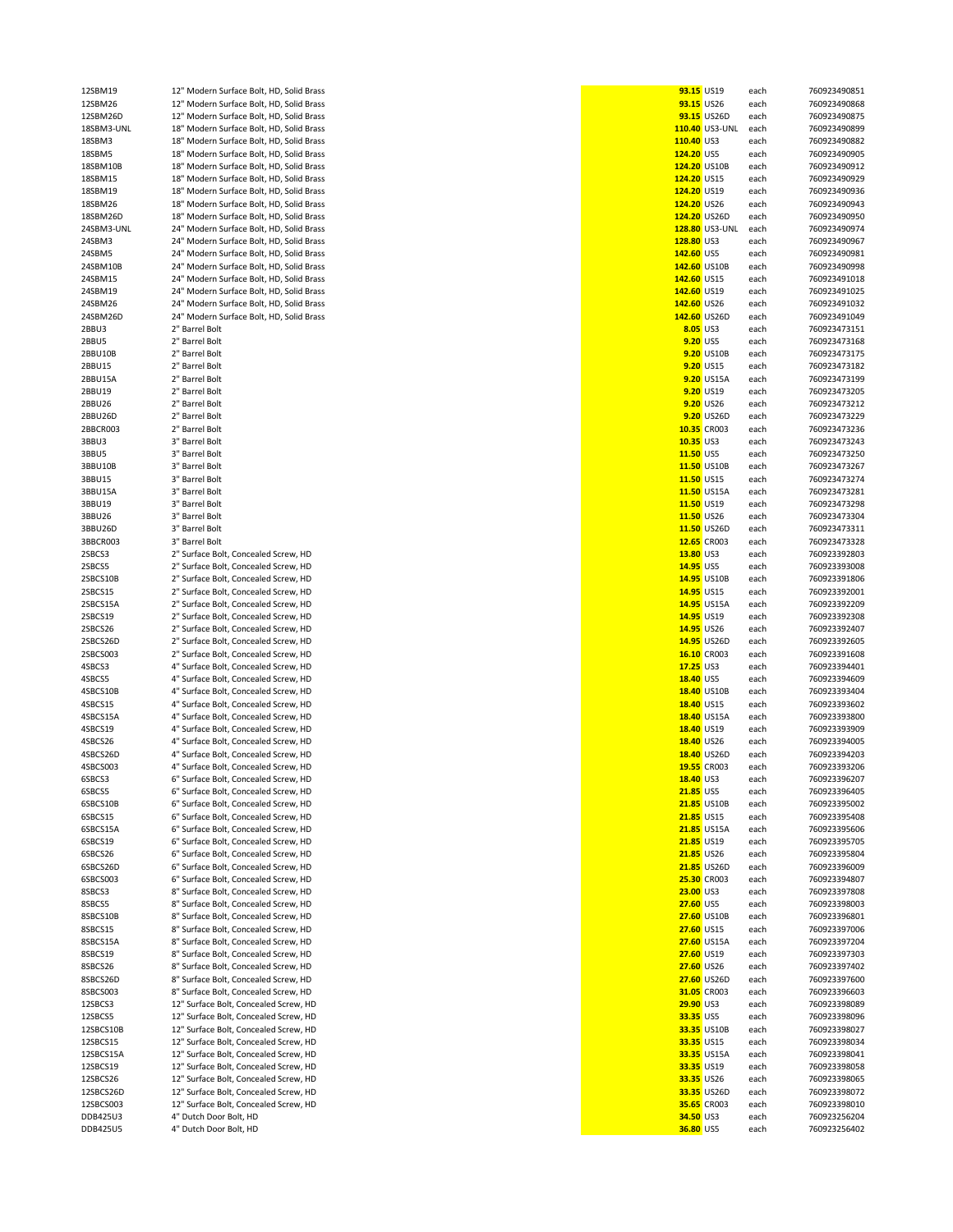| 12SBM19            | 12" Modern Surface Bolt, HD, Solid Brass | 93.15 US19               |                    | each         | 760923490851 |
|--------------------|------------------------------------------|--------------------------|--------------------|--------------|--------------|
| 12SBM26            | 12" Modern Surface Bolt, HD, Solid Brass | 93.15 US26               |                    | each         | 760923490868 |
| 12SBM26D           | 12" Modern Surface Bolt, HD, Solid Brass |                          | 93.15 US26D        | each         | 760923490875 |
| 18SBM3-UNL         | 18" Modern Surface Bolt, HD, Solid Brass |                          | 110.40 US3-UNL     | each         | 760923490899 |
| 18SBM3             | 18" Modern Surface Bolt, HD, Solid Brass | 110.40 US3               |                    | each         | 760923490882 |
| 18SBM5             | 18" Modern Surface Bolt, HD, Solid Brass | 124.20 US5               |                    | each         | 760923490905 |
| 18SBM10B           | 18" Modern Surface Bolt, HD, Solid Brass | 124.20 US10B             |                    | each         | 760923490912 |
| 18SBM15            | 18" Modern Surface Bolt, HD, Solid Brass | 124.20 US15              |                    | each         | 760923490929 |
| 18SBM19            | 18" Modern Surface Bolt, HD, Solid Brass | 124.20 US19              |                    | each         | 760923490936 |
| 18SBM26            | 18" Modern Surface Bolt, HD, Solid Brass | 124.20 US26              |                    | each         | 760923490943 |
| 18SBM26D           | 18" Modern Surface Bolt, HD, Solid Brass | 124.20 US26D             |                    | each         | 760923490950 |
| 24SBM3-UNL         | 24" Modern Surface Bolt, HD, Solid Brass |                          | 128.80 US3-UNL     | each         | 760923490974 |
| 24SBM3             | 24" Modern Surface Bolt, HD, Solid Brass | 128.80 US3               |                    | each         | 760923490967 |
| 24SBM5             | 24" Modern Surface Bolt, HD, Solid Brass | 142.60 US5               |                    | each         | 760923490981 |
| 24SBM10B           | 24" Modern Surface Bolt, HD, Solid Brass | 142.60 US10B             |                    | each         | 760923490998 |
| 24SBM15            | 24" Modern Surface Bolt, HD, Solid Brass | 142.60 US15              |                    | each         | 760923491018 |
| 24SBM19            | 24" Modern Surface Bolt, HD, Solid Brass | 142.60 US19              |                    | each         | 760923491025 |
| 24SBM26            | 24" Modern Surface Bolt, HD, Solid Brass | 142.60 US26              |                    | each         | 760923491032 |
| 24SBM26D           | 24" Modern Surface Bolt, HD, Solid Brass | 142.60 US26D             |                    | each         | 760923491049 |
| 2BBU3              | 2" Barrel Bolt                           | 8.05 US3                 |                    | each         | 760923473151 |
| 2BBU5              | 2" Barrel Bolt                           | 9.20 US5                 |                    | each         | 760923473168 |
| 2BBU10B            | 2" Barrel Bolt                           |                          | <b>9.20 US10B</b>  | each         | 760923473175 |
| 2BBU15             | 2" Barrel Bolt                           |                          | 9.20 US15          | each         | 760923473182 |
| 2BBU15A            | 2" Barrel Bolt                           |                          | 9.20 US15A         | each         | 760923473199 |
| 2BBU19             | 2" Barrel Bolt                           |                          | 9.20 US19          | each         | 760923473205 |
| 2BBU26             | 2" Barrel Bolt                           |                          | 9.20 US26          | each         | 760923473212 |
| 2BBU26D            | 2" Barrel Bolt                           |                          | 9.20 US26D         | each         | 760923473229 |
| 2BBCR003           | 2" Barrel Bolt                           |                          | 10.35 CR003        | each         | 760923473236 |
| 3BBU3              | 3" Barrel Bolt                           | 10.35 US3                |                    | each         | 760923473243 |
| 3BBU5              | 3" Barrel Bolt                           | 11.50 US5                |                    | each         | 760923473250 |
| 3BBU10B            | 3" Barrel Bolt                           |                          | 11.50 US10B        | each         | 760923473267 |
| 3BBU15             | 3" Barrel Bolt                           | 11.50 US15               |                    | each         | 760923473274 |
| 3BBU15A            | 3" Barrel Bolt                           |                          | 11.50 US15A        | each         | 760923473281 |
| 3BBU19             | 3" Barrel Bolt                           | 11.50 US19               |                    | each         | 760923473298 |
| 3BBU26             | 3" Barrel Bolt                           | 11.50 US26               |                    | each         | 760923473304 |
| 3BBU26D            | 3" Barrel Bolt                           |                          | 11.50 US26D        | each         | 760923473311 |
| 3BBCR003           | 3" Barrel Bolt                           |                          | 12.65 CR003        | each         | 760923473328 |
| 2SBCS3             | 2" Surface Bolt, Concealed Screw, HD     | 13.80 US3                |                    | each         | 760923392803 |
| 2SBCS5             | 2" Surface Bolt, Concealed Screw, HD     | 14.95 US5                |                    | each         | 760923393008 |
| 2SBCS10B           | 2" Surface Bolt, Concealed Screw, HD     |                          | 14.95 US10B        | each         | 760923391806 |
| 2SBCS15            | 2" Surface Bolt, Concealed Screw, HD     | 14.95 US15               |                    | each         | 760923392001 |
| 2SBCS15A           | 2" Surface Bolt, Concealed Screw, HD     |                          | 14.95 US15A        | each         | 760923392209 |
| 2SBCS19            | 2" Surface Bolt, Concealed Screw, HD     | 14.95 US19               |                    | each         | 760923392308 |
| 2SBCS26            | 2" Surface Bolt, Concealed Screw, HD     | 14.95 US26               |                    | each         | 760923392407 |
| 2SBCS26D           | 2" Surface Bolt, Concealed Screw, HD     |                          | 14.95 US26D        | each         | 760923392605 |
| 2SBCS003           | 2" Surface Bolt, Concealed Screw, HD     |                          | 16.10 CR003        | each         | 760923391608 |
| 4SBCS3             | 4" Surface Bolt, Concealed Screw, HD     | 17.25 US3                |                    | each         | 760923394401 |
| 4SBCS5             | 4" Surface Bolt, Concealed Screw, HD     | 18.40 US5                |                    | each         | 760923394609 |
| 4SBCS10B           | 4" Surface Bolt, Concealed Screw, HD     |                          | 18.40 US10B        | each         | 760923393404 |
| 4SBCS15            | 4" Surface Bolt, Concealed Screw, HD     | 18.40 US15               |                    | each         | 760923393602 |
| 4SBCS15A           | 4" Surface Bolt, Concealed Screw, HD     |                          | 18.40 US15A        | each         | 760923393800 |
| 4SBCS19            | 4" Surface Bolt, Concealed Screw, HD     | 18.40 US19               |                    | each         | 760923393909 |
| 4SBCS26            | 4" Surface Bolt, Concealed Screw, HD     | 18.40 US26               |                    | each         | 760923394005 |
| 4SBCS26D           | 4" Surface Bolt, Concealed Screw, HD     |                          | 18.40 US26D        | each         | 760923394203 |
| 4SBCS003           | 4" Surface Bolt, Concealed Screw, HD     |                          | 19.55 CR003        | each         | 760923393206 |
| 6SBCS3             | 6" Surface Bolt, Concealed Screw, HD     | 18.40 US3                |                    | each         | 760923396207 |
| 6SBCS5             | 6" Surface Bolt, Concealed Screw, HD     | 21.85 US5                |                    | each         | 760923396405 |
| 6SBCS10B           | 6" Surface Bolt, Concealed Screw, HD     |                          | 21.85 US10B        | each         | 760923395002 |
| 6SBCS15            | 6" Surface Bolt, Concealed Screw, HD     | 21.85 US15               |                    | each         | 760923395408 |
| 6SBCS15A           | 6" Surface Bolt, Concealed Screw, HD     |                          | <b>21.85 US15A</b> | each         | 760923395606 |
| 6SBCS19            | 6" Surface Bolt, Concealed Screw, HD     | 21.85 US19               |                    | each         | 760923395705 |
| 6SBCS26            | 6" Surface Bolt, Concealed Screw, HD     | 21.85 US26               |                    | each         | 760923395804 |
| 6SBCS26D           | 6" Surface Bolt, Concealed Screw, HD     |                          | <b>21.85 US26D</b> | each         | 760923396009 |
| 6SBCS003           | 6" Surface Bolt, Concealed Screw, HD     |                          | 25.30 CR003        | each         | 760923394807 |
| 8SBCS3             | 8" Surface Bolt, Concealed Screw, HD     | 23.00 US3                |                    | each         | 760923397808 |
| 8SBCS5             | 8" Surface Bolt, Concealed Screw, HD     | 27.60 US5                |                    | each         | 760923398003 |
| 8SBCS10B           | 8" Surface Bolt, Concealed Screw, HD     |                          | 27.60 US10B        | each         | 760923396801 |
| 8SBCS15            | 8" Surface Bolt, Concealed Screw, HD     | 27.60 US15               |                    | each         | 760923397006 |
|                    | 8" Surface Bolt, Concealed Screw, HD     |                          | 27.60 US15A        |              | 760923397204 |
| 8SBCS15A           | 8" Surface Bolt, Concealed Screw, HD     |                          |                    | each         | 760923397303 |
| 8SBCS19<br>8SBCS26 | 8" Surface Bolt, Concealed Screw, HD     | 27.60 US19<br>27.60 US26 |                    | each<br>each | 760923397402 |
| 8SBCS26D           | 8" Surface Bolt, Concealed Screw, HD     |                          | 27.60 US26D        |              | 760923397600 |
| 8SBCS003           | 8" Surface Bolt, Concealed Screw, HD     |                          | 31.05 CR003        | each         | 760923396603 |
|                    |                                          |                          |                    | each         |              |
| 12SBCS3            | 12" Surface Bolt, Concealed Screw, HD    | 29.90 US3                |                    | each         | 760923398089 |
| 12SBCS5            | 12" Surface Bolt, Concealed Screw, HD    | 33.35 US5                |                    | each         | 760923398096 |
| 12SBCS10B          | 12" Surface Bolt, Concealed Screw, HD    |                          | 33.35 US10B        | each         | 760923398027 |
| 12SBCS15           | 12" Surface Bolt, Concealed Screw, HD    | 33.35 US15               |                    | each         | 760923398034 |
| 12SBCS15A          | 12" Surface Bolt, Concealed Screw, HD    |                          | 33.35 US15A        | each         | 760923398041 |
| 12SBCS19           | 12" Surface Bolt, Concealed Screw, HD    | 33.35 US19               |                    | each         | 760923398058 |
| 12SBCS26           | 12" Surface Bolt, Concealed Screw, HD    | 33.35 US26               |                    | each         | 760923398065 |
| 12SBCS26D          | 12" Surface Bolt, Concealed Screw, HD    |                          | 33.35 US26D        | each         | 760923398072 |
| 12SBCS003          | 12" Surface Bolt, Concealed Screw, HD    |                          | 35.65 CR003        | each         | 760923398010 |
| DDB425U3           | 4" Dutch Door Bolt, HD                   | 34.50 US3                |                    | each         | 760923256204 |
| DDB425U5           | 4" Dutch Door Bolt, HD                   | 36.80 US5                |                    | each         | 760923256402 |

| 93.15 US19  |                | each         | 760923490851 |
|-------------|----------------|--------------|--------------|
| 93.15 US26  |                | each         | 760923490868 |
|             | 93.15 US26D    |              | 760923490875 |
|             | 110.40 US3-UNL | each<br>each | 760923490899 |
| 110.40 US3  |                |              |              |
|             |                | each         | 760923490882 |
| 124.20 US5  |                | each         | 760923490905 |
|             | 124.20 US10B   | each         | 760923490912 |
| 124.20 US15 |                | each         | 760923490929 |
| 124.20 US19 |                | each         | 760923490936 |
| 124.20 US26 |                | each         | 760923490943 |
|             | 124.20 US26D   | each         | 760923490950 |
|             | 128.80 US3-UNL | each         | 760923490974 |
| 128.80 US3  |                | each         | 760923490967 |
| 142.60 US5  |                | each         | 760923490981 |
|             | 142.60 US10B   | each         | 760923490998 |
| 142.60 US15 |                | each         | 760923491018 |
| 142.60 US19 |                | each         | 760923491025 |
| 142.60 US26 |                | each         | 760923491032 |
|             | 142.60 US26D   | each         | 760923491049 |
|             | 8.05 US3       | each         | 760923473151 |
| 9.20 US5    |                | each         | 760923473168 |
|             | 9.20 US10B     | each         | 760923473175 |
|             | 9.20 US15      | each         | 760923473182 |
|             | 9.20 US15A     | each         | 760923473199 |
|             | 9.20 US19      | each         | 760923473205 |
|             | 9.20 US26      | each         | 760923473212 |
|             | 9.20 US26D     | each         | 760923473229 |
|             | 10.35 CR003    | each         | 760923473236 |
| $10.35$ US3 |                | each         | 760923473243 |
| 11.50 US5   |                | each         | 760923473250 |
|             | 11.50 US10B    | each         | 760923473267 |
| 11.50 US15  |                | each         | 760923473274 |
|             | 11.50 US15A    | each         | 760923473281 |
| 11.50 US19  |                | each         | 760923473298 |
|             | 11.50 US26     | each         | 760923473304 |
|             | 11.50 US26D    | each         | 760923473311 |
|             | 12.65 CR003    | each         | 760923473328 |
| 13.80 US3   |                | each         | 760923392803 |
| 14.95 US5   |                | each         | 760923393008 |
|             | 14.95 US10B    | each         | 760923391806 |
| 14.95 US15  |                | each         | 760923392001 |
|             | 14.95 US15A    | each         | 760923392209 |
| 14.95 US19  |                | each         | 760923392308 |
| 14.95 US26  |                | each         | 760923392407 |
|             | 14.95 US26D    | each         | 760923392605 |
|             | 16.10 CR003    | each         | 760923391608 |
| $17.25$ US3 |                | each         | 760923394401 |
| 18.40 US5   |                | each         | 760923394609 |
|             | 18.40 US10B    | each         | 760923393404 |
| 18.40 US15  |                | each         | 760923393602 |
|             | 18.40 US15A    | each         | 760923393800 |
| 18.40 US19  |                | each         | 760923393909 |
|             | 18.40 US26     | each         | 760923394005 |
|             | 18.40 US26D    | each         | 760923394203 |
|             | 19.55 CR003    | each         | 760923393206 |
| 18.40 US3   |                | each         | 760923396207 |
| 21.85 US5   |                | each         | 760923396405 |
|             | 21.85 US10B    | each         | 760923395002 |
| 21.85 US15  |                | each         | 760923395408 |
|             | 21.85 US15A    | each         | 760923395606 |
| 21.85 US19  |                | each         | 760923395705 |
| 21.85 US26  |                | each         | 760923395804 |
|             | 21.85 US26D    | each         | 760923396009 |
|             | 25.30 CR003    | each         | 760923394807 |
| 23.00 US3   |                | each         | 760923397808 |
| 27.60 US5   |                | each         | 760923398003 |
|             | 27.60 US10B    | each         | 760923396801 |
| 27.60 US15  |                | each         | 760923397006 |
|             | 27.60 US15A    | each         | 760923397204 |
| 27.60 US19  |                | each         | 760923397303 |
| 27.60 US26  |                | each         | 760923397402 |
|             | 27.60 US26D    | each         | 760923397600 |
|             | 31.05 CR003    | each         | 760923396603 |
| 29.90 US3   |                | each         | 760923398089 |
| 33.35 US5   |                | each         | 760923398096 |
|             | 33.35 US10B    | each         | 760923398027 |
| 33.35 US15  |                | each         | 760923398034 |
|             | 33.35 US15A    | each         | 760923398041 |
|             | 33.35 US19     | each         | 760923398058 |
| 33.35 US26  |                | each         | 760923398065 |
|             | 33.35 US26D    | each         | 760923398072 |
|             | 35.65 CR003    | each         | 760923398010 |
| 34.50 US3   |                | each         | 760923256204 |
| 36.80 US5   |                | each         | 760923256402 |
|             |                |              |              |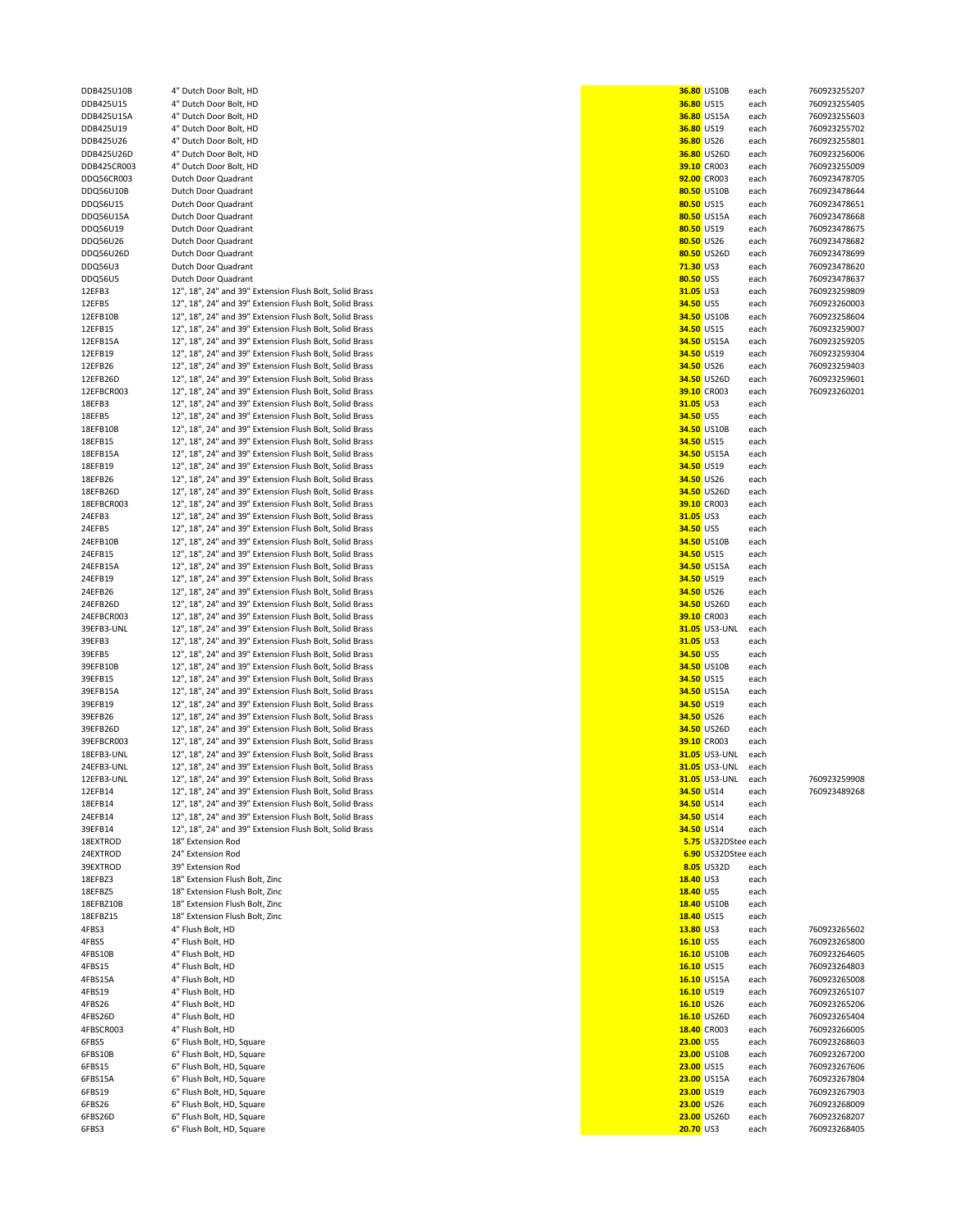| DDB425U15                               |
|-----------------------------------------|
| DDB425U15A                              |
| DDB425U19                               |
| DDB425U26                               |
| DDB425U26D                              |
| DDB425CR003                             |
|                                         |
| DDQ56CR003                              |
| DDQ56U10B                               |
| DDQ56U15                                |
| DDQ56U15A                               |
|                                         |
| DDQ56U19                                |
| DDQ56U26                                |
| 156U26I<br><b>DDC</b><br>€              |
| DDQ56U3                                 |
|                                         |
| DDQ56U5                                 |
| 12EFB3                                  |
| 12EFB5                                  |
| 12EFB10B                                |
| 12EFB15                                 |
|                                         |
| 12EFB15A                                |
| 12EFB19                                 |
| 12EFB26                                 |
| 12EFB26D                                |
|                                         |
| 12EFBCR003                              |
| 18EFB3                                  |
| 18EFB5                                  |
| 18EFB10B                                |
|                                         |
| 18EFB15                                 |
| 18EFB15A                                |
| 18EFB19                                 |
|                                         |
| 18EFB26                                 |
| 18EFB26D                                |
| 18EFBCR003                              |
| 24EFB3                                  |
| 24EFB5                                  |
|                                         |
| 24EFB10B                                |
| 24EFB15                                 |
| 24EFB15A                                |
|                                         |
| 24EFB19                                 |
| 24EFB26                                 |
| 24EFB26D                                |
| 24EFBCR003                              |
| 39EFB3-UNL                              |
|                                         |
|                                         |
| 39EFB3                                  |
| 39EFB5                                  |
|                                         |
| 39EFB10B                                |
| 39EFB15                                 |
| 39EFB15A                                |
| 39EFB19                                 |
| 39EFB26                                 |
|                                         |
| 39EFB26D                                |
| 39EFBCR003                              |
| 18EFB3-UNL                              |
| 24EFB3-UNL                              |
|                                         |
| 12EFB3-UNL                              |
| FFB14<br>1                              |
| 18EFB14                                 |
| 24EFB14                                 |
| 39EFB14                                 |
|                                         |
| 18EXTRO<br>ЭD                           |
| 24EXTROD                                |
| 39EXTROD                                |
| 18EFBZ3                                 |
|                                         |
| 18EFBZ5                                 |
| 18EFBZ10B                               |
| 18EFBZ15                                |
| 4FBS3                                   |
|                                         |
| 4FBS5                                   |
| 4FBS10B                                 |
| 4FBS15                                  |
| 4FBS15A                                 |
|                                         |
| 4FBS19                                  |
|                                         |
| 4FBS26D                                 |
|                                         |
|                                         |
|                                         |
| 4FBS26<br>4FBSCR003<br>6FBS5<br>6FBS10B |
| 6FBS15                                  |
| 6FBS15A                                 |
| 6FBS19                                  |
|                                         |
| 6FBS26<br>6FBS26D                       |

| DDB425U15   | 4" Dutch Door Bolt, HD                                  |  | 36.80 US15               | each | 760923255405        |
|-------------|---------------------------------------------------------|--|--------------------------|------|---------------------|
| DDB425U15A  | 4" Dutch Door Bolt, HD                                  |  | 36.80 US15A              | each | 760923255603        |
| DDB425U19   | 4" Dutch Door Bolt, HD                                  |  | 36.80 US19               | each | 760923255702        |
| DDB425U26   | 4" Dutch Door Bolt, HD                                  |  | 36.80 US26               | each | 760923255801        |
| DDB425U26D  | 4" Dutch Door Bolt, HD                                  |  | 36.80 US26D              | each | 760923256006        |
| DDB425CR003 | 4" Dutch Door Bolt, HD                                  |  | 39.10 CR003              | each | 760923255009        |
| DDQ56CR003  | Dutch Door Quadrant                                     |  | 92.00 CR003              | each | 760923478705        |
| DDQ56U10B   | Dutch Door Quadrant                                     |  | 80.50 US10B              | each | 760923478644        |
| DDQ56U15    | Dutch Door Quadrant                                     |  | 80.50 US15               | each | 760923478651        |
| DDQ56U15A   | Dutch Door Quadrant                                     |  | 80.50 US15A              | each | 760923478668        |
| DDQ56U19    | Dutch Door Quadrant                                     |  | 80.50 US19               | each | 760923478675        |
| DDQ56U26    | Dutch Door Quadrant                                     |  | 80.50 US26               | each | 760923478682        |
| DDQ56U26D   | Dutch Door Quadrant                                     |  | 80.50 US26D              | each | 760923478699        |
|             | Dutch Door Quadrant                                     |  | 71.30 US3                |      | 760923478620        |
| DDQ56U3     |                                                         |  |                          | each |                     |
| DDQ56U5     | Dutch Door Quadrant                                     |  | 80.50 US5                | each | 760923478637        |
| 12EFB3      | 12", 18", 24" and 39" Extension Flush Bolt, Solid Brass |  | 31.05 US3                | each | 760923259809        |
| 12EFB5      | 12", 18", 24" and 39" Extension Flush Bolt, Solid Brass |  | 34.50 US5                | each | 760923260003        |
| 12EFB10B    | 12", 18", 24" and 39" Extension Flush Bolt, Solid Brass |  | 34.50 US10B              | each | 760923258604        |
| 12EFB15     | 12", 18", 24" and 39" Extension Flush Bolt, Solid Brass |  | 34.50 US15               | each | 760923259007        |
| 12EFB15A    | 12", 18", 24" and 39" Extension Flush Bolt, Solid Brass |  | 34.50 US15A              | each | 760923259205        |
| 12EFB19     | 12", 18", 24" and 39" Extension Flush Bolt, Solid Brass |  | 34.50 US19               | each | 760923259304        |
| 12EFB26     | 12", 18", 24" and 39" Extension Flush Bolt, Solid Brass |  | 34.50 US26               | each | 760923259403        |
| 12EFB26D    | 12", 18", 24" and 39" Extension Flush Bolt, Solid Brass |  | 34.50 US26D              | each | 760923259601        |
| 12EFBCR003  | 12", 18", 24" and 39" Extension Flush Bolt, Solid Brass |  | 39.10 CR003              | each | 760923260201        |
| 18EFB3      | 12", 18", 24" and 39" Extension Flush Bolt, Solid Brass |  | 31.05 US3                | each |                     |
| 18EFB5      | 12", 18", 24" and 39" Extension Flush Bolt, Solid Brass |  | 34.50 US5                | each |                     |
| 18EFB10B    | 12", 18", 24" and 39" Extension Flush Bolt, Solid Brass |  | 34.50 US10B              |      |                     |
|             |                                                         |  |                          | each |                     |
| 18EFB15     | 12", 18", 24" and 39" Extension Flush Bolt, Solid Brass |  | 34.50 US15               | each |                     |
| 18EFB15A    | 12", 18", 24" and 39" Extension Flush Bolt, Solid Brass |  | 34.50 US15A              | each |                     |
| 18EFB19     | 12", 18", 24" and 39" Extension Flush Bolt, Solid Brass |  | 34.50 US19               | each |                     |
| 18EFB26     | 12", 18", 24" and 39" Extension Flush Bolt, Solid Brass |  | 34.50 US26               | each |                     |
| 18EFB26D    | 12", 18", 24" and 39" Extension Flush Bolt, Solid Brass |  | 34.50 US26D              | each |                     |
| 18EFBCR003  | 12", 18", 24" and 39" Extension Flush Bolt, Solid Brass |  | 39.10 CR003              | each |                     |
| 24EFB3      | 12", 18", 24" and 39" Extension Flush Bolt, Solid Brass |  | 31.05 US3                | each |                     |
| 24EFB5      | 12", 18", 24" and 39" Extension Flush Bolt, Solid Brass |  | 34.50 US5                | each |                     |
| 24EFB10B    | 12", 18", 24" and 39" Extension Flush Bolt, Solid Brass |  | 34.50 US10B              | each |                     |
| 24EFB15     | 12", 18", 24" and 39" Extension Flush Bolt, Solid Brass |  | 34.50 US15               | each |                     |
| 24EFB15A    | 12", 18", 24" and 39" Extension Flush Bolt, Solid Brass |  | 34.50 US15A              | each |                     |
|             | 12", 18", 24" and 39" Extension Flush Bolt, Solid Brass |  | 34.50 US19               |      |                     |
| 24EFB19     |                                                         |  |                          | each |                     |
| 24EFB26     | 12", 18", 24" and 39" Extension Flush Bolt, Solid Brass |  | 34.50 US26               | each |                     |
| 24EFB26D    | 12", 18", 24" and 39" Extension Flush Bolt, Solid Brass |  | 34.50 US26D              | each |                     |
| 24EFBCR003  | 12", 18", 24" and 39" Extension Flush Bolt, Solid Brass |  | 39.10 CR003              | each |                     |
| 39EFB3-UNL  | 12", 18", 24" and 39" Extension Flush Bolt, Solid Brass |  | 31.05 US3-UNL            | each |                     |
| 39EFB3      | 12", 18", 24" and 39" Extension Flush Bolt, Solid Brass |  | 31.05 US3                | each |                     |
| 39EFB5      | 12", 18", 24" and 39" Extension Flush Bolt, Solid Brass |  | 34.50 US5                | each |                     |
| 39EFB10B    | 12", 18", 24" and 39" Extension Flush Bolt, Solid Brass |  | 34.50 US10B              | each |                     |
| 39EFB15     | 12", 18", 24" and 39" Extension Flush Bolt, Solid Brass |  | 34.50 US15               | each |                     |
| 39EFB15A    | 12", 18", 24" and 39" Extension Flush Bolt, Solid Brass |  | 34.50 US15A              | each |                     |
| 39EFB19     | 12", 18", 24" and 39" Extension Flush Bolt, Solid Brass |  | 34.50 US19               | each |                     |
| 39EFB26     | 12", 18", 24" and 39" Extension Flush Bolt, Solid Brass |  | 34.50 US26               | each |                     |
| 39EFB26D    | 12", 18", 24" and 39" Extension Flush Bolt, Solid Brass |  | 34.50 US26D              | each |                     |
| 39EFBCR003  | 12", 18", 24" and 39" Extension Flush Bolt, Solid Brass |  | 39.10 CR003              | each |                     |
| 18EFB3-UNL  | 12", 18", 24" and 39" Extension Flush Bolt, Solid Brass |  | 31.05 US3-UNL            | each |                     |
|             | 12", 18", 24" and 39" Extension Flush Bolt, Solid Brass |  |                          |      |                     |
| 24EFB3-UNL  |                                                         |  | 31.05 US3-UNL            | each |                     |
| 12EFB3-UNL  | 12", 18", 24" and 39" Extension Flush Bolt, Solid Brass |  | 31.05 US3-UNL            | each | 760923259908        |
| 12EFB14     | 12", 18", 24" and 39" Extension Flush Bolt, Solid Brass |  | 34.50 US14               | each | 760923489268        |
| 18EFB14     | 12", 18", 24" and 39" Extension Flush Bolt, Solid Brass |  | 34.50 US14               | each |                     |
| 24EFB14     | 12", 18", 24" and 39" Extension Flush Bolt, Solid Brass |  | 34.50 US14               | each |                     |
| 39EFB14     | 12", 18", 24" and 39" Extension Flush Bolt, Solid Brass |  | 34.50 US14               | each |                     |
| 18EXTROD    | 18" Extension Rod                                       |  | 5.75 US32DStee each      |      |                     |
| 24EXTROD    | 24" Extension Rod                                       |  | 6.90 US32DStee each      |      |                     |
| 39EXTROD    | 39" Extension Rod                                       |  | 8.05 US32D               | each |                     |
| 18EFBZ3     | 18" Extension Flush Bolt, Zinc                          |  | 18.40 US3                | each |                     |
| 18EFBZ5     | 18" Extension Flush Bolt, Zinc                          |  | 18.40 US5                | each |                     |
| 18EFBZ10B   | 18" Extension Flush Bolt, Zinc                          |  | 18.40 US10B              | each |                     |
| 18EFBZ15    | 18" Extension Flush Bolt, Zinc                          |  | 18.40 US15               | each |                     |
| 4FBS3       | 4" Flush Bolt, HD                                       |  | 13.80 US3                | each | 760923265602        |
| 4FBS5       | 4" Flush Bolt, HD                                       |  | 16.10 US5                | each | 760923265800        |
| 4FBS10B     | 4" Flush Bolt, HD                                       |  | 16.10 US10B              | each | 760923264605        |
|             |                                                         |  |                          |      |                     |
| 4FBS15      | 4" Flush Bolt, HD                                       |  | 16.10 US15               | each | 760923264803        |
| 4FBS15A     | 4" Flush Bolt, HD                                       |  | 16.10 US15A              | each | 760923265008        |
| 4FBS19      | 4" Flush Bolt, HD                                       |  | 16.10 US19               | each | 760923265107        |
| 4FBS26      | 4" Flush Bolt, HD                                       |  | 16.10 US26               | each | 760923265206        |
| 4FBS26D     | 4" Flush Bolt, HD                                       |  | 16.10 US26D              | each | 760923265404        |
| 4FBSCR003   | 4" Flush Bolt, HD                                       |  | 18.40 CR003              | each | 760923266005        |
| 6FBS5       | 6" Flush Bolt, HD, Square                               |  | 23.00 US5                | each | 760923268603        |
| 6FBS10B     | 6" Flush Bolt, HD, Square                               |  | 23.00 US10B              | each | 760923267200        |
| 6FBS15      | 6" Flush Bolt, HD, Square                               |  | 23.00 US15               | each | 760923267606        |
| 6FBS15A     | 6" Flush Bolt, HD, Square                               |  | 23.00 US15A              | each | 760923267804        |
| 6FBS19      | 6" Flush Bolt, HD, Square                               |  | 23.00 US19               | each | 760923267903        |
| 6FBS26      | 6" Flush Bolt, HD, Square                               |  | 23.00 US26               | each | 760923268009        |
| 6FBS26D     | 6" Flush Bolt, HD, Square                               |  | 23.00 US26D              | each | 760923268207        |
| CEDCO       | $C^{\text{II}}$ Eluch Dolt. UD, Count                   |  | כסוון <mark>חד חר</mark> |      | <b>760022269405</b> |

| DDB425U10B     | 4" Dutch Door Bolt, HD                                  | <b>36.80 US10B</b> |                     | each | 760923255207 |
|----------------|---------------------------------------------------------|--------------------|---------------------|------|--------------|
| DDB425U15      | 4" Dutch Door Bolt, HD                                  | 36.80 US15         |                     | each | 760923255405 |
| DDB425U15A     | 4" Dutch Door Bolt, HD                                  | 36.80 US15A        |                     | each | 760923255603 |
| DDB425U19      | 4" Dutch Door Bolt, HD                                  | 36.80 US19         |                     | each | 760923255702 |
| DDB425U26      | 4" Dutch Door Bolt, HD                                  | 36.80 US26         |                     | each | 760923255801 |
| DDB425U26D     | 4" Dutch Door Bolt, HD                                  | 36.80 US26D        |                     | each | 760923256006 |
| DDB425CR003    | 4" Dutch Door Bolt, HD                                  | 39.10 CR003        |                     | each | 760923255009 |
| DDQ56CR003     | Dutch Door Quadrant                                     | 92.00 CR003        |                     | each | 760923478705 |
| DDQ56U10B      | Dutch Door Quadrant                                     | 80.50 US10B        |                     | each | 760923478644 |
| DDQ56U15       | Dutch Door Quadrant                                     | 80.50 US15         |                     | each | 760923478651 |
| DDQ56U15A      | Dutch Door Quadrant                                     | 80.50 US15A        |                     | each | 760923478668 |
| DDQ56U19       | Dutch Door Quadrant                                     | 80.50 US19         |                     | each | 760923478675 |
| DDQ56U26       | Dutch Door Quadrant                                     | 80.50 US26         |                     | each | 760923478682 |
| DDQ56U26D      | Dutch Door Quadrant                                     | 80.50 US26D        |                     | each | 760923478699 |
| DDQ56U3        | Dutch Door Quadrant                                     | 71.30 US3          |                     | each | 760923478620 |
| <b>DDQ56U5</b> | Dutch Door Quadrant                                     | 80.50 US5          |                     |      | 760923478637 |
|                |                                                         |                    |                     | each |              |
| 12EFB3         | 12", 18", 24" and 39" Extension Flush Bolt, Solid Brass | 31.05 US3          |                     | each | 760923259809 |
| 12EFB5         | 12", 18", 24" and 39" Extension Flush Bolt, Solid Brass | 34.50 US5          |                     | each | 760923260003 |
| 12EFB10B       | 12", 18", 24" and 39" Extension Flush Bolt, Solid Brass | 34.50 US10B        |                     | each | 760923258604 |
| 12EFB15        | 12", 18", 24" and 39" Extension Flush Bolt, Solid Brass | 34.50 US15         |                     | each | 760923259007 |
| 12EFB15A       | 12", 18", 24" and 39" Extension Flush Bolt, Solid Brass | 34.50 US15A        |                     | each | 760923259205 |
| 12EFB19        | 12", 18", 24" and 39" Extension Flush Bolt, Solid Brass | 34.50 US19         |                     | each | 760923259304 |
| 12EFB26        | 12", 18", 24" and 39" Extension Flush Bolt, Solid Brass | 34.50 US26         |                     | each | 760923259403 |
| 12EFB26D       | 12", 18", 24" and 39" Extension Flush Bolt, Solid Brass | 34.50 US26D        |                     | each | 760923259601 |
| 12EFBCR003     | 12", 18", 24" and 39" Extension Flush Bolt, Solid Brass | 39.10 CR003        |                     | each | 760923260201 |
| 18EFB3         | 12", 18", 24" and 39" Extension Flush Bolt, Solid Brass | 31.05 US3          |                     | each |              |
| 18EFB5         | 12", 18", 24" and 39" Extension Flush Bolt, Solid Brass | 34.50 US5          |                     | each |              |
| 18EFB10B       | 12", 18", 24" and 39" Extension Flush Bolt, Solid Brass | 34.50 US10B        |                     | each |              |
| 18EFB15        | 12", 18", 24" and 39" Extension Flush Bolt, Solid Brass | 34.50 US15         |                     | each |              |
| 18EFB15A       | 12", 18", 24" and 39" Extension Flush Bolt, Solid Brass | 34.50 US15A        |                     | each |              |
| 18EFB19        | 12", 18", 24" and 39" Extension Flush Bolt, Solid Brass | 34.50 US19         |                     | each |              |
| 18EFB26        | 12", 18", 24" and 39" Extension Flush Bolt, Solid Brass | 34.50 US26         |                     | each |              |
| 18EFB26D       | 12", 18", 24" and 39" Extension Flush Bolt, Solid Brass | 34.50 US26D        |                     | each |              |
| 18EFBCR003     | 12", 18", 24" and 39" Extension Flush Bolt, Solid Brass | 39.10 CR003        |                     | each |              |
| 24EFB3         | 12", 18", 24" and 39" Extension Flush Bolt, Solid Brass | 31.05 US3          |                     | each |              |
| 24EFB5         | 12", 18", 24" and 39" Extension Flush Bolt, Solid Brass | 34.50 US5          |                     | each |              |
| 24EFB10B       | 12", 18", 24" and 39" Extension Flush Bolt, Solid Brass | 34.50 US10B        |                     | each |              |
| 24EFB15        | 12", 18", 24" and 39" Extension Flush Bolt, Solid Brass | 34.50 US15         |                     | each |              |
| 24EFB15A       | 12", 18", 24" and 39" Extension Flush Bolt, Solid Brass | 34.50 US15A        |                     | each |              |
| 24EFB19        | 12", 18", 24" and 39" Extension Flush Bolt, Solid Brass | 34.50 US19         |                     | each |              |
| 24EFB26        |                                                         | 34.50 US26         |                     |      |              |
|                | 12", 18", 24" and 39" Extension Flush Bolt, Solid Brass |                    |                     | each |              |
| 24EFB26D       | 12", 18", 24" and 39" Extension Flush Bolt, Solid Brass | 34.50 US26D        |                     | each |              |
| 24EFBCR003     | 12", 18", 24" and 39" Extension Flush Bolt, Solid Brass | 39.10 CR003        |                     | each |              |
| 39EFB3-UNL     | 12", 18", 24" and 39" Extension Flush Bolt, Solid Brass |                    | 31.05 US3-UNL       | each |              |
| 39EFB3         | 12", 18", 24" and 39" Extension Flush Bolt, Solid Brass | 31.05 US3          |                     | each |              |
| 39EFB5         | 12", 18", 24" and 39" Extension Flush Bolt, Solid Brass | 34.50 US5          |                     | each |              |
| 39EFB10B       | 12", 18", 24" and 39" Extension Flush Bolt, Solid Brass | 34.50 US10B        |                     | each |              |
| 39EFB15        | 12", 18", 24" and 39" Extension Flush Bolt, Solid Brass | 34.50 US15         |                     | each |              |
| 39EFB15A       | 12", 18", 24" and 39" Extension Flush Bolt, Solid Brass | 34.50 US15A        |                     | each |              |
| 39EFB19        | 12", 18", 24" and 39" Extension Flush Bolt, Solid Brass | 34.50 US19         |                     | each |              |
| 39EFB26        | 12", 18", 24" and 39" Extension Flush Bolt, Solid Brass | 34.50 US26         |                     | each |              |
| 39EFB26D       | 12", 18", 24" and 39" Extension Flush Bolt, Solid Brass | 34.50 US26D        |                     | each |              |
| 39EFBCR003     | 12", 18", 24" and 39" Extension Flush Bolt, Solid Brass | 39.10 CR003        |                     | each |              |
| 18EFB3-UNL     | 12", 18", 24" and 39" Extension Flush Bolt, Solid Brass |                    | 31.05 US3-UNL       | each |              |
| 24EFB3-UNL     | 12", 18", 24" and 39" Extension Flush Bolt, Solid Brass |                    | 31.05 US3-UNL       | each |              |
| 12EFB3-UNL     | 12", 18", 24" and 39" Extension Flush Bolt, Solid Brass |                    | 31.05 US3-UNL       | each | 760923259908 |
| 12EFB14        | 12", 18", 24" and 39" Extension Flush Bolt, Solid Brass | 34.50 US14         |                     | each | 760923489268 |
| 18EFB14        | 12", 18", 24" and 39" Extension Flush Bolt, Solid Brass | 34.50 US14         |                     | each |              |
| 24EFB14        | 12", 18", 24" and 39" Extension Flush Bolt, Solid Brass | 34.50 US14         |                     | each |              |
| 39EFB14        | 12", 18", 24" and 39" Extension Flush Bolt, Solid Brass | 34.50 US14         |                     | each |              |
| 18EXTROD       | 18" Extension Rod                                       |                    | 5.75 US32DStee each |      |              |
| 24EXTROD       | 24" Extension Rod                                       |                    | 6.90 US32DStee each |      |              |
| 39EXTROD       | 39" Extension Rod                                       |                    | 8.05 US32D          | each |              |
| 18EFBZ3        | 18" Extension Flush Bolt, Zinc                          | 18.40 US3          |                     | each |              |
| 18EFBZ5        | 18" Extension Flush Bolt, Zinc                          | 18.40 US5          |                     | each |              |
| 18EFBZ10B      | 18" Extension Flush Bolt, Zinc                          | 18.40 US10B        |                     | each |              |
| 18EFBZ15       | 18" Extension Flush Bolt, Zinc                          | 18.40 US15         |                     | each |              |
| 4FBS3          | 4" Flush Bolt, HD                                       | 13.80 US3          |                     | each | 760923265602 |
| 4FBS5          | 4" Flush Bolt, HD                                       | 16.10 US5          |                     | each | 760923265800 |
| 4FBS10B        | 4" Flush Bolt, HD                                       | 16.10 US10B        |                     | each | 760923264605 |
| 4FBS15         | 4" Flush Bolt, HD                                       | 16.10 US15         |                     | each | 760923264803 |
| 4FBS15A        | 4" Flush Bolt, HD                                       | 16.10 US15A        |                     | each | 760923265008 |
| 4FBS19         | 4" Flush Bolt, HD                                       | 16.10 US19         |                     | each | 760923265107 |
| 4FBS26         | 4" Flush Bolt, HD                                       | 16.10 US26         |                     | each | 760923265206 |
| 4FBS26D        | 4" Flush Bolt, HD                                       | 16.10 US26D        |                     | each | 760923265404 |
| 4FBSCR003      | 4" Flush Bolt, HD                                       | 18.40 CR003        |                     |      | 760923266005 |
|                |                                                         |                    |                     | each |              |
| 6FBS5          | 6" Flush Bolt, HD, Square                               | <b>23.00 US5</b>   |                     | each | 760923268603 |
| 6FBS10B        | 6" Flush Bolt, HD, Square                               | 23.00 US10B        |                     | each | 760923267200 |
| 6FBS15         | 6" Flush Bolt, HD, Square                               | 23.00 US15         |                     | each | 760923267606 |
| 6FBS15A        | 6" Flush Bolt, HD, Square                               | 23.00 US15A        |                     | each | 760923267804 |
| 6FBS19         | 6" Flush Bolt, HD, Square                               | 23.00 US19         |                     | each | 760923267903 |
| 6FBS26         | 6" Flush Bolt, HD, Square                               | 23.00 US26         |                     | each | 760923268009 |
| 6FBS26D        | 6" Flush Bolt, HD, Square                               | 23.00 US26D        |                     | each | 760923268207 |
| 6FBS3          | 6" Flush Bolt, HD, Square                               | 20.70 US3          |                     | each | 760923268405 |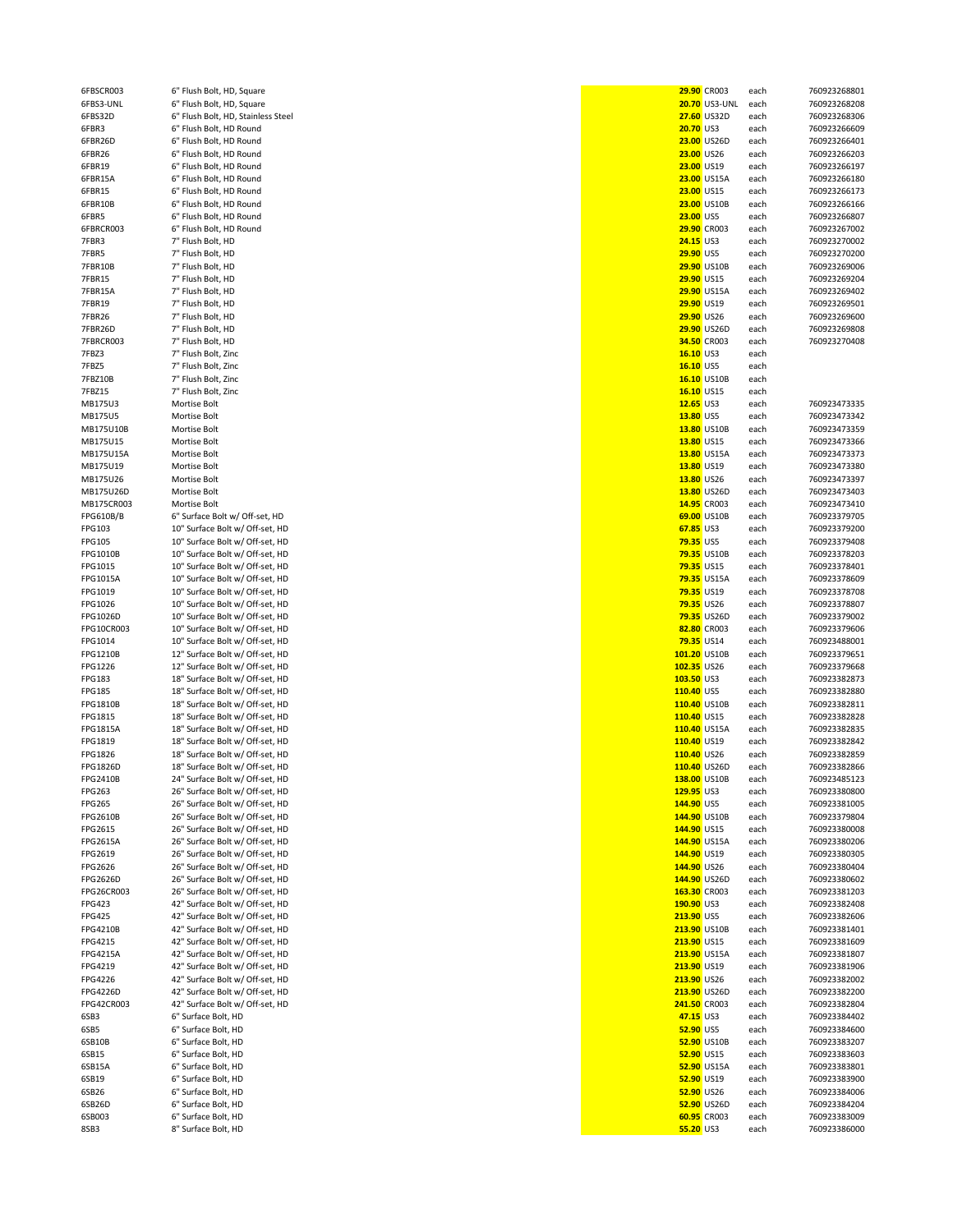| 6FBSCR003            | 6" Flush Bolt, HD, Square                                          |                               | 29.90 CR003               | each         |
|----------------------|--------------------------------------------------------------------|-------------------------------|---------------------------|--------------|
| 6FBS3-UNL            | 6" Flush Bolt, HD, Square                                          |                               | 20.70 US3-UNL             | each         |
| 6FBS32D              | 6" Flush Bolt, HD, Stainless Steel                                 |                               | 27.60 US32D               | each         |
| 6FBR3                | 6" Flush Bolt, HD Round                                            | 20.70 US3                     |                           | each         |
| 6FBR26D              | 6" Flush Bolt, HD Round                                            |                               | 23.00 US26D               | each         |
| 6FBR26               | 6" Flush Bolt, HD Round                                            |                               | <b>23.00 US26</b>         | each         |
| 6FBR19               | 6" Flush Bolt, HD Round                                            |                               | 23.00 US19                | each         |
| 6FBR15A              | 6" Flush Bolt, HD Round                                            |                               | 23.00 US15A               | each         |
| 6FBR15<br>6FBR10B    | 6" Flush Bolt, HD Round<br>6" Flush Bolt, HD Round                 |                               | 23.00 US15<br>23.00 US10B | each<br>each |
| 6FBR5                | 6" Flush Bolt, HD Round                                            | 23.00 US5                     |                           | each         |
| 6FBRCR003            | 6" Flush Bolt, HD Round                                            |                               | <b>29.90 CR003</b>        | each         |
| 7FBR3                | 7" Flush Bolt, HD                                                  | 24.15 US3                     |                           | each         |
| 7FBR5                | 7" Flush Bolt, HD                                                  | 29.90 US5                     |                           | each         |
| 7FBR10B              | 7" Flush Bolt, HD                                                  |                               | <b>29.90 US10B</b>        | each         |
| 7FBR15               | 7" Flush Bolt, HD                                                  |                               | 29.90 US15                | each         |
| 7FBR15A              | 7" Flush Bolt, HD                                                  |                               | 29.90 US15A               | each         |
| 7FBR19               | 7" Flush Bolt, HD                                                  |                               | 29.90 US19                | each         |
| 7FBR26               | 7" Flush Bolt, HD                                                  |                               | 29.90 US26                | each         |
| 7FBR26D              | 7" Flush Bolt, HD                                                  |                               | 29.90 US26D               | each         |
| 7FBRCR003            | 7" Flush Bolt, HD                                                  |                               | 34.50 CR003               | each         |
| 7FBZ3<br>7FBZ5       | 7" Flush Bolt, Zinc<br>7" Flush Bolt, Zinc                         | 16.10 US3<br>16.10 US5        |                           | each<br>each |
| 7FBZ10B              | 7" Flush Bolt, Zinc                                                |                               | 16.10 US10B               | each         |
| 7FBZ15               | 7" Flush Bolt, Zinc                                                |                               | 16.10 US15                | each         |
| MB175U3              | Mortise Bolt                                                       | 12.65 US3                     |                           | each         |
| MB175U5              | Mortise Bolt                                                       | 13.80 US5                     |                           | each         |
| MB175U10B            | Mortise Bolt                                                       |                               | 13.80 US10B               | each         |
| MB175U15             | Mortise Bolt                                                       |                               | 13.80 US15                | each         |
| MB175U15A            | Mortise Bolt                                                       |                               | 13.80 US15A               | each         |
| MB175U19             | Mortise Bolt                                                       |                               | 13.80 US19                | each         |
| MB175U26             | Mortise Bolt                                                       |                               | 13.80 US26                | each         |
| MB175U26D            | Mortise Bolt                                                       |                               | 13.80 US26D               | each         |
| MB175CR003           | Mortise Bolt                                                       |                               | 14.95 CR003               | each         |
| FPG610B/B            | 6" Surface Bolt w/ Off-set, HD                                     |                               | 69.00 US10B               | each         |
| FPG103<br>FPG105     | 10" Surface Bolt w/ Off-set, HD<br>10" Surface Bolt w/ Off-set, HD | 67.85 US3<br><b>79.35 US5</b> |                           | each<br>each |
| FPG1010B             | 10" Surface Bolt w/ Off-set, HD                                    |                               | 79.35 US10B               | each         |
| FPG1015              | 10" Surface Bolt w/ Off-set, HD                                    |                               | <b>79.35 US15</b>         | each         |
| FPG1015A             | 10" Surface Bolt w/ Off-set, HD                                    |                               | 79.35 US15A               | each         |
| FPG1019              | 10" Surface Bolt w/ Off-set, HD                                    |                               | 79.35 US19                | each         |
| FPG1026              | 10" Surface Bolt w/ Off-set, HD                                    |                               | <b>79.35 US26</b>         | each         |
| FPG1026D             | 10" Surface Bolt w/ Off-set, HD                                    |                               | 79.35 US26D               | each         |
| FPG10CR003           | 10" Surface Bolt w/ Off-set, HD                                    |                               | 82.80 CR003               | each         |
| FPG1014              | 10" Surface Bolt w/ Off-set, HD                                    |                               | 79.35 US14                | each         |
| FPG1210B             | 12" Surface Bolt w/ Off-set, HD                                    |                               | 101.20 US10B              | each         |
| FPG1226              | 12" Surface Bolt w/ Off-set, HD                                    | 102.35 US26                   |                           | each         |
| FPG183               | 18" Surface Bolt w/ Off-set, HD                                    | 103.50 US3                    |                           | each         |
| FPG185               | 18" Surface Bolt w/ Off-set, HD                                    | 110.40 US5                    |                           | each         |
| FPG1810B<br>FPG1815  | 18" Surface Bolt w/ Off-set, HD                                    |                               | 110.40 US10B              | each<br>each |
| FPG1815A             | 18" Surface Bolt w/ Off-set, HD<br>18" Surface Bolt w/ Off-set, HD | 110.40 US15                   | 110.40 US15A              | each         |
| FPG1819              | 18" Surface Bolt w/ Off-set, HD                                    | 110.40 US19                   |                           | each         |
| FPG1826              | 18" Surface Bolt w/ Off-set, HD                                    | 110.40 US26                   |                           | each         |
| FPG1826D             | 18" Surface Bolt w/ Off-set, HD                                    |                               | 110.40 US26D              | each         |
| FPG2410B             | 24" Surface Bolt w/ Off-set, HD                                    |                               | 138.00 US10B              | each         |
| FPG263               | 26" Surface Bolt w/ Off-set, HD                                    | 129.95 US3                    |                           | each         |
| FPG265               | 26" Surface Bolt w/ Off-set, HD                                    | 144.90 US5                    |                           | each         |
| FPG2610B             | 26" Surface Bolt w/ Off-set, HD                                    |                               | 144.90 US10B              | each         |
| FPG2615              | 26" Surface Bolt w/ Off-set, HD                                    | 144.90 US15                   |                           | each         |
| FPG2615A             | 26" Surface Bolt w/ Off-set, HD                                    |                               | 144.90 US15A              | each         |
| FPG2619              | 26" Surface Bolt w/ Off-set, HD                                    | 144.90 US19                   |                           | each         |
| FPG2626              | 26" Surface Bolt w/ Off-set, HD                                    | 144.90 US26                   |                           | each         |
| FPG2626D             | 26" Surface Bolt w/ Off-set, HD                                    |                               | 144.90 US26D              | each         |
| FPG26CR003<br>FPG423 | 26" Surface Bolt w/ Off-set, HD<br>42" Surface Bolt w/ Off-set, HD | 190.90 US3                    | 163.30 CR003              | each<br>each |
| <b>FPG425</b>        | 42" Surface Bolt w/ Off-set, HD                                    | 213.90 US5                    |                           | each         |
| FPG4210B             | 42" Surface Bolt w/ Off-set, HD                                    |                               | 213.90 US10B              | each         |
| FPG4215              | 42" Surface Bolt w/ Off-set, HD                                    | 213.90 US15                   |                           | each         |
| FPG4215A             | 42" Surface Bolt w/ Off-set, HD                                    |                               | 213.90 US15A              | each         |
| FPG4219              | 42" Surface Bolt w/ Off-set, HD                                    | 213.90 US19                   |                           | each         |
| FPG4226              | 42" Surface Bolt w/ Off-set, HD                                    | 213.90 US26                   |                           | each         |
| FPG4226D             | 42" Surface Bolt w/ Off-set, HD                                    |                               | 213.90 US26D              | each         |
| FPG42CR003           | 42" Surface Bolt w/ Off-set, HD                                    |                               | 241.50 CR003              | each         |
| 6SB3                 | 6" Surface Bolt, HD                                                | 47.15 US3                     |                           | each         |
| 6SB5                 | 6" Surface Bolt, HD                                                | 52.90 US5                     |                           | each         |
| 6SB10B               | 6" Surface Bolt, HD                                                |                               | 52.90 US10B               | each         |
| 6SB15                | 6" Surface Bolt, HD                                                |                               | <b>52.90 US15</b>         | each         |
| 6SB15A               | 6" Surface Bolt, HD                                                |                               | 52.90 US15A               | each         |
| 6SB19<br>6SB26       | 6" Surface Bolt, HD<br>6" Surface Bolt, HD                         |                               | 52.90 US19<br>52.90 US26  | each<br>each |
| 6SB26D               | 6" Surface Bolt, HD                                                |                               | 52.90 US26D               | each         |
| 6SB003               | 6" Surface Bolt, HD                                                |                               | 60.95 CR003               | each         |
| 8SB3                 | 8" Surface Bolt, HD                                                | <b>55.20 US3</b>              |                           | each         |

| 6FBSCR003       | 6" Flush Bolt, HD, Square          |                  | <b>29.90 CR003</b> | each | 760923268801 |
|-----------------|------------------------------------|------------------|--------------------|------|--------------|
| 6FBS3-UNL       | 6" Flush Bolt, HD, Square          |                  | 20.70 US3-UNL      | each | 760923268208 |
| 6FBS32D         | 6" Flush Bolt, HD, Stainless Steel |                  | 27.60 US32D        | each | 760923268306 |
| 6FBR3           | 6" Flush Bolt, HD Round            | 20.70 US3        |                    | each | 760923266609 |
| 6FBR26D         | 6" Flush Bolt, HD Round            |                  | 23.00 US26D        | each | 760923266401 |
|                 |                                    |                  |                    |      |              |
| 6FBR26          | 6" Flush Bolt, HD Round            | 23.00 US26       |                    | each | 760923266203 |
| 6FBR19          | 6" Flush Bolt, HD Round            | 23.00 US19       |                    | each | 760923266197 |
| 6FBR15A         | 6" Flush Bolt, HD Round            |                  | 23.00 US15A        | each | 760923266180 |
| 6FBR15          | 6" Flush Bolt, HD Round            | 23.00 US15       |                    | each | 760923266173 |
|                 |                                    |                  | 23.00 US10B        |      | 760923266166 |
| 6FBR10B         | 6" Flush Bolt, HD Round            |                  |                    | each |              |
| 6FBR5           | 6" Flush Bolt, HD Round            | 23.00 US5        |                    | each | 760923266807 |
| 6FBRCR003       | 6" Flush Bolt, HD Round            |                  | <b>29.90 CR003</b> | each | 760923267002 |
| 7FBR3           | 7" Flush Bolt, HD                  | 24.15 US3        |                    | each | 760923270002 |
|                 |                                    |                  |                    |      |              |
| 7FBR5           | 7" Flush Bolt, HD                  | 29.90 US5        |                    | each | 760923270200 |
| 7FBR10B         | 7" Flush Bolt, HD                  |                  | 29.90 US10B        | each | 760923269006 |
| <b>7FBR15</b>   | 7" Flush Bolt, HD                  | 29.90 US15       |                    | each | 760923269204 |
| 7FBR15A         | 7" Flush Bolt, HD                  |                  | 29.90 US15A        | each | 760923269402 |
|                 |                                    |                  |                    |      |              |
| 7FBR19          | 7" Flush Bolt, HD                  | 29.90 US19       |                    | each | 760923269501 |
| 7FBR26          | 7" Flush Bolt, HD                  | 29.90 US26       |                    | each | 760923269600 |
| 7FBR26D         | 7" Flush Bolt, HD                  |                  | 29.90 US26D        | each | 760923269808 |
|                 |                                    |                  |                    |      |              |
| 7FBRCR003       | 7" Flush Bolt, HD                  |                  | 34.50 CR003        | each | 760923270408 |
| 7FBZ3           | 7" Flush Bolt, Zinc                | 16.10 US3        |                    | each |              |
| 7FBZ5           | 7" Flush Bolt, Zinc                | 16.10 US5        |                    | each |              |
| 7FBZ10B         | 7" Flush Bolt, Zinc                |                  | 16.10 US10B        | each |              |
|                 |                                    |                  |                    |      |              |
| 7FBZ15          | 7" Flush Bolt, Zinc                | 16.10 US15       |                    | each |              |
| MB175U3         | Mortise Bolt                       | 12.65 US3        |                    | each | 760923473335 |
| MB175U5         | Mortise Bolt                       | 13.80 US5        |                    | each | 760923473342 |
| MB175U10B       | Mortise Bolt                       |                  | 13.80 US10B        | each | 760923473359 |
|                 |                                    |                  |                    |      |              |
| MB175U15        | Mortise Bolt                       | 13.80 US15       |                    | each | 760923473366 |
| MB175U15A       | Mortise Bolt                       |                  | 13.80 US15A        | each | 760923473373 |
| MB175U19        | Mortise Bolt                       | 13.80 US19       |                    | each | 760923473380 |
|                 |                                    |                  |                    |      |              |
| MB175U26        | Mortise Bolt                       | 13.80 US26       |                    | each | 760923473397 |
| MB175U26D       | Mortise Bolt                       |                  | 13.80 US26D        | each | 760923473403 |
| MB175CR003      | Mortise Bolt                       |                  | 14.95 CR003        | each | 760923473410 |
| FPG610B/B       | 6" Surface Bolt w/ Off-set, HD     |                  | 69.00 US10B        | each | 760923379705 |
|                 |                                    |                  |                    |      |              |
| FPG103          | 10" Surface Bolt w/ Off-set, HD    | 67.85 US3        |                    | each | 760923379200 |
| FPG105          | 10" Surface Bolt w/ Off-set, HD    | <b>79.35 US5</b> |                    | each | 760923379408 |
| FPG1010B        | 10" Surface Bolt w/ Off-set, HD    |                  | <b>79.35 US10B</b> | each | 760923378203 |
| FPG1015         | 10" Surface Bolt w/ Off-set, HD    | 79.35 US15       |                    | each | 760923378401 |
|                 |                                    |                  |                    |      |              |
| FPG1015A        | 10" Surface Bolt w/ Off-set, HD    |                  | 79.35 US15A        | each | 760923378609 |
| FPG1019         | 10" Surface Bolt w/ Off-set, HD    | 79.35 US19       |                    | each | 760923378708 |
| FPG1026         | 10" Surface Bolt w/ Off-set, HD    | 79.35 US26       |                    | each | 760923378807 |
|                 |                                    |                  |                    |      |              |
| FPG1026D        | 10" Surface Bolt w/ Off-set, HD    |                  | <b>79.35 US26D</b> | each | 760923379002 |
| FPG10CR003      | 10" Surface Bolt w/ Off-set, HD    |                  | 82.80 CR003        | each | 760923379606 |
| FPG1014         | 10" Surface Bolt w/ Off-set, HD    | 79.35 US14       |                    | each | 760923488001 |
| FPG1210B        | 12" Surface Bolt w/ Off-set, HD    | 101.20 US10B     |                    | each | 760923379651 |
|                 |                                    |                  |                    |      |              |
| FPG1226         | 12" Surface Bolt w/ Off-set, HD    | 102.35 US26      |                    | each | 760923379668 |
| FPG183          | 18" Surface Bolt w/ Off-set, HD    | 103.50 US3       |                    | each | 760923382873 |
| FPG185          | 18" Surface Bolt w/ Off-set, HD    | 110.40 US5       |                    | each | 760923382880 |
| FPG1810B        | 18" Surface Bolt w/ Off-set, HD    | 110.40 US10B     |                    | each | 760923382811 |
|                 |                                    |                  |                    |      |              |
| FPG1815         | 18" Surface Bolt w/ Off-set, HD    | 110.40 US15      |                    | each | 760923382828 |
| FPG1815A        | 18" Surface Bolt w/ Off-set, HD    | 110.40 US15A     |                    | each | 760923382835 |
| FPG1819         | 18" Surface Bolt w/ Off-set, HD    | 110.40 US19      |                    | each | 760923382842 |
|                 | 18" Surface Bolt w/ Off-set, HD    | 110.40 US26      |                    |      | 760923382859 |
| FPG1826         |                                    |                  |                    | each |              |
| FPG1826D        | 18" Surface Bolt w/ Off-set, HD    | 110.40 US26D     |                    | each | 760923382866 |
| FPG2410B        | 24" Surface Bolt w/ Off-set, HD    | 138.00 US10B     |                    | each | 760923485123 |
| FPG263          | 26" Surface Bolt w/ Off-set, HD    | 129.95 US3       |                    | each | 760923380800 |
| <b>FPG265</b>   | 26" Surface Bolt w/ Off-set, HD    | 144.90 US5       |                    | each | 760923381005 |
|                 |                                    |                  |                    |      |              |
| FPG2610B        | 26" Surface Bolt w/ Off-set, HD    | 144.90 US10B     |                    | each | 760923379804 |
| FPG2615         | 26" Surface Bolt w/ Off-set, HD    | 144.90 US15      |                    | each | 760923380008 |
| <b>FPG2615A</b> | 26" Surface Bolt w/ Off-set, HD    | 144.90 US15A     |                    | each | 760923380206 |
| FPG2619         | 26" Surface Bolt w/ Off-set, HD    | 144.90 US19      |                    | each | 760923380305 |
|                 |                                    |                  |                    |      |              |
| FPG2626         | 26" Surface Bolt w/ Off-set, HD    | 144.90 US26      |                    | each | 760923380404 |
| FPG2626D        | 26" Surface Bolt w/ Off-set, HD    | 144.90 US26D     |                    | each | 760923380602 |
| FPG26CR003      | 26" Surface Bolt w/ Off-set, HD    | 163.30 CR003     |                    | each | 760923381203 |
| FPG423          | 42" Surface Bolt w/ Off-set, HD    | 190.90 US3       |                    | each | 760923382408 |
|                 |                                    |                  |                    |      |              |
| FPG425          | 42" Surface Bolt w/ Off-set, HD    | 213.90 US5       |                    | each | 760923382606 |
| FPG4210B        | 42" Surface Bolt w/ Off-set, HD    | 213.90 US10B     |                    | each | 760923381401 |
| FPG4215         | 42" Surface Bolt w/ Off-set, HD    | 213.90 US15      |                    | each | 760923381609 |
| FPG4215A        | 42" Surface Bolt w/ Off-set, HD    | 213.90 US15A     |                    | each | 760923381807 |
|                 |                                    |                  |                    |      |              |
| FPG4219         | 42" Surface Bolt w/ Off-set, HD    | 213.90 US19      |                    | each | 760923381906 |
| FPG4226         | 42" Surface Bolt w/ Off-set, HD    | 213.90 US26      |                    | each | 760923382002 |
| FPG4226D        | 42" Surface Bolt w/ Off-set, HD    | 213.90 US26D     |                    | each | 760923382200 |
| FPG42CR003      | 42" Surface Bolt w/ Off-set, HD    | 241.50 CR003     |                    | each | 760923382804 |
|                 |                                    |                  |                    |      |              |
| 6SB3            | 6" Surface Bolt, HD                | 47.15 US3        |                    | each | 760923384402 |
| 6SB5            | 6" Surface Bolt, HD                | 52.90 US5        |                    | each | 760923384600 |
| 6SB10B          | 6" Surface Bolt, HD                |                  | 52.90 US10B        | each | 760923383207 |
|                 |                                    |                  |                    |      |              |
| 6SB15           | 6" Surface Bolt, HD                | 52.90 US15       |                    | each | 760923383603 |
| 6SB15A          | 6" Surface Bolt, HD                |                  | 52.90 US15A        | each | 760923383801 |
| 6SB19           | 6" Surface Bolt, HD                | 52.90 US19       |                    | each | 760923383900 |
| 6SB26           | 6" Surface Bolt, HD                | 52.90 US26       |                    | each | 760923384006 |
|                 |                                    |                  |                    |      |              |
| 6SB26D          |                                    |                  | 52.90 US26D        | each | 760923384204 |
|                 | 6" Surface Bolt, HD                |                  |                    |      |              |
| 6SB003          | 6" Surface Bolt, HD                |                  | 60.95 CR003        | each | 760923383009 |
| 8SB3            | 8" Surface Bolt, HD                | 55.20 US3        |                    | each | 760923386000 |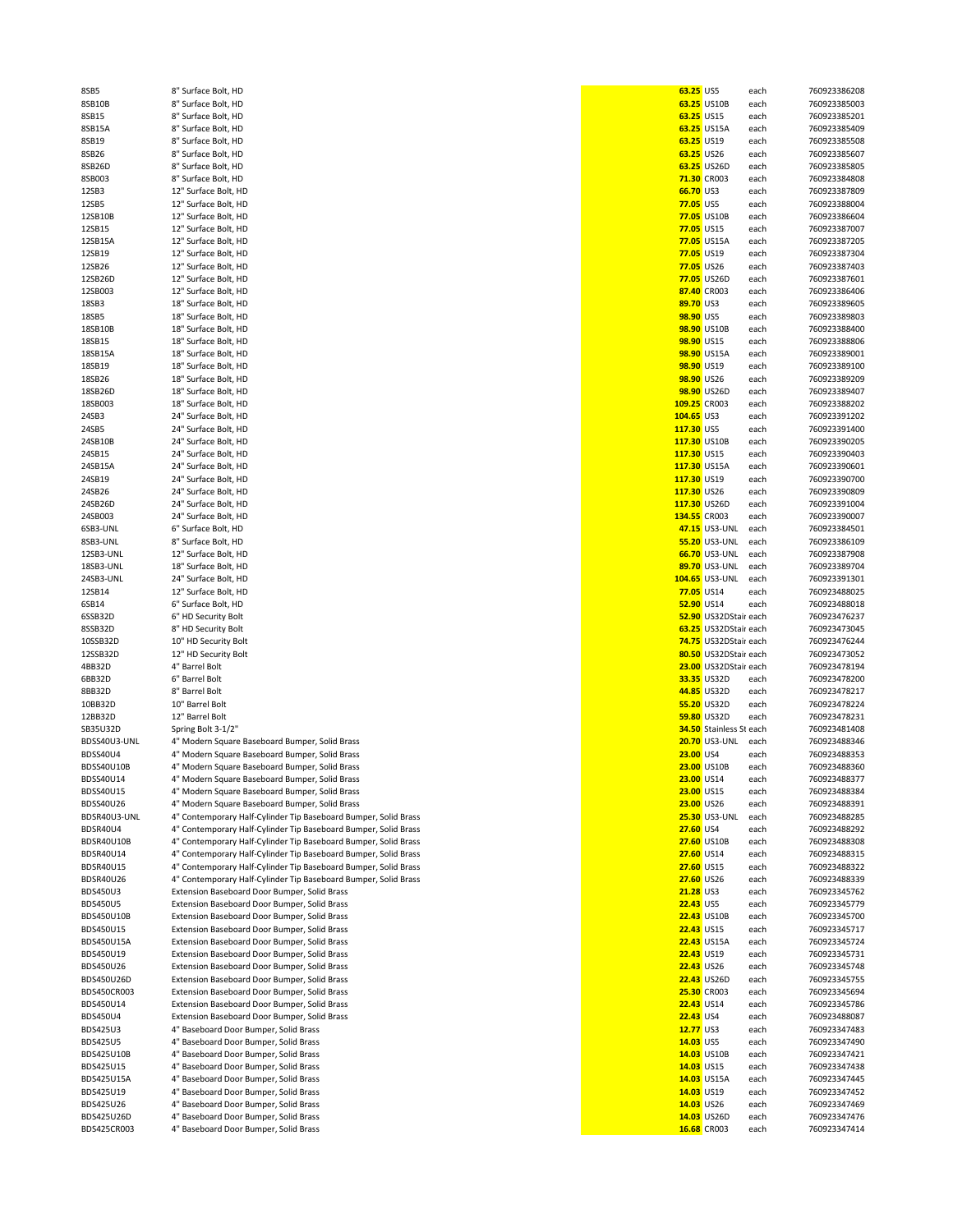| 8SB5                      | 8" Surface Bolt, HD                                                            | 63.25 US5        |                            | each         | 760923386208                 |
|---------------------------|--------------------------------------------------------------------------------|------------------|----------------------------|--------------|------------------------------|
| 8SB10B                    | 8" Surface Bolt, HD                                                            |                  | 63.25 US10B                | each         | 760923385003                 |
|                           |                                                                                |                  |                            |              |                              |
| 8SB15                     | 8" Surface Bolt, HD                                                            | 63.25 US15       |                            | each         | 760923385201                 |
| 8SB15A                    | 8" Surface Bolt, HD                                                            |                  | 63.25 US15A                | each         | 760923385409                 |
| 8SB19                     | 8" Surface Bolt, HD                                                            | 63.25 US19       |                            | each         | 760923385508                 |
|                           |                                                                                |                  |                            |              |                              |
| 8SB26                     | 8" Surface Bolt, HD                                                            | 63.25 US26       |                            | each         | 760923385607                 |
| 8SB26D                    | 8" Surface Bolt, HD                                                            |                  | 63.25 US26D                | each         | 760923385805                 |
| 8SB003                    | 8" Surface Bolt, HD                                                            |                  | 71.30 CR003                | each         | 760923384808                 |
|                           | 12" Surface Bolt, HD                                                           |                  |                            |              |                              |
| 12SB3                     |                                                                                | 66.70 US3        |                            | each         | 760923387809                 |
| 12SB5                     | 12" Surface Bolt, HD                                                           | 77.05 US5        |                            | each         | 760923388004                 |
| 12SB10B                   | 12" Surface Bolt, HD                                                           |                  | 77.05 US10B                | each         | 760923386604                 |
|                           |                                                                                |                  |                            |              |                              |
| 12SB15                    | 12" Surface Bolt, HD                                                           | 77.05 US15       |                            | each         | 760923387007                 |
| 12SB15A                   | 12" Surface Bolt, HD                                                           |                  | 77.05 US15A                | each         | 760923387205                 |
| 12SB19                    | 12" Surface Bolt, HD                                                           | 77.05 US19       |                            | each         | 760923387304                 |
|                           |                                                                                |                  |                            |              |                              |
| 12SB26                    | 12" Surface Bolt, HD                                                           | 77.05 US26       |                            | each         | 760923387403                 |
| 12SB26D                   | 12" Surface Bolt, HD                                                           |                  | 77.05 US26D                | each         | 760923387601                 |
| 12SB003                   | 12" Surface Bolt, HD                                                           |                  | 87.40 CR003                | each         | 760923386406                 |
|                           |                                                                                |                  |                            |              |                              |
| 18SB3                     | 18" Surface Bolt, HD                                                           | 89.70 US3        |                            | each         | 760923389605                 |
| 18SB5                     | 18" Surface Bolt, HD                                                           | 98.90 US5        |                            | each         | 760923389803                 |
| 18SB10B                   | 18" Surface Bolt, HD                                                           |                  | 98.90 US10B                | each         | 760923388400                 |
|                           |                                                                                |                  |                            |              |                              |
| 18SB15                    | 18" Surface Bolt, HD                                                           | 98.90 US15       |                            | each         | 760923388806                 |
| 18SB15A                   | 18" Surface Bolt, HD                                                           |                  | 98.90 US15A                | each         | 760923389001                 |
| 18SB19                    | 18" Surface Bolt, HD                                                           | 98.90 US19       |                            | each         | 760923389100                 |
|                           |                                                                                |                  |                            |              |                              |
| 18SB26                    | 18" Surface Bolt, HD                                                           | 98.90 US26       |                            | each         | 760923389209                 |
| 18SB26D                   | 18" Surface Bolt, HD                                                           |                  | 98.90 US26D                | each         | 760923389407                 |
| 18SB003                   | 18" Surface Bolt, HD                                                           | 109.25 CR003     |                            | each         | 760923388202                 |
|                           |                                                                                |                  |                            |              |                              |
| 24SB3                     | 24" Surface Bolt, HD                                                           | 104.65 US3       |                            | each         | 760923391202                 |
| 24SB5                     | 24" Surface Bolt, HD                                                           | 117.30 US5       |                            | each         | 760923391400                 |
| 24SB10B                   | 24" Surface Bolt, HD                                                           | 117.30 US10B     |                            | each         | 760923390205                 |
|                           |                                                                                |                  |                            |              |                              |
| 24SB15                    | 24" Surface Bolt, HD                                                           | 117.30 US15      |                            | each         | 760923390403                 |
| 24SB15A                   | 24" Surface Bolt, HD                                                           | 117.30 US15A     |                            | each         | 760923390601                 |
| 24SB19                    | 24" Surface Bolt, HD                                                           | 117.30 US19      |                            | each         | 760923390700                 |
|                           |                                                                                |                  |                            |              |                              |
| 24SB26                    | 24" Surface Bolt, HD                                                           | 117.30 US26      |                            | each         | 760923390809                 |
| 24SB26D                   | 24" Surface Bolt, HD                                                           | 117.30 US26D     |                            | each         | 760923391004                 |
| 24SB003                   | 24" Surface Bolt, HD                                                           | 134.55 CR003     |                            | each         | 760923390007                 |
|                           |                                                                                |                  |                            |              |                              |
| 6SB3-UNL                  | 6" Surface Bolt, HD                                                            |                  | 47.15 US3-UNL              | each         | 760923384501                 |
| 8SB3-UNL                  | 8" Surface Bolt, HD                                                            |                  | 55.20 US3-UNL              | each         | 760923386109                 |
| 12SB3-UNL                 | 12" Surface Bolt, HD                                                           |                  | 66.70 US3-UNL              | each         | 760923387908                 |
|                           |                                                                                |                  |                            |              |                              |
| 18SB3-UNL                 | 18" Surface Bolt, HD                                                           |                  | 89.70 US3-UNL              | each         | 760923389704                 |
| 24SB3-UNL                 | 24" Surface Bolt, HD                                                           |                  | 104.65 US3-UNL             | each         | 760923391301                 |
| 12SB14                    | 12" Surface Bolt, HD                                                           | 77.05 US14       |                            | each         | 760923488025                 |
|                           |                                                                                |                  |                            |              |                              |
| 6SB14                     | 6" Surface Bolt, HD                                                            | 52.90 US14       |                            | each         | 760923488018                 |
| 6SSB32D                   | 6" HD Security Bolt                                                            |                  | 52.90 US32DStair each      |              | 760923476237                 |
| 8SSB32D                   | 8" HD Security Bolt                                                            |                  | 63.25 US32DStair each      |              | 760923473045                 |
|                           |                                                                                |                  |                            |              |                              |
| 10SSB32D                  | 10" HD Security Bolt                                                           |                  | 74.75 US32DStair each      |              | 760923476244                 |
| 12SSB32D                  | 12" HD Security Bolt                                                           |                  | 80.50 US32DStair each      |              | 760923473052                 |
| 4BB32D                    | 4" Barrel Bolt                                                                 |                  | 23.00 US32DStair each      |              | 760923478194                 |
|                           |                                                                                |                  |                            |              |                              |
| 6BB32D                    | 6" Barrel Bolt                                                                 |                  | 33.35 US32D                | each         | 760923478200                 |
| 8BB32D                    | 8" Barrel Bolt                                                                 |                  | 44.85 US32D                | each         | 760923478217                 |
| 10BB32D                   | 10" Barrel Bolt                                                                |                  | 55.20 US32D                | each         | 760923478224                 |
|                           |                                                                                |                  |                            |              |                              |
| 12BB32D                   | 12" Barrel Bolt                                                                |                  | 59.80 US32D                | each         | 760923478231                 |
| SB35U32D                  | Spring Bolt 3-1/2"                                                             |                  | 34.50 Stainless St each    |              | 760923481408                 |
| BDSS40U3-UNL              |                                                                                |                  | <b>20.70 US3-UNL</b>       |              | 760923488346                 |
|                           | 4" Modern Square Baseboard Bumper, Solid Brass                                 |                  |                            | each         |                              |
| BDSS40U4                  | 4" Modern Square Baseboard Bumper, Solid Brass                                 | 23.00 US4        |                            | each         | 760923488353                 |
| BDSS40U10B                | 4" Modern Square Baseboard Bumper, Solid Brass                                 |                  | 23.00 US10B                | each         | 760923488360                 |
| BDSS40U14                 |                                                                                | 23.00 US14       |                            |              | 760923488377                 |
|                           | 4" Modern Square Baseboard Bumper, Solid Brass                                 |                  |                            | each         |                              |
| BDSS40U15                 | 4" Modern Square Baseboard Bumper, Solid Brass                                 | 23.00 US15       |                            | each         | 760923488384                 |
| BDSS40U26                 | 4" Modern Square Baseboard Bumper, Solid Brass                                 | 23.00 US26       |                            | each         | 760923488391                 |
| BDSR40U3-UNL              | 4" Contemporary Half-Cylinder Tip Baseboard Bumper, Solid Brass                |                  | <b>25.30 US3-UNL</b>       | each         | 760923488285                 |
|                           |                                                                                |                  |                            |              |                              |
| BDSR40U4                  | 4" Contemporary Half-Cylinder Tip Baseboard Bumper, Solid Brass                | <b>27.60 US4</b> |                            | each         | 760923488292                 |
| BDSR40U10B                | 4" Contemporary Half-Cylinder Tip Baseboard Bumper, Solid Brass                |                  | 27.60 US10B                | each         | 760923488308                 |
| <b>BDSR40U14</b>          | 4" Contemporary Half-Cylinder Tip Baseboard Bumper, Solid Brass                | 27.60 US14       |                            | each         | 760923488315                 |
|                           |                                                                                |                  |                            |              |                              |
| <b>BDSR40U15</b>          | 4" Contemporary Half-Cylinder Tip Baseboard Bumper, Solid Brass                | 27.60 US15       |                            | each         | 760923488322                 |
| <b>BDSR40U26</b>          | 4" Contemporary Half-Cylinder Tip Baseboard Bumper, Solid Brass                | 27.60 US26       |                            | each         | 760923488339                 |
| BDS450U3                  | Extension Baseboard Door Bumper, Solid Brass                                   | <b>21.28 US3</b> |                            | each         | 760923345762                 |
|                           |                                                                                |                  |                            |              |                              |
| <b>BDS450U5</b>           | Extension Baseboard Door Bumper, Solid Brass                                   | 22.43 US5        |                            | each         | 760923345779                 |
| BDS450U10B                | Extension Baseboard Door Bumper, Solid Brass                                   |                  | <b>22.43 US10B</b>         | each         | 760923345700                 |
| BDS450U15                 | Extension Baseboard Door Bumper, Solid Brass                                   | 22.43 US15       |                            | each         | 760923345717                 |
|                           |                                                                                |                  |                            |              |                              |
| BDS450U15A                | Extension Baseboard Door Bumper, Solid Brass                                   |                  | 22.43 US15A                | each         | 760923345724                 |
| BDS450U19                 | Extension Baseboard Door Bumper, Solid Brass                                   | 22.43 US19       |                            | each         | 760923345731                 |
| BDS450U26                 | Extension Baseboard Door Bumper, Solid Brass                                   | 22.43 US26       |                            | each         | 760923345748                 |
| BDS450U26D                | Extension Baseboard Door Bumper, Solid Brass                                   |                  | 22.43 US26D                |              | 760923345755                 |
|                           |                                                                                |                  |                            | each         |                              |
| BDS450CR003               | Extension Baseboard Door Bumper, Solid Brass                                   |                  | 25.30 CR003                | each         | 760923345694                 |
| BDS450U14                 | Extension Baseboard Door Bumper, Solid Brass                                   | 22.43 US14       |                            | each         | 760923345786                 |
|                           |                                                                                |                  |                            |              |                              |
| BDS450U4                  | Extension Baseboard Door Bumper, Solid Brass                                   | <b>22.43 US4</b> |                            | each         | 760923488087                 |
| BDS425U3                  | 4" Baseboard Door Bumper, Solid Brass                                          | 12.77 US3        |                            | each         | 760923347483                 |
| <b>BDS425U5</b>           | 4" Baseboard Door Bumper, Solid Brass                                          | 14.03 US5        |                            | each         | 760923347490                 |
|                           |                                                                                |                  |                            |              |                              |
| BDS425U10B                | 4" Baseboard Door Bumper, Solid Brass                                          |                  | 14.03 US10B                | each         | 760923347421                 |
| BDS425U15                 | 4" Baseboard Door Bumper, Solid Brass                                          | 14.03 US15       |                            | each         | 760923347438                 |
| BDS425U15A                | 4" Baseboard Door Bumper, Solid Brass                                          |                  | 14.03 US15A                | each         | 760923347445                 |
|                           |                                                                                |                  |                            |              |                              |
| BDS425U19                 |                                                                                |                  |                            |              |                              |
|                           | 4" Baseboard Door Bumper, Solid Brass                                          | 14.03 US19       |                            | each         | 760923347452                 |
| BDS425U26                 | 4" Baseboard Door Bumper, Solid Brass                                          | 14.03 US26       |                            | each         | 760923347469                 |
|                           |                                                                                |                  |                            |              |                              |
| BDS425U26D<br>BDS425CR003 | 4" Baseboard Door Bumper, Solid Brass<br>4" Baseboard Door Bumper, Solid Brass |                  | 14.03 US26D<br>16.68 CR003 | each<br>each | 760923347476<br>760923347414 |

| 63.25 US5        |                         | each | 760923386208 |
|------------------|-------------------------|------|--------------|
|                  | 63.25 US10B             | each | 760923385003 |
|                  |                         |      |              |
| 63.25 US15       |                         | each | 76092338520  |
|                  | 63.25 US15A             | each | 760923385409 |
|                  | 63.25 US19              | each | 760923385508 |
|                  | 63.25 US26              | each | 760923385607 |
|                  | 63.25 US26D             | each | 76092338580  |
|                  | 71.30 CR003             | each | 760923384808 |
| 66.70 US3        |                         | each | 760923387809 |
| <b>77.05 US5</b> |                         | each | 760923388004 |
|                  | 77.05 US10B             | each | 760923386604 |
| 77.05 US15       |                         | each | 760923387007 |
|                  | 77.05 US15A             | each | 76092338720  |
|                  | 77.05 US19              | each | 760923387304 |
|                  | 77.05 US26              |      | 760923387403 |
|                  |                         | each |              |
|                  | 77.05 US26D             | each | 76092338760  |
|                  | 87.40 CR003             | each | 760923386406 |
| 89.70 US3        |                         | each | 760923389609 |
| 98.90 US5        |                         | each | 760923389803 |
|                  | 98.90 US10B             | each | 760923388400 |
| 98.90 US15       |                         | each | 760923388806 |
|                  | 98.90 US15A             | each | 76092338900  |
|                  | 98.90 US19              | each | 760923389100 |
|                  | 98.90 US26              | each | 760923389209 |
|                  | 98.90 US26D             | each | 760923389407 |
|                  | 109.25 CR003            | each | 760923388202 |
|                  |                         |      |              |
| 104.65 US3       |                         | each | 760923391202 |
| 117.30 US5       |                         | each | 760923391400 |
|                  | 117.30 US10B            | each | 76092339020  |
| 117.30 US15      |                         | each | 760923390403 |
|                  | 117.30 US15A            | each | 76092339060  |
| 117.30 US19      |                         | each | 760923390700 |
| 117.30 US26      |                         | each | 760923390809 |
|                  | 117.30 US26D            | each | 760923391004 |
|                  | 134.55 CR003            | each | 760923390007 |
|                  | 47.15 US3-UNL           | each | 76092338450  |
|                  | 55.20 US3-UNL           | each | 760923386109 |
|                  |                         |      |              |
|                  | 66.70 US3-UNL           | each | 760923387908 |
|                  | 89.70 US3-UNL           | each | 760923389704 |
|                  | 104.65 US3-UNL          | each | 76092339130  |
| 77.05 US14       |                         | each | 760923488025 |
| 52.90 US14       |                         | each | 760923488018 |
|                  | 52.90 US32DStair each   |      | 760923476237 |
|                  | 63.25 US32DStair each   |      | 76092347304  |
|                  | 74.75 US32DStair each   |      | 760923476244 |
|                  | 80.50 US32DStair each   |      | 760923473052 |
|                  | 23.00 US32DStair each   |      | 760923478194 |
|                  | 33.35 US32D             | each | 760923478200 |
|                  | 44.85 US32D             | each | 760923478217 |
|                  | 55.20 US32D             | each | 760923478224 |
|                  | 59.80 US32D             | each | 76092347823  |
|                  |                         |      |              |
|                  | 34.50 Stainless St each |      | 760923481408 |
|                  | 20.70 US3-UNL each      |      | 760923488346 |
| 23.00 US4        |                         | each | 760923488353 |
|                  | 23.00 US10B             | each | 760923488360 |
| 23.00 US14       |                         | each | 760923488377 |
| 23.00 US15       |                         | each | 760923488384 |
| 23.00 US26       |                         | each | 760923488391 |
|                  | 25.30 US3-UNL           | each | 76092348828  |
| <b>27.60 US4</b> |                         | each | 760923488292 |
|                  | 27.60 US10B             | each | 760923488308 |
| 27.60 US14       |                         | each | 76092348831  |
| 27.60 US15       |                         | each | 760923488322 |
|                  | 27.60 US26              | each | 760923488339 |
| 21.28 US3        |                         | each | 760923345762 |
|                  |                         |      |              |
| <b>22.43 US5</b> |                         | each | 760923345779 |
|                  | 22.43 US10B             | each | 760923345700 |
| 22.43 US15       |                         | each | 760923345717 |
|                  | <b>22.43</b> US15A      | each | 760923345724 |
|                  | 22.43 US19              | each | 76092334573  |
| 22.43 US26       |                         | each | 760923345748 |
|                  | 22.43 US26D             | each | 76092334575  |
|                  | 25.30 CR003             | each | 760923345694 |
| 22.43 US14       |                         | each | 760923345786 |
| 22.43 US4        |                         | each | 760923488087 |
| <b>12.77</b> US3 |                         | each | 760923347483 |
|                  |                         |      | 760923347490 |
| 14.03 US5        |                         | each |              |
|                  | 14.03 US10B             | each | 760923347421 |
| 14.03 US15       |                         | each | 760923347438 |
|                  | 14.03 US15A             | each | 76092334744  |
| 14.03 US19       |                         | each | 760923347452 |
|                  | 14.03 US26              | each | 760923347469 |
|                  | 14.03 US26D             | each | 760923347476 |
|                  | 16.68 CR003             | each | 760923347414 |
|                  |                         |      |              |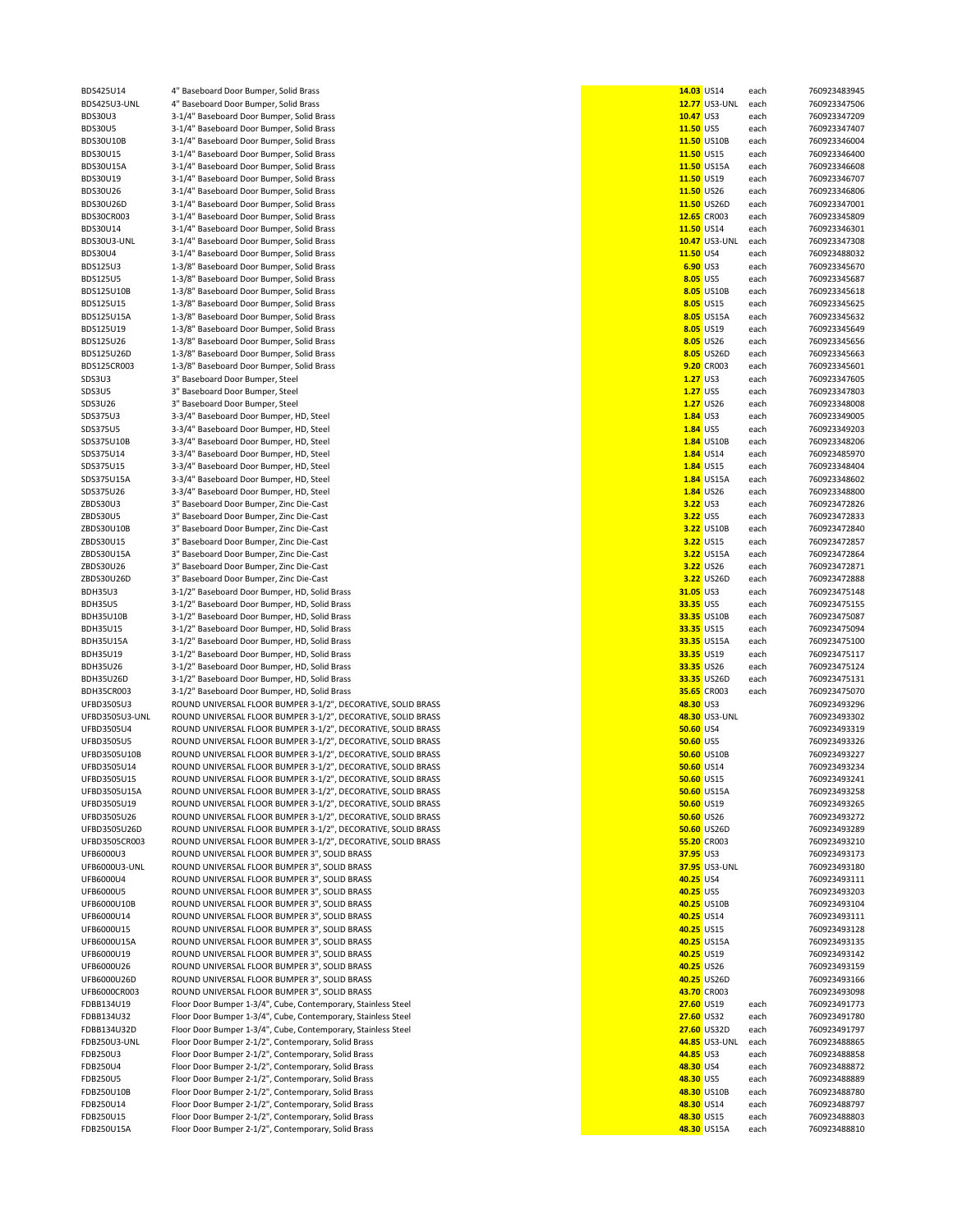BDS425U14 4" Baseboard Door Bumper, Solid Brass **14.03** US14 each 760923483945<br>BDS425U3-UNL 4" Baseboard Door Bumper. Solid Brass 12.03 USL 2020 12.03 USL 2020 12.77 US3-UNL each 760923347506 BDS425U3-UNL 4" Baseboard Door Bumper, Solid Brass **12.77** US3-UNL each 760923347506 **12.77** US3-UNL each 760923347506 12.77<br>BDS30U3 10.47 US3 each 760923347209 BDS30U3 3-1/4" Baseboard Door Bumper, Solid Brass **10.47 US3 each 760923347209**<br>BDS30U5 3-1/4" Baseboard Door Bumper. Solid Brass 10.000 Bumper. Solid Brass 11.50 US5 each 760923347407 BDS30U5 3-1/4" Baseboard Door Bumper, Solid Brass **11.50** US5 each 760923347407<br>BDS30U10B 3-1/4" Baseboard Door Bumper. Solid Brass **11.50** US10B each 760923346004 BDS30U10B 3-1/4" Baseboard Door Bumper, Solid Brass **11.50** US10B each 760923346004<br>BDS30U15 3-1/4" Baseboard Door Bumper Solid Brass **11.50** US15 each 760923346400 3-1/4" Baseboard Door Bumper, Solid Brass BDS30U15A 3-1/4" Baseboard Door Bumper, Solid Brass **11.50** US15A each 760923346608<br>BDS30U15A 3-1/4" Baseboard Door Bumper Solid Brass **11.50** US13A each 760923346707 BDS30U19 3-1/4" Baseboard Door Bumper, Solid Brass **11.50** US19 each 760923346707<br>BDS30U126 3-1/4" Baseboard Door Bumper Solid Brass **11.50** US19 each 760923346806 BDS30U26 3-1/4" Baseboard Door Bumper, Solid Brass **11.50** US26 each 760923346806 BDS30U26D 3-1/4" Baseboard Door Bumper, Solid Brass **11.50** US26D each 760923347001<br>BDS30U26D 3-1/4" Baseboard Door Bumper Solid Brass **12.50** US26D each 76092345809 BDS30CR003 3-1/4" Baseboard Door Bumper, Solid Brass **12.65** CR003 each 760923345809<br>BDS30U14 3-1/4" Baseboard Door Bumper. Solid Brass 12.65 CR003 each 760923346301 BDS30U14 3-1/4" Baseboard Door Bumper, Solid Brass **11.50** US14 each 760923346301<br>BDS30U3-UNL 3-1/4" Baseboard Door Bumper, Solid Brass 10.47 US3-UNL each 760923347308 3-1/4" Baseboard Door Bumper, Solid Brass BDS30U4 3-1/4" Baseboard Door Bumper, Solid Brass **11.50** US4 each 760923488032 BDS125U3 1-3/8" Baseboard Door Bumper, Solid Brass<br>**BDS125U5** 1-3/8" Baseboard Door Bumper, Solid Brass BDS125U5 1-3/8" Baseboard Door Bumper, Solid Brass<br>**BDS125U10B** 1-3/8" Baseboard Door Bumper. Solid Brass BDS125U10B 1-3/8" Baseboard Door Bumper, Solid Brass **8.05** US10B each 760923345618 BDS125U15 1-3/8" Baseboard Door Bumper, Solid Brass **8.05** US15 each 760923345625 BDS125U15A 1-3/8" Baseboard Door Bumper, Solid Brass<br>BDS125U19 1-3/8" Baseboard Door Bumper, Solid Brass BDS125U19 1-3/8" Baseboard Door Bumper, Solid Brass and Brass and Brass and Brass and Brass and Brass and Brass and Brass and Brass and Brass and Brass and Brass and Brass and Brass and Brass and Brass and Brass and Brass BDS125U26 1-3/8" Baseboard Door Bumper, Solid Brass **1988 each in the Constant Brass and Brass and Brass and Brass and Brass and Brass and Brass and Brass and Brass and Brass and Brass and Brass and Brass and Brass and Bra** BDS125U26D 1-3/8" Baseboard Door Bumper, Solid Brass **1988 Concerned Brass and Brass and Brass and Brass and Brass** BDS125CR003 each 760923345663<br>BDS125CR003 1-3/8" Baseboard Door Bumper, Solid Brass and Brass and Brass an BDS125CR003 1-3/8" Baseboard Door Bumper, Solid Brass **19.20 CROOS 1.20 CROOS 1.27 CROOS 1.27** CR003 each 760923345601<br>SDS3U3 3" Baseboard Door Bumper. Steel SDS3U3 3" Baseboard Door Bumper, Steel **1.27** US3 each 760923347605 SDS3U5 3" Baseboard Door Bumper, Steel **1.27** US5 each 760923347803 SDS3U26 3" Baseboard Door Bumper, Steel **1.27 US26 each 760923348008**<br>SDS375U3 3-3/4" Baseboard Door Bumper. HD. Steel **1.27** US3 each 760923349005 SDS375U3 3-3/4" Baseboard Door Bumper, HD, Steel **1.84** US3 each 760923349005 SDS375U5 3-3/4" Baseboard Door Bumper, HD, Steel **1.84** US5 each 760923349203 SDS375U10B 3-3/4" Baseboard Door Bumper, HD, Steel **1.84** US10B each 760923348206<br>SDS375U104 3-3/4" Baseboard Door Bumper HD Steel **1.84** US14 each 760923485970 SDS375U14 3-3/4" Baseboard Door Bumper, HD, Steel<br>SDS375U15 3-3/4" Baseboard Door Bumper, HD, Steel SDS375U15 3-3/4" Baseboard Door Bumper, HD, Steel **1.84** US15 each 760923348404<br>SDS375U15A 3-3/4" Baseboard Door Bumper HD Steel **1.84** US15A are and 250923348602 SDS375U15A 3-3/4" Baseboard Door Bumper, HD, Steel **1.84** US15A each 760923348602<br>SDS375U26 3-3/4" Baseboard Door Bumper. HD. Steel 1.84 US25 each 760923348800 SDS375U26 3-3/4" Baseboard Door Bumper, HD, Steel **1.84** US26 each 760923348800<br>2BDS30U3 3" Baseboard Door Bumper. Zinc Die-Cast **1.84** US26 each 760923472826 zBDS30U3 3<sup>"</sup> Baseboard Door Bumper, Zinc Die-Cast **2BDS30U5** 3<sup>"</sup> Baseboard Door Bumper. Zinc Die-Cast ZBDS30U5 3" Baseboard Door Bumper, Zinc Die-Cast **3.22** US5 each 760923472833 ZBDS30U10B 3" Baseboard Door Bumper, Zinc Die-Cast **1980 and 2002 and 2003 and 3.22 US10B** each 760923472840<br>2BDS30U15 3" Baseboard Door Bumper, Zinc Die-Cast 1990 and 2003 and 2009 and 3.22 US15 each 760923472857 ZBDS30U15 3" Baseboard Door Bumper, Zinc Die-Cast **3.22 US15 each 760923472857**<br>ZBDS30U15A 3" Baseboard Door Bumper, Zinc Die-Cast **3.22** US15A each 760923472864 ZBDS30U15A 3" Baseboard Door Bumper, Zinc Die-Cast<br>ZBDS30U26 3" Baseboard Door Bumper. Zinc Die-Cast ZBDS30U26 3" Baseboard Door Bumper, Zinc Die-Cast **1989 et al. 223 use ach an an an an an an an an an an an an a**<br>2BDS30U26D 3" Baseboard Door Bumper, Zinc Die-Cast 1999 et al. 223 use ach 260923472888 ZBDS30U26D 3" Baseboard Door Bumper, Zinc Die-Cast **3.22** US26D each 760923472888 BDH35U3 3-1/2" Baseboard Door Bumper, HD, Solid Brass<br>**BDH35U5** 3-1/2" Baseboard Door Bumper. HD. Solid Brass BDH35U5 3-1/2" Baseboard Door Bumper, HD, Solid Brass 33.35 US5 each 760923475155<br>BDH35U10B 3-1/2" Baseboard Door Bumper, HD, Solid Brass 33.35 US10B each 760923475087 BDH35U10B 3-1/2" Baseboard Door Bumper, HD, Solid Brass 33.35 US10B each 760923475087<br>BDH35U15 33.35 US15 each 760923475094 2010 and 2020 and 2020 and 2020 and 2020 and 2020 and 2020 and 2020 and 2 BDH35U15 3-1/2" Baseboard Door Bumper, HD, Solid Brass<br>**BDH35U15A** 3-1/2" Baseboard Door Bumper, HD, Solid Brass BDH35U15A 3-1/2" Baseboard Door Bumper, HD, Solid Brass **33.35** US15A each 760923475100 BDH35U19 3-1/2" Baseboard Door Bumper, HD, Solid Brass **33.35** US19 each 760923475117 BDH35U26 3-1/2" Baseboard Door Bumper, HD, Solid Brass 33.35 US26 each 760923475124<br>BDH35U26D 3-1/2" Baseboard Door Bumper. HD. Solid Brass 33.35 US26 each 760923475131 BDH35U26D 3-1/2" Baseboard Door Bumper, HD, Solid Brass **33.35** US26D each 760923475131 BDH35CR003 3-1/2" Baseboard Door Bumper, HD, Solid Brass **35.65** CR003 each 760923475070 UFBD3505U3 ROUND UNIVERSAL FLOOR BUMPER 3-1/2", DECORATIVE, SOLID BRASS **48.30** US3 760923493296 UFBD3505U3-UNL ROUND UNIVERSAL FLOOR BUMPER 3-1/2", DECORATIVE, SOLID BRASS **48.30** US3-UNL 760923493302 UFBD3505U4 ROUND UNIVERSAL FLOOR BUMPER 3-1/2", DECORATIVE, SOLID BRASS **50.60** US4 760923493319 UFBD3505U5 ROUND UNIVERSAL FLOOR BUMPER 3-1/2", DECORATIVE, SOLID BRASS **50.60** US5 760923493326 UFBD3505U10B ROUND UNIVERSAL FLOOR BUMPER 3-1/2", DECORATIVE, SOLID BRASS **50.60 CONSTRUCTED BRASS 199.60** US10B<br>TIERD3505U14 ROUND UNIVERSAL FLOOR BUMPER 3-1/2" DECORATIVE SOLID BRASS 199.7 CONSTRUCTED **199.9.00 100000000** ROUND UNIVERSAL FLOOR BUMPER 3-1/2", DECORATIVE, SOLID BRASS **50.60** US14 **50.60** US14 760923493234 UFBD3505U15 ROUND UNIVERSAL FLOOR BUMPER 3-1/2", DECORATIVE, SOLID BRASS **50.60 USILM BRASS 199.600 US15 760923493241**<br>UFBD3505U15A ROUND UNIVERSAL FLOOR BUMPER 3-1/2". DECORATIVE. SOLID BRASS 199.7 SOLID BRASS 199.60 US15 ROUND UNIVERSAL FLOOR BUMPER 3-1/2", DECORATIVE, SOLID BRASS **50.60** US15A **50.60** US15A 760923493258 UFBD3505U19 ROUND UNIVERSAL FLOOR BUMPER 3-1/2", DECORATIVE, SOLID BRASS **50.60 CM 1999 10:00 US19 10:00 US19 760923493265**<br>The Data of the Solid Bumper San Annel Research Company of the Solid Brass of the Solid Brass of t ROUND UNIVERSAL FLOOR BUMPER 3-1/2", DECORATIVE, SOLID BRASS UFBD3505U26D ROUND UNIVERSAL FLOOR BUMPER 3-1/2", DECORATIVE, SOLID BRASS **50.60 USPS 50.60 US26D 760923493289**<br>UFBD3505CR003 ROUND UNIVERSAL FLOOR BUMPER 3-1/2". DECORATIVE. SOLID BRASS **50.60 CROUND 10.000 10.000** CR003 UFBD3505CR003 ROUND UNIVERSAL FLOOR BUMPER 3-1/2", DECORATIVE, SOLID BRASS **55.20** CR003 760923493210 ROUND UNIVERSAL FLOOR BUMPER 3", SOLID BRASS **37.95** US3 **37.95** US3 760923493173 UFB6000U3-UNL ROUND UNIVERSAL FLOOR BUMPER 3", SOLID BRASS **37.95** US3-UNL 760923493180 ROUND UNIVERSAL FLOOR BUMPER 3", SOLID BRASS **40.25** US4 760923493111 UFB6000U5 ROUND UNIVERSAL FLOOR BUMPER 3", SOLID BRASS **40.25** US5 760923493203 ROUND UNIVERSAL FLOOR BUMPER 3", SOLID BRASS UFB6000U14 ROUND UNIVERSAL FLOOR BUMPER 3", SOLID BRASS **40.25** US14 760923493111 UFB6000U15 ROUND UNIVERSAL FLOOR BUMPER 3", SOLID BRASS **40.25** US15 760923493128 UFB6000U15A ROUND UNIVERSAL FLOOR BUMPER 3", SOLID BRASS **40.25** US15A 760923493135 UFB6000U19 ROUND UNIVERSAL FLOOR BUMPER 3", SOLID BRASS **40.25** US19 760923493142 UFB6000U26 ROUND UNIVERSAL FLOOR BUMPER 3", SOLID BRASS **40.25** US26 760923493159 UFB6000U26D ROUND UNIVERSAL FLOOR BUMPER 3", SOLID BRASS **40.25** US26D 760923493166 UFB6000CR003 ROUND UNIVERSAL FLOOR BUMPER 3", SOLID BRASS **43.70** CR003 760923493098 FDBB134U19 Floor Door Bumper 1-3/4", Cube, Contemporary, Stainless Steel **27.60** US19 each 760923491773 FDBB134U32 Floor Door Bumper 1-3/4", Cube, Contemporary, Stainless Steel **27.60** US32 each 760923491780 FDBB134U32D Floor Door Bumper 1-3/4", Cube, Contemporary, Stainless Steel **27.60** US32D each 760923491797<br>PDB250U3-UNL Floor Door Bumper 2-1/2", Contemporary, Solid Brass and Document Contemporary, Solid Brass and Do Floor Door Bumper 2-1/2", Contemporary, Solid Brass **45.85** US3-UNL each 760923488865 FDB250U3 Floor Door Bumper 2-1/2", Contemporary, Solid Brass **44.85** US3 each 760923488858 Floor Door Bumper 2-1/2", Contemporary, Solid Brass **198.30 and 2018 to the Contemporary, Solid Brass 198.30** US4 each 760923488872 FDB250U5 Floor Door Bumper 2-1/2", Contemporary, Solid Brass **1988 1998 12:30 Contemporary, Solid Brass 1998 12:30** UST 100923488899 UST 108 each 760923488889<br>FDB250U10B Floor Door Bumper 2-1/2". Contemporary. Solid Brass Floor Door Bumper 2-1/2", Contemporary, Solid Brass **48.30** US10B each 760923488780 FDB250U14 Floor Door Bumper 2-1/2", Contemporary, Solid Brass **1988 and Contemporary, Solid Brass 1998** US14 each 760923488797<br>FDB250U15 Floor Door Bumper 2-1/2". Contemporary. Solid Brass 1998 and Contemporary and Contemp FDB250U15 Floor Door Bumper 2-1/2", Contemporary, Solid Brass<br>**48.300128.40088802888888024888888888**<br>FDB250U15A

| 4" Baseboard Door Bumper, Solid Brass                         | 14.03 US14        |                      | each | 760923483945                 |
|---------------------------------------------------------------|-------------------|----------------------|------|------------------------------|
| 4" Baseboard Door Bumper, Solid Brass                         |                   | <b>12.77</b> US3-UNL | each | 760923347506                 |
| 3-1/4" Baseboard Door Bumper, Solid Brass                     | 10.47 US3         |                      | each | 760923347209                 |
| 3-1/4" Baseboard Door Bumper, Solid Brass                     | 11.50 US5         |                      | each | 760923347407                 |
|                                                               |                   | 11.50 US10B          |      |                              |
| 3-1/4" Baseboard Door Bumper, Solid Brass                     |                   |                      | each | 760923346004                 |
| 3-1/4" Baseboard Door Bumper, Solid Brass                     | 11.50 US15        |                      | each | 760923346400                 |
| 3-1/4" Baseboard Door Bumper, Solid Brass                     |                   | 11.50 US15A          | each | 760923346608                 |
| 3-1/4" Baseboard Door Bumper, Solid Brass                     | 11.50 US19        |                      | each | 760923346707                 |
| 3-1/4" Baseboard Door Bumper, Solid Brass                     | 11.50 US26        |                      | each | 760923346806                 |
| 3-1/4" Baseboard Door Bumper, Solid Brass                     |                   | 11.50 US26D          | each | 760923347001                 |
| 3-1/4" Baseboard Door Bumper, Solid Brass                     | 12.65 CR003       |                      | each | 760923345809                 |
| 3-1/4" Baseboard Door Bumper, Solid Brass                     | 11.50 US14        |                      | each | 760923346301                 |
| 3-1/4" Baseboard Door Bumper, Solid Brass                     |                   | <b>10.47 US3-UNL</b> | each | 760923347308                 |
| 3-1/4" Baseboard Door Bumper, Solid Brass                     | 11.50 US4         |                      | each | 760923488032                 |
| 1-3/8" Baseboard Door Bumper, Solid Brass                     | 6.90 US3          |                      | each | 760923345670                 |
| 1-3/8" Baseboard Door Bumper, Solid Brass                     | 8.05 US5          |                      | each | 760923345687                 |
| 1-3/8" Baseboard Door Bumper, Solid Brass                     |                   | 8.05 US10B           | each | 760923345618                 |
| 1-3/8" Baseboard Door Bumper, Solid Brass                     |                   | 8.05 US15            | each | 760923345625                 |
| 1-3/8" Baseboard Door Bumper, Solid Brass                     |                   | 8.05 US15A           | each | 760923345632                 |
| 1-3/8" Baseboard Door Bumper, Solid Brass                     |                   | 8.05 US19            |      |                              |
|                                                               |                   |                      | each | 760923345649                 |
| 1-3/8" Baseboard Door Bumper, Solid Brass                     |                   | 8.05 US26            | each | 760923345656                 |
| 1-3/8" Baseboard Door Bumper, Solid Brass                     |                   | 8.05 US26D           | each | 760923345663                 |
| 1-3/8" Baseboard Door Bumper, Solid Brass                     |                   | 9.20 CR003           | each | 760923345601                 |
| 3" Baseboard Door Bumper, Steel                               | $1.27$ US3        |                      | each | 760923347605                 |
| 3" Baseboard Door Bumper, Steel                               | <b>1.27 US5</b>   |                      | each | 760923347803                 |
| 3" Baseboard Door Bumper, Steel                               |                   | 1.27 US26            | each | 760923348008                 |
| 3-3/4" Baseboard Door Bumper, HD, Steel                       | <b>1.84 US3</b>   |                      | each | 760923349005                 |
| 3-3/4" Baseboard Door Bumper, HD, Steel                       | <b>1.84 US5</b>   |                      | each | 760923349203                 |
| 3-3/4" Baseboard Door Bumper, HD, Steel                       |                   | <b>1.84 US10B</b>    | each | 760923348206                 |
| 3-3/4" Baseboard Door Bumper, HD, Steel                       |                   | <b>1.84 US14</b>     | each | 760923485970                 |
| 3-3/4" Baseboard Door Bumper, HD, Steel                       |                   | <b>1.84 US15</b>     | each | 760923348404                 |
| 3-3/4" Baseboard Door Bumper, HD, Steel                       |                   | 1.84 US15A           | each | 760923348602                 |
|                                                               |                   |                      |      |                              |
| 3-3/4" Baseboard Door Bumper, HD, Steel                       |                   | <b>1.84 US26</b>     | each | 760923348800                 |
| 3" Baseboard Door Bumper, Zinc Die-Cast                       | 3.22 US3          |                      | each | 760923472826                 |
| 3" Baseboard Door Bumper, Zinc Die-Cast                       | 3.22 US5          |                      | each | 760923472833                 |
| 3" Baseboard Door Bumper, Zinc Die-Cast                       |                   | 3.22 US10B           | each | 760923472840                 |
| 3" Baseboard Door Bumper, Zinc Die-Cast                       |                   | 3.22 US15            | each | 760923472857                 |
| 3" Baseboard Door Bumper, Zinc Die-Cast                       |                   | 3.22 US15A           | each | 760923472864                 |
| 3" Baseboard Door Bumper, Zinc Die-Cast                       |                   | 3.22 US26            | each | 760923472871                 |
| 3" Baseboard Door Bumper, Zinc Die-Cast                       |                   | 3.22 US26D           | each | 760923472888                 |
| 3-1/2" Baseboard Door Bumper, HD, Solid Brass                 | 31.05 US3         |                      | each | 760923475148                 |
| 3-1/2" Baseboard Door Bumper, HD, Solid Brass                 | 33.35 US5         |                      | each | 760923475155                 |
| 3-1/2" Baseboard Door Bumper, HD, Solid Brass                 |                   | 33.35 US10B          | each | 760923475087                 |
| 3-1/2" Baseboard Door Bumper, HD, Solid Brass                 | 33.35 US15        |                      | each | 760923475094                 |
| 3-1/2" Baseboard Door Bumper, HD, Solid Brass                 |                   | 33.35 US15A          | each | 760923475100                 |
| 3-1/2" Baseboard Door Bumper, HD, Solid Brass                 | 33.35 US19        |                      |      | 760923475117                 |
|                                                               |                   |                      | each |                              |
| 3-1/2" Baseboard Door Bumper, HD, Solid Brass                 | 33.35 US26        |                      | each | 760923475124                 |
| 3-1/2" Baseboard Door Bumper, HD, Solid Brass                 |                   | 33.35 US26D          | each | 760923475131                 |
| 3-1/2" Baseboard Door Bumper, HD, Solid Brass                 |                   | 35.65 CR003          | each | 760923475070                 |
| ROUND UNIVERSAL FLOOR BUMPER 3-1/2", DECORATIVE, SOLID BRASS  | 48.30 US3         |                      |      | 760923493296                 |
| ROUND UNIVERSAL FLOOR BUMPER 3-1/2", DECORATIVE, SOLID BRASS  |                   | 48.30 US3-UNL        |      | 760923493302                 |
| ROUND UNIVERSAL FLOOR BUMPER 3-1/2", DECORATIVE, SOLID BRASS  | <b>50.60 US4</b>  |                      |      | 760923493319                 |
| ROUND UNIVERSAL FLOOR BUMPER 3-1/2", DECORATIVE, SOLID BRASS  | <b>50.60 US5</b>  |                      |      | 760923493326                 |
| ROUND UNIVERSAL FLOOR BUMPER 3-1/2", DECORATIVE, SOLID BRASS  |                   | <b>50.60 US10B</b>   |      | 760923493227                 |
| ROUND UNIVERSAL FLOOR BUMPER 3-1/2", DECORATIVE, SOLID BRASS  | <b>50.60 US14</b> |                      |      | 760923493234                 |
| ROUND UNIVERSAL FLOOR BUMPER 3-1/2", DECORATIVE, SOLID BRASS  | 50.60 US15        |                      |      | 760923493241                 |
| ROUND UNIVERSAL FLOOR BUMPER 3-1/2", DECORATIVE, SOLID BRASS  |                   | <b>50.60 US15A</b>   |      | 760923493258                 |
| ROUND UNIVERSAL FLOOR BUMPER 3-1/2", DECORATIVE, SOLID BRASS  | 50.60 US19        |                      |      | 760923493265                 |
| ROUND UNIVERSAL FLOOR BUMPER 3-1/2", DECORATIVE, SOLID BRASS  | 50.60 US26        |                      |      | 760923493272                 |
| ROUND UNIVERSAL FLOOR BUMPER 3-1/2", DECORATIVE, SOLID BRASS  |                   | <b>50.60 US26D</b>   |      | 760923493289                 |
| ROUND UNIVERSAL FLOOR BUMPER 3-1/2", DECORATIVE, SOLID BRASS  |                   | 55.20 CR003          |      | 760923493210                 |
| ROUND UNIVERSAL FLOOR BUMPER 3", SOLID BRASS                  |                   |                      |      |                              |
|                                                               | 37.95 US3         |                      |      | 760923493173<br>760923493180 |
| ROUND UNIVERSAL FLOOR BUMPER 3", SOLID BRASS                  |                   | <b>37.95</b> US3-UNL |      |                              |
| ROUND UNIVERSAL FLOOR BUMPER 3", SOLID BRASS                  | 40.25 US4         |                      |      | 760923493111                 |
| ROUND UNIVERSAL FLOOR BUMPER 3", SOLID BRASS                  | 40.25 US5         |                      |      | 760923493203                 |
| ROUND UNIVERSAL FLOOR BUMPER 3", SOLID BRASS                  |                   | 40.25 US10B          |      | 760923493104                 |
| ROUND UNIVERSAL FLOOR BUMPER 3", SOLID BRASS                  | 40.25 US14        |                      |      | 760923493111                 |
| ROUND UNIVERSAL FLOOR BUMPER 3", SOLID BRASS                  | 40.25 US15        |                      |      | 760923493128                 |
| ROUND UNIVERSAL FLOOR BUMPER 3", SOLID BRASS                  |                   | 40.25 US15A          |      | 760923493135                 |
| ROUND UNIVERSAL FLOOR BUMPER 3", SOLID BRASS                  | 40.25 US19        |                      |      | 760923493142                 |
| ROUND UNIVERSAL FLOOR BUMPER 3", SOLID BRASS                  | 40.25 US26        |                      |      | 760923493159                 |
| ROUND UNIVERSAL FLOOR BUMPER 3", SOLID BRASS                  |                   | 40.25 US26D          |      | 760923493166                 |
| ROUND UNIVERSAL FLOOR BUMPER 3", SOLID BRASS                  |                   | 43.70 CR003          |      | 760923493098                 |
| Floor Door Bumper 1-3/4", Cube, Contemporary, Stainless Steel | <b>27.60 US19</b> |                      | each | 760923491773                 |
| Floor Door Bumper 1-3/4", Cube, Contemporary, Stainless Steel | 27.60 US32        |                      | each | 760923491780                 |
| Floor Door Bumper 1-3/4", Cube, Contemporary, Stainless Steel |                   | 27.60 US32D          | each | 760923491797                 |
| Floor Door Bumper 2-1/2", Contemporary, Solid Brass           |                   | 44.85 US3-UNL        | each | 760923488865                 |
|                                                               |                   |                      |      | 760923488858                 |
| Floor Door Bumper 2-1/2", Contemporary, Solid Brass           | 44.85 US3         |                      | each |                              |
| Floor Door Bumper 2-1/2", Contemporary, Solid Brass           | 48.30 US4         |                      | each | 760923488872                 |
| Floor Door Bumper 2-1/2", Contemporary, Solid Brass           | 48.30 US5         |                      | each | 760923488889                 |
| Floor Door Bumper 2-1/2", Contemporary, Solid Brass           |                   | 48.30 US10B          | each | 760923488780                 |
| Floor Door Bumper 2-1/2", Contemporary, Solid Brass           | 48.30 US14        |                      | each | 760923488797                 |
| Floor Door Bumper 2-1/2", Contemporary, Solid Brass           | 48.30 US15        |                      | each | 760923488803                 |
| Floor Door Bumper 2-1/2", Contemporary, Solid Brass           |                   | 48.30 US15A          | each | 760923488810                 |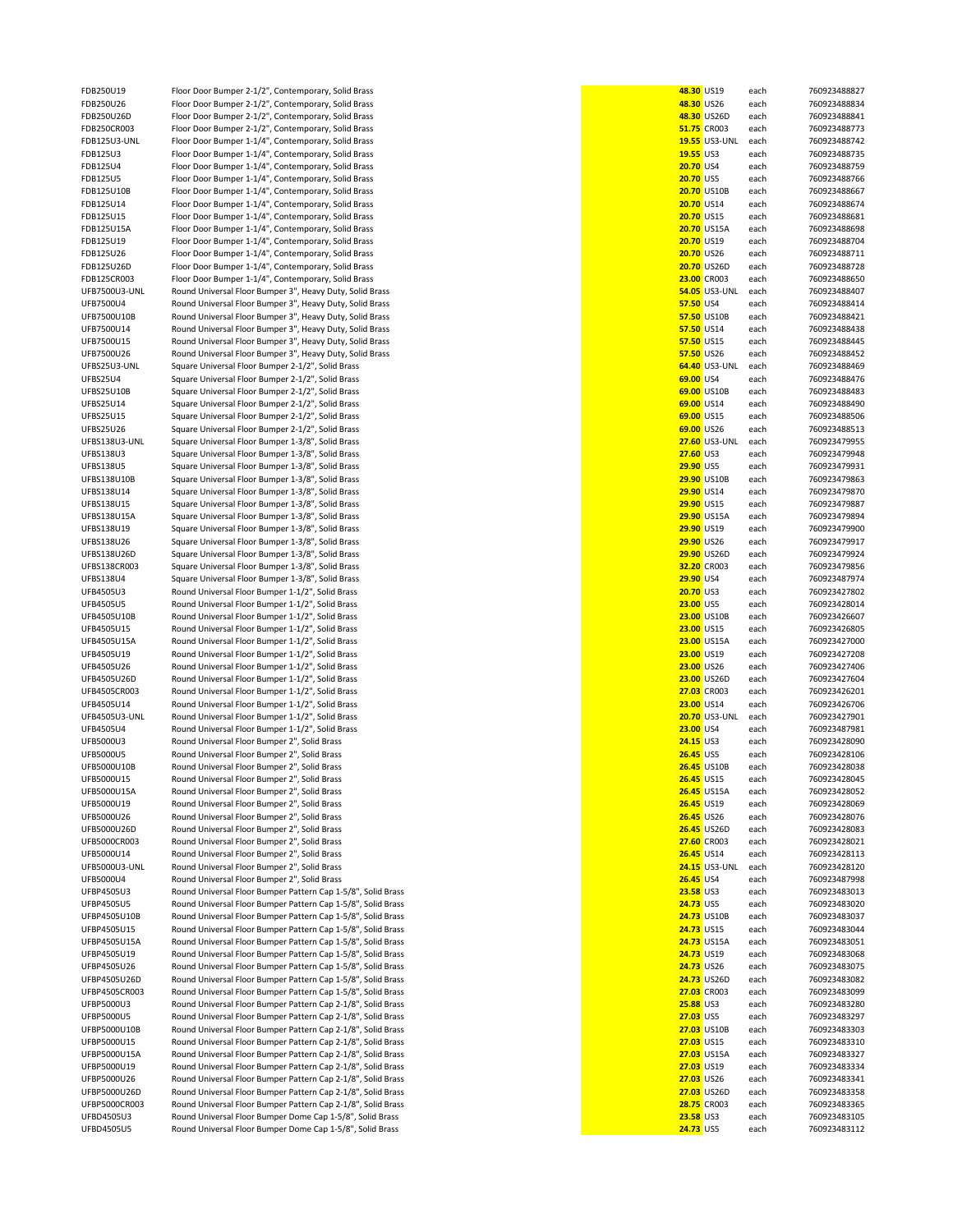FDB250U19 Floor Door Bumper 2-1/2", Contemporary, Solid Brass<br>**48.30028 Floor Door Bumper 2-1/2", Contemporary, Solid Brass** FDB250U26 Floor Door Bumper 2-1/2", Contemporary, Solid Brass<br>**48.30026D** Floor Door Bumper 2-1/2". Contemporary. Solid Brass FDB250U26D Floor Door Bumper 2-1/2", Contemporary, Solid Brass **48.30** US26D each 760923488841 FDB250CR003 Floor Door Bumper 2-1/2", Contemporary, Solid Brass **51.75** CR003 each 760923488773<br>FDB125U3-UNL Floor Door Bumper 1-1/4". Contemporary. Solid Brass **51.75** CR003 1955 US3-UNL each 760923488742 FDB125U3-UNL Floor Door Bumper 1-1/4", Contemporary, Solid Brass **19.55** US3-UNL each 760923488742<br>
FDB125U3 Ploor Door Bumper 1-1/4" Contemporary Solid Brass **19.55** US3 Pach 760923488735 Floor Door Bumper 1-1/4", Contemporary, Solid Brass FDB125U4 Floor Door Bumper 1-1/4", Contemporary, Solid Brass **20.70** US4 each 760923488759 FDB125U5 Floor Door Bumper 1-1/4", Contemporary, Solid Brass<br>**20.8125U108.** Floor Door Bumper 1-1/4" Contemporary, Solid Brass FDB125U10B Floor Door Bumper 1-1/4", Contemporary, Solid Brass<br>**20.8125U14 Floor Door Bumper 1-1/4"** Contemporary Solid Brass FDB125U14 Floor Door Bumper 1-1/4", Contemporary, Solid Brass<br>**20.8125U15 Floor Door Bumper 1-1/4"** Contemporary Solid Brass FDB125U15 Floor Door Bumper 1-1/4", Contemporary, Solid Brass<br>**20.713 Elect Door Bumper 1-1/4", Contemporary, Solid Brass** FDB125U15A Floor Door Bumper 1-1/4", Contemporary, Solid Brass<br>**FDB125U19** Floor Door Bumper 1-1/4", Contemporary, Solid Brass FDB125U19 Floor Door Bumper 1-1/4", Contemporary, Solid Brass<br>**FDB125U26** Floor Door Bumper 1-1/4", Contemporary, Solid Brass FDB125U26 Floor Door Bumper 1-1/4", Contemporary, Solid Brass<br>**20.71250 Floor Door Bumper 1-1/4", Contemporary, Solid Brass** FDB125U26D Floor Door Bumper 1-1/4", Contemporary, Solid Brass<br>**FDB125CR003** Floor Door Bumper 1-1/4", Contemporary, Solid Brass FDB125CR003 Floor Door Bumper 1-1/4", Contemporary, Solid Brass<br>UFB7500U3-UNL Round Universal Floor Bumper 3". Heavy Duty. Solid B UFB7500U3-UNL Round Universal Floor Bumper 3", Heavy Duty, Solid Brass<br>UFB7500U4 **64.05** Round Universal Floor Bumper 3". Heavy Duty. Solid Brass UFB7500U4 **Round Universal Floor Bumper 3", Heavy Duty, Solid Brass**<br> **UFB7500U10B 57.50** Round Universal Floor Bumper 3", Heavy Duty, Solid Brass UFB7500U10B Round Universal Floor Bumper 3", Heavy Duty, Solid Brass<br>
UFB7500U14 **Bound Universal Floor Bumper 3", Heavy Duty, Solid Brass** UFB7500U14 Round Universal Floor Bumper 3", Heavy Duty, Solid Brass<br>
UFB7500U15 **67.500 Round Universal Floor Bumper 3"**. Heavy Duty, Solid Brass UFB7500U15 Round Universal Floor Bumper 3", Heavy Duty, Solid Brass<br>
UFB7500U26 **57.500 BRound Universal Floor Bumper 3**", Heavy Duty, Solid Brass UFB7500U26 Round Universal Floor Bumper 3", Heavy Duty, Solid Brass<br>**UFBS25U3-UNL Square Universal Floor Bumper 2-1/2"** Solid Brass UFBS25U3-UNL Square Universal Floor Bumper 2-1/2", Solid Brass<br>UFBS25U4 Square Universal Floor Bumper 2-1/2". Solid Brass Square Universal Floor Bumper 2-1/2", Solid Brass UFBS25U10B Square Universal Floor Bumper 2-1/2", Solid Brass<br>**6** UFBS25U14 **6 Souare Universal Floor Bumper 2-1/2"** Solid Brass UFBS25U14 Square Universal Floor Bumper 2-1/2", Solid Brass<br>**69.000 UFBS25U15** Square Universal Floor Bumper 2-1/2". Solid Brass Square Universal Floor Bumper 2-1/2", Solid Brass UFBS25U26 Square Universal Floor Bumper 2-1/2", Solid Brass UFBS138U3-UNL Square Universal Floor Bumper 1-3/8", Solid Brass<br>**27.6009238113** Couste Universal Floor Bumper 1-3/8" Solid Brass UFBS138U3 Square Universal Floor Bumper 1-3/8<sup>"</sup>, Solid Brass<br>
2011 UEBS138U5 **2012** Square Universal Floor Bumper 1-3/8<sup>"</sup> Solid Brass UFBS138U5 Square Universal Floor Bumper 1-3/8", Solid Brass<br>**1JEBS138U10B** Square Universal Floor Bumper 1-3/8" Solid Brass UFBS138U10B Square Universal Floor Bumper 1-3/8", Solid Brass<br>**1IEBS138U104** Square Universal Floor Bumper 1-3/8" Solid Brass UFBS138U14 Square Universal Floor Bumper 1-3/8", Solid Brass<br>
UFBS138U15 **20.9009234708870887088708870887088708** UFBS138U15 Square Universal Floor Bumper 1-3/8", Solid Brass<br>
UFBS138U15A Square Universal Floor Bumper 1-3/8". Solid Brass UFBS138U15A Square Universal Floor Bumper 1-3/8", Solid Brass<br>
UFBS138U19 Square Universal Floor Bumper 1-3/8", Solid Brass UFBS138U19 Square Universal Floor Bumper 1-3/8", Solid Brass<br>
UFBS138U26 Square Universal Floor Bumper 1-3/8". Solid Brass UFBS138U26 Square Universal Floor Bumper 1-3/8", Solid Brass<br>
UFBS138U26D Square Universal Floor Bumper 1-3/8", Solid Brass UFBS138U26D Square Universal Floor Bumper 1-3/8", Solid Brass<br>UFBS138CR003 Square Universal Floor Bumper 1-3/8". Solid Brass UFBS138CR003 Square Universal Floor Bumper 1-3/8", Solid Brass<br>UFBS138U4 Square Universal Floor Bumper 1-3/8". Solid Brass UFBS138U4 Square Universal Floor Bumper 1-3/8", Solid Brass<br>**29.9008287.000828797878787878787978797878797** UFB4505U3 Round Universal Floor Bumper 1-1/2", Solid Brass<br>
UFB4505U5 Round Universal Floor Bumper 1-1/2". Solid Brass UFB4505U5 Round Universal Floor Bumper 1-1/2", Solid Brass<br>**UFB4505U10B** Round Universal Floor Bumper 1-1/2", Solid Brass UFB4505U10B Round Universal Floor Bumper 1-1/2", Solid Brass<br>
UFB4505U15 **23.000** Round Universal Floor Bumper 1-1/2". Solid Brass UFB4505U15 Round Universal Floor Bumper 1-1/2", Solid Brass<br>UFB4505U15A Round Universal Floor Bumper 1-1/2", Solid Brass Round Universal Floor Bumper 1-1/2", Solid Brass UFB4505U19 Round Universal Floor Bumper 1-1/2", Solid Brass UFB4505U26 Round Universal Floor Bumper 1-1/2", Solid Brass<br>**UFB4505U26D** Round Universal Floor Bumper 1-1/2". Solid Brass **Round Universal Floor Bumper 1-1/2", Solid Brass** UFB4505CR003 Round Universal Floor Bumper 1-1/2", Solid Brass UFB4505U14 Round Universal Floor Bumper 1-1/2", Solid Brass UFB4505U3-UNL Round Universal Floor Bumper 1-1/2", Solid Brass<br>**20.703-UNL Brass Brass ISD-Universal Floor Bumper 1-1/2"**. Solid Brass **Round Universal Floor Bumper 1-1/2", Solid Brass** UFB5000U3 Round Universal Floor Bumper 2", Solid Brass UFB5000U5 Round Universal Floor Bumper 2", Solid Brass<br>**11EB5000U10B** Round Universal Floor Bumper 2" Solid Brass Round Universal Floor Bumper 2", Solid Brass UFB5000U15 Round Universal Floor Bumper 2", Solid Brass UFB5000U15A Round Universal Floor Bumper 2", Solid Brass<br>**UFB5000U19** Round Universal Floor Bumper 2", Solid Brass UFB5000U19 Round Universal Floor Bumper 2", Solid Brass<br>
UFB5000U26 Round Universal Floor Bumper 2", Solid Brass Round Universal Floor Bumper 2", Solid Brass UFB5000U26D Round Universal Floor Bumper 2", Solid Brass<br>UFB5000CR003 Round Universal Floor Bumper 2". Solid Brass UFB5000CR003 Round Universal Floor Bumper 2", Solid Brass<br>**UFB5000U14** Round Universal Floor Bumper 2", Solid Brass Round Universal Floor Bumper 2", Solid Brass UFB5000U3-UNL Round Universal Floor Bumper 2", Solid Brass<br>UFB5000U4 **Property** Round Universal Floor Bumper 2". Solid Brass Round Universal Floor Bumper 2", Solid Brass UFBP4505U3 Round Universal Floor Bumper Pattern Cap 1-5/8", Solid Brass<br>
23. UFBP4505U5 Round Universal Floor Bumper Pattern Cap 1-5/8". Solid Brass Round Universal Floor Bumper Pattern Cap 1-5/8", Solid Brass UFBP4505U10B Round Universal Floor Bumper Pattern Cap 1-5/8", Solid Brass<br> **24.73 UFBP4505U15** Round Universal Floor Bumper Pattern Cap 1-5/8". Solid Brass Round Universal Floor Bumper Pattern Cap 1-5/8", Solid Brass UFBP4505U15A Round Universal Floor Bumper Pattern Cap 1-5/8", Solid Brass UFBP4505U19 Round Universal Floor Bumper Pattern Cap 1-5/8", Solid Brass UFBP4505U26 Round Universal Floor Bumper Pattern Cap 1-5/8", Solid Brass UFBP4505U26D Round Universal Floor Bumper Pattern Cap 1-5/8", Solid Brass UFBP4505CR003 Round Universal Floor Bumper Pattern Cap 1-5/8", Solid Brass UFBP5000U3 Round Universal Floor Bumper Pattern Cap 2-1/8", Solid Brass UFBP5000U5 Round Universal Floor Bumper Pattern Cap 2-1/8", Solid Brass UFBP5000U10B Round Universal Floor Bumper Pattern Cap 2-1/8", Solid Brass<br>
UFBP5000U15 Round Universal Floor Bumper Pattern Cap 2-1/8", Solid Brass Round Universal Floor Bumper Pattern Cap 2-1/8", Solid Brass UFBP5000U15A Round Universal Floor Bumper Pattern Cap 2-1/8", Solid Brass<br>
UFBP5000U19 Round Universal Floor Bumper Pattern Cap 2-1/8", Solid Brass Round Universal Floor Bumper Pattern Cap 2-1/8", Solid Brass UFBP5000U26 Round Universal Floor Bumper Pattern Cap 2-1/8", Solid Brass<br>
UFBP5000U26D Round Universal Floor Bumper Pattern Cap 2-1/8". Solid Brass Round Universal Floor Bumper Pattern Cap 2-1/8", Solid Brass UFBP5000CR003 Round Universal Floor Bumper Pattern Cap 2-1/8", Solid Brass<br>
UFBD4505U3 Round Universal Floor Bumper Dome Cap 1-5/8". Solid Brass UFBD4505U3 Round Universal Floor Bumper Dome Cap 1-5/8", Solid Brass<br>UFBD4505U5 **20.58 Round Universal Floor Bumper Dome Cap 1-5/8"**, Solid Brass Round Universal Floor Bumper Dome Cap 1-5/8", Solid Brass

| 48.30 US19       |                      | each | 76092348882  |
|------------------|----------------------|------|--------------|
|                  | 48.30 US26           |      | 76092348883  |
|                  | 48.30 US26D          | each |              |
|                  |                      | each | 76092348884  |
|                  | 51.75 CR003          | each | 76092348877  |
|                  | 19.55 US3-UNL        | each | 76092348874  |
| <b>19.55</b> US3 |                      | each | 76092348873  |
| <b>20.70 US4</b> |                      | each | 76092348875  |
| 20.70 US5        |                      | each | 76092348876  |
|                  | 20.70 US10B          | each | 76092348866  |
|                  | 20.70 US14           | each | 760923488674 |
| 20.70 US15       |                      | each | 76092348868  |
|                  | 20.70 US15A          | each | 76092348869  |
|                  | 20.70 US19           | each | 76092348870  |
|                  | <b>20.70 US26</b>    | each | 76092348871  |
|                  | 20.70 US26D          | each | 76092348872  |
|                  | 23.00 CR003          | each | 76092348865  |
|                  | 54.05 US3-UNL each   |      | 76092348840  |
| 57.50 US4        |                      | each | 76092348841  |
|                  | 57.50 US10B          | each | 76092348842  |
|                  | 57.50 US14           | each | 76092348843  |
|                  | 57.50 US15           | each | 76092348844  |
|                  | 57.50 US26           | each | 76092348845  |
|                  | 64.40 US3-UNL each   |      | 76092348846  |
| 69.00 US4        |                      | each | 76092348847  |
|                  | 69.00 US10B          | each | 76092348848  |
|                  | 69.00 US14           | each | 76092348849  |
|                  | 69.00 US15           | each | 76092348850  |
|                  | 69.00 US26           | each | 76092348851  |
|                  | 27.60 US3-UNL each   |      | 76092347995  |
| 27.60 US3        |                      | each | 76092347994  |
| 29.90 US5        |                      | each | 76092347993  |
|                  | 29.90 US10B          | each | 76092347986  |
|                  | 29.90 US14           | each | 76092347987  |
|                  | 29.90 US15           | each | 76092347988  |
|                  | 29.90 US15A          | each | 76092347989  |
|                  | 29.90 US19           | each | 76092347990  |
|                  | <b>29.90 US26</b>    | each | 76092347991  |
|                  | 29.90 US26D          | each | 76092347992  |
|                  | 32.20 CR003          | each | 76092347985  |
| 29.90 US4        |                      | each | 76092348797  |
| 20.70 US3        |                      | each | 76092342780  |
| <b>23.00 US5</b> |                      | each | 76092342801  |
|                  | 23.00 US10B          | each | 76092342660  |
| 23.00 US15       |                      | each | 76092342680  |
|                  | 23.00 US15A          | each | 76092342700  |
| 23.00 US19       |                      | each | 76092342720  |
|                  | 23.00 US26           | each | 76092342740  |
|                  | 23.00 US26D          | each | 76092342760  |
|                  | 27.03 CR003          | each | 76092342620  |
|                  | 23.00 US14           | each | 76092342670  |
|                  | 20.70 US3-UNL        | each | 76092342790  |
| 23.00 US4        |                      | each | 76092348798  |
|                  | 24.15 US3            | each | 76092342809  |
| <b>26.45 US5</b> |                      | each | 76092342810  |
|                  | <b>26.45 US10B</b>   | each | 76092342803  |
| 26.45 US15       |                      | each | 76092342804  |
|                  | <b>26.45</b> US15A   | each | 76092342805  |
|                  | 26.45 US19           | each | 76092342806  |
| 26.45 US26       |                      | each | 76092342807  |
|                  | <b>26.45</b> US26D   | each | 76092342808  |
|                  | <b>27.60 CR003</b>   | each | 76092342802  |
| 26.45 US14       |                      | each | 76092342811  |
|                  | <b>24.15</b> US3-UNL | each | 76092342812  |
| <b>26.45</b> US4 |                      | each | 76092348799  |
| 23.58 US3        |                      | each | 76092348301  |
| 24.73 US5        |                      | each | 76092348302  |
|                  | 24.73 US10B          | each | 76092348303  |
| 24.73 US15       |                      | each | 76092348304  |
|                  | 24.73 US15A          | each | 76092348305  |
|                  | 24.73 US19           | each | 76092348306  |
| 24.73 US26       |                      | each | 76092348307  |
|                  | 24.73 US26D          | each | 76092348308  |
|                  | 27.03 CR003          | each | 76092348309  |
| 25.88 US3        |                      | each | 76092348328  |
| 27.03 US5        |                      | each | 76092348329  |
|                  | 27.03 US10B          | each | 76092348330  |
| 27.03 US15       |                      | each | 76092348331  |
|                  | 27.03 US15A          | each | 76092348332  |
| 27.03 US19       |                      | each | 76092348333  |
| 27.03 US26       |                      | each | 76092348334  |
|                  | 27.03 US26D          | each | 76092348335  |
|                  | 28.75 CR003          | each | 76092348336  |
| 23.58 US3        |                      | each | 76092348310  |
| 24.73 US5        |                      | each | 76092348311  |
|                  |                      |      |              |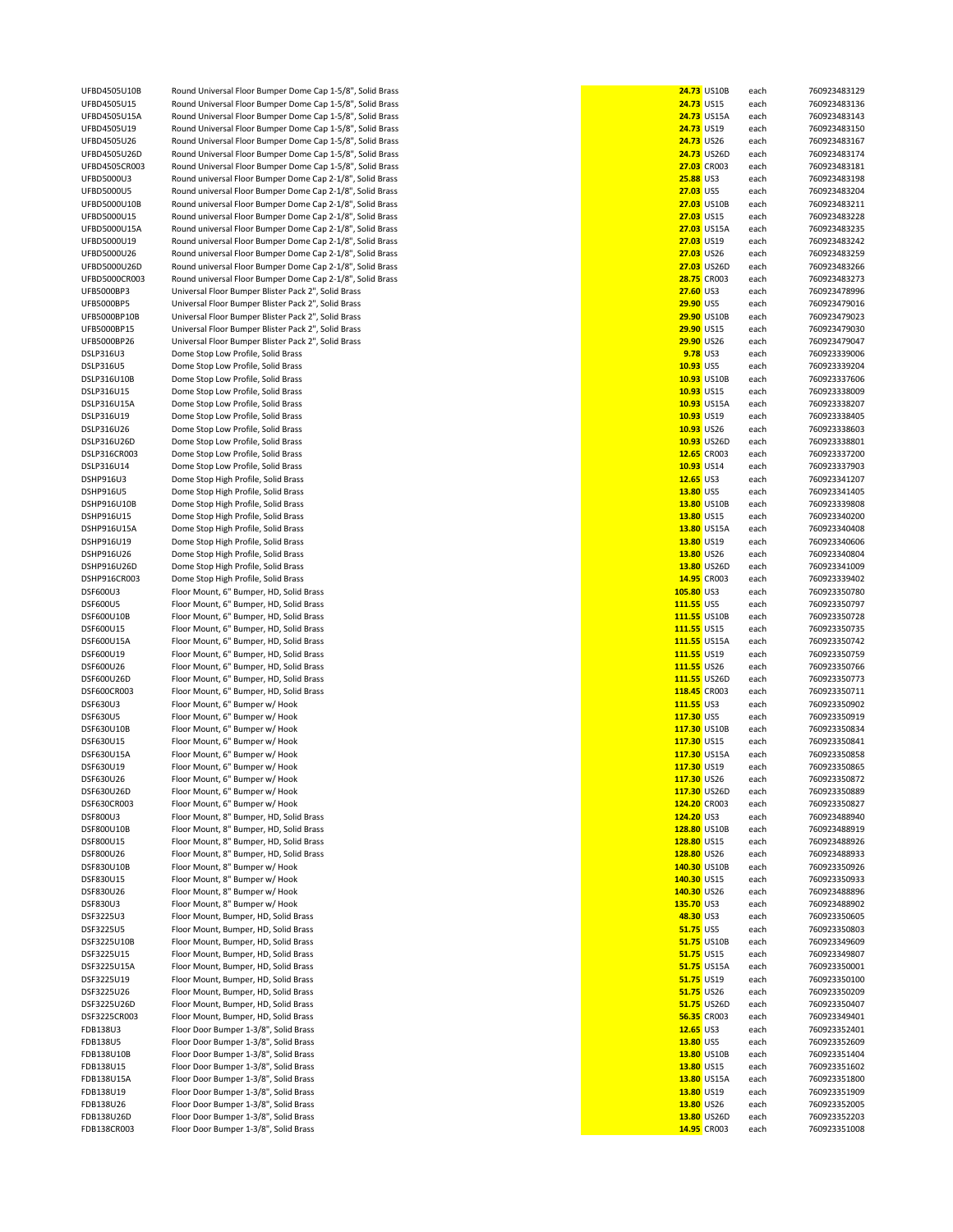UFBD4505U10B Round Universal Floor Bumper Dome Cap 1-5/8", Solid Brass<br>UFBD4505U15 Round Universal Floor Bumper Dome Cap 1-5/8". Solid Brass UFBD4505U15 Round Universal Floor Bumper Dome Cap 1-5/8", Solid Brass<br>UFBD4505U15A Round Universal Floor Bumper Dome Cap 1-5/8". Solid Brass UFBD4505U15A Round Universal Floor Bumper Dome Cap 1-5/8", Solid Brass<br> **24.733 UFBD4505U19** Round Universal Floor Bumper Dome Cap 1-5/8". Solid Brass **Bound Universal Floor Bumper Dome Cap 1-5/8", Solid Brass** UFBD4505U26 Round Universal Floor Bumper Dome Cap 1-5/8", Solid Brass<br>**LIFBD4505U26D** Round Universal Floor Bumper Dome Cap 1-5/8" Solid Brass Round Universal Floor Bumper Dome Cap 1-5/8", Solid Brass UFBD4505CR003 Round Universal Floor Bumper Dome Cap 1-5/8", Solid Brass **27.03** CR003 each 760923483181 UFBD5000U3 Round universal Floor Bumper Dome Cap 2-1/8", Solid Brass<br>**1JEBD5000U5 25.88** Round universal Floor Bumper Dome Cap 2-1/8" Solid Brass UFBD5000U5 Round universal Floor Bumper Dome Cap 2-1/8", Solid Brass<br>
UFBD5000U10B Round universal Floor Bumper Dome Cap 2-1/8". Solid Brass UFBD5000U10B Round universal Floor Bumper Dome Cap 2-1/8", Solid Brass<br>**UEBD5000U15** Round universal Floor Bumper Dome Cap 2-1/8" Solid Brass UFBD5000U15 Round universal Floor Bumper Dome Cap 2-1/8", Solid Brass<br>UFBD5000U15A Round universal Floor Bumper Dome Cap 2-1/8". Solid Brass UFBD5000U15A Round universal Floor Bumper Dome Cap 2-1/8", Solid Brass<br>
UFBD5000U19 Round universal Floor Bumper Dome Cap 2-1/8", Solid Brass UFBD5000U19 Round universal Floor Bumper Dome Cap 2-1/8", Solid Brass<br>
UFBD5000U26 Round universal Floor Bumper Dome Cap 2-1/8", Solid Brass UFBD5000U26 Round universal Floor Bumper Dome Cap 2-1/8", Solid Brass<br>UFBD5000U26D Round universal Floor Bumper Dome Cap 2-1/8", Solid Brass UFBD5000U26D Round universal Floor Bumper Dome Cap 2-1/8", Solid Brass<br>UFBD5000CR003 Round universal Floor Bumper Dome Cap 2-1/8", Solid Brass UFBD5000CR003 Round universal Floor Bumper Dome Cap 2-1/8", Solid Brass<br>
UFB5000BP3 Universal Floor Bumper Blister Pack 2". Solid Brass UFB5000BP3 Universal Floor Bumper Blister Pack 2", Solid Brass<br>
UFB5000BP5 Universal Floor Bumper Blister Pack 2", Solid Brass UFB5000BP5 Universal Floor Bumper Blister Pack 2", Solid Brass<br> **UFB5000BP10B** Universal Floor Bumper Blister Pack 2", Solid Brass UFB5000BP10B Universal Floor Bumper Blister Pack 2", Solid Brass<br>UFB5000BP15 Universal Floor Bumper Blister Pack 2", Solid Brass UFB5000BP15 Universal Floor Bumper Blister Pack 2", Solid Brass<br>UFB5000BP26 Universal Floor Bumper Blister Pack 2". Solid Brass UFB5000BP26 Universal Floor Bumper Blister Pack 2", Solid Brass<br>DSLP316U3<br>**2008** Dome Stop Low Profile, Solid Brass **DSLP316U3** Dome Stop Low Profile, Solid Brass<br>**19.1888** DSLP316U5 Dome Stop Low Profile, Solid Brass DSLP316U5 Dome Stop Low Profile, Solid Brass<br>**10.932316U10B** Dome Stop Low Profile. Solid Brass Dome Stop Low Profile, Solid Brass **DSLP316U15** Dome Stop Low Profile, Solid Brass<br>**10.932316U15A** Dome Stop Low Profile, Solid Brass Dome Stop Low Profile, Solid Brass DSLP316U19 Dome Stop Low Profile, Solid Brass DSLP316U26 Dome Stop Low Profile, Solid Brass DSLP316U26D Dome Stop Low Profile, Solid Brass<br>**10.9336CR003** Dome Stop Low Profile, Solid Brass DSLP316CR003 Dome Stop Low Profile, Solid Brass<br>
DSLP316U14 Dome Stop Low Profile. Solid Brass **DSLP316U14** Dome Stop Low Profile, Solid Brass<br> **10.9334.03338889033387908338790333879033**<br>
Dome Stop High Profile Solid Brass DSHP916U3 Dome Stop High Profile, Solid Brass<br>
Dome Stop High Profile, Solid Brass **DSHP916U5** Dome Stop High Profile, Solid Brass<br>
Dome Stop High Profile, Solid Brass DSHP916U10B Dome Stop High Profile, Solid Brass<br>
DSHP916U15 Dome Stop High Profile, Solid Brass Dome Stop High Profile, Solid Brass DSHP916U15A Dome Stop High Profile, Solid Brass<br>**13.800916U19** Dome Stop High Profile, Solid Brass DSHP916U19 Dome Stop High Profile, Solid Brass<br> **12.8009280825050 Dome Stop High Profile, Solid Brass** DSHP916U26 Dome Stop High Profile, Solid Brass<br>**13.800926 Dome Stop High Profile. Solid Brass** DSHP916U26D Dome Stop High Profile, Solid Brass<br> **DSHP916CR003** Dome Stop High Profile, Solid Brass DSHP916CR003 Dome Stop High Profile, Solid Brass<br>
14.95F600U3 Eloor Mount, 6<sup>"</sup> Bumper, HD, Solid DSF600U3 Floor Mount, 6" Bumper, HD, Solid Brass **105.80** US3 each 760923350780 DSF600U5 Floor Mount, 6" Bumper, HD, Solid Brass<br>**111.55500U10B** Floor Mount, 6" Bumper, HD, Solid Brass DSF600U10B Floor Mount, 6" Bumper, HD, Solid Brass<br>
DSF600U15 Floor Mount, 6" Bumper, HD, Solid Brass DSF600U15 Floor Mount, 6" Bumper, HD, Solid Brass<br>**111.555600U15A** Floor Mount, 6" Bumper, HD, Solid Brass Floor Mount, 6" Bumper, HD, Solid Brass DSF600U19 Floor Mount, 6" Bumper, HD, Solid Brass DSF600U26 Floor Mount, 6" Bumper, HD, Solid Brass<br>**111.555600U26D** Floor Mount, 6" Bumper, HD, Solid Brass **Floor Mount, 6" Bumper, HD, Solid Brass** DSF600CR003 Floor Mount, 6" Bumper, HD, Solid Brass DSF630U3 Floor Mount, 6" Bumper w/ Hook **DSF630U5** Floor Mount, 6" Bumper w/ Hook<br>DSF630U10B Floor Mount, 6" Bumper w/ Hook Floor Mount, 6" Bumper w/ Hook DSF630U15 Floor Mount, 6" Bumper w/ Hook **DSF630U15A** Floor Mount, 6" Bumper w/ Hook<br>DSE630U19 Floor Mount 6" Bumper w/ Hook Floor Mount, 6" Bumper w/ Hook DSF630U26 Floor Mount, 6" Bumper w/ Hook<br>DSF630U26D Floor Mount. 6" Bumper w/ Hook DSF630U26D Floor Mount, 6" Bumper w/ Hook<br>DSF630CR003 Floor Mount, 6" Bumper w/ Hook **DSF630CR003** Floor Mount, 6" Bumper w/ Hook<br> **124.2008 Elect Mount, 8" Bumper HD**, Soli DSF800U3 Floor Mount, 8" Bumper, HD, Solid Brass<br>
125 Eloor Mount, 8" Bumper, HD, Solid Brass DSF800U10B Floor Mount, 8" Bumper, HD, Solid Brass<br>
DSF800U15 Floor Mount. 8" Bumper. HD. Solid Brass DSF800U15 Floor Mount, 8" Bumper, HD, Solid Brass<br>
128.8000026 Floor Mount, 8" Bumper, HD, Solid Brass Floor Mount, 8" Bumper, HD, Solid Brass DSF830U10B Floor Mount, 8" Bumper w/ Hook<br>DSF830U15 Floor Mount. 8" Bumper w/ Hook Floor Mount, 8" Bumper w/ Hook DSF830U26 Floor Mount, 8" Bumper w/ Hook<br>DSF830U3 Floor Mount, 8" Bumper w/ Hook Floor Mount, 8" Bumper w/ Hook DSF3225U3 Floor Mount, Bumper, HD, Solid Brass<br> **48.30235.1008251.0006235060687.00082510082350506057100823505** Floor Mount, Bumper, HD, Solid Brass DSF3225U10B Floor Mount, Bumper, HD, Solid Brass<br>**DSF3225U15** Floor Mount, Bumper, HD, Solid Brass Floor Mount, Bumper, HD, Solid Brass DSF3225U15A Floor Mount, Bumper, HD, Solid Brass DSE3225U19 Floor Mount, Bumper, HD, Solid Brass DSF3225U26 Floor Mount, Bumper, HD, Solid Brass DSF3225U26D Floor Mount, Bumper, HD, Solid Brass DSF3225CR003 Floor Mount, Bumper, HD, Solid Brass FDB138U3 Floor Door Bumper 1-3/8", Solid Brass<br>**12.65** FDoor Bumper 1-3/8", Solid Brass Floor Door Bumper 1-3/8", Solid Brass FDB138U10B Floor Door Bumper 1-3/8", Solid Brass<br>**13.80015** Floor Door Bumper 1-3/8", Solid Brass FDB138U15 Floor Door Bumper 1-3/8", Solid Brass<br>**FDB138U15A** Floor Door Bumper 1-3/8", Solid Brass FDB138U15A Floor Door Bumper 1-3/8", Solid Brass<br>**13.800119 Floor Door Bumper 1-3/8", Solid Brass** FDB138U19 Floor Door Bumper 1-3/8", Solid Brass<br>**13.8026** Floor Door Bumper 1-3/8", Solid Brass FDB138U26 Floor Door Bumper 1-3/8", Solid Brass<br>**13.80260** Floor Door Bumper 1-3/8", Solid Brass FDB138U26D Floor Door Bumper 1-3/8", Solid Brass<br>**13.8009 Floor Door Bumper 1-3/8", Solid Brass** Floor Door Bumper 1-3/8", Solid Brass

|                           | 24.73 US10B | each | 76092348312 |
|---------------------------|-------------|------|-------------|
| 24.73 US15                |             | each | 76092348313 |
|                           | 24.73 US15A | each | 76092348314 |
| 24.73 US19                |             | each | 76092348315 |
| 24.73 US26                |             | each | 76092348316 |
|                           | 24.73 US26D | each | 76092348317 |
|                           | 27.03 CR003 | each | 76092348318 |
| <b>25.88 US3</b>          |             | each | 76092348319 |
| 27.03 US5                 |             | each | 76092348320 |
|                           | 27.03 US10B | each | 76092348321 |
| 27.03 US15                |             | each | 76092348322 |
|                           | 27.03 US15A | each | 76092348323 |
| 27.03 US19                |             | each | 76092348324 |
| 27.03 US26                |             |      | 76092348325 |
|                           | 27.03 US26D | each | 76092348326 |
|                           |             | each |             |
|                           | 28.75 CR003 | each | 76092348327 |
| 27.60 US3                 |             | each | 76092347899 |
| 29.90 US5                 |             | each | 76092347901 |
|                           | 29.90 US10B | each | 76092347902 |
| 29.90 US15                |             | each | 76092347903 |
|                           | 29.90 US26  | each | 76092347904 |
| 9.78 US3                  |             | each | 76092333900 |
| 10.93 US5                 |             | each | 76092333920 |
|                           | 10.93 US10B | each | 76092333760 |
| 10.93 US15                |             | each | 76092333800 |
|                           | 10.93 US15A | each | 76092333820 |
|                           | 10.93 US19  | each | 76092333840 |
| 10.93 US26                |             | each | 76092333860 |
|                           | 10.93 US26D | each | 76092333880 |
|                           | 12.65 CR003 | each | 76092333720 |
| 10.93 US14                |             | each | 76092333790 |
| 12.65 US3                 |             | each | 76092334120 |
| 13.80 US5                 |             | each | 76092334140 |
|                           | 13.80 US10B | each | 76092333980 |
| 13.80 US15                |             | each | 76092334020 |
|                           | 13.80 US15A | each | 76092334040 |
| 13.80 US19                |             | each | 76092334060 |
| 13.80 US26                |             | each | 76092334080 |
|                           | 13.80 US26D | each | 76092334100 |
|                           | 14.95 CR003 | each | 76092333940 |
| 105.80 US3                |             | each | 76092335078 |
| 111.55 US5                |             | each | 76092335079 |
| 111.55 US10B              |             | each | 76092335072 |
| 111.55 US15               |             | each | 76092335073 |
| 111.55 US15A              |             | each | 76092335074 |
| 111.55 US19               |             | each | 76092335075 |
| 111.55 US26               |             | each | 76092335076 |
| 111.55 US26D              |             | each | 76092335077 |
| 118.45 CR003              |             | each | 76092335071 |
| 111.55 US3                |             | each | 76092335090 |
| 117.30 US5                |             | each | 76092335091 |
| 117.30 US10B              |             | each | 76092335083 |
| 117.30 US15               |             | each | 76092335084 |
| 117.30 US15A              |             | each | 76092335085 |
| 117.30 US19               |             | each | 76092335086 |
| 117.30 US26               |             | each | 76092335087 |
| 117.30 US26D              |             | each | 76092335088 |
| 124.20 CR003              |             | each | 76092335082 |
| 124.20 US3                |             | each | 76092348894 |
| 128.80 US10B              |             | each | 76092348891 |
| 128.80 US15               |             | each | 76092348892 |
| 128.80 US26               |             | each | 76092348893 |
| 140.30 US10B              |             | each | 76092335092 |
| 140.30 US15               |             | each | 76092335093 |
|                           |             | each | 76092348889 |
| 140.30 US26<br>135.70 US3 |             |      | 76092348890 |
|                           |             | each | 76092335060 |
| 48.30 US3<br>51.75 US5    |             | each | 76092335080 |
|                           |             | each |             |
|                           | 51.75 US10B | each | 76092334960 |
| 51.75 US15                |             | each | 76092334980 |
|                           | 51.75 US15A | each | 76092335000 |
| 51.75 US19                |             | each | 76092335010 |
| 51.75 US26                |             | each | 76092335020 |
|                           | 51.75 US26D | each | 76092335040 |
|                           | 56.35 CR003 | each | 76092334940 |
| 12.65 US3                 |             | each | 76092335240 |
| 13.80 US5                 |             | each | 76092335260 |
|                           | 13.80 US10B | each | 76092335140 |
| 13.80 US15                |             | each | 76092335160 |
|                           | 13.80 US15A | each | 76092335180 |
| 13.80 US19                |             | each | 76092335190 |
| 13.80 US26                |             | each | 76092335200 |
|                           | 13.80 US26D | each | 76092335220 |
|                           | 14.95 CR003 | each | 76092335100 |
|                           |             |      |             |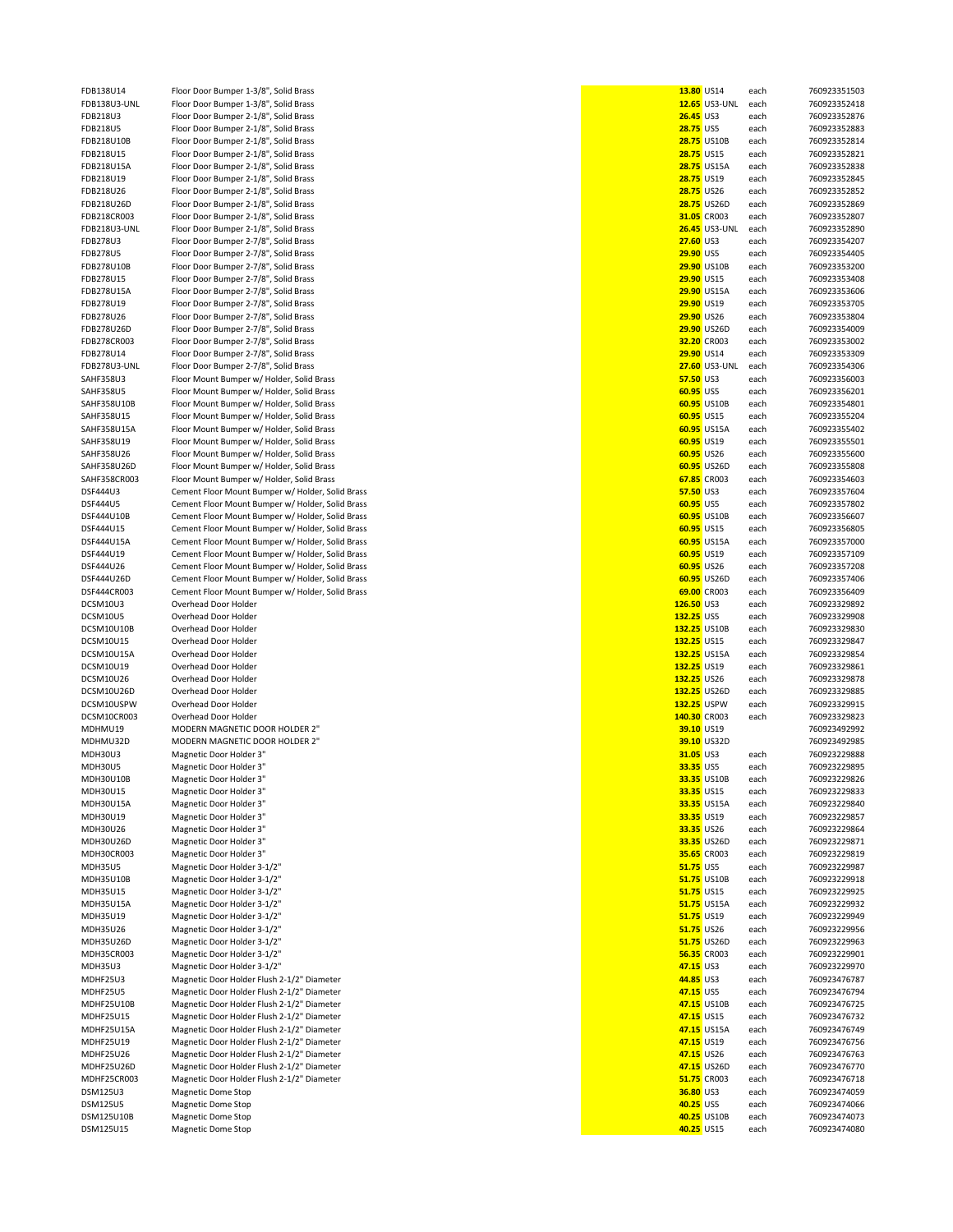| FDB138U14               | Floor Door Bumper 1-3/8", Solid Brass            | 13.80 US14       |                      | each         | 760923351503                 |
|-------------------------|--------------------------------------------------|------------------|----------------------|--------------|------------------------------|
|                         |                                                  |                  |                      |              |                              |
| FDB138U3-UNL            | Floor Door Bumper 1-3/8", Solid Brass            |                  | <b>12.65</b> US3-UNL | each         | 760923352418                 |
| FDB218U3                | Floor Door Bumper 2-1/8", Solid Brass            | 26.45 US3        |                      | each         | 760923352876                 |
| FDB218U5                | Floor Door Bumper 2-1/8", Solid Brass            | 28.75 US5        |                      | each         | 760923352883                 |
|                         |                                                  |                  |                      |              |                              |
| FDB218U10B              | Floor Door Bumper 2-1/8", Solid Brass            |                  | <b>28.75 US10B</b>   | each         | 760923352814                 |
| FDB218U15               | Floor Door Bumper 2-1/8", Solid Brass            | 28.75 US15       |                      | each         | 760923352821                 |
| FDB218U15A              | Floor Door Bumper 2-1/8", Solid Brass            |                  | 28.75 US15A          | each         | 760923352838                 |
|                         |                                                  |                  |                      |              |                              |
| FDB218U19               | Floor Door Bumper 2-1/8", Solid Brass            | 28.75 US19       |                      | each         | 760923352845                 |
| FDB218U26               | Floor Door Bumper 2-1/8", Solid Brass            | 28.75 US26       |                      | each         | 760923352852                 |
| FDB218U26D              | Floor Door Bumper 2-1/8", Solid Brass            |                  | 28.75 US26D          | each         | 760923352869                 |
|                         |                                                  |                  |                      |              |                              |
| FDB218CR003             | Floor Door Bumper 2-1/8", Solid Brass            |                  | 31.05 CR003          | each         | 760923352807                 |
| FDB218U3-UNL            | Floor Door Bumper 2-1/8", Solid Brass            |                  | <b>26.45</b> US3-UNL | each         | 760923352890                 |
| FDB278U3                | Floor Door Bumper 2-7/8", Solid Brass            | 27.60 US3        |                      | each         | 760923354207                 |
|                         |                                                  |                  |                      |              |                              |
| <b>FDB278U5</b>         | Floor Door Bumper 2-7/8", Solid Brass            | 29.90 US5        |                      | each         | 760923354405                 |
| FDB278U10B              | Floor Door Bumper 2-7/8", Solid Brass            |                  | 29.90 US10B          | each         | 760923353200                 |
|                         |                                                  |                  |                      |              | 760923353408                 |
| FDB278U15               | Floor Door Bumper 2-7/8", Solid Brass            | 29.90 US15       |                      | each         |                              |
| FDB278U15A              | Floor Door Bumper 2-7/8", Solid Brass            |                  | 29.90 US15A          | each         | 760923353606                 |
| FDB278U19               | Floor Door Bumper 2-7/8", Solid Brass            | 29.90 US19       |                      | each         | 760923353705                 |
|                         |                                                  |                  |                      |              |                              |
| FDB278U26               | Floor Door Bumper 2-7/8", Solid Brass            | 29.90 US26       |                      | each         | 760923353804                 |
| FDB278U26D              | Floor Door Bumper 2-7/8", Solid Brass            |                  | 29.90 US26D          | each         | 760923354009                 |
| FDB278CR003             | Floor Door Bumper 2-7/8", Solid Brass            |                  | 32.20 CR003          | each         | 760923353002                 |
|                         |                                                  |                  |                      |              |                              |
| FDB278U14               | Floor Door Bumper 2-7/8", Solid Brass            | 29.90 US14       |                      | each         | 760923353309                 |
| FDB278U3-UNL            | Floor Door Bumper 2-7/8", Solid Brass            |                  | 27.60 US3-UNL        | each         | 760923354306                 |
| <b>SAHF358U3</b>        | Floor Mount Bumper w/ Holder, Solid Brass        | 57.50 US3        |                      | each         | 760923356003                 |
|                         |                                                  |                  |                      |              |                              |
| <b>SAHF358U5</b>        | Floor Mount Bumper w/ Holder, Solid Brass        | 60.95 US5        |                      | each         | 760923356201                 |
| SAHF358U10B             | Floor Mount Bumper w/ Holder, Solid Brass        |                  | 60.95 US10B          | each         | 760923354801                 |
| SAHF358U15              | Floor Mount Bumper w/ Holder, Solid Brass        | 60.95 US15       |                      | each         | 760923355204                 |
|                         |                                                  |                  |                      |              |                              |
| SAHF358U15A             | Floor Mount Bumper w/ Holder, Solid Brass        |                  | 60.95 US15A          | each         | 760923355402                 |
| SAHF358U19              | Floor Mount Bumper w/ Holder, Solid Brass        | 60.95 US19       |                      | each         | 760923355501                 |
|                         |                                                  |                  |                      |              |                              |
| SAHF358U26              | Floor Mount Bumper w/ Holder, Solid Brass        | 60.95 US26       |                      | each         | 760923355600                 |
| SAHF358U26D             | Floor Mount Bumper w/ Holder, Solid Brass        |                  | 60.95 US26D          | each         | 760923355808                 |
| SAHF358CR003            | Floor Mount Bumper w/ Holder, Solid Brass        |                  | 67.85 CR003          | each         | 760923354603                 |
|                         |                                                  |                  |                      |              |                              |
| DSF444U3                | Cement Floor Mount Bumper w/ Holder, Solid Brass | 57.50 US3        |                      | each         | 760923357604                 |
| DSF444U5                | Cement Floor Mount Bumper w/ Holder, Solid Brass | 60.95 US5        |                      | each         | 760923357802                 |
| DSF444U10B              | Cement Floor Mount Bumper w/ Holder, Solid Brass |                  | 60.95 US10B          | each         | 760923356607                 |
|                         |                                                  |                  |                      |              |                              |
| DSF444U15               | Cement Floor Mount Bumper w/ Holder, Solid Brass | 60.95 US15       |                      | each         | 760923356805                 |
| DSF444U15A              | Cement Floor Mount Bumper w/ Holder, Solid Brass |                  | 60.95 US15A          | each         | 760923357000                 |
| DSF444U19               | Cement Floor Mount Bumper w/ Holder, Solid Brass | 60.95 US19       |                      | each         | 760923357109                 |
|                         |                                                  |                  |                      |              |                              |
| DSF444U26               | Cement Floor Mount Bumper w/ Holder, Solid Brass | 60.95 US26       |                      | each         | 760923357208                 |
| DSF444U26D              | Cement Floor Mount Bumper w/ Holder, Solid Brass |                  | 60.95 US26D          | each         | 760923357406                 |
| DSF444CR003             | Cement Floor Mount Bumper w/ Holder, Solid Brass |                  | 69.00 CR003          | each         | 760923356409                 |
| DCSM10U3                | Overhead Door Holder                             | 126.50 US3       |                      |              | 760923329892                 |
|                         |                                                  |                  |                      | each         |                              |
| DCSM10U5                | Overhead Door Holder                             | 132.25 US5       |                      | each         | 760923329908                 |
| DCSM10U10B              | Overhead Door Holder                             | 132.25 US10B     |                      | each         | 760923329830                 |
| DCSM10U15               | Overhead Door Holder                             | 132.25 US15      |                      | each         | 760923329847                 |
|                         |                                                  |                  |                      |              |                              |
| DCSM10U15A              | Overhead Door Holder                             | 132.25 US15A     |                      | each         | 760923329854                 |
| DCSM10U19               | Overhead Door Holder                             | 132.25 US19      |                      | each         | 760923329861                 |
| DCSM10U26               | Overhead Door Holder                             | 132.25 US26      |                      | each         | 760923329878                 |
|                         |                                                  |                  |                      |              |                              |
| DCSM10U26D              | Overhead Door Holder                             | 132.25 US26D     |                      | each         | 760923329885                 |
| DCSM10USPW              | Overhead Door Holder                             | 132.25 USPW      |                      | each         | 760923329915                 |
| DCSM10CR003             | Overhead Door Holder                             | 140.30 CR003     |                      | each         | 760923329823                 |
|                         |                                                  |                  |                      |              |                              |
| MDHMU19                 | MODERN MAGNETIC DOOR HOLDER 2"                   | 39.10 US19       |                      |              | 760923492992                 |
| MDHMU32D                | MODERN MAGNETIC DOOR HOLDER 2"                   |                  | 39.10 US32D          |              | 760923492985                 |
| MDH30U3                 | Magnetic Door Holder 3"                          | 31.05 US3        |                      | each         | 760923229888                 |
| <b>MDH30U5</b>          |                                                  |                  |                      |              | 760923229895                 |
|                         | Magnetic Door Holder 3"                          | 33.35 US5        |                      | each         |                              |
| MDH30U10B               | Magnetic Door Holder 3"                          |                  | 33.35 US10B          | each         | 760923229826                 |
| MDH30U15                | Magnetic Door Holder 3"                          | 33.35 US15       |                      | each         | 760923229833                 |
|                         |                                                  |                  | 33.35 US15A          |              | 760923229840                 |
| MDH30U15A               | Magnetic Door Holder 3"                          |                  |                      | each         |                              |
| MDH30U19                | Magnetic Door Holder 3"                          | 33.35 US19       |                      | each         | 760923229857                 |
| MDH30U26                | Magnetic Door Holder 3"                          | 33.35 US26       |                      | each         | 760923229864                 |
| MDH30U26D               | Magnetic Door Holder 3"                          |                  | 33.35 US26D          | each         | 760923229871                 |
|                         |                                                  |                  |                      |              |                              |
| MDH30CR003              | Magnetic Door Holder 3"                          |                  | 35.65 CR003          | each         | 760923229819                 |
| <b>MDH35U5</b>          | Magnetic Door Holder 3-1/2"                      | <b>51.75 US5</b> |                      | each         | 760923229987                 |
| MDH35U10B               | Magnetic Door Holder 3-1/2"                      |                  | 51.75 US10B          | each         | 760923229918                 |
|                         |                                                  |                  |                      |              |                              |
| MDH35U15                | Magnetic Door Holder 3-1/2"                      | 51.75 US15       |                      | each         | 760923229925                 |
| <b>MDH35U15A</b>        | Magnetic Door Holder 3-1/2"                      |                  | 51.75 US15A          | each         | 760923229932                 |
| MDH35U19                | Magnetic Door Holder 3-1/2"                      | 51.75 US19       |                      | each         | 760923229949                 |
|                         |                                                  |                  |                      |              |                              |
| MDH35U26                | Magnetic Door Holder 3-1/2"                      | 51.75 US26       |                      | each         | 760923229956                 |
| MDH35U26D               | Magnetic Door Holder 3-1/2"                      |                  | 51.75 US26D          | each         | 760923229963                 |
| MDH35CR003              | Magnetic Door Holder 3-1/2"                      |                  | 56.35 CR003          | each         | 760923229901                 |
|                         |                                                  |                  |                      |              |                              |
| <b>MDH35U3</b>          | Magnetic Door Holder 3-1/2"                      | 47.15 US3        |                      | each         | 760923229970                 |
| MDHF25U3                | Magnetic Door Holder Flush 2-1/2" Diameter       | 44.85 US3        |                      | each         | 760923476787                 |
| MDHF25U5                | Magnetic Door Holder Flush 2-1/2" Diameter       | 47.15 US5        |                      | each         | 760923476794                 |
|                         |                                                  |                  |                      |              |                              |
| MDHF25U10B              | Magnetic Door Holder Flush 2-1/2" Diameter       |                  | 47.15 US10B          | each         | 760923476725                 |
| <b>MDHF25U15</b>        | Magnetic Door Holder Flush 2-1/2" Diameter       | 47.15 US15       |                      | each         | 760923476732                 |
| MDHF25U15A              | Magnetic Door Holder Flush 2-1/2" Diameter       |                  | 47.15 US15A          | each         | 760923476749                 |
|                         |                                                  |                  |                      |              |                              |
| <b>MDHF25U19</b>        | Magnetic Door Holder Flush 2-1/2" Diameter       | 47.15 US19       |                      | each         | 760923476756                 |
| <b>MDHF25U26</b>        | Magnetic Door Holder Flush 2-1/2" Diameter       | 47.15 US26       |                      | each         | 760923476763                 |
| MDHF25U26D              | Magnetic Door Holder Flush 2-1/2" Diameter       |                  | 47.15 US26D          | each         | 760923476770                 |
|                         |                                                  |                  |                      |              |                              |
| MDHF25CR003             | Magnetic Door Holder Flush 2-1/2" Diameter       |                  | 51.75 CR003          | each         | 760923476718                 |
| <b>DSM125U3</b>         | Magnetic Dome Stop                               | 36.80 US3        |                      | each         | 760923474059                 |
| <b>DSM125U5</b>         |                                                  | 40.25 US5        |                      | each         | 760923474066                 |
|                         |                                                  |                  |                      |              |                              |
|                         | Magnetic Dome Stop                               |                  |                      |              |                              |
| DSM125U10B<br>DSM125U15 | <b>Magnetic Dome Stop</b><br>Magnetic Dome Stop  | 40.25 US15       | 40.25 US10B          | each<br>each | 760923474073<br>760923474080 |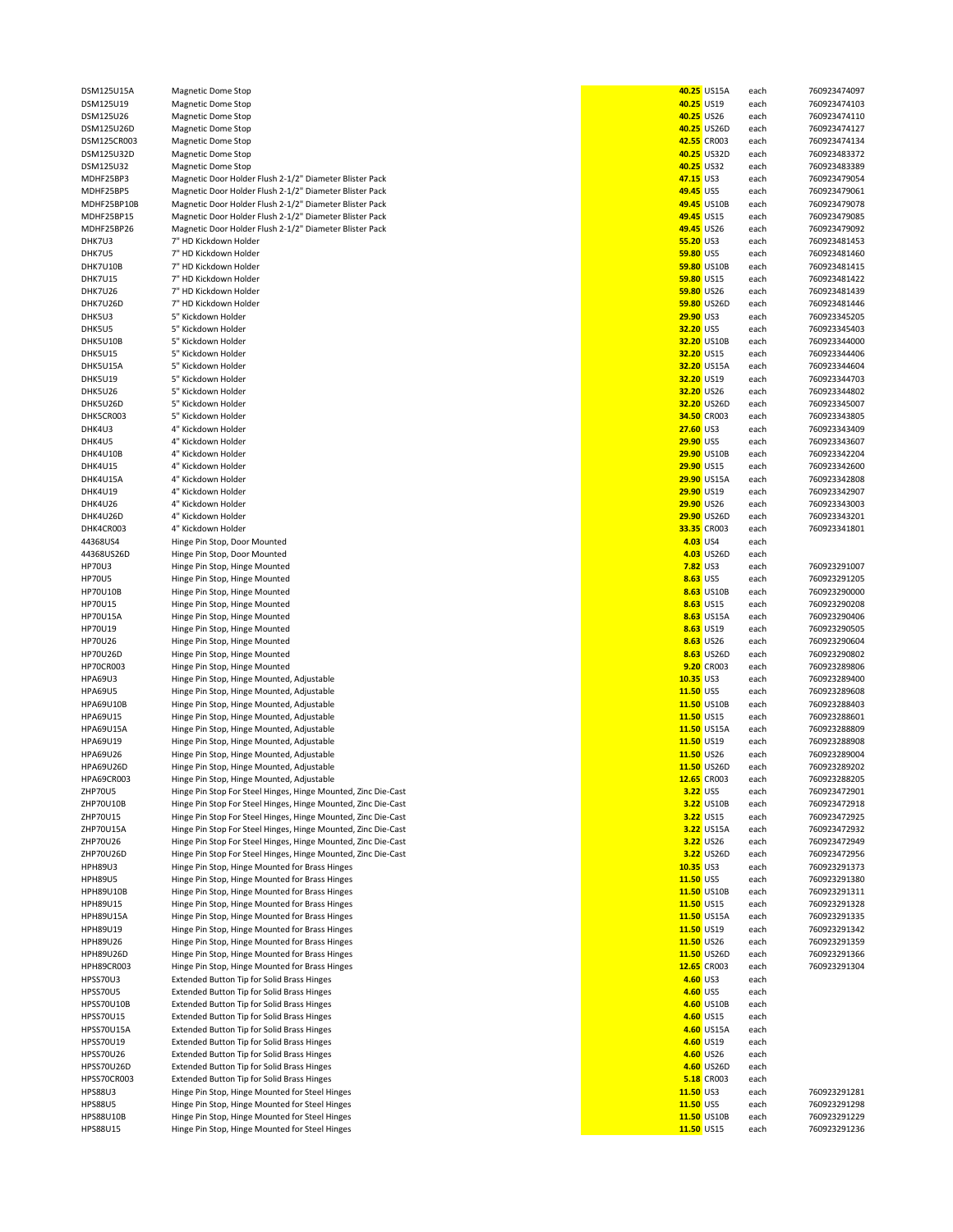| SM125U15A       | Magnetic Dome         |
|-----------------|-----------------------|
| SM125U19        | Magnetic Dome         |
| SM125U26        | Magnetic Dome         |
|                 |                       |
| SM125U26D       | Magnetic Dome         |
| SM125CR003      | Magnetic Dome         |
| SM125U32D       | Magnetic Dome         |
| SM125U32        | Magnetic Dome         |
| DHF25BP3        | Magnetic Door         |
|                 |                       |
| DHF25BP5        | Magnetic Door         |
| DHF25BP10B      | Magnetic Door         |
| DHF25BP15       | Magnetic Door         |
| DHF25BP26       | Magnetic Door         |
|                 |                       |
| HK7U3           | 7" HD Kickdowr        |
| HK7U5           | 7" HD Kickdowr        |
| HK7U10B         | 7" HD Kickdowr        |
| <b>HK7U15</b>   | 7" HD Kickdowr        |
| <b>HK7U26</b>   | 7" HD Kickdowr        |
|                 |                       |
| HK7U26D         | 7" HD Kickdowr        |
| HK5U3           | 5" Kickdown Hc        |
| HK5U5           | 5" Kickdown Hc        |
| HK5U10B         | 5" Kickdown Ho        |
| HK5U15          | 5" Kickdown Hc        |
|                 |                       |
| HK5U15A         | 5" Kickdown Hc        |
| <b>HK5U19</b>   | 5" Kickdown Ho        |
| <b>HK5U26</b>   | 5" Kickdown Hc        |
| HK5U26D         | 5" Kickdown Ho        |
| HK5CR003        | 5" Kickdown Hc        |
|                 |                       |
| HK4U3           | 4" Kickdown Hc        |
| HK4U5           | 4" Kickdown Hc        |
| HK4U10B         | 4" Kickdown Hc        |
| <b>HK4U15</b>   | 4" Kickdown Hc        |
|                 |                       |
| HK4U15A         | 4" Kickdown Hc        |
| <b>HK4U19</b>   | 4" Kickdown Hc        |
| <b>HK4U26</b>   | 4" Kickdown Hc        |
| HK4U26D         | 4" Kickdown Hc        |
| HK4CR003        | 4" Kickdown Hc        |
|                 |                       |
| 1368US4         | Hinge Pin Stop,       |
| 1368US26D       | Hinge Pin Stop,       |
| P70U3           | Hinge Pin Stop,       |
| P70U5           | Hinge Pin Stop,       |
|                 |                       |
| P70U10B         | Hinge Pin Stop,       |
| P70U15          | Hinge Pin Stop,       |
| P70U15A         | Hinge Pin Stop,       |
| P70U19          | Hinge Pin Stop,       |
| P70U26          | Hinge Pin Stop,       |
|                 |                       |
| P70U26D         | Hinge Pin Stop,       |
| P70CR003        | Hinge Pin Stop,       |
| PA69U3          | Hinge Pin Stop,       |
| <b>PA69U5</b>   | Hinge Pin Stop,       |
|                 |                       |
| PA69U10B        | Hinge Pin Stop,       |
| PA69U15         | Hinge Pin Stop,       |
| PA69U15A        | Hinge Pin Stop,       |
| PA69U19         | Hinge Pin Stop,       |
| PA69U26         | Hinge Pin Stop,       |
|                 |                       |
| PA69U26D        | Hinge Pin Stop,       |
| PA69CR003       | Hinge Pin Stop,       |
| <b>IP70U5</b>   | Hinge Pin Stop        |
| <b>IP70U10B</b> | Hinge Pin Stop        |
| IP70U15         | Hinge Pin Stop        |
| <b>IP70U15A</b> |                       |
|                 | Hinge Pin Stop        |
| <b>IP70U26</b>  | Hinge Pin Stop        |
| 1P70U26D        | Hinge Pin Stop        |
| PH89U3          | Hinge Pin Stop,       |
| PH89U5          | Hinge Pin Stop,       |
|                 |                       |
| PH89U10B        | Hinge Pin Stop,       |
| PH89U15         | Hinge Pin Stop,       |
| PH89U15A        | Hinge Pin Stop,       |
| PH89U19         | Hinge Pin Stop,       |
| PH89U26         | Hinge Pin Stop,       |
|                 |                       |
| PH89U26D        | Hinge Pin Stop,       |
| PH89CR003       | Hinge Pin Stop,       |
| PSS70U3         | <b>Extended Butto</b> |
| PSS70U5         | <b>Extended Butto</b> |
| PSS70U10B       | <b>Extended Butto</b> |
|                 |                       |
| PSS70U15        | <b>Extended Butto</b> |
| PSS70U15A       | <b>Extended Butto</b> |
| PSS70U19        | <b>Extended Butto</b> |
| PSS70U26        | <b>Extended Butto</b> |
|                 |                       |
| PSS70U26D       | <b>Extended Butto</b> |
| PSS70CR003      | <b>Extended Butto</b> |
| <b>PS88U3</b>   | Hinge Pin Stop,       |
| PS88U5          | Hinge Pin Stop,       |
| PS88U10B        |                       |
|                 | Hinge Pin Stop,       |
| PS88U15         | Hinge Pin Stop,       |

| DSM125U15A        | <b>Magnetic Dome Stop</b>                                     |                  | 40.25 US15A       | each | 760923474097 |
|-------------------|---------------------------------------------------------------|------------------|-------------------|------|--------------|
| DSM125U19         | Magnetic Dome Stop                                            | 40.25 US19       |                   | each | 760923474103 |
| DSM125U26         | Magnetic Dome Stop                                            | 40.25 US26       |                   | each | 760923474110 |
| DSM125U26D        | <b>Magnetic Dome Stop</b>                                     |                  | 40.25 US26D       | each | 760923474127 |
|                   |                                                               |                  | 42.55 CR003       |      |              |
| DSM125CR003       | <b>Magnetic Dome Stop</b>                                     |                  |                   | each | 760923474134 |
| DSM125U32D        | Magnetic Dome Stop                                            |                  | 40.25 US32D       | each | 760923483372 |
| DSM125U32         | <b>Magnetic Dome Stop</b>                                     | 40.25 US32       |                   | each | 760923483389 |
| MDHF25BP3         | Magnetic Door Holder Flush 2-1/2" Diameter Blister Pack       | 47.15 US3        |                   | each | 760923479054 |
|                   |                                                               |                  |                   |      | 760923479061 |
| MDHF25BP5         | Magnetic Door Holder Flush 2-1/2" Diameter Blister Pack       | 49.45 US5        |                   | each |              |
| MDHF25BP10B       | Magnetic Door Holder Flush 2-1/2" Diameter Blister Pack       |                  | 49.45 US10B       | each | 760923479078 |
| MDHF25BP15        | Magnetic Door Holder Flush 2-1/2" Diameter Blister Pack       | 49.45 US15       |                   | each | 760923479085 |
| MDHF25BP26        | Magnetic Door Holder Flush 2-1/2" Diameter Blister Pack       | 49.45 US26       |                   | each | 760923479092 |
|                   |                                                               |                  |                   |      |              |
| DHK7U3            | 7" HD Kickdown Holder                                         | 55.20 US3        |                   | each | 760923481453 |
| DHK7U5            | 7" HD Kickdown Holder                                         | 59.80 US5        |                   | each | 760923481460 |
| DHK7U10B          | 7" HD Kickdown Holder                                         |                  | 59.80 US10B       | each | 760923481415 |
|                   | 7" HD Kickdown Holder                                         |                  |                   |      |              |
| DHK7U15           |                                                               | 59.80 US15       |                   | each | 760923481422 |
| DHK7U26           | 7" HD Kickdown Holder                                         | 59.80 US26       |                   | each | 760923481439 |
| DHK7U26D          | 7" HD Kickdown Holder                                         |                  | 59.80 US26D       | each | 760923481446 |
| DHK5U3            | 5" Kickdown Holder                                            | <b>29.90 US3</b> |                   | each | 760923345205 |
|                   |                                                               |                  |                   |      |              |
| DHK5U5            | 5" Kickdown Holder                                            | 32.20 US5        |                   | each | 760923345403 |
| DHK5U10B          | 5" Kickdown Holder                                            |                  | 32.20 US10B       | each | 760923344000 |
| DHK5U15           | 5" Kickdown Holder                                            | 32.20 US15       |                   | each | 760923344406 |
|                   |                                                               |                  |                   |      |              |
| DHK5U15A          | 5" Kickdown Holder                                            |                  | 32.20 US15A       | each | 760923344604 |
| DHK5U19           | 5" Kickdown Holder                                            | 32.20 US19       |                   | each | 760923344703 |
| DHK5U26           | 5" Kickdown Holder                                            | 32.20 US26       |                   | each | 760923344802 |
| DHK5U26D          | 5" Kickdown Holder                                            |                  | 32.20 US26D       | each | 760923345007 |
|                   |                                                               |                  |                   |      |              |
| DHK5CR003         | 5" Kickdown Holder                                            |                  | 34.50 CR003       | each | 760923343805 |
| DHK4U3            | 4" Kickdown Holder                                            | <b>27.60 US3</b> |                   | each | 760923343409 |
| DHK4U5            | 4" Kickdown Holder                                            | <b>29.90 US5</b> |                   | each | 760923343607 |
|                   |                                                               |                  |                   |      |              |
| DHK4U10B          | 4" Kickdown Holder                                            |                  | 29.90 US10B       | each | 760923342204 |
| DHK4U15           | 4" Kickdown Holder                                            | 29.90 US15       |                   | each | 760923342600 |
| DHK4U15A          | 4" Kickdown Holder                                            |                  | 29.90 US15A       | each | 760923342808 |
| DHK4U19           | 4" Kickdown Holder                                            | 29.90 US19       |                   | each | 760923342907 |
|                   |                                                               |                  |                   |      |              |
| DHK4U26           | 4" Kickdown Holder                                            | 29.90 US26       |                   | each | 760923343003 |
| DHK4U26D          | 4" Kickdown Holder                                            |                  | 29.90 US26D       | each | 760923343201 |
| DHK4CR003         | 4" Kickdown Holder                                            |                  | 33.35 CR003       | each | 760923341801 |
| 44368US4          |                                                               | 4.03 US4         |                   |      |              |
|                   | Hinge Pin Stop, Door Mounted                                  |                  |                   | each |              |
| 44368US26D        | Hinge Pin Stop, Door Mounted                                  |                  | 4.03 US26D        | each |              |
| <b>HP70U3</b>     | Hinge Pin Stop, Hinge Mounted                                 | <b>7.82 US3</b>  |                   | each | 760923291007 |
| <b>HP70U5</b>     | Hinge Pin Stop, Hinge Mounted                                 | 8.63 US5         |                   | each | 760923291205 |
|                   |                                                               |                  |                   |      |              |
| <b>HP70U10B</b>   | Hinge Pin Stop, Hinge Mounted                                 |                  | 8.63 US10B        | each | 760923290000 |
| <b>HP70U15</b>    | Hinge Pin Stop, Hinge Mounted                                 |                  | 8.63 US15         | each | 760923290208 |
| <b>HP70U15A</b>   | Hinge Pin Stop, Hinge Mounted                                 |                  | 8.63 US15A        | each | 760923290406 |
| HP70U19           |                                                               |                  | 8.63 US19         |      | 760923290505 |
|                   | Hinge Pin Stop, Hinge Mounted                                 |                  |                   | each |              |
| <b>HP70U26</b>    | Hinge Pin Stop, Hinge Mounted                                 |                  | 8.63 US26         | each | 760923290604 |
| <b>HP70U26D</b>   | Hinge Pin Stop, Hinge Mounted                                 |                  | 8.63 US26D        | each | 760923290802 |
| <b>HP70CR003</b>  | Hinge Pin Stop, Hinge Mounted                                 |                  | 9.20 CR003        | each | 760923289806 |
|                   |                                                               |                  |                   |      |              |
| <b>HPA69U3</b>    | Hinge Pin Stop, Hinge Mounted, Adjustable                     | $10.35$ US3      |                   | each | 760923289400 |
| <b>HPA69U5</b>    | Hinge Pin Stop, Hinge Mounted, Adjustable                     | 11.50 US5        |                   | each | 760923289608 |
| <b>HPA69U10B</b>  | Hinge Pin Stop, Hinge Mounted, Adjustable                     |                  | 11.50 US10B       | each | 760923288403 |
| HPA69U15          | Hinge Pin Stop, Hinge Mounted, Adjustable                     | 11.50 US15       |                   |      | 760923288601 |
|                   |                                                               |                  |                   | each |              |
| <b>HPA69U15A</b>  | Hinge Pin Stop, Hinge Mounted, Adjustable                     |                  | 11.50 US15A       | each | 760923288809 |
| HPA69U19          | Hinge Pin Stop, Hinge Mounted, Adjustable                     | 11.50 US19       |                   | each | 760923288908 |
| <b>HPA69U26</b>   | Hinge Pin Stop, Hinge Mounted, Adjustable                     | 11.50 US26       |                   | each | 760923289004 |
|                   |                                                               |                  |                   |      |              |
| <b>HPA69U26D</b>  | Hinge Pin Stop, Hinge Mounted, Adjustable                     |                  | 11.50 US26D       | each | 760923289202 |
| <b>HPA69CR003</b> | Hinge Pin Stop, Hinge Mounted, Adjustable                     |                  | 12.65 CR003       | each | 760923288205 |
| ZHP70U5           | Hinge Pin Stop For Steel Hinges, Hinge Mounted, Zinc Die-Cast | 3.22 US5         |                   | each | 760923472901 |
| ZHP70U10B         | Hinge Pin Stop For Steel Hinges, Hinge Mounted, Zinc Die-Cast |                  | 3.22 US10B        | each | 760923472918 |
| ZHP70U15          |                                                               |                  |                   |      |              |
|                   | Hinge Pin Stop For Steel Hinges, Hinge Mounted, Zinc Die-Cast |                  | <b>3.22</b> US15  | each | 760923472925 |
| ZHP70U15A         | Hinge Pin Stop For Steel Hinges, Hinge Mounted, Zinc Die-Cast |                  | 3.22 US15A        | each | 760923472932 |
| ZHP70U26          | Hinge Pin Stop For Steel Hinges, Hinge Mounted, Zinc Die-Cast |                  | 3.22 US26         | each | 760923472949 |
| ZHP70U26D         | Hinge Pin Stop For Steel Hinges, Hinge Mounted, Zinc Die-Cast |                  | 3.22 US26D        | each | 760923472956 |
| <b>HPH89U3</b>    |                                                               | $10.35$ US3      |                   |      | 760923291373 |
|                   | Hinge Pin Stop, Hinge Mounted for Brass Hinges                |                  |                   | each |              |
| <b>HPH89U5</b>    | Hinge Pin Stop, Hinge Mounted for Brass Hinges                | 11.50 US5        |                   | each | 760923291380 |
| <b>HPH89U10B</b>  | Hinge Pin Stop, Hinge Mounted for Brass Hinges                |                  | 11.50 US10B       | each | 760923291311 |
| HPH89U15          | Hinge Pin Stop, Hinge Mounted for Brass Hinges                | 11.50 US15       |                   | each | 760923291328 |
|                   |                                                               |                  |                   |      |              |
| <b>HPH89U15A</b>  | Hinge Pin Stop, Hinge Mounted for Brass Hinges                |                  | 11.50 US15A       | each | 760923291335 |
| HPH89U19          | Hinge Pin Stop, Hinge Mounted for Brass Hinges                | 11.50 US19       |                   | each | 760923291342 |
| HPH89U26          | Hinge Pin Stop, Hinge Mounted for Brass Hinges                | 11.50 US26       |                   | each | 760923291359 |
| <b>HPH89U26D</b>  | Hinge Pin Stop, Hinge Mounted for Brass Hinges                |                  | 11.50 US26D       | each | 760923291366 |
|                   |                                                               |                  |                   |      |              |
| <b>HPH89CR003</b> | Hinge Pin Stop, Hinge Mounted for Brass Hinges                |                  | 12.65 CR003       | each | 760923291304 |
| HPSS70U3          | Extended Button Tip for Solid Brass Hinges                    | 4.60 US3         |                   | each |              |
| HPSS70U5          | Extended Button Tip for Solid Brass Hinges                    | 4.60 US5         |                   | each |              |
|                   |                                                               |                  |                   |      |              |
| HPSS70U10B        | Extended Button Tip for Solid Brass Hinges                    |                  | 4.60 US10B        | each |              |
| <b>HPSS70U15</b>  | Extended Button Tip for Solid Brass Hinges                    |                  | 4.60 US15         | each |              |
| HPSS70U15A        | Extended Button Tip for Solid Brass Hinges                    |                  | 4.60 US15A        | each |              |
| HPSS70U19         | Extended Button Tip for Solid Brass Hinges                    |                  | 4.60 US19         | each |              |
|                   |                                                               |                  |                   |      |              |
| <b>HPSS70U26</b>  | Extended Button Tip for Solid Brass Hinges                    |                  | 4.60 US26         | each |              |
| HPSS70U26D        | Extended Button Tip for Solid Brass Hinges                    |                  | 4.60 US26D        | each |              |
| HPSS70CR003       | Extended Button Tip for Solid Brass Hinges                    |                  | <b>5.18</b> CR003 | each |              |
| <b>HPS88U3</b>    | Hinge Pin Stop, Hinge Mounted for Steel Hinges                | 11.50 US3        |                   | each | 760923291281 |
|                   |                                                               |                  |                   |      |              |
| <b>HPS88U5</b>    | Hinge Pin Stop, Hinge Mounted for Steel Hinges                | 11.50 US5        |                   | each | 760923291298 |
| <b>HPS88U10B</b>  | Hinge Pin Stop, Hinge Mounted for Steel Hinges                |                  | 11.50 US10B       | each | 760923291229 |
| <b>HPS88U15</b>   | Hinge Pin Stop, Hinge Mounted for Steel Hinges                | 11.50 US15       |                   | each | 760923291236 |
|                   |                                                               |                  |                   |      |              |

|                  | 40.25 US15A        | each | 760923474097                 |
|------------------|--------------------|------|------------------------------|
| 40.25 US19       |                    | each | 760923474103                 |
|                  | 40.25 US26         | each | 760923474110                 |
|                  | 40.25 US26D        | each | 760923474127                 |
|                  | 42.55 CR003        | each | 760923474134                 |
|                  | 40.25 US32D        | each | 760923483372                 |
| 40.25 US32       |                    | each | 760923483389                 |
| 47.15 US3        |                    | each | 760923479054                 |
| 49.45 US5        |                    | each | 760923479061                 |
|                  | 49.45 US10B        | each | 760923479078                 |
| 49.45 US15       |                    | each | 760923479085                 |
| 49.45 US26       |                    | each | 760923479092                 |
| 55.20 US3        |                    |      | 760923481453                 |
|                  |                    | each |                              |
| <b>59.80 US5</b> |                    | each | 760923481460<br>760923481415 |
|                  | 59.80 US10B        | each |                              |
| 59.80 US15       |                    | each | 760923481422                 |
| 59.80 US26       |                    | each | 760923481439                 |
|                  | 59.80 US26D        | each | 760923481446                 |
| 29.90 US3        |                    | each | 760923345205                 |
| 32.20 US5        |                    | each | 760923345403                 |
|                  | 32.20 US10B        | each | 760923344000                 |
| 32.20 US15       |                    | each | 760923344406                 |
|                  | 32.20 US15A        | each | 760923344604                 |
| 32.20 US19       |                    | each | 760923344703                 |
| 32.20 US26       |                    | each | 760923344802                 |
|                  | 32.20 US26D        | each | 760923345007                 |
|                  | 34.50 CR003        | each | 760923343805                 |
| 27.60 US3        |                    | each | 760923343409                 |
| <b>29.90 US5</b> |                    | each | 760923343607                 |
|                  | 29.90 US10B        | each | 760923342204                 |
| 29.90 US15       |                    | each | 760923342600                 |
|                  | <b>29.90 US15A</b> | each | 760923342808                 |
| 29.90 US19       |                    | each | 760923342907                 |
| 29.90 US26       |                    | each | 760923343003                 |
|                  | 29.90 US26D        | each | 760923343201                 |
|                  | 33.35 CR003        | each | 760923341801                 |
| 4.03 US4         |                    | each |                              |
|                  | 4.03 US26D         | each |                              |
|                  | <b>7.82</b> US3    | each | 760923291007                 |
| 8.63 US5         |                    | each | 760923291205                 |
|                  | 8.63 US10B         | each | 760923290000                 |
|                  | 8.63 US15          | each | 760923290208                 |
|                  | 8.63 US15A         | each | 760923290406                 |
|                  | 8.63 US19          | each | 760923290505                 |
|                  | 8.63 US26          | each | 760923290604                 |
|                  | 8.63 US26D         | each | 760923290802                 |
|                  | 9.20 CR003         | each | 760923289806                 |
| 10.35 US3        |                    | each | 760923289400                 |
| 11.50 US5        |                    | each | 760923289608                 |
|                  | 11.50 US10B        | each | 760923288403                 |
| 11.50 US15       |                    | each | 760923288601                 |
|                  | 11.50 US15A        | each | 760923288809                 |
| 11.50 US19       |                    | each | 760923288908                 |
| 11.50 US26       |                    | each | 760923289004                 |
|                  | 11.50 US26D        | each | 760923289202                 |
|                  | 12.65 CR003        | each | 760923288205                 |
| 3.22 US5         |                    | each | 760923472901                 |
|                  | 3.22 US10B         | each | 760923472918                 |
|                  | 3.22 US15          | each | 760923472925                 |
|                  | 3.22 US15A         | each | 760923472932                 |
|                  | 3.22 US26          | each | 760923472949                 |
|                  | 3.22 US26D         | each | 760923472956                 |
| 10.35 US3        |                    | each | 760923291373                 |
| 11.50 US5        |                    | each | 760923291380                 |
|                  | 11.50 US10B        | each | 760923291311                 |
| 11.50 US15       |                    | each | 760923291328                 |
|                  | 11.50 US15A        | each | 760923291335                 |
| 11.50 US19       |                    | each | 760923291342                 |
| 11.50 US26       |                    | each | 760923291359                 |
|                  | 11.50 US26D        | each | 760923291366                 |
|                  | 12.65 CR003        | each | 760923291304                 |
| 4.60 US3         |                    | each |                              |
|                  | 4.60 US5           | each |                              |
|                  | 4.60 US10B         | each |                              |
|                  | 4.60 US15          | each |                              |
|                  | 4.60 US15A         | each |                              |
|                  | 4.60 US19          | each |                              |
|                  | 4.60 US26          | each |                              |
|                  | 4.60 US26D         | each |                              |
|                  | <b>5.18 CR003</b>  | each |                              |
| $11.50$ US3      |                    | each | 760923291281                 |
| 11.50 US5        |                    | each | 760923291298                 |
|                  | 11.50 US10B        | each | 760923291229                 |
| 11.50 US15       |                    | each | 760923291236                 |
|                  |                    |      |                              |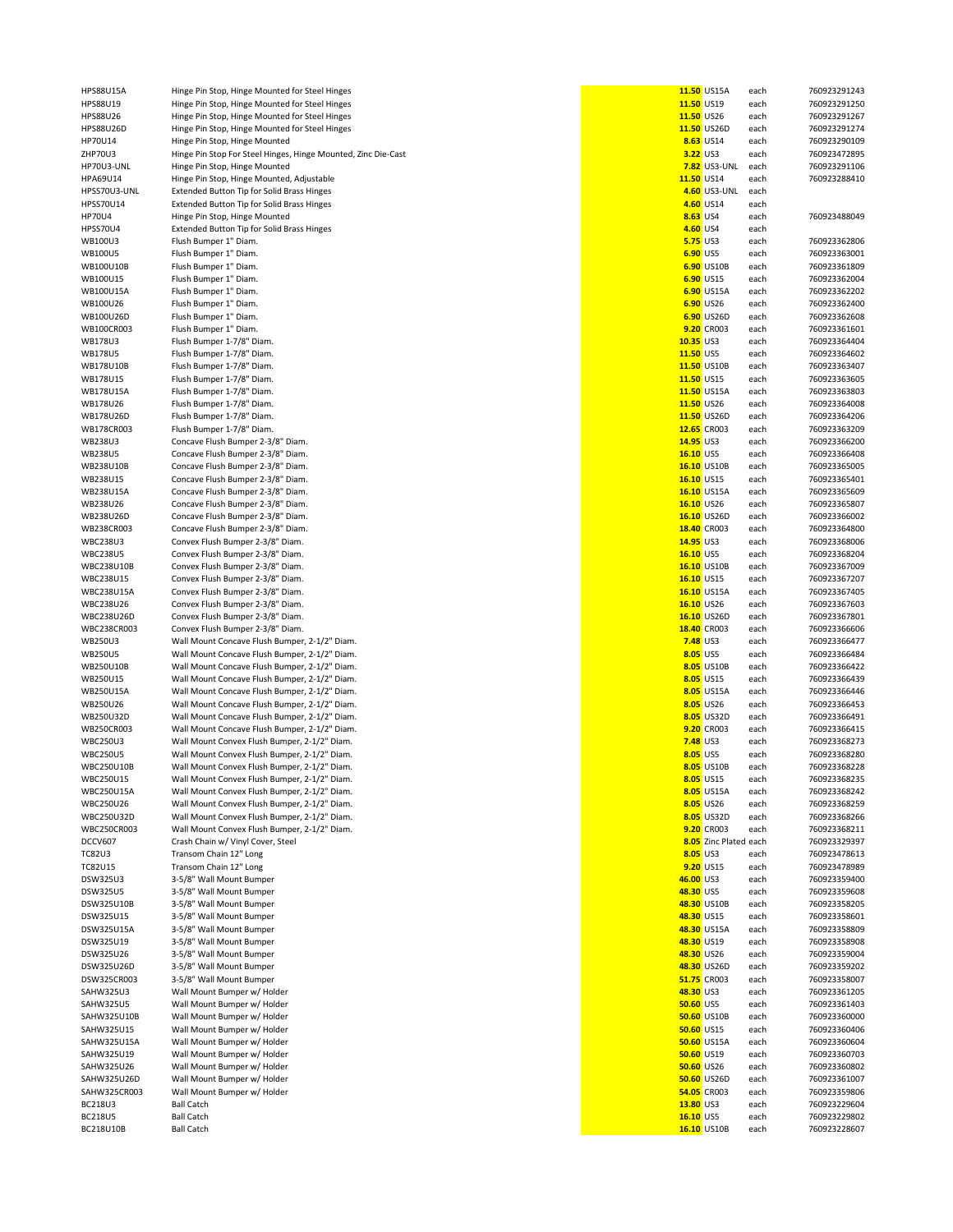| <b>HPS88U15A</b>            | Hinge Pin Stop, Hinge Mounted for Steel Hinges                |                   | 11.50 US15A           | each         | 760923291243                 |
|-----------------------------|---------------------------------------------------------------|-------------------|-----------------------|--------------|------------------------------|
| HPS88U19                    | Hinge Pin Stop, Hinge Mounted for Steel Hinges                | 11.50 US19        |                       | each         | 760923291250                 |
| HPS88U26                    | Hinge Pin Stop, Hinge Mounted for Steel Hinges                | 11.50 US26        |                       | each         | 760923291267                 |
|                             |                                                               |                   |                       |              |                              |
| HPS88U26D                   | Hinge Pin Stop, Hinge Mounted for Steel Hinges                |                   | 11.50 US26D           | each         | 760923291274                 |
| HP70U14                     | Hinge Pin Stop, Hinge Mounted                                 |                   | 8.63 US14             | each         | 760923290109                 |
| ZHP70U3                     | Hinge Pin Stop For Steel Hinges, Hinge Mounted, Zinc Die-Cast | 3.22 US3          |                       | each         | 760923472895                 |
| HP70U3-UNL                  | Hinge Pin Stop, Hinge Mounted                                 |                   | <b>7.82</b> US3-UNL   |              | 760923291106                 |
|                             |                                                               |                   |                       | each         |                              |
| HPA69U14                    | Hinge Pin Stop, Hinge Mounted, Adjustable                     | 11.50 US14        |                       | each         | 760923288410                 |
| HPSS70U3-UNL                | Extended Button Tip for Solid Brass Hinges                    |                   | 4.60 US3-UNL          | each         |                              |
|                             |                                                               |                   | 4.60 US14             |              |                              |
| HPSS70U14                   | Extended Button Tip for Solid Brass Hinges                    |                   |                       | each         |                              |
| <b>HP70U4</b>               | Hinge Pin Stop, Hinge Mounted                                 | 8.63 US4          |                       | each         | 760923488049                 |
| HPSS70U4                    | Extended Button Tip for Solid Brass Hinges                    | 4.60 US4          |                       | each         |                              |
|                             |                                                               |                   |                       |              |                              |
| WB100U3                     | Flush Bumper 1" Diam.                                         | <b>5.75 US3</b>   |                       | each         | 760923362806                 |
| <b>WB100U5</b>              | Flush Bumper 1" Diam.                                         | 6.90 US5          |                       | each         | 760923363001                 |
| WB100U10B                   | Flush Bumper 1" Diam.                                         |                   | 6.90 US10B            | each         | 760923361809                 |
|                             |                                                               |                   |                       |              |                              |
| WB100U15                    | Flush Bumper 1" Diam.                                         |                   | 6.90 US15             | each         | 760923362004                 |
| WB100U15A                   | Flush Bumper 1" Diam.                                         |                   | 6.90 US15A            | each         | 760923362202                 |
| WB100U26                    | Flush Bumper 1" Diam.                                         |                   | 6.90 US26             | each         | 760923362400                 |
|                             |                                                               |                   |                       |              |                              |
| WB100U26D                   | Flush Bumper 1" Diam.                                         |                   | 6.90 US26D            | each         | 760923362608                 |
| WB100CR003                  | Flush Bumper 1" Diam.                                         |                   | 9.20 CR003            | each         | 760923361601                 |
| WB178U3                     | Flush Bumper 1-7/8" Diam.                                     | 10.35 US3         |                       | each         | 760923364404                 |
|                             |                                                               |                   |                       |              |                              |
| <b>WB178U5</b>              | Flush Bumper 1-7/8" Diam.                                     | 11.50 US5         |                       | each         | 760923364602                 |
| WB178U10B                   | Flush Bumper 1-7/8" Diam.                                     |                   | 11.50 US10B           | each         | 760923363407                 |
| WB178U15                    | Flush Bumper 1-7/8" Diam.                                     | 11.50 US15        |                       | each         | 760923363605                 |
|                             |                                                               |                   |                       |              |                              |
| WB178U15A                   | Flush Bumper 1-7/8" Diam.                                     |                   | 11.50 US15A           | each         | 760923363803                 |
| WB178U26                    | Flush Bumper 1-7/8" Diam.                                     | 11.50 US26        |                       | each         | 760923364008                 |
| WB178U26D                   | Flush Bumper 1-7/8" Diam.                                     |                   | 11.50 US26D           |              |                              |
|                             |                                                               |                   |                       | each         | 760923364206                 |
| WB178CR003                  | Flush Bumper 1-7/8" Diam.                                     |                   | 12.65 CR003           | each         | 760923363209                 |
| WB238U3                     | Concave Flush Bumper 2-3/8" Diam.                             | 14.95 US3         |                       | each         | 760923366200                 |
|                             |                                                               |                   |                       |              |                              |
| <b>WB238U5</b>              | Concave Flush Bumper 2-3/8" Diam.                             | 16.10 US5         |                       | each         | 760923366408                 |
| WB238U10B                   | Concave Flush Bumper 2-3/8" Diam.                             |                   | 16.10 US10B           | each         | 760923365005                 |
| WB238U15                    | Concave Flush Bumper 2-3/8" Diam.                             | 16.10 US15        |                       | each         | 760923365401                 |
|                             |                                                               |                   |                       |              |                              |
| WB238U15A                   | Concave Flush Bumper 2-3/8" Diam.                             |                   | 16.10 US15A           | each         | 760923365609                 |
| WB238U26                    | Concave Flush Bumper 2-3/8" Diam.                             | 16.10 US26        |                       | each         | 760923365807                 |
| WB238U26D                   | Concave Flush Bumper 2-3/8" Diam.                             |                   | 16.10 US26D           | each         | 760923366002                 |
|                             |                                                               |                   |                       |              |                              |
| WB238CR003                  | Concave Flush Bumper 2-3/8" Diam.                             |                   | 18.40 CR003           | each         | 760923364800                 |
| <b>WBC238U3</b>             | Convex Flush Bumper 2-3/8" Diam.                              | 14.95 US3         |                       | each         | 760923368006                 |
| <b>WBC238U5</b>             | Convex Flush Bumper 2-3/8" Diam.                              | 16.10 US5         |                       | each         | 760923368204                 |
|                             |                                                               |                   |                       |              |                              |
| WBC238U10B                  | Convex Flush Bumper 2-3/8" Diam.                              |                   | 16.10 US10B           | each         | 760923367009                 |
| WBC238U15                   | Convex Flush Bumper 2-3/8" Diam.                              | 16.10 US15        |                       | each         | 760923367207                 |
| <b>WBC238U15A</b>           | Convex Flush Bumper 2-3/8" Diam.                              |                   | 16.10 US15A           | each         | 760923367405                 |
|                             |                                                               |                   |                       |              |                              |
| WBC238U26                   | Convex Flush Bumper 2-3/8" Diam.                              | 16.10 US26        |                       | each         | 760923367603                 |
| WBC238U26D                  | Convex Flush Bumper 2-3/8" Diam.                              |                   | 16.10 US26D           | each         | 760923367801                 |
| WBC238CR003                 | Convex Flush Bumper 2-3/8" Diam.                              |                   | 18.40 CR003           | each         | 760923366606                 |
|                             |                                                               |                   |                       |              |                              |
| WB250U3                     | Wall Mount Concave Flush Bumper, 2-1/2" Diam.                 | <b>7.48</b> US3   |                       | each         | 760923366477                 |
| <b>WB250U5</b>              | Wall Mount Concave Flush Bumper, 2-1/2" Diam.                 | 8.05 US5          |                       | each         | 760923366484                 |
|                             |                                                               |                   |                       |              |                              |
| WB250U10B                   | Wall Mount Concave Flush Bumper, 2-1/2" Diam.                 |                   | 8.05 US10B            | each         | 760923366422                 |
| WB250U15                    | Wall Mount Concave Flush Bumper, 2-1/2" Diam.                 |                   | 8.05 US15             | each         | 760923366439                 |
| WB250U15A                   | Wall Mount Concave Flush Bumper, 2-1/2" Diam.                 |                   | 8.05 US15A            | each         | 760923366446                 |
|                             |                                                               |                   |                       |              |                              |
| WB250U26                    | Wall Mount Concave Flush Bumper, 2-1/2" Diam.                 |                   | 8.05 US26             | each         | 760923366453                 |
| WB250U32D                   | Wall Mount Concave Flush Bumper, 2-1/2" Diam.                 |                   | 8.05 US32D            | each         | 760923366491                 |
| WB250CR003                  | Wall Mount Concave Flush Bumper, 2-1/2" Diam.                 |                   | 9.20 CR003            | each         | 760923366415                 |
|                             |                                                               |                   |                       |              |                              |
| <b>WBC250U3</b>             | Wall Mount Convex Flush Bumper, 2-1/2" Diam.                  | 7.48 US3          |                       | each         | 760923368273                 |
| <b>WBC250U5</b>             | Wall Mount Convex Flush Bumper, 2-1/2" Diam.                  | 8.05 US5          |                       | each         | 760923368280                 |
| WBC250U10B                  | Wall Mount Convex Flush Bumper, 2-1/2" Diam.                  |                   | 8.05 US10B            | each         | 760923368228                 |
| WBC250U15                   | Wall Mount Convex Flush Bumper, 2-1/2" Diam.                  |                   | 8.05 US15             | each         | 760923368235                 |
|                             |                                                               |                   |                       |              |                              |
| WBC250U15A                  | Wall Mount Convex Flush Bumper, 2-1/2" Diam.                  |                   | 8.05 US15A            | each         | 760923368242                 |
| WBC250U26                   | Wall Mount Convex Flush Bumper, 2-1/2" Diam.                  |                   | 8.05 US26             | each         | 760923368259                 |
| WBC250U32D                  | Wall Mount Convex Flush Bumper, 2-1/2" Diam.                  |                   | 8.05 US32D            | each         | 760923368266                 |
|                             |                                                               |                   |                       |              |                              |
| WBC250CR003                 | Wall Mount Convex Flush Bumper, 2-1/2" Diam.                  |                   | 9.20 CR003            | each         | 760923368211                 |
| DCCV607                     | Crash Chain w/ Vinyl Cover, Steel                             |                   | 8.05 Zinc Plated each |              | 760923329397                 |
| <b>TC82U3</b>               | Transom Chain 12" Long                                        | 8.05 US3          |                       | each         | 760923478613                 |
|                             |                                                               |                   |                       |              |                              |
| <b>TC82U15</b>              | Transom Chain 12" Long                                        |                   | 9.20 US15             | each         | 760923478989                 |
| DSW325U3                    | 3-5/8" Wall Mount Bumper                                      | 46.00 US3         |                       | each         | 760923359400                 |
| <b>DSW325U5</b>             | 3-5/8" Wall Mount Bumper                                      | 48.30 US5         |                       | each         | 760923359608                 |
|                             |                                                               |                   |                       |              |                              |
| DSW325U10B                  | 3-5/8" Wall Mount Bumper                                      |                   | 48.30 US10B           | each         | 760923358205                 |
| DSW325U15                   | 3-5/8" Wall Mount Bumper                                      | 48.30 US15        |                       | each         | 760923358601                 |
| DSW325U15A                  | 3-5/8" Wall Mount Bumper                                      |                   | 48.30 US15A           | each         | 760923358809                 |
|                             |                                                               |                   |                       |              |                              |
| DSW325U19                   | 3-5/8" Wall Mount Bumper                                      | 48.30 US19        |                       | each         | 760923358908                 |
| DSW325U26                   | 3-5/8" Wall Mount Bumper                                      | 48.30 US26        |                       | each         | 760923359004                 |
| DSW325U26D                  | 3-5/8" Wall Mount Bumper                                      |                   | 48.30 US26D           | each         | 760923359202                 |
|                             |                                                               |                   |                       |              |                              |
| DSW325CR003                 | 3-5/8" Wall Mount Bumper                                      |                   | 51.75 CR003           | each         | 760923358007                 |
| <b>SAHW325U3</b>            | Wall Mount Bumper w/ Holder                                   | 48.30 US3         |                       | each         | 760923361205                 |
| <b>SAHW325U5</b>            | Wall Mount Bumper w/ Holder                                   | <b>50.60 US5</b>  |                       | each         | 760923361403                 |
|                             |                                                               |                   |                       |              |                              |
| SAHW325U10B                 | Wall Mount Bumper w/ Holder                                   |                   | 50.60 US10B           | each         | 760923360000                 |
| SAHW325U15                  | Wall Mount Bumper w/ Holder                                   | <b>50.60 US15</b> |                       | each         | 760923360406                 |
| SAHW325U15A                 | Wall Mount Bumper w/ Holder                                   |                   | <b>50.60</b> US15A    | each         | 760923360604                 |
|                             |                                                               |                   |                       |              |                              |
| SAHW325U19                  | Wall Mount Bumper w/ Holder                                   | 50.60 US19        |                       | each         | 760923360703                 |
| SAHW325U26                  | Wall Mount Bumper w/ Holder                                   | 50.60 US26        |                       | each         | 760923360802                 |
|                             |                                                               |                   | 50.60 US26D           |              |                              |
| SAHW325U26D                 |                                                               |                   |                       | each         | 760923361007                 |
| SAHW325CR003                | Wall Mount Bumper w/ Holder                                   |                   |                       |              |                              |
|                             | Wall Mount Bumper w/ Holder                                   |                   | 54.05 CR003           | each         | 760923359806                 |
|                             |                                                               |                   |                       |              |                              |
| <b>BC218U3</b>              | <b>Ball Catch</b>                                             | 13.80 US3         |                       | each         | 760923229604                 |
| <b>BC218U5</b><br>BC218U10B | <b>Ball Catch</b><br><b>Ball Catch</b>                        | 16.10 US5         | 16.10 US10B           | each<br>each | 760923229802<br>760923228607 |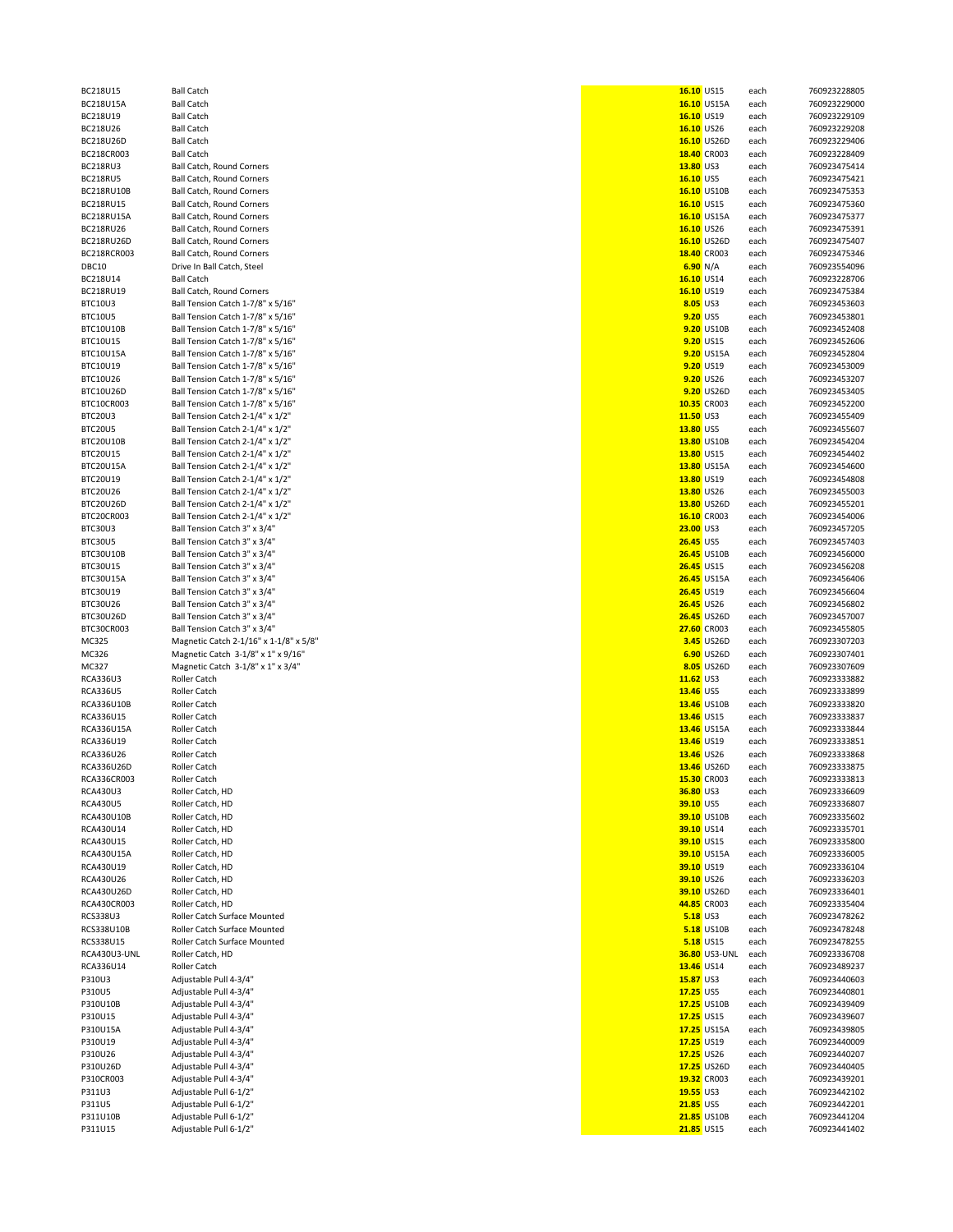| 218U15A         | <b>Ball Catch</b>                                |
|-----------------|--------------------------------------------------|
| 218U19          | <b>Ball Catch</b>                                |
| 218U26          | <b>Ball Catch</b>                                |
| 218U26D         | <b>Ball Catch</b>                                |
| 218CR003        | <b>Ball Catch</b>                                |
| 218RU3          | Ball Catch, Round Corner                         |
| 218RU5          | Ball Catch, Round Corner                         |
| 218RU10B        | Ball Catch, Round Corner                         |
| 218RU15         | Ball Catch, Round Corner                         |
|                 |                                                  |
| 218RU15A        | Ball Catch, Round Corner                         |
| 218RU26         | Ball Catch, Round Corner                         |
| 218RU26D        | Ball Catch, Round Corner                         |
| 218RCR003       | Ball Catch, Round Corner                         |
| 3C10            | Drive In Ball Catch, Steel                       |
| 218U14          | <b>Ball Catch</b>                                |
| 218RU19         | Ball Catch, Round Corner                         |
| C10U3           | Ball Tension Catch 1-7/8                         |
| C10U5           | Ball Tension Catch 1-7/8                         |
| C10U10B         | Ball Tension Catch 1-7/8                         |
| C10U15          | Ball Tension Catch 1-7/8                         |
|                 |                                                  |
| C10U15A         | Ball Tension Catch 1-7/8                         |
| C10U19          | Ball Tension Catch 1-7/8                         |
| C10U26          | Ball Tension Catch 1-7/8                         |
| C10U26D         | Ball Tension Catch 1-7/8                         |
| C10CR003        | Ball Tension Catch 1-7/8                         |
| C20U3           | Ball Tension Catch 2-1/4                         |
| C20U5           | Ball Tension Catch 2-1/4                         |
| C20U10B         | Ball Tension Catch 2-1/4                         |
| C20U15          | Ball Tension Catch 2-1/4                         |
| C20U15A         | Ball Tension Catch 2-1/4                         |
| C20U19          | Ball Tension Catch 2-1/4                         |
|                 |                                                  |
| C20U26          | Ball Tension Catch 2-1/4                         |
| C20U26D         | Ball Tension Catch 2-1/4                         |
| C20CR003        | Ball Tension Catch 2-1/4                         |
| C30U3           | Ball Tension Catch 3" x 3                        |
| C30U5           | Ball Tension Catch 3" x 3                        |
| C30U10B         | Ball Tension Catch 3" x 3                        |
| C30U15          | Ball Tension Catch 3" x 3                        |
| C30U15A         | Ball Tension Catch 3" x 3                        |
| C30U19          | Ball Tension Catch 3" x 3                        |
| C30U26          | Ball Tension Catch 3" x 3                        |
| C30U26D         | Ball Tension Catch 3" x 3                        |
| C30CR003        | Ball Tension Catch 3" x 3                        |
| C325            | Magnetic Catch 2-1/16"                           |
|                 |                                                  |
| C326            | Magnetic Catch 3-1/8">                           |
|                 | Magnetic Catch 3-1/8">                           |
| C327            |                                                  |
| A336U3          | Roller Catch                                     |
| A336U5          | Roller Catch                                     |
| A336U10B        | Roller Catch                                     |
| A336U15         | Roller Catch                                     |
| A336U15A        | Roller Catch                                     |
| A336U19:        | Roller Catch                                     |
| A336U26:        | Roller Catch                                     |
|                 |                                                  |
| A336U26D        | Roller Catch                                     |
| CA336CR003      | Roller Catch                                     |
| A430U3.         | Roller Catch. HD                                 |
| A430U5          | Roller Catch, HD                                 |
| A430U10B:       | Roller Catch, HD                                 |
| A430U14         | Roller Catch, HD                                 |
| A430U15         | Roller Catch, HD                                 |
| A430U15A        | Roller Catch, HD                                 |
| A430U19:        | Roller Catch, HD                                 |
| A430U26         | Roller Catch, HD                                 |
| A430U26D        | Roller Catch, HD                                 |
| A430CR003       | Roller Catch, HD                                 |
| S338U3          | Roller Catch Surface Mo                          |
| S338U10B        | Roller Catch Surface Mo                          |
|                 |                                                  |
| S338U15         | Roller Catch Surface Mo                          |
| A430U3-UNL      | Roller Catch, HD                                 |
| A336U14         | Roller Catch                                     |
| 10U3            | Adjustable Pull 4-3/4"                           |
| 10U5            | Adjustable Pull 4-3/4"                           |
| 10U10B          | Adjustable Pull 4-3/4"                           |
| 10U15           | Adjustable Pull 4-3/4"                           |
| 10U15A          | Adjustable Pull 4-3/4"                           |
| 10U19           | Adjustable Pull 4-3/4"                           |
| 10U26           | Adjustable Pull 4-3/4"                           |
| 10U26D          | Adjustable Pull 4-3/4"                           |
| 10CR003         | Adjustable Pull 4-3/4"                           |
| 11U3            | Adjustable Pull 6-1/2"                           |
|                 |                                                  |
| 11U5            | Adjustable Pull 6-1/2"                           |
| 11U10B<br>11U15 | Adjustable Pull 6-1/2"<br>Adjustable Pull 6-1/2" |

| BC218U15          | <b>Ball Catch</b>                      |                  | 16.10 US15           | each | 760923228805 |
|-------------------|----------------------------------------|------------------|----------------------|------|--------------|
| BC218U15A         | <b>Ball Catch</b>                      |                  | 16.10 US15A          | each | 760923229000 |
| BC218U19          | <b>Ball Catch</b>                      |                  | 16.10 US19           | each | 760923229109 |
| BC218U26          | <b>Ball Catch</b>                      |                  | 16.10 US26           | each | 760923229208 |
| BC218U26D         | <b>Ball Catch</b>                      |                  | 16.10 US26D          | each | 760923229406 |
| BC218CR003        | <b>Ball Catch</b>                      |                  | 18.40 CR003          | each | 760923228409 |
| BC218RU3          | Ball Catch, Round Corners              | 13.80 US3        |                      | each | 760923475414 |
| BC218RU5          | Ball Catch, Round Corners              | 16.10 US5        |                      | each | 760923475421 |
| BC218RU10B        | Ball Catch, Round Corners              |                  | 16.10 US10B          | each | 760923475353 |
|                   |                                        |                  |                      |      |              |
| BC218RU15         | <b>Ball Catch, Round Corners</b>       |                  | 16.10 US15           | each | 760923475360 |
| BC218RU15A        | <b>Ball Catch, Round Corners</b>       |                  | 16.10 US15A          | each | 760923475377 |
| BC218RU26         | Ball Catch, Round Corners              |                  | 16.10 US26           | each | 760923475391 |
| BC218RU26D        | Ball Catch, Round Corners              |                  | 16.10 US26D          | each | 760923475407 |
| BC218RCR003       | Ball Catch, Round Corners              |                  | 18.40 CR003          | each | 760923475346 |
| DBC10             | Drive In Ball Catch, Steel             |                  | 6.90 N/A             | each | 760923554096 |
| BC218U14          | <b>Ball Catch</b>                      |                  | 16.10 US14           | each | 760923228706 |
| BC218RU19         | Ball Catch, Round Corners              |                  | 16.10 US19           | each | 760923475384 |
| BTC10U3           | Ball Tension Catch 1-7/8" x 5/16"      |                  | 8.05 US3             | each | 760923453603 |
| BTC10U5           | Ball Tension Catch 1-7/8" x 5/16"      |                  | 9.20 US5             | each | 760923453801 |
|                   |                                        |                  |                      |      |              |
| BTC10U10B         | Ball Tension Catch 1-7/8" x 5/16"      |                  | 9.20 US10B           | each | 760923452408 |
| BTC10U15          | Ball Tension Catch 1-7/8" x 5/16"      |                  | 9.20 US15            | each | 760923452606 |
| BTC10U15A         | Ball Tension Catch 1-7/8" x 5/16"      |                  | 9.20 US15A           | each | 760923452804 |
| BTC10U19          | Ball Tension Catch 1-7/8" x 5/16"      |                  | 9.20 US19            | each | 760923453009 |
| BTC10U26          | Ball Tension Catch 1-7/8" x 5/16"      |                  | 9.20 US26            | each | 760923453207 |
| BTC10U26D         | Ball Tension Catch 1-7/8" x 5/16"      |                  | 9.20 US26D           | each | 760923453405 |
| BTC10CR003        | Ball Tension Catch 1-7/8" x 5/16"      |                  | 10.35 CR003          | each | 760923452200 |
| BTC20U3           | Ball Tension Catch 2-1/4" x 1/2"       | 11.50 US3        |                      | each | 760923455409 |
| BTC20U5           | Ball Tension Catch 2-1/4" x 1/2"       | 13.80 US5        |                      | each | 760923455607 |
| BTC20U10B         | Ball Tension Catch 2-1/4" x 1/2"       |                  | 13.80 US10B          | each | 760923454204 |
| BTC20U15          | Ball Tension Catch 2-1/4" x 1/2"       |                  | 13.80 US15           | each | 760923454402 |
|                   |                                        |                  |                      |      |              |
| BTC20U15A         | Ball Tension Catch 2-1/4" x 1/2"       |                  | 13.80 US15A          | each | 760923454600 |
| BTC20U19          | Ball Tension Catch 2-1/4" x 1/2"       |                  | 13.80 US19           | each | 760923454808 |
| BTC20U26          | Ball Tension Catch 2-1/4" x 1/2"       |                  | 13.80 US26           | each | 760923455003 |
| BTC20U26D         | Ball Tension Catch 2-1/4" x 1/2"       |                  | 13.80 US26D          | each | 760923455201 |
| BTC20CR003        | Ball Tension Catch 2-1/4" x 1/2"       |                  | 16.10 CR003          | each | 760923454006 |
| BTC30U3           | Ball Tension Catch 3" x 3/4"           | 23.00 US3        |                      | each | 760923457205 |
| BTC30U5           | Ball Tension Catch 3" x 3/4"           | <b>26.45 US5</b> |                      | each | 760923457403 |
| BTC30U10B         | Ball Tension Catch 3" x 3/4"           |                  | <b>26.45 US10B</b>   | each | 760923456000 |
| BTC30U15          | Ball Tension Catch 3" x 3/4"           |                  | 26.45 US15           | each | 760923456208 |
| BTC30U15A         | Ball Tension Catch 3" x 3/4"           |                  | <b>26.45 US15A</b>   |      | 760923456406 |
|                   |                                        |                  |                      | each |              |
| BTC30U19          | Ball Tension Catch 3" x 3/4"           |                  | 26.45 US19           | each | 760923456604 |
| BTC30U26          | Ball Tension Catch 3" x 3/4"           |                  | 26.45 US26           | each | 760923456802 |
| BTC30U26D         | Ball Tension Catch 3" x 3/4"           |                  | <b>26.45 US26D</b>   | each | 760923457007 |
| BTC30CR003        | Ball Tension Catch 3" x 3/4"           |                  | 27.60 CR003          | each | 760923455805 |
| MC325             | Magnetic Catch 2-1/16" x 1-1/8" x 5/8" |                  | 3.45 US26D           | each | 760923307203 |
| MC326             | Magnetic Catch 3-1/8" x 1" x 9/16"     |                  | 6.90 US26D           | each | 760923307401 |
| MC327             | Magnetic Catch 3-1/8" x 1" x 3/4"      |                  | 8.05 US26D           | each | 760923307609 |
| RCA336U3          | Roller Catch                           | 11.62 US3        |                      | each | 760923333882 |
| RCA336U5          | Roller Catch                           | 13.46 US5        |                      | each | 760923333899 |
| RCA336U10B        | Roller Catch                           |                  | 13.46 US10B          |      | 760923333820 |
|                   |                                        |                  |                      | each |              |
| RCA336U15         | Roller Catch                           |                  | 13.46 US15           | each | 760923333837 |
| <b>RCA336U15A</b> | Roller Catch                           |                  | 13.46 US15A          | each | 760923333844 |
| RCA336U19         | Roller Catch                           |                  | 13.46 US19           | each | 760923333851 |
| RCA336U26         | Roller Catch                           |                  | 13.46 US26           | each | 760923333868 |
| RCA336U26D        | <b>Roller Catch</b>                    |                  | 13.46 US26D          | each | 760923333875 |
| RCA336CR003       | Roller Catch                           |                  | 15.30 CR003          | each | 760923333813 |
| RCA430U3          | Roller Catch, HD                       | 36.80 US3        |                      | each | 760923336609 |
| RCA430U5          | Roller Catch, HD                       | 39.10 US5        |                      | each | 760923336807 |
| RCA430U10B        | Roller Catch, HD                       |                  | 39.10 US10B          | each | 760923335602 |
| RCA430U14         | Roller Catch, HD                       |                  | 39.10 US14           | each | 760923335701 |
| RCA430U15         | Roller Catch, HD                       |                  | 39.10 US15           |      | 760923335800 |
|                   |                                        |                  |                      | each |              |
| RCA430U15A        | Roller Catch, HD                       |                  | 39.10 US15A          | each | 760923336005 |
| RCA430U19         | Roller Catch, HD                       |                  | 39.10 US19           | each | 760923336104 |
| RCA430U26         | Roller Catch, HD                       |                  | 39.10 US26           | each | 760923336203 |
| RCA430U26D        | Roller Catch, HD                       |                  | 39.10 US26D          | each | 760923336401 |
| RCA430CR003       | Roller Catch, HD                       |                  | 44.85 CR003          | each | 760923335404 |
| RCS338U3          | Roller Catch Surface Mounted           |                  | <b>5.18 US3</b>      | each | 760923478262 |
| RCS338U10B        | Roller Catch Surface Mounted           |                  | <b>5.18 US10B</b>    | each | 760923478248 |
| RCS338U15         | Roller Catch Surface Mounted           |                  | 5.18 US15            | each | 760923478255 |
| RCA430U3-UNL      | Roller Catch, HD                       |                  | <b>36.80 US3-UNL</b> | each | 760923336708 |
| RCA336U14         | Roller Catch                           |                  | 13.46 US14           |      | 760923489237 |
|                   |                                        |                  |                      | each |              |
| P310U3            | Adjustable Pull 4-3/4"                 | 15.87 US3        |                      | each | 760923440603 |
| P310U5            | Adjustable Pull 4-3/4"                 | 17.25 US5        |                      | each | 760923440801 |
| P310U10B          | Adjustable Pull 4-3/4"                 |                  | 17.25 US10B          | each | 760923439409 |
| P310U15           | Adjustable Pull 4-3/4"                 |                  | 17.25 US15           | each | 760923439607 |
| P310U15A          | Adjustable Pull 4-3/4"                 |                  | 17.25 US15A          | each | 760923439805 |
| P310U19           | Adjustable Pull 4-3/4"                 |                  | 17.25 US19           | each | 760923440009 |
| P310U26           | Adjustable Pull 4-3/4"                 |                  | 17.25 US26           | each | 760923440207 |
| P310U26D          | Adjustable Pull 4-3/4"                 |                  | 17.25 US26D          | each | 760923440405 |
| P310CR003         | Adjustable Pull 4-3/4"                 |                  | 19.32 CR003          | each | 760923439201 |
|                   |                                        |                  |                      |      |              |
| P311U3            | Adjustable Pull 6-1/2"                 | 19.55 US3        |                      | each | 760923442102 |
| P311U5            | Adjustable Pull 6-1/2"                 | 21.85 US5        |                      | each | 760923442201 |
| P311U10B          | Adjustable Pull 6-1/2"                 |                  | 21.85 US10B          | each | 760923441204 |
| P311U15           | Adjustable Pull 6-1/2"                 |                  | 21.85 US15           | each | 760923441402 |
|                   |                                        |                  |                      |      |              |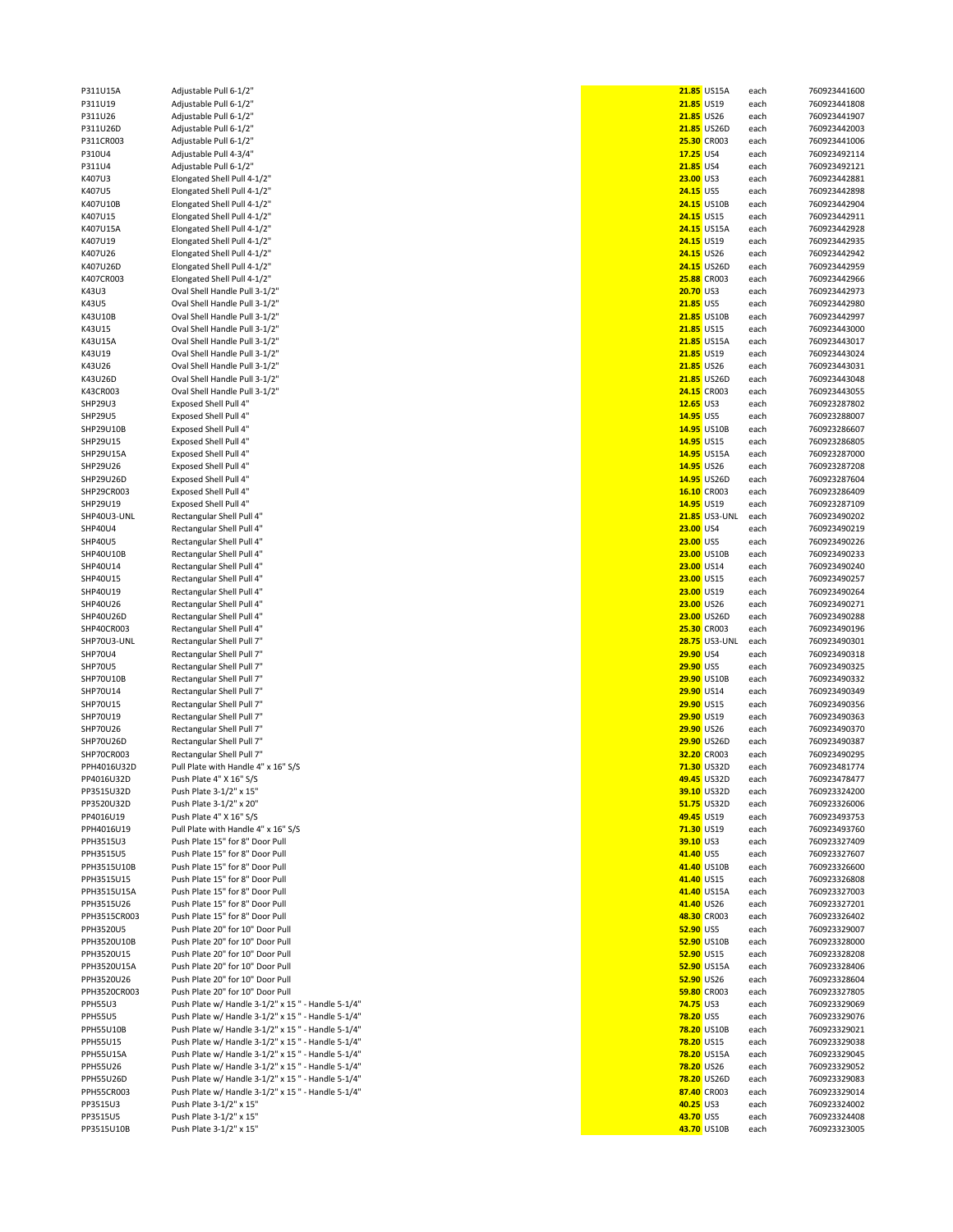| P311U15A               | Adjustable Pull 6-1/2"                             |                  | 21.85 US15A          | each         | 760923441600                 |
|------------------------|----------------------------------------------------|------------------|----------------------|--------------|------------------------------|
| P311U19                | Adjustable Pull 6-1/2"                             |                  | 21.85 US19           | each         | 760923441808                 |
|                        |                                                    |                  |                      |              |                              |
| P311U26                | Adjustable Pull 6-1/2"                             |                  | 21.85 US26           | each         | 760923441907                 |
| P311U26D               | Adjustable Pull 6-1/2"                             |                  | 21.85 US26D          | each         | 760923442003                 |
| P311CR003              | Adjustable Pull 6-1/2"                             |                  | 25.30 CR003          | each         | 760923441006                 |
| P310U4                 | Adjustable Pull 4-3/4"                             | 17.25 US4        |                      | each         | 760923492114                 |
| P311U4                 | Adjustable Pull 6-1/2"                             | 21.85 US4        |                      | each         | 760923492121                 |
| K407U3                 | Elongated Shell Pull 4-1/2"                        | 23.00 US3        |                      |              | 760923442881                 |
|                        |                                                    |                  |                      | each         |                              |
| K407U5                 | Elongated Shell Pull 4-1/2"                        | 24.15 US5        |                      | each         | 760923442898                 |
| K407U10B               | Elongated Shell Pull 4-1/2"                        |                  | <b>24.15 US10B</b>   | each         | 760923442904                 |
| K407U15                | Elongated Shell Pull 4-1/2"                        |                  | 24.15 US15           | each         | 760923442911                 |
| K407U15A               | Elongated Shell Pull 4-1/2"                        |                  | <b>24.15 US15A</b>   | each         | 760923442928                 |
| K407U19                | Elongated Shell Pull 4-1/2"                        |                  | 24.15 US19           | each         | 760923442935                 |
|                        |                                                    |                  |                      |              |                              |
| K407U26                | Elongated Shell Pull 4-1/2"                        |                  | 24.15 US26           | each         | 760923442942                 |
| K407U26D               | Elongated Shell Pull 4-1/2"                        |                  | <b>24.15 US26D</b>   | each         | 760923442959                 |
| K407CR003              | Elongated Shell Pull 4-1/2"                        |                  | 25.88 CR003          | each         | 760923442966                 |
| K43U3                  | Oval Shell Handle Pull 3-1/2"                      | 20.70 US3        |                      | each         | 760923442973                 |
| K43U5                  | Oval Shell Handle Pull 3-1/2"                      | 21.85 US5        |                      | each         | 760923442980                 |
|                        |                                                    |                  |                      |              |                              |
| K43U10B                | Oval Shell Handle Pull 3-1/2"                      |                  | 21.85 US10B          | each         | 760923442997                 |
| K43U15                 | Oval Shell Handle Pull 3-1/2"                      |                  | 21.85 US15           | each         | 760923443000                 |
| K43U15A                | Oval Shell Handle Pull 3-1/2"                      |                  | 21.85 US15A          | each         | 760923443017                 |
| K43U19                 | Oval Shell Handle Pull 3-1/2"                      |                  | 21.85 US19           | each         | 760923443024                 |
| K43U26                 | Oval Shell Handle Pull 3-1/2"                      |                  | 21.85 US26           | each         | 760923443031                 |
|                        |                                                    |                  | 21.85 US26D          |              |                              |
| K43U26D                | Oval Shell Handle Pull 3-1/2"                      |                  |                      | each         | 760923443048                 |
| K43CR003               | Oval Shell Handle Pull 3-1/2"                      |                  | 24.15 CR003          | each         | 760923443055                 |
| SHP29U3                | Exposed Shell Pull 4"                              | 12.65 US3        |                      | each         | 760923287802                 |
| <b>SHP29U5</b>         | <b>Exposed Shell Pull 4"</b>                       | 14.95 US5        |                      | each         | 760923288007                 |
| SHP29U10B              | Exposed Shell Pull 4"                              |                  | 14.95 US10B          | each         | 760923286607                 |
|                        |                                                    |                  |                      |              |                              |
| SHP29U15               | <b>Exposed Shell Pull 4"</b>                       |                  | 14.95 US15           | each         | 760923286805                 |
| SHP29U15A              | <b>Exposed Shell Pull 4"</b>                       |                  | 14.95 US15A          | each         | 760923287000                 |
| SHP29U26               | Exposed Shell Pull 4"                              |                  | 14.95 US26           | each         | 760923287208                 |
| SHP29U26D              | Exposed Shell Pull 4"                              |                  | 14.95 US26D          | each         | 760923287604                 |
| SHP29CR003             | <b>Exposed Shell Pull 4"</b>                       |                  | 16.10 CR003          | each         | 760923286409                 |
|                        |                                                    |                  |                      |              |                              |
| SHP29U19               | Exposed Shell Pull 4"                              |                  | 14.95 US19           | each         | 760923287109                 |
| SHP40U3-UNL            | Rectangular Shell Pull 4"                          |                  | <b>21.85</b> US3-UNL | each         | 760923490202                 |
| SHP40U4                | Rectangular Shell Pull 4"                          | 23.00 US4        |                      | each         | 760923490219                 |
| <b>SHP40U5</b>         | Rectangular Shell Pull 4"                          | 23.00 US5        |                      | each         | 760923490226                 |
| SHP40U10B              | Rectangular Shell Pull 4"                          |                  | 23.00 US10B          |              | 760923490233                 |
|                        |                                                    |                  |                      | each         |                              |
| SHP40U14               | Rectangular Shell Pull 4"                          |                  | 23.00 US14           | each         | 760923490240                 |
| SHP40U15               | Rectangular Shell Pull 4"                          |                  | 23.00 US15           | each         | 760923490257                 |
| SHP40U19               | Rectangular Shell Pull 4"                          |                  | 23.00 US19           | each         | 760923490264                 |
| SHP40U26               | Rectangular Shell Pull 4"                          |                  | 23.00 US26           | each         | 760923490271                 |
| SHP40U26D              | Rectangular Shell Pull 4"                          |                  | 23.00 US26D          | each         | 760923490288                 |
|                        |                                                    |                  |                      |              |                              |
| SHP40CR003             | Rectangular Shell Pull 4"                          |                  | 25.30 CR003          | each         | 760923490196                 |
| SHP70U3-UNL            | Rectangular Shell Pull 7"                          |                  | <b>28.75 US3-UNL</b> | each         | 760923490301                 |
| SHP70U4                | Rectangular Shell Pull 7"                          | 29.90 US4        |                      | each         | 760923490318                 |
| SHP70U5                |                                                    |                  |                      |              |                              |
|                        |                                                    |                  |                      |              |                              |
|                        | Rectangular Shell Pull 7"                          | 29.90 US5        |                      | each         | 760923490325                 |
| SHP70U10B              | Rectangular Shell Pull 7"                          |                  | 29.90 US10B          | each         | 760923490332                 |
| SHP70U14               | Rectangular Shell Pull 7"                          |                  | 29.90 US14           | each         | 760923490349                 |
| SHP70U15               | Rectangular Shell Pull 7"                          |                  | 29.90 US15           | each         | 760923490356                 |
| SHP70U19               |                                                    |                  | 29.90 US19           | each         | 760923490363                 |
|                        | Rectangular Shell Pull 7"                          |                  |                      |              |                              |
| SHP70U26               | Rectangular Shell Pull 7"                          |                  | 29.90 US26           | each         | 760923490370                 |
| SHP70U26D              | Rectangular Shell Pull 7"                          |                  | 29.90 US26D          | each         | 760923490387                 |
| SHP70CR003             | Rectangular Shell Pull 7"                          |                  | 32.20 CR003          | each         | 760923490295                 |
| PPH4016U32D            | Pull Plate with Handle 4" x 16" S/S                |                  | 71.30 US32D          | each         | 760923481774                 |
| PP4016U32D             | Push Plate 4" X 16" S/S                            |                  | 49.45 US32D          | each         | 760923478477                 |
|                        |                                                    |                  |                      |              |                              |
| PP3515U32D             | Push Plate 3-1/2" x 15"                            |                  | 39.10 US32D          | each         | 760923324200                 |
| PP3520U32D             | Push Plate 3-1/2" x 20"                            |                  | 51.75 US32D          | each         | 760923326006                 |
| PP4016U19              | Push Plate 4" X 16" S/S                            |                  | 49.45 US19           | each         | 760923493753                 |
| PPH4016U19             | Pull Plate with Handle 4" x 16" S/S                |                  | 71.30 US19           | each         | 760923493760                 |
| PPH3515U3              | Push Plate 15" for 8" Door Pull                    | 39.10 US3        |                      | each         | 760923327409                 |
| PPH3515U5              | Push Plate 15" for 8" Door Pull                    | 41.40 US5        |                      | each         | 760923327607                 |
|                        |                                                    |                  |                      |              |                              |
| PPH3515U10B            | Push Plate 15" for 8" Door Pull                    |                  | 41.40 US10B          | each         | 760923326600                 |
| PPH3515U15             | Push Plate 15" for 8" Door Pull                    |                  | 41.40 US15           | each         | 760923326808                 |
| PPH3515U15A            | Push Plate 15" for 8" Door Pull                    |                  | 41.40 US15A          | each         | 760923327003                 |
| PPH3515U26             | Push Plate 15" for 8" Door Pull                    |                  | 41.40 US26           | each         | 760923327201                 |
| PPH3515CR003           | Push Plate 15" for 8" Door Pull                    |                  | 48.30 CR003          | each         | 760923326402                 |
|                        |                                                    |                  |                      |              |                              |
| PPH3520U5              | Push Plate 20" for 10" Door Pull                   | 52.90 US5        |                      | each         | 760923329007                 |
| PPH3520U10B            | Push Plate 20" for 10" Door Pull                   |                  | 52.90 US10B          | each         | 760923328000                 |
| PPH3520U15             | Push Plate 20" for 10" Door Pull                   |                  | 52.90 US15           | each         | 760923328208                 |
| PPH3520U15A            | Push Plate 20" for 10" Door Pull                   |                  | 52.90 US15A          | each         | 760923328406                 |
| PPH3520U26             | Push Plate 20" for 10" Door Pull                   |                  | 52.90 US26           | each         | 760923328604                 |
|                        |                                                    |                  |                      |              |                              |
| PPH3520CR003           | Push Plate 20" for 10" Door Pull                   |                  | 59.80 CR003          | each         | 760923327805                 |
| <b>PPH55U3</b>         | Push Plate w/ Handle 3-1/2" x 15 " - Handle 5-1/4" | <b>74.75 US3</b> |                      | each         | 760923329069                 |
| PPH55U5                | Push Plate w/ Handle 3-1/2" x 15 " - Handle 5-1/4" | <b>78.20 US5</b> |                      | each         | 760923329076                 |
| <b>PPH55U10B</b>       | Push Plate w/ Handle 3-1/2" x 15 " - Handle 5-1/4" |                  | <b>78.20 US10B</b>   | each         | 760923329021                 |
| <b>PPH55U15</b>        | Push Plate w/ Handle 3-1/2" x 15 " - Handle 5-1/4" |                  | 78.20 US15           | each         | 760923329038                 |
|                        |                                                    |                  |                      |              |                              |
| <b>PPH55U15A</b>       | Push Plate w/ Handle 3-1/2" x 15 " - Handle 5-1/4" |                  | 78.20 US15A          | each         | 760923329045                 |
| <b>PPH55U26</b>        | Push Plate w/ Handle 3-1/2" x 15 " - Handle 5-1/4" |                  | <b>78.20 US26</b>    | each         | 760923329052                 |
| <b>PPH55U26D</b>       | Push Plate w/ Handle 3-1/2" x 15 " - Handle 5-1/4" |                  | 78.20 US26D          | each         | 760923329083                 |
| PPH55CR003             | Push Plate w/ Handle 3-1/2" x 15 " - Handle 5-1/4" |                  | 87.40 CR003          | each         | 760923329014                 |
| PP3515U3               | Push Plate 3-1/2" x 15"                            | 40.25 US3        |                      | each         | 760923324002                 |
|                        |                                                    |                  |                      |              |                              |
| PP3515U5<br>PP3515U10B | Push Plate 3-1/2" x 15"<br>Push Plate 3-1/2" x 15" | 43.70 US5        | 43.70 US10B          | each<br>each | 760923324408<br>760923323005 |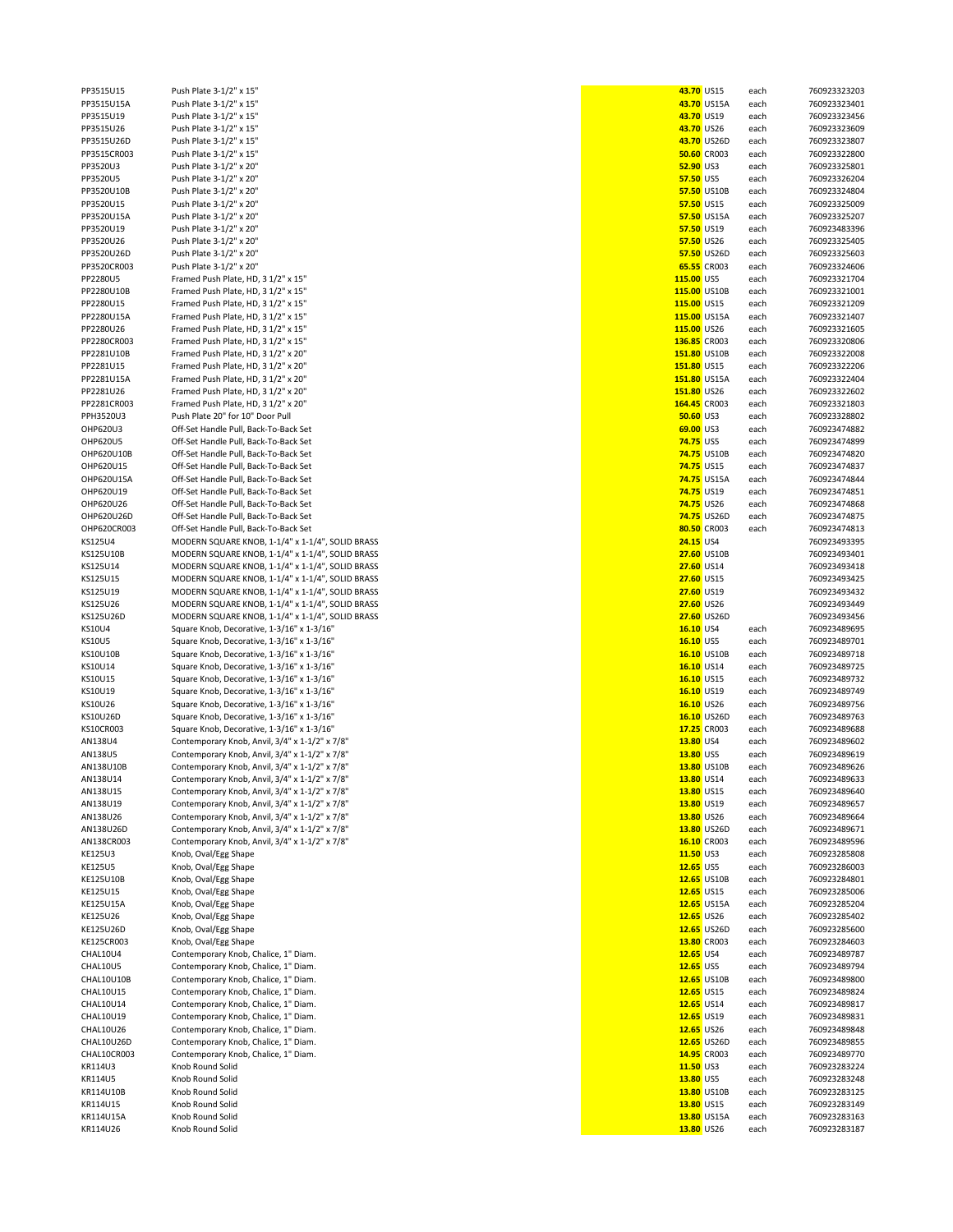| rraaioia    | LASH LIGHT 3-TIS VIT                             | נוכט <u>טזיכ<del>ר</del></u> |                    | eacu | 100323323203 |
|-------------|--------------------------------------------------|------------------------------|--------------------|------|--------------|
| PP3515U15A  | Push Plate 3-1/2" x 15"                          |                              | 43.70 US15A        | each | 760923323401 |
| PP3515U19   | Push Plate 3-1/2" x 15"                          | 43.70 US19                   |                    | each | 760923323456 |
| PP3515U26   | Push Plate 3-1/2" x 15"                          | 43.70 US26                   |                    | each | 760923323609 |
|             |                                                  |                              |                    |      |              |
| PP3515U26D  | Push Plate 3-1/2" x 15"                          |                              | 43.70 US26D        | each | 760923323807 |
| PP3515CR003 | Push Plate 3-1/2" x 15"                          |                              | <b>50.60 CR003</b> | each | 760923322800 |
| PP3520U3    | Push Plate 3-1/2" x 20"                          | 52.90 US3                    |                    | each | 760923325801 |
|             |                                                  |                              |                    |      |              |
| PP3520U5    | Push Plate 3-1/2" x 20"                          | 57.50 US5                    |                    | each | 760923326204 |
| PP3520U10B  | Push Plate 3-1/2" x 20"                          |                              | 57.50 US10B        | each | 760923324804 |
|             |                                                  |                              |                    |      |              |
| PP3520U15   | Push Plate 3-1/2" x 20"                          | 57.50 US15                   |                    | each | 760923325009 |
| PP3520U15A  | Push Plate 3-1/2" x 20"                          |                              | 57.50 US15A        | each | 760923325207 |
| PP3520U19   | Push Plate 3-1/2" x 20"                          | 57.50 US19                   |                    | each | 760923483396 |
|             |                                                  |                              |                    |      |              |
| PP3520U26   | Push Plate 3-1/2" x 20"                          | 57.50 US26                   |                    | each | 760923325405 |
| PP3520U26D  | Push Plate 3-1/2" x 20"                          |                              | 57.50 US26D        | each | 760923325603 |
| PP3520CR003 | Push Plate 3-1/2" x 20"                          |                              | 65.55 CR003        |      | 760923324606 |
|             |                                                  |                              |                    | each |              |
| PP2280U5    | Framed Push Plate, HD, 3 1/2" x 15"              | 115.00 US5                   |                    | each | 760923321704 |
| PP2280U10B  | Framed Push Plate, HD, 3 1/2" x 15"              | 115.00 US10B                 |                    | each | 760923321001 |
|             |                                                  |                              |                    |      |              |
| PP2280U15   | Framed Push Plate, HD, 3 1/2" x 15"              | 115.00 US15                  |                    | each | 760923321209 |
| PP2280U15A  | Framed Push Plate, HD, 3 1/2" x 15"              | 115.00 US15A                 |                    | each | 760923321407 |
|             |                                                  |                              |                    |      |              |
| PP2280U26   | Framed Push Plate, HD, 3 1/2" x 15"              | 115.00 US26                  |                    | each | 760923321605 |
| PP2280CR003 | Framed Push Plate, HD, 3 1/2" x 15"              | 136.85 CR003                 |                    | each | 760923320806 |
| PP2281U10B  | Framed Push Plate, HD, 3 1/2" x 20"              | 151.80 US10B                 |                    | each | 760923322008 |
|             |                                                  |                              |                    |      |              |
| PP2281U15   | Framed Push Plate, HD, 3 1/2" x 20"              | 151.80 US15                  |                    | each | 760923322206 |
| PP2281U15A  | Framed Push Plate, HD, 3 1/2" x 20"              | 151.80 US15A                 |                    | each | 760923322404 |
| PP2281U26   | Framed Push Plate, HD, 3 1/2" x 20"              | 151.80 US26                  |                    | each | 760923322602 |
|             |                                                  |                              |                    |      |              |
| PP2281CR003 | Framed Push Plate, HD, 3 1/2" x 20"              | 164.45 CR003                 |                    | each | 760923321803 |
| PPH3520U3   | Push Plate 20" for 10" Door Pull                 | <b>50.60 US3</b>             |                    | each | 760923328802 |
|             |                                                  |                              |                    |      |              |
| OHP620U3    | Off-Set Handle Pull, Back-To-Back Set            | 69.00 US3                    |                    | each | 760923474882 |
| OHP620U5    | Off-Set Handle Pull, Back-To-Back Set            | <b>74.75 US5</b>             |                    | each | 760923474899 |
| OHP620U10B  | Off-Set Handle Pull, Back-To-Back Set            |                              | 74.75 US10B        | each | 760923474820 |
|             |                                                  |                              |                    |      |              |
| OHP620U15   | Off-Set Handle Pull, Back-To-Back Set            | <b>74.75 US15</b>            |                    | each | 760923474837 |
| OHP620U15A  | Off-Set Handle Pull, Back-To-Back Set            |                              | <b>74.75 US15A</b> | each | 760923474844 |
|             |                                                  |                              |                    |      |              |
| OHP620U19   | Off-Set Handle Pull, Back-To-Back Set            | 74.75 US19                   |                    | each | 760923474851 |
| OHP620U26   | Off-Set Handle Pull, Back-To-Back Set            | <b>74.75 US26</b>            |                    | each | 760923474868 |
|             |                                                  |                              |                    |      |              |
| OHP620U26D  | Off-Set Handle Pull, Back-To-Back Set            |                              | <b>74.75 US26D</b> | each | 760923474875 |
| OHP620CR003 | Off-Set Handle Pull, Back-To-Back Set            |                              | 80.50 CR003        | each | 760923474813 |
| KS125U4     | MODERN SQUARE KNOB, 1-1/4" x 1-1/4", SOLID BRASS | 24.15 US4                    |                    |      | 760923493395 |
|             |                                                  |                              |                    |      |              |
| KS125U10B   | MODERN SQUARE KNOB, 1-1/4" x 1-1/4", SOLID BRASS |                              | 27.60 US10B        |      | 760923493401 |
| KS125U14    | MODERN SQUARE KNOB, 1-1/4" x 1-1/4", SOLID BRASS | 27.60 US14                   |                    |      | 760923493418 |
| KS125U15    | MODERN SQUARE KNOB, 1-1/4" x 1-1/4", SOLID BRASS | 27.60 US15                   |                    |      | 760923493425 |
|             |                                                  |                              |                    |      |              |
| KS125U19    | MODERN SQUARE KNOB, 1-1/4" x 1-1/4", SOLID BRASS | 27.60 US19                   |                    |      | 760923493432 |
| KS125U26    | MODERN SQUARE KNOB, 1-1/4" x 1-1/4", SOLID BRASS | 27.60 US26                   |                    |      | 760923493449 |
|             |                                                  |                              |                    |      |              |
| KS125U26D   | MODERN SQUARE KNOB, 1-1/4" x 1-1/4", SOLID BRASS |                              | 27.60 US26D        |      | 760923493456 |
| KS10U4      | Square Knob, Decorative, 1-3/16" x 1-3/16"       | 16.10 US4                    |                    | each | 760923489695 |
| KS10U5      | Square Knob, Decorative, 1-3/16" x 1-3/16"       | 16.10 US5                    |                    | each | 760923489701 |
|             |                                                  |                              |                    |      |              |
| KS10U10B    | Square Knob, Decorative, 1-3/16" x 1-3/16"       |                              | 16.10 US10B        | each | 760923489718 |
| KS10U14     | Square Knob, Decorative, 1-3/16" x 1-3/16"       | 16.10 US14                   |                    | each | 760923489725 |
|             |                                                  |                              |                    |      |              |
| KS10U15     | Square Knob, Decorative, 1-3/16" x 1-3/16"       | 16.10 US15                   |                    | each | 760923489732 |
| KS10U19     | Square Knob, Decorative, 1-3/16" x 1-3/16"       | 16.10 US19                   |                    | each | 760923489749 |
| KS10U26     | Square Knob, Decorative, 1-3/16" x 1-3/16"       | 16.10 US26                   |                    | each | 760923489756 |
|             |                                                  |                              |                    |      |              |
| KS10U26D    | Square Knob, Decorative, 1-3/16" x 1-3/16"       |                              | 16.10 US26D        | each | 760923489763 |
| KS10CR003   | Square Knob, Decorative, 1-3/16" x 1-3/16"       |                              | 17.25 CR003        | each | 760923489688 |
| AN138U4     | Contemporary Knob, Anvil, 3/4" x 1-1/2" x 7/8"   | 13.80 US4                    |                    | each | 760923489602 |
|             |                                                  |                              |                    |      |              |
| AN138U5     | Contemporary Knob, Anvil, 3/4" x 1-1/2" x 7/8"   | 13.80 US5                    |                    | each | 760923489619 |
| AN138U10B   | Contemporary Knob, Anvil, 3/4" x 1-1/2" x 7/8"   |                              | 13.80 US10B        | each | 760923489626 |
|             |                                                  |                              |                    |      |              |
| AN138U14    | Contemporary Knob, Anvil, 3/4" x 1-1/2" x 7/8"   | 13.80 US14                   |                    | each | 760923489633 |
| AN138U15    | Contemporary Knob, Anvil, 3/4" x 1-1/2" x 7/8'   | 13.80 US15                   |                    | eacn | 760923489640 |
| AN138U19    | Contemporary Knob, Anvil, 3/4" x 1-1/2" x 7/8"   | 13.80 US19                   |                    | each | 760923489657 |
|             | Contemporary Knob, Anvil, 3/4" x 1-1/2" x 7/8"   |                              |                    |      |              |
| AN138U26    |                                                  | 13.80 US26                   |                    | each | 760923489664 |
| AN138U26D   | Contemporary Knob, Anvil, 3/4" x 1-1/2" x 7/8"   |                              | 13.80 US26D        | each | 760923489671 |
| AN138CR003  | Contemporary Knob, Anvil, 3/4" x 1-1/2" x 7/8"   |                              | 16.10 CR003        | each | 760923489596 |
|             |                                                  |                              |                    |      |              |
| KE125U3     | Knob, Oval/Egg Shape                             | 11.50 US3                    |                    | each | 760923285808 |
| KE125U5     | Knob, Oval/Egg Shape                             | 12.65 US5                    |                    | each | 760923286003 |
| KE125U10B   | Knob, Oval/Egg Shape                             |                              | 12.65 US10B        | each | 760923284801 |
|             |                                                  |                              |                    |      |              |
| KE125U15    | Knob, Oval/Egg Shape                             | 12.65 US15                   |                    | each | 760923285006 |
| KE125U15A   | Knob, Oval/Egg Shape                             |                              | 12.65 US15A        | each | 760923285204 |
|             |                                                  |                              |                    |      |              |
| KE125U26    | Knob, Oval/Egg Shape                             | 12.65 US26                   |                    | each | 760923285402 |
| KE125U26D   | Knob, Oval/Egg Shape                             |                              | 12.65 US26D        | each | 760923285600 |
| KE125CR003  | Knob, Oval/Egg Shape                             |                              | 13.80 CR003        | each | 760923284603 |
|             |                                                  |                              |                    |      |              |
| CHAL10U4    | Contemporary Knob, Chalice, 1" Diam.             | 12.65 US4                    |                    | each | 760923489787 |
| CHAL10U5    | Contemporary Knob, Chalice, 1" Diam.             | 12.65 US5                    |                    | each | 760923489794 |
| CHAL10U10B  | Contemporary Knob, Chalice, 1" Diam.             |                              | 12.65 US10B        |      | 760923489800 |
|             |                                                  |                              |                    | each |              |
| CHAL10U15   | Contemporary Knob, Chalice, 1" Diam.             | 12.65 US15                   |                    | each | 760923489824 |
| CHAL10U14   | Contemporary Knob, Chalice, 1" Diam.             | 12.65 US14                   |                    | each | 760923489817 |
|             |                                                  |                              |                    |      |              |
| CHAL10U19   | Contemporary Knob, Chalice, 1" Diam.             | 12.65 US19                   |                    | each | 760923489831 |
| CHAL10U26   | Contemporary Knob, Chalice, 1" Diam.             | 12.65 US26                   |                    | each | 760923489848 |
|             |                                                  |                              |                    |      |              |
| CHAL10U26D  | Contemporary Knob, Chalice, 1" Diam.             |                              | 12.65 US26D        | each | 760923489855 |
| CHAL10CR003 | Contemporary Knob, Chalice, 1" Diam.             |                              | 14.95 CR003        | each | 760923489770 |
| KR114U3     | Knob Round Solid                                 | 11.50 US3                    |                    | each | 760923283224 |
|             |                                                  |                              |                    |      |              |
| KR114U5     | Knob Round Solid                                 | 13.80 US5                    |                    | each | 760923283248 |
| KR114U10B   | Knob Round Solid                                 |                              | 13.80 US10B        | each | 760923283125 |
|             |                                                  |                              |                    |      |              |
| KR114U15    |                                                  |                              |                    |      |              |
|             | Knob Round Solid                                 | 13.80 US15                   |                    | each | 760923283149 |
| KR114U15A   | Knob Round Solid                                 |                              | 13.80 US15A        | each | 760923283163 |
|             |                                                  |                              |                    |      |              |
| KR114U26    | Knob Round Solid                                 | 13.80 US26                   |                    | each | 760923283187 |

| PP3515U15   | Push Plate 3-1/2" x 15"                          | 43.70 US15        |                    | each | 760923323203 |
|-------------|--------------------------------------------------|-------------------|--------------------|------|--------------|
| PP3515U15A  | Push Plate 3-1/2" x 15"                          |                   | 43.70 US15A        | each | 760923323401 |
| PP3515U19   | Push Plate 3-1/2" x 15"                          | 43.70 US19        |                    | each | 760923323456 |
| PP3515U26   | Push Plate 3-1/2" x 15"                          | 43.70 US26        |                    | each | 760923323609 |
| PP3515U26D  | Push Plate 3-1/2" x 15"                          |                   | 43.70 US26D        |      | 760923323807 |
|             |                                                  |                   |                    | each |              |
| PP3515CR003 | Push Plate 3-1/2" x 15"                          |                   | <b>50.60 CR003</b> | each | 760923322800 |
| PP3520U3    | Push Plate 3-1/2" x 20"                          | 52.90 US3         |                    | each | 760923325801 |
| PP3520U5    | Push Plate 3-1/2" x 20"                          | 57.50 US5         |                    | each | 760923326204 |
|             | Push Plate 3-1/2" x 20"                          |                   | 57.50 US10B        |      |              |
| PP3520U10B  |                                                  |                   |                    | each | 760923324804 |
| PP3520U15   | Push Plate 3-1/2" x 20"                          | 57.50 US15        |                    | each | 760923325009 |
| PP3520U15A  | Push Plate 3-1/2" x 20"                          |                   | 57.50 US15A        | each | 760923325207 |
| PP3520U19   | Push Plate 3-1/2" x 20"                          | 57.50 US19        |                    | each | 760923483396 |
|             |                                                  |                   |                    |      |              |
| PP3520U26   | Push Plate 3-1/2" x 20"                          | 57.50 US26        |                    | each | 760923325405 |
| PP3520U26D  | Push Plate 3-1/2" x 20"                          |                   | 57.50 US26D        | each | 760923325603 |
| PP3520CR003 | Push Plate 3-1/2" x 20"                          |                   | 65.55 CR003        | each | 760923324606 |
|             |                                                  |                   |                    |      |              |
| PP2280U5    | Framed Push Plate, HD, 3 1/2" x 15"              | 115.00 US5        |                    | each | 760923321704 |
| PP2280U10B  | Framed Push Plate, HD, 3 1/2" x 15"              | 115.00 US10B      |                    | each | 760923321001 |
| PP2280U15   | Framed Push Plate, HD, 3 1/2" x 15"              | 115.00 US15       |                    | each | 760923321209 |
| PP2280U15A  | Framed Push Plate, HD, 3 1/2" x 15"              | 115.00 US15A      |                    | each | 760923321407 |
|             |                                                  |                   |                    |      |              |
| PP2280U26   | Framed Push Plate, HD, 3 1/2" x 15"              | 115.00 US26       |                    | each | 760923321605 |
| PP2280CR003 | Framed Push Plate, HD, 3 1/2" x 15"              | 136.85 CR003      |                    | each | 760923320806 |
| PP2281U10B  | Framed Push Plate, HD, 3 1/2" x 20"              | 151.80 US10B      |                    | each | 760923322008 |
|             |                                                  |                   |                    |      |              |
| PP2281U15   | Framed Push Plate, HD, 3 1/2" x 20"              | 151.80 US15       |                    | each | 760923322206 |
| PP2281U15A  | Framed Push Plate, HD, 3 1/2" x 20"              | 151.80 US15A      |                    | each | 760923322404 |
| PP2281U26   | Framed Push Plate, HD, 3 1/2" x 20"              | 151.80 US26       |                    | each | 760923322602 |
| PP2281CR003 | Framed Push Plate, HD, 3 1/2" x 20"              | 164.45 CR003      |                    | each | 760923321803 |
|             |                                                  |                   |                    |      |              |
| PPH3520U3   | Push Plate 20" for 10" Door Pull                 | <b>50.60 US3</b>  |                    | each | 760923328802 |
| OHP620U3    | Off-Set Handle Pull, Back-To-Back Set            | 69.00 US3         |                    | each | 760923474882 |
| OHP620U5    | Off-Set Handle Pull, Back-To-Back Set            | <b>74.75 US5</b>  |                    | each | 760923474899 |
|             |                                                  |                   |                    |      |              |
| OHP620U10B  | Off-Set Handle Pull, Back-To-Back Set            |                   | <b>74.75 US10B</b> | each | 760923474820 |
| OHP620U15   | Off-Set Handle Pull, Back-To-Back Set            | <b>74.75 US15</b> |                    | each | 760923474837 |
| OHP620U15A  | Off-Set Handle Pull, Back-To-Back Set            |                   | <b>74.75 US15A</b> | each | 760923474844 |
|             |                                                  | 74.75 US19        |                    |      |              |
| OHP620U19   | Off-Set Handle Pull, Back-To-Back Set            |                   |                    | each | 760923474851 |
| OHP620U26   | Off-Set Handle Pull, Back-To-Back Set            | 74.75 US26        |                    | each | 760923474868 |
| OHP620U26D  | Off-Set Handle Pull, Back-To-Back Set            |                   | <b>74.75 US26D</b> | each | 760923474875 |
| OHP620CR003 | Off-Set Handle Pull, Back-To-Back Set            |                   | 80.50 CR003        | each | 760923474813 |
|             |                                                  |                   |                    |      |              |
| KS125U4     | MODERN SQUARE KNOB, 1-1/4" x 1-1/4", SOLID BRASS | 24.15 US4         |                    |      | 760923493395 |
| KS125U10B   | MODERN SQUARE KNOB, 1-1/4" x 1-1/4", SOLID BRASS |                   | 27.60 US10B        |      | 760923493401 |
| KS125U14    | MODERN SQUARE KNOB, 1-1/4" x 1-1/4", SOLID BRASS | 27.60 US14        |                    |      | 760923493418 |
|             |                                                  |                   |                    |      |              |
| KS125U15    | MODERN SQUARE KNOB, 1-1/4" x 1-1/4", SOLID BRASS | 27.60 US15        |                    |      | 760923493425 |
| KS125U19    | MODERN SQUARE KNOB, 1-1/4" x 1-1/4", SOLID BRASS | 27.60 US19        |                    |      | 760923493432 |
| KS125U26    | MODERN SQUARE KNOB, 1-1/4" x 1-1/4", SOLID BRASS | 27.60 US26        |                    |      | 760923493449 |
|             |                                                  |                   |                    |      |              |
| KS125U26D   | MODERN SQUARE KNOB, 1-1/4" x 1-1/4", SOLID BRASS |                   | 27.60 US26D        |      | 760923493456 |
| KS10U4      | Square Knob, Decorative, 1-3/16" x 1-3/16"       | 16.10 US4         |                    | each | 760923489695 |
| KS10U5      | Square Knob, Decorative, 1-3/16" x 1-3/16"       | 16.10 US5         |                    | each | 760923489701 |
| KS10U10B    | Square Knob, Decorative, 1-3/16" x 1-3/16"       |                   | 16.10 US10B        | each | 760923489718 |
|             |                                                  |                   |                    |      |              |
| KS10U14     | Square Knob, Decorative, 1-3/16" x 1-3/16"       | 16.10 US14        |                    | each | 760923489725 |
| KS10U15     | Square Knob, Decorative, 1-3/16" x 1-3/16"       | 16.10 US15        |                    | each | 760923489732 |
| KS10U19     | Square Knob, Decorative, 1-3/16" x 1-3/16"       | 16.10 US19        |                    | each | 760923489749 |
|             |                                                  |                   |                    |      |              |
| KS10U26     | Square Knob, Decorative, 1-3/16" x 1-3/16"       | 16.10 US26        |                    | each | 760923489756 |
| KS10U26D    | Square Knob, Decorative, 1-3/16" x 1-3/16"       |                   | 16.10 US26D        | each | 760923489763 |
| KS10CR003   | Square Knob, Decorative, 1-3/16" x 1-3/16"       |                   | 17.25 CR003        | each | 760923489688 |
| AN138U4     | Contemporary Knob, Anvil, 3/4" x 1-1/2" x 7/8"   | 13.80 US4         |                    | each | 760923489602 |
|             |                                                  |                   |                    |      |              |
| AN138U5     | Contemporary Knob, Anvil, 3/4" x 1-1/2" x 7/8"   | 13.80 US5         |                    | each | 760923489619 |
| AN138U10B   | Contemporary Knob, Anvil, 3/4" x 1-1/2" x 7/8"   |                   | 13.80 US10B        | each | 760923489626 |
| AN138U14    | Contemporary Knob, Anvil, 3/4" x 1-1/2" x 7/8"   | 13.80 US14        |                    | each | 760923489633 |
|             |                                                  |                   |                    |      |              |
| AN138U15    | Contemporary Knob, Anvil, 3/4" x 1-1/2" x 7/8"   | 13.80 US15        |                    | each | 760923489640 |
| AN138U19    | Contemporary Knob, Anvil, 3/4" x 1-1/2" x 7/8"   | 13.80 US19        |                    | each | 760923489657 |
| AN138U26    | Contemporary Knob, Anvil, 3/4" x 1-1/2" x 7/8"   | 13.80 US26        |                    | each | 760923489664 |
| AN138U26D   | Contemporary Knob, Anvil, 3/4" x 1-1/2" x 7/8"   |                   | 13.80 US26D        | each | 760923489671 |
| AN138CR003  |                                                  |                   | 16.10 CR003        |      |              |
|             | Contemporary Knob, Anvil, 3/4" x 1-1/2" x 7/8"   |                   |                    | each | 760923489596 |
| KE125U3     | Knob, Oval/Egg Shape                             | 11.50 US3         |                    | each | 760923285808 |
| KE125U5     | Knob, Oval/Egg Shape                             | 12.65 US5         |                    | each | 760923286003 |
| KE125U10B   | Knob, Oval/Egg Shape                             |                   | 12.65 US10B        | each | 760923284801 |
|             |                                                  |                   |                    |      |              |
| KE125U15    | Knob, Oval/Egg Shape                             | 12.65 US15        |                    | each | 760923285006 |
| KE125U15A   | Knob, Oval/Egg Shape                             |                   | 12.65 US15A        | each | 760923285204 |
| KE125U26    | Knob, Oval/Egg Shape                             | 12.65 US26        |                    | each | 760923285402 |
|             |                                                  |                   |                    |      |              |
| KE125U26D   | Knob, Oval/Egg Shape                             |                   | 12.65 US26D        | each | 760923285600 |
| KE125CR003  | Knob, Oval/Egg Shape                             |                   | 13.80 CR003        | each | 760923284603 |
| CHAL10U4    | Contemporary Knob, Chalice, 1" Diam.             | 12.65 US4         |                    | each | 760923489787 |
| CHAL10U5    | Contemporary Knob, Chalice, 1" Diam.             | 12.65 US5         |                    | each | 760923489794 |
|             |                                                  |                   |                    |      |              |
| CHAL10U10B  | Contemporary Knob, Chalice, 1" Diam.             |                   | 12.65 US10B        | each | 760923489800 |
| CHAL10U15   | Contemporary Knob, Chalice, 1" Diam.             | 12.65 US15        |                    | each | 760923489824 |
| CHAL10U14   | Contemporary Knob, Chalice, 1" Diam.             | 12.65 US14        |                    | each | 760923489817 |
|             |                                                  |                   |                    |      |              |
| CHAL10U19   | Contemporary Knob, Chalice, 1" Diam.             | 12.65 US19        |                    | each | 760923489831 |
| CHAL10U26   | Contemporary Knob, Chalice, 1" Diam.             | 12.65 US26        |                    | each | 760923489848 |
| CHAL10U26D  | Contemporary Knob, Chalice, 1" Diam.             |                   | 12.65 US26D        | each | 760923489855 |
| CHAL10CR003 | Contemporary Knob, Chalice, 1" Diam.             |                   | 14.95 CR003        | each | 760923489770 |
|             |                                                  |                   |                    |      |              |
| KR114U3     | Knob Round Solid                                 | 11.50 US3         |                    | each | 760923283224 |
| KR114U5     | Knob Round Solid                                 | 13.80 US5         |                    | each | 760923283248 |
| KR114U10B   | Knob Round Solid                                 |                   | 13.80 US10B        | each | 760923283125 |
| KR114U15    | Knob Round Solid                                 | 13.80 US15        |                    | each | 760923283149 |
|             |                                                  |                   |                    |      |              |
| KR114U15A   | Knob Round Solid                                 |                   | 13.80 US15A        | each | 760923283163 |
| KR114U26    | Knob Round Solid                                 | 13.80 US26        |                    | each | 760923283187 |
|             |                                                  |                   |                    |      |              |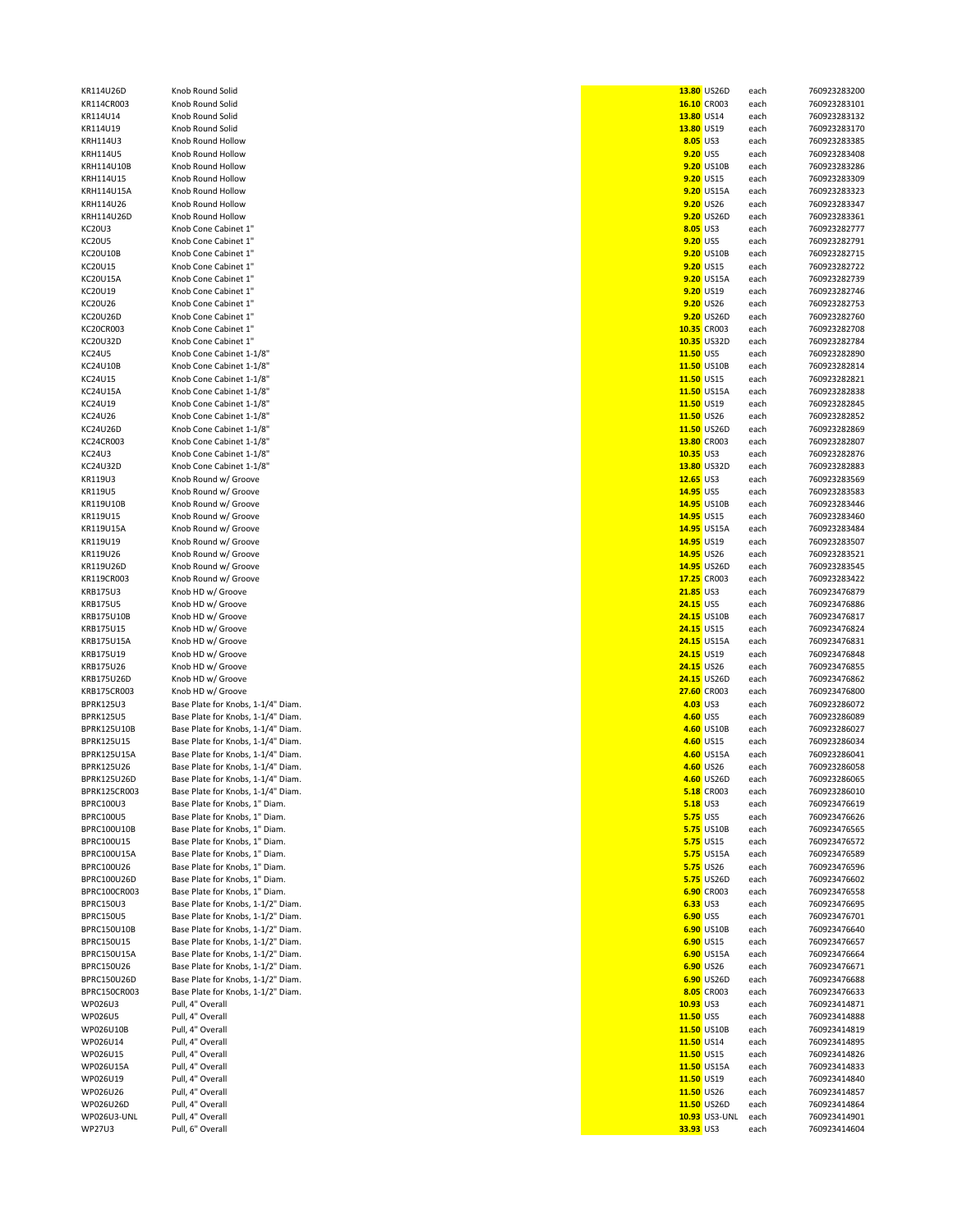| nob Round Solid                                                          |
|--------------------------------------------------------------------------|
| nob Round Solid<br>nob Round Solid                                       |
| nob Round Solid                                                          |
| nob Round Hollow                                                         |
| nob Round Hollow<br>nob Round Hollow                                     |
| nob Round Hollow                                                         |
| nob Round Hollow                                                         |
| nob Round Hollow                                                         |
| nob Round Hollow<br>Inob Cone Cabinet 1"                                 |
| Inob Cone Cabinet 1"                                                     |
| Inob Cone Cabinet 1"                                                     |
| Inob Cone Cabinet 1"<br>Inob Cone Cabinet 1"                             |
| Inob Cone Cabinet 1"                                                     |
| Inob Cone Cabinet 1"                                                     |
| Inob Cone Cabinet 1"                                                     |
| Inob Cone Cabinet 1"<br>Inob Cone Cabinet 1"                             |
| nob Cone Cabinet 1-1/8"                                                  |
| nob Cone Cabinet 1-1/8"                                                  |
| nob Cone Cabinet 1-1/8"<br>nob Cone Cabinet 1-1/8"                       |
| Inob Cone Cabinet 1-1/8"                                                 |
| nob Cone Cabinet 1-1/8"                                                  |
| nob Cone Cabinet 1-1/8"                                                  |
| nob Cone Cabinet 1-1/8"<br>nob Cone Cabinet 1-1/8"                       |
| nob Cone Cabinet 1-1/8"                                                  |
| (nob Round w/ Groove                                                     |
| (nob Round w/ Groove<br>(nob Round w/ Groove                             |
| (nob Round w/ Groove                                                     |
| (nob Round w/ Groove                                                     |
| (nob Round w/ Groove<br>(nob Round w/ Groove                             |
| (nob Round w/ Groove                                                     |
| (nob Round w/ Groove                                                     |
| (nob HD w/ Groove<br>(nob HD w/ Groove                                   |
| (nob HD w/ Groove                                                        |
| (nob HD w/ Groove                                                        |
| (nob HD w/ Groove<br>(nob HD w/ Groove                                   |
| (nob HD w/ Groove                                                        |
| (nob HD w/ Groove                                                        |
| (nob HD w/ Groove<br>lase Plate for Knobs, 1-1/4" Diam.                  |
| Base Plate for Knobs, 1-1/4" Diam.                                       |
| lase Plate for Knobs, 1-1/4" Diam.                                       |
| Base Plate for Knobs, 1-1/4" Diam.                                       |
| lase Plate for Knobs, 1-1/4" Diam.<br>Base Plate for Knobs, 1-1/4" Diam. |
| Base Plate for Knobs, 1-1/4"<br>Diam.                                    |
| lase Plate for Knobs, 1-1/4" Diam.                                       |
| Base Plate for Knobs, 1" Diam.<br>Base Plate for Knobs, 1" Diam.         |
| Base Plate for Knobs, 1" Diam.                                           |
| Base Plate for Knobs, 1" Diam.                                           |
| Base Plate for Knobs, 1" Diam.<br>Base Plate for Knobs, 1" Diam.         |
| Base Plate for Knobs, 1" Diam.                                           |
| Base Plate for Knobs, 1" Diam.                                           |
| lase Plate for Knobs, 1-1/2" Diam.<br>Base Plate for Knobs, 1-1/2" Diam. |
| 3ase Plate for Knobs, 1-1/2" Diam.                                       |
| lase Plate for Knobs, 1-1/2" Diam.                                       |
| Base Plate for Knobs, 1-1/2" Diam.                                       |
| Base Plate for Knobs, 1-1/2" Diam.<br>lase Plate for Knobs, 1-1/2" Diam. |
| Base Plate for Knobs, 1-1/2" Diam.                                       |
| ull, 4" Overall                                                          |
| ull, 4" Overall<br>ull, 4" Overall                                       |
| ull, 4" Overall                                                          |
| ull, 4" Overall                                                          |
| ull, 4" Overall<br>ull, 4" Overall                                       |
| ull, 4" Overall                                                          |
| ull, 4" Overall                                                          |
| ull, 4" Overall<br>ull, 6" Overall                                       |
|                                                                          |

| KR114U26D        | Knob Round Solid                   |                 | 13.80 US26D        | each | 760923283200 |
|------------------|------------------------------------|-----------------|--------------------|------|--------------|
| KR114CR003       | Knob Round Solid                   |                 | 16.10 CR003        | each | 760923283101 |
| KR114U14         | Knob Round Solid                   | 13.80 US14      |                    | each | 760923283132 |
| KR114U19         | Knob Round Solid                   | 13.80 US19      |                    | each | 760923283170 |
| KRH114U3         | Knob Round Hollow                  | 8.05 US3        |                    | each | 760923283385 |
|                  |                                    |                 |                    |      |              |
| KRH114U5         | Knob Round Hollow                  | 9.20 US5        |                    | each | 760923283408 |
| KRH114U10B       | Knob Round Hollow                  |                 | 9.20 US10B         | each | 760923283286 |
| KRH114U15        | Knob Round Hollow                  |                 | 9.20 US15          | each | 760923283309 |
| KRH114U15A       | Knob Round Hollow                  |                 | 9.20 US15A         | each | 760923283323 |
|                  |                                    |                 |                    |      |              |
| KRH114U26        | Knob Round Hollow                  |                 | 9.20 US26          | each | 760923283347 |
| KRH114U26D       | Knob Round Hollow                  |                 | 9.20 US26D         | each | 760923283361 |
| KC20U3           | Knob Cone Cabinet 1"               | 8.05 US3        |                    | each | 760923282777 |
| KC20U5           | Knob Cone Cabinet 1"               | 9.20 US5        |                    | each | 760923282791 |
|                  |                                    |                 |                    |      |              |
| KC20U10B         | Knob Cone Cabinet 1"               |                 | 9.20 US10B         | each | 760923282715 |
| KC20U15          | Knob Cone Cabinet 1"               |                 | 9.20 US15          | each | 760923282722 |
| KC20U15A         | Knob Cone Cabinet 1"               |                 | 9.20 US15A         | each | 760923282739 |
| KC20U19          | Knob Cone Cabinet 1"               |                 | 9.20 US19          | each | 760923282746 |
|                  |                                    |                 |                    |      |              |
| KC20U26          | Knob Cone Cabinet 1"               |                 | 9.20 US26          | each | 760923282753 |
| KC20U26D         | Knob Cone Cabinet 1"               |                 | 9.20 US26D         | each | 760923282760 |
| KC20CR003        | Knob Cone Cabinet 1"               |                 | 10.35 CR003        | each | 760923282708 |
|                  |                                    |                 |                    |      |              |
| KC20U32D         | Knob Cone Cabinet 1"               |                 | 10.35 US32D        | each | 760923282784 |
| KC24U5           | Knob Cone Cabinet 1-1/8"           | 11.50 US5       |                    | each | 760923282890 |
| KC24U10B         | Knob Cone Cabinet 1-1/8"           |                 | 11.50 US10B        | each | 760923282814 |
| KC24U15          | Knob Cone Cabinet 1-1/8"           | 11.50 US15      |                    | each | 760923282821 |
|                  |                                    |                 |                    |      |              |
| KC24U15A         | Knob Cone Cabinet 1-1/8"           |                 | 11.50 US15A        | each | 760923282838 |
| KC24U19          | Knob Cone Cabinet 1-1/8"           | 11.50 US19      |                    | each | 760923282845 |
| KC24U26          | Knob Cone Cabinet 1-1/8"           | 11.50 US26      |                    | each | 760923282852 |
|                  | Knob Cone Cabinet 1-1/8"           |                 |                    |      |              |
| KC24U26D         |                                    |                 | 11.50 US26D        | each | 760923282869 |
| KC24CR003        | Knob Cone Cabinet 1-1/8"           |                 | 13.80 CR003        | each | 760923282807 |
| KC24U3           | Knob Cone Cabinet 1-1/8"           | $10.35$ US3     |                    | each | 760923282876 |
| KC24U32D         | Knob Cone Cabinet 1-1/8"           |                 | 13.80 US32D        | each | 760923282883 |
|                  |                                    |                 |                    |      |              |
| KR119U3          | Knob Round w/ Groove               | 12.65 US3       |                    | each | 760923283569 |
| KR119U5          | Knob Round w/ Groove               | 14.95 US5       |                    | each | 760923283583 |
| KR119U10B        | Knob Round w/ Groove               |                 | 14.95 US10B        | each | 760923283446 |
| KR119U15         | Knob Round w/ Groove               | 14.95 US15      |                    | each | 760923283460 |
|                  |                                    |                 |                    |      |              |
| KR119U15A        | Knob Round w/ Groove               |                 | 14.95 US15A        | each | 760923283484 |
| KR119U19         | Knob Round w/ Groove               | 14.95 US19      |                    | each | 760923283507 |
| KR119U26         | Knob Round w/ Groove               | 14.95 US26      |                    | each | 760923283521 |
|                  |                                    |                 |                    |      |              |
| KR119U26D        | Knob Round w/ Groove               |                 | 14.95 US26D        | each | 760923283545 |
| KR119CR003       | Knob Round w/ Groove               |                 | 17.25 CR003        | each | 760923283422 |
| KRB175U3         | Knob HD w/ Groove                  | 21.85 US3       |                    | each | 760923476879 |
| KRB175U5         | Knob HD w/ Groove                  | 24.15 US5       |                    | each | 760923476886 |
|                  |                                    |                 |                    |      |              |
| KRB175U10B       | Knob HD w/ Groove                  |                 | <b>24.15 US10B</b> | each | 760923476817 |
| KRB175U15        | Knob HD w/ Groove                  | 24.15 US15      |                    | each | 760923476824 |
| KRB175U15A       | Knob HD w/ Groove                  |                 | 24.15 US15A        | each | 760923476831 |
| KRB175U19        | Knob HD w/ Groove                  | 24.15 US19      |                    |      | 760923476848 |
|                  |                                    |                 |                    | each |              |
| KRB175U26        | Knob HD w/ Groove                  | 24.15 US26      |                    | each | 760923476855 |
| KRB175U26D       | Knob HD w/ Groove                  |                 | 24.15 US26D        | each | 760923476862 |
| KRB175CR003      | Knob HD w/ Groove                  |                 | 27.60 CR003        | each | 760923476800 |
|                  |                                    |                 |                    |      |              |
| <b>BPRK125U3</b> | Base Plate for Knobs, 1-1/4" Diam. | 4.03 US3        |                    | each | 760923286072 |
| <b>BPRK125U5</b> | Base Plate for Knobs, 1-1/4" Diam. | 4.60 US5        |                    | each | 760923286089 |
| BPRK125U10B      | Base Plate for Knobs, 1-1/4" Diam. |                 | 4.60 US10B         | each | 760923286027 |
| BPRK125U15       | Base Plate for Knobs, 1-1/4" Diam. |                 | 4.60 US15          | each | 760923286034 |
|                  |                                    |                 |                    |      |              |
| BPRK125U15A      | Base Plate for Knobs, 1-1/4" Diam. |                 | 4.60 US15A         | each | 760923286041 |
| BPRK125U26       | Base Plate for Knobs, 1-1/4" Diam. |                 | 4.60 US26          | each | 760923286058 |
| BPRK125U26D      | Base Plate for Knobs, 1-1/4" Diam. |                 | 4.60 US26D         | each | 760923286065 |
| BPRK125CR003     | Base Plate for Knobs, 1-1/4" Diam. |                 | <b>5.18</b> CR003  | each | 760923286010 |
|                  |                                    |                 |                    |      |              |
| BPRC100U3        | Base Plate for Knobs, 1" Diam.     | <b>5.18 US3</b> |                    | each | 760923476619 |
| <b>BPRC100U5</b> | Base Plate for Knobs, 1" Diam.     | <b>5.75 US5</b> |                    | each | 760923476626 |
| BPRC100U10B      | Base Plate for Knobs, 1" Diam.     |                 | <b>5.75 US10B</b>  | each | 760923476565 |
| BPRC100U15       | Base Plate for Knobs, 1" Diam.     |                 | <b>5.75 US15</b>   | each | 760923476572 |
|                  | Base Plate for Knobs, 1" Diam.     |                 | <b>5.75</b> US15A  |      | 760923476589 |
| BPRC100U15A      |                                    |                 |                    | each |              |
| BPRC100U26       | Base Plate for Knobs, 1" Diam.     |                 | 5.75 US26          | each | 760923476596 |
| BPRC100U26D      | Base Plate for Knobs, 1" Diam.     |                 | <b>5.75</b> US26D  | each | 760923476602 |
| BPRC100CR003     | Base Plate for Knobs, 1" Diam.     |                 | 6.90 CR003         | each | 760923476558 |
|                  |                                    |                 |                    |      |              |
| BPRC150U3        | Base Plate for Knobs, 1-1/2" Diam. | 6.33 US3        |                    | each | 760923476695 |
| BPRC150U5        | Base Plate for Knobs, 1-1/2" Diam. | 6.90 US5        |                    | each | 760923476701 |
| BPRC150U10B      | Base Plate for Knobs, 1-1/2" Diam. |                 | 6.90 US10B         | each | 760923476640 |
| BPRC150U15       | Base Plate for Knobs, 1-1/2" Diam. |                 | 6.90 US15          | each | 760923476657 |
|                  |                                    |                 |                    |      |              |
| BPRC150U15A      | Base Plate for Knobs, 1-1/2" Diam. |                 | 6.90 US15A         | each | 760923476664 |
| BPRC150U26       | Base Plate for Knobs, 1-1/2" Diam. |                 | 6.90 US26          | each | 760923476671 |
| BPRC150U26D      | Base Plate for Knobs, 1-1/2" Diam. |                 | 6.90 US26D         | each | 760923476688 |
| BPRC150CR003     | Base Plate for Knobs, 1-1/2" Diam. |                 | 8.05 CR003         | each | 760923476633 |
|                  |                                    |                 |                    |      |              |
| WP026U3          | Pull, 4" Overall                   | 10.93 US3       |                    | each | 760923414871 |
| WP026U5          | Pull, 4" Overall                   | 11.50 US5       |                    | each | 760923414888 |
| WP026U10B        | Pull, 4" Overall                   |                 | 11.50 US10B        | each | 760923414819 |
|                  |                                    |                 |                    |      |              |
| WP026U14         | Pull, 4" Overall                   | 11.50 US14      |                    | each | 760923414895 |
| WP026U15         | Pull, 4" Overall                   | 11.50 US15      |                    | each | 760923414826 |
| WP026U15A        | Pull, 4" Overall                   |                 | 11.50 US15A        | each | 760923414833 |
| WP026U19         | Pull, 4" Overall                   | 11.50 US19      |                    | each | 760923414840 |
|                  |                                    |                 |                    |      |              |
| WP026U26         | Pull, 4" Overall                   | 11.50 US26      |                    | each | 760923414857 |
| WP026U26D        | Pull, 4" Overall                   |                 | 11.50 US26D        | each | 760923414864 |
| WP026U3-UNL      | Pull, 4" Overall                   |                 | 10.93 US3-UNL      | each | 760923414901 |
| WP27U3           | Pull, 6" Overall                   | 33.93 US3       |                    | each | 760923414604 |
|                  |                                    |                 |                    |      |              |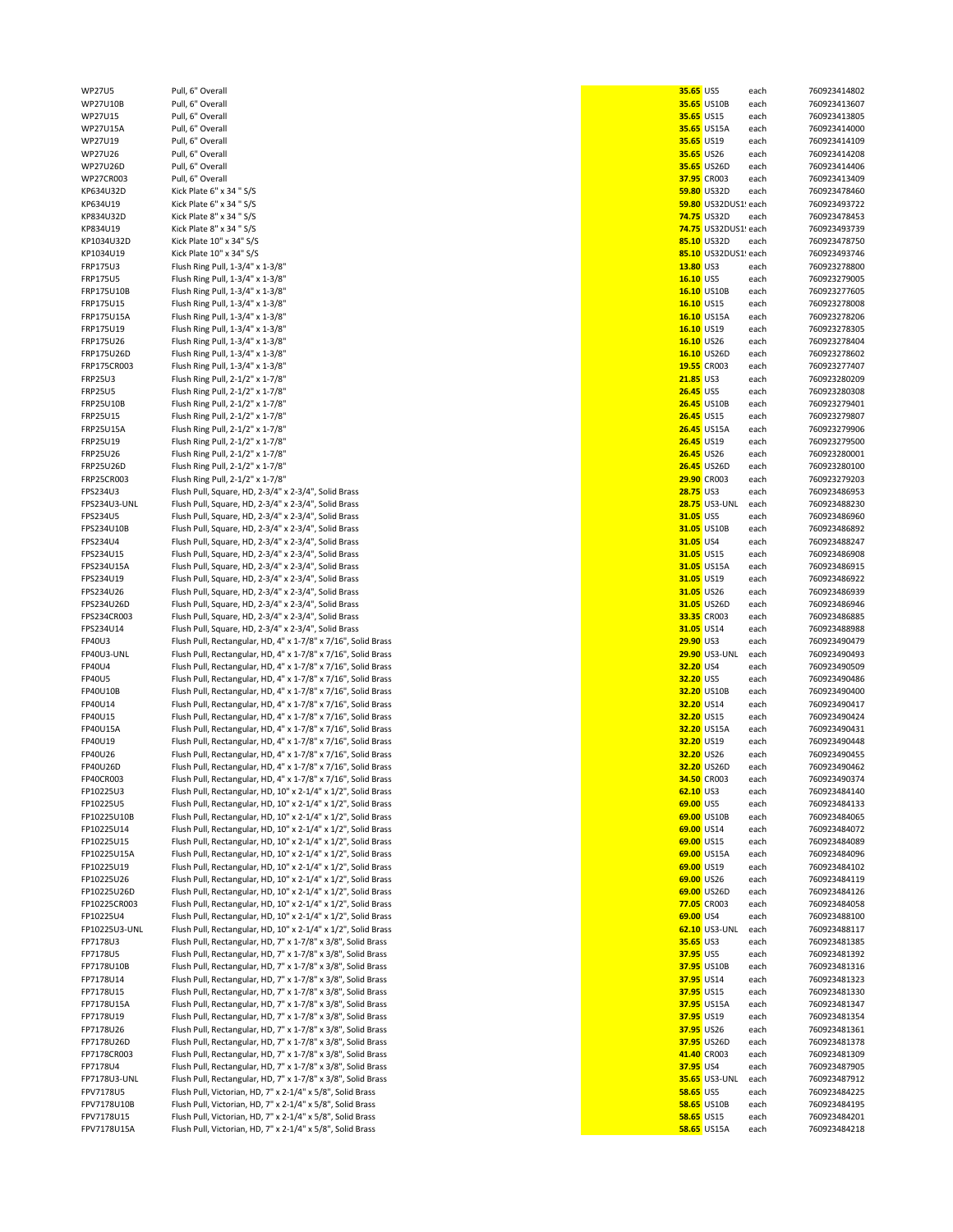| WP27U5           | Pull, 6" Overall                                              |                  | 35.65 US5            | each | 760923414802 |
|------------------|---------------------------------------------------------------|------------------|----------------------|------|--------------|
| WP27U10B         | Pull, 6" Overall                                              |                  | 35.65 US10B          | each | 760923413607 |
| WP27U15          | Pull, 6" Overall                                              |                  | 35.65 US15           | each | 760923413805 |
|                  |                                                               |                  |                      |      |              |
| WP27U15A         | Pull, 6" Overall                                              |                  | <b>35.65 US15A</b>   | each | 760923414000 |
| WP27U19          | Pull, 6" Overall                                              |                  | 35.65 US19           | each | 760923414109 |
| WP27U26          | Pull, 6" Overall                                              |                  | 35.65 US26           | each | 760923414208 |
| WP27U26D         | Pull, 6" Overall                                              |                  | 35.65 US26D          | each | 760923414406 |
| WP27CR003        | Pull, 6" Overall                                              |                  | 37.95 CR003          | each | 760923413409 |
|                  |                                                               |                  |                      |      |              |
| KP634U32D        | Kick Plate 6" x 34 " S/S                                      |                  | 59.80 US32D          | each | 760923478460 |
| KP634U19         | Kick Plate 6" x 34 " S/S                                      |                  | 59.80 US32DUS1! each |      | 760923493722 |
| KP834U32D        | Kick Plate 8" x 34 " S/S                                      |                  | 74.75 US32D          | each | 760923478453 |
| KP834U19         | Kick Plate 8" x 34 " S/S                                      |                  | 74.75 US32DUS1! each |      | 760923493739 |
| KP1034U32D       | Kick Plate 10" x 34" S/S                                      |                  | 85.10 US32D          | each | 760923478750 |
|                  |                                                               |                  |                      |      |              |
| KP1034U19        | Kick Plate 10" x 34" S/S                                      |                  | 85.10 US32DUS1! each |      | 760923493746 |
| <b>FRP175U3</b>  | Flush Ring Pull, 1-3/4" x 1-3/8"                              |                  | 13.80 US3            | each | 760923278800 |
| <b>FRP175U5</b>  | Flush Ring Pull, 1-3/4" x 1-3/8"                              |                  | 16.10 US5            | each | 760923279005 |
| FRP175U10B       | Flush Ring Pull, 1-3/4" x 1-3/8"                              |                  | 16.10 US10B          | each | 760923277605 |
|                  |                                                               |                  |                      |      | 760923278008 |
| FRP175U15        | Flush Ring Pull, 1-3/4" x 1-3/8"                              |                  | 16.10 US15           | each |              |
| FRP175U15A       | Flush Ring Pull, 1-3/4" x 1-3/8"                              |                  | 16.10 US15A          | each | 760923278206 |
| FRP175U19        | Flush Ring Pull, 1-3/4" x 1-3/8"                              |                  | 16.10 US19           | each | 760923278305 |
| FRP175U26        | Flush Ring Pull, 1-3/4" x 1-3/8"                              |                  | 16.10 US26           | each | 760923278404 |
| FRP175U26D       | Flush Ring Pull, 1-3/4" x 1-3/8"                              |                  | 16.10 US26D          | each | 760923278602 |
|                  |                                                               |                  |                      |      |              |
| FRP175CR003      | Flush Ring Pull, 1-3/4" x 1-3/8"                              |                  | 19.55 CR003          | each | 760923277407 |
| FRP25U3          | Flush Ring Pull, 2-1/2" x 1-7/8"                              |                  | 21.85 US3            | each | 760923280209 |
| <b>FRP25U5</b>   | Flush Ring Pull, 2-1/2" x 1-7/8"                              |                  | 26.45 US5            | each | 760923280308 |
| <b>FRP25U10B</b> | Flush Ring Pull, 2-1/2" x 1-7/8"                              |                  | <b>26.45 US10B</b>   | each | 760923279401 |
|                  |                                                               |                  |                      |      |              |
| <b>FRP25U15</b>  | Flush Ring Pull, 2-1/2" x 1-7/8"                              |                  | 26.45 US15           | each | 760923279807 |
| FRP25U15A        | Flush Ring Pull, 2-1/2" x 1-7/8"                              |                  | <b>26.45 US15A</b>   | each | 760923279906 |
| <b>FRP25U19</b>  | Flush Ring Pull, 2-1/2" x 1-7/8"                              |                  | 26.45 US19           | each | 760923279500 |
| <b>FRP25U26</b>  | Flush Ring Pull, 2-1/2" x 1-7/8"                              |                  | 26.45 US26           | each | 760923280001 |
|                  |                                                               |                  |                      |      |              |
| <b>FRP25U26D</b> | Flush Ring Pull, 2-1/2" x 1-7/8"                              |                  | <b>26.45 US26D</b>   | each | 760923280100 |
| FRP25CR003       | Flush Ring Pull, 2-1/2" x 1-7/8"                              |                  | 29.90 CR003          | each | 760923279203 |
| FPS234U3         | Flush Pull, Square, HD, 2-3/4" x 2-3/4", Solid Brass          | 28.75 US3        |                      | each | 760923486953 |
| FPS234U3-UNL     | Flush Pull, Square, HD, 2-3/4" x 2-3/4", Solid Brass          |                  | <b>28.75</b> US3-UNL | each | 760923488230 |
|                  |                                                               |                  |                      |      |              |
| FPS234U5         | Flush Pull, Square, HD, 2-3/4" x 2-3/4", Solid Brass          |                  | 31.05 US5            | each | 760923486960 |
| FPS234U10B       | Flush Pull, Square, HD, 2-3/4" x 2-3/4", Solid Brass          |                  | 31.05 US10B          | each | 760923486892 |
| FPS234U4         | Flush Pull, Square, HD, 2-3/4" x 2-3/4", Solid Brass          | 31.05 US4        |                      | each | 760923488247 |
| FPS234U15        | Flush Pull, Square, HD, 2-3/4" x 2-3/4", Solid Brass          |                  | 31.05 US15           | each | 760923486908 |
|                  |                                                               |                  |                      |      |              |
| FPS234U15A       | Flush Pull, Square, HD, 2-3/4" x 2-3/4", Solid Brass          |                  | 31.05 US15A          | each | 760923486915 |
| FPS234U19        | Flush Pull, Square, HD, 2-3/4" x 2-3/4", Solid Brass          |                  | 31.05 US19           | each | 760923486922 |
| FPS234U26        | Flush Pull, Square, HD, 2-3/4" x 2-3/4", Solid Brass          |                  | 31.05 US26           | each | 760923486939 |
| FPS234U26D       | Flush Pull, Square, HD, 2-3/4" x 2-3/4", Solid Brass          |                  | 31.05 US26D          | each | 760923486946 |
|                  |                                                               |                  |                      |      |              |
| FPS234CR003      | Flush Pull, Square, HD, 2-3/4" x 2-3/4", Solid Brass          |                  | 33.35 CR003          | each | 760923486885 |
| FPS234U14        | Flush Pull, Square, HD, 2-3/4" x 2-3/4", Solid Brass          |                  | 31.05 US14           | each | 760923488988 |
| FP40U3           | Flush Pull, Rectangular, HD, 4" x 1-7/8" x 7/16", Solid Brass | 29.90 US3        |                      | each | 760923490479 |
| FP40U3-UNL       | Flush Pull, Rectangular, HD, 4" x 1-7/8" x 7/16", Solid Brass |                  | <b>29.90 US3-UNL</b> | each | 760923490493 |
|                  |                                                               |                  |                      |      |              |
| FP40U4           | Flush Pull, Rectangular, HD, 4" x 1-7/8" x 7/16", Solid Brass | 32.20 US4        |                      | each | 760923490509 |
| <b>FP40U5</b>    | Flush Pull, Rectangular, HD, 4" x 1-7/8" x 7/16", Solid Brass |                  | 32.20 US5            | each | 760923490486 |
| FP40U10B         | Flush Pull, Rectangular, HD, 4" x 1-7/8" x 7/16", Solid Brass |                  | 32.20 US10B          | each | 760923490400 |
| FP40U14          | Flush Pull, Rectangular, HD, 4" x 1-7/8" x 7/16", Solid Brass |                  | 32.20 US14           | each | 760923490417 |
| FP40U15          | Flush Pull, Rectangular, HD, 4" x 1-7/8" x 7/16", Solid Brass |                  | 32.20 US15           | each | 760923490424 |
|                  |                                                               |                  |                      |      |              |
| FP40U15A         | Flush Pull, Rectangular, HD, 4" x 1-7/8" x 7/16", Solid Brass |                  | 32.20 US15A          | each | 760923490431 |
| FP40U19          | Flush Pull, Rectangular, HD, 4" x 1-7/8" x 7/16", Solid Brass |                  | 32.20 US19           | each | 760923490448 |
| FP40U26          | Flush Pull, Rectangular, HD, 4" x 1-7/8" x 7/16", Solid Brass |                  | 32.20 US26           | each | 760923490455 |
| FP40U26D         | Flush Pull, Rectangular, HD, 4" x 1-7/8" x 7/16", Solid Brass |                  | 32.20 US26D          | each | 760923490462 |
|                  |                                                               |                  | 34.50 CR003          |      |              |
| FP40CR003        | Flush Pull, Rectangular, HD, 4" x 1-7/8" x 7/16", Solid Brass |                  |                      | each | 760923490374 |
| FP10225U3        | Flush Pull, Rectangular, HD, 10" x 2-1/4" x 1/2", Solid Brass |                  | 62.10 US3            | each | 760923484140 |
| FP10225U5        | Flush Pull, Rectangular, HD, 10" x 2-1/4" x 1/2", Solid Brass |                  | 69.00 US5            | each | 760923484133 |
| FP10225U10B      | Flush Pull, Rectangular, HD, 10" x 2-1/4" x 1/2", Solid Brass |                  | 69.00 US10B          | each | 760923484065 |
| FP10225U14       | Flush Pull, Rectangular, HD, 10" x 2-1/4" x 1/2", Solid Brass |                  | 69.00 US14           | each | 760923484072 |
|                  |                                                               |                  |                      |      |              |
| FP10225U15       | Flush Pull, Rectangular, HD, 10" x 2-1/4" x 1/2", Solid Brass |                  | 69.00 US15           | each | 760923484089 |
| FP10225U15A      | Flush Pull, Rectangular, HD, 10" x 2-1/4" x 1/2", Solid Brass |                  | 69.00 US15A          | each | 760923484096 |
| FP10225U19       | Flush Pull, Rectangular, HD, 10" x 2-1/4" x 1/2", Solid Brass |                  | 69.00 US19           | each | 760923484102 |
| FP10225U26       | Flush Pull, Rectangular, HD, 10" x 2-1/4" x 1/2", Solid Brass |                  | 69.00 US26           | each | 760923484119 |
|                  |                                                               |                  |                      |      |              |
| FP10225U26D      | Flush Pull, Rectangular, HD, 10" x 2-1/4" x 1/2", Solid Brass |                  | 69.00 US26D          | each | 760923484126 |
| FP10225CR003     | Flush Pull, Rectangular, HD, 10" x 2-1/4" x 1/2", Solid Brass |                  | 77.05 CR003          | each | 760923484058 |
| FP10225U4        | Flush Pull, Rectangular, HD, 10" x 2-1/4" x 1/2", Solid Brass |                  | 69.00 US4            | each | 760923488100 |
| FP10225U3-UNL    | Flush Pull, Rectangular, HD, 10" x 2-1/4" x 1/2", Solid Brass |                  | 62.10 US3-UNL        | each | 760923488117 |
| FP7178U3         | Flush Pull, Rectangular, HD, 7" x 1-7/8" x 3/8", Solid Brass  | 35.65 US3        |                      |      | 760923481385 |
|                  |                                                               |                  |                      | each |              |
| FP7178U5         | Flush Pull, Rectangular, HD, 7" x 1-7/8" x 3/8", Solid Brass  |                  | 37.95 US5            | each | 760923481392 |
| FP7178U10B       | Flush Pull, Rectangular, HD, 7" x 1-7/8" x 3/8", Solid Brass  |                  | 37.95 US10B          | each | 760923481316 |
| FP7178U14        | Flush Pull, Rectangular, HD, 7" x 1-7/8" x 3/8", Solid Brass  |                  | 37.95 US14           | each | 760923481323 |
| FP7178U15        | Flush Pull, Rectangular, HD, 7" x 1-7/8" x 3/8", Solid Brass  |                  | 37.95 US15           | each | 760923481330 |
|                  |                                                               |                  |                      |      |              |
| FP7178U15A       | Flush Pull, Rectangular, HD, 7" x 1-7/8" x 3/8", Solid Brass  |                  | 37.95 US15A          | each | 760923481347 |
| FP7178U19        | Flush Pull, Rectangular, HD, 7" x 1-7/8" x 3/8", Solid Brass  |                  | 37.95 US19           | each | 760923481354 |
| FP7178U26        | Flush Pull, Rectangular, HD, 7" x 1-7/8" x 3/8", Solid Brass  |                  | 37.95 US26           | each | 760923481361 |
| FP7178U26D       | Flush Pull, Rectangular, HD, 7" x 1-7/8" x 3/8", Solid Brass  |                  | 37.95 US26D          | each | 760923481378 |
|                  |                                                               |                  |                      |      |              |
| FP7178CR003      | Flush Pull, Rectangular, HD, 7" x 1-7/8" x 3/8", Solid Brass  |                  | 41.40 CR003          | each | 760923481309 |
| FP7178U4         | Flush Pull, Rectangular, HD, 7" x 1-7/8" x 3/8", Solid Brass  | 37.95 US4        |                      | each | 760923487905 |
| FP7178U3-UNL     | Flush Pull, Rectangular, HD, 7" x 1-7/8" x 3/8", Solid Brass  |                  | <b>35.65</b> US3-UNL | each | 760923487912 |
| FPV7178U5        | Flush Pull, Victorian, HD, 7" x 2-1/4" x 5/8", Solid Brass    | <b>58.65 US5</b> |                      | each | 760923484225 |
| FPV7178U10B      | Flush Pull, Victorian, HD, 7" x 2-1/4" x 5/8", Solid Brass    |                  | <b>58.65 US10B</b>   | each | 760923484195 |
|                  |                                                               |                  |                      |      |              |
| FPV7178U15       | Flush Pull, Victorian, HD, 7" x 2-1/4" x 5/8", Solid Brass    |                  | <b>58.65 US15</b>    | each | 760923484201 |
| FPV7178U15A      | Flush Pull, Victorian, HD, 7" x 2-1/4" x 5/8", Solid Brass    |                  | 58.65 US15A          | each | 760923484218 |
|                  |                                                               |                  |                      |      |              |

|                   | 35.65 US5            | each         | 76092341480                |
|-------------------|----------------------|--------------|----------------------------|
|                   | 35.65 US10B          | each         | 76092341360                |
| 35.65 US15        | 35.65 US15A          | each<br>each | 76092341380<br>76092341400 |
| 35.65 US19        |                      | each         | 76092341410                |
| 35.65 US26        |                      | each         | 76092341420                |
|                   | 35.65 US26D          | each         | 76092341440                |
|                   | 37.95 CR003          | each         | 76092341340                |
|                   | 59.80 US32D          | each         | 76092347846                |
|                   | 59.80 US32DUS1! each |              | 76092349372                |
|                   | <b>74.75 US32D</b>   | each         | 76092347845                |
|                   | 74.75 US32DUS1! each |              | 76092349373                |
|                   | 85.10 US32D          | each         | 76092347875                |
|                   | 85.10 US32DUS1! each |              | 76092349374                |
| 13.80 US3         |                      | each         | 76092327880                |
| 16.10 US5         |                      | each         | 76092327900                |
|                   | 16.10 US10B          | each         | 76092327760                |
| 16.10 US15        |                      | each         | 76092327800                |
|                   | 16.10 US15A          | each         | 76092327820                |
|                   | 16.10 US19           | each         | 76092327830                |
| 16.10 US26        |                      | each         | 76092327840                |
|                   | 16.10 US26D          | each         | 76092327860                |
|                   | 19.55 CR003          | each         | 76092327740                |
| <b>21.85 US3</b>  |                      | each         | 76092328020<br>76092328030 |
| <b>26.45 US5</b>  | 26.45 US10B          | each<br>each |                            |
| <b>26.45 US15</b> |                      |              | 76092327940<br>76092327980 |
|                   | <b>26.45 US15A</b>   | each<br>each | 76092327990                |
|                   | 26.45 US19           | each         | 76092327950                |
| <b>26.45 US26</b> |                      | each         | 76092328000                |
|                   | <b>26.45</b> US26D   | each         | 76092328010                |
|                   | 29.90 CR003          | each         | 76092327920                |
| 28.75 US3         |                      | each         | 76092348695                |
|                   | 28.75 US3-UNL each   |              | 76092348823                |
| 31.05 US5         |                      | each         | 76092348696                |
|                   | 31.05 US10B          | each         | 76092348689                |
| 31.05 US4         |                      | each         | 76092348824                |
| 31.05 US15        |                      | each         | 76092348690                |
|                   | 31.05 US15A          | each         | 76092348691                |
|                   | 31.05 US19           | each         | 76092348692                |
| 31.05 US26        |                      | each         | 76092348693                |
|                   | 31.05 US26D          | each         | 76092348694                |
|                   | 33.35 CR003          | each         | 76092348688                |
| 31.05 US14        |                      | each         | 76092348898                |
| 29.90 US3         |                      | each         | 76092349047<br>76092349049 |
| 32.20 US4         | 29.90 US3-UNL each   | each         | 76092349050                |
| 32.20 US5         |                      | each         | 76092349048                |
|                   | 32.20 US10B          | each         | 76092349040                |
| 32.20 US14        |                      | each         | 76092349041                |
| 32.20 US15        |                      | each         | 76092349042                |
|                   | 32.20 US15A          | each         | 76092349043                |
| 32.20 US19        |                      | each         | 76092349044                |
| 32.20 US26        |                      | each         | 76092349045                |
|                   | 32.20 US26D          | each         | 76092349046                |
|                   | 34.50 CR003          | each         | 76092349037                |
| $62.10$ US3       |                      | each         | 76092348414                |
| 69.00 US5         |                      | each         | 76092348413                |
|                   | 69.00 US10B          | each         | 76092348406                |
| 69.00 US14        |                      | each         | 76092348407                |
| 69.00 US15        |                      | each         | 76092348408<br>76092348409 |
| 69.00 US19        | 69.00 US15A          | each<br>each | 76092348410                |
| 69.00 US26        |                      | each         | 76092348411                |
|                   | 69.00 US26D          | each         | 76092348412                |
|                   | 77.05 CR003          | each         | 76092348405                |
| 69.00 US4         |                      | each         | 76092348810                |
|                   | 62.10 US3-UNL        | each         | 76092348811                |
| 35.65 US3         |                      | each         | 76092348138                |
| 37.95 US5         |                      | each         | 76092348139                |
|                   | 37.95 US10B          | each         | 76092348131                |
| 37.95 US14        |                      | each         | 76092348132                |
| 37.95 US15        |                      | each         | 76092348133                |
|                   | 37.95 US15A          | each         | 76092348134                |
| 37.95 US19        |                      | each         | 76092348135                |
| 37.95 US26        |                      | each         | 76092348136                |
|                   | 37.95 US26D          | each         | 76092348137                |
|                   | 41.40 CR003          | each         | 76092348130                |
| 37.95 US4         |                      | each         | 76092348790                |
|                   | <b>35.65</b> US3-UNL | each         | 76092348791                |
| <b>58.65 US5</b>  |                      | each         | 76092348422<br>76092348419 |
| 58.65 US15        | 58.65 US10B          | each<br>each | 76092348420                |
|                   | 58.65 US15A          | each         | 76092348421                |
|                   |                      |              |                            |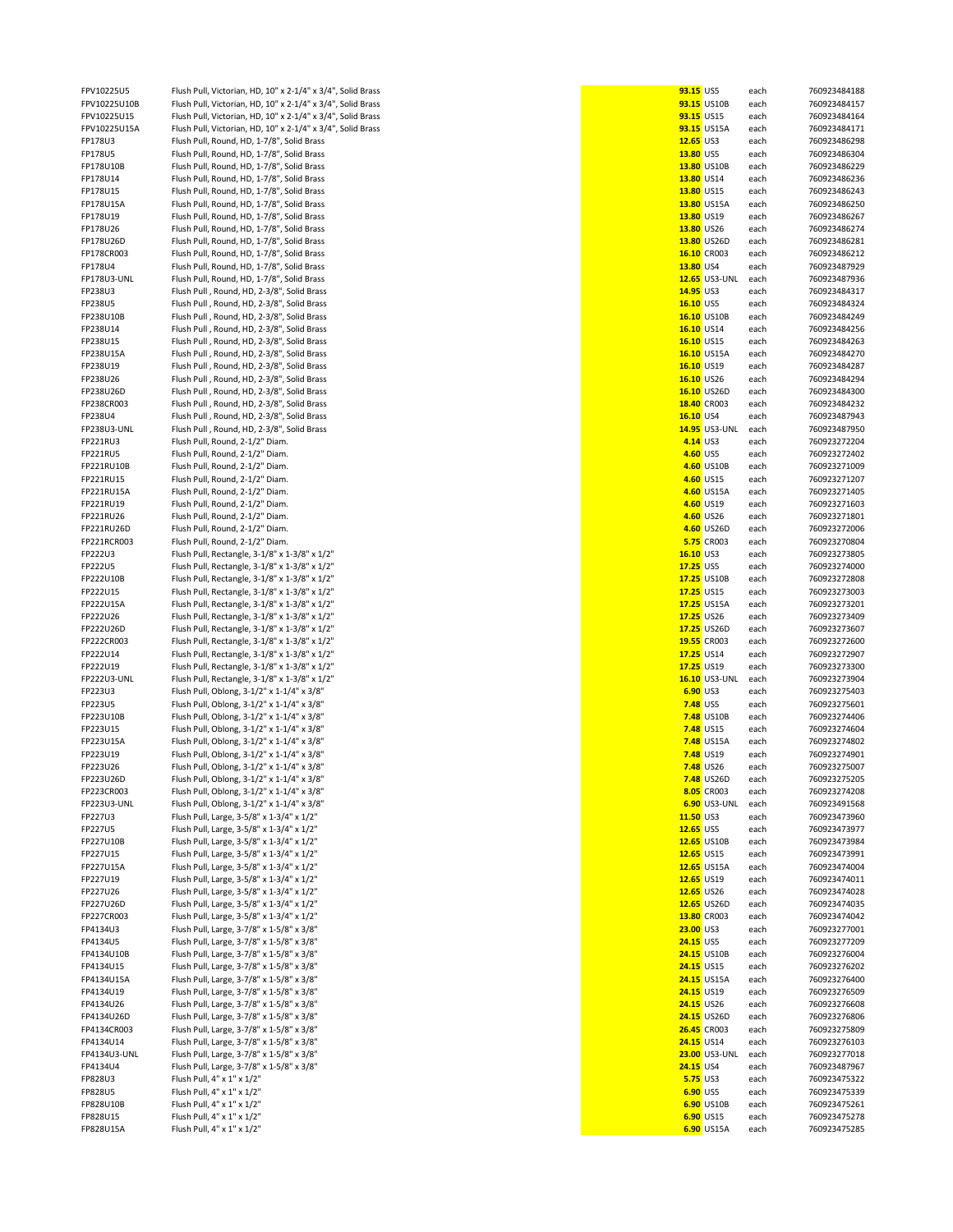| FPV10225U5         | Flush Pull, Victorian, HD, 10" x 2-1/4" x 3/4", Solid Brass | 93.15 US5       |                      | each | 760923484188 |
|--------------------|-------------------------------------------------------------|-----------------|----------------------|------|--------------|
| FPV10225U10B       | Flush Pull, Victorian, HD, 10" x 2-1/4" x 3/4", Solid Brass |                 | 93.15 US10B          | each | 760923484157 |
| FPV10225U15        | Flush Pull, Victorian, HD, 10" x 2-1/4" x 3/4", Solid Brass | 93.15 US15      |                      |      | 760923484164 |
|                    |                                                             |                 |                      | each |              |
| FPV10225U15A       | Flush Pull, Victorian, HD, 10" x 2-1/4" x 3/4", Solid Brass |                 | 93.15 US15A          | each | 760923484171 |
| FP178U3            | Flush Pull, Round, HD, 1-7/8", Solid Brass                  | 12.65 US3       |                      | each | 760923486298 |
|                    |                                                             |                 |                      |      |              |
| FP178U5            | Flush Pull, Round, HD, 1-7/8", Solid Brass                  | 13.80 US5       |                      | each | 760923486304 |
| FP178U10B          | Flush Pull, Round, HD, 1-7/8", Solid Brass                  |                 | 13.80 US10B          | each | 760923486229 |
| FP178U14           |                                                             | 13.80 US14      |                      |      | 760923486236 |
|                    | Flush Pull, Round, HD, 1-7/8", Solid Brass                  |                 |                      | each |              |
| FP178U15           | Flush Pull, Round, HD, 1-7/8", Solid Brass                  | 13.80 US15      |                      | each | 760923486243 |
| FP178U15A          | Flush Pull, Round, HD, 1-7/8", Solid Brass                  |                 | 13.80 US15A          | each | 760923486250 |
|                    |                                                             |                 |                      |      |              |
| FP178U19           | Flush Pull, Round, HD, 1-7/8", Solid Brass                  | 13.80 US19      |                      | each | 760923486267 |
| FP178U26           | Flush Pull, Round, HD, 1-7/8", Solid Brass                  | 13.80 US26      |                      | each | 760923486274 |
|                    |                                                             |                 |                      |      |              |
| FP178U26D          | Flush Pull, Round, HD, 1-7/8", Solid Brass                  |                 | 13.80 US26D          | each | 760923486281 |
| FP178CR003         | Flush Pull, Round, HD, 1-7/8", Solid Brass                  |                 | 16.10 CR003          | each | 760923486212 |
|                    |                                                             |                 |                      |      |              |
| FP178U4            | Flush Pull, Round, HD, 1-7/8", Solid Brass                  | 13.80 US4       |                      | each | 760923487929 |
| FP178U3-UNL        | Flush Pull, Round, HD, 1-7/8", Solid Brass                  |                 | <b>12.65</b> US3-UNL | each | 760923487936 |
|                    |                                                             |                 |                      |      |              |
| FP238U3            | Flush Pull, Round, HD, 2-3/8", Solid Brass                  | 14.95 US3       |                      | each | 760923484317 |
| FP238U5            | Flush Pull, Round, HD, 2-3/8", Solid Brass                  | 16.10 US5       |                      | each | 760923484324 |
| FP238U10B          | Flush Pull, Round, HD, 2-3/8", Solid Brass                  |                 | 16.10 US10B          | each | 760923484249 |
|                    |                                                             |                 |                      |      |              |
| FP238U14           | Flush Pull, Round, HD, 2-3/8", Solid Brass                  | 16.10 US14      |                      | each | 760923484256 |
| FP238U15           | Flush Pull, Round, HD, 2-3/8", Solid Brass                  | 16.10 US15      |                      | each | 760923484263 |
|                    |                                                             |                 |                      |      |              |
| FP238U15A          | Flush Pull, Round, HD, 2-3/8", Solid Brass                  |                 | 16.10 US15A          | each | 760923484270 |
| FP238U19           | Flush Pull, Round, HD, 2-3/8", Solid Brass                  | 16.10 US19      |                      | each | 760923484287 |
| FP238U26           |                                                             | 16.10 US26      |                      |      | 760923484294 |
|                    | Flush Pull, Round, HD, 2-3/8", Solid Brass                  |                 |                      | each |              |
| FP238U26D          | Flush Pull, Round, HD, 2-3/8", Solid Brass                  |                 | 16.10 US26D          | each | 760923484300 |
| FP238CR003         | Flush Pull, Round, HD, 2-3/8", Solid Brass                  |                 | 18.40 CR003          | each | 760923484232 |
|                    |                                                             |                 |                      |      |              |
| FP238U4            | Flush Pull, Round, HD, 2-3/8", Solid Brass                  | 16.10 US4       |                      | each | 760923487943 |
| <b>FP238U3-UNL</b> | Flush Pull, Round, HD, 2-3/8", Solid Brass                  |                 | <b>14.95</b> US3-UNL | each | 760923487950 |
|                    |                                                             |                 |                      |      |              |
| FP221RU3           | Flush Pull, Round, 2-1/2" Diam.                             | 4.14 US3        |                      | each | 760923272204 |
| FP221RU5           | Flush Pull, Round, 2-1/2" Diam.                             | 4.60 US5        |                      | each | 760923272402 |
|                    |                                                             |                 |                      |      |              |
| FP221RU10B         | Flush Pull, Round, 2-1/2" Diam.                             |                 | 4.60 US10B           | each | 760923271009 |
| FP221RU15          | Flush Pull, Round, 2-1/2" Diam.                             |                 | 4.60 US15            | each | 760923271207 |
| FP221RU15A         | Flush Pull, Round, 2-1/2" Diam.                             |                 | 4.60 US15A           | each | 760923271405 |
|                    |                                                             |                 |                      |      |              |
| FP221RU19          | Flush Pull, Round, 2-1/2" Diam.                             |                 | 4.60 US19            | each | 760923271603 |
| FP221RU26          | Flush Pull, Round, 2-1/2" Diam.                             |                 | 4.60 US26            | each | 760923271801 |
|                    |                                                             |                 |                      |      |              |
| FP221RU26D         | Flush Pull, Round, 2-1/2" Diam.                             |                 | 4.60 US26D           | each | 760923272006 |
| FP221RCR003        | Flush Pull, Round, 2-1/2" Diam.                             |                 | 5.75 CR003           | each | 760923270804 |
|                    |                                                             |                 |                      |      |              |
| FP222U3            | Flush Pull, Rectangle, 3-1/8" x 1-3/8" x 1/2"               | 16.10 US3       |                      | each | 760923273805 |
| FP222U5            | Flush Pull, Rectangle, 3-1/8" x 1-3/8" x 1/2"               | 17.25 US5       |                      | each | 760923274000 |
| FP222U10B          | Flush Pull, Rectangle, 3-1/8" x 1-3/8" x 1/2"               |                 | 17.25 US10B          |      | 760923272808 |
|                    |                                                             |                 |                      | each |              |
| FP222U15           | Flush Pull, Rectangle, 3-1/8" x 1-3/8" x 1/2"               | 17.25 US15      |                      | each | 760923273003 |
| FP222U15A          | Flush Pull, Rectangle, 3-1/8" x 1-3/8" x 1/2"               |                 | 17.25 US15A          | each | 760923273201 |
|                    |                                                             |                 |                      |      |              |
| FP222U26           | Flush Pull, Rectangle, 3-1/8" x 1-3/8" x 1/2"               | 17.25 US26      |                      | each | 760923273409 |
| FP222U26D          | Flush Pull, Rectangle, 3-1/8" x 1-3/8" x 1/2"               |                 | 17.25 US26D          | each | 760923273607 |
|                    |                                                             |                 |                      |      |              |
| FP222CR003         | Flush Pull, Rectangle, 3-1/8" x 1-3/8" x 1/2"               |                 | 19.55 CR003          | each | 760923272600 |
| FP222U14           | Flush Pull, Rectangle, 3-1/8" x 1-3/8" x 1/2"               | 17.25 US14      |                      | each | 760923272907 |
| FP222U19           | Flush Pull, Rectangle, 3-1/8" x 1-3/8" x 1/2"               | 17.25 US19      |                      |      |              |
|                    |                                                             |                 |                      | each | 760923273300 |
| <b>FP222U3-UNL</b> | Flush Pull, Rectangle, 3-1/8" x 1-3/8" x 1/2"               |                 | <b>16.10 US3-UNL</b> | each | 760923273904 |
| FP223U3            | Flush Pull, Oblong, 3-1/2" x 1-1/4" x 3/8"                  | 6.90 US3        |                      | each | 760923275403 |
|                    |                                                             |                 |                      |      |              |
| FP223U5            | Flush Pull, Oblong, 3-1/2" x 1-1/4" x 3/8"                  | 7.48 US5        |                      | each | 760923275601 |
| FP223U10B          | Flush Pull, Oblong, 3-1/2" x 1-1/4" x 3/8"                  |                 | <b>7.48</b> US10B    | each | 760923274406 |
| FP223U15           |                                                             |                 |                      |      |              |
|                    | Flush Pull, Oblong, 3-1/2" x 1-1/4" x 3/8"                  |                 | 7.48 US15            | each | 760923274604 |
| FP223U15A          | Flush Pull, Oblong, 3-1/2" x 1-1/4" x 3/8"                  |                 | <b>7.48</b> US15A    | each | 760923274802 |
| FP223U19           | Flush Pull, Oblong, 3-1/2" x 1-1/4" x 3/8"                  |                 | 7.48 US19            | each | 760923274901 |
|                    |                                                             |                 |                      |      |              |
| FP223U26           | Flush Pull, Oblong, 3-1/2" x 1-1/4" x 3/8"                  |                 | 7.48 US26            | each | 760923275007 |
| FP223U26D          | Flush Pull, Oblong, 3-1/2" x 1-1/4" x 3/8"                  |                 | <b>7.48 US26D</b>    | each | 760923275205 |
|                    |                                                             |                 |                      |      |              |
| FP223CR003         | Flush Pull, Oblong, 3-1/2" x 1-1/4" x 3/8"                  |                 | 8.05 CR003           | each | 760923274208 |
| FP223U3-UNL        | Flush Pull, Oblong, 3-1/2" x 1-1/4" x 3/8"                  |                 | 6.90 US3-UNL         | each | 760923491568 |
| FP227U3            | Flush Pull, Large, 3-5/8" x 1-3/4" x 1/2"                   | 11.50 US3       |                      | each | 760923473960 |
|                    |                                                             |                 |                      |      |              |
| FP227U5            | Flush Pull, Large, 3-5/8" x 1-3/4" x 1/2"                   | 12.65 US5       |                      | each | 760923473977 |
| FP227U10B          | Flush Pull, Large, 3-5/8" x 1-3/4" x 1/2"                   |                 | 12.65 US10B          | each | 760923473984 |
|                    |                                                             |                 |                      |      |              |
| FP227U15           | Flush Pull, Large, 3-5/8" x 1-3/4" x 1/2"                   | 12.65 US15      |                      | each | 760923473991 |
| FP227U15A          | Flush Pull, Large, 3-5/8" x 1-3/4" x 1/2"                   |                 | 12.65 US15A          | each | 760923474004 |
| FP227U19           | Flush Pull, Large, 3-5/8" x 1-3/4" x 1/2"                   | 12.65 US19      |                      | each | 760923474011 |
|                    |                                                             |                 |                      |      |              |
| FP227U26           | Flush Pull, Large, 3-5/8" x 1-3/4" x 1/2"                   | 12.65 US26      |                      | each | 760923474028 |
| FP227U26D          | Flush Pull, Large, 3-5/8" x 1-3/4" x 1/2"                   |                 | 12.65 US26D          | each | 760923474035 |
|                    |                                                             |                 |                      |      |              |
| FP227CR003         | Flush Pull, Large, 3-5/8" x 1-3/4" x 1/2"                   |                 | 13.80 CR003          | each | 760923474042 |
| FP4134U3           | Flush Pull, Large, 3-7/8" x 1-5/8" x 3/8"                   | 23.00 US3       |                      | each | 760923277001 |
|                    |                                                             |                 |                      |      |              |
| FP4134U5           | Flush Pull, Large, 3-7/8" x 1-5/8" x 3/8"                   | 24.15 US5       |                      | each | 760923277209 |
| FP4134U10B         | Flush Pull, Large, 3-7/8" x 1-5/8" x 3/8"                   |                 | 24.15 US10B          | each | 760923276004 |
| FP4134U15          | Flush Pull, Large, 3-7/8" x 1-5/8" x 3/8"                   | 24.15 US15      |                      | each | 760923276202 |
|                    |                                                             |                 |                      |      |              |
| FP4134U15A         | Flush Pull, Large, 3-7/8" x 1-5/8" x 3/8"                   |                 | <b>24.15 US15A</b>   | each | 760923276400 |
| FP4134U19          | Flush Pull, Large, 3-7/8" x 1-5/8" x 3/8"                   | 24.15 US19      |                      | each | 760923276509 |
|                    |                                                             |                 |                      |      |              |
| FP4134U26          | Flush Pull, Large, 3-7/8" x 1-5/8" x 3/8"                   | 24.15 US26      |                      | each | 760923276608 |
| FP4134U26D         | Flush Pull, Large, 3-7/8" x 1-5/8" x 3/8"                   |                 | <b>24.15 US26D</b>   | each | 760923276806 |
|                    |                                                             |                 |                      |      |              |
| FP4134CR003        | Flush Pull, Large, 3-7/8" x 1-5/8" x 3/8"                   |                 | 26.45 CR003          | each | 760923275809 |
| FP4134U14          | Flush Pull, Large, 3-7/8" x 1-5/8" x 3/8"                   | 24.15 US14      |                      | each | 760923276103 |
| FP4134U3-UNL       | Flush Pull, Large, 3-7/8" x 1-5/8" x 3/8"                   |                 | <b>23.00 US3-UNL</b> | each | 760923277018 |
|                    |                                                             |                 |                      |      |              |
| FP4134U4           | Flush Pull, Large, 3-7/8" x 1-5/8" x 3/8"                   | 24.15 US4       |                      | each | 760923487967 |
| FP828U3            | Flush Pull, 4" x 1" x 1/2"                                  | <b>5.75 US3</b> |                      | each | 760923475322 |
|                    |                                                             |                 |                      |      |              |
| FP828U5            | Flush Pull, 4" x 1" x 1/2"                                  | 6.90 US5        |                      | each | 760923475339 |
| FP828U10B          | Flush Pull, 4" x 1" x 1/2"                                  |                 | 6.90 US10B           | each | 760923475261 |
| FP828U15           | Flush Pull, 4" x 1" x 1/2"                                  |                 | 6.90 US15            |      |              |
|                    |                                                             |                 |                      | each | 760923475278 |
| FP828U15A          | Flush Pull, 4" x 1" x 1/2"                                  |                 | 6.90 US15A           | each | 760923475285 |
|                    |                                                             |                 |                      |      |              |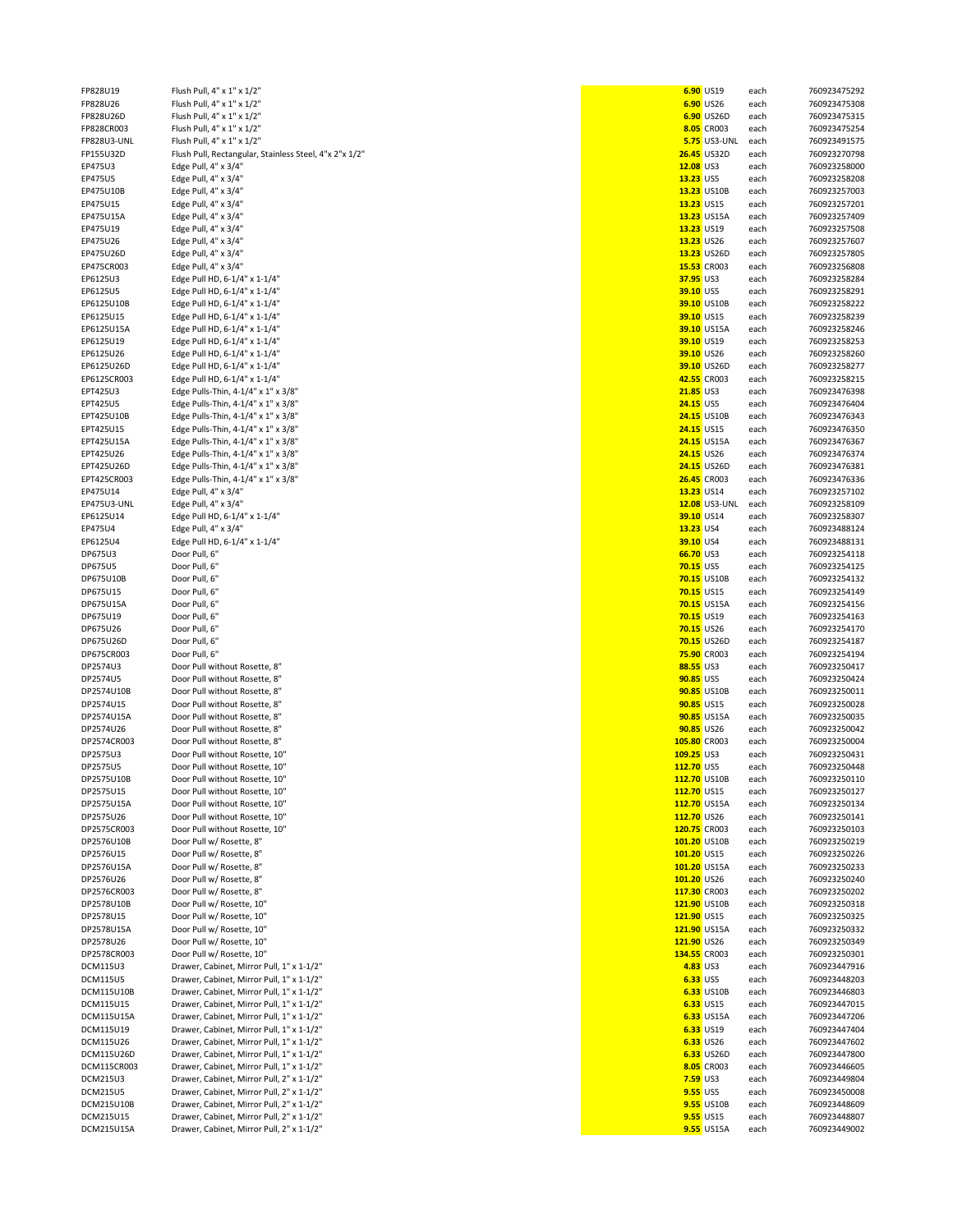| FP828U19           | Flush Pull, 4" x 1" x 1/2"                             |                  | 6.90 US19           | each | 760923475292 |
|--------------------|--------------------------------------------------------|------------------|---------------------|------|--------------|
| FP828U26           | Flush Pull, 4" x 1" x 1/2"                             |                  | 6.90 US26           | each | 760923475308 |
| FP828U26D          | Flush Pull, 4" x 1" x 1/2"                             |                  | 6.90 US26D          | each | 760923475315 |
|                    |                                                        |                  |                     |      |              |
| FP828CR003         | Flush Pull, 4" x 1" x 1/2"                             |                  | 8.05 CR003          | each | 760923475254 |
| <b>FP828U3-UNL</b> | Flush Pull, 4" x 1" x 1/2"                             |                  | <b>5.75</b> US3-UNL | each | 760923491575 |
| FP155U32D          | Flush Pull, Rectangular, Stainless Steel, 4"x 2"x 1/2" |                  | 26.45 US32D         | each | 760923270798 |
| EP475U3            | Edge Pull, 4" x 3/4"                                   | 12.08 US3        |                     | each | 760923258000 |
| EP475U5            | Edge Pull, 4" x 3/4"                                   | 13.23 US5        |                     | each | 760923258208 |
|                    | Edge Pull, 4" x 3/4"                                   |                  | 13.23 US10B         |      | 760923257003 |
| EP475U10B          |                                                        |                  |                     | each |              |
| EP475U15           | Edge Pull, 4" x 3/4"                                   | 13.23 US15       |                     | each | 760923257201 |
| EP475U15A          | Edge Pull, 4" x 3/4"                                   |                  | 13.23 US15A         | each | 760923257409 |
| EP475U19           | Edge Pull, 4" x 3/4"                                   | 13.23 US19       |                     | each | 760923257508 |
| EP475U26           | Edge Pull, 4" x 3/4"                                   | 13.23 US26       |                     | each | 760923257607 |
|                    |                                                        |                  |                     |      |              |
| EP475U26D          | Edge Pull, 4" x 3/4"                                   |                  | 13.23 US26D         | each | 760923257805 |
| EP475CR003         | Edge Pull, 4" x 3/4"                                   |                  | 15.53 CR003         | each | 760923256808 |
| EP6125U3           | Edge Pull HD, 6-1/4" x 1-1/4"                          | 37.95 US3        |                     | each | 760923258284 |
| EP6125U5           | Edge Pull HD, 6-1/4" x 1-1/4"                          | 39.10 US5        |                     | each | 760923258291 |
| EP6125U10B         | Edge Pull HD, 6-1/4" x 1-1/4"                          |                  | 39.10 US10B         |      | 760923258222 |
|                    |                                                        |                  |                     | each |              |
| EP6125U15          | Edge Pull HD, 6-1/4" x 1-1/4"                          | 39.10 US15       |                     | each | 760923258239 |
| EP6125U15A         | Edge Pull HD, 6-1/4" x 1-1/4"                          |                  | 39.10 US15A         | each | 760923258246 |
| EP6125U19          | Edge Pull HD, 6-1/4" x 1-1/4"                          | 39.10 US19       |                     | each | 760923258253 |
| EP6125U26          | Edge Pull HD, 6-1/4" x 1-1/4"                          | 39.10 US26       |                     | each | 760923258260 |
| EP6125U26D         |                                                        |                  | 39.10 US26D         |      | 760923258277 |
|                    | Edge Pull HD, 6-1/4" x 1-1/4"                          |                  |                     | each |              |
| EP6125CR003        | Edge Pull HD, 6-1/4" x 1-1/4"                          |                  | 42.55 CR003         | each | 760923258215 |
| EPT425U3           | Edge Pulls-Thin, 4-1/4" x 1" x 3/8"                    | <b>21.85 US3</b> |                     | each | 760923476398 |
| EPT425U5           | Edge Pulls-Thin, 4-1/4" x 1" x 3/8"                    | 24.15 US5        |                     | each | 760923476404 |
| EPT425U10B         | Edge Pulls-Thin, 4-1/4" x 1" x 3/8"                    |                  | 24.15 US10B         | each | 760923476343 |
|                    |                                                        | 24.15 US15       |                     |      |              |
| EPT425U15          | Edge Pulls-Thin, 4-1/4" x 1" x 3/8"                    |                  |                     | each | 760923476350 |
| EPT425U15A         | Edge Pulls-Thin, 4-1/4" x 1" x 3/8"                    |                  | 24.15 US15A         | each | 760923476367 |
| EPT425U26          | Edge Pulls-Thin, 4-1/4" x 1" x 3/8"                    | 24.15 US26       |                     | each | 760923476374 |
| EPT425U26D         | Edge Pulls-Thin, 4-1/4" x 1" x 3/8"                    |                  | 24.15 US26D         | each | 760923476381 |
| EPT425CR003        | Edge Pulls-Thin, 4-1/4" x 1" x 3/8"                    |                  | 26.45 CR003         | each | 760923476336 |
|                    |                                                        |                  |                     |      |              |
| EP475U14           | Edge Pull, 4" x 3/4"                                   | 13.23 US14       |                     | each | 760923257102 |
| EP475U3-UNL        | Edge Pull, 4" x 3/4"                                   |                  | 12.08 US3-UNL       | each | 760923258109 |
| EP6125U14          | Edge Pull HD, 6-1/4" x 1-1/4"                          | 39.10 US14       |                     | each | 760923258307 |
| EP475U4            | Edge Pull, 4" x 3/4"                                   | 13.23 US4        |                     | each | 760923488124 |
| EP6125U4           | Edge Pull HD, 6-1/4" x 1-1/4"                          | 39.10 US4        |                     | each | 760923488131 |
|                    |                                                        |                  |                     |      |              |
| DP675U3            | Door Pull, 6"                                          | 66.70 US3        |                     | each | 760923254118 |
| <b>DP675U5</b>     | Door Pull, 6"                                          | <b>70.15 US5</b> |                     | each | 760923254125 |
| DP675U10B          | Door Pull, 6"                                          |                  | 70.15 US10B         | each | 760923254132 |
| DP675U15           | Door Pull, 6"                                          | 70.15 US15       |                     | each | 760923254149 |
| DP675U15A          | Door Pull, 6"                                          |                  | 70.15 US15A         | each | 760923254156 |
|                    |                                                        |                  |                     |      |              |
| DP675U19           | Door Pull, 6"                                          | 70.15 US19       |                     | each | 760923254163 |
| DP675U26           | Door Pull, 6"                                          | 70.15 US26       |                     | each | 760923254170 |
| DP675U26D          | Door Pull, 6"                                          |                  | 70.15 US26D         | each | 760923254187 |
| DP675CR003         | Door Pull, 6"                                          |                  | 75.90 CR003         | each | 760923254194 |
|                    |                                                        |                  |                     |      |              |
| DP2574U3           | Door Pull without Rosette, 8"                          | 88.55 US3        |                     | each | 760923250417 |
| DP2574U5           | Door Pull without Rosette, 8"                          | 90.85 US5        |                     | each | 760923250424 |
| DP2574U10B         | Door Pull without Rosette, 8"                          |                  | 90.85 US10B         | each | 760923250011 |
| DP2574U15          | Door Pull without Rosette, 8"                          | 90.85 US15       |                     | each | 760923250028 |
| DP2574U15A         | Door Pull without Rosette, 8"                          |                  |                     |      | 760923250035 |
|                    |                                                        |                  | 90.85 US15A         | each |              |
| DP2574U26          | Door Pull without Rosette, 8"                          | 90.85 US26       |                     | each | 760923250042 |
| DP2574CR003        | Door Pull without Rosette, 8"                          | 105.80 CR003     |                     | each | 760923250004 |
| DP2575U3           | Door Pull without Rosette, 10"                         | 109.25 US3       |                     | each | 760923250431 |
| DP2575U5           | Door Pull without Rosette, 10"                         | 112.70 US5       |                     | each | 760923250448 |
|                    |                                                        |                  |                     |      |              |
| DP2575U10B         | Door Pull without Rosette, 10"                         | 112.70 US10B     |                     | each | 760923250110 |
| DP2575U15          | Door Pull without Rosette, 10"                         | 112.70 US15      |                     | each | 760923250127 |
| DP2575U15A         | Door Pull without Rosette, 10"                         | 112.70 US15A     |                     | each | 760923250134 |
| DP2575U26          | Door Pull without Rosette, 10"                         | 112.70 US26      |                     | each | 760923250141 |
| DP2575CR003        | Door Pull without Rosette, 10"                         | 120.75 CR003     |                     | each | 760923250103 |
|                    |                                                        |                  |                     |      |              |
| DP2576U10B         | Door Pull w/ Rosette, 8"                               | 101.20 US10B     |                     | each | 760923250219 |
| DP2576U15          | Door Pull w/ Rosette, 8"                               | 101.20 US15      |                     | each | 760923250226 |
| DP2576U15A         | Door Pull w/ Rosette, 8"                               | 101.20 US15A     |                     | each | 760923250233 |
| DP2576U26          | Door Pull w/ Rosette, 8"                               | 101.20 US26      |                     | each | 760923250240 |
|                    |                                                        |                  |                     |      |              |
| DP2576CR003        | Door Pull w/ Rosette, 8"                               | 117.30 CR003     |                     | each | 760923250202 |
| DP2578U10B         | Door Pull w/ Rosette, 10"                              | 121.90 US10B     |                     | each | 760923250318 |
| DP2578U15          | Door Pull w/ Rosette, 10"                              | 121.90 US15      |                     | each | 760923250325 |
| DP2578U15A         | Door Pull w/ Rosette, 10"                              | 121.90 US15A     |                     | each | 760923250332 |
| DP2578U26          | Door Pull w/ Rosette, 10"                              | 121.90 US26      |                     |      | 760923250349 |
|                    |                                                        |                  |                     | each |              |
| DP2578CR003        | Door Pull w/ Rosette, 10"                              | 134.55 CR003     |                     | each | 760923250301 |
| <b>DCM115U3</b>    | Drawer, Cabinet, Mirror Pull, 1" x 1-1/2"              | 4.83 US3         |                     | each | 760923447916 |
| <b>DCM115U5</b>    | Drawer, Cabinet, Mirror Pull, 1" x 1-1/2"              | 6.33 US5         |                     | each | 760923448203 |
| DCM115U10B         | Drawer, Cabinet, Mirror Pull, 1" x 1-1/2"              |                  | 6.33 US10B          | each | 760923446803 |
|                    |                                                        |                  |                     |      |              |
| DCM115U15          | Drawer, Cabinet, Mirror Pull, 1" x 1-1/2"              |                  | 6.33 US15           | each | 760923447015 |
| DCM115U15A         | Drawer, Cabinet, Mirror Pull, 1" x 1-1/2"              |                  | 6.33 US15A          | each | 760923447206 |
| DCM115U19          | Drawer, Cabinet, Mirror Pull, 1" x 1-1/2"              |                  | 6.33 US19           | each | 760923447404 |
| DCM115U26          | Drawer, Cabinet, Mirror Pull, 1" x 1-1/2"              |                  | 6.33 US26           | each | 760923447602 |
| DCM115U26D         | Drawer, Cabinet, Mirror Pull, 1" x 1-1/2"              |                  | 6.33 US26D          | each | 760923447800 |
|                    |                                                        |                  |                     |      |              |
| DCM115CR003        | Drawer, Cabinet, Mirror Pull, 1" x 1-1/2"              |                  | 8.05 CR003          | each | 760923446605 |
| <b>DCM215U3</b>    | Drawer, Cabinet, Mirror Pull, 2" x 1-1/2"              | <b>7.59 US3</b>  |                     | each | 760923449804 |
| <b>DCM215U5</b>    | Drawer, Cabinet, Mirror Pull, 2" x 1-1/2"              | <b>9.55</b> US5  |                     | each | 760923450008 |
| DCM215U10B         | Drawer, Cabinet, Mirror Pull, 2" x 1-1/2"              |                  | 9.55 US10B          | each | 760923448609 |
| DCM215U15          | Drawer, Cabinet, Mirror Pull, 2" x 1-1/2"              |                  | <b>9.55</b> US15    | each | 760923448807 |
|                    |                                                        |                  |                     |      |              |
| DCM215U15A         | Drawer, Cabinet, Mirror Pull, 2" x 1-1/2"              |                  | <b>9.55</b> US15A   | each | 760923449002 |

|                 | 6.90 US19                             |              | 760923475292                 |
|-----------------|---------------------------------------|--------------|------------------------------|
|                 | 6.90 US26                             | each<br>each | 760923475308                 |
|                 |                                       | each         | 760923475315                 |
|                 | 6.90 US26D<br>8.05 CR003              |              | 760923475254                 |
|                 | 5.75 US3-UNL                          | each         | 760923491575                 |
|                 | 26.45 US32D                           | each         | 760923270798                 |
|                 |                                       | each         |                              |
| 12.08 US3       |                                       | each         | 760923258000                 |
| 13.23 US5       |                                       | each         | 760923258208                 |
|                 | <mark>13.23</mark> US10B              | each         | 760923257003                 |
|                 | 13.23 US15                            | each         | 760923257201                 |
|                 | <mark>13.23</mark> US15A              | each         | 760923257409                 |
|                 | <mark>13.23</mark> US19               | each         | 760923257508                 |
|                 | 13.23 US26                            | each         | 760923257607                 |
|                 | <mark>13.23</mark> US26D              | each         | 760923257805                 |
|                 | <mark>15.53</mark> CR003              | each         | 760923256808                 |
| 37.95 US3       |                                       | each         | 760923258284                 |
|                 | 39.10 US5                             | each         | 760923258291                 |
|                 | 39.10 US10B                           | each         | 760923258222                 |
|                 | 39.10 US15                            | each         | 760923258239                 |
|                 | <mark>39.10</mark> US15A              | each         | 760923258246                 |
|                 | 39.10 US19                            | each         | 760923258253                 |
|                 | 39.10 US26                            | each         | 760923258260                 |
|                 | <mark>39.10</mark> US26D              | each         | 760923258277                 |
|                 | 42.55 CR003                           | each         | 760923258215                 |
| 21.85 US3       |                                       | each         | 760923476398                 |
|                 | 24.15 US5                             | each         | 760923476404                 |
|                 | $\frac{24.15}{24.15}$ US10B           | each         | 760923476343                 |
|                 | 24.15 US15                            | each         | 760923476350                 |
|                 | <mark>24.15</mark> US15A              | each         | 760923476367                 |
|                 | 24.15 US26                            | each         | 760923476374                 |
|                 | 24.15 US26D                           | each         | 760923476381                 |
|                 | 26.45 CR003                           | each         | 760923476336                 |
|                 | 13.23 US14                            | each         | 760923257102                 |
|                 | <mark>12.08</mark> US3-UNL each       |              | 760923258109                 |
|                 | 39.10 US14                            | each         | 760923258307                 |
| 13.23 US4       |                                       | each         | 760923488124                 |
| 39.10 US4       |                                       | each         | 760923488131                 |
|                 | 66.70 US3                             | each         | 760923254118                 |
| 70.15 US5       |                                       | each         | 760923254125                 |
|                 | 70.15 US10B                           | each         | 760923254132                 |
|                 | 70.15 US15                            | each         | 760923254149                 |
|                 | <mark>70.15</mark> US15A              | each         | 760923254156                 |
|                 | 70.15 US19                            | each         | 760923254163                 |
|                 | 70.15 US26                            | each         | 760923254170                 |
|                 | 70.15 US26D                           | each         | 760923254187                 |
|                 | <mark>75.90</mark> CR003              | each         | 760923254194                 |
| 88.55 US3       |                                       | each         | 760923250417                 |
| 90.85 US5       |                                       | each         | 760923250424                 |
|                 | 90.85 US10B                           | each         | 760923250011                 |
|                 | 90.85 US15                            | each         | 760923250028                 |
|                 |                                       | each         | 760923250035                 |
|                 | 90.85 US15A                           |              |                              |
|                 | 90.85 US26                            | each<br>each | 760923250042<br>760923250004 |
|                 | <mark>05.80</mark> CR003<br>09.25 US3 | each         | 760923250431                 |
| 12.70 US5       |                                       | each         | 760923250448                 |
|                 |                                       |              |                              |
|                 | <mark>12.70</mark> US10B              | each         | 760923250110                 |
|                 | 12.70 US15                            | each         | 760923250127<br>760923250134 |
|                 | 12.70 US15A                           | each         |                              |
|                 | 12.70 US26                            | each         | 760923250141                 |
|                 | 20.75 CR003                           | each         | 760923250103                 |
|                 | 01.20 US10B                           | each         | 760923250219                 |
|                 | 01.20 US15                            | each         | 760923250226                 |
|                 | 01.20 US15A                           | each         | 760923250233                 |
|                 | 01.20 US26                            | each         | 760923250240                 |
|                 | <mark>17.30</mark> CR003              | each         | 760923250202                 |
|                 | 21.90 US10B                           | each         | 760923250318                 |
|                 | 21.90 US15                            | each         | 760923250325                 |
|                 | <mark>21.90</mark> US15A              | each         | 760923250332                 |
|                 | 21.90 US26                            | each         | 760923250349                 |
|                 | 34.55 CR003                           | each         | 760923250301                 |
| 4.83 US3        |                                       | each         | 760923447916                 |
| 6.33 US5        |                                       | each         | 760923448203                 |
|                 | 6.33 US10B                            | each         | 760923446803                 |
|                 | 6.33 US15                             | each         | 760923447015                 |
|                 | 6.33 US15A                            | each         | 760923447206                 |
|                 | 6.33 US19                             | each         | 760923447404                 |
|                 | 6.33 US26                             | each         | 760923447602                 |
|                 | 6.33 US26D                            | each         | 760923447800                 |
|                 | 8.05 CR003                            | each         | 760923446605                 |
| <b>7.59 US3</b> |                                       | each         | 760923449804                 |
| 9.55 US5        |                                       | each         | 760923450008                 |
|                 | <b>9.55 US10B</b>                     | each         | 760923448609                 |
|                 | <b>9.55 US15</b>                      | each         | 760923448807                 |
|                 | 9.55 US15A                            | each         | 760923449002                 |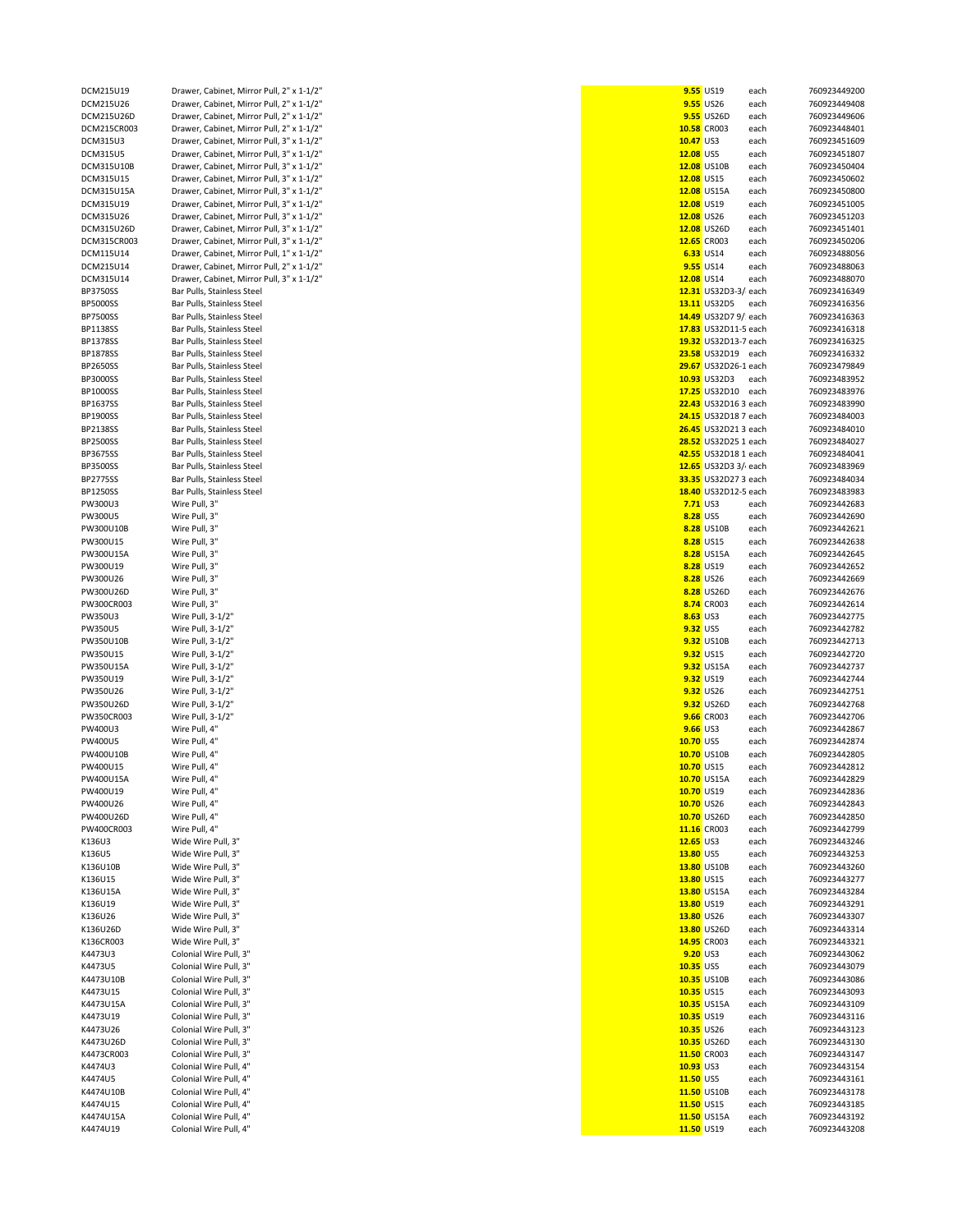| DCM215U19             | Drawer, Cabinet, Mirror Pull, 2" x 1-1/2"        |                           | 9.55 US19             | each         | 760923449200                 |
|-----------------------|--------------------------------------------------|---------------------------|-----------------------|--------------|------------------------------|
| DCM215U26             | Drawer, Cabinet, Mirror Pull, 2" x 1-1/2"        |                           | <b>9.55</b> US26      | each         | 760923449408                 |
| DCM215U26D            | Drawer, Cabinet, Mirror Pull, 2" x 1-1/2"        |                           | 9.55 US26D            | each         | 760923449606                 |
|                       |                                                  |                           |                       |              |                              |
| DCM215CR003           | Drawer, Cabinet, Mirror Pull, 2" x 1-1/2"        |                           | 10.58 CR003           | each         | 760923448401                 |
| <b>DCM315U3</b>       | Drawer, Cabinet, Mirror Pull, 3" x 1-1/2"        | 10.47 US3                 |                       | each         | 760923451609                 |
| <b>DCM315U5</b>       | Drawer, Cabinet, Mirror Pull, 3" x 1-1/2"        | 12.08 US5                 |                       | each         | 760923451807                 |
| DCM315U10B            | Drawer, Cabinet, Mirror Pull, 3" x 1-1/2"        |                           | 12.08 US10B           | each         | 760923450404                 |
| DCM315U15             | Drawer, Cabinet, Mirror Pull, 3" x 1-1/2"        | 12.08 US15                |                       | each         | 760923450602                 |
|                       |                                                  |                           |                       |              |                              |
| DCM315U15A            | Drawer, Cabinet, Mirror Pull, 3" x 1-1/2"        |                           | 12.08 US15A           | each         | 760923450800                 |
| DCM315U19             | Drawer, Cabinet, Mirror Pull, 3" x 1-1/2"        | 12.08 US19                |                       | each         | 760923451005                 |
| DCM315U26             | Drawer, Cabinet, Mirror Pull, 3" x 1-1/2"        | 12.08 US26                |                       | each         | 760923451203                 |
|                       |                                                  |                           |                       |              |                              |
| DCM315U26D            | Drawer, Cabinet, Mirror Pull, 3" x 1-1/2"        |                           | 12.08 US26D           | each         | 760923451401                 |
| DCM315CR003           | Drawer, Cabinet, Mirror Pull, 3" x 1-1/2"        |                           | 12.65 CR003           | each         | 760923450206                 |
| DCM115U14             | Drawer, Cabinet, Mirror Pull, 1" x 1-1/2"        |                           | 6.33 US14             | each         | 760923488056                 |
| DCM215U14             | Drawer, Cabinet, Mirror Pull, 2" x 1-1/2"        |                           | <b>9.55</b> US14      | each         | 760923488063                 |
|                       |                                                  |                           |                       |              |                              |
| DCM315U14             | Drawer, Cabinet, Mirror Pull, 3" x 1-1/2"        | 12.08 US14                |                       | each         | 760923488070                 |
| <b>BP3750SS</b>       | Bar Pulls, Stainless Steel                       |                           | 12.31 US32D3-3/ each  |              | 760923416349                 |
| <b>BP5000SS</b>       | Bar Pulls, Stainless Steel                       |                           | 13.11 US32D5          | each         | 760923416356                 |
| <b>BP7500SS</b>       | Bar Pulls, Stainless Steel                       |                           | 14.49 US32D7 9/: each |              | 760923416363                 |
|                       |                                                  |                           |                       |              |                              |
| <b>BP1138SS</b>       | Bar Pulls, Stainless Steel                       |                           | 17.83 US32D11-5 each  |              | 760923416318                 |
| BP1378SS              | Bar Pulls, Stainless Steel                       |                           | 19.32 US32D13-7 each  |              | 760923416325                 |
| <b>BP1878SS</b>       | Bar Pulls, Stainless Steel                       |                           | 23.58 US32D19 each    |              | 760923416332                 |
|                       |                                                  |                           |                       |              |                              |
| BP2650SS              | Bar Pulls, Stainless Steel                       |                           | 29.67 US32D26-1 each  |              | 760923479849                 |
| BP3000SS              | Bar Pulls, Stainless Steel                       |                           | 10.93 US32D3          | each         | 760923483952                 |
| BP1000SS              | Bar Pulls, Stainless Steel                       |                           | 17.25 US32D10 each    |              | 760923483976                 |
| BP1637SS              | Bar Pulls, Stainless Steel                       |                           | 22.43 US32D16 3 each  |              | 760923483990                 |
|                       |                                                  |                           |                       |              |                              |
| BP1900SS              | Bar Pulls, Stainless Steel                       |                           | 24.15 US32D18 7 each  |              | 760923484003                 |
| BP2138SS              | Bar Pulls, Stainless Steel                       |                           | 26.45 US32D21 3 each  |              | 760923484010                 |
| BP2500SS              | Bar Pulls, Stainless Steel                       |                           | 28.52 US32D25 1 each  |              | 760923484027                 |
|                       |                                                  |                           |                       |              |                              |
| BP3675SS              | Bar Pulls, Stainless Steel                       |                           | 42.55 US32D18 1 each  |              | 760923484041                 |
| <b>BP3500SS</b>       | Bar Pulls, Stainless Steel                       |                           | 12.65 US32D3 3/ each  |              | 760923483969                 |
| <b>BP2775SS</b>       | Bar Pulls, Stainless Steel                       |                           | 33.35 US32D27 3 each  |              | 760923484034                 |
| BP1250SS              | Bar Pulls, Stainless Steel                       |                           | 18.40 US32D12-5 each  |              | 760923483983                 |
|                       |                                                  |                           |                       |              |                              |
| PW300U3               | Wire Pull, 3"                                    | 7.71 US3                  |                       | each         | 760923442683                 |
| PW300U5               | Wire Pull, 3"                                    | 8.28 US5                  |                       | each         | 760923442690                 |
| PW300U10B             | Wire Pull, 3"                                    |                           | 8.28 US10B            | each         | 760923442621                 |
|                       |                                                  |                           |                       |              |                              |
| PW300U15              | Wire Pull, 3"                                    |                           | 8.28 US15             | each         | 760923442638                 |
| PW300U15A             | Wire Pull, 3"                                    |                           | 8.28 US15A            | each         | 760923442645                 |
| PW300U19              | Wire Pull, 3"                                    |                           | 8.28 US19             | each         | 760923442652                 |
| PW300U26              | Wire Pull, 3"                                    |                           | 8.28 US26             |              | 760923442669                 |
|                       |                                                  |                           |                       | each         |                              |
| PW300U26D             | Wire Pull, 3"                                    |                           | 8.28 US26D            | each         | 760923442676                 |
| PW300CR003            | Wire Pull, 3"                                    |                           | 8.74 CR003            | each         | 760923442614                 |
| PW350U3               | Wire Pull, 3-1/2"                                | 8.63 US3                  |                       | each         | 760923442775                 |
|                       |                                                  | 9.32 US5                  |                       |              |                              |
| PW350U5               | Wire Pull, 3-1/2"                                |                           |                       | each         | 760923442782                 |
| PW350U10B             | Wire Pull, 3-1/2"                                |                           | 9.32 US10B            | each         | 760923442713                 |
| PW350U15              | Wire Pull, 3-1/2"                                |                           | 9.32 US15             | each         | 760923442720                 |
| PW350U15A             | Wire Pull, 3-1/2"                                |                           | 9.32 US15A            | each         | 760923442737                 |
|                       |                                                  |                           |                       |              |                              |
| PW350U19              | Wire Pull, 3-1/2"                                |                           | 9.32 US19             | each         | 760923442744                 |
| PW350U26              | Wire Pull, 3-1/2"                                |                           | 9.32 US26             | each         | 760923442751                 |
| PW350U26D             | Wire Pull, 3-1/2"                                |                           | 9.32 US26D            | each         | 760923442768                 |
| PW350CR003            |                                                  |                           | <b>9.66</b> CR003     |              | 760923442706                 |
|                       | Wire Pull, 3-1/2"                                |                           |                       | each         |                              |
| PW400U3               | Wire Pull, 4"                                    | <b>9.66</b> US3           |                       | each         | 760923442867                 |
| <b>PW400U5</b>        | Wire Pull, 4"                                    | 10.70 US5                 |                       | each         | 760923442874                 |
| PW400U10B             | Wire Pull, 4"                                    |                           | 10.70 US10B           | each         | 760923442805                 |
|                       |                                                  | 10.70 US15                |                       |              |                              |
| PW400U15              | Wire Pull, 4"                                    |                           |                       | each         | 760923442812                 |
| PW400U15A             | Wire Pull, 4"                                    |                           | 10.70 US15A           | eacn         | 760923442829                 |
| PW400U19              | Wire Pull, 4"                                    | 10.70 US19                |                       | each         | 760923442836                 |
| PW400U26              | Wire Pull, 4"                                    | 10.70 US26                |                       | each         | 760923442843                 |
| PW400U26D             | Wire Pull, 4"                                    |                           | 10.70 US26D           |              | 760923442850                 |
|                       |                                                  |                           |                       | each         |                              |
| PW400CR003            | Wire Pull, 4"                                    |                           | 11.16 CR003           | each         | 760923442799                 |
| K136U3                | Wide Wire Pull, 3"                               | $12.65$ US3               |                       | each         | 760923443246                 |
| K136U5                | Wide Wire Pull, 3"                               | 13.80 US5                 |                       | each         | 760923443253                 |
| K136U10B              | Wide Wire Pull, 3"                               |                           | 13.80 US10B           | each         | 760923443260                 |
|                       |                                                  |                           |                       |              |                              |
| K136U15               | Wide Wire Pull, 3"                               | 13.80 US15                |                       | each         | 760923443277                 |
| K136U15A              | Wide Wire Pull, 3"                               |                           | 13.80 US15A           | each         | 760923443284                 |
| K136U19               | Wide Wire Pull, 3"                               | 13.80 US19                |                       | each         | 760923443291                 |
|                       |                                                  |                           |                       |              |                              |
| K136U26               | Wide Wire Pull, 3"                               | 13.80 US26                |                       | each         | 760923443307                 |
| K136U26D              | Wide Wire Pull, 3"                               |                           | 13.80 US26D           | each         | 760923443314                 |
| K136CR003             | Wide Wire Pull, 3"                               |                           | 14.95 CR003           | each         | 760923443321                 |
| K4473U3               | Colonial Wire Pull, 3"                           | 9.20 US3                  |                       | each         | 760923443062                 |
|                       | Colonial Wire Pull, 3"                           | 10.35 US5                 |                       |              |                              |
| K4473U5               |                                                  |                           |                       | each         | 760923443079                 |
| K4473U10B             | Colonial Wire Pull, 3"                           |                           | 10.35 US10B           | each         | 760923443086                 |
| K4473U15              | Colonial Wire Pull, 3"                           | 10.35 US15                |                       | each         | 760923443093                 |
| K4473U15A             | Colonial Wire Pull, 3"                           |                           | 10.35 US15A           | each         | 760923443109                 |
|                       |                                                  |                           |                       |              |                              |
| K4473U19              | Colonial Wire Pull, 3"                           | 10.35 US19                |                       | each         | 760923443116                 |
| K4473U26              | Colonial Wire Pull, 3"                           | 10.35 US26                |                       | each         | 760923443123                 |
| K4473U26D             | Colonial Wire Pull, 3"                           |                           | 10.35 US26D           | each         | 760923443130                 |
| K4473CR003            | Colonial Wire Pull, 3"                           |                           | 11.50 CR003           | each         | 760923443147                 |
|                       |                                                  |                           |                       |              |                              |
| K4474U3               | Colonial Wire Pull, 4"                           | 10.93 US3                 |                       | each         | 760923443154                 |
| K4474U5               | Colonial Wire Pull, 4"                           | 11.50 US5                 |                       | each         | 760923443161                 |
| K4474U10B             | Colonial Wire Pull, 4"                           |                           | 11.50 US10B           | each         | 760923443178                 |
| K4474U15              | Colonial Wire Pull, 4"                           | 11.50 US15                |                       |              | 760923443185                 |
|                       |                                                  |                           |                       | each         |                              |
|                       |                                                  |                           |                       |              |                              |
| K4474U15A<br>K4474U19 | Colonial Wire Pull, 4"<br>Colonial Wire Pull, 4" | 11.50 US15A<br>11.50 US19 |                       | each<br>each | 760923443192<br>760923443208 |

|                 | 9.55 US19             | each | 760923449200 |
|-----------------|-----------------------|------|--------------|
|                 | 9.55 US26             | each | 760923449408 |
|                 | 9.55 US26D            | each | 760923449606 |
|                 | 10.58 CR003           | each | 760923448401 |
| $10.47$ US3     |                       | each | 760923451609 |
| 12.08 US5       |                       | each | 760923451807 |
|                 | 12.08 US10B           | each | 760923450404 |
| 12.08 US15      |                       | each | 760923450602 |
|                 | 12.08 US15A           | each | 760923450800 |
| 12.08 US19      |                       | each | 760923451005 |
| 12.08 US26      |                       | each | 760923451203 |
|                 | 12.08 US26D           | each | 760923451401 |
|                 | 12.65 CR003           | each | 760923450206 |
|                 | 6.33 US14             | each | 760923488056 |
|                 | 9.55 US14             | each | 760923488063 |
| 12.08 US14      |                       | each | 760923488070 |
|                 | 12.31 US32D3-3/ each  |      | 760923416349 |
|                 | 13.11 US32D5          | each | 760923416356 |
|                 | 14.49 US32D7 9/: each |      | 760923416363 |
|                 | 17.83 US32D11-5 each  |      | 760923416318 |
|                 | 19.32 US32D13-7 each  |      | 760923416325 |
|                 | 23.58 US32D19 each    |      | 760923416332 |
|                 |                       |      |              |
|                 | 29.67 US32D26-1 each  |      | 760923479849 |
|                 | 10.93 US32D3          | each | 760923483952 |
|                 | 17.25 US32D10         | each | 760923483976 |
|                 | 22.43 US32D16 3 each  |      | 760923483990 |
|                 | 24.15 US32D18 7 each  |      | 760923484003 |
|                 | 26.45 US32D21 3 each  |      | 760923484010 |
|                 | 28.52 US32D25 1 each  |      | 760923484027 |
|                 | 42.55 US32D18 1 each  |      | 760923484041 |
|                 | 12.65 US32D3 3/ each  |      | 760923483969 |
|                 | 33.35 US32D27 3 each  |      | 760923484034 |
|                 | 18.40 US32D12-5 each  |      | 760923483983 |
| <b>7.71 US3</b> |                       | each | 760923442683 |
| 8.28 US5        |                       | each | 760923442690 |
|                 | 8.28 US10B            | each | 760923442621 |
|                 | 8.28 US15             | each | 760923442638 |
|                 | 8.28 US15A            | each | 760923442645 |
|                 | 8.28 US19             | each | 760923442652 |
|                 | 8.28 US26             | each | 760923442669 |
|                 | 8.28 US26D            | each | 760923442676 |
|                 | 8.74 CR003            | each | 760923442614 |
| 8.63 US3        |                       | each | 760923442775 |
| 9.32 US5        |                       | each | 760923442782 |
|                 | 9.32 US10B            | each | 760923442713 |
|                 | 9.32 US15             | each | 760923442720 |
|                 | 9.32 US15A            | each | 760923442737 |
|                 | 9.32 US19             | each | 760923442744 |
|                 | 9.32 US26             | each | 760923442751 |
|                 | 9.32 US26D            | each | 760923442768 |
|                 | <b>9.66</b> CR003     | each | 760923442706 |
| 9.66 US3        |                       | each | 760923442867 |
| 10.70 US5       |                       | each | 760923442874 |
|                 | 10.70 US10B           | each | 760923442805 |
| 10.70 US15      |                       | each | 760923442812 |
|                 | 10.70 US15A           | each | 760923442829 |
| 10.70 US19      |                       | each | 760923442836 |
| 10.70 US26      |                       | each | 760923442843 |
|                 | 10.70 US26D           | each | 760923442850 |
|                 | 11.16 CR003           | each | 760923442799 |
| $12.65$ US3     |                       | each | 760923443246 |
| 13.80 US5       |                       | each | 760923443253 |
|                 | 13.80 US10B           | each | 760923443260 |
| 13.80 US15      |                       | each | 760923443277 |
|                 | 13.80 US15A           | each | 760923443284 |
| 13.80 US19      |                       | each | 760923443291 |
| 13.80 US26      |                       | each | 760923443307 |
|                 | 13.80 US26D           | each | 760923443314 |
|                 | 14.95 CR003           | each | 760923443321 |
| 9.20 US3        |                       | each | 760923443062 |
| 10.35 US5       |                       | each | 760923443079 |
|                 | 10.35 US10B           | each | 760923443086 |
| 10.35 US15      |                       | each | 760923443093 |
|                 | 10.35 US15A           | each | 760923443109 |
| 10.35 US19      |                       | each | 760923443116 |
| 10.35 US26      |                       | each | 760923443123 |
|                 | 10.35 US26D           | each | 760923443130 |
|                 | 11.50 CR003           | each | 760923443147 |
| 10.93 US3       |                       | each | 760923443154 |
| 11.50 US5       |                       | each | 760923443161 |
|                 | 11.50 US10B           | each | 760923443178 |
| 11.50 US15      |                       | each | 760923443185 |
|                 | 11.50 US15A           | each | 760923443192 |
| 11.50 US19      |                       | each | 760923443208 |
|                 |                       |      |              |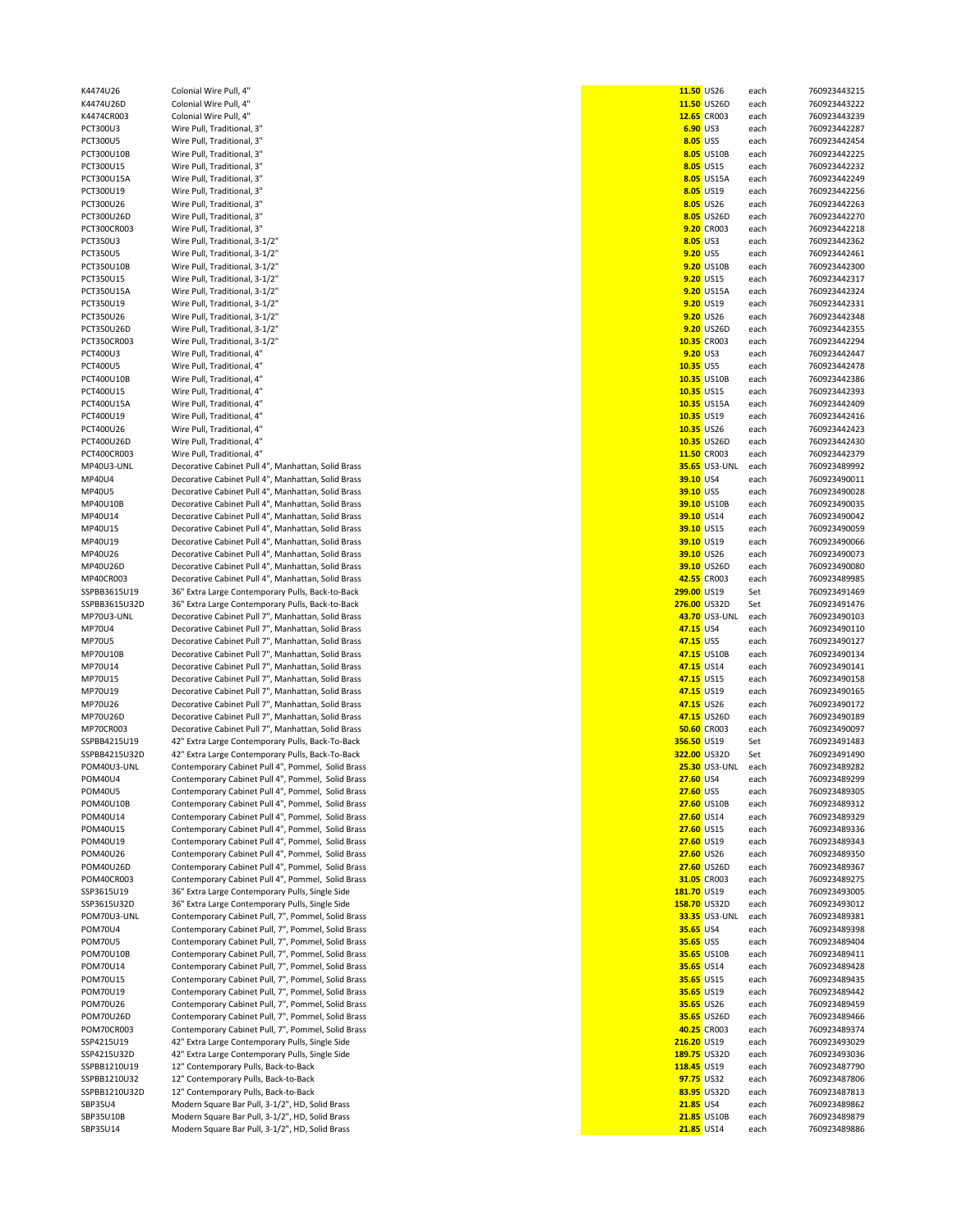| K4474U26        | Colonial Wire Pull, 4"                             | 11.50 US26   |                      | each | 760923443215 |
|-----------------|----------------------------------------------------|--------------|----------------------|------|--------------|
| K4474U26D       | Colonial Wire Pull, 4"                             |              | 11.50 US26D          | each | 760923443222 |
| K4474CR003      | Colonial Wire Pull, 4"                             |              | 12.65 CR003          | each | 760923443239 |
| PCT300U3        | Wire Pull, Traditional, 3"                         | 6.90 US3     |                      | each | 760923442287 |
| PCT300U5        | Wire Pull, Traditional, 3"                         | 8.05 US5     |                      | each | 760923442454 |
| PCT300U10B      | Wire Pull, Traditional, 3"                         |              | 8.05 US10B           | each | 760923442225 |
| PCT300U15       | Wire Pull, Traditional, 3"                         |              | 8.05 US15            | each | 760923442232 |
| PCT300U15A      | Wire Pull, Traditional, 3"                         |              | 8.05 US15A           | each | 760923442249 |
| PCT300U19       | Wire Pull, Traditional, 3"                         |              | 8.05 US19            | each | 760923442256 |
|                 |                                                    |              |                      |      |              |
| PCT300U26       | Wire Pull, Traditional, 3"                         |              | 8.05 US26            | each | 760923442263 |
| PCT300U26D      | Wire Pull, Traditional, 3"                         |              | 8.05 US26D           | each | 760923442270 |
| PCT300CR003     | Wire Pull, Traditional, 3"                         |              | 9.20 CR003           | each | 760923442218 |
| PCT350U3        | Wire Pull, Traditional, 3-1/2"                     | 8.05 US3     |                      | each | 760923442362 |
| <b>PCT350U5</b> | Wire Pull, Traditional, 3-1/2"                     | 9.20 US5     |                      | each | 760923442461 |
| PCT350U10B      | Wire Pull, Traditional, 3-1/2"                     |              | 9.20 US10B           | each | 760923442300 |
|                 |                                                    |              |                      |      |              |
| PCT350U15       | Wire Pull, Traditional, 3-1/2"                     |              | 9.20 US15            | each | 760923442317 |
| PCT350U15A      | Wire Pull, Traditional, 3-1/2"                     |              | 9.20 US15A           | each | 760923442324 |
| PCT350U19       | Wire Pull, Traditional, 3-1/2"                     |              | 9.20 US19            | each | 760923442331 |
| PCT350U26       | Wire Pull, Traditional, 3-1/2"                     |              | 9.20 US26            | each | 760923442348 |
| PCT350U26D      | Wire Pull, Traditional, 3-1/2"                     |              | 9.20 US26D           | each | 760923442355 |
| PCT350CR003     | Wire Pull, Traditional, 3-1/2"                     |              | 10.35 CR003          | each | 760923442294 |
|                 |                                                    |              |                      |      |              |
| PCT400U3        | Wire Pull, Traditional, 4"                         | 9.20 US3     |                      | each | 760923442447 |
| PCT400U5        | Wire Pull, Traditional, 4"                         | 10.35 US5    |                      | each | 760923442478 |
| PCT400U10B      | Wire Pull, Traditional, 4"                         |              | 10.35 US10B          | each | 760923442386 |
| PCT400U15       | Wire Pull, Traditional, 4"                         | 10.35 US15   |                      | each | 760923442393 |
| PCT400U15A      | Wire Pull, Traditional, 4"                         |              | 10.35 US15A          | each | 760923442409 |
| PCT400U19       | Wire Pull, Traditional, 4"                         | 10.35 US19   |                      | each | 760923442416 |
|                 |                                                    |              |                      |      |              |
| PCT400U26       | Wire Pull, Traditional, 4"                         | 10.35 US26   |                      | each | 760923442423 |
| PCT400U26D      | Wire Pull, Traditional, 4"                         |              | 10.35 US26D          | each | 760923442430 |
| PCT400CR003     | Wire Pull, Traditional, 4"                         |              | 11.50 CR003          | each | 760923442379 |
| MP40U3-UNL      | Decorative Cabinet Pull 4", Manhattan, Solid Brass |              | <b>35.65</b> US3-UNL | each | 760923489992 |
| MP40U4          | Decorative Cabinet Pull 4", Manhattan, Solid Brass | 39.10 US4    |                      | each | 760923490011 |
| MP40U5          | Decorative Cabinet Pull 4", Manhattan, Solid Brass | 39.10 US5    |                      | each | 760923490028 |
|                 |                                                    |              |                      |      |              |
| MP40U10B        | Decorative Cabinet Pull 4", Manhattan, Solid Brass |              | 39.10 US10B          | each | 760923490035 |
| MP40U14         | Decorative Cabinet Pull 4", Manhattan, Solid Brass | 39.10 US14   |                      | each | 760923490042 |
| MP40U15         | Decorative Cabinet Pull 4", Manhattan, Solid Brass | 39.10 US15   |                      | each | 760923490059 |
| MP40U19         | Decorative Cabinet Pull 4", Manhattan, Solid Brass | 39.10 US19   |                      | each | 760923490066 |
| MP40U26         | Decorative Cabinet Pull 4", Manhattan, Solid Brass | 39.10 US26   |                      | each | 760923490073 |
| MP40U26D        | Decorative Cabinet Pull 4", Manhattan, Solid Brass |              | 39.10 US26D          | each | 760923490080 |
|                 |                                                    |              |                      |      |              |
| MP40CR003       | Decorative Cabinet Pull 4", Manhattan, Solid Brass |              | 42.55 CR003          | each | 760923489985 |
| SSPBB3615U19    | 36" Extra Large Contemporary Pulls, Back-to-Back   | 299.00 US19  |                      | Set  | 760923491469 |
| SSPBB3615U32D   | 36" Extra Large Contemporary Pulls, Back-to-Back   | 276.00 US32D |                      | Set  | 760923491476 |
| MP70U3-UNL      | Decorative Cabinet Pull 7", Manhattan, Solid Brass |              | 43.70 US3-UNL        | each | 760923490103 |
| MP70U4          | Decorative Cabinet Pull 7", Manhattan, Solid Brass | 47.15 US4    |                      | each | 760923490110 |
| MP70U5          | Decorative Cabinet Pull 7", Manhattan, Solid Brass | 47.15 US5    |                      | each | 760923490127 |
|                 |                                                    |              |                      |      |              |
| MP70U10B        | Decorative Cabinet Pull 7", Manhattan, Solid Brass |              | 47.15 US10B          | each | 760923490134 |
| MP70U14         | Decorative Cabinet Pull 7", Manhattan, Solid Brass | 47.15 US14   |                      | each | 760923490141 |
| MP70U15         | Decorative Cabinet Pull 7", Manhattan, Solid Brass | 47.15 US15   |                      | each | 760923490158 |
| MP70U19         | Decorative Cabinet Pull 7", Manhattan, Solid Brass | 47.15 US19   |                      | each | 760923490165 |
| MP70U26         | Decorative Cabinet Pull 7", Manhattan, Solid Brass | 47.15 US26   |                      | each | 760923490172 |
| MP70U26D        | Decorative Cabinet Pull 7", Manhattan, Solid Brass |              | 47.15 US26D          | each | 760923490189 |
|                 |                                                    |              |                      |      | 760923490097 |
| MP70CR003       | Decorative Cabinet Pull 7", Manhattan, Solid Brass |              | <b>50.60 CR003</b>   | each |              |
| SSPBB4215U19    | 42" Extra Large Contemporary Pulls, Back-To-Back   | 356.50 US19  |                      | Set  | 760923491483 |
| SSPBB4215U32D   | 42" Extra Large Contemporary Pulls, Back-To-Back   | 322.00 US32D |                      | Set  | 760923491490 |
| POM40U3-UNL     | Contemporary Cabinet Pull 4", Pommel, Solid Brass  |              | <b>25.30 US3-UNL</b> | each | 760923489282 |
| POM40U4         | Contemporary Cabinet Pull 4", Pommel, Solid Brass  | 27.60 US4    |                      | each | 760923489299 |
| POM40U5         | Contemporary Cabinet Pull 4", Pommel, Solid Brass  | 27.60 US5    |                      | each | 760923489305 |
| POM40U10B       | Contemporary Cabinet Pull 4", Pommel, Solid Brass  |              | 27.60 US10B          | each | 760923489312 |
|                 |                                                    |              |                      |      |              |
| POM40U14        | Contemporary Cabinet Pull 4", Pommel, Solid Brass  | 27.60 US14   |                      | each | 760923489329 |
| POM40U15        | Contemporary Cabinet Pull 4", Pommel, Solid Brass  | 27.60 US15   |                      | each | 760923489336 |
| POM40U19        | Contemporary Cabinet Pull 4", Pommel, Solid Brass  | 27.60 US19   |                      | each | 760923489343 |
| POM40U26        | Contemporary Cabinet Pull 4", Pommel, Solid Brass  | 27.60 US26   |                      | each | 760923489350 |
| POM40U26D       | Contemporary Cabinet Pull 4", Pommel, Solid Brass  |              | 27.60 US26D          | each | 760923489367 |
| POM40CR003      | Contemporary Cabinet Pull 4", Pommel, Solid Brass  |              | 31.05 CR003          | each | 760923489275 |
| SSP3615U19      | 36" Extra Large Contemporary Pulls, Single Side    | 181.70 US19  |                      | each | 760923493005 |
|                 |                                                    |              |                      |      |              |
| SSP3615U32D     | 36" Extra Large Contemporary Pulls, Single Side    | 158.70 US32D |                      | each | 760923493012 |
| POM70U3-UNL     | Contemporary Cabinet Pull, 7", Pommel, Solid Brass |              | <b>33.35 US3-UNL</b> | each | 760923489381 |
| POM70U4         | Contemporary Cabinet Pull, 7", Pommel, Solid Brass | 35.65 US4    |                      | each | 760923489398 |
| POM70U5         | Contemporary Cabinet Pull, 7", Pommel, Solid Brass | 35.65 US5    |                      | each | 760923489404 |
| POM70U10B       | Contemporary Cabinet Pull, 7", Pommel, Solid Brass |              | 35.65 US10B          | each | 760923489411 |
| POM70U14        | Contemporary Cabinet Pull, 7", Pommel, Solid Brass | 35.65 US14   |                      | each | 760923489428 |
|                 |                                                    |              |                      |      |              |
| POM70U15        | Contemporary Cabinet Pull, 7", Pommel, Solid Brass | 35.65 US15   |                      | each | 760923489435 |
| POM70U19        | Contemporary Cabinet Pull, 7", Pommel, Solid Brass | 35.65 US19   |                      | each | 760923489442 |
| POM70U26        | Contemporary Cabinet Pull, 7", Pommel, Solid Brass | 35.65 US26   |                      | each | 760923489459 |
| POM70U26D       | Contemporary Cabinet Pull, 7", Pommel, Solid Brass |              | 35.65 US26D          | each | 760923489466 |
| POM70CR003      | Contemporary Cabinet Pull, 7", Pommel, Solid Brass |              | 40.25 CR003          | each | 760923489374 |
| SSP4215U19      | 42" Extra Large Contemporary Pulls, Single Side    | 216.20 US19  |                      | each | 760923493029 |
| SSP4215U32D     | 42" Extra Large Contemporary Pulls, Single Side    | 189.75 US32D |                      | each | 760923493036 |
|                 |                                                    |              |                      |      |              |
| SSPBB1210U19    | 12" Contemporary Pulls, Back-to-Back               | 118.45 US19  |                      | each | 760923487790 |
| SSPBB1210U32    | 12" Contemporary Pulls, Back-to-Back               | 97.75 US32   |                      | each | 760923487806 |
| SSPBB1210U32D   | 12" Contemporary Pulls, Back-to-Back               |              | 83.95 US32D          | each | 760923487813 |
| SBP35U4         | Modern Square Bar Pull, 3-1/2", HD, Solid Brass    | 21.85 US4    |                      | each | 760923489862 |
| SBP35U10B       | Modern Square Bar Pull, 3-1/2", HD, Solid Brass    |              | 21.85 US10B          | each | 760923489879 |
| SBP35U14        | Modern Square Bar Pull, 3-1/2", HD, Solid Brass    | 21.85 US14   |                      | each | 760923489886 |
|                 |                                                    |              |                      |      |              |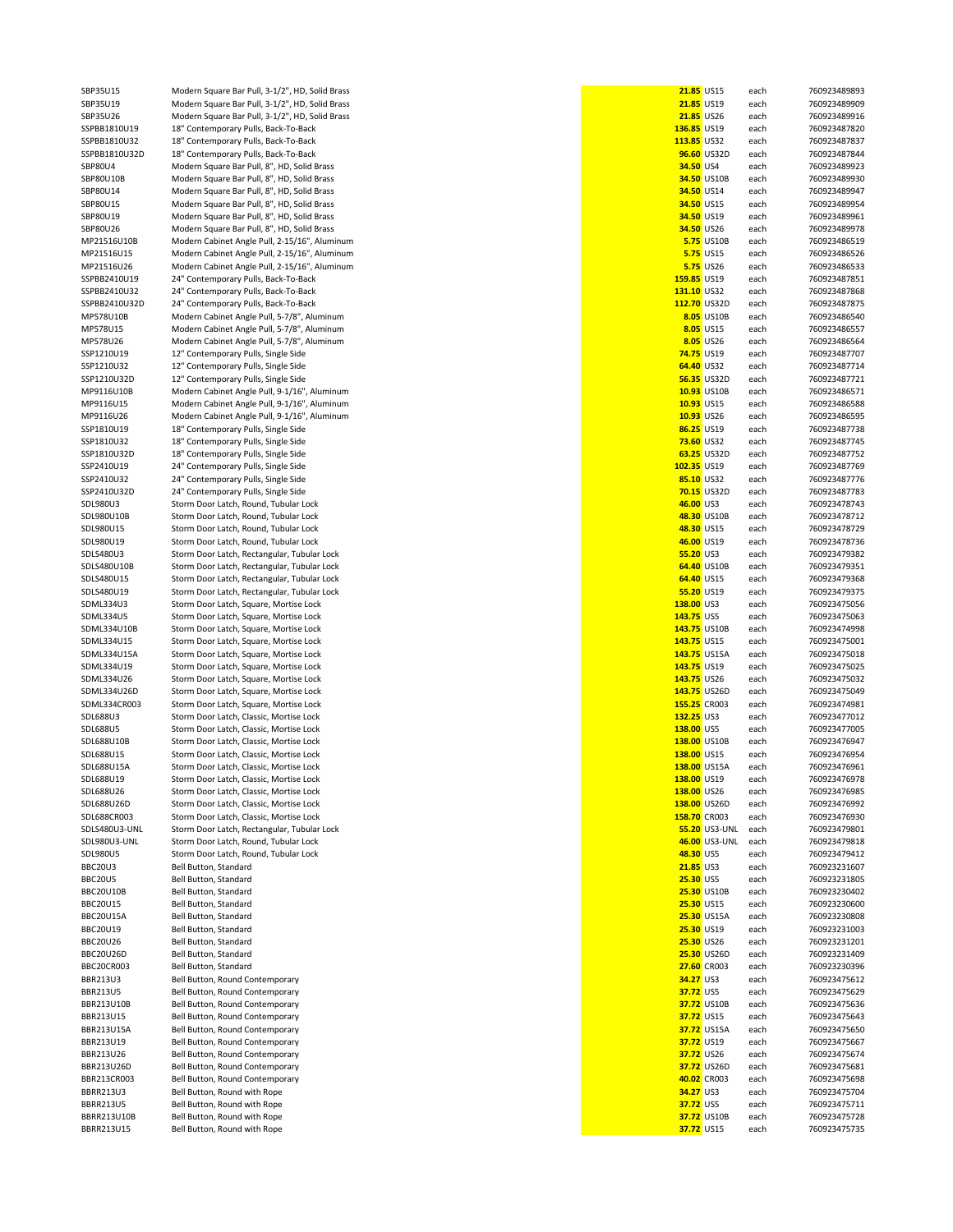| SBP35U15               | Modern Square Bar Pull, 3-1/2", HD, Solid Brass                                            | 21.85 US15                   |                   | each         | 760923489893                 |
|------------------------|--------------------------------------------------------------------------------------------|------------------------------|-------------------|--------------|------------------------------|
| SBP35U19               | Modern Square Bar Pull, 3-1/2", HD, Solid Brass                                            | 21.85 US19                   |                   | each         | 760923489909                 |
| SBP35U26               | Modern Square Bar Pull, 3-1/2", HD, Solid Brass                                            | 21.85 US26                   |                   | each         | 760923489916                 |
| SSPBB1810U19           | 18" Contemporary Pulls, Back-To-Back                                                       | 136.85 US19                  |                   | each         | 760923487820                 |
| SSPBB1810U32           | 18" Contemporary Pulls, Back-To-Back                                                       | 113.85 US32                  |                   | each         | 760923487837                 |
| SSPBB1810U32D          | 18" Contemporary Pulls, Back-To-Back                                                       |                              | 96.60 US32D       | each         | 760923487844                 |
| SBP80U4<br>SBP80U10B   | Modern Square Bar Pull, 8", HD, Solid Brass<br>Modern Square Bar Pull, 8", HD, Solid Brass | 34.50 US4                    | 34.50 US10B       | each<br>each | 760923489923<br>760923489930 |
| SBP80U14               | Modern Square Bar Pull, 8", HD, Solid Brass                                                | 34.50 US14                   |                   | each         | 760923489947                 |
| SBP80U15               | Modern Square Bar Pull, 8", HD, Solid Brass                                                | 34.50 US15                   |                   | each         | 760923489954                 |
| SBP80U19               | Modern Square Bar Pull, 8", HD, Solid Brass                                                | 34.50 US19                   |                   | each         | 760923489961                 |
| SBP80U26               | Modern Square Bar Pull, 8", HD, Solid Brass                                                | 34.50 US26                   |                   | each         | 760923489978                 |
| MP21516U10B            | Modern Cabinet Angle Pull, 2-15/16", Aluminum                                              |                              | <b>5.75 US10B</b> | each         | 760923486519                 |
| MP21516U15             | Modern Cabinet Angle Pull, 2-15/16", Aluminum                                              |                              | <b>5.75 US15</b>  | each         | 760923486526                 |
| MP21516U26             | Modern Cabinet Angle Pull, 2-15/16", Aluminum                                              |                              | 5.75 US26         | each         | 760923486533                 |
| SSPBB2410U19           | 24" Contemporary Pulls, Back-To-Back                                                       | 159.85 US19                  |                   | each         | 760923487851                 |
| SSPBB2410U32           | 24" Contemporary Pulls, Back-To-Back                                                       | 131.10 US32                  |                   | each         | 760923487868                 |
| SSPBB2410U32D          | 24" Contemporary Pulls, Back-To-Back                                                       | 112.70 US32D                 |                   | each         | 760923487875                 |
| MP578U10B              | Modern Cabinet Angle Pull, 5-7/8", Aluminum                                                |                              | 8.05 US10B        | each         | 760923486540                 |
| MP578U15               | Modern Cabinet Angle Pull, 5-7/8", Aluminum                                                |                              | 8.05 US15         | each         | 760923486557                 |
| MP578U26               | Modern Cabinet Angle Pull, 5-7/8", Aluminum                                                |                              | 8.05 US26         | each         | 760923486564                 |
| SSP1210U19             | 12" Contemporary Pulls, Single Side                                                        | 74.75 US19                   |                   | each         | 760923487707                 |
| SSP1210U32             | 12" Contemporary Pulls, Single Side                                                        | 64.40 US32                   |                   | each         | 760923487714                 |
| SSP1210U32D            | 12" Contemporary Pulls, Single Side                                                        |                              | 56.35 US32D       | each         | 760923487721                 |
| MP9116U10B             | Modern Cabinet Angle Pull, 9-1/16", Aluminum                                               |                              | 10.93 US10B       | each         | 760923486571                 |
| MP9116U15              | Modern Cabinet Angle Pull, 9-1/16", Aluminum                                               | 10.93 US15                   |                   | each         | 760923486588                 |
| MP9116U26              | Modern Cabinet Angle Pull, 9-1/16", Aluminum                                               | 10.93 US26                   |                   | each         | 760923486595                 |
| SSP1810U19             | 18" Contemporary Pulls, Single Side                                                        | 86.25 US19                   |                   | each         | 760923487738                 |
| SSP1810U32             | 18" Contemporary Pulls, Single Side                                                        | 73.60 US32                   |                   | each         | 760923487745                 |
| SSP1810U32D            | 18" Contemporary Pulls, Single Side                                                        |                              | 63.25 US32D       | each         | 760923487752                 |
| SSP2410U19             | 24" Contemporary Pulls, Single Side                                                        | 102.35 US19                  |                   | each         | 760923487769                 |
| SSP2410U32             | 24" Contemporary Pulls, Single Side                                                        | 85.10 US32                   |                   | each         | 760923487776                 |
| SSP2410U32D            | 24" Contemporary Pulls, Single Side                                                        |                              | 70.15 US32D       | each         | 760923487783                 |
| SDL980U3               | Storm Door Latch, Round, Tubular Lock                                                      | 46.00 US3                    |                   | each         | 760923478743                 |
| SDL980U10B             | Storm Door Latch, Round, Tubular Lock                                                      |                              | 48.30 US10B       | each         | 760923478712                 |
| SDL980U15              | Storm Door Latch, Round, Tubular Lock                                                      | 48.30 US15                   |                   | each         | 760923478729                 |
| SDL980U19              | Storm Door Latch, Round, Tubular Lock                                                      | 46.00 US19                   |                   | each         | 760923478736                 |
| SDLS480U3              | Storm Door Latch, Rectangular, Tubular Lock                                                | 55.20 US3                    |                   | each         | 760923479382                 |
| SDLS480U10B            | Storm Door Latch, Rectangular, Tubular Lock                                                |                              | 64.40 US10B       | each         | 760923479351                 |
| SDLS480U15             | Storm Door Latch, Rectangular, Tubular Lock                                                | 64.40 US15                   |                   | each         | 760923479368                 |
| SDLS480U19             | Storm Door Latch, Rectangular, Tubular Lock                                                | 55.20 US19                   |                   | each         | 760923479375                 |
| SDML334U3              | Storm Door Latch, Square, Mortise Lock                                                     | 138.00 US3                   |                   | each         | 760923475056                 |
| SDML334U5              | Storm Door Latch, Square, Mortise Lock                                                     | 143.75 US5                   |                   | each         | 760923475063                 |
| SDML334U10B            | Storm Door Latch, Square, Mortise Lock                                                     | 143.75 US10B                 |                   | each         | 760923474998                 |
| SDML334U15             | Storm Door Latch, Square, Mortise Lock                                                     | 143.75 US15                  |                   | each         | 760923475001                 |
| SDML334U15A            | Storm Door Latch, Square, Mortise Lock                                                     | 143.75 US15A                 |                   | each         | 760923475018                 |
| SDML334U19             | Storm Door Latch, Square, Mortise Lock                                                     | 143.75 US19                  |                   | each         | 760923475025                 |
| SDML334U26             | Storm Door Latch, Square, Mortise Lock                                                     | 143.75 US26                  |                   | each         | 760923475032                 |
| SDML334U26D            | Storm Door Latch, Square, Mortise Lock                                                     | 143.75 US26D                 |                   | each         | 760923475049                 |
| SDML334CR003           | Storm Door Latch, Square, Mortise Lock                                                     | 155.25 CR003                 |                   | each         | 760923474981                 |
| SDL688U3               | Storm Door Latch, Classic, Mortise Lock                                                    | 132.25 US3                   |                   | each         | 760923477012                 |
| SDL688U5               | Storm Door Latch, Classic, Mortise Lock                                                    | 138.00 US5                   |                   | each         | 760923477005                 |
| SDL688U10B             | Storm Door Latch, Classic, Mortise Lock                                                    | 138.00 US10B                 |                   | each         | 760923476947                 |
| SDL688U15              | Storm Door Latch, Classic, Mortise Lock                                                    | 138.00 US15                  |                   | each         | 760923476954                 |
| SDL688U15A             | Storm Door Latch, Classic, Mortise Lock                                                    | 138.00 US15A<br>138.00 US19  |                   | each         | 760923476961                 |
| SDL688U19<br>SDL688U26 | Storm Door Latch, Classic, Mortise Lock<br>Storm Door Latch, Classic, Mortise Lock         | 138.00 US26                  |                   | each         | 760923476978<br>760923476985 |
| SDL688U26D             | Storm Door Latch, Classic, Mortise Lock                                                    |                              |                   | each         | 760923476992                 |
| SDL688CR003            | Storm Door Latch, Classic, Mortise Lock                                                    | 138.00 US26D<br>158.70 CR003 |                   | each<br>each | 760923476930                 |
| SDLS480U3-UNL          | Storm Door Latch, Rectangular, Tubular Lock                                                |                              | 55.20 US3-UNL     | each         | 760923479801                 |
| SDL980U3-UNL           | Storm Door Latch, Round, Tubular Lock                                                      |                              | 46.00 US3-UNL     | each         | 760923479818                 |
| SDL980U5               | Storm Door Latch, Round, Tubular Lock                                                      | 48.30 US5                    |                   | each         | 760923479412                 |
| BBC20U3                | Bell Button, Standard                                                                      | 21.85 US3                    |                   | each         | 760923231607                 |
| BBC20U5                | Bell Button, Standard                                                                      | 25.30 US5                    |                   | each         | 760923231805                 |
| BBC20U10B              | Bell Button, Standard                                                                      |                              | 25.30 US10B       | each         | 760923230402                 |
| BBC20U15               | Bell Button, Standard                                                                      | 25.30 US15                   |                   | each         | 760923230600                 |
| BBC20U15A              | Bell Button, Standard                                                                      |                              | 25.30 US15A       | each         | 760923230808                 |
| BBC20U19               | Bell Button, Standard                                                                      | 25.30 US19                   |                   | each         | 760923231003                 |
| <b>BBC20U26</b>        | Bell Button, Standard                                                                      | 25.30 US26                   |                   | each         | 760923231201                 |
| BBC20U26D              | Bell Button, Standard                                                                      |                              | 25.30 US26D       | each         | 760923231409                 |
| BBC20CR003             | Bell Button, Standard                                                                      |                              | 27.60 CR003       | each         | 760923230396                 |
| BBR213U3               | Bell Button, Round Contemporary                                                            | 34.27 US3                    |                   | each         | 760923475612                 |
| BBR213U5               | Bell Button, Round Contemporary                                                            | 37.72 US5                    |                   | each         | 760923475629                 |
| BBR213U10B             | Bell Button, Round Contemporary                                                            |                              | 37.72 US10B       | each         | 760923475636                 |
| BBR213U15              | Bell Button, Round Contemporary                                                            | 37.72 US15                   |                   | each         | 760923475643                 |
| BBR213U15A             | Bell Button, Round Contemporary                                                            |                              | 37.72 US15A       | each         | 760923475650                 |
| BBR213U19              | Bell Button, Round Contemporary                                                            | 37.72 US19                   |                   | each         | 760923475667                 |
| BBR213U26              | Bell Button, Round Contemporary                                                            | 37.72 US26                   |                   | each         | 760923475674                 |
| BBR213U26D             | Bell Button, Round Contemporary                                                            |                              | 37.72 US26D       | each         | 760923475681                 |
| BBR213CR003            | Bell Button, Round Contemporary                                                            |                              | 40.02 CR003       | each         | 760923475698                 |
| <b>BBRR213U3</b>       | Bell Button, Round with Rope                                                               | 34.27 US3                    |                   | each         | 760923475704                 |
| <b>BBRR213U5</b>       | Bell Button, Round with Rope                                                               | 37.72 US5                    |                   | each         | 760923475711                 |
| BBRR213U10B            | Bell Button, Round with Rope                                                               |                              | 37.72 US10B       | each         | 760923475728                 |
| BBRR213U15             | Bell Button, Round with Rope                                                               | 37.72 US15                   |                   | each         | 760923475735                 |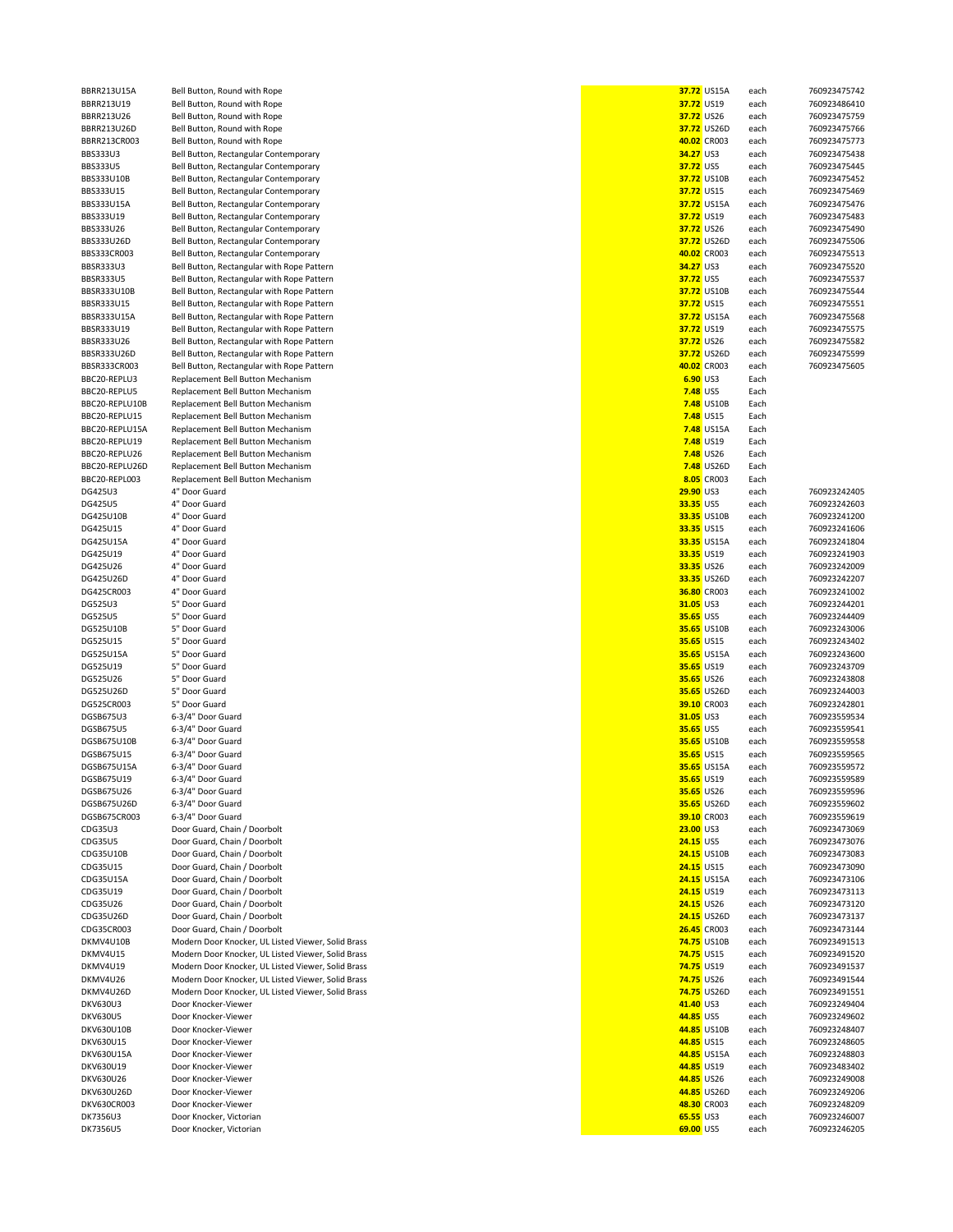| BBRR213U15A                 | Bell Button, Round with Rope                       | 37.72 US15A            | each         | 760923475742                 |
|-----------------------------|----------------------------------------------------|------------------------|--------------|------------------------------|
| BBRR213U19                  | Bell Button, Round with Rope                       | 37.72 US19             | each         | 760923486410                 |
| BBRR213U26                  | Bell Button, Round with Rope                       | 37.72 US26             | each         | 760923475759                 |
|                             | Bell Button, Round with Rope                       | 37.72 US26D            |              |                              |
| BBRR213U26D                 |                                                    |                        | each         | 760923475766                 |
| BBRR213CR003                | Bell Button, Round with Rope                       | 40.02 CR003            | each         | 760923475773                 |
| <b>BBS333U3</b>             | Bell Button, Rectangular Contemporary              | 34.27 US3              | each         | 760923475438                 |
| <b>BBS333U5</b>             | Bell Button, Rectangular Contemporary              | 37.72 US5              | each         | 760923475445                 |
| BBS333U10B                  | Bell Button, Rectangular Contemporary              | 37.72 US10B            | each         | 760923475452                 |
|                             |                                                    |                        |              |                              |
| BBS333U15                   | Bell Button, Rectangular Contemporary              | 37.72 US15             | each         | 760923475469                 |
| BBS333U15A                  | Bell Button, Rectangular Contemporary              | 37.72 US15A            | each         | 760923475476                 |
| BBS333U19                   | Bell Button, Rectangular Contemporary              | 37.72 US19             | each         | 760923475483                 |
| BBS333U26                   | Bell Button, Rectangular Contemporary              | 37.72 US26             | each         | 760923475490                 |
| BBS333U26D                  | Bell Button, Rectangular Contemporary              | 37.72 US26D            | each         | 760923475506                 |
|                             |                                                    |                        |              |                              |
| BBS333CR003                 | Bell Button, Rectangular Contemporary              | 40.02 CR003            | each         | 760923475513                 |
| BBSR333U3                   | Bell Button, Rectangular with Rope Pattern         | 34.27 US3              | each         | 760923475520                 |
| <b>BBSR333U5</b>            | Bell Button, Rectangular with Rope Pattern         | 37.72 US5              | each         | 760923475537                 |
| BBSR333U10B                 | Bell Button, Rectangular with Rope Pattern         | 37.72 US10B            | each         | 760923475544                 |
|                             |                                                    |                        |              |                              |
| BBSR333U15                  | Bell Button, Rectangular with Rope Pattern         | 37.72 US15             | each         | 760923475551                 |
| BBSR333U15A                 | Bell Button, Rectangular with Rope Pattern         | 37.72 US15A            | each         | 760923475568                 |
| BBSR333U19                  | Bell Button, Rectangular with Rope Pattern         | 37.72 US19             | each         | 760923475575                 |
|                             |                                                    |                        |              |                              |
| BBSR333U26                  | Bell Button, Rectangular with Rope Pattern         | 37.72 US26             | each         | 760923475582                 |
| BBSR333U26D                 | Bell Button, Rectangular with Rope Pattern         | 37.72 US26D            | each         | 760923475599                 |
| BBSR333CR003                | Bell Button, Rectangular with Rope Pattern         | 40.02 CR003            | each         | 760923475605                 |
| BBC20-REPLU3                | Replacement Bell Button Mechanism                  | 6.90 US3               | Each         |                              |
|                             |                                                    |                        |              |                              |
| BBC20-REPLU5                | Replacement Bell Button Mechanism                  | <b>7.48 US5</b>        | Each         |                              |
| BBC20-REPLU10B              | Replacement Bell Button Mechanism                  | 7.48 US10B             | Each         |                              |
| BBC20-REPLU15               | Replacement Bell Button Mechanism                  | <b>7.48</b> US15       | Each         |                              |
| BBC20-REPLU15A              | Replacement Bell Button Mechanism                  | <b>7.48</b> US15A      | Each         |                              |
|                             |                                                    |                        |              |                              |
| BBC20-REPLU19               | Replacement Bell Button Mechanism                  | 7.48 US19              | Each         |                              |
| BBC20-REPLU26               | Replacement Bell Button Mechanism                  | <b>7.48</b> US26       | Each         |                              |
| BBC20-REPLU26D              | Replacement Bell Button Mechanism                  | 7.48 US26D             | Each         |                              |
| BBC20-REPL003               | Replacement Bell Button Mechanism                  | 8.05 CR003             | Each         |                              |
|                             |                                                    |                        |              |                              |
| DG425U3                     | 4" Door Guard                                      | 29.90 US3              | each         | 760923242405                 |
| DG425U5                     | 4" Door Guard                                      | 33.35 US5              | each         | 760923242603                 |
| DG425U10B                   | 4" Door Guard                                      | 33.35 US10B            | each         | 760923241200                 |
|                             |                                                    |                        |              |                              |
| DG425U15                    | 4" Door Guard                                      | 33.35 US15             | each         | 760923241606                 |
| DG425U15A                   | 4" Door Guard                                      | 33.35 US15A            | each         | 760923241804                 |
| DG425U19                    | 4" Door Guard                                      | 33.35 US19             | each         | 760923241903                 |
| DG425U26                    | 4" Door Guard                                      | 33.35 US26             | each         | 760923242009                 |
|                             |                                                    |                        |              |                              |
| DG425U26D                   | 4" Door Guard                                      | 33.35 US26D            | each         | 760923242207                 |
| DG425CR003                  | 4" Door Guard                                      | 36.80 CR003            | each         | 760923241002                 |
| DG525U3                     | 5" Door Guard                                      | 31.05 US3              | each         | 760923244201                 |
| <b>DG525U5</b>              | 5" Door Guard                                      | 35.65 US5              | each         | 760923244409                 |
|                             |                                                    |                        |              |                              |
| DG525U10B                   | 5" Door Guard                                      | 35.65 US10B            | each         | 760923243006                 |
| DG525U15                    | 5" Door Guard                                      | 35.65 US15             | each         | 760923243402                 |
| DG525U15A                   | 5" Door Guard                                      | <b>35.65 US15A</b>     | each         | 760923243600                 |
|                             |                                                    |                        |              |                              |
| DG525U19                    | 5" Door Guard                                      | 35.65 US19             | each         | 760923243709                 |
| DG525U26                    | 5" Door Guard                                      | 35.65 US26             | each         | 760923243808                 |
| DG525U26D                   | 5" Door Guard                                      | 35.65 US26D            | each         | 760923244003                 |
| DG525CR003                  | 5" Door Guard                                      | 39.10 CR003            | each         | 760923242801                 |
|                             | 6-3/4" Door Guard                                  | 31.05 US3              |              |                              |
| DGSB675U3                   |                                                    |                        | each         | 760923559534                 |
| <b>DGSB675U5</b>            | 6-3/4" Door Guard                                  | 35.65 US5              | each         | 760923559541                 |
| DGSB675U10B                 | 6-3/4" Door Guard                                  | 35.65 US10B            | each         | 760923559558                 |
| DGSB675U15                  | 6-3/4" Door Guard                                  | 35.65 US15             | each         | 760923559565                 |
| DGSB675U15A                 |                                                    |                        | each         | 760923559572                 |
|                             | 6-3/4" Door Guard                                  |                        |              |                              |
| DGSB675U19                  | 6-3/4" Door Guard                                  | 35.65 US15A            |              |                              |
| DGSB675U26                  |                                                    | 35.65 US19             | each         | 760923559589                 |
| DGSB675U26D                 | 6-3/4" Door Guard                                  | 35.65 US26             | each         | 760923559596                 |
|                             |                                                    |                        |              |                              |
|                             | 6-3/4" Door Guard                                  | 35.65 US26D            | each         | 760923559602                 |
| DGSB675CR003                | 6-3/4" Door Guard                                  | 39.10 CR003            | each         | 760923559619                 |
| <b>CDG35U3</b>              | Door Guard, Chain / Doorbolt                       | 23.00 US3              | each         | 760923473069                 |
| <b>CDG35U5</b>              | Door Guard, Chain / Doorbolt                       | 24.15 US5              | each         | 760923473076                 |
| CDG35U10B                   | Door Guard, Chain / Doorbolt                       | <b>24.15 US10B</b>     | each         | 760923473083                 |
|                             |                                                    |                        |              |                              |
| CDG35U15                    | Door Guard, Chain / Doorbolt                       | <b>24.15 US15</b>      | each         | 760923473090                 |
| CDG35U15A                   | Door Guard, Chain / Doorbolt                       | 24.15 US15A            | each         | 760923473106                 |
| CDG35U19                    | Door Guard, Chain / Doorbolt                       | 24.15 US19             | each         | 760923473113                 |
|                             |                                                    |                        |              |                              |
| CDG35U26                    | Door Guard, Chain / Doorbolt                       | 24.15 US26             | each         | 760923473120                 |
| CDG35U26D                   | Door Guard, Chain / Doorbolt                       | <b>24.15 US26D</b>     | each         | 760923473137                 |
| CDG35CR003                  | Door Guard, Chain / Doorbolt                       | <b>26.45 CR003</b>     | each         | 760923473144                 |
| DKMV4U10B                   | Modern Door Knocker, UL Listed Viewer, Solid Brass | 74.75 US10B            | each         | 760923491513                 |
| DKMV4U15                    |                                                    |                        |              | 760923491520                 |
|                             | Modern Door Knocker, UL Listed Viewer, Solid Brass | <b>74.75 US15</b>      | each         |                              |
| DKMV4U19                    | Modern Door Knocker, UL Listed Viewer, Solid Brass | 74.75 US19             | each         | 760923491537                 |
| DKMV4U26                    | Modern Door Knocker, UL Listed Viewer, Solid Brass | 74.75 US26             | each         | 760923491544                 |
| DKMV4U26D                   | Modern Door Knocker, UL Listed Viewer, Solid Brass | <b>74.75 US26D</b>     | each         | 760923491551                 |
|                             |                                                    |                        |              |                              |
| <b>DKV630U3</b>             | Door Knocker-Viewer                                | 41.40 US3              | each         | 760923249404                 |
| <b>DKV630U5</b>             | Door Knocker-Viewer                                | 44.85 US5              | each         | 760923249602                 |
| <b>DKV630U10B</b>           | Door Knocker-Viewer                                | 44.85 US10B            | each         | 760923248407                 |
| DKV630U15                   | Door Knocker-Viewer                                | 44.85 US15             | each         | 760923248605                 |
|                             |                                                    |                        |              |                              |
| <b>DKV630U15A</b>           | Door Knocker-Viewer                                | 44.85 US15A            | each         | 760923248803                 |
| DKV630U19                   | Door Knocker-Viewer                                | 44.85 US19             | each         | 760923483402                 |
| DKV630U26                   | Door Knocker-Viewer                                | 44.85 US26             | each         | 760923249008                 |
| DKV630U26D                  | Door Knocker-Viewer                                | 44.85 US26D            | each         | 760923249206                 |
|                             |                                                    |                        |              |                              |
| DKV630CR003                 | Door Knocker-Viewer                                | 48.30 CR003            | each         | 760923248209                 |
| DK7356U3<br><b>DK7356U5</b> | Door Knocker, Victorian<br>Door Knocker, Victorian | 65.55 US3<br>69.00 US5 | each<br>each | 760923246007<br>760923246205 |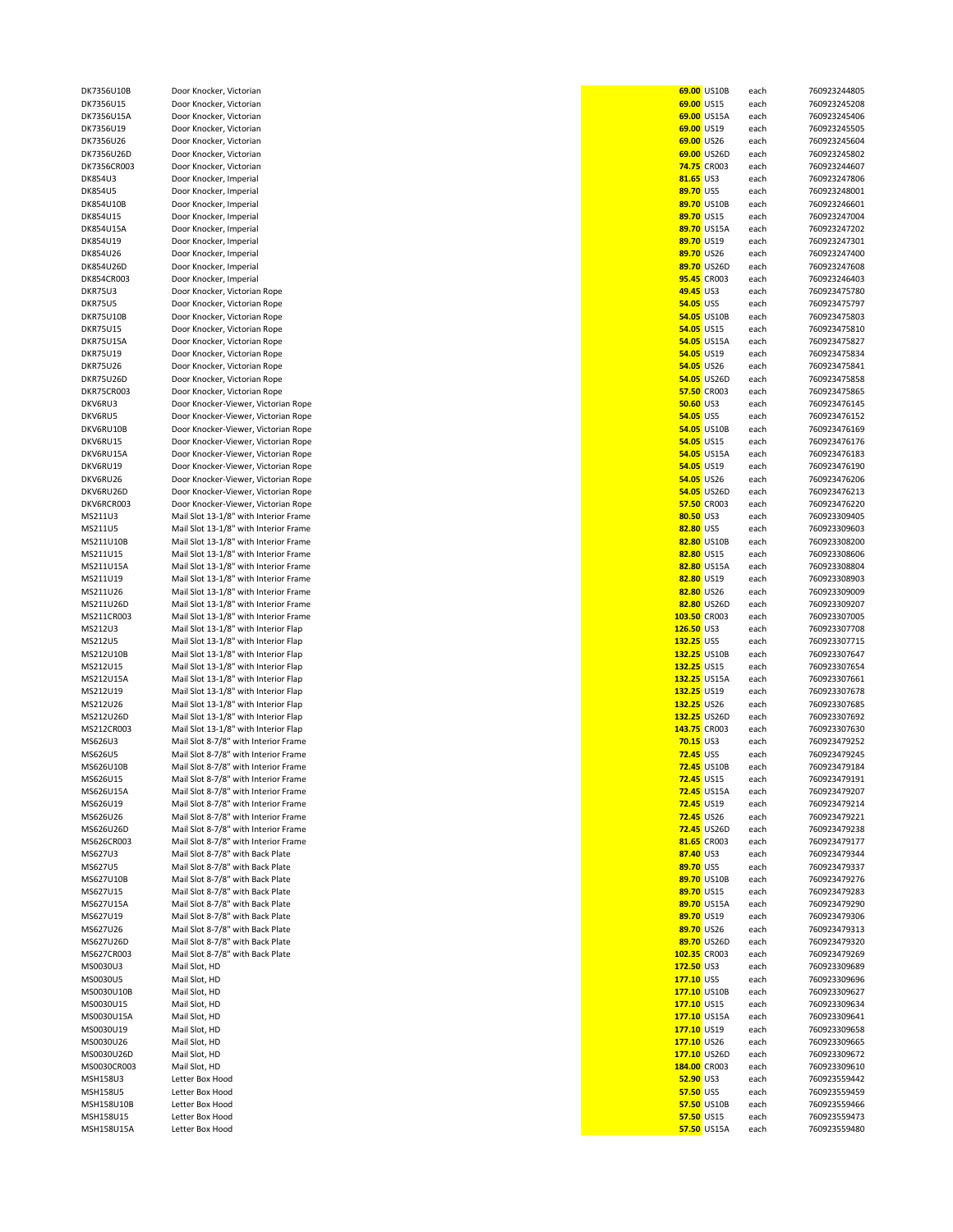| DK7356U10B      | Door Knocker, Victorian               |                  | 69.00 US10B        | each | 760923244805 |
|-----------------|---------------------------------------|------------------|--------------------|------|--------------|
| DK7356U15       | Door Knocker, Victorian               | 69.00 US15       |                    | each | 760923245208 |
| DK7356U15A      | Door Knocker, Victorian               |                  | 69.00 US15A        | each | 760923245406 |
| DK7356U19       | Door Knocker, Victorian               | 69.00 US19       |                    | each | 760923245505 |
| DK7356U26       | Door Knocker, Victorian               | 69.00 US26       |                    | each | 760923245604 |
| DK7356U26D      | Door Knocker, Victorian               |                  | 69.00 US26D        | each | 760923245802 |
| DK7356CR003     | Door Knocker, Victorian               |                  | 74.75 CR003        | each | 760923244607 |
| DK854U3         | Door Knocker, Imperial                | 81.65 US3        |                    | each | 760923247806 |
|                 | Door Knocker, Imperial                | 89.70 US5        |                    |      | 760923248001 |
| DK854U5         |                                       |                  |                    | each |              |
| DK854U10B       | Door Knocker, Imperial                |                  | 89.70 US10B        | each | 760923246601 |
| DK854U15        | Door Knocker, Imperial                | 89.70 US15       |                    | each | 760923247004 |
| DK854U15A       | Door Knocker, Imperial                |                  | 89.70 US15A        | each | 760923247202 |
| DK854U19        | Door Knocker, Imperial                | 89.70 US19       |                    | each | 760923247301 |
| DK854U26        | Door Knocker, Imperial                | 89.70 US26       |                    | each | 760923247400 |
| DK854U26D       | Door Knocker, Imperial                |                  | 89.70 US26D        | each | 760923247608 |
| DK854CR003      | Door Knocker, Imperial                |                  | 95.45 CR003        | each | 760923246403 |
| DKR75U3         | Door Knocker, Victorian Rope          | 49.45 US3        |                    | each | 760923475780 |
| DKR75U5         | Door Knocker, Victorian Rope          | 54.05 US5        |                    | each | 760923475797 |
|                 |                                       |                  |                    |      |              |
| DKR75U10B       | Door Knocker, Victorian Rope          |                  | 54.05 US10B        | each | 760923475803 |
| <b>DKR75U15</b> | Door Knocker, Victorian Rope          | 54.05 US15       |                    | each | 760923475810 |
| DKR75U15A       | Door Knocker, Victorian Rope          |                  | 54.05 US15A        | each | 760923475827 |
| <b>DKR75U19</b> | Door Knocker, Victorian Rope          | 54.05 US19       |                    | each | 760923475834 |
| DKR75U26        | Door Knocker, Victorian Rope          | 54.05 US26       |                    | each | 760923475841 |
| DKR75U26D       | Door Knocker, Victorian Rope          |                  | 54.05 US26D        | each | 760923475858 |
| DKR75CR003      | Door Knocker, Victorian Rope          |                  | 57.50 CR003        | each | 760923475865 |
| DKV6RU3         | Door Knocker-Viewer, Victorian Rope   | <b>50.60 US3</b> |                    | each | 760923476145 |
|                 |                                       |                  |                    |      |              |
| DKV6RU5         | Door Knocker-Viewer, Victorian Rope   | 54.05 US5        |                    | each | 760923476152 |
| DKV6RU10B       | Door Knocker-Viewer, Victorian Rope   |                  | 54.05 US10B        | each | 760923476169 |
| DKV6RU15        | Door Knocker-Viewer, Victorian Rope   | 54.05 US15       |                    | each | 760923476176 |
| DKV6RU15A       | Door Knocker-Viewer, Victorian Rope   |                  | 54.05 US15A        | each | 760923476183 |
| DKV6RU19        | Door Knocker-Viewer, Victorian Rope   | 54.05 US19       |                    | each | 760923476190 |
| DKV6RU26        | Door Knocker-Viewer, Victorian Rope   | 54.05 US26       |                    | each | 760923476206 |
| DKV6RU26D       | Door Knocker-Viewer, Victorian Rope   |                  | 54.05 US26D        | each | 760923476213 |
|                 |                                       |                  |                    |      |              |
| DKV6RCR003      | Door Knocker-Viewer, Victorian Rope   |                  | 57.50 CR003        | each | 760923476220 |
| MS211U3         | Mail Slot 13-1/8" with Interior Frame | 80.50 US3        |                    | each | 760923309405 |
| MS211U5         | Mail Slot 13-1/8" with Interior Frame | 82.80 US5        |                    | each | 760923309603 |
| MS211U10B       | Mail Slot 13-1/8" with Interior Frame |                  | 82.80 US10B        | each | 760923308200 |
| MS211U15        | Mail Slot 13-1/8" with Interior Frame | 82.80 US15       |                    | each | 760923308606 |
| MS211U15A       | Mail Slot 13-1/8" with Interior Frame |                  | 82.80 US15A        | each | 760923308804 |
| MS211U19        | Mail Slot 13-1/8" with Interior Frame | 82.80 US19       |                    | each | 760923308903 |
| MS211U26        | Mail Slot 13-1/8" with Interior Frame | 82.80 US26       |                    | each | 760923309009 |
|                 |                                       |                  |                    |      |              |
| MS211U26D       | Mail Slot 13-1/8" with Interior Frame |                  | 82.80 US26D        | each | 760923309207 |
| MS211CR003      | Mail Slot 13-1/8" with Interior Frame | 103.50 CR003     |                    | each | 760923307005 |
| MS212U3         | Mail Slot 13-1/8" with Interior Flap  | 126.50 US3       |                    | each | 760923307708 |
| MS212U5         | Mail Slot 13-1/8" with Interior Flap  | 132.25 US5       |                    | each | 760923307715 |
| MS212U10B       | Mail Slot 13-1/8" with Interior Flap  | 132.25 US10B     |                    | each | 760923307647 |
| MS212U15        | Mail Slot 13-1/8" with Interior Flap  | 132.25 US15      |                    | each | 760923307654 |
| MS212U15A       | Mail Slot 13-1/8" with Interior Flap  | 132.25 US15A     |                    | each | 760923307661 |
| MS212U19        | Mail Slot 13-1/8" with Interior Flap  | 132.25 US19      |                    | each | 760923307678 |
| MS212U26        | Mail Slot 13-1/8" with Interior Flap  | 132.25 US26      |                    | each | 760923307685 |
|                 |                                       |                  |                    |      |              |
| MS212U26D       | Mail Slot 13-1/8" with Interior Flap  | 132.25 US26D     |                    | each | 760923307692 |
| MS212CR003      | Mail Slot 13-1/8" with Interior Flap  | 143.75 CR003     |                    | each | 760923307630 |
| MS626U3         | Mail Slot 8-7/8" with Interior Frame  | 70.15 US3        |                    | each | 760923479252 |
| MS626U5         | Mail Slot 8-7/8" with Interior Frame  | <b>72.45 US5</b> |                    | each | 760923479245 |
| MS626U10B       | Mail Slot 8-7/8" with Interior Frame  |                  | <b>72.45 US10B</b> | each | 760923479184 |
| MS626U15        | Mail Slot 8-7/8" with Interior Frame  | 72.45 US15       |                    | each | 760923479191 |
| MS626U15A       | Mail Slot 8-7/8" with Interior Frame  |                  | <b>72.45 US15A</b> | each | 760923479207 |
| MS626U19        | Mail Slot 8-7/8" with Interior Frame  | 72.45 US19       |                    | each | 760923479214 |
| MS626U26        | Mail Slot 8-7/8" with Interior Frame  | 72.45 US26       |                    | each | 760923479221 |
|                 |                                       |                  |                    |      | 760923479238 |
| MS626U26D       | Mail Slot 8-7/8" with Interior Frame  |                  | <b>72.45 US26D</b> | each |              |
| MS626CR003      | Mail Slot 8-7/8" with Interior Frame  |                  | 81.65 CR003        | each | 760923479177 |
| MS627U3         | Mail Slot 8-7/8" with Back Plate      | 87.40 US3        |                    | each | 760923479344 |
| MS627U5         | Mail Slot 8-7/8" with Back Plate      | 89.70 US5        |                    | each | 760923479337 |
| MS627U10B       | Mail Slot 8-7/8" with Back Plate      |                  | 89.70 US10B        | each | 760923479276 |
| MS627U15        | Mail Slot 8-7/8" with Back Plate      | 89.70 US15       |                    | each | 760923479283 |
| MS627U15A       | Mail Slot 8-7/8" with Back Plate      |                  | 89.70 US15A        | each | 760923479290 |
| MS627U19        | Mail Slot 8-7/8" with Back Plate      | 89.70 US19       |                    | each | 760923479306 |
| MS627U26        | Mail Slot 8-7/8" with Back Plate      | 89.70 US26       |                    | each | 760923479313 |
| MS627U26D       | Mail Slot 8-7/8" with Back Plate      |                  | 89.70 US26D        |      | 760923479320 |
|                 |                                       |                  |                    | each |              |
| MS627CR003      | Mail Slot 8-7/8" with Back Plate      | 102.35 CR003     |                    | each | 760923479269 |
| MS0030U3        | Mail Slot, HD                         | 172.50 US3       |                    | each | 760923309689 |
| MS0030U5        | Mail Slot, HD                         | 177.10 US5       |                    | each | 760923309696 |
| MS0030U10B      | Mail Slot, HD                         | 177.10 US10B     |                    | each | 760923309627 |
| MS0030U15       | Mail Slot, HD                         | 177.10 US15      |                    | each | 760923309634 |
| MS0030U15A      | Mail Slot, HD                         | 177.10 US15A     |                    | each | 760923309641 |
| MS0030U19       | Mail Slot, HD                         | 177.10 US19      |                    | each | 760923309658 |
| MS0030U26       |                                       |                  |                    |      | 760923309665 |
|                 | Mail Slot, HD                         | 177.10 US26      |                    | each |              |
| MS0030U26D      | Mail Slot, HD                         | 177.10 US26D     |                    | each | 760923309672 |
| MS0030CR003     | Mail Slot, HD                         | 184.00 CR003     |                    | each | 760923309610 |
| MSH158U3        | Letter Box Hood                       | 52.90 US3        |                    | each | 760923559442 |
| MSH158U5        | Letter Box Hood                       | 57.50 US5        |                    | each | 760923559459 |
| MSH158U10B      | Letter Box Hood                       |                  | 57.50 US10B        | each | 760923559466 |
| MSH158U15       | Letter Box Hood                       | 57.50 US15       |                    | each | 760923559473 |
| MSH158U15A      | Letter Box Hood                       |                  | 57.50 US15A        | each | 760923559480 |
|                 |                                       |                  |                    |      |              |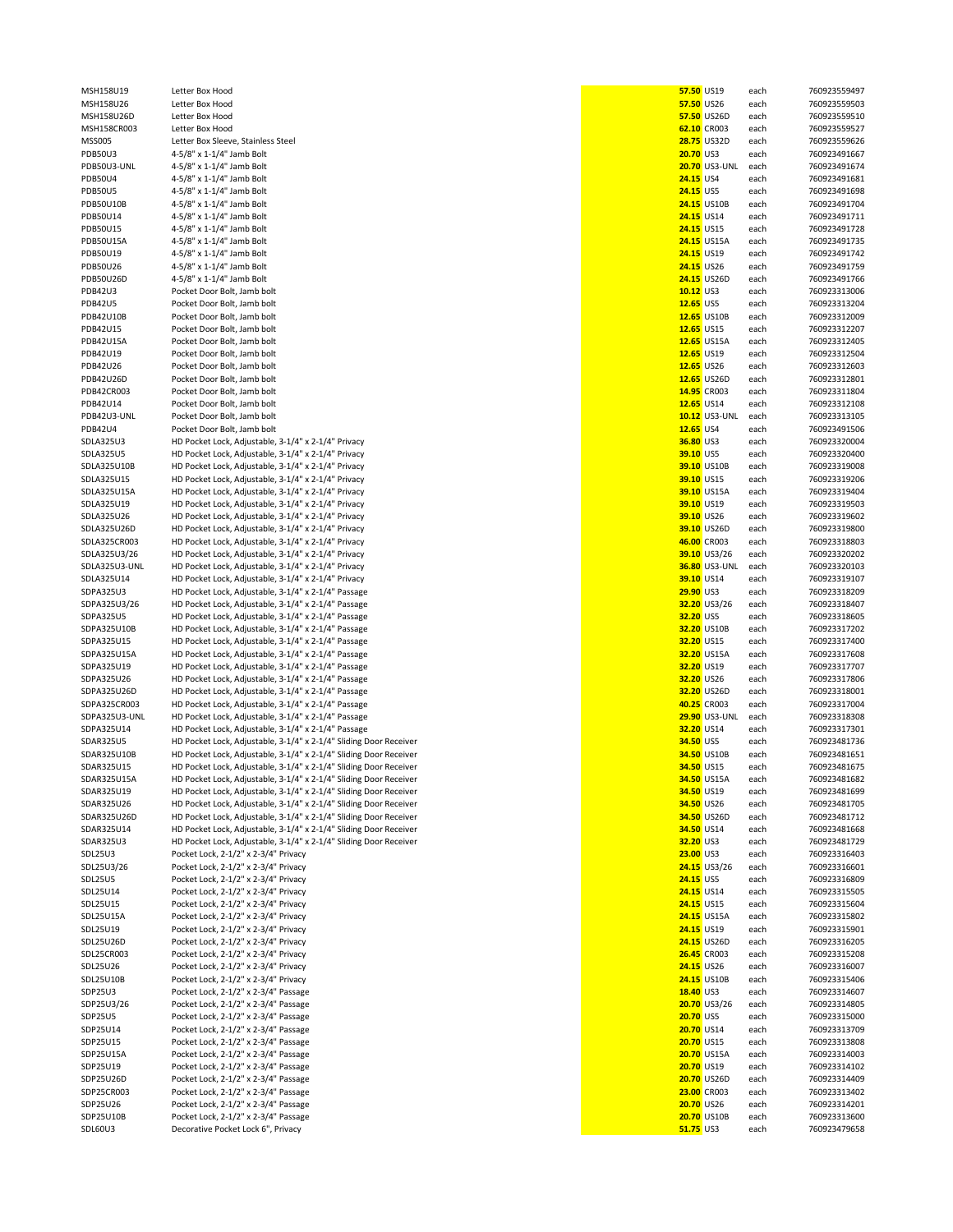| MSH158U19            | Letter Box Hood                                                            | 57.50 US19               | each         | 760923559497                 |
|----------------------|----------------------------------------------------------------------------|--------------------------|--------------|------------------------------|
| MSH158U26            | Letter Box Hood                                                            | 57.50 US26               | each         | 760923559503                 |
| MSH158U26D           | Letter Box Hood                                                            | 57.50 US26D              | each         | 760923559510                 |
| MSH158CR003          | Letter Box Hood                                                            | 62.10 CR003              | each         | 760923559527                 |
|                      |                                                                            |                          |              |                              |
| <b>MSS005</b>        | Letter Box Sleeve, Stainless Steel                                         | <b>28.75 US32D</b>       | each         | 760923559626                 |
| <b>PDB50U3</b>       | 4-5/8" x 1-1/4" Jamb Bolt                                                  | <b>20.70 US3</b>         | each         | 760923491667                 |
| PDB50U3-UNL          | 4-5/8" x 1-1/4" Jamb Bolt                                                  | 20.70 US3-UNL            | each         | 760923491674                 |
| <b>PDB50U4</b>       | 4-5/8" x 1-1/4" Jamb Bolt                                                  | 24.15 US4                | each         | 760923491681                 |
| <b>PDB50U5</b>       | 4-5/8" x 1-1/4" Jamb Bolt                                                  | 24.15 US5                | each         | 760923491698                 |
|                      |                                                                            |                          |              |                              |
| <b>PDB50U10B</b>     | 4-5/8" x 1-1/4" Jamb Bolt                                                  | <b>24.15 US10B</b>       | each         | 760923491704                 |
| PDB50U14             | 4-5/8" x 1-1/4" Jamb Bolt                                                  | 24.15 US14               | each         | 760923491711                 |
| <b>PDB50U15</b>      | 4-5/8" x 1-1/4" Jamb Bolt                                                  | 24.15 US15               | each         | 760923491728                 |
| <b>PDB50U15A</b>     | 4-5/8" x 1-1/4" Jamb Bolt                                                  | <b>24.15 US15A</b>       | each         | 760923491735                 |
| PDB50U19             |                                                                            |                          |              |                              |
|                      | 4-5/8" x 1-1/4" Jamb Bolt                                                  | 24.15 US19               | each         | 760923491742                 |
| <b>PDB50U26</b>      | 4-5/8" x 1-1/4" Jamb Bolt                                                  | 24.15 US26               | each         | 760923491759                 |
| PDB50U26D            | 4-5/8" x 1-1/4" Jamb Bolt                                                  | <b>24.15 US26D</b>       | each         | 760923491766                 |
| <b>PDB42U3</b>       | Pocket Door Bolt, Jamb bolt                                                | $10.12$ US3              | each         | 760923313006                 |
| <b>PDB42U5</b>       | Pocket Door Bolt, Jamb bolt                                                | 12.65 US5                | each         | 760923313204                 |
|                      |                                                                            |                          |              |                              |
| <b>PDB42U10B</b>     | Pocket Door Bolt, Jamb bolt                                                | 12.65 US10B              | each         | 760923312009                 |
| PDB42U15             | Pocket Door Bolt, Jamb bolt                                                | 12.65 US15               | each         | 760923312207                 |
| <b>PDB42U15A</b>     | Pocket Door Bolt, Jamb bolt                                                | 12.65 US15A              | each         | 760923312405                 |
| PDB42U19             | Pocket Door Bolt, Jamb bolt                                                | 12.65 US19               | each         | 760923312504                 |
| PDB42U26             | Pocket Door Bolt, Jamb bolt                                                | 12.65 US26               |              | 760923312603                 |
|                      |                                                                            |                          | each         |                              |
| PDB42U26D            | Pocket Door Bolt, Jamb bolt                                                | 12.65 US26D              | each         | 760923312801                 |
| PDB42CR003           | Pocket Door Bolt, Jamb bolt                                                | 14.95 CR003              | each         | 760923311804                 |
| PDB42U14             | Pocket Door Bolt, Jamb bolt                                                | 12.65 US14               | each         | 760923312108                 |
| PDB42U3-UNL          | Pocket Door Bolt, Jamb bolt                                                | <b>10.12 US3-UNL</b>     | each         | 760923313105                 |
|                      |                                                                            |                          |              |                              |
| <b>PDB42U4</b>       | Pocket Door Bolt, Jamb bolt                                                | 12.65 US4                | each         | 760923491506                 |
| <b>SDLA325U3</b>     | HD Pocket Lock, Adjustable, 3-1/4" x 2-1/4" Privacy                        | 36.80 US3                | each         | 760923320004                 |
| <b>SDLA325U5</b>     | HD Pocket Lock, Adjustable, 3-1/4" x 2-1/4" Privacy                        | 39.10 US5                | each         | 760923320400                 |
| SDLA325U10B          | HD Pocket Lock, Adjustable, 3-1/4" x 2-1/4" Privacy                        | 39.10 US10B              | each         | 760923319008                 |
| SDLA325U15           | HD Pocket Lock, Adjustable, 3-1/4" x 2-1/4" Privacy                        | 39.10 US15               |              | 760923319206                 |
|                      |                                                                            |                          | each         |                              |
| SDLA325U15A          | HD Pocket Lock, Adjustable, 3-1/4" x 2-1/4" Privacy                        | 39.10 US15A              | each         | 760923319404                 |
| SDLA325U19           | HD Pocket Lock, Adjustable, 3-1/4" x 2-1/4" Privacy                        | 39.10 US19               | each         | 760923319503                 |
| SDLA325U26           | HD Pocket Lock, Adjustable, 3-1/4" x 2-1/4" Privacy                        | 39.10 US26               | each         | 760923319602                 |
| SDLA325U26D          | HD Pocket Lock, Adjustable, 3-1/4" x 2-1/4" Privacy                        | 39.10 US26D              | each         | 760923319800                 |
|                      |                                                                            |                          |              |                              |
| SDLA325CR003         | HD Pocket Lock, Adjustable, 3-1/4" x 2-1/4" Privacy                        | 46.00 CR003              | each         | 760923318803                 |
| SDLA325U3/26         | HD Pocket Lock, Adjustable, 3-1/4" x 2-1/4" Privacy                        | 39.10 US3/26             | each         | 760923320202                 |
| SDLA325U3-UNL        | HD Pocket Lock, Adjustable, 3-1/4" x 2-1/4" Privacy                        | <b>36.80 US3-UNL</b>     | each         | 760923320103                 |
| SDLA325U14           | HD Pocket Lock, Adjustable, 3-1/4" x 2-1/4" Privacy                        | 39.10 US14               | each         | 760923319107                 |
| SDPA325U3            | HD Pocket Lock, Adjustable, 3-1/4" x 2-1/4" Passage                        | 29.90 US3                | each         | 760923318209                 |
|                      |                                                                            |                          |              |                              |
| SDPA325U3/26         | HD Pocket Lock, Adjustable, 3-1/4" x 2-1/4" Passage                        | 32.20 US3/26             | each         | 760923318407                 |
| SDPA325U5            | HD Pocket Lock, Adjustable, 3-1/4" x 2-1/4" Passage                        | 32.20 US5                | each         | 760923318605                 |
| SDPA325U10B          | HD Pocket Lock, Adjustable, 3-1/4" x 2-1/4" Passage                        | 32.20 US10B              | each         | 760923317202                 |
| SDPA325U15           | HD Pocket Lock, Adjustable, 3-1/4" x 2-1/4" Passage                        | 32.20 US15               | each         | 760923317400                 |
| SDPA325U15A          |                                                                            | 32.20 US15A              |              | 760923317608                 |
|                      | HD Pocket Lock, Adjustable, 3-1/4" x 2-1/4" Passage                        |                          | each         |                              |
| SDPA325U19           | HD Pocket Lock, Adjustable, 3-1/4" x 2-1/4" Passage                        | 32.20 US19               | each         | 760923317707                 |
| SDPA325U26           | HD Pocket Lock, Adjustable, 3-1/4" x 2-1/4" Passage                        | 32.20 US26               | each         | 760923317806                 |
| SDPA325U26D          | HD Pocket Lock, Adjustable, 3-1/4" x 2-1/4" Passage                        | 32.20 US26D              | each         | 760923318001                 |
| SDPA325CR003         | HD Pocket Lock, Adjustable, 3-1/4" x 2-1/4" Passage                        | 40.25 CR003              | each         | 760923317004                 |
|                      | HD Pocket Lock, Adjustable, 3-1/4" x 2-1/4" Passage                        |                          |              |                              |
| SDPA325U3-UNL        |                                                                            | <b>29.90 US3-UNL</b>     | each         | 760923318308                 |
| SDPA325U14           | HD Pocket Lock, Adjustable, 3-1/4" x 2-1/4" Passage                        | 32.20 US14               | each         | 760923317301                 |
| <b>SDAR325U5</b>     | HD Pocket Lock, Adjustable, 3-1/4" x 2-1/4" Sliding Door Receiver          | 34.50 US5                | each         | 760923481736                 |
| SDAR325U10B          | HD Pocket Lock, Adjustable, 3-1/4" x 2-1/4" Sliding Door Receiver          | 34.50 US10B              | each         | 760923481651                 |
| SDAR325U15           | HD Pocket Lock, Adjustable, 3-1/4" x 2-1/4" Sliding Door Receiver          | 34.50 US15               | each         | 760923481675                 |
|                      |                                                                            |                          |              |                              |
| SDAR325U15A          | HD Pocket Lock, Adjustable, 3-1/4" x 2-1/4" Sliding Door Receiver          | 34.50 US15A              | each         | 760923481682                 |
| SDAR325U19           | HD Pocket Lock, Adjustable, 3-1/4" x 2-1/4" Sliding Door Receiver          | 34.50 US19               | each         | 760923481699                 |
| SDAR325U26           | HD Pocket Lock, Adjustable, 3-1/4" x 2-1/4" Sliding Door Receiver          | 34.50 US26               | each         | 760923481705                 |
| SDAR325U26D          | HD Pocket Lock, Adjustable, 3-1/4" x 2-1/4" Sliding Door Receiver          | 34.50 US26D              | each         | 760923481712                 |
| SDAR325U14           | HD Pocket Lock, Adjustable, 3-1/4" x 2-1/4" Sliding Door Receiver          | 34.50 US14               | each         | 760923481668                 |
|                      |                                                                            |                          |              |                              |
| SDAR325U3            | HD Pocket Lock, Adjustable, 3-1/4" x 2-1/4" Sliding Door Receiver          | 32.20 US3                | each         | 760923481729                 |
| SDL25U3              | Pocket Lock, 2-1/2" x 2-3/4" Privacy                                       | 23.00 US3                | each         | 760923316403                 |
| SDL25U3/26           | Pocket Lock, 2-1/2" x 2-3/4" Privacy                                       | 24.15 US3/26             | each         | 760923316601                 |
| SDL25U5              | Pocket Lock, 2-1/2" x 2-3/4" Privacy                                       | 24.15 US5                | each         | 760923316809                 |
| SDL25U14             |                                                                            |                          |              |                              |
|                      | Pocket Lock, 2-1/2" x 2-3/4" Privacy                                       | 24.15 US14               | each         | 760923315505                 |
| SDL25U15             | Pocket Lock, 2-1/2" x 2-3/4" Privacy                                       | 24.15 US15               | each         | 760923315604                 |
| SDL25U15A            | Pocket Lock, 2-1/2" x 2-3/4" Privacy                                       | 24.15 US15A              | each         | 760923315802                 |
| SDL25U19             | Pocket Lock, 2-1/2" x 2-3/4" Privacy                                       | 24.15 US19               | each         | 760923315901                 |
| SDL25U26D            | Pocket Lock, 2-1/2" x 2-3/4" Privacy                                       | 24.15 US26D              |              | 760923316205                 |
|                      |                                                                            |                          | each         |                              |
| SDL25CR003           | Pocket Lock, 2-1/2" x 2-3/4" Privacy                                       | 26.45 CR003              | each         | 760923315208                 |
| SDL25U26             | Pocket Lock, 2-1/2" x 2-3/4" Privacy                                       | 24.15 US26               | each         | 760923316007                 |
| SDL25U10B            | Pocket Lock, 2-1/2" x 2-3/4" Privacy                                       | 24.15 US10B              | each         | 760923315406                 |
| SDP25U3              | Pocket Lock, 2-1/2" x 2-3/4" Passage                                       | 18.40 US3                | each         | 760923314607                 |
|                      | Pocket Lock, 2-1/2" x 2-3/4" Passage                                       |                          |              |                              |
| SDP25U3/26           |                                                                            | 20.70 US3/26             | each         | 760923314805                 |
|                      |                                                                            |                          |              |                              |
| <b>SDP25U5</b>       | Pocket Lock, 2-1/2" x 2-3/4" Passage                                       | 20.70 US5                | each         | 760923315000                 |
| SDP25U14             | Pocket Lock, 2-1/2" x 2-3/4" Passage                                       | 20.70 US14               | each         | 760923313709                 |
| SDP25U15             | Pocket Lock, 2-1/2" x 2-3/4" Passage                                       | 20.70 US15               | each         | 760923313808                 |
|                      |                                                                            |                          |              |                              |
| SDP25U15A            | Pocket Lock, 2-1/2" x 2-3/4" Passage                                       | 20.70 US15A              | each         | 760923314003                 |
| SDP25U19             | Pocket Lock, 2-1/2" x 2-3/4" Passage                                       | 20.70 US19               | each         | 760923314102                 |
| SDP25U26D            | Pocket Lock, 2-1/2" x 2-3/4" Passage                                       | 20.70 US26D              | each         | 760923314409                 |
| SDP25CR003           | Pocket Lock, 2-1/2" x 2-3/4" Passage                                       | 23.00 CR003              | each         | 760923313402                 |
|                      |                                                                            |                          |              |                              |
| SDP25U26             | Pocket Lock, 2-1/2" x 2-3/4" Passage                                       | 20.70 US26               | each         | 760923314201                 |
| SDP25U10B<br>SDL60U3 | Pocket Lock, 2-1/2" x 2-3/4" Passage<br>Decorative Pocket Lock 6", Privacy | 20.70 US10B<br>51.75 US3 | each<br>each | 760923313600<br>760923479658 |

|           | 57.50 US19                                                         | each         | 76092355949                |
|-----------|--------------------------------------------------------------------|--------------|----------------------------|
|           | 57.50 US26                                                         | each         | 76092355950                |
|           | 57.50 US26D<br>52.10 CR003                                         | each<br>each | 76092355951<br>76092355952 |
|           | 28.75 US32D                                                        | each         | 76092355962                |
| 20.70 US3 |                                                                    | each         | 76092349166                |
|           | 20.70 US3-UNL                                                      | each         | 76092349167                |
| 24.15 US4 |                                                                    | each         | 76092349168                |
| 24.15 US5 |                                                                    | each         | 76092349169                |
|           | 24.15 US10B                                                        | each         | 76092349170                |
|           | 24.15 US14                                                         | each         | 76092349171                |
|           | 24.15 US15<br>24.15 US15A                                          | each<br>each | 76092349172<br>76092349173 |
|           | 24.15 US19                                                         | each         | 76092349174                |
|           | 24.15 US26                                                         | each         | 76092349175                |
|           | 24.15 US26D                                                        | each         | 76092349176                |
|           | 10.12 US3                                                          | each         | 76092331300                |
| 12.65 US5 |                                                                    | each         | 76092331320                |
|           | <mark>12.65</mark> US10B                                           | each         | 76092331200                |
|           | 12.65 US15                                                         | each<br>each | 76092331220<br>76092331240 |
|           | <mark>12.65</mark> US15A<br>- 2.55 US19<br><mark>12.65</mark> US19 | each         | 76092331250                |
|           | 12.65 US26                                                         | each         | 76092331260                |
|           | <mark>12.65</mark> US26D                                           | each         | 76092331280                |
|           | <mark>14.95</mark> CR003                                           | each         | 76092331180                |
|           | <mark>12.65</mark> US14                                            | each         | 76092331210                |
|           | <mark>10.12</mark> US3-UNL                                         | each         | 76092331310                |
| 12.65 US4 |                                                                    | each         | 76092349150                |
| 39.10 US5 | 36.80 US3                                                          | each<br>each | 76092332000<br>76092332040 |
|           | 39.10 US10B                                                        | each         | 76092331900                |
|           | 39.10 US15                                                         | each         | 76092331920                |
|           | <mark>39.10</mark> US15A                                           | each         | 76092331940                |
|           | 39.10 US19                                                         | each         | 76092331950                |
|           | 39.10 US26                                                         | each         | 76092331960                |
|           | 39.10 US26D                                                        | each         | 76092331980                |
|           | <mark>16.00</mark> CR003<br>39.10 US3/26                           | each         | 76092331880<br>76092332020 |
|           | <mark>36.80</mark> US3-UNL                                         | each<br>each | 76092332010                |
|           |                                                                    | each         | 76092331910                |
| 29.90 US3 | <mark>39.10</mark> US14<br>29.90 US3                               | each         | 76092331820                |
|           | 32.20 US3/26                                                       | each         | 76092331840                |
| 32.20 US5 |                                                                    | each         | 76092331860                |
|           | 32.20 US10B                                                        | each         | 76092331720                |
|           | 32.20 US15                                                         | each<br>each | 76092331740<br>76092331760 |
|           | <mark>32.20</mark> US15A<br>32.20 US19                             | each         | 76092331770                |
|           | 32.20 US26                                                         | each         | 76092331780                |
|           | 32.20 US26D<br>10.25 CR003                                         | each         | 76092331800                |
|           | 10.25 CR003                                                        | each         | 76092331700                |
|           | <mark>29.90</mark> US3-UNL                                         | each         | 76092331830                |
|           | 32.20 US14                                                         | each         | 76092331730                |
| 34.50 US5 | 34.50 US10B                                                        | each<br>each | 76092348173<br>76092348165 |
|           | 34.50 US15                                                         | each         | 76092348167                |
|           | 34.50 US15A each                                                   |              | 76092348168                |
|           | 34.50 US19                                                         | each         | 76092348169                |
|           | 34.50 US26                                                         | each         | 76092348170                |
|           | 34.50 US26D                                                        | each         | 76092348171                |
| 32.20 US3 | 34.50 US14                                                         | each         | 76092348166<br>76092348172 |
| 23.00 US3 |                                                                    | each<br>each | 76092331640                |
|           | 24.15 US3/26                                                       | each         | 76092331660                |
| 24.15 US5 |                                                                    | each         | 76092331680                |
|           | 24.15 US14                                                         | each         | 76092331550                |
|           | 24.15 US15                                                         | each         | 76092331560                |
|           | 24.15 US15A                                                        | each         | 76092331580                |
|           | 24.15 US19                                                         | each         | 76092331590                |
|           | 24.15 US26D<br>26.45 CR003                                         | each<br>each | 76092331620<br>76092331520 |
|           | 24.15 US26                                                         | each         | 76092331600                |
|           | 24.15 US10B                                                        | each         | 76092331540                |
| 18.40 US3 |                                                                    | each         | 76092331460                |
|           | 20.70 US3/26                                                       | each         | 76092331480                |
| 20.70 US5 |                                                                    | each         | 76092331500                |
|           | 20.70 US14                                                         | each         | 76092331370                |
|           | 20.70 US15<br>20.70 US15A                                          | each<br>each | 76092331380<br>76092331400 |
|           | 20.70 US19                                                         | each         | 76092331410                |
|           | 20.70 US26D                                                        | each         | 76092331440                |
|           | <mark>23.00</mark> CR003                                           | each         | 76092331340                |
|           | 20.70 US26                                                         | each         | 76092331420                |
|           | 20.70 US10B                                                        | each         | 76092331360                |
| 51.75 US3 |                                                                    | each         | 76092347965                |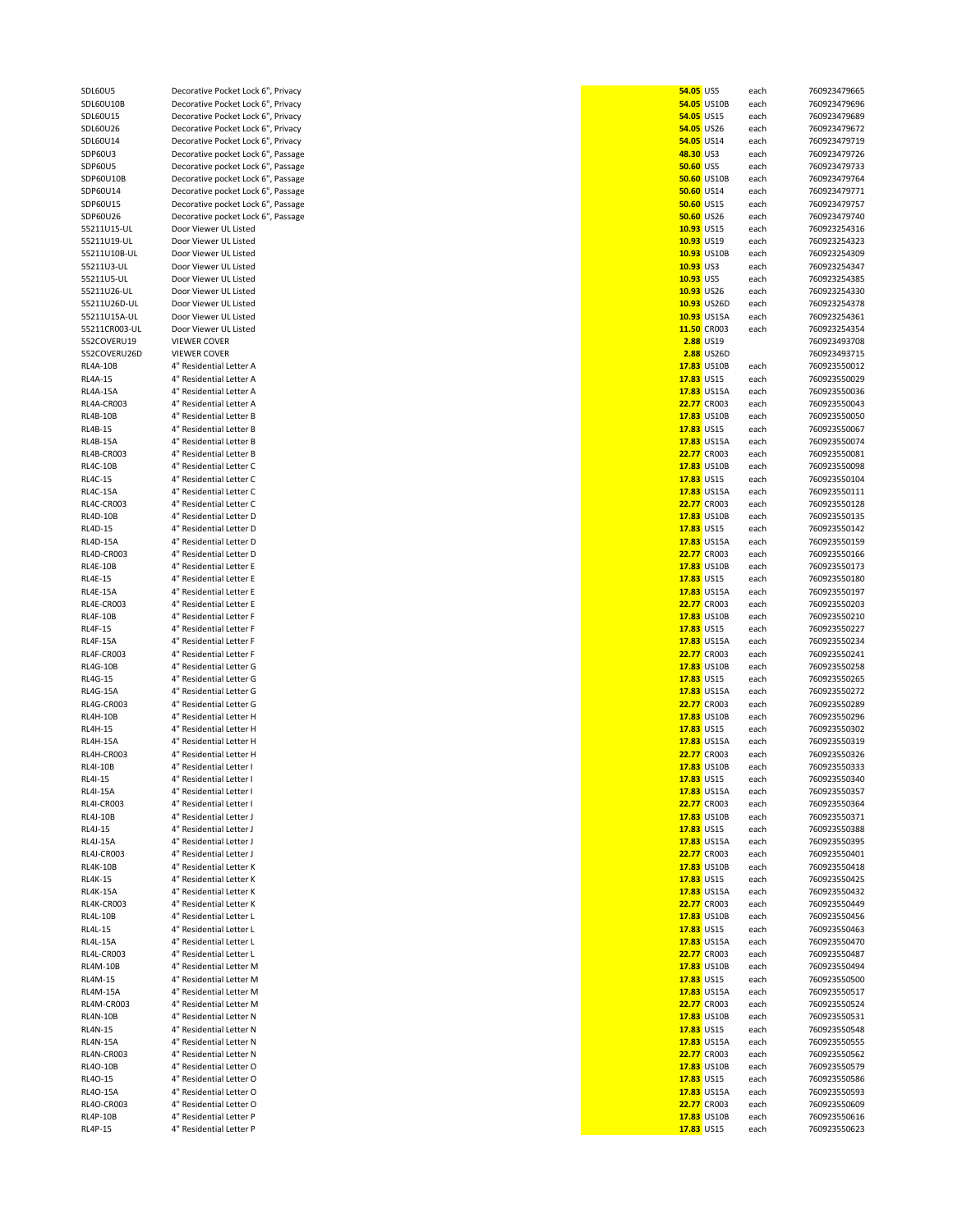| SDL60U5         | Decorative Pocket Lock 6", Privacy | 54.05 US5        |                    | each | 760923479665 |
|-----------------|------------------------------------|------------------|--------------------|------|--------------|
|                 |                                    |                  |                    |      |              |
| SDL60U10B       | Decorative Pocket Lock 6", Privacy |                  | 54.05 US10B        | each | 760923479696 |
| SDL60U15        | Decorative Pocket Lock 6", Privacy |                  | 54.05 US15         | each | 760923479689 |
| SDL60U26        | Decorative Pocket Lock 6", Privacy |                  | 54.05 US26         | each | 760923479672 |
| SDL60U14        | Decorative Pocket Lock 6", Privacy |                  | 54.05 US14         |      |              |
|                 |                                    |                  |                    | each | 760923479719 |
| SDP60U3         | Decorative pocket Lock 6", Passage | 48.30 US3        |                    | each | 760923479726 |
| SDP60U5         | Decorative pocket Lock 6", Passage | <b>50.60 US5</b> |                    | each | 760923479733 |
| SDP60U10B       | Decorative pocket Lock 6", Passage |                  | <b>50.60 US10B</b> | each | 760923479764 |
|                 |                                    |                  |                    |      |              |
| SDP60U14        | Decorative pocket Lock 6", Passage |                  | <b>50.60 US14</b>  | each | 760923479771 |
| SDP60U15        | Decorative pocket Lock 6", Passage |                  | <b>50.60 US15</b>  | each | 760923479757 |
| SDP60U26        | Decorative pocket Lock 6", Passage |                  | 50.60 US26         | each | 760923479740 |
|                 |                                    |                  |                    |      |              |
| 55211U15-UL     | Door Viewer UL Listed              |                  | 10.93 US15         | each | 760923254316 |
| 55211U19-UL     | Door Viewer UL Listed              |                  | 10.93 US19         | each | 760923254323 |
| 55211U10B-UL    | Door Viewer UL Listed              |                  | 10.93 US10B        | each | 760923254309 |
|                 |                                    |                  |                    |      | 760923254347 |
| 55211U3-UL      | Door Viewer UL Listed              | 10.93 US3        |                    | each |              |
| 55211U5-UL      | Door Viewer UL Listed              | 10.93 US5        |                    | each | 760923254385 |
| 55211U26-UL     | Door Viewer UL Listed              |                  | 10.93 US26         | each | 760923254330 |
| 55211U26D-UL    |                                    |                  |                    |      |              |
|                 | Door Viewer UL Listed              |                  | 10.93 US26D        | each | 760923254378 |
| 55211U15A-UL    | Door Viewer UL Listed              |                  | 10.93 US15A        | each | 760923254361 |
| 55211CR003-UL   | Door Viewer UL Listed              |                  | 11.50 CR003        | each | 760923254354 |
|                 |                                    |                  |                    |      |              |
| 552COVERU19     | <b>VIEWER COVER</b>                |                  | 2.88 US19          |      | 760923493708 |
| 552COVERU26D    | VIEWER COVER                       |                  | <b>2.88 US26D</b>  |      | 760923493715 |
| RL4A-10B        | 4" Residential Letter A            |                  | 17.83 US10B        | each | 760923550012 |
| RL4A-15         | 4" Residential Letter A            |                  | 17.83 US15         | each | 760923550029 |
|                 |                                    |                  |                    |      |              |
| <b>RL4A-15A</b> | 4" Residential Letter A            |                  | 17.83 US15A        | each | 760923550036 |
| RL4A-CR003      | 4" Residential Letter A            |                  | <b>22.77</b> CR003 | each | 760923550043 |
|                 | 4" Residential Letter B            |                  |                    |      |              |
| RL4B-10B        |                                    |                  | 17.83 US10B        | each | 760923550050 |
| RL4B-15         | 4" Residential Letter B            |                  | 17.83 US15         | each | 760923550067 |
| RL4B-15A        | 4" Residential Letter B            |                  | 17.83 US15A        | each | 760923550074 |
|                 |                                    |                  | <b>22.77</b> CR003 |      | 760923550081 |
| RL4B-CR003      | 4" Residential Letter B            |                  |                    | each |              |
| RL4C-10B        | 4" Residential Letter C            |                  | 17.83 US10B        | each | 760923550098 |
| RL4C-15         | 4" Residential Letter C            |                  | 17.83 US15         | each | 760923550104 |
|                 | 4" Residential Letter C            |                  | 17.83 US15A        |      | 760923550111 |
| RL4C-15A        |                                    |                  |                    | each |              |
| RL4C-CR003      | 4" Residential Letter C            |                  | <b>22.77</b> CR003 | each | 760923550128 |
| RL4D-10B        | 4" Residential Letter D            |                  | 17.83 US10B        | each | 760923550135 |
|                 |                                    |                  | 17.83 US15         |      |              |
| RL4D-15         | 4" Residential Letter D            |                  |                    | each | 760923550142 |
| RL4D-15A        | 4" Residential Letter D            |                  | 17.83 US15A        | each | 760923550159 |
| RL4D-CR003      | 4" Residential Letter D            |                  | <b>22.77</b> CR003 | each | 760923550166 |
|                 |                                    |                  |                    |      |              |
| RL4E-10B        | 4" Residential Letter E            |                  | 17.83 US10B        | each | 760923550173 |
| RL4E-15         | 4" Residential Letter E            |                  | 17.83 US15         | each | 760923550180 |
| RL4E-15A        | 4" Residential Letter E            |                  | 17.83 US15A        | each | 760923550197 |
|                 |                                    |                  | 22.77 CR003        |      |              |
| RL4E-CR003      | 4" Residential Letter E            |                  |                    | each | 760923550203 |
| RL4F-10B        | 4" Residential Letter F            |                  | 17.83 US10B        | each | 760923550210 |
| RL4F-15         | 4" Residential Letter F            |                  | 17.83 US15         | each | 760923550227 |
| RL4F-15A        | 4" Residential Letter F            |                  | 17.83 US15A        |      | 760923550234 |
|                 |                                    |                  |                    | each |              |
| RL4F-CR003      | 4" Residential Letter F            |                  | <b>22.77</b> CR003 | each | 760923550241 |
| RL4G-10B        | 4" Residential Letter G            |                  | 17.83 US10B        | each | 760923550258 |
| RL4G-15         | 4" Residential Letter G            |                  | 17.83 US15         | each | 760923550265 |
|                 |                                    |                  |                    |      |              |
| RL4G-15A        | 4" Residential Letter G            |                  | 17.83 US15A        | each | 760923550272 |
| RL4G-CR003      | 4" Residential Letter G            |                  | 22.77 CR003        | each | 760923550289 |
| RL4H-10B        | 4" Residential Letter H            |                  | 17.83 US10B        | each | 760923550296 |
|                 |                                    |                  |                    |      |              |
| RL4H-15         | 4" Residential Letter H            |                  | 17.83 US15         | each | 760923550302 |
| RL4H-15A        | 4" Residential Letter H            |                  | 17.83 US15A        | each | 760923550319 |
| RL4H-CR003      | 4" Residential Letter H            |                  | 22.77 CR003        |      | 760923550326 |
|                 |                                    |                  |                    | each |              |
| <b>RL4I-10B</b> | 4" Residential Letter I            |                  | 17.83 US10B        | each | 760923550333 |
| RL4I-15         | 4" Residential Letter I            |                  | 17.83 US15         | each | 760923550340 |
| RL4I-15A        | 4" Residential Letter I            |                  | 17.83 US15A        | each | 760923550357 |
|                 |                                    |                  |                    |      |              |
| RL4I-CR003      | 4" Residential Letter I            |                  | <b>22.77</b> CR003 | each | 760923550364 |
| RL4J-10B        | 4" Residential Letter J            |                  | 17.83 US10B        | each | 760923550371 |
| RL4J-15         | 4" Residential Letter J            |                  | 17.83 US15         | each | 760923550388 |
|                 |                                    |                  |                    |      |              |
| RL4J-15A        | 4" Residential Letter J            |                  | 17.83 US15A        | each | 760923550395 |
| RL4J-CR003      | 4" Residential Letter J            |                  | <b>22.77</b> CR003 | each | 760923550401 |
| RL4K-10B        | 4" Residential Letter K            |                  | 17.83 US10B        | each | 760923550418 |
|                 |                                    |                  |                    |      |              |
| RL4K-15         | 4" Residential Letter K            |                  | 17.83 US15         | each | 760923550425 |
| RL4K-15A        | 4" Residential Letter K            |                  | 17.83 US15A        | each | 760923550432 |
| RL4K-CR003      | 4" Residential Letter K            |                  | 22.77 CR003        | each | 760923550449 |
|                 |                                    |                  |                    |      |              |
| RL4L-10B        | 4" Residential Letter L            |                  | 17.83 US10B        | each | 760923550456 |
| RL4L-15         | 4" Residential Letter L            |                  | 17.83 US15         | each | 760923550463 |
| RL4L-15A        | 4" Residential Letter L            |                  | 17.83 US15A        | each | 760923550470 |
|                 | 4" Residential Letter L            |                  |                    |      | 760923550487 |
| RL4L-CR003      |                                    |                  | <b>22.77</b> CR003 | each |              |
| RL4M-10B        | 4" Residential Letter M            |                  | 17.83 US10B        | each | 760923550494 |
| RL4M-15         | 4" Residential Letter M            |                  | 17.83 US15         | each | 760923550500 |
| RL4M-15A        | 4" Residential Letter M            |                  | 17.83 US15A        | each | 760923550517 |
|                 |                                    |                  |                    |      |              |
| RL4M-CR003      | 4" Residential Letter M            |                  | <b>22.77</b> CR003 | each | 760923550524 |
| RL4N-10B        | 4" Residential Letter N            |                  | 17.83 US10B        | each | 760923550531 |
|                 |                                    |                  |                    |      |              |
| RL4N-15         | 4" Residential Letter N            |                  | 17.83 US15         | each | 760923550548 |
| RL4N-15A        | 4" Residential Letter N            |                  | 17.83 US15A        | each | 760923550555 |
| RL4N-CR003      | 4" Residential Letter N            |                  | <b>22.77</b> CR003 | each | 760923550562 |
| RL4O-10B        | 4" Residential Letter O            |                  | 17.83 US10B        | each | 760923550579 |
|                 |                                    |                  |                    |      |              |
| RL4O-15         | 4" Residential Letter O            |                  | 17.83 US15         | each | 760923550586 |
| RL4O-15A        | 4" Residential Letter O            |                  | 17.83 US15A        | each | 760923550593 |
| RL4O-CR003      | 4" Residential Letter O            |                  | 22.77 CR003        | each | 760923550609 |
|                 |                                    |                  |                    |      |              |
| RL4P-10B        | 4" Residential Letter P            |                  | 17.83 US10B        | each | 760923550616 |
| RL4P-15         | 4" Residential Letter P            |                  | 17.83 US15         | each | 760923550623 |
|                 |                                    |                  |                    |      |              |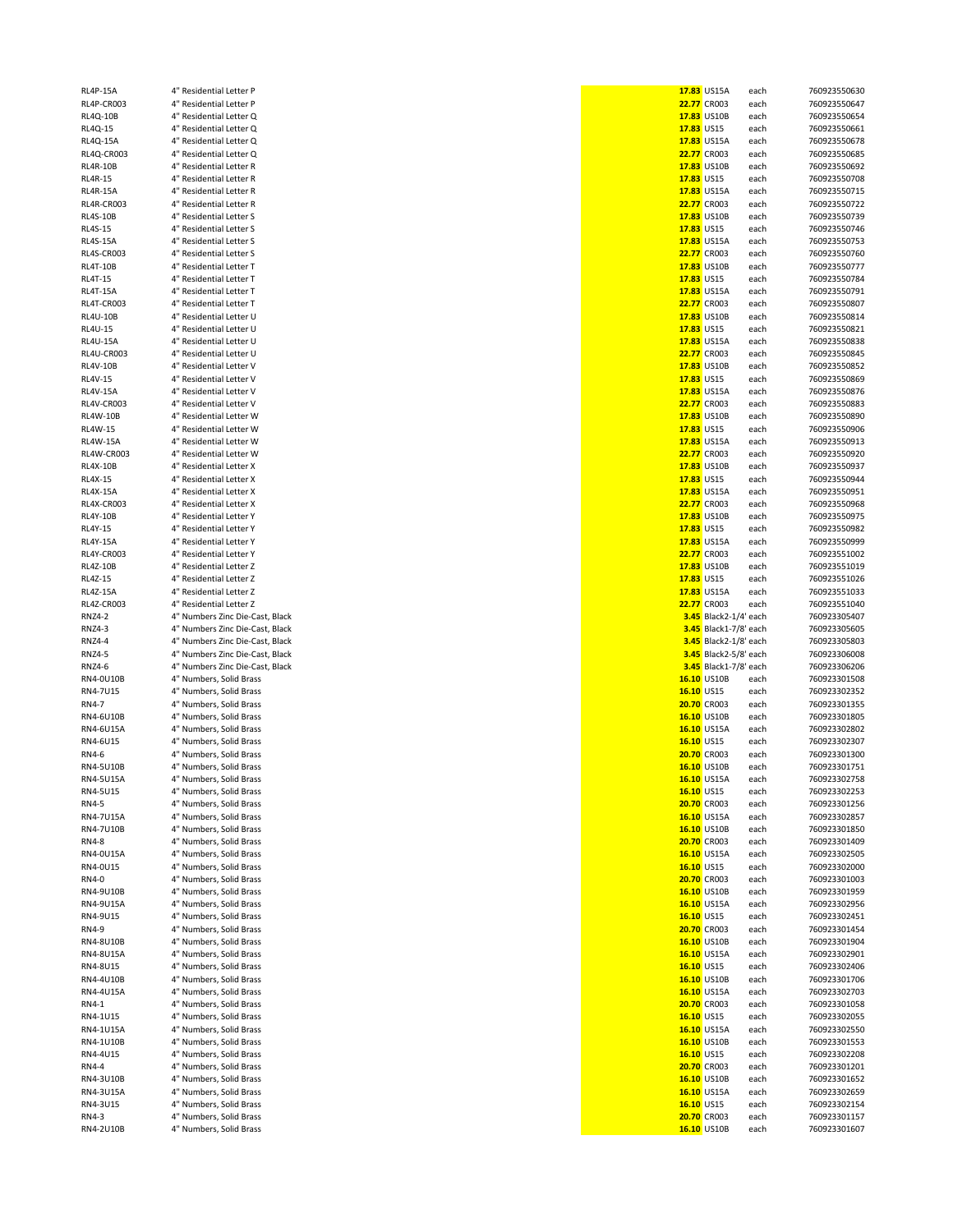| 4F-13M                           | nesiuential Lette                          |
|----------------------------------|--------------------------------------------|
| 4P-CR003                         | 4" Residential Lette                       |
| $4Q-10B$                         | 4" Residential Lette                       |
| $4Q-15$                          | 4" Residential Lette                       |
| $4Q-15A$                         | 4" Residential Lette                       |
| 4Q-CR003                         | 4" Residential Lette                       |
| 4R-10B                           | 4" Residential Lette                       |
| 4R-15                            | 4" Residential Lette                       |
| $4R-15A$                         | 4" Residential Lette                       |
| 4R-CR003-                        | 4" Residential Lette                       |
| 4S-10B                           | 4" Residential Lette                       |
| $-45 - 15$                       | 4" Residential Lette                       |
| 4S-15A                           | 4" Residential Lette                       |
| 4S-CR003                         | 4" Residential Lette                       |
| 4T-10B                           | 4" Residential Lette                       |
| $-4T-15$                         | 4" Residential Lette                       |
| 4T-15A                           | 4" Residential Lette                       |
| 4T-CR003                         | 4" Residential Lette                       |
| $4U-10B$                         | 4" Residential Lette                       |
| .4U-15                           | 4" Residential Lette                       |
| $4U-15A$                         | 4" Residential Lette                       |
| 4U-CR003                         | 4" Residential Lette                       |
| 4V-10B                           | 4" Residential Lette                       |
| $4V-15$                          | 4" Residential Lette                       |
| 4V-15A                           | 4" Residential Lette                       |
| 4V-CR003                         | 4" Residential Lette                       |
| $4W-10B$                         | 4" Residential Lette                       |
| $4W-15$                          | 4" Residential Lette                       |
| 4W-15A                           | 4" Residential Lette                       |
| 4W-CR003                         | 4" Residential Lette                       |
| 4X-10B                           | 4" Residential Lette                       |
| $4X-15$                          | 4" Residential Lette                       |
| 4X-15A                           | 4" Residential Lette                       |
| 4X-CR003                         | 4" Residential Lette                       |
| $4Y-10B$                         | 4" Residential Lette                       |
| $4Y-15$                          | 4" Residential Lette                       |
| 4Y-15A                           | 4" Residential Lette                       |
| 4Y-CR003                         | 4" Residential Lette                       |
| 4Z-10B                           | 4" Residential Lette                       |
| 4Z-15                            | 4" Residential Lette                       |
| 4Z-15A                           | 4" Residential Lette                       |
| 4Z-CR003                         | 4" Residential Lette                       |
|                                  |                                            |
| <b>NZ4-2</b>                     | 4" Numbers Zinc Die                        |
| <b>VZ4-3</b>                     | 4" Numbers Zinc Die                        |
| <b>NZ4-4</b>                     | 4" Numbers Zinc Die                        |
| <b>VZ4-5</b>                     | 4" Numbers Zinc Die                        |
| <b>NZ4-6</b>                     | 4" Numbers Zinc Die                        |
| <b>V4-OU10B</b>                  | 4" Numbers, Solid B                        |
| <b>V4-7U15</b>                   | 4" Numbers, Solid B                        |
| $V4-7$                           | 4" Numbers, Solid B                        |
| <b>V4-6U10B</b>                  | 4" Numbers, Solid B                        |
| <b>V4-6U15A</b>                  | 4" Numbers, Solid B                        |
| <b>V4-6U15</b>                   | 4" Numbers, Solid B                        |
| ۹-4∨                             | 4" Numbers, Solid B                        |
| <b>V4-5U10B</b>                  | 4" Numbers, Solid B                        |
| <b>V4-5U15A</b>                  | 4" Numbers, Solid B                        |
| <b>V4-5U15</b>                   | 4" Numbers, Solid B                        |
| $V4-5$                           | 4" Numbers, Solid B                        |
| <b>V4-7U15A</b>                  | 4" Numbers, Solid B                        |
| <b>V4-7U10B</b>                  | 4" Numbers, Solid B                        |
| $V4-8$                           | 4" Numbers, Solid B                        |
| <b>V4-0U15A</b>                  | 4" Numbers, Solid B                        |
| <b>V4-0U15</b>                   | 4" Numbers, Solid B                        |
| $V4-0$                           | 4" Numbers, Solid B                        |
| <b>V4-9U10B</b>                  | 4" Numbers, Solid B                        |
| <b>V4-9U15A</b>                  | 4" Numbers, Solid B                        |
| <b>V4-9U15</b>                   | 4" Numbers, Solid B                        |
| $4-9$                            | 4" Numbers, Solid B                        |
| <b>V4-8U10B</b>                  | 4" Numbers, Solid B                        |
| <b>V4-8U15A</b>                  | 4" Numbers, Solid B                        |
| <b>V4-8U15</b>                   | 4" Numbers, Solid B                        |
| <b>V4-4U10B</b>                  | 4" Numbers, Solid B                        |
| <b>V4-4U15A</b>                  | 4" Numbers, Solid B                        |
| $V4-1$                           | 4" Numbers, Solid B                        |
|                                  | 4" Numbers, Solid B                        |
| <b>4-1U15</b><br><b>V4-1U15A</b> | 4" Numbers, Solid B                        |
| <b>V4-1U10B</b>                  | 4" Numbers, Solid B                        |
| <b>4-4U15</b>                    | 4" Numbers, Solid B                        |
| $V4-4$                           | 4" Numbers, Solid B                        |
| <b>V4-3U10B</b>                  | 4" Numbers, Solid B                        |
| <b>V4-3U15A</b>                  | 4" Numbers, Solid B                        |
| <b>4-3U15</b>                    | 4" Numbers, Solid B                        |
| $V4-3$<br><b>V4-2U10B</b>        | 4" Numbers, Solid B<br>4" Numbers, Solid B |

| RL4P-15A        | 4" Residential Letter P         |            | 17.83 US15A           | each | 760923550630 |
|-----------------|---------------------------------|------------|-----------------------|------|--------------|
| RL4P-CR003      | 4" Residential Letter P         |            | 22.77 CR003           | each | 760923550647 |
|                 |                                 |            |                       |      |              |
| RL4Q-10B        | 4" Residential Letter Q         |            | 17.83 US10B           | each | 760923550654 |
| RL4Q-15         | 4" Residential Letter Q         | 17.83 US15 |                       | each | 760923550661 |
| RL4Q-15A        | 4" Residential Letter Q         |            | 17.83 US15A           | each | 760923550678 |
| RL4Q-CR003      | 4" Residential Letter Q         |            | <b>22.77</b> CR003    | each | 760923550685 |
| RL4R-10B        | 4" Residential Letter R         |            | 17.83 US10B           |      | 760923550692 |
|                 |                                 |            |                       | each |              |
| RL4R-15         | 4" Residential Letter R         | 17.83 US15 |                       | each | 760923550708 |
| RL4R-15A        | 4" Residential Letter R         |            | 17.83 US15A           | each | 760923550715 |
| RL4R-CR003      | 4" Residential Letter R         |            | <b>22.77</b> CR003    | each | 760923550722 |
| RL4S-10B        | 4" Residential Letter S         |            | 17.83 US10B           | each | 760923550739 |
|                 |                                 |            |                       |      |              |
| RL4S-15         | 4" Residential Letter S         | 17.83 US15 |                       | each | 760923550746 |
| RL4S-15A        | 4" Residential Letter S         |            | 17.83 US15A           | each | 760923550753 |
| RL4S-CR003      | 4" Residential Letter S         |            | <b>22.77</b> CR003    | each | 760923550760 |
|                 |                                 |            |                       |      |              |
| RL4T-10B        | 4" Residential Letter T         |            | 17.83 US10B           | each | 760923550777 |
| RL4T-15         | 4" Residential Letter T         | 17.83 US15 |                       | each | 760923550784 |
| <b>RL4T-15A</b> | 4" Residential Letter T         |            | 17.83 US15A           | each | 760923550791 |
| RL4T-CR003      | 4" Residential Letter T         |            | <b>22.77</b> CR003    | each | 760923550807 |
|                 |                                 |            |                       |      |              |
| RL4U-10B        | 4" Residential Letter U         |            | 17.83 US10B           | each | 760923550814 |
| RL4U-15         | 4" Residential Letter U         | 17.83 US15 |                       | each | 760923550821 |
| RL4U-15A        | 4" Residential Letter U         |            | 17.83 US15A           | each | 760923550838 |
|                 |                                 |            | <b>22.77</b> CR003    |      |              |
| RL4U-CR003      | 4" Residential Letter U         |            |                       | each | 760923550845 |
| RL4V-10B        | 4" Residential Letter V         |            | 17.83 US10B           | each | 760923550852 |
| RL4V-15         | 4" Residential Letter V         | 17.83 US15 |                       | each | 760923550869 |
| <b>RL4V-15A</b> | 4" Residential Letter V         |            | 17.83 US15A           | each | 760923550876 |
|                 |                                 |            |                       |      |              |
| RL4V-CR003      | 4" Residential Letter V         |            | <b>22.77</b> CR003    | each | 760923550883 |
| RL4W-10B        | 4" Residential Letter W         |            | 17.83 US10B           | each | 760923550890 |
| RL4W-15         | 4" Residential Letter W         | 17.83 US15 |                       | each | 760923550906 |
| RL4W-15A        | 4" Residential Letter W         |            | 17.83 US15A           |      | 760923550913 |
|                 |                                 |            |                       | each |              |
| RL4W-CR003      | 4" Residential Letter W         |            | <b>22.77</b> CR003    | each | 760923550920 |
| <b>RL4X-10B</b> | 4" Residential Letter X         |            | 17.83 US10B           | each | 760923550937 |
| RL4X-15         | 4" Residential Letter X         | 17.83 US15 |                       | each | 760923550944 |
|                 |                                 |            |                       |      |              |
| RL4X-15A        | 4" Residential Letter X         |            | 17.83 US15A           | each | 760923550951 |
| RL4X-CR003      | 4" Residential Letter X         |            | <b>22.77</b> CR003    | each | 760923550968 |
| <b>RL4Y-10B</b> | 4" Residential Letter Y         |            | 17.83 US10B           | each | 760923550975 |
| RL4Y-15         | 4" Residential Letter Y         | 17.83 US15 |                       | each | 760923550982 |
|                 |                                 |            |                       |      |              |
| RL4Y-15A        | 4" Residential Letter Y         |            | 17.83 US15A           | each | 760923550999 |
| RL4Y-CR003      | 4" Residential Letter Y         |            | <b>22.77</b> CR003    | each | 760923551002 |
| RL4Z-10B        | 4" Residential Letter Z         |            | 17.83 US10B           | each | 760923551019 |
|                 |                                 |            |                       |      |              |
| RL4Z-15         | 4" Residential Letter Z         | 17.83 US15 |                       | each | 760923551026 |
| RL4Z-15A        | 4" Residential Letter Z         |            | 17.83 US15A           | each | 760923551033 |
| RL4Z-CR003      | 4" Residential Letter Z         |            | <b>22.77</b> CR003    | each | 760923551040 |
| RNZ4-2          | 4" Numbers Zinc Die-Cast, Black |            | 3.45 Black2-1/4' each |      | 760923305407 |
|                 |                                 |            |                       |      |              |
| RNZ4-3          | 4" Numbers Zinc Die-Cast, Black |            | 3.45 Black1-7/8' each |      | 760923305605 |
| RNZ4-4          | 4" Numbers Zinc Die-Cast, Black |            | 3.45 Black2-1/8' each |      | 760923305803 |
| RNZ4-5          | 4" Numbers Zinc Die-Cast, Black |            | 3.45 Black2-5/8' each |      | 760923306008 |
|                 |                                 |            |                       |      |              |
| RNZ4-6          | 4" Numbers Zinc Die-Cast, Black |            | 3.45 Black1-7/8' each |      | 760923306206 |
| RN4-0U10B       | 4" Numbers, Solid Brass         |            | 16.10 US10B           | each | 760923301508 |
| RN4-7U15        | 4" Numbers, Solid Brass         | 16.10 US15 |                       | each | 760923302352 |
| RN4-7           | 4" Numbers, Solid Brass         |            | <b>20.70 CR003</b>    | each | 760923301355 |
|                 |                                 |            |                       |      |              |
| RN4-6U10B       | 4" Numbers, Solid Brass         |            | 16.10 US10B           | each | 760923301805 |
| RN4-6U15A       | 4" Numbers, Solid Brass         |            | 16.10 US15A           | each | 760923302802 |
| RN4-6U15        | 4" Numbers, Solid Brass         | 16.10 US15 |                       | each | 760923302307 |
| RN4-6           | 4" Numbers, Solid Brass         |            | 20.70 CR003           | each | 760923301300 |
|                 |                                 |            |                       |      |              |
| RN4-5U10B       | 4" Numbers, Solid Brass         |            | 16.10 US10B           | each | 760923301751 |
| RN4-5U15A       | 4" Numbers, Solid Brass         |            | 16.10 US15A           | each | 760923302758 |
| RN4-5U15        | 4" Numbers, Solid Brass         |            |                       |      | 760923302253 |
| RN4-5           |                                 |            |                       |      |              |
| RN4-7U15A       |                                 |            | 16.10 US15            | each |              |
|                 | 4" Numbers, Solid Brass         |            | <b>20.70 CR003</b>    | each | 760923301256 |
|                 | 4" Numbers, Solid Brass         |            | 16.10 US15A           | each | 760923302857 |
| RN4-7U10B       | 4" Numbers, Solid Brass         |            | 16.10 US10B           | each | 760923301850 |
| RN4-8           | 4" Numbers, Solid Brass         |            | <b>20.70 CR003</b>    | each | 760923301409 |
|                 | 4" Numbers, Solid Brass         |            | 16.10 US15A           |      | 760923302505 |
| RN4-0U15A       |                                 |            |                       | each |              |
| RN4-0U15        | 4" Numbers, Solid Brass         | 16.10 US15 |                       | each | 760923302000 |
| RN4-0           | 4" Numbers, Solid Brass         |            | <b>20.70 CR003</b>    | each | 760923301003 |
| RN4-9U10B       | 4" Numbers, Solid Brass         |            | 16.10 US10B           | each | 760923301959 |
|                 |                                 |            |                       |      |              |
| RN4-9U15A       | 4" Numbers, Solid Brass         |            | 16.10 US15A           | each | 760923302956 |
| RN4-9U15        | 4" Numbers, Solid Brass         | 16.10 US15 |                       | each | 760923302451 |
| RN4-9           | 4" Numbers, Solid Brass         |            | <b>20.70 CR003</b>    | each | 760923301454 |
| RN4-8U10B       | 4" Numbers, Solid Brass         |            | 16.10 US10B           | each | 760923301904 |
|                 |                                 |            |                       |      |              |
| RN4-8U15A       | 4" Numbers, Solid Brass         |            | 16.10 US15A           | each | 760923302901 |
| RN4-8U15        | 4" Numbers, Solid Brass         | 16.10 US15 |                       | each | 760923302406 |
| RN4-4U10B       | 4" Numbers, Solid Brass         |            | 16.10 US10B           | each | 760923301706 |
|                 | 4" Numbers, Solid Brass         |            |                       | each | 760923302703 |
| RN4-4U15A       |                                 |            | 16.10 US15A           |      |              |
| RN4-1           | 4" Numbers, Solid Brass         |            | <b>20.70 CR003</b>    | each | 760923301058 |
| RN4-1U15        | 4" Numbers, Solid Brass         | 16.10 US15 |                       | each | 760923302055 |
| RN4-1U15A       | 4" Numbers, Solid Brass         |            | 16.10 US15A           | each | 760923302550 |
|                 |                                 |            |                       |      |              |
| RN4-1U10B       | 4" Numbers, Solid Brass         |            | 16.10 US10B           | each | 760923301553 |
| RN4-4U15        | 4" Numbers, Solid Brass         | 16.10 US15 |                       | each | 760923302208 |
| RN4-4           | 4" Numbers, Solid Brass         |            | <b>20.70 CR003</b>    | each | 760923301201 |
| RN4-3U10B       | 4" Numbers, Solid Brass         |            | 16.10 US10B           | each | 760923301652 |
|                 |                                 |            |                       |      |              |
| RN4-3U15A       | 4" Numbers, Solid Brass         |            | 16.10 US15A           | each | 760923302659 |
| RN4-3U15        | 4" Numbers, Solid Brass         | 16.10 US15 |                       | each | 760923302154 |
| RN4-3           | 4" Numbers, Solid Brass         |            | 20.70 CR003           | each | 760923301157 |
| RN4-2U10B       | 4" Numbers, Solid Brass         |            | 16.10 US10B           | each | 760923301607 |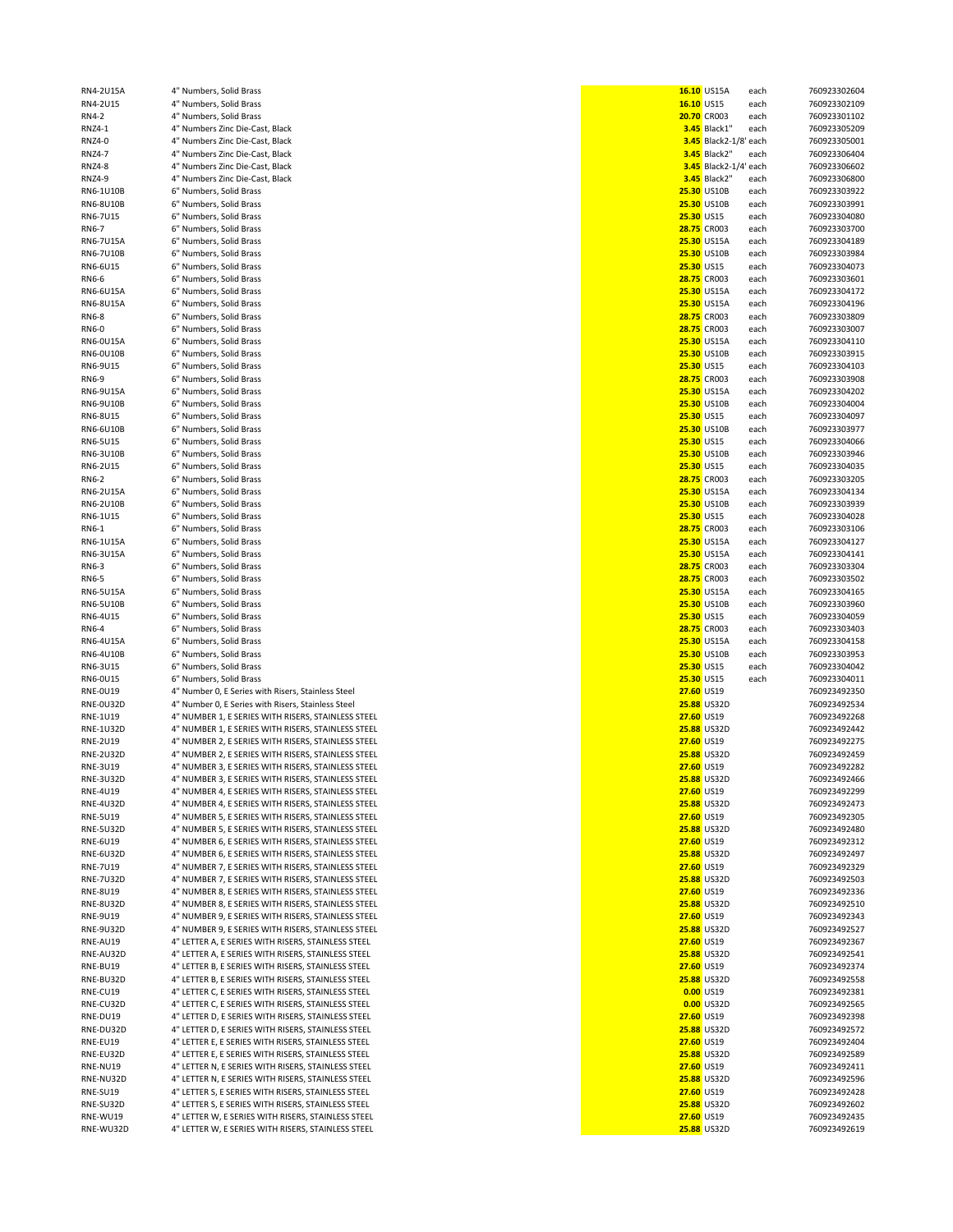| RN4-2U15A        | 4" Numbers, Solid Brass                            |            | 16.10 US15A                  | each | 760923302604 |
|------------------|----------------------------------------------------|------------|------------------------------|------|--------------|
| RN4-2U15         | 4" Numbers, Solid Brass                            | 16.10 US15 |                              | each | 760923302109 |
|                  |                                                    |            |                              |      |              |
| RN4-2            | 4" Numbers, Solid Brass                            |            | <b>20.70 CR003</b>           | each | 760923301102 |
| <b>RNZ4-1</b>    | 4" Numbers Zinc Die-Cast, Black                    |            | <b>3.45</b> Black1'          | each | 760923305209 |
| RNZ4-0           | 4" Numbers Zinc Die-Cast, Black                    |            | <b>3.45</b> Black2-1/8' each |      | 760923305001 |
| <b>RNZ4-7</b>    | 4" Numbers Zinc Die-Cast, Black                    |            | <b>3.45</b> Black2"          |      | 760923306404 |
|                  |                                                    |            |                              | each |              |
| <b>RNZ4-8</b>    | 4" Numbers Zinc Die-Cast, Black                    |            | 3.45 Black2-1/4' each        |      | 760923306602 |
| RNZ4-9           | 4" Numbers Zinc Die-Cast, Black                    |            | <b>3.45</b> Black2"          | each | 760923306800 |
| RN6-1U10B        | 6" Numbers, Solid Brass                            |            | 25.30 US10B                  | each | 760923303922 |
|                  |                                                    |            |                              |      |              |
| RN6-8U10B        | 6" Numbers, Solid Brass                            |            | 25.30 US10B                  | each | 760923303991 |
| RN6-7U15         | 6" Numbers, Solid Brass                            | 25.30 US15 |                              | each | 760923304080 |
| RN6-7            | 6" Numbers, Solid Brass                            |            | 28.75 CR003                  | each | 760923303700 |
|                  |                                                    |            |                              |      |              |
| RN6-7U15A        | 6" Numbers, Solid Brass                            |            | 25.30 US15A                  | each | 760923304189 |
| <b>RN6-7U10B</b> | 6" Numbers, Solid Brass                            |            | 25.30 US10B                  | each | 760923303984 |
| RN6-6U15         | 6" Numbers, Solid Brass                            | 25.30 US15 |                              | each | 760923304073 |
|                  |                                                    |            |                              |      |              |
| RN6-6            | 6" Numbers, Solid Brass                            |            | 28.75 CR003                  | each | 760923303601 |
| RN6-6U15A        | 6" Numbers, Solid Brass                            |            | 25.30 US15A                  | each | 760923304172 |
|                  | 6" Numbers, Solid Brass                            |            | 25.30 US15A                  |      |              |
| <b>RN6-8U15A</b> |                                                    |            |                              | each | 760923304196 |
| RN6-8            | 6" Numbers, Solid Brass                            |            | 28.75 CR003                  | each | 760923303809 |
| RN6-0            | 6" Numbers, Solid Brass                            |            | <b>28.75 CR003</b>           | each | 760923303007 |
|                  |                                                    |            |                              |      |              |
| <b>RN6-0U15A</b> | 6" Numbers, Solid Brass                            |            | 25.30 US15A                  | each | 760923304110 |
| RN6-0U10B        | 6" Numbers, Solid Brass                            |            | <b>25.30 US10B</b>           | each | 760923303915 |
| RN6-9U15         | 6" Numbers, Solid Brass                            | 25.30 US15 |                              | each | 760923304103 |
|                  |                                                    |            |                              |      |              |
| RN6-9            | 6" Numbers, Solid Brass                            |            | 28.75 CR003                  | each | 760923303908 |
| RN6-9U15A        | 6" Numbers, Solid Brass                            |            | 25.30 US15A                  | each | 760923304202 |
| RN6-9U10B        | 6" Numbers, Solid Brass                            |            | 25.30 US10B                  | each | 760923304004 |
|                  |                                                    |            |                              |      |              |
| RN6-8U15         | 6" Numbers, Solid Brass                            | 25.30 US15 |                              | each | 760923304097 |
| RN6-6U10B        | 6" Numbers, Solid Brass                            |            | 25.30 US10B                  | each | 760923303977 |
| RN6-5U15         | 6" Numbers, Solid Brass                            | 25.30 US15 |                              | each | 760923304066 |
|                  |                                                    |            |                              |      |              |
| RN6-3U10B        | 6" Numbers, Solid Brass                            |            | <b>25.30 US10B</b>           | each | 760923303946 |
| RN6-2U15         | 6" Numbers, Solid Brass                            | 25.30 US15 |                              | each | 760923304035 |
| RN6-2            | 6" Numbers, Solid Brass                            |            | 28.75 CR003                  | each | 760923303205 |
|                  |                                                    |            |                              |      |              |
| RN6-2U15A        | 6" Numbers, Solid Brass                            |            | <b>25.30 US15A</b>           | each | 760923304134 |
| RN6-2U10B        | 6" Numbers, Solid Brass                            |            | 25.30 US10B                  | each | 760923303939 |
| RN6-1U15         | 6" Numbers, Solid Brass                            | 25.30 US15 |                              | each | 760923304028 |
|                  |                                                    |            |                              |      |              |
| RN6-1            | 6" Numbers, Solid Brass                            |            | 28.75 CR003                  | each | 760923303106 |
| RN6-1U15A        | 6" Numbers, Solid Brass                            |            | 25.30 US15A                  | each | 760923304127 |
| RN6-3U15A        | 6" Numbers, Solid Brass                            |            | 25.30 US15A                  | each | 760923304141 |
|                  |                                                    |            |                              |      |              |
| RN6-3            | 6" Numbers, Solid Brass                            |            | 28.75 CR003                  | each | 760923303304 |
| RN6-5            | 6" Numbers, Solid Brass                            |            | 28.75 CR003                  | each | 760923303502 |
| RN6-5U15A        | 6" Numbers, Solid Brass                            |            | 25.30 US15A                  | each | 760923304165 |
|                  |                                                    |            |                              |      |              |
| RN6-5U10B        | 6" Numbers, Solid Brass                            |            | 25.30 US10B                  | each | 760923303960 |
| RN6-4U15         | 6" Numbers, Solid Brass                            | 25.30 US15 |                              | each | 760923304059 |
| RN6-4            | 6" Numbers, Solid Brass                            |            | 28.75 CR003                  | each | 760923303403 |
|                  |                                                    |            |                              |      |              |
| RN6-4U15A        | 6" Numbers, Solid Brass                            |            | 25.30 US15A                  | each | 760923304158 |
| RN6-4U10B        | 6" Numbers, Solid Brass                            |            | 25.30 US10B                  | each | 760923303953 |
| RN6-3U15         | 6" Numbers, Solid Brass                            | 25.30 US15 |                              |      | 760923304042 |
|                  |                                                    |            |                              | each |              |
| RN6-0U15         | 6" Numbers, Solid Brass                            | 25.30 US15 |                              | each | 760923304011 |
| <b>RNE-0U19</b>  | 4" Number 0, E Series with Risers, Stainless Steel | 27.60 US19 |                              |      | 760923492350 |
| RNE-0U32D        | 4" Number 0, E Series with Risers, Stainless Steel |            | <b>25.88 US32D</b>           |      | 760923492534 |
|                  |                                                    |            |                              |      |              |
| RNE-1U19         | 4" NUMBER 1, E SERIES WITH RISERS, STAINLESS STEEL | 27.60 US19 |                              |      | 760923492268 |
| <b>RNE-1U32D</b> | 4" NUMBER 1, E SERIES WITH RISERS, STAINLESS STEEL |            | <b>25.88 US32D</b>           |      | 760923492442 |
|                  | 4" NUMBER 2, E SERIES WITH RISERS, STAINLESS STEEL |            |                              |      | 760923492275 |
| RNE-2U19         |                                                    | 27.60 US19 |                              |      |              |
| <b>RNE-2U32D</b> | 4" NUMBER 2, E SERIES WITH RISERS, STAINLESS STEEL |            | <b>25.88 US32D</b>           |      | 760923492459 |
| RNE-3U19         | 4" NUMBER 3, E SERIES WITH RISERS, STAINLESS STEEL | 27.60 US19 |                              |      | 760923492282 |
| <b>RNE-3U32D</b> | 4" NUMBER 3, E SERIES WITH RISERS, STAINLESS STEEL |            | 25.88 US32D                  |      | 760923492466 |
|                  |                                                    |            |                              |      |              |
| RNE-4U19         | 4" NUMBER 4, E SERIES WITH RISERS, STAINLESS STEEL | 27.60 US19 |                              |      | 760923492299 |
| <b>RNE-4U32D</b> | 4" NUMBER 4, E SERIES WITH RISERS, STAINLESS STEEL |            | 25.88 US32D                  |      | 760923492473 |
| <b>RNE-5U19</b>  | 4" NUMBER 5, E SERIES WITH RISERS, STAINLESS STEEL | 27.60 US19 |                              |      | 760923492305 |
|                  |                                                    |            |                              |      |              |
| <b>RNE-5U32D</b> | 4" NUMBER 5, E SERIES WITH RISERS, STAINLESS STEEL |            | <b>25.88 US32D</b>           |      | 760923492480 |
| <b>RNE-6U19</b>  | 4" NUMBER 6, E SERIES WITH RISERS, STAINLESS STEEL | 27.60 US19 |                              |      | 760923492312 |
| <b>RNE-6U32D</b> | 4" NUMBER 6, E SERIES WITH RISERS, STAINLESS STEEL |            | 25.88 US32D                  |      | 760923492497 |
|                  |                                                    |            |                              |      |              |
| <b>RNE-7U19</b>  | 4" NUMBER 7, E SERIES WITH RISERS, STAINLESS STEEL | 27.60 US19 |                              |      | 760923492329 |
| <b>RNE-7U32D</b> | 4" NUMBER 7, E SERIES WITH RISERS, STAINLESS STEEL |            | 25.88 US32D                  |      | 760923492503 |
| <b>RNE-8U19</b>  | 4" NUMBER 8, E SERIES WITH RISERS, STAINLESS STEEL | 27.60 US19 |                              |      | 760923492336 |
| <b>RNE-8U32D</b> |                                                    |            | <b>25.88 US32D</b>           |      | 760923492510 |
|                  | 4" NUMBER 8, E SERIES WITH RISERS, STAINLESS STEEL |            |                              |      |              |
| RNE-9U19         | 4" NUMBER 9, E SERIES WITH RISERS, STAINLESS STEEL | 27.60 US19 |                              |      | 760923492343 |
| <b>RNE-9U32D</b> | 4" NUMBER 9, E SERIES WITH RISERS, STAINLESS STEEL |            | <b>25.88 US32D</b>           |      | 760923492527 |
|                  |                                                    |            |                              |      |              |
| RNE-AU19         | 4" LETTER A, E SERIES WITH RISERS, STAINLESS STEEL | 27.60 US19 |                              |      | 760923492367 |
| RNE-AU32D        | 4" LETTER A, E SERIES WITH RISERS, STAINLESS STEEL |            | <b>25.88 US32D</b>           |      | 760923492541 |
| RNE-BU19         | 4" LETTER B, E SERIES WITH RISERS, STAINLESS STEEL | 27.60 US19 |                              |      | 760923492374 |
|                  | 4" LETTER B, E SERIES WITH RISERS, STAINLESS STEEL |            |                              |      |              |
| RNE-BU32D        |                                                    |            | <b>25.88 US32D</b>           |      | 760923492558 |
| RNE-CU19         | 4" LETTER C, E SERIES WITH RISERS, STAINLESS STEEL |            | 0.00 US19                    |      | 760923492381 |
| RNE-CU32D        | 4" LETTER C, E SERIES WITH RISERS, STAINLESS STEEL |            | 0.00 US32D                   |      | 760923492565 |
|                  |                                                    |            |                              |      |              |
| RNE-DU19         | 4" LETTER D, E SERIES WITH RISERS, STAINLESS STEEL | 27.60 US19 |                              |      | 760923492398 |
| RNE-DU32D        | 4" LETTER D, E SERIES WITH RISERS, STAINLESS STEEL |            | 25.88 US32D                  |      | 760923492572 |
| RNE-EU19         | 4" LETTER E, E SERIES WITH RISERS, STAINLESS STEEL | 27.60 US19 |                              |      | 760923492404 |
|                  |                                                    |            |                              |      |              |
| RNE-EU32D        | 4" LETTER E, E SERIES WITH RISERS, STAINLESS STEEL |            | 25.88 US32D                  |      | 760923492589 |
| RNE-NU19         | 4" LETTER N, E SERIES WITH RISERS, STAINLESS STEEL | 27.60 US19 |                              |      | 760923492411 |
| RNE-NU32D        | 4" LETTER N, E SERIES WITH RISERS, STAINLESS STEEL |            | <b>25.88 US32D</b>           |      | 760923492596 |
|                  |                                                    |            |                              |      |              |
| RNE-SU19         | 4" LETTER S, E SERIES WITH RISERS, STAINLESS STEEL | 27.60 US19 |                              |      | 760923492428 |
| RNE-SU32D        | 4" LETTER S, E SERIES WITH RISERS, STAINLESS STEEL |            | 25.88 US32D                  |      | 760923492602 |
| RNE-WU19         | 4" LETTER W, E SERIES WITH RISERS, STAINLESS STEEL | 27.60 US19 |                              |      | 760923492435 |
|                  | 4" LETTER W, E SERIES WITH RISERS, STAINLESS STEEL |            | 25.88 US32D                  |      | 760923492619 |
| RNE-WU32D        |                                                    |            |                              |      |              |

|            | 16.10 US15A                      | each | 76092330260 |
|------------|----------------------------------|------|-------------|
|            | 16.10 US15                       |      | 76092330210 |
|            |                                  | each |             |
|            | 20.70 CR003<br>3.45 Black1" each | each | 76092330110 |
|            |                                  |      | 76092330520 |
|            | 3.45 Black2-1/8' each            |      | 76092330500 |
|            | 3.45 Black2"                     | each | 76092330640 |
|            | 3.45 Black2-1/4' each            |      | 76092330660 |
|            | 3.45 Black2"                     | each | 76092330680 |
|            | 25.30 US10B                      | each | 76092330392 |
|            |                                  |      |             |
|            | 25.30 US10B                      | each | 76092330399 |
| 25.30 US15 |                                  | each | 76092330408 |
|            | <b>28.75 CR003</b>               | each | 76092330370 |
|            | 25.30 US15A                      | each | 76092330418 |
|            | 25.30 US10B                      | each | 76092330398 |
| 25.30 US15 |                                  | each | 76092330407 |
|            | <b>28.75 CR003</b>               | each | 76092330360 |
|            | 25.30 US15A                      | each | 76092330417 |
|            | 25.30 US15A                      | each | 76092330419 |
|            |                                  |      |             |
|            | <b>28.75 CR003</b>               | each | 76092330380 |
|            | 28.75 CR003                      | each | 76092330300 |
|            | <b>25.30 US15A</b>               | each | 76092330411 |
|            | 25.30 US10B                      | each | 76092330391 |
| 25.30 US15 |                                  | each | 76092330410 |
|            | 28.75 CR003                      | each | 76092330390 |
|            | <b>25.30 US15A</b>               | each | 76092330420 |
|            | 25.30 US10B                      | each | 76092330400 |
| 25.30 US15 |                                  |      |             |
|            |                                  | each | 76092330409 |
|            | 25.30 US10B                      | each | 76092330397 |
|            | <b>25.30 US15</b>                | each | 76092330406 |
|            | 25.30 US10B                      | each | 76092330394 |
| 25.30 US15 |                                  | each | 76092330403 |
|            | 28.75 CR003                      | each | 76092330320 |
|            | 25.30 US15A                      | each | 76092330413 |
|            | 25.30 US10B                      | each | 76092330393 |
|            |                                  |      | 76092330402 |
| 25.30 US15 |                                  | each |             |
|            | 28.75 CR003                      | each | 76092330310 |
|            | 25.30 US15A                      | each | 76092330412 |
|            | <b>25.30 US15A</b>               | each | 76092330414 |
|            | 28.75 CR003                      | each | 76092330330 |
|            | <b>28.75 CR003</b>               | each | 76092330350 |
|            | 25.30 US15A                      | each | 76092330416 |
|            | 25.30 US10B                      | each | 76092330396 |
| 25.30 US15 |                                  | each | 76092330405 |
|            | <b>28.75 CR003</b>               | each | 76092330340 |
|            | 25.30 US15A                      | each | 76092330415 |
|            | 25.30 US10B                      | each | 76092330395 |
|            | <b>25.30 US15</b>                | each | 76092330404 |
|            | 25.30 US15                       | each | 76092330401 |
| 27.60 US19 |                                  |      | 76092349235 |
|            | <b>25.88 US32D</b>               |      | 76092349253 |
| 27.60 US19 |                                  |      | 76092349226 |
|            | <b>25.88 US32D</b>               |      | 76092349244 |
|            |                                  |      |             |
| 27.60 US19 |                                  |      | 76092349227 |
|            | 25.88 US32D                      |      | 76092349245 |
| 27.60 US19 |                                  |      | 76092349228 |
|            | 25.88 US32D                      |      | 76092349246 |
| 27.60 US19 |                                  |      | 76092349229 |
|            | 25.88 US32D                      |      | 76092349247 |
| 27.60 US19 |                                  |      | 76092349230 |
|            | 25.88 US32D                      |      | 76092349248 |
| 27.60 US19 |                                  |      | 76092349231 |
|            | 25.88 US32D                      |      | 76092349249 |
|            |                                  |      | 76092349232 |
| 27.60 US19 |                                  |      |             |
|            | <b>25.88 US32D</b>               |      | 76092349250 |
| 27.60 US19 |                                  |      | 76092349233 |
|            | 25.88 US32D                      |      | 76092349251 |
| 27.60 US19 |                                  |      | 76092349234 |
|            | 25.88 US32D                      |      | 76092349252 |
| 27.60 US19 |                                  |      | 76092349236 |
|            | <b>25.88 US32D</b>               |      | 76092349254 |
| 27.60 US19 |                                  |      | 76092349237 |
|            |                                  |      |             |
|            | 25.88 US32D                      |      | 76092349255 |
|            | 0.00 US19                        |      | 76092349238 |
|            | 0.00 US32D                       |      | 76092349256 |
| 27.60 US19 |                                  |      | 76092349239 |
|            | 25.88 US32D                      |      | 76092349257 |
| 27.60 US19 |                                  |      | 76092349240 |
|            | 25.88 US32D                      |      | 76092349258 |
| 27.60 US19 |                                  |      | 76092349241 |
|            | 25.88 US32D                      |      | 76092349259 |
| 27.60 US19 |                                  |      | 76092349242 |
|            | 25.88 US32D                      |      | 76092349260 |
| 27.60 US19 |                                  |      | 76092349243 |
|            | 25.88 US32D                      |      | 76092349261 |
|            |                                  |      |             |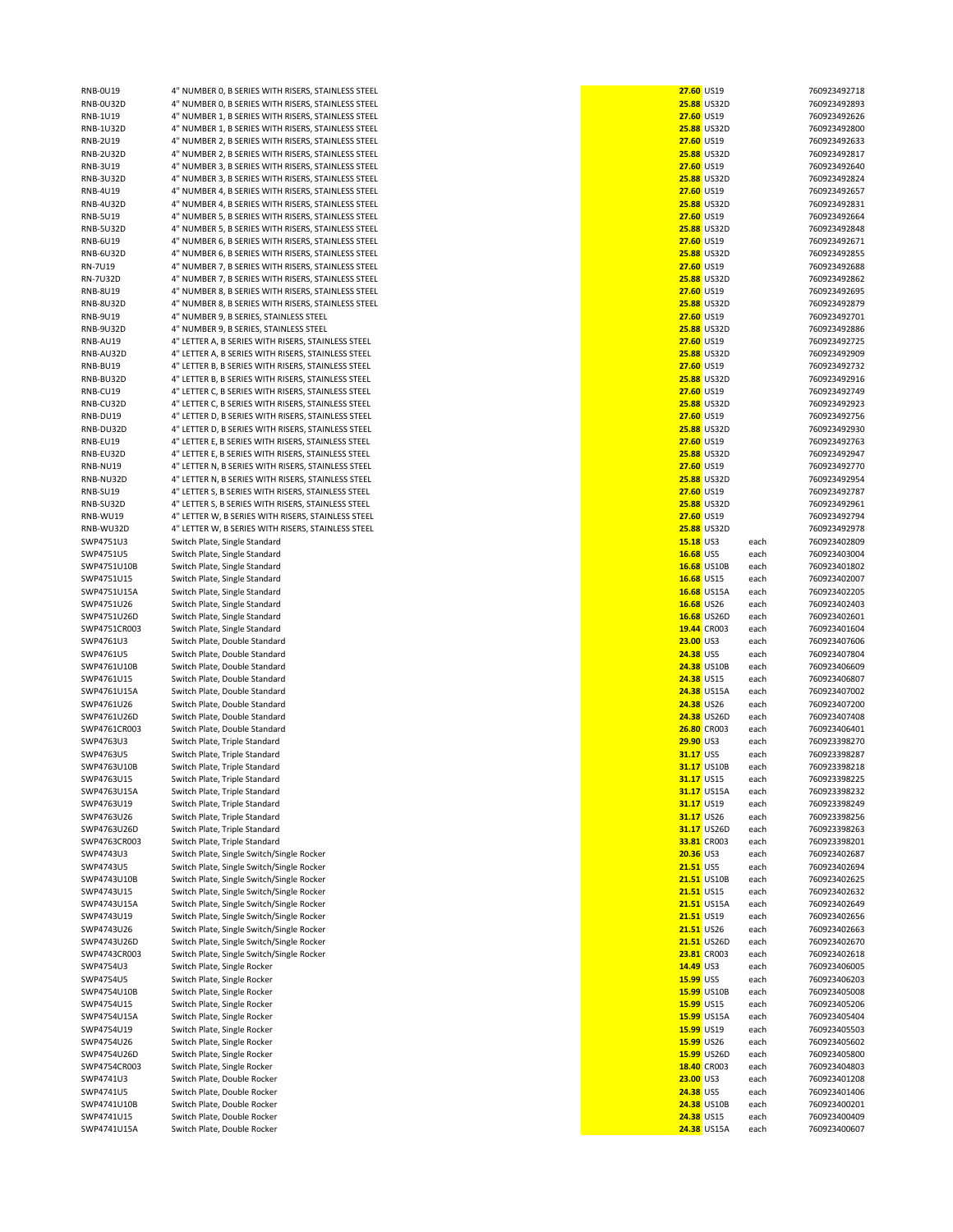| <b>RNB-0U19</b>  | 4" NUMBER 0, B SERIES WITH RISERS, STAINLESS STEEL | 27.60 US19         |                    |      | 760923492718 |
|------------------|----------------------------------------------------|--------------------|--------------------|------|--------------|
| RNB-0U32D        | 4" NUMBER 0, B SERIES WITH RISERS, STAINLESS STEEL |                    | 25.88 US32D        |      | 760923492893 |
| RNB-1U19         | 4" NUMBER 1, B SERIES WITH RISERS, STAINLESS STEEL | 27.60 US19         |                    |      | 760923492626 |
| <b>RNB-1U32D</b> | 4" NUMBER 1, B SERIES WITH RISERS, STAINLESS STEEL |                    | <b>25.88 US32D</b> |      | 760923492800 |
| <b>RNB-2U19</b>  | 4" NUMBER 2, B SERIES WITH RISERS, STAINLESS STEEL | 27.60 US19         |                    |      | 760923492633 |
|                  |                                                    |                    |                    |      |              |
| <b>RNB-2U32D</b> | 4" NUMBER 2, B SERIES WITH RISERS, STAINLESS STEEL |                    | <b>25.88 US32D</b> |      | 760923492817 |
| RNB-3U19         | 4" NUMBER 3, B SERIES WITH RISERS, STAINLESS STEEL | 27.60 US19         |                    |      | 760923492640 |
| <b>RNB-3U32D</b> | 4" NUMBER 3, B SERIES WITH RISERS, STAINLESS STEEL |                    | <b>25.88 US32D</b> |      | 760923492824 |
| <b>RNB-4U19</b>  | 4" NUMBER 4, B SERIES WITH RISERS, STAINLESS STEEL | 27.60 US19         |                    |      | 760923492657 |
| <b>RNB-4U32D</b> | 4" NUMBER 4, B SERIES WITH RISERS, STAINLESS STEEL |                    | <b>25.88 US32D</b> |      | 760923492831 |
| <b>RNB-5U19</b>  | 4" NUMBER 5, B SERIES WITH RISERS, STAINLESS STEEL | 27.60 US19         |                    |      | 760923492664 |
| <b>RNB-5U32D</b> | 4" NUMBER 5, B SERIES WITH RISERS, STAINLESS STEEL |                    | <b>25.88 US32D</b> |      | 760923492848 |
| RNB-6U19         | 4" NUMBER 6, B SERIES WITH RISERS, STAINLESS STEEL | 27.60 US19         |                    |      | 760923492671 |
| <b>RNB-6U32D</b> | 4" NUMBER 6, B SERIES WITH RISERS, STAINLESS STEEL |                    | <b>25.88 US32D</b> |      | 760923492855 |
| <b>RN-7U19</b>   | 4" NUMBER 7, B SERIES WITH RISERS, STAINLESS STEEL | 27.60 US19         |                    |      | 760923492688 |
| <b>RN-7U32D</b>  | 4" NUMBER 7, B SERIES WITH RISERS, STAINLESS STEEL |                    |                    |      |              |
|                  |                                                    |                    | <b>25.88 US32D</b> |      | 760923492862 |
| <b>RNB-8U19</b>  | 4" NUMBER 8, B SERIES WITH RISERS, STAINLESS STEEL | 27.60 US19         |                    |      | 760923492695 |
| <b>RNB-8U32D</b> | 4" NUMBER 8, B SERIES WITH RISERS, STAINLESS STEEL |                    | <b>25.88 US32D</b> |      | 760923492879 |
| RNB-9U19         | 4" NUMBER 9, B SERIES, STAINLESS STEEL             | 27.60 US19         |                    |      | 760923492701 |
| <b>RNB-9U32D</b> | 4" NUMBER 9, B SERIES, STAINLESS STEEL             |                    | <b>25.88 US32D</b> |      | 760923492886 |
| RNB-AU19         | 4" LETTER A, B SERIES WITH RISERS, STAINLESS STEEL | 27.60 US19         |                    |      | 760923492725 |
| RNB-AU32D        | 4" LETTER A, B SERIES WITH RISERS, STAINLESS STEEL |                    | <b>25.88 US32D</b> |      | 760923492909 |
| RNB-BU19         | 4" LETTER B, B SERIES WITH RISERS, STAINLESS STEEL | 27.60 US19         |                    |      | 760923492732 |
|                  |                                                    |                    |                    |      |              |
| RNB-BU32D        | 4" LETTER B, B SERIES WITH RISERS, STAINLESS STEEL |                    | <b>25.88 US32D</b> |      | 760923492916 |
| RNB-CU19         | 4" LETTER C, B SERIES WITH RISERS, STAINLESS STEEL | 27.60 US19         |                    |      | 760923492749 |
| RNB-CU32D        | 4" LETTER C, B SERIES WITH RISERS, STAINLESS STEEL |                    | <b>25.88 US32D</b> |      | 760923492923 |
| RNB-DU19         | 4" LETTER D, B SERIES WITH RISERS, STAINLESS STEEL | 27.60 US19         |                    |      | 760923492756 |
| RNB-DU32D        | 4" LETTER D, B SERIES WITH RISERS, STAINLESS STEEL |                    | <b>25.88 US32D</b> |      | 760923492930 |
| RNB-EU19         | 4" LETTER E, B SERIES WITH RISERS, STAINLESS STEEL | 27.60 US19         |                    |      | 760923492763 |
| RNB-EU32D        | 4" LETTER E, B SERIES WITH RISERS, STAINLESS STEEL |                    | <b>25.88 US32D</b> |      | 760923492947 |
| RNB-NU19         | 4" LETTER N, B SERIES WITH RISERS, STAINLESS STEEL | 27.60 US19         |                    |      | 760923492770 |
|                  |                                                    |                    |                    |      |              |
| RNB-NU32D        | 4" LETTER N, B SERIES WITH RISERS, STAINLESS STEEL |                    | <b>25.88 US32D</b> |      | 760923492954 |
| RNB-SU19         | 4" LETTER S, B SERIES WITH RISERS, STAINLESS STEEL | 27.60 US19         |                    |      | 760923492787 |
| RNB-SU32D        | 4" LETTER S, B SERIES WITH RISERS, STAINLESS STEEL |                    | <b>25.88 US32D</b> |      | 760923492961 |
| RNB-WU19         | 4" LETTER W, B SERIES WITH RISERS, STAINLESS STEEL | 27.60 US19         |                    |      | 760923492794 |
| RNB-WU32D        | 4" LETTER W, B SERIES WITH RISERS, STAINLESS STEEL |                    | <b>25.88 US32D</b> |      | 760923492978 |
| SWP4751U3        | Switch Plate, Single Standard                      | 15.18 US3          |                    | each | 760923402809 |
|                  |                                                    |                    |                    |      |              |
| SWP4751U5        | Switch Plate, Single Standard                      | 16.68 US5          |                    | each | 760923403004 |
| SWP4751U10B      | Switch Plate, Single Standard                      |                    | 16.68 US10B        | each | 760923401802 |
| SWP4751U15       | Switch Plate, Single Standard                      | 16.68 US15         |                    | each | 760923402007 |
| SWP4751U15A      | Switch Plate, Single Standard                      |                    | 16.68 US15A        | each | 760923402205 |
| SWP4751U26       | Switch Plate, Single Standard                      | 16.68 US26         |                    | each | 760923402403 |
| SWP4751U26D      | Switch Plate, Single Standard                      |                    | 16.68 US26D        | each | 760923402601 |
| SWP4751CR003     | Switch Plate, Single Standard                      | 19.44 CR003        |                    | each | 760923401604 |
| SWP4761U3        | Switch Plate, Double Standard                      | 23.00 US3          |                    | each | 760923407606 |
|                  | Switch Plate, Double Standard                      |                    |                    |      |              |
| SWP4761U5        |                                                    | 24.38 US5          |                    | each | 760923407804 |
| SWP4761U10B      | Switch Plate, Double Standard                      |                    | <b>24.38 US10B</b> | each | 760923406609 |
| SWP4761U15       | Switch Plate, Double Standard                      | 24.38 US15         |                    | each | 760923406807 |
| SWP4761U15A      | Switch Plate, Double Standard                      |                    | 24.38 US15A        | each | 760923407002 |
| SWP4761U26       | Switch Plate, Double Standard                      | 24.38 US26         |                    | each | 760923407200 |
| SWP4761U26D      | Switch Plate, Double Standard                      |                    | <b>24.38 US26D</b> | each | 760923407408 |
| SWP4761CR003     | Switch Plate, Double Standard                      | <b>26.80 CR003</b> |                    | each | 760923406401 |
| SWP4763U3        | Switch Plate, Triple Standard                      | 29.90 US3          |                    | each | 760923398270 |
| SWP4763U5        | Switch Plate, Triple Standard                      | 31.17 US5          |                    |      | 760923398287 |
|                  |                                                    |                    |                    | each |              |
| SWP4763U10B      | Switch Plate, Triple Standard                      |                    | 31.17 US10B        | each | 760923398218 |
| SWP4763U15       | Switch Plate. Triple Standard                      | 31.17 US15         |                    | each | 760923398225 |
| SWP4763U15A      | Switch Plate, Triple Standard                      |                    | 31.17 US15A        | each | 760923398232 |
| SWP4763U19       | Switch Plate, Triple Standard                      | 31.17 US19         |                    | each | 760923398249 |
| SWP4763U26       | Switch Plate, Triple Standard                      | 31.17 US26         |                    | each | 760923398256 |
| SWP4763U26D      | Switch Plate, Triple Standard                      |                    | 31.17 US26D        | each | 760923398263 |
| SWP4763CR003     | Switch Plate, Triple Standard                      |                    | 33.81 CR003        | each | 760923398201 |
| SWP4743U3        | Switch Plate, Single Switch/Single Rocker          | 20.36 US3          |                    | each | 760923402687 |
|                  |                                                    |                    |                    |      |              |
| SWP4743U5        | Switch Plate, Single Switch/Single Rocker          | <b>21.51 US5</b>   |                    | each | 760923402694 |
| SWP4743U10B      | Switch Plate, Single Switch/Single Rocker          |                    | <b>21.51 US10B</b> | each | 760923402625 |
| SWP4743U15       | Switch Plate, Single Switch/Single Rocker          | 21.51 US15         |                    | each | 760923402632 |
| SWP4743U15A      | Switch Plate, Single Switch/Single Rocker          |                    | <b>21.51 US15A</b> | each | 760923402649 |
| SWP4743U19       | Switch Plate, Single Switch/Single Rocker          | 21.51 US19         |                    | each | 760923402656 |
| SWP4743U26       | Switch Plate, Single Switch/Single Rocker          | 21.51 US26         |                    | each | 760923402663 |
| SWP4743U26D      | Switch Plate, Single Switch/Single Rocker          |                    | 21.51 US26D        | each | 760923402670 |
| SWP4743CR003     | Switch Plate, Single Switch/Single Rocker          |                    | 23.81 CR003        | each | 760923402618 |
|                  |                                                    |                    |                    |      |              |
| SWP4754U3        | Switch Plate, Single Rocker                        | 14.49 US3          |                    | each | 760923406005 |
| SWP4754U5        | Switch Plate, Single Rocker                        | 15.99 US5          |                    | each | 760923406203 |
| SWP4754U10B      | Switch Plate, Single Rocker                        |                    | 15.99 US10B        | each | 760923405008 |
| SWP4754U15       | Switch Plate, Single Rocker                        | 15.99 US15         |                    | each | 760923405206 |
| SWP4754U15A      | Switch Plate, Single Rocker                        |                    | 15.99 US15A        | each | 760923405404 |
| SWP4754U19       | Switch Plate, Single Rocker                        | 15.99 US19         |                    | each | 760923405503 |
| SWP4754U26       | Switch Plate, Single Rocker                        | 15.99 US26         |                    | each | 760923405602 |
| SWP4754U26D      | Switch Plate, Single Rocker                        |                    | 15.99 US26D        |      | 760923405800 |
|                  |                                                    |                    |                    | each |              |
| SWP4754CR003     | Switch Plate, Single Rocker                        |                    | 18.40 CR003        | each | 760923404803 |
| SWP4741U3        | Switch Plate, Double Rocker                        | 23.00 US3          |                    | each | 760923401208 |
| SWP4741U5        | Switch Plate, Double Rocker                        | 24.38 US5          |                    | each | 760923401406 |
| SWP4741U10B      | Switch Plate, Double Rocker                        |                    | 24.38 US10B        | each | 760923400201 |
| SWP4741U15       | Switch Plate, Double Rocker                        | 24.38 US15         |                    | each | 760923400409 |
| SWP4741U15A      | Switch Plate, Double Rocker                        |                    | 24.38 US15A        | each | 760923400607 |
|                  |                                                    |                    |                    |      |              |

|    | 60 US19                     |              | 76092349271                |
|----|-----------------------------|--------------|----------------------------|
|    | 88 US32D<br>60 US19         |              | 76092349289<br>76092349262 |
|    | 88 US32D                    |              | 76092349280                |
|    | 60 US19                     |              | 76092349263                |
|    | 88 US32D                    |              | 76092349281                |
|    | 60 US19<br>88 US32D         |              | 76092349264<br>76092349282 |
|    | 60 US19                     |              | 76092349265                |
|    | 88 US32D                    |              | 76092349283                |
|    | 60 US19<br>88 US32D         |              | 76092349266<br>76092349284 |
|    | 60 US19                     |              | 76092349267                |
|    | 88 US32D                    |              | 76092349285                |
|    | 60 US19                     |              | 76092349268                |
|    | 88 US32D<br>60 US19         |              | 76092349286<br>76092349269 |
|    | 88 US32D                    |              | 76092349287                |
|    | 60 US19                     |              | 76092349270                |
|    | 88 US32D                    |              | 76092349288                |
|    | 60 US19<br>88 US32D         |              | 76092349272<br>76092349290 |
|    | 60 US19                     |              | 76092349273                |
|    | 88 US32D                    |              | 76092349291                |
|    | 60 US19                     |              | 76092349274                |
|    | 88 US32D<br>60 US19         |              | 76092349292<br>76092349275 |
|    | 88 US32D                    |              | 76092349293                |
|    | 60 US19                     |              | 76092349276                |
|    | 88 US32D                    |              | 76092349294                |
|    | 60 US19<br>88 US32D         |              | 76092349277<br>76092349295 |
|    | 60 US19                     |              | 76092349278                |
|    | 88 US32D                    |              | 76092349296                |
|    | 60 US19                     |              | 76092349279                |
|    | 88 US32D<br>18 US3          | each         | 76092349297<br>76092340280 |
|    | 68 US5                      | each         | 76092340300                |
|    | 68 US10B                    | each         | 76092340180                |
|    | 68 US15                     | each         | 76092340200                |
|    | 68 US15A<br>68 US26         | each<br>each | 76092340220<br>76092340240 |
|    | 68 US26D                    | each         | 76092340260                |
|    | 44 CR003                    | each         | 76092340160                |
|    | DO US3                      | each         | 76092340760                |
|    | 38 US5<br>38 US10B          | each<br>each | 76092340780<br>76092340660 |
|    | 38 US15                     | each         | 76092340680                |
|    | 38 US15A                    | each         | 76092340700                |
|    | 38 US26<br>38 US26D         | each         | 76092340720<br>76092340740 |
|    | BO CROO3                    | each<br>each | 76092340640                |
|    | 90 US3                      | each         | 76092339827                |
|    | 17 US5                      | each         | 76092339828                |
|    | 17 US10B<br>17 US15         | each<br>each | 76092339821<br>76092339822 |
|    | 17 US15A                    | each         | 76092339823                |
|    | 17 US19                     | each         | 76092339824                |
|    | 17 US26                     | each         | 76092339825                |
|    | 17 US26D<br><b>81</b> CR003 | each<br>each | 76092339826<br>76092339820 |
|    | 36 US3                      | each         | 76092340268                |
|    | 51 US5                      | each         | 76092340269                |
|    | 51 US10B                    | each         | 76092340262                |
|    | 51 US15<br>51 US15A         | each<br>each | 76092340263<br>76092340264 |
|    | 51 US19                     | each         | 76092340265                |
|    | 51 US26                     | each         | 76092340266                |
|    | 51 US26D                    | each         | 76092340267                |
| 81 | CR003<br>49 US3             | each<br>each | 76092340261<br>76092340600 |
|    | 99 US5                      | each         | 76092340620                |
|    | 99 US10B                    | each         | 76092340500                |
|    | 99 US15                     | each         | 76092340520                |
|    | 99 US15A                    | each         | 76092340540<br>76092340550 |
| 99 | US19<br>99 US26             | each<br>each | 76092340560                |
|    | 99 US26D                    | each         | 76092340580                |
|    | 40 CR003                    | each         | 76092340480                |
|    | DO US3                      | each         | 76092340120<br>76092340140 |
|    | 38 US5<br>38 US10B          | each<br>each | 76092340020                |
|    | 38 US15                     | each         | 76092340040                |
|    | <b>38</b> US15A             | each         | 76092340060                |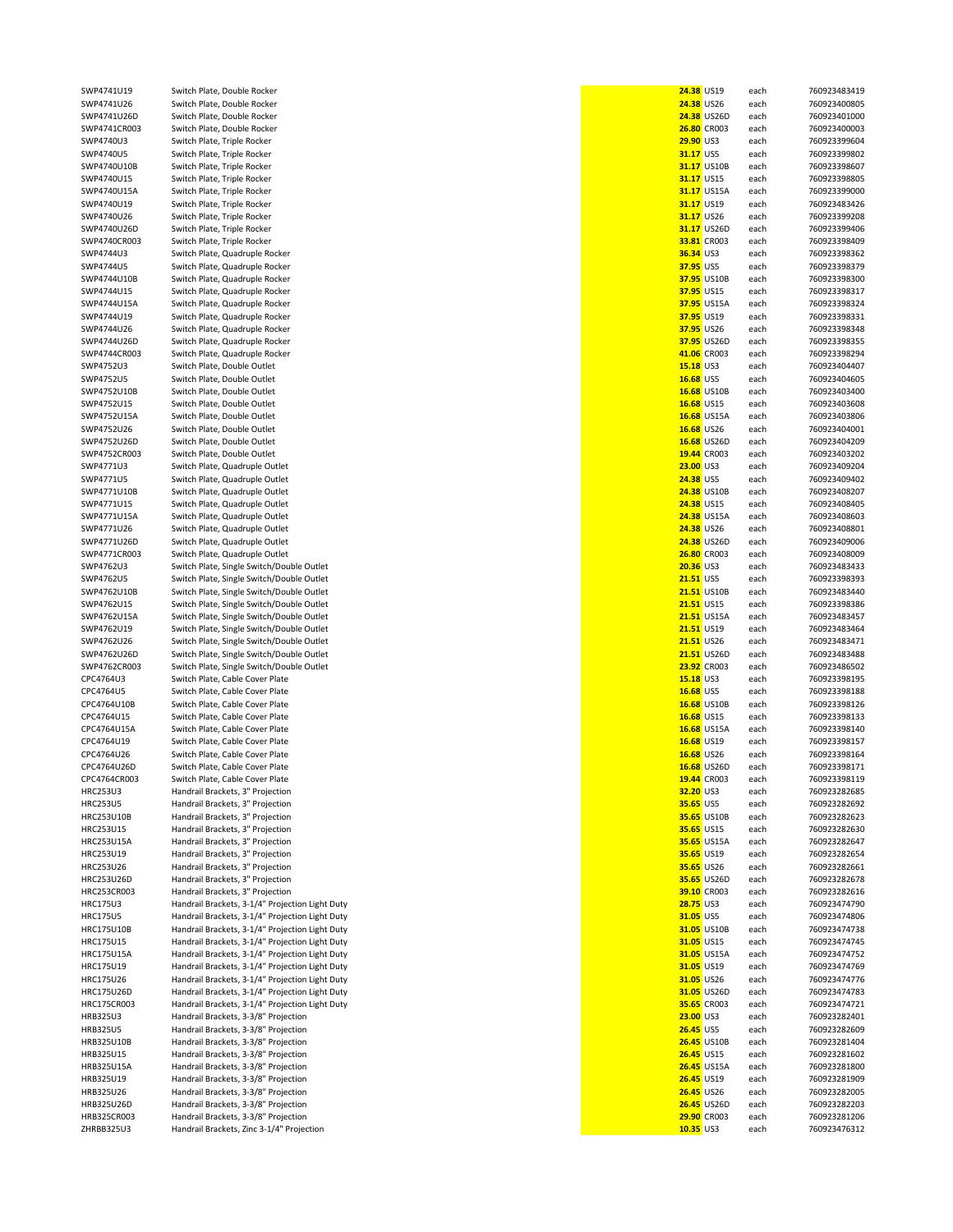| each<br>each<br>24.38 US26D<br>each<br><b>26.80 CR003</b><br>each<br>each<br>each<br>31.17 US10B<br>each<br>each<br>31.17 US15A<br>each<br>each<br>each<br>31.17 US26D<br>each<br>33.81 CR003<br>each<br>each<br>each<br>37.95 US10B<br>each<br>each<br>37.95 US15A<br>each<br>each<br>each<br>37.95 US26D<br>each<br>41.06 CR003<br>each<br>each<br>each<br>16.68 US10B<br>each<br>each<br>16.68 US15A<br>each | 760923483419<br>760923400805<br>760923401000<br>760923400003<br>760923399604<br>760923399802<br>760923398607<br>760923398805<br>760923399000<br>760923483426<br>760923399208<br>760923399406<br>760923398409<br>760923398362<br>760923398379<br>760923398300<br>760923398317<br>760923398324<br>760923398331<br>760923398348<br>760923398355<br>760923398294<br>760923404407<br>760923404605 |
|-----------------------------------------------------------------------------------------------------------------------------------------------------------------------------------------------------------------------------------------------------------------------------------------------------------------------------------------------------------------------------------------------------------------|----------------------------------------------------------------------------------------------------------------------------------------------------------------------------------------------------------------------------------------------------------------------------------------------------------------------------------------------------------------------------------------------|
|                                                                                                                                                                                                                                                                                                                                                                                                                 |                                                                                                                                                                                                                                                                                                                                                                                              |
|                                                                                                                                                                                                                                                                                                                                                                                                                 |                                                                                                                                                                                                                                                                                                                                                                                              |
|                                                                                                                                                                                                                                                                                                                                                                                                                 |                                                                                                                                                                                                                                                                                                                                                                                              |
|                                                                                                                                                                                                                                                                                                                                                                                                                 |                                                                                                                                                                                                                                                                                                                                                                                              |
|                                                                                                                                                                                                                                                                                                                                                                                                                 |                                                                                                                                                                                                                                                                                                                                                                                              |
|                                                                                                                                                                                                                                                                                                                                                                                                                 |                                                                                                                                                                                                                                                                                                                                                                                              |
|                                                                                                                                                                                                                                                                                                                                                                                                                 |                                                                                                                                                                                                                                                                                                                                                                                              |
|                                                                                                                                                                                                                                                                                                                                                                                                                 |                                                                                                                                                                                                                                                                                                                                                                                              |
|                                                                                                                                                                                                                                                                                                                                                                                                                 |                                                                                                                                                                                                                                                                                                                                                                                              |
|                                                                                                                                                                                                                                                                                                                                                                                                                 |                                                                                                                                                                                                                                                                                                                                                                                              |
|                                                                                                                                                                                                                                                                                                                                                                                                                 |                                                                                                                                                                                                                                                                                                                                                                                              |
|                                                                                                                                                                                                                                                                                                                                                                                                                 |                                                                                                                                                                                                                                                                                                                                                                                              |
|                                                                                                                                                                                                                                                                                                                                                                                                                 |                                                                                                                                                                                                                                                                                                                                                                                              |
|                                                                                                                                                                                                                                                                                                                                                                                                                 |                                                                                                                                                                                                                                                                                                                                                                                              |
|                                                                                                                                                                                                                                                                                                                                                                                                                 |                                                                                                                                                                                                                                                                                                                                                                                              |
|                                                                                                                                                                                                                                                                                                                                                                                                                 |                                                                                                                                                                                                                                                                                                                                                                                              |
|                                                                                                                                                                                                                                                                                                                                                                                                                 |                                                                                                                                                                                                                                                                                                                                                                                              |
|                                                                                                                                                                                                                                                                                                                                                                                                                 |                                                                                                                                                                                                                                                                                                                                                                                              |
|                                                                                                                                                                                                                                                                                                                                                                                                                 |                                                                                                                                                                                                                                                                                                                                                                                              |
|                                                                                                                                                                                                                                                                                                                                                                                                                 |                                                                                                                                                                                                                                                                                                                                                                                              |
|                                                                                                                                                                                                                                                                                                                                                                                                                 |                                                                                                                                                                                                                                                                                                                                                                                              |
|                                                                                                                                                                                                                                                                                                                                                                                                                 |                                                                                                                                                                                                                                                                                                                                                                                              |
|                                                                                                                                                                                                                                                                                                                                                                                                                 |                                                                                                                                                                                                                                                                                                                                                                                              |
|                                                                                                                                                                                                                                                                                                                                                                                                                 |                                                                                                                                                                                                                                                                                                                                                                                              |
|                                                                                                                                                                                                                                                                                                                                                                                                                 |                                                                                                                                                                                                                                                                                                                                                                                              |
|                                                                                                                                                                                                                                                                                                                                                                                                                 |                                                                                                                                                                                                                                                                                                                                                                                              |
|                                                                                                                                                                                                                                                                                                                                                                                                                 |                                                                                                                                                                                                                                                                                                                                                                                              |
|                                                                                                                                                                                                                                                                                                                                                                                                                 |                                                                                                                                                                                                                                                                                                                                                                                              |
|                                                                                                                                                                                                                                                                                                                                                                                                                 |                                                                                                                                                                                                                                                                                                                                                                                              |
|                                                                                                                                                                                                                                                                                                                                                                                                                 |                                                                                                                                                                                                                                                                                                                                                                                              |
|                                                                                                                                                                                                                                                                                                                                                                                                                 | 760923403400                                                                                                                                                                                                                                                                                                                                                                                 |
|                                                                                                                                                                                                                                                                                                                                                                                                                 | 760923403608                                                                                                                                                                                                                                                                                                                                                                                 |
|                                                                                                                                                                                                                                                                                                                                                                                                                 |                                                                                                                                                                                                                                                                                                                                                                                              |
|                                                                                                                                                                                                                                                                                                                                                                                                                 | 760923403806                                                                                                                                                                                                                                                                                                                                                                                 |
| each                                                                                                                                                                                                                                                                                                                                                                                                            | 760923404001                                                                                                                                                                                                                                                                                                                                                                                 |
| 16.68 US26D<br>each                                                                                                                                                                                                                                                                                                                                                                                             | 760923404209                                                                                                                                                                                                                                                                                                                                                                                 |
|                                                                                                                                                                                                                                                                                                                                                                                                                 |                                                                                                                                                                                                                                                                                                                                                                                              |
| 19.44 CR003<br>each                                                                                                                                                                                                                                                                                                                                                                                             | 760923403202                                                                                                                                                                                                                                                                                                                                                                                 |
| each                                                                                                                                                                                                                                                                                                                                                                                                            | 760923409204                                                                                                                                                                                                                                                                                                                                                                                 |
|                                                                                                                                                                                                                                                                                                                                                                                                                 | 760923409402                                                                                                                                                                                                                                                                                                                                                                                 |
|                                                                                                                                                                                                                                                                                                                                                                                                                 |                                                                                                                                                                                                                                                                                                                                                                                              |
|                                                                                                                                                                                                                                                                                                                                                                                                                 | 760923408207                                                                                                                                                                                                                                                                                                                                                                                 |
| each                                                                                                                                                                                                                                                                                                                                                                                                            | 760923408405                                                                                                                                                                                                                                                                                                                                                                                 |
|                                                                                                                                                                                                                                                                                                                                                                                                                 | 760923408603                                                                                                                                                                                                                                                                                                                                                                                 |
|                                                                                                                                                                                                                                                                                                                                                                                                                 | 760923408801                                                                                                                                                                                                                                                                                                                                                                                 |
|                                                                                                                                                                                                                                                                                                                                                                                                                 |                                                                                                                                                                                                                                                                                                                                                                                              |
|                                                                                                                                                                                                                                                                                                                                                                                                                 | 760923409006                                                                                                                                                                                                                                                                                                                                                                                 |
| each                                                                                                                                                                                                                                                                                                                                                                                                            | 760923408009                                                                                                                                                                                                                                                                                                                                                                                 |
|                                                                                                                                                                                                                                                                                                                                                                                                                 | 760923483433                                                                                                                                                                                                                                                                                                                                                                                 |
|                                                                                                                                                                                                                                                                                                                                                                                                                 |                                                                                                                                                                                                                                                                                                                                                                                              |
|                                                                                                                                                                                                                                                                                                                                                                                                                 | 760923398393                                                                                                                                                                                                                                                                                                                                                                                 |
| each                                                                                                                                                                                                                                                                                                                                                                                                            | 760923483440                                                                                                                                                                                                                                                                                                                                                                                 |
|                                                                                                                                                                                                                                                                                                                                                                                                                 | 760923398386                                                                                                                                                                                                                                                                                                                                                                                 |
|                                                                                                                                                                                                                                                                                                                                                                                                                 | 760923483457                                                                                                                                                                                                                                                                                                                                                                                 |
|                                                                                                                                                                                                                                                                                                                                                                                                                 |                                                                                                                                                                                                                                                                                                                                                                                              |
|                                                                                                                                                                                                                                                                                                                                                                                                                 | 760923483464                                                                                                                                                                                                                                                                                                                                                                                 |
|                                                                                                                                                                                                                                                                                                                                                                                                                 | 760923483471                                                                                                                                                                                                                                                                                                                                                                                 |
|                                                                                                                                                                                                                                                                                                                                                                                                                 | 760923483488                                                                                                                                                                                                                                                                                                                                                                                 |
|                                                                                                                                                                                                                                                                                                                                                                                                                 |                                                                                                                                                                                                                                                                                                                                                                                              |
|                                                                                                                                                                                                                                                                                                                                                                                                                 | 760923486502                                                                                                                                                                                                                                                                                                                                                                                 |
| each                                                                                                                                                                                                                                                                                                                                                                                                            | 760923398195                                                                                                                                                                                                                                                                                                                                                                                 |
|                                                                                                                                                                                                                                                                                                                                                                                                                 | 760923398188                                                                                                                                                                                                                                                                                                                                                                                 |
|                                                                                                                                                                                                                                                                                                                                                                                                                 |                                                                                                                                                                                                                                                                                                                                                                                              |
|                                                                                                                                                                                                                                                                                                                                                                                                                 | 760923398126                                                                                                                                                                                                                                                                                                                                                                                 |
|                                                                                                                                                                                                                                                                                                                                                                                                                 | 760923398133                                                                                                                                                                                                                                                                                                                                                                                 |
|                                                                                                                                                                                                                                                                                                                                                                                                                 | 760923398140                                                                                                                                                                                                                                                                                                                                                                                 |
| each                                                                                                                                                                                                                                                                                                                                                                                                            | 760923398157                                                                                                                                                                                                                                                                                                                                                                                 |
|                                                                                                                                                                                                                                                                                                                                                                                                                 |                                                                                                                                                                                                                                                                                                                                                                                              |
|                                                                                                                                                                                                                                                                                                                                                                                                                 |                                                                                                                                                                                                                                                                                                                                                                                              |
| each                                                                                                                                                                                                                                                                                                                                                                                                            | 760923398164                                                                                                                                                                                                                                                                                                                                                                                 |
| 16.68 US26D<br>each                                                                                                                                                                                                                                                                                                                                                                                             | 760923398171                                                                                                                                                                                                                                                                                                                                                                                 |
| 19.44 CR003<br>each                                                                                                                                                                                                                                                                                                                                                                                             | 760923398119                                                                                                                                                                                                                                                                                                                                                                                 |
|                                                                                                                                                                                                                                                                                                                                                                                                                 |                                                                                                                                                                                                                                                                                                                                                                                              |
| each                                                                                                                                                                                                                                                                                                                                                                                                            | 760923282685                                                                                                                                                                                                                                                                                                                                                                                 |
| each                                                                                                                                                                                                                                                                                                                                                                                                            | 760923282692                                                                                                                                                                                                                                                                                                                                                                                 |
| 35.65 US10B<br>each                                                                                                                                                                                                                                                                                                                                                                                             | 760923282623                                                                                                                                                                                                                                                                                                                                                                                 |
|                                                                                                                                                                                                                                                                                                                                                                                                                 |                                                                                                                                                                                                                                                                                                                                                                                              |
| each                                                                                                                                                                                                                                                                                                                                                                                                            | 760923282630                                                                                                                                                                                                                                                                                                                                                                                 |
| 35.65 US15A<br>each                                                                                                                                                                                                                                                                                                                                                                                             | 760923282647                                                                                                                                                                                                                                                                                                                                                                                 |
| each                                                                                                                                                                                                                                                                                                                                                                                                            | 760923282654                                                                                                                                                                                                                                                                                                                                                                                 |
| each                                                                                                                                                                                                                                                                                                                                                                                                            | 760923282661                                                                                                                                                                                                                                                                                                                                                                                 |
|                                                                                                                                                                                                                                                                                                                                                                                                                 |                                                                                                                                                                                                                                                                                                                                                                                              |
| 35.65 US26D<br>each                                                                                                                                                                                                                                                                                                                                                                                             | 760923282678                                                                                                                                                                                                                                                                                                                                                                                 |
| 39.10 CR003<br>each                                                                                                                                                                                                                                                                                                                                                                                             | 760923282616                                                                                                                                                                                                                                                                                                                                                                                 |
| each                                                                                                                                                                                                                                                                                                                                                                                                            | 760923474790                                                                                                                                                                                                                                                                                                                                                                                 |
| each                                                                                                                                                                                                                                                                                                                                                                                                            | 760923474806                                                                                                                                                                                                                                                                                                                                                                                 |
|                                                                                                                                                                                                                                                                                                                                                                                                                 |                                                                                                                                                                                                                                                                                                                                                                                              |
| 31.05 US10B<br>each                                                                                                                                                                                                                                                                                                                                                                                             | 760923474738                                                                                                                                                                                                                                                                                                                                                                                 |
| each                                                                                                                                                                                                                                                                                                                                                                                                            | 760923474745                                                                                                                                                                                                                                                                                                                                                                                 |
| 31.05 US15A<br>each                                                                                                                                                                                                                                                                                                                                                                                             | 760923474752                                                                                                                                                                                                                                                                                                                                                                                 |
|                                                                                                                                                                                                                                                                                                                                                                                                                 |                                                                                                                                                                                                                                                                                                                                                                                              |
| each                                                                                                                                                                                                                                                                                                                                                                                                            | 760923474769                                                                                                                                                                                                                                                                                                                                                                                 |
| each                                                                                                                                                                                                                                                                                                                                                                                                            | 760923474776                                                                                                                                                                                                                                                                                                                                                                                 |
| 31.05 US26D<br>each                                                                                                                                                                                                                                                                                                                                                                                             | 760923474783                                                                                                                                                                                                                                                                                                                                                                                 |
| 35.65 CR003<br>each                                                                                                                                                                                                                                                                                                                                                                                             | 760923474721                                                                                                                                                                                                                                                                                                                                                                                 |
|                                                                                                                                                                                                                                                                                                                                                                                                                 |                                                                                                                                                                                                                                                                                                                                                                                              |
| each                                                                                                                                                                                                                                                                                                                                                                                                            | 760923282401                                                                                                                                                                                                                                                                                                                                                                                 |
| each                                                                                                                                                                                                                                                                                                                                                                                                            | 760923282609                                                                                                                                                                                                                                                                                                                                                                                 |
| 26.45 US10B<br>each                                                                                                                                                                                                                                                                                                                                                                                             | 760923281404                                                                                                                                                                                                                                                                                                                                                                                 |
|                                                                                                                                                                                                                                                                                                                                                                                                                 |                                                                                                                                                                                                                                                                                                                                                                                              |
| each                                                                                                                                                                                                                                                                                                                                                                                                            | 760923281602                                                                                                                                                                                                                                                                                                                                                                                 |
| <b>26.45 US15A</b><br>each                                                                                                                                                                                                                                                                                                                                                                                      | 760923281800                                                                                                                                                                                                                                                                                                                                                                                 |
| each                                                                                                                                                                                                                                                                                                                                                                                                            | 760923281909                                                                                                                                                                                                                                                                                                                                                                                 |
| each                                                                                                                                                                                                                                                                                                                                                                                                            | 760923282005                                                                                                                                                                                                                                                                                                                                                                                 |
|                                                                                                                                                                                                                                                                                                                                                                                                                 |                                                                                                                                                                                                                                                                                                                                                                                              |
| <b>26.45 US26D</b><br>each                                                                                                                                                                                                                                                                                                                                                                                      | 760923282203                                                                                                                                                                                                                                                                                                                                                                                 |
| 29.90 CR003<br>each<br>each                                                                                                                                                                                                                                                                                                                                                                                     | 760923281206<br>760923476312                                                                                                                                                                                                                                                                                                                                                                 |
| 23.00 US3<br>24.38 US5<br>24.38 US15<br>24.38 US26<br>20.36 US3<br><b>21.51 US5</b><br>21.51 US15<br>21.51 US19<br>21.51 US26<br>15.18 US3<br>16.68 US5<br>16.68 US15                                                                                                                                                                                                                                           | each<br><b>24.38 US10B</b><br>each<br>24.38 US15A<br>each<br>each<br><b>24.38 US26D</b><br>each<br>26.80 CR003<br>each<br>each<br>21.51 US10B<br>each<br><b>21.51 US15A</b><br>each<br>each<br>each<br>21.51 US26D<br>each<br>23.92 CR003<br>each<br>each<br>16.68 US10B<br>each<br>each<br>16.68 US15A<br>each                                                                              |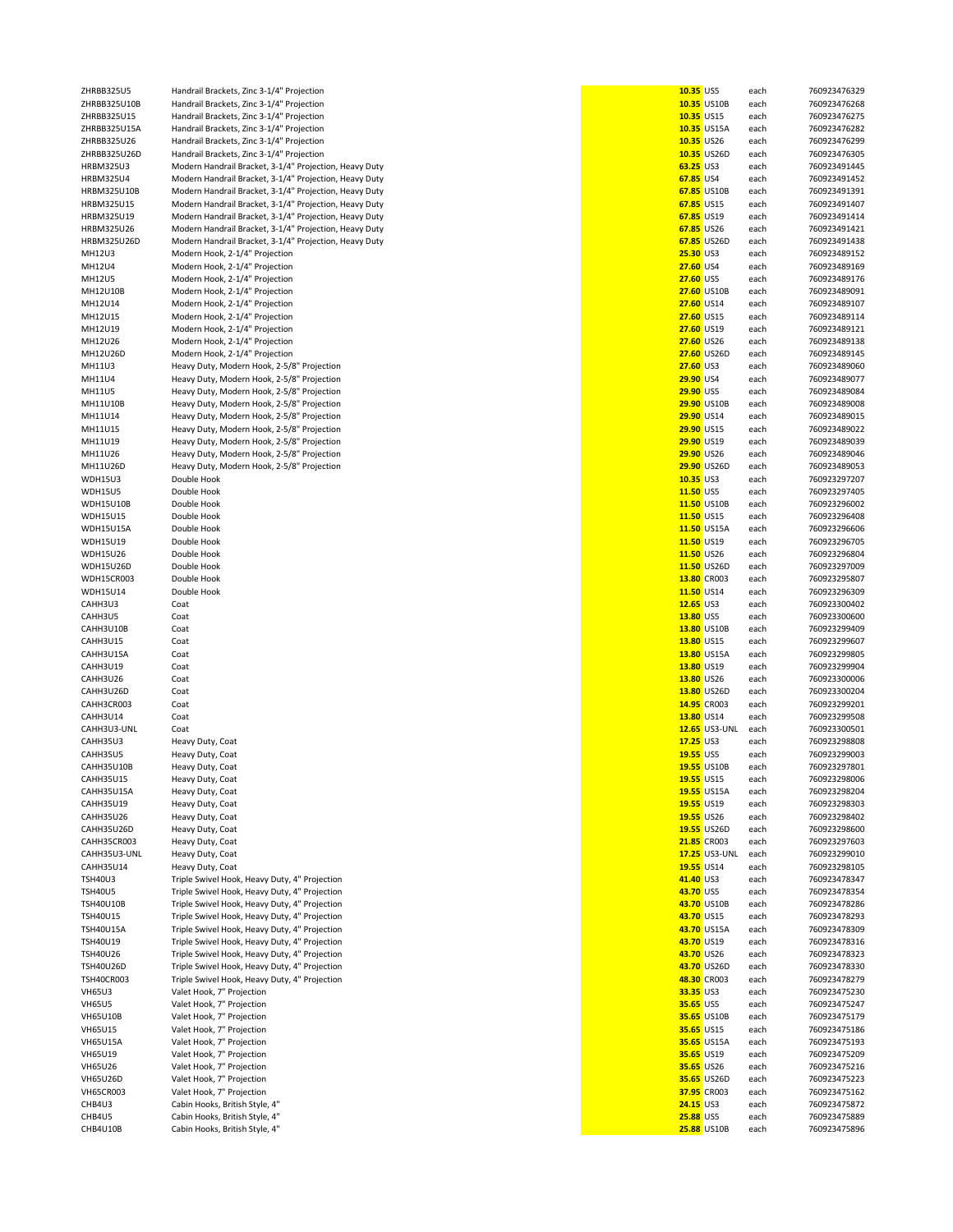| ZHRBB325U5        | Handrail Brackets, Zinc 3-1/4" Projection              | 10.35 US5        |                      | each | 760923476329 |
|-------------------|--------------------------------------------------------|------------------|----------------------|------|--------------|
| ZHRBB325U10B      | Handrail Brackets, Zinc 3-1/4" Projection              |                  | 10.35 US10B          | each | 760923476268 |
| ZHRBB325U15       | Handrail Brackets, Zinc 3-1/4" Projection              | 10.35 US15       |                      | each | 760923476275 |
| ZHRBB325U15A      | Handrail Brackets, Zinc 3-1/4" Projection              |                  | 10.35 US15A          | each | 760923476282 |
| ZHRBB325U26       | Handrail Brackets, Zinc 3-1/4" Projection              | 10.35 US26       |                      | each | 760923476299 |
| ZHRBB325U26D      | Handrail Brackets, Zinc 3-1/4" Projection              |                  | 10.35 US26D          | each | 760923476305 |
| <b>HRBM325U3</b>  | Modern Handrail Bracket, 3-1/4" Projection, Heavy Duty | 63.25 US3        |                      | each | 760923491445 |
|                   |                                                        |                  |                      |      |              |
| <b>HRBM325U4</b>  | Modern Handrail Bracket, 3-1/4" Projection, Heavy Duty | 67.85 US4        |                      | each | 760923491452 |
| HRBM325U10B       | Modern Handrail Bracket, 3-1/4" Projection, Heavy Duty |                  | 67.85 US10B          | each | 760923491391 |
| HRBM325U15        | Modern Handrail Bracket, 3-1/4" Projection, Heavy Duty | 67.85 US15       |                      | each | 760923491407 |
| HRBM325U19        | Modern Handrail Bracket, 3-1/4" Projection, Heavy Duty | 67.85 US19       |                      | each | 760923491414 |
| HRBM325U26        | Modern Handrail Bracket, 3-1/4" Projection, Heavy Duty | 67.85 US26       |                      | each | 760923491421 |
| HRBM325U26D       | Modern Handrail Bracket, 3-1/4" Projection, Heavy Duty |                  | 67.85 US26D          | each | 760923491438 |
|                   |                                                        |                  |                      |      |              |
| MH12U3            | Modern Hook, 2-1/4" Projection                         | <b>25.30 US3</b> |                      | each | 760923489152 |
| MH12U4            | Modern Hook, 2-1/4" Projection                         | <b>27.60 US4</b> |                      | each | 760923489169 |
| MH12U5            | Modern Hook, 2-1/4" Projection                         | 27.60 US5        |                      | each | 760923489176 |
| MH12U10B          | Modern Hook, 2-1/4" Projection                         |                  | 27.60 US10B          | each | 760923489091 |
| MH12U14           | Modern Hook, 2-1/4" Projection                         | 27.60 US14       |                      | each | 760923489107 |
| MH12U15           | Modern Hook, 2-1/4" Projection                         | 27.60 US15       |                      | each | 760923489114 |
|                   |                                                        |                  |                      |      |              |
| MH12U19           | Modern Hook, 2-1/4" Projection                         | 27.60 US19       |                      | each | 760923489121 |
| MH12U26           | Modern Hook, 2-1/4" Projection                         | 27.60 US26       |                      | each | 760923489138 |
| MH12U26D          | Modern Hook, 2-1/4" Projection                         |                  | 27.60 US26D          | each | 760923489145 |
| MH11U3            | Heavy Duty, Modern Hook, 2-5/8" Projection             | 27.60 US3        |                      | each | 760923489060 |
| MH11U4            | Heavy Duty, Modern Hook, 2-5/8" Projection             | 29.90 US4        |                      | each | 760923489077 |
| MH11U5            | Heavy Duty, Modern Hook, 2-5/8" Projection             | 29.90 US5        |                      | each | 760923489084 |
|                   |                                                        |                  |                      |      |              |
| MH11U10B          | Heavy Duty, Modern Hook, 2-5/8" Projection             |                  | 29.90 US10B          | each | 760923489008 |
| MH11U14           | Heavy Duty, Modern Hook, 2-5/8" Projection             | 29.90 US14       |                      | each | 760923489015 |
| MH11U15           | Heavy Duty, Modern Hook, 2-5/8" Projection             | 29.90 US15       |                      | each | 760923489022 |
| MH11U19           | Heavy Duty, Modern Hook, 2-5/8" Projection             | 29.90 US19       |                      | each | 760923489039 |
| MH11U26           | Heavy Duty, Modern Hook, 2-5/8" Projection             | 29.90 US26       |                      | each | 760923489046 |
|                   |                                                        |                  |                      |      |              |
| MH11U26D          | Heavy Duty, Modern Hook, 2-5/8" Projection             |                  | 29.90 US26D          | each | 760923489053 |
| <b>WDH15U3</b>    | Double Hook                                            | $10.35$ US3      |                      | each | 760923297207 |
| <b>WDH15U5</b>    | Double Hook                                            | 11.50 US5        |                      | each | 760923297405 |
| <b>WDH15U10B</b>  | Double Hook                                            |                  | 11.50 US10B          | each | 760923296002 |
| <b>WDH15U15</b>   | Double Hook                                            | 11.50 US15       |                      | each | 760923296408 |
|                   |                                                        |                  |                      |      |              |
| WDH15U15A         | Double Hook                                            |                  | 11.50 US15A          | each | 760923296606 |
| <b>WDH15U19</b>   | Double Hook                                            | 11.50 US19       |                      | each | 760923296705 |
| <b>WDH15U26</b>   | Double Hook                                            | 11.50 US26       |                      | each | 760923296804 |
| <b>WDH15U26D</b>  | Double Hook                                            |                  | 11.50 US26D          | each | 760923297009 |
| <b>WDH15CR003</b> | Double Hook                                            |                  | 13.80 CR003          | each | 760923295807 |
| <b>WDH15U14</b>   | Double Hook                                            | 11.50 US14       |                      | each | 760923296309 |
|                   |                                                        |                  |                      |      |              |
| CAHH3U3           | Coat                                                   | 12.65 US3        |                      | each | 760923300402 |
| CAHH3U5           | Coat                                                   | 13.80 US5        |                      | each | 760923300600 |
| CAHH3U10B         | Coat                                                   |                  | 13.80 US10B          | each | 760923299409 |
| CAHH3U15          | Coat                                                   | 13.80 US15       |                      | each | 760923299607 |
| CAHH3U15A         | Coat                                                   |                  | 13.80 US15A          | each | 760923299805 |
|                   |                                                        |                  |                      |      |              |
| CAHH3U19          | Coat                                                   | 13.80 US19       |                      | each | 760923299904 |
| CAHH3U26          | Coat                                                   | 13.80 US26       |                      | each | 760923300006 |
| CAHH3U26D         | Coat                                                   |                  | 13.80 US26D          | each | 760923300204 |
| CAHH3CR003        | Coat                                                   |                  | 14.95 CR003          | each | 760923299201 |
| CAHH3U14          | Coat                                                   | 13.80 US14       |                      | each | 760923299508 |
| CAHH3U3-UNL       | Coat                                                   |                  | <b>12.65</b> US3-UNL | each | 760923300501 |
|                   |                                                        |                  |                      |      |              |
| CAHH35U3          | Heavy Duty, Coat                                       | 17.25 US3        |                      | each | 760923298808 |
| CAHH35U5          | Heavy Duty, Coat                                       | 19.55 US5        |                      | each | 760923299003 |
| CAHH35U10B        | Heavy Duty, Coat                                       |                  | 19.55 US10B          | each | 760923297801 |
| <b>CAHH35U15</b>  | Heavy Duty, Coat                                       |                  | 19.55 US15           | eacn | 760923298006 |
| CAHH35U15A        | Heavy Duty, Coat                                       |                  | 19.55 US15A          | each | 760923298204 |
| <b>CAHH35U19</b>  | Heavy Duty, Coat                                       | 19.55 US19       |                      | each | 760923298303 |
|                   |                                                        |                  |                      |      |              |
| CAHH35U26         | Heavy Duty, Coat                                       | 19.55 US26       |                      | each | 760923298402 |
| CAHH35U26D        | Heavy Duty, Coat                                       |                  | 19.55 US26D          | each | 760923298600 |
| CAHH35CR003       | Heavy Duty, Coat                                       |                  | 21.85 CR003          | each | 760923297603 |
| CAHH35U3-UNL      | Heavy Duty, Coat                                       |                  | <b>17.25</b> US3-UNL | each | 760923299010 |
| <b>CAHH35U14</b>  | Heavy Duty, Coat                                       | 19.55 US14       |                      | each | 760923298105 |
| <b>TSH40U3</b>    | Triple Swivel Hook, Heavy Duty, 4" Projection          | 41.40 US3        |                      | each | 760923478347 |
| <b>TSH40U5</b>    | Triple Swivel Hook, Heavy Duty, 4" Projection          | 43.70 US5        |                      |      | 760923478354 |
|                   |                                                        |                  |                      | each |              |
| <b>TSH40U10B</b>  | Triple Swivel Hook, Heavy Duty, 4" Projection          |                  | 43.70 US10B          | each | 760923478286 |
| TSH40U15          | Triple Swivel Hook, Heavy Duty, 4" Projection          | 43.70 US15       |                      | each | 760923478293 |
| <b>TSH40U15A</b>  | Triple Swivel Hook, Heavy Duty, 4" Projection          |                  | 43.70 US15A          | each | 760923478309 |
| TSH40U19          | Triple Swivel Hook, Heavy Duty, 4" Projection          | 43.70 US19       |                      | each | 760923478316 |
| TSH40U26          | Triple Swivel Hook, Heavy Duty, 4" Projection          | 43.70 US26       |                      | each | 760923478323 |
| <b>TSH40U26D</b>  | Triple Swivel Hook, Heavy Duty, 4" Projection          |                  | 43.70 US26D          |      | 760923478330 |
|                   |                                                        |                  |                      | each |              |
| <b>TSH40CR003</b> | Triple Swivel Hook, Heavy Duty, 4" Projection          |                  | 48.30 CR003          | each | 760923478279 |
| <b>VH65U3</b>     | Valet Hook, 7" Projection                              | 33.35 US3        |                      | each | 760923475230 |
| <b>VH65U5</b>     | Valet Hook, 7" Projection                              | 35.65 US5        |                      | each | 760923475247 |
| <b>VH65U10B</b>   | Valet Hook, 7" Projection                              |                  | 35.65 US10B          | each | 760923475179 |
| <b>VH65U15</b>    | Valet Hook, 7" Projection                              | 35.65 US15       |                      | each | 760923475186 |
|                   |                                                        |                  |                      |      |              |
| <b>VH65U15A</b>   | Valet Hook, 7" Projection                              |                  | 35.65 US15A          | each | 760923475193 |
| <b>VH65U19</b>    | Valet Hook, 7" Projection                              | 35.65 US19       |                      | each | 760923475209 |
| <b>VH65U26</b>    | Valet Hook, 7" Projection                              | 35.65 US26       |                      | each | 760923475216 |
| <b>VH65U26D</b>   | Valet Hook, 7" Projection                              |                  | 35.65 US26D          | each | 760923475223 |
| <b>VH65CR003</b>  | Valet Hook, 7" Projection                              |                  | 37.95 CR003          | each | 760923475162 |
| CHB4U3            |                                                        | 24.15 US3        |                      |      | 760923475872 |
|                   | Cabin Hooks, British Style, 4"                         |                  |                      | each |              |
| CHB4U5            | Cabin Hooks, British Style, 4"                         | <b>25.88 US5</b> |                      | each | 760923475889 |
| CHB4U10B          | Cabin Hooks, British Style, 4"                         |                  | 25.88 US10B          | each | 760923475896 |

| 10.35 US5   |                      | each         | 760923476329                 |
|-------------|----------------------|--------------|------------------------------|
| 10.35 US15  | 10.35 US10B          | each<br>each | 760923476268<br>760923476275 |
|             | 10.35 US15A          | each         | 760923476282                 |
| 10.35 US26  |                      |              | 760923476299                 |
|             | 10.35 US26D          | each<br>each | 760923476305                 |
| 63.25 US3   |                      |              | 760923491445                 |
| 67.85 US4   |                      | each         | 760923491452                 |
|             |                      | each         | 760923491391                 |
|             | 67.85 US10B          | each         |                              |
| 67.85 US15  | 67.85 US19           | each         | 760923491407<br>760923491414 |
|             |                      | each         | 760923491421                 |
| 67.85 US26  |                      | each         | 760923491438                 |
|             | 67.85 US26D          | each         | 760923489152                 |
| 25.30 US3   |                      | each         |                              |
| 27.60 US4   |                      | each         | 760923489169                 |
| 27.60 US5   |                      | each         | 760923489176                 |
|             | 27.60 US10B          | each         | 760923489091                 |
|             | 27.60 US14           | each         | 760923489107                 |
|             | 27.60 US15           | each         | 760923489114                 |
|             | 27.60 US19           | each         | 760923489121                 |
| 27.60 US26  |                      | each         | 760923489138                 |
|             | 27.60 US26D          | each         | 760923489145                 |
| 27.60 US3   |                      | each         | 760923489060                 |
| 29.90 US4   |                      | each         | 760923489077                 |
| 29.90 US5   |                      | each         | 760923489084                 |
|             | 29.90 US10B          | each         | 760923489008                 |
|             | 29.90 US14           | each         | 76092348901                  |
|             | 29.90 US15           | each         | 760923489022                 |
|             | 29.90 US19           | each         | 760923489039                 |
| 29.90 US26  |                      | each         | 760923489046                 |
|             | 29.90 US26D          | each         | 760923489053                 |
| 10.35 US3   |                      | each         | 760923297207                 |
| 11.50 US5   |                      | each         | 76092329740                  |
|             | 11.50 US10B          | each         | 760923296002                 |
| 11.50 US15  |                      | each         | 760923296408                 |
|             | 11.50 US15A          | each         | 760923296606                 |
| 11.50 US19  |                      | each         | 76092329670                  |
|             | 11.50 US26           | each         | 760923296804                 |
|             | 11.50 US26D          | each         | 760923297009                 |
|             | 13.80 CR003          | each         | 760923295807                 |
|             | 11.50 US14           | each         | 760923296309                 |
| $12.65$ US3 |                      | each         | 760923300402                 |
| 13.80 US5   |                      | each         | 760923300600                 |
|             | 13.80 US10B          | each         | 760923299409                 |
| 13.80 US15  |                      | each         | 760923299607                 |
|             | 13.80 US15A          | each         | 76092329980                  |
| 13.80 US19  |                      | each         | 760923299904                 |
| 13.80 US26  |                      | each         | 760923300006                 |
|             | 13.80 US26D          | each         | 760923300204                 |
|             | 14.95 CR003          | each         | 76092329920                  |
|             | 13.80 US14           | each         | 760923299508                 |
|             | <b>12.65</b> US3-UNL | each         | 760923300502                 |
| 17.25 US3   |                      | each         | 760923298808                 |
| 19.55 US5   |                      | each         | 760923299003                 |
|             | <b>19.55 US10B</b>   | each         | 76092329780                  |
| 19.55 US15  |                      | each         | 760923298006                 |
|             | <b>19.55</b> US15A   | each         | 760923298204                 |
| 19.55 US19  |                      | each         | 760923298303                 |
| 19.55 US26  |                      | each         | 760923298402                 |
|             | 19.55 US26D          | each         | 760923298600                 |
|             | 21.85 CR003          | each         | 760923297603                 |
|             | 17.25 US3-UNL        | each         | 760923299010                 |
| 19.55 US14  |                      | each         | 76092329810                  |
| 41.40 US3   |                      | each         | 760923478347                 |
| 43.70 US5   |                      | each         | 760923478354                 |
|             | 43.70 US10B          | each         | 760923478286                 |
| 43.70 US15  |                      | each         | 760923478293                 |
|             | 43.70 US15A          | each         | 760923478309                 |
| 43.70 US19  |                      | each         | 760923478316                 |
| 43.70 US26  |                      | each         | 760923478323                 |
|             | 43.70 US26D          | each         | 760923478330                 |
|             | 48.30 CR003          | each         | 760923478279                 |
| 33.35 US3   |                      | each         | 760923475230                 |
| 35.65 US5   |                      | each         | 760923475247                 |
|             | 35.65 US10B          | each         | 760923475179                 |
| 35.65 US15  |                      | each         | 760923475186                 |
|             | <b>35.65</b> US15A   | each         | 760923475193                 |
| 35.65 US19  |                      | each         | 760923475209                 |
| 35.65 US26  |                      | each         | 760923475216                 |
|             | 35.65 US26D          | each         | 760923475223                 |
|             | 37.95 CR003          | each         | 760923475162                 |
| 24.15 US3   |                      | each         | 760923475872                 |
| 25.88 US5   |                      |              | 760923475889                 |
|             | 25.88 US10B          | each         |                              |
|             |                      | each         | 760923475896                 |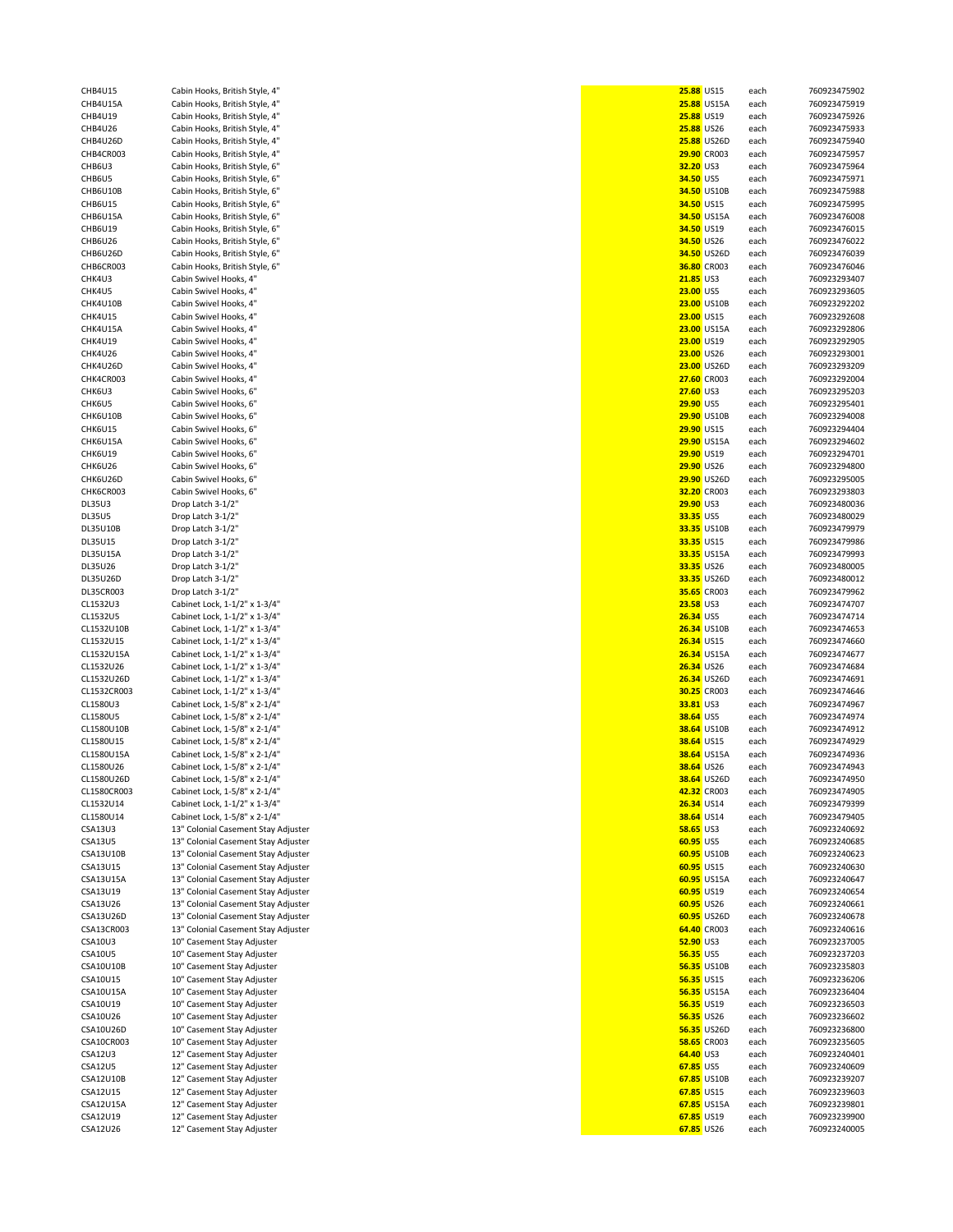| CHB4U15A                    |
|-----------------------------|
| HB4U19<br>C                 |
| HB4U26<br>$\mathsf{C}$      |
| CHB4U26D                    |
| HB4CR003<br>C               |
| CHB6U3                      |
| C<br>HB6U5:                 |
| HB6U10B<br>C                |
| CHB6U15                     |
| HB6U15A:<br>c               |
| HB6U19<br>C                 |
| CHB6U26                     |
| HB6U26D<br>C                |
| HB6CR003<br>C               |
| CHK4U3                      |
| HK4U5:<br>C                 |
| HK4U10B<br>C                |
| CHK4U15                     |
| CHK4U15A                    |
| HK4U19<br>C                 |
| CHK4U26                     |
| CHK4U26D                    |
| HK4CR003:<br>C              |
| CHK6U3                      |
| CHK6U5                      |
| HK6U10B<br>C                |
| HK6U15<br>c                 |
| CHK6U15A                    |
| HK6U19<br>C                 |
| CHK6U26                     |
| CHK6U26D                    |
| HK6CR003<br>c               |
| <b>DL35U3</b>               |
| <b>DL35U5</b>               |
| <b>DL35U10B</b>             |
| DL35U15                     |
| <b>DL35U15A</b>             |
| DL35U26                     |
| DL35U26D                    |
| DL35CR003                   |
|                             |
| L1532U3<br>C                |
| L1532U5<br>C                |
| $\overline{C}$              |
| L1532U10B<br>CL1532U15      |
| L1532U15A<br>C              |
| C                           |
| L1532U26<br>L1532U26D<br>C  |
| CL1532CR003                 |
| L1580U3<br>c                |
| L1580U5<br>C                |
| L1580U10B<br>C              |
| L1580U15<br>c               |
|                             |
| CL1580U15A<br>L1580U26<br>c |
| L1580U26D<br>C              |
| 1580<br>:RO<br>f,           |
| L1532U14<br>C               |
| L1580U14<br>C               |
| <b>CSA13U3</b>              |
| SA13U5<br>C                 |
| SA13U10B<br>C               |
| CSA13U15                    |
| SA13U15A<br>C               |
| SA13U19<br>$\overline{a}$   |
| CSA13U26                    |
| CSA13U26D                   |
| SA13CR003<br>$\overline{a}$ |
| SA10U3<br>C                 |
| SA10U5<br>C                 |
| SA10U10B<br>C               |
| SA10U15<br>$\epsilon$       |
| SA10U15A<br>C               |
| SA10U19<br>C                |
| SA10U26<br>C                |
| CSA10U26D                   |
| SA10CR003<br>C              |
| SA12U3<br>C                 |
| SAA2U5<br>C                 |
| SA12U10B<br>C               |
| SA12U15<br>O                |
| CSA12U15A<br>SA12U19<br>C   |

| abin Hooks, British Style, 4"                                                                                                                                                                                                                                                                                                                                                                                                |
|------------------------------------------------------------------------------------------------------------------------------------------------------------------------------------------------------------------------------------------------------------------------------------------------------------------------------------------------------------------------------------------------------------------------------|
| abin Hooks, British Style, 4"                                                                                                                                                                                                                                                                                                                                                                                                |
| abin Hooks, British Style, 4"                                                                                                                                                                                                                                                                                                                                                                                                |
| abin Hooks, British Style, 4"                                                                                                                                                                                                                                                                                                                                                                                                |
| abin Hooks, British Style, 4"                                                                                                                                                                                                                                                                                                                                                                                                |
| abin Hooks, British Style, 4"                                                                                                                                                                                                                                                                                                                                                                                                |
| abin Hooks, British Style, 6"                                                                                                                                                                                                                                                                                                                                                                                                |
| abin Hooks, British Style, 6"                                                                                                                                                                                                                                                                                                                                                                                                |
| abin Hooks, British Style, 6"                                                                                                                                                                                                                                                                                                                                                                                                |
| abin Hooks, British Style, 6"                                                                                                                                                                                                                                                                                                                                                                                                |
| abin Hooks, British Style, 6"                                                                                                                                                                                                                                                                                                                                                                                                |
| abin Hooks, British Style, 6"                                                                                                                                                                                                                                                                                                                                                                                                |
| abin Hooks, British Style, 6"                                                                                                                                                                                                                                                                                                                                                                                                |
| abin Hooks, British Style, 6"                                                                                                                                                                                                                                                                                                                                                                                                |
| abin Hooks, British Style, 6"                                                                                                                                                                                                                                                                                                                                                                                                |
| abin Swivel Hooks, 4"                                                                                                                                                                                                                                                                                                                                                                                                        |
| abin Swivel Hooks, 4"                                                                                                                                                                                                                                                                                                                                                                                                        |
| abin Swivel Hooks, 4"                                                                                                                                                                                                                                                                                                                                                                                                        |
| abin Swivel Hooks, 4"                                                                                                                                                                                                                                                                                                                                                                                                        |
| abin Swivel Hooks, 4"                                                                                                                                                                                                                                                                                                                                                                                                        |
| abin Swivel Hooks, 4"                                                                                                                                                                                                                                                                                                                                                                                                        |
| abin Swivel Hooks, 4"                                                                                                                                                                                                                                                                                                                                                                                                        |
| abin Swivel Hooks, 4"                                                                                                                                                                                                                                                                                                                                                                                                        |
|                                                                                                                                                                                                                                                                                                                                                                                                                              |
| abin Swivel Hooks, 4"                                                                                                                                                                                                                                                                                                                                                                                                        |
| abin Swivel Hooks, 6"                                                                                                                                                                                                                                                                                                                                                                                                        |
| abin Swivel Hooks, 6"                                                                                                                                                                                                                                                                                                                                                                                                        |
| abin Swivel Hooks, 6"                                                                                                                                                                                                                                                                                                                                                                                                        |
| abin Swivel Hooks, 6"                                                                                                                                                                                                                                                                                                                                                                                                        |
| abin Swivel Hooks, 6"                                                                                                                                                                                                                                                                                                                                                                                                        |
| abin Swivel Hooks, 6"                                                                                                                                                                                                                                                                                                                                                                                                        |
| abin Swivel Hooks, 6"                                                                                                                                                                                                                                                                                                                                                                                                        |
| abin Swivel Hooks, 6"                                                                                                                                                                                                                                                                                                                                                                                                        |
| abin Swivel Hooks, 6"                                                                                                                                                                                                                                                                                                                                                                                                        |
| rop Latch 3-1/2"                                                                                                                                                                                                                                                                                                                                                                                                             |
| rop Latch 3-1/2"                                                                                                                                                                                                                                                                                                                                                                                                             |
| rop Latch 3-1/2"                                                                                                                                                                                                                                                                                                                                                                                                             |
| rop Latch 3-1/2"                                                                                                                                                                                                                                                                                                                                                                                                             |
| rop Latch 3-1/2"                                                                                                                                                                                                                                                                                                                                                                                                             |
| rop Latch 3-1/2"                                                                                                                                                                                                                                                                                                                                                                                                             |
| rop Latch 3-1/2"                                                                                                                                                                                                                                                                                                                                                                                                             |
| rop Latch 3-1/2"                                                                                                                                                                                                                                                                                                                                                                                                             |
| abinet Lock, 1-1/2" x 1-3/4"                                                                                                                                                                                                                                                                                                                                                                                                 |
| abinet Lock, 1-1/2" x 1-3/4"                                                                                                                                                                                                                                                                                                                                                                                                 |
| abinet Lock, 1-1/2" x 1-3/4"                                                                                                                                                                                                                                                                                                                                                                                                 |
|                                                                                                                                                                                                                                                                                                                                                                                                                              |
|                                                                                                                                                                                                                                                                                                                                                                                                                              |
|                                                                                                                                                                                                                                                                                                                                                                                                                              |
|                                                                                                                                                                                                                                                                                                                                                                                                                              |
|                                                                                                                                                                                                                                                                                                                                                                                                                              |
|                                                                                                                                                                                                                                                                                                                                                                                                                              |
|                                                                                                                                                                                                                                                                                                                                                                                                                              |
|                                                                                                                                                                                                                                                                                                                                                                                                                              |
|                                                                                                                                                                                                                                                                                                                                                                                                                              |
|                                                                                                                                                                                                                                                                                                                                                                                                                              |
|                                                                                                                                                                                                                                                                                                                                                                                                                              |
|                                                                                                                                                                                                                                                                                                                                                                                                                              |
|                                                                                                                                                                                                                                                                                                                                                                                                                              |
|                                                                                                                                                                                                                                                                                                                                                                                                                              |
| abinet Lock, 1-1/2" x 1-3/4"<br>abinet Lock, 1-1/2" x 1-3/4"<br>abinet Lock, 1-1/2" x 1-3/4"<br>abinet Lock, 1-1/2" x 1-3/4"<br>abinet Lock, 1-1/2" x 1-3/4"<br>abinet Lock, 1-5/8" x 2-1/4"<br>abinet Lock, 1-5/8" x 2-1/4"<br>abinet Lock, 1-5/8" x 2-1/4"<br>abinet Lock, 1-5/8" x 2-1/4"<br>abinet Lock, 1-5/8" x 2-1/4"<br>abinet Lock, 1-5/8" x 2-1/4"<br>abinet Lock, 1-5/8" x 2-1/4"<br>abinet Lock, 1-5/8" x 2-1/4" |
|                                                                                                                                                                                                                                                                                                                                                                                                                              |
|                                                                                                                                                                                                                                                                                                                                                                                                                              |
|                                                                                                                                                                                                                                                                                                                                                                                                                              |
|                                                                                                                                                                                                                                                                                                                                                                                                                              |
|                                                                                                                                                                                                                                                                                                                                                                                                                              |
|                                                                                                                                                                                                                                                                                                                                                                                                                              |
| abinet Lock, 1-1/2" x 1-3/4"<br>abinet Lock, 1-5/8" x 2-1/4"<br><sup>3</sup> Colonial Casement Stay Adjuster<br><sup>3</sup> Colonial Casement Stay Adjuster<br><sup>3</sup> Colonial Casement Stay Adjuster<br><sup>3</sup> Colonial Casement Stay Adjuster                                                                                                                                                                 |
| <sup>3</sup> Colonial Casement Stay Adjuster                                                                                                                                                                                                                                                                                                                                                                                 |
| <sup>3</sup> Colonial Casement Stay Adjuster                                                                                                                                                                                                                                                                                                                                                                                 |
| <sup>3</sup> Colonial Casement Stay Adjuster                                                                                                                                                                                                                                                                                                                                                                                 |
| <sup>3</sup> Colonial Casement Stay Adjuster                                                                                                                                                                                                                                                                                                                                                                                 |
| <sup>3</sup> Colonial Casement Stay Adjuster                                                                                                                                                                                                                                                                                                                                                                                 |
| " Casement Stay Adjuster                                                                                                                                                                                                                                                                                                                                                                                                     |
| " Casement Stay Adjuster                                                                                                                                                                                                                                                                                                                                                                                                     |
| <sup>"</sup> Casement Stay Adjuster                                                                                                                                                                                                                                                                                                                                                                                          |
| " Casement Stay Adjuster                                                                                                                                                                                                                                                                                                                                                                                                     |
| <sup>"</sup> Casement Stay Adjuster                                                                                                                                                                                                                                                                                                                                                                                          |
| <sup>"</sup> Casement Stay Adjuster                                                                                                                                                                                                                                                                                                                                                                                          |
| <sup>"</sup> Casement Stay Adjuster                                                                                                                                                                                                                                                                                                                                                                                          |
| <sup>"</sup> Casement Stay Adjuster                                                                                                                                                                                                                                                                                                                                                                                          |
| <sup>"</sup> Casement Stay Adjuster                                                                                                                                                                                                                                                                                                                                                                                          |
| <sup>2</sup> Casement Stay Adjuster                                                                                                                                                                                                                                                                                                                                                                                          |
| <sup>2</sup> Casement Stay Adjuster                                                                                                                                                                                                                                                                                                                                                                                          |
| <sup>2</sup> Casement Stay Adjuster                                                                                                                                                                                                                                                                                                                                                                                          |
| <sup>2</sup> Casement Stay Adjuster                                                                                                                                                                                                                                                                                                                                                                                          |
| <sup>2</sup> Casement Stay Adjuster                                                                                                                                                                                                                                                                                                                                                                                          |
| <sup>2</sup> Casement Stay Adjuster                                                                                                                                                                                                                                                                                                                                                                                          |

| <b>CHB4U15</b>       | Cabin Hooks, British Style, 4"                           |                   | 25.88 US15               | each         | 760923475902                 |
|----------------------|----------------------------------------------------------|-------------------|--------------------------|--------------|------------------------------|
| CHB4U15A             | Cabin Hooks, British Style, 4"                           |                   | 25.88 US15A              | each         | 760923475919                 |
| CHB4U19              | Cabin Hooks, British Style, 4"                           | 25.88 US19        |                          | each         | 760923475926                 |
| CHB4U26              | Cabin Hooks, British Style, 4"                           | 25.88 US26        |                          | each         | 760923475933                 |
|                      |                                                          |                   |                          |              |                              |
| CHB4U26D             | Cabin Hooks, British Style, 4"                           |                   | <b>25.88 US26D</b>       | each         | 760923475940                 |
| CHB4CR003            | Cabin Hooks, British Style, 4"                           |                   | 29.90 CR003              | each         | 760923475957                 |
| CHB6U3               | Cabin Hooks, British Style, 6"                           | 32.20 US3         |                          | each         | 760923475964                 |
| CHB6U5               | Cabin Hooks, British Style, 6"                           | 34.50 US5         |                          | each         | 760923475971                 |
| CHB6U10B             | Cabin Hooks, British Style, 6"                           |                   | 34.50 US10B              | each         | 760923475988                 |
| CHB6U15              | Cabin Hooks, British Style, 6"                           |                   | 34.50 US15               | each         | 760923475995                 |
| CHB6U15A             | Cabin Hooks, British Style, 6"                           |                   | 34.50 US15A              | each         | 760923476008                 |
|                      |                                                          |                   |                          |              |                              |
| <b>CHB6U19</b>       | Cabin Hooks, British Style, 6"                           | 34.50 US19        |                          | each         | 760923476015                 |
| CHB6U26              | Cabin Hooks, British Style, 6"                           |                   | 34.50 US26               | each         | 760923476022                 |
| CHB6U26D             | Cabin Hooks, British Style, 6"                           |                   | 34.50 US26D              | each         | 760923476039                 |
| CHB6CR003            | Cabin Hooks, British Style, 6"                           |                   | 36.80 CR003              | each         | 760923476046                 |
| CHK4U3               | Cabin Swivel Hooks, 4"                                   | 21.85 US3         |                          | each         | 760923293407                 |
|                      |                                                          |                   |                          |              |                              |
| CHK4U5               | Cabin Swivel Hooks, 4"                                   | 23.00 US5         |                          | each         | 760923293605                 |
| CHK4U10B             | Cabin Swivel Hooks, 4"                                   |                   | 23.00 US10B              | each         | 760923292202                 |
| CHK4U15              | Cabin Swivel Hooks, 4"                                   | 23.00 US15        |                          | each         | 760923292608                 |
| CHK4U15A             | Cabin Swivel Hooks, 4"                                   |                   | 23.00 US15A              | each         | 760923292806                 |
| CHK4U19              | Cabin Swivel Hooks, 4"                                   | 23.00 US19        |                          | each         | 760923292905                 |
| CHK4U26              |                                                          | 23.00 US26        |                          |              | 760923293001                 |
|                      | Cabin Swivel Hooks, 4"                                   |                   |                          | each         |                              |
| CHK4U26D             | Cabin Swivel Hooks, 4"                                   |                   | 23.00 US26D              | each         | 760923293209                 |
| CHK4CR003            | Cabin Swivel Hooks, 4"                                   |                   | 27.60 CR003              | each         | 760923292004                 |
| CHK6U3               | Cabin Swivel Hooks, 6"                                   | 27.60 US3         |                          | each         | 760923295203                 |
| CHK6U5               | Cabin Swivel Hooks, 6"                                   | 29.90 US5         |                          | each         | 760923295401                 |
| CHK6U10B             | Cabin Swivel Hooks, 6"                                   |                   | 29.90 US10B              | each         | 760923294008                 |
| CHK6U15              |                                                          |                   |                          |              |                              |
|                      | Cabin Swivel Hooks, 6"                                   |                   | 29.90 US15               | each         | 760923294404                 |
| CHK6U15A             | Cabin Swivel Hooks, 6"                                   |                   | 29.90 US15A              | each         | 760923294602                 |
| CHK6U19              | Cabin Swivel Hooks, 6"                                   | 29.90 US19        |                          | each         | 760923294701                 |
| CHK6U26              | Cabin Swivel Hooks, 6"                                   |                   | 29.90 US26               | each         | 760923294800                 |
| CHK6U26D             | Cabin Swivel Hooks, 6"                                   |                   | 29.90 US26D              | each         | 760923295005                 |
| CHK6CR003            | Cabin Swivel Hooks, 6"                                   |                   | 32.20 CR003              |              | 760923293803                 |
|                      |                                                          |                   |                          | each         |                              |
| <b>DL35U3</b>        | Drop Latch 3-1/2"                                        | 29.90 US3         |                          | each         | 760923480036                 |
| <b>DL35U5</b>        | Drop Latch 3-1/2"                                        | 33.35 US5         |                          | each         | 760923480029                 |
| DL35U10B             | Drop Latch 3-1/2"                                        |                   | 33.35 US10B              | each         | 760923479979                 |
| DL35U15              | Drop Latch 3-1/2"                                        | 33.35 US15        |                          | each         | 760923479986                 |
|                      |                                                          |                   |                          |              |                              |
| <b>DL35U15A</b>      | Drop Latch 3-1/2"                                        |                   | 33.35 US15A              | each         | 760923479993                 |
| DL35U26              | Drop Latch 3-1/2"                                        | 33.35 US26        |                          | each         | 760923480005                 |
| DL35U26D             | Drop Latch 3-1/2"                                        |                   | 33.35 US26D              | each         | 760923480012                 |
| DL35CR003            | Drop Latch 3-1/2"                                        |                   | 35.65 CR003              | each         | 760923479962                 |
| CL1532U3             | Cabinet Lock, 1-1/2" x 1-3/4"                            | 23.58 US3         |                          | each         | 760923474707                 |
| CL1532U5             |                                                          | 26.34 US5         |                          |              |                              |
|                      | Cabinet Lock, 1-1/2" x 1-3/4"                            |                   |                          | each         | 760923474714                 |
| CL1532U10B           | Cabinet Lock, 1-1/2" x 1-3/4"                            |                   | <b>26.34 US10B</b>       | each         | 760923474653                 |
| CL1532U15            | Cabinet Lock, 1-1/2" x 1-3/4"                            | 26.34 US15        |                          | each         | 760923474660                 |
| CL1532U15A           | Cabinet Lock, 1-1/2" x 1-3/4"                            |                   | <b>26.34 US15A</b>       | each         | 760923474677                 |
| CL1532U26            | Cabinet Lock, 1-1/2" x 1-3/4"                            |                   | 26.34 US26               | each         | 760923474684                 |
| CL1532U26D           | Cabinet Lock, 1-1/2" x 1-3/4"                            |                   | 26.34 US26D              | each         | 760923474691                 |
|                      |                                                          |                   |                          |              |                              |
| CL1532CR003          | Cabinet Lock, 1-1/2" x 1-3/4"                            |                   | 30.25 CR003              | each         | 760923474646                 |
| CL1580U3             | Cabinet Lock, 1-5/8" x 2-1/4"                            | 33.81 US3         |                          | each         | 760923474967                 |
| CL1580U5             | Cabinet Lock, 1-5/8" x 2-1/4"                            | 38.64 US5         |                          | each         | 760923474974                 |
| CL1580U10B           | Cabinet Lock, 1-5/8" x 2-1/4"                            |                   | <b>38.64 US10B</b>       | each         | 760923474912                 |
| CL1580U15            | Cabinet Lock, 1-5/8" x 2-1/4"                            | <b>38.64 US15</b> |                          | each         | 760923474929                 |
| CL1580U15A           |                                                          |                   | <b>38.64 US15A</b>       |              | 760923474936                 |
|                      | Cabinet Lock, 1-5/8" x 2-1/4"                            |                   |                          | each         |                              |
| CL1580U26            | Cabinet Lock, 1-5/8" x 2-1/4"                            | 38.64 US26        |                          | each         | 760923474943                 |
| CL1580U26D           | Cabinet Lock, 1-5/8" x 2-1/4"                            |                   | 38.64 US26D              | each         | 760923474950                 |
| CL1580CR003          | Cabinet Lock, 1-5/8" x 2-1/4"                            |                   | 42.32 CR003              | each         | 760923474905                 |
| CL1532U14            | Cabinet Lock, 1-1/2" x 1-3/4"                            | 26.34 US14        |                          | each         | 760923479399                 |
| CL1580U14            | Cabinet Lock, 1-5/8" x 2-1/4"                            | 38.64 US14        |                          | each         | 760923479405                 |
| <b>CSA13U3</b>       | 13" Colonial Casement Stay Adjuster                      | <b>58.65 US3</b>  |                          | each         | 760923240692                 |
|                      |                                                          |                   |                          |              |                              |
| <b>CSA13U5</b>       | 13" Colonial Casement Stay Adjuster                      | 60.95 US5         |                          | each         | 760923240685                 |
| CSA13U10B            | 13" Colonial Casement Stay Adjuster                      |                   | 60.95 US10B              | each         | 760923240623                 |
| CSA13U15             | 13" Colonial Casement Stay Adjuster                      |                   | 60.95 US15               | each         | 760923240630                 |
| CSA13U15A            | 13" Colonial Casement Stay Adjuster                      |                   | 60.95 US15A              | each         | 760923240647                 |
| CSA13U19             | 13" Colonial Casement Stay Adjuster                      |                   | 60.95 US19               | each         | 760923240654                 |
| CSA13U26             | 13" Colonial Casement Stay Adjuster                      |                   | 60.95 US26               |              | 760923240661                 |
|                      |                                                          |                   |                          | each         |                              |
| CSA13U26D            |                                                          |                   |                          |              | 760923240678                 |
| CSA13CR003           | 13" Colonial Casement Stay Adjuster                      |                   | 60.95 US26D              | each         |                              |
|                      | 13" Colonial Casement Stay Adjuster                      |                   | 64.40 CR003              | each         | 760923240616                 |
| <b>CSA10U3</b>       | 10" Casement Stay Adjuster                               | 52.90 US3         |                          | each         | 760923237005                 |
| <b>CSA10U5</b>       |                                                          | 56.35 US5         |                          |              |                              |
|                      | 10" Casement Stay Adjuster                               |                   |                          | each         | 760923237203                 |
| CSA10U10B            | 10" Casement Stay Adjuster                               |                   | 56.35 US10B              | each         | 760923235803                 |
| CSA10U15             | 10" Casement Stay Adjuster                               | 56.35 US15        |                          | each         | 760923236206                 |
| CSA10U15A            | 10" Casement Stay Adjuster                               |                   | <b>56.35 US15A</b>       | each         | 760923236404                 |
| CSA10U19             | 10" Casement Stay Adjuster                               | 56.35 US19        |                          | each         | 760923236503                 |
| CSA10U26             | 10" Casement Stay Adjuster                               | 56.35 US26        |                          | each         | 760923236602                 |
|                      |                                                          |                   |                          |              |                              |
| CSA10U26D            | 10" Casement Stay Adjuster                               |                   | 56.35 US26D              | each         | 760923236800                 |
| CSA10CR003           | 10" Casement Stay Adjuster                               |                   | <b>58.65 CR003</b>       | each         | 760923235605                 |
| <b>CSA12U3</b>       | 12" Casement Stay Adjuster                               | 64.40 US3         |                          | each         | 760923240401                 |
| <b>CSA12U5</b>       | 12" Casement Stay Adjuster                               | 67.85 US5         |                          | each         | 760923240609                 |
| CSA12U10B            | 12" Casement Stay Adjuster                               |                   | 67.85 US10B              | each         | 760923239207                 |
| CSA12U15             | 12" Casement Stay Adjuster                               |                   | 67.85 US15               | each         | 760923239603                 |
|                      |                                                          |                   |                          |              |                              |
| CSA12U15A            | 12" Casement Stay Adjuster                               |                   | 67.85 US15A              | each         | 760923239801                 |
| CSA12U19<br>CSA12U26 | 12" Casement Stay Adjuster<br>12" Casement Stay Adjuster |                   | 67.85 US19<br>67.85 US26 | each<br>each | 760923239900<br>760923240005 |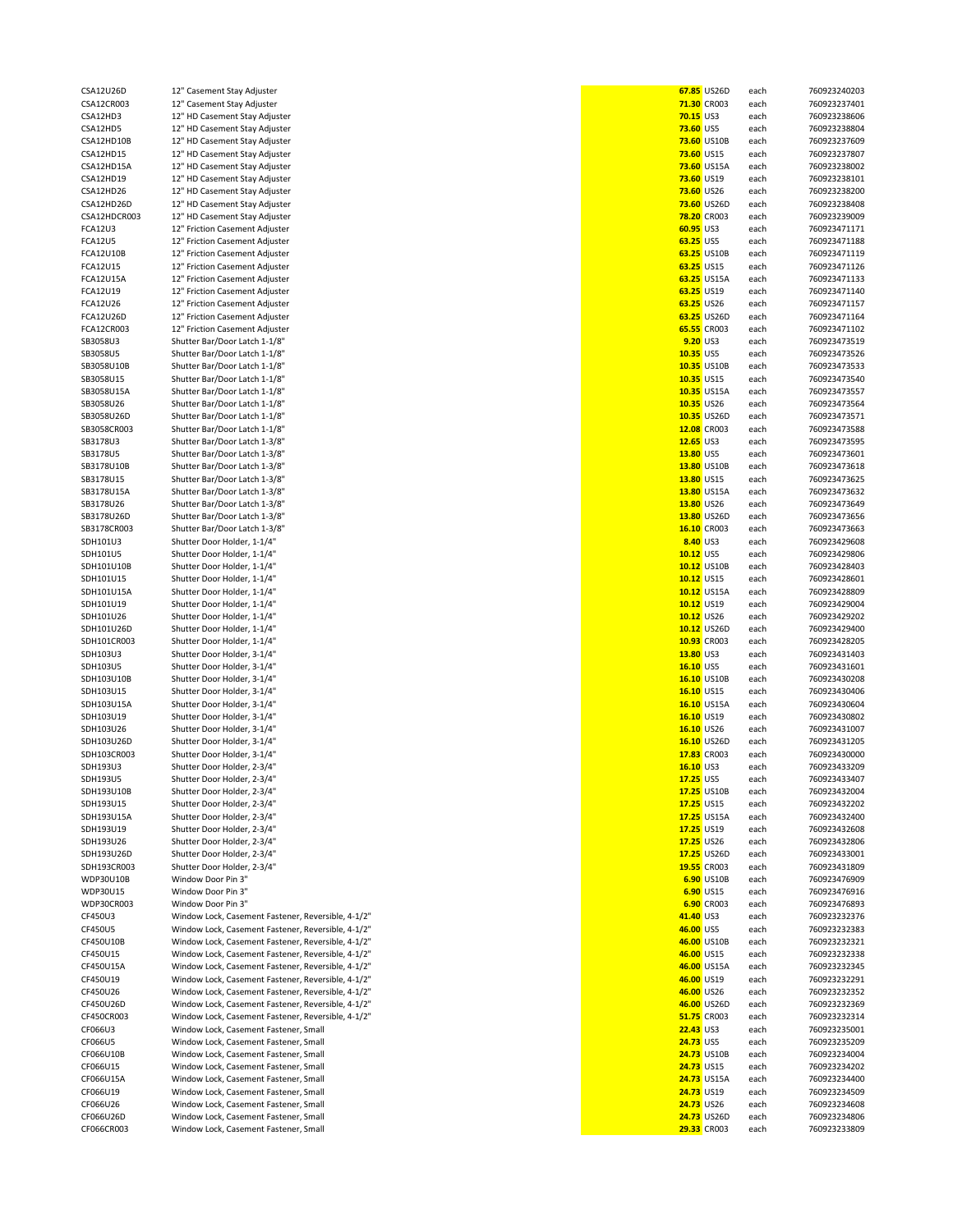| CSA12U26D      | 12" Casement Stay Adjuster                         |                  | 67.85 US26D | each | 760923240203 |
|----------------|----------------------------------------------------|------------------|-------------|------|--------------|
| CSA12CR003     | 12" Casement Stay Adjuster                         |                  | 71.30 CR003 | each | 760923237401 |
| CSA12HD3       | 12" HD Casement Stay Adjuster                      | <b>70.15 US3</b> |             | each | 760923238606 |
| CSA12HD5       | 12" HD Casement Stay Adjuster                      | <b>73.60 US5</b> |             | each | 760923238804 |
| CSA12HD10B     | 12" HD Casement Stay Adjuster                      |                  | 73.60 US10B | each | 760923237609 |
|                |                                                    |                  | 73.60 US15  |      |              |
| CSA12HD15      | 12" HD Casement Stay Adjuster                      |                  |             | each | 760923237807 |
| CSA12HD15A     | 12" HD Casement Stay Adjuster                      |                  | 73.60 US15A | each | 760923238002 |
| CSA12HD19      | 12" HD Casement Stay Adjuster                      |                  | 73.60 US19  | each | 760923238101 |
| CSA12HD26      | 12" HD Casement Stay Adjuster                      |                  | 73.60 US26  | each | 760923238200 |
| CSA12HD26D     | 12" HD Casement Stay Adjuster                      |                  | 73.60 US26D | each | 760923238408 |
|                |                                                    |                  |             |      |              |
| CSA12HDCR003   | 12" HD Casement Stay Adjuster                      |                  | 78.20 CR003 | each | 760923239009 |
| FCA12U3        | 12" Friction Casement Adjuster                     | 60.95 US3        |             | each | 760923471171 |
| <b>FCA12U5</b> | 12" Friction Casement Adjuster                     | 63.25 US5        |             | each | 760923471188 |
|                |                                                    |                  |             |      |              |
| FCA12U10B      | 12" Friction Casement Adjuster                     |                  | 63.25 US10B | each | 760923471119 |
| FCA12U15       | 12" Friction Casement Adjuster                     |                  | 63.25 US15  | each | 760923471126 |
| FCA12U15A      | 12" Friction Casement Adjuster                     |                  | 63.25 US15A | each | 760923471133 |
| FCA12U19       | 12" Friction Casement Adjuster                     |                  | 63.25 US19  | each | 760923471140 |
|                |                                                    |                  |             |      |              |
| FCA12U26       | 12" Friction Casement Adjuster                     |                  | 63.25 US26  | each | 760923471157 |
| FCA12U26D      | 12" Friction Casement Adjuster                     |                  | 63.25 US26D | each | 760923471164 |
| FCA12CR003     | 12" Friction Casement Adjuster                     |                  | 65.55 CR003 | each | 760923471102 |
|                |                                                    |                  |             |      |              |
| SB3058U3       | Shutter Bar/Door Latch 1-1/8"                      | 9.20 US3         |             | each | 760923473519 |
| SB3058U5       | Shutter Bar/Door Latch 1-1/8"                      | 10.35 US5        |             | each | 760923473526 |
| SB3058U10B     | Shutter Bar/Door Latch 1-1/8"                      |                  | 10.35 US10B | each | 760923473533 |
| SB3058U15      | Shutter Bar/Door Latch 1-1/8"                      |                  | 10.35 US15  | each | 760923473540 |
|                |                                                    |                  |             |      |              |
| SB3058U15A     | Shutter Bar/Door Latch 1-1/8"                      |                  | 10.35 US15A | each | 760923473557 |
| SB3058U26      | Shutter Bar/Door Latch 1-1/8"                      |                  | 10.35 US26  | each | 760923473564 |
| SB3058U26D     | Shutter Bar/Door Latch 1-1/8"                      |                  | 10.35 US26D | each | 760923473571 |
| SB3058CR003    | Shutter Bar/Door Latch 1-1/8"                      |                  | 12.08 CR003 |      | 760923473588 |
|                |                                                    |                  |             | each |              |
| SB3178U3       | Shutter Bar/Door Latch 1-3/8"                      | 12.65 US3        |             | each | 760923473595 |
| SB3178U5       | Shutter Bar/Door Latch 1-3/8"                      | 13.80 US5        |             | each | 760923473601 |
| SB3178U10B     | Shutter Bar/Door Latch 1-3/8"                      |                  | 13.80 US10B | each | 760923473618 |
|                |                                                    |                  |             |      |              |
| SB3178U15      | Shutter Bar/Door Latch 1-3/8"                      |                  | 13.80 US15  | each | 760923473625 |
| SB3178U15A     | Shutter Bar/Door Latch 1-3/8"                      |                  | 13.80 US15A | each | 760923473632 |
| SB3178U26      | Shutter Bar/Door Latch 1-3/8"                      |                  | 13.80 US26  | each | 760923473649 |
| SB3178U26D     |                                                    |                  | 13.80 US26D |      |              |
|                | Shutter Bar/Door Latch 1-3/8"                      |                  |             | each | 760923473656 |
| SB3178CR003    | Shutter Bar/Door Latch 1-3/8"                      |                  | 16.10 CR003 | each | 760923473663 |
| SDH101U3       | Shutter Door Holder, 1-1/4"                        | 8.40 US3         |             | each | 760923429608 |
| SDH101U5       | Shutter Door Holder, 1-1/4"                        | 10.12 US5        |             | each | 760923429806 |
|                |                                                    |                  |             |      |              |
| SDH101U10B     | Shutter Door Holder, 1-1/4"                        |                  | 10.12 US10B | each | 760923428403 |
| SDH101U15      | Shutter Door Holder, 1-1/4"                        |                  | 10.12 US15  | each | 760923428601 |
| SDH101U15A     | Shutter Door Holder, 1-1/4"                        |                  | 10.12 US15A | each | 760923428809 |
| SDH101U19      |                                                    |                  | 10.12 US19  |      | 760923429004 |
|                | Shutter Door Holder, 1-1/4"                        |                  |             | each |              |
| SDH101U26      | Shutter Door Holder, 1-1/4"                        |                  | 10.12 US26  | each | 760923429202 |
| SDH101U26D     | Shutter Door Holder, 1-1/4"                        |                  | 10.12 US26D | each | 760923429400 |
| SDH101CR003    | Shutter Door Holder, 1-1/4"                        |                  | 10.93 CR003 | each | 760923428205 |
|                |                                                    |                  |             |      |              |
| SDH103U3       | Shutter Door Holder, 3-1/4"                        | 13.80 US3        |             | each | 760923431403 |
| SDH103U5       | Shutter Door Holder, 3-1/4"                        | 16.10 US5        |             | each | 760923431601 |
| SDH103U10B     | Shutter Door Holder, 3-1/4"                        |                  | 16.10 US10B | each | 760923430208 |
|                |                                                    |                  |             |      | 760923430406 |
| SDH103U15      | Shutter Door Holder, 3-1/4"                        |                  | 16.10 US15  | each |              |
| SDH103U15A     | Shutter Door Holder, 3-1/4"                        |                  | 16.10 US15A | each | 760923430604 |
| SDH103U19      | Shutter Door Holder, 3-1/4"                        |                  | 16.10 US19  | each | 760923430802 |
| SDH103U26      | Shutter Door Holder, 3-1/4"                        |                  | 16.10 US26  | each | 760923431007 |
|                |                                                    |                  |             |      |              |
| SDH103U26D     | Shutter Door Holder, 3-1/4"                        |                  | 16.10 US26D | each | 760923431205 |
| SDH103CR003    | Shutter Door Holder, 3-1/4"                        |                  | 17.83 CR003 | each | 760923430000 |
| SDH193U3       | Shutter Door Holder, 2-3/4"                        | 16.10 US3        |             | each | 760923433209 |
| SDH193U5       | Shutter Door Holder, 2-3/4"                        | 17.25 US5        |             | each | 760923433407 |
|                |                                                    |                  |             |      |              |
| SDH193U10B     | Shutter Door Holder, 2-3/4"                        |                  | 17.25 US10B | each | 760923432004 |
| SDH193U15      | Shutter Door Holder, 2-3/4"                        |                  | 17.25 US15  | each | 760923432202 |
| SDH193U15A     | Shutter Door Holder, 2-3/4"                        |                  | 17.25 US15A | each | 760923432400 |
| SDH193U19      | Shutter Door Holder, 2-3/4"                        |                  | 17.25 US19  | each | 760923432608 |
|                |                                                    |                  |             |      |              |
| SDH193U26      | Shutter Door Holder, 2-3/4"                        |                  | 17.25 US26  | each | 760923432806 |
| SDH193U26D     | Shutter Door Holder, 2-3/4"                        |                  | 17.25 US26D | each | 760923433001 |
| SDH193CR003    | Shutter Door Holder, 2-3/4"                        |                  | 19.55 CR003 | each | 760923431809 |
| WDP30U10B      | Window Door Pin 3"                                 |                  | 6.90 US10B  | each | 760923476909 |
|                |                                                    |                  |             |      |              |
| WDP30U15       | Window Door Pin 3"                                 |                  | 6.90 US15   | each | 760923476916 |
| WDP30CR003     | Window Door Pin 3"                                 |                  | 6.90 CR003  | each | 760923476893 |
| CF450U3        | Window Lock, Casement Fastener, Reversible, 4-1/2" | 41.40 US3        |             | each | 760923232376 |
|                |                                                    |                  |             |      |              |
| CF450U5        | Window Lock, Casement Fastener, Reversible, 4-1/2" | 46.00 US5        |             | each | 760923232383 |
| CF450U10B      | Window Lock, Casement Fastener, Reversible, 4-1/2" |                  | 46.00 US10B | each | 760923232321 |
| CF450U15       | Window Lock, Casement Fastener, Reversible, 4-1/2" |                  | 46.00 US15  | each | 760923232338 |
| CF450U15A      | Window Lock, Casement Fastener, Reversible, 4-1/2" |                  | 46.00 US15A | each | 760923232345 |
|                |                                                    |                  |             |      |              |
| CF450U19       | Window Lock, Casement Fastener, Reversible, 4-1/2" |                  | 46.00 US19  | each | 760923232291 |
| CF450U26       | Window Lock, Casement Fastener, Reversible, 4-1/2" |                  | 46.00 US26  | each | 760923232352 |
| CF450U26D      | Window Lock, Casement Fastener, Reversible, 4-1/2" |                  | 46.00 US26D | each | 760923232369 |
|                |                                                    |                  | 51.75 CR003 |      |              |
| CF450CR003     | Window Lock, Casement Fastener, Reversible, 4-1/2" |                  |             | each | 760923232314 |
| CF066U3        | Window Lock, Casement Fastener, Small              | 22.43 US3        |             | each | 760923235001 |
| CF066U5        | Window Lock, Casement Fastener, Small              | 24.73 US5        |             | each | 760923235209 |
| CF066U10B      | Window Lock, Casement Fastener, Small              |                  | 24.73 US10B | each | 760923234004 |
|                |                                                    |                  |             |      |              |
| CF066U15       | Window Lock, Casement Fastener, Small              |                  | 24.73 US15  | each | 760923234202 |
| CF066U15A      | Window Lock, Casement Fastener, Small              |                  | 24.73 US15A | each | 760923234400 |
| CF066U19       | Window Lock, Casement Fastener, Small              |                  | 24.73 US19  | each | 760923234509 |
| CF066U26       | Window Lock, Casement Fastener, Small              |                  | 24.73 US26  | each | 760923234608 |
|                |                                                    |                  |             |      |              |
| CF066U26D      | Window Lock, Casement Fastener, Small              |                  | 24.73 US26D | each | 760923234806 |
| CF066CR003     | Window Lock, Casement Fastener, Small              |                  | 29.33 CR003 | each | 760923233809 |
|                |                                                    |                  |             |      |              |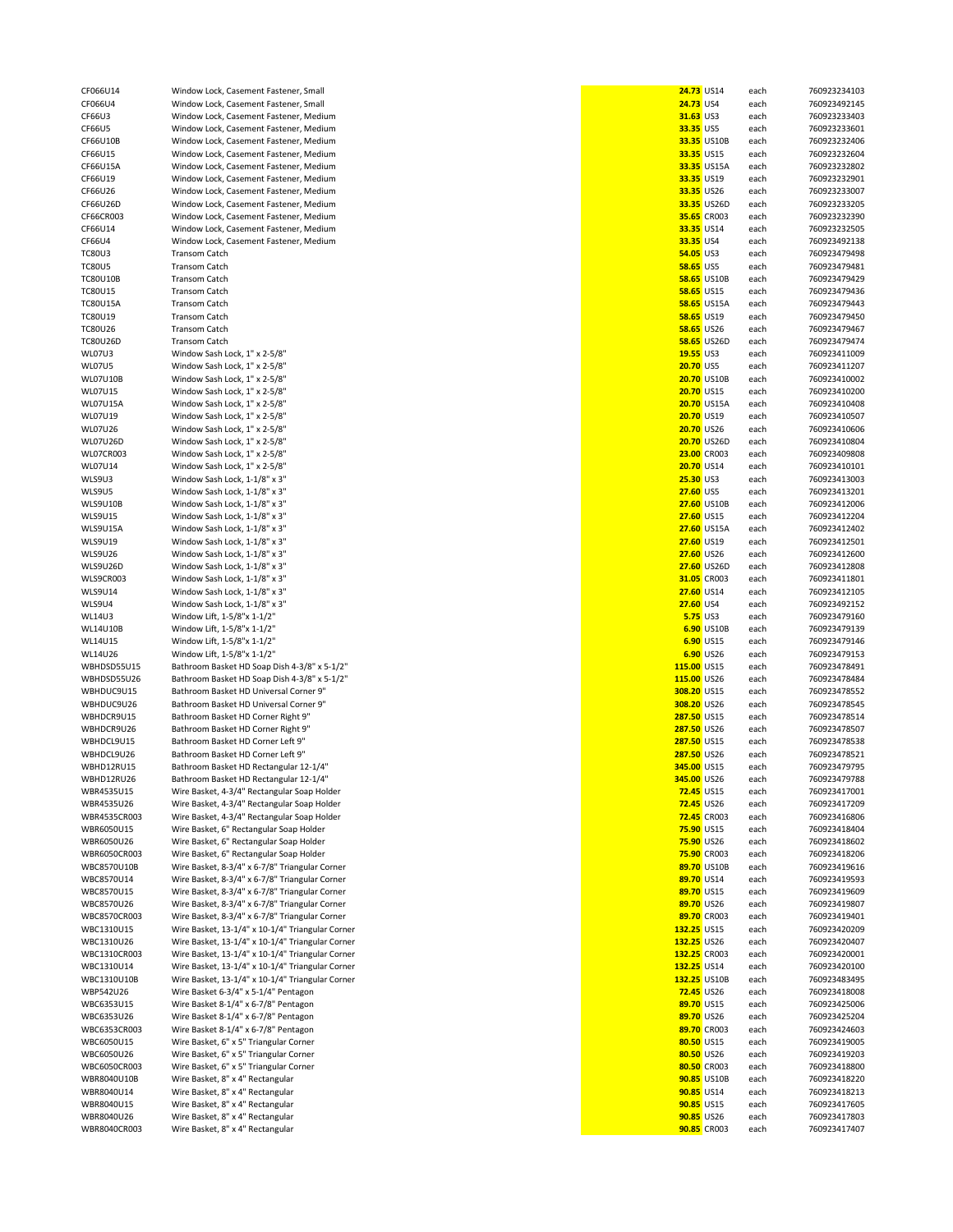CF066U14 Window Lock, Casement Fastener, Small<br>CF066U4 Window Lock. Casement Fastener. Small CF066U4 Window Lock, Casement Fastener, Small<br>CF66U3 **Window Lock, Casement Fastener, Medi**u CF66U3 Window Lock, Casement Fastener, Medium<br>CF66U5 Window Lock, Casement Fastener, Medium CF66U5 Window Lock, Casement Fastener, Medium<br>CF66U10B Window Lock, Casement Fastener, Medium CF66U10B Window Lock, Casement Fastener, Medium<br>CE66U115 Window Lock, Casement Fastener, Medium **Window Lock, Casement Fastener, Medium** CF66U15A Window Lock, Casement Fastener, Medium<br>CE66U119 Window Lock, Casement Fastener, Medium CF66U19 Window Lock, Casement Fastener, Medium<br>CE66U126 Window Lock, Casement Fastener, Medium CF66U26 Window Lock, Casement Fastener, Medium<br>CF66U26D Window Lock. Casement Fastener. Medium CF66U26D Window Lock, Casement Fastener, Medium<br>CF66CR003 Window Lock, Casement Fastener, Medium CF66CR003 Window Lock, Casement Fastener, Medium<br>CF66U14 Window Lock, Casement Fastener, Medium CF66U14 Window Lock, Casement Fastener, Medium<br>CF66U4 Window Lock, Casement Fastener, Medium CF66U4 Window Lock, Casement Fastener, Medium<br>**32.35** Transom Catch TC80U3 Transom Catch **54.05** US3 each 760923479498 TC80U5 Transom Catch **58.65** US5 each 760923479481 TC80U10B Transom Catch **58.65** US10B each 760923479429 TC80U15 Transom Catch **58.65** US15 each 760923479436 TC80U15A Transom Catch **58.65** US15A each 760923479443 TC80U19 Transom Catch **58.65** US19 each 760923479450 TC80U26 Transom Catch **58.65** US26 each 760923479467 TC80U26D Transom Catch **58.65** US26D each 760923479474 WL07U3 Window Sash Lock, 1" x 2-5/8"<br>Window Sash Lock, 1" x 2-5/8" WL07U5 Window Sash Lock, 1" x 2-5/8" **20.70** US5 each 760923411207 WL07U10B Window Sash Lock, 1" x 2-5/8" **20.70** US10B each 760923410002 WL07U15 Window Sash Lock, 1" x 2-5/8"<br>WIndow Sash Lock. 1" x 2-5/8" WL07U15A Window Sash Lock, 1" x 2-5/8" **20.70** US15A each 760923410408 WL07U19 Window Sash Lock, 1" x 2-5/8" **20.70** US19 each 760923410507 WL07U26 Window Sash Lock, 1" x 2-5/8" **20.70** US26 each 760923410606 WL07U26D Window Sash Lock, 1" x 2-5/8" **20.70** US26D each 760923410804 WL07CR003 Window Sash Lock, 1" x 2-5/8" **23.00** CR003 each 760923409808 WL07U14 Window Sash Lock, 1" x 2-5/8"<br>Window Sash Lock, 1-1/8" x 3" WLS9U3 Window Sash Lock, 1-1/8" x 3"<br>Window Sash Lock, 1-1/8" x 3" WLS9U5 Window Sash Lock, 1-1/8" x 3" **27.60** US5 each 760923413201 WLS9U10B Window Sash Lock, 1-1/8" x 3"<br>WLS9U15 Window Sash Lock. 1-1/8" x 3" Window Sash Lock, 1-1/8" x 3" WLS9U15A Window Sash Lock, 1-1/8" x 3"<br>Window Sash Lock, 1-1/8" x 3" WLS9U19 Window Sash Lock, 1-1/8" x 3"<br>Window Sash Lock, 1-1/8" x 3" WLS9U26 Window Sash Lock, 1-1/8" x 3"<br>WLS9U26D Window Sash Lock. 1-1/8" x 3" WLS9U26D Window Sash Lock, 1-1/8" x 3"<br>Window Sash Lock, 1-1/8" x 3" WLS9CR003 Window Sash Lock, 1-1/8" x 3"<br>WIS9U14 Window Sash Lock, 1-1/8" x 3" WLS9U14 Window Sash Lock, 1-1/8" x 3"<br>WLS9U4 Window Sash Lock, 1-1/8" x 3" WLS9U4 Window Sash Lock, 1-1/8" x 3"<br>Window Lift, 1-5/8"x 1-1/2" WL14U3 **Window Lift, 1-5/8"x 1-1/2"**<br>Window Lift, 1-5/8"x 1-1/2" WL14U10B Window Lift, 1-5/8"x 1-1/2"<br>WL14U15 Window Lift, 1-5/8"x 1-1/2" Window Lift, 1-5/8"x 1-1/2" WL14U26 Window Lift, 1-5/8"x 1-1/2" **6.90** US26 each 760923479153 WBHDSD55U15 Bathroom Basket HD Soap Dish 4-3/8" x 5-1/2"<br>WBHDSD55U26 Bathroom Basket HD Soap Dish 4-3/8" x 5-1/2" Bathroom Basket HD Soap Dish 4-3/8" x 5-1/2" WBHDUC9U15 Bathroom Basket HD Universal Corner 9" WBHDUC9U26 Bathroom Basket HD Universal Corner 9" WBHDCR9U15 Bathroom Basket HD Corner Right 9"<br>WBHDCR9U26 Bathroom Basket HD Corner Right 9" Bathroom Basket HD Corner Right 9" WBHDCL9U15 Bathroom Basket HD Corner Left 9" WBHDCL9U26 Bathroom Basket HD Corner Left 9"<br>WBHD12RU15 Bathroom Basket HD Rectangular 1 Bathroom Basket HD Rectangular 12-1/4" WBHD12RU26 Bathroom Basket HD Rectangular 12-1/4"<br>WBR4535U15 Wire Basket. 4-3/4" Rectangular Soap Hole WBR4535U15 Wire Basket, 4-3/4" Rectangular Soap Holder<br>WBR4535U26 Wire Basket, 4-3/4" Rectangular Soap Holder WBR4535U26 Wire Basket, 4-3/4" Rectangular Soap Holder<br>WBR4535CR003 Wire Basket, 4-3/4" Rectangular Soap Holder Wire Basket, 4-3/4" Rectangular Soap Holder WBR6050U15 Wire Basket, 6" Rectangular Soap Holder<br>WBR6050U26 Wire Basket. 6" Rectangular Soap Holder WBR6050U26 Wire Basket, 6" Rectangular Soap Holder<br>WBR6050CR003 Wire Basket, 6" Rectangular Soap Holder Wire Basket, 6" Rectangular Soap Holder WBC8570U10B Wire Basket, 8-3/4" x 6-7/8" Triangular Corner<br>WBC8570U14 Wire Basket, 8-3/4" x 6-7/8" Triangular Corner Wire Basket, 8-3/4" x 6-7/8" Triangular Corner WBC8570U15 Wire Basket, 8-3/4" x 6-7/8" Triangular Corner<br>WBC8570U26 Wire Basket, 8-3/4" x 6-7/8" Triangular Corner Wire Basket, 8-3/4" x 6-7/8" Triangular Corner WBC8570CR003 Wire Basket, 8-3/4" x 6-7/8" Triangular Corner WBC1310U15 Wire Basket, 13-1/4" x 10-1/4" Triangular Corner WBC1310U26 Wire Basket, 13-1/4" x 10-1/4" Triangular Corner<br>WBC1310CR003 Wire Basket, 13-1/4" x 10-1/4" Triangular Corner Wire Basket, 13-1/4" x 10-1/4" Triangular Corner WBC1310U14 Wire Basket, 13-1/4" x 10-1/4" Triangular Corner WBC1310U10B Wire Basket, 13-1/4" x 10-1/4" Triangular Corner WBP542U26 Wire Basket 6-3/4" x 5-1/4" Pentagon WBC6353U15 Wire Basket 8-1/4" x 6-7/8" Pentagon WBC6353U26 Wire Basket 8-1/4" x 6-7/8" Pentagon WBC6353CR003 Wire Basket 8-1/4" x 6-7/8" Pentagon<br>WBC6050U15 Wire Basket, 6" x 5" Triangular Corner Wire Basket, 6" x 5" Triangular Corner WBC6050U26 Wire Basket, 6" x 5" Triangular Corner<br>WBC6050CR003 Wire Basket, 6" x 5" Triangular Corner Wire Basket, 6" x 5" Triangular Corner WBR8040U10B Wire Basket, 8" x 4" Rectangular<br>Wire Basket, 8" x 4" Rectangular Wire Basket, 8" x 4" Rectangular WBR8040U15 Wire Basket, 8" x 4" Rectangular<br>Wire Basket. 8" x 4" Rectangular WBR8040U26 Wire Basket, 8" x 4" Rectangular<br>WBR8040CR003 Wire Basket, 8" x 4" Rectangular Wire Basket, 8" x 4" Rectangular

| 24.73 US14                    |                            | each         | 760923234103                 |
|-------------------------------|----------------------------|--------------|------------------------------|
| <b>24.73 US4</b>              |                            | each         | 760923492145                 |
| 31.63 US3<br>33.35 US5        |                            | each<br>each | 760923233403<br>76092323360  |
|                               | 33.35 US10B                | each         | 760923232406                 |
| 33.35 US15                    |                            | each         | 760923232604                 |
|                               | 33.35 US15A                | each         | 760923232802                 |
|                               | 33.35 US19                 | each         | 760923232901                 |
| 33.35 US26                    |                            | each         | 760923233007                 |
|                               | 33.35 US26D                | each         | 76092323320                  |
|                               | 35.65 CR003                | each         | 760923232390                 |
|                               | 33.35 US14                 | each         | 76092323250                  |
| 33.35 US4                     |                            | each         | 760923492138                 |
| 54.05 US3<br><b>58.65 US5</b> |                            | each<br>each | 760923479498<br>76092347948  |
|                               | 58.65 US10B                | each         | 760923479429                 |
| <b>58.65 US15</b>             |                            | each         | 760923479436                 |
|                               | <b>58.65 US15A</b>         | each         | 760923479443                 |
|                               | 58.65 US19                 | each         | 760923479450                 |
|                               | 58.65 US26                 | each         | 760923479467                 |
|                               | 58.65 US26D                | each         | 760923479474                 |
| 19.55 US3                     |                            | each         | 760923411009                 |
| 20.70 US5                     |                            | each         | 760923411207                 |
| 20.70 US15                    | 20.70 US10B                | each<br>each | 760923410002<br>760923410200 |
|                               | 20.70 US15A                | each         | 760923410408                 |
|                               | 20.70 US19                 | each         | 760923410507                 |
| 20.70 US26                    |                            | each         | 760923410606                 |
|                               | 20.70 US26D                | each         | 760923410804                 |
|                               | <b>23.00 CR003</b>         | each         | 760923409808                 |
|                               | 20.70 US14                 | each         | 76092341010                  |
| <b>25.30 US3</b>              |                            | each         | 760923413003                 |
| 27.60 US5                     |                            | each         | 76092341320                  |
| 27.60 US15                    | 27.60 US10B                | each<br>each | 760923412006<br>760923412204 |
|                               | 27.60 US15A                | each         | 760923412402                 |
|                               | 27.60 US19                 | each         | 76092341250                  |
|                               | 27.60 US26                 | each         | 760923412600                 |
|                               | 27.60 US26D                | each         | 760923412808                 |
|                               | 31.05 CR003                | each         | 76092341180                  |
|                               | 27.60 US14                 | each         | 76092341210                  |
| 27.60 US4                     |                            | each         | 760923492152                 |
|                               | <b>5.75 US3</b>            | each         | 760923479160                 |
|                               | 6.90 US10B<br>6.90 US15    | each<br>each | 760923479139<br>760923479146 |
|                               | 6.90 US26                  | each         | 760923479153                 |
| 115.00 US15                   |                            | each         | 760923478491                 |
| 115.00 US26                   |                            | each         | 760923478484                 |
| 308.20 US15                   |                            | each         | 760923478552                 |
| 308.20 US26                   |                            | each         | 76092347854                  |
| 287.50 US15                   |                            | each         | 760923478514                 |
| 287.50 US26                   |                            | each         | 760923478507<br>760923478538 |
| 287.50 US15<br>287.50 US26    |                            | each<br>each | 760923478521                 |
| 345.00 US15                   |                            | each         | 760923479795                 |
| 345.00 US26                   |                            | each         | 760923479788                 |
| 72.45 US15                    |                            | each         | 760923417001                 |
| 72.45 US26                    |                            | each         | 760923417209                 |
|                               | <b>72.45 CR003</b>         | each         | 760923416806                 |
| <b>75.90 US15</b>             |                            | each         | 760923418404                 |
| 75.90 US26                    |                            | each         | 760923418602                 |
|                               | 75.90 CR003<br>89.70 US10B | each<br>each | 760923418206<br>760923419616 |
| 89.70 US14                    |                            | each         | 760923419593                 |
| 89.70 US15                    |                            | each         | 760923419609                 |
| 89.70 US26                    |                            | each         | 760923419807                 |
|                               | 89.70 CR003                | each         | 76092341940                  |
| 132.25 US15                   |                            | each         | 760923420209                 |
| 132.25 US26                   |                            | each         | 760923420407                 |
| 132.25 CR003                  |                            | each         | 76092342000                  |
| 132.25 US14<br>132.25 US10B   |                            | each<br>each | 760923420100                 |
| 72.45 US26                    |                            | each         | 76092348349<br>760923418008  |
| 89.70 US15                    |                            | each         | 760923425006                 |
| 89.70 US26                    |                            | each         | 760923425204                 |
|                               | 89.70 CR003                | each         | 760923424603                 |
| 80.50 US15                    |                            | each         | 76092341900                  |
| 80.50 US26                    |                            | each         | 760923419203                 |
|                               | 80.50 CR003                | each         | 760923418800                 |
|                               | 90.85 US10B                | each         | 760923418220                 |
| 90.85 US14<br>90.85 US15      |                            | each         | 76092341821                  |
| 90.85 US26                    |                            | each<br>each | 760923417605<br>760923417803 |
|                               | 90.85 CR003                | each         | 760923417407                 |
|                               |                            |              |                              |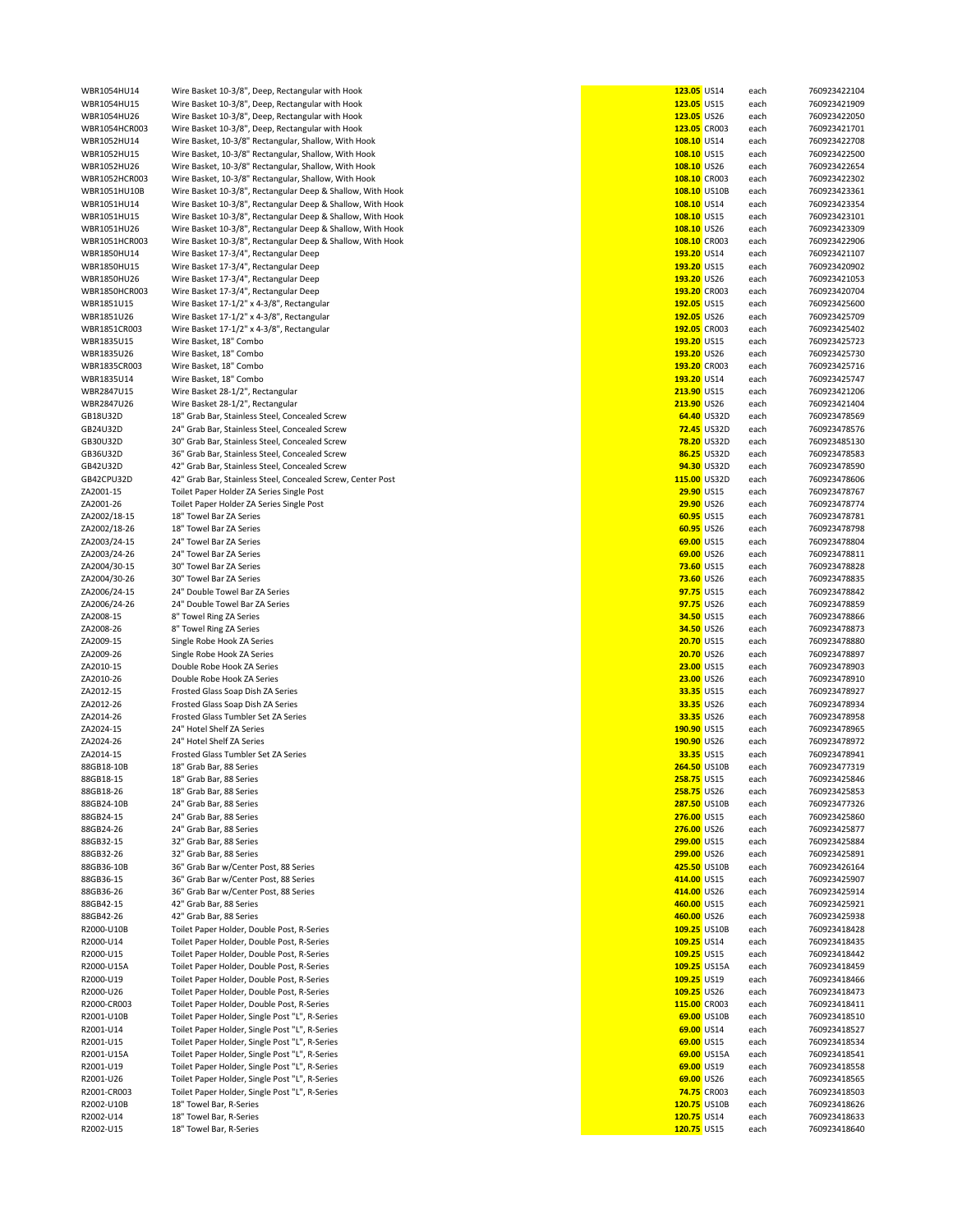| WBR1054HU14   | Wire Basket 10-3/8", Deep, Rectangular with Hook            | 123.05 US14         |                    | each | 760923422104 |
|---------------|-------------------------------------------------------------|---------------------|--------------------|------|--------------|
| WBR1054HU15   | Wire Basket 10-3/8", Deep, Rectangular with Hook            | 123.05 US15         |                    | each | 760923421909 |
| WBR1054HU26   | Wire Basket 10-3/8", Deep, Rectangular with Hook            | 123.05 US26         |                    |      | 760923422050 |
|               |                                                             |                     |                    | each |              |
| WBR1054HCR003 | Wire Basket 10-3/8", Deep, Rectangular with Hook            | 123.05 CR003        |                    | each | 760923421701 |
| WBR1052HU14   | Wire Basket, 10-3/8" Rectangular, Shallow, With Hook        | 108.10 US14         |                    | each | 760923422708 |
| WBR1052HU15   | Wire Basket, 10-3/8" Rectangular, Shallow, With Hook        | 108.10 US15         |                    | each | 760923422500 |
| WBR1052HU26   | Wire Basket, 10-3/8" Rectangular, Shallow, With Hook        | 108.10 US26         |                    | each | 760923422654 |
|               |                                                             |                     |                    |      |              |
| WBR1052HCR003 | Wire Basket, 10-3/8" Rectangular, Shallow, With Hook        | 108.10 CR003        |                    | each | 760923422302 |
| WBR1051HU10B  | Wire Basket 10-3/8", Rectangular Deep & Shallow, With Hook  | 108.10 US10B        |                    | each | 760923423361 |
| WBR1051HU14   | Wire Basket 10-3/8", Rectangular Deep & Shallow, With Hook  | 108.10 US14         |                    | each | 760923423354 |
| WBR1051HU15   | Wire Basket 10-3/8", Rectangular Deep & Shallow, With Hook  | 108.10 US15         |                    | each | 760923423101 |
|               |                                                             |                     |                    |      |              |
| WBR1051HU26   | Wire Basket 10-3/8", Rectangular Deep & Shallow, With Hook  | 108.10 US26         |                    | each | 760923423309 |
| WBR1051HCR003 | Wire Basket 10-3/8", Rectangular Deep & Shallow, With Hook  | 108.10 CR003        |                    | each | 760923422906 |
| WBR1850HU14   | Wire Basket 17-3/4", Rectangular Deep                       | 193.20 US14         |                    | each | 760923421107 |
|               |                                                             | 193.20 US15         |                    |      |              |
| WBR1850HU15   | Wire Basket 17-3/4", Rectangular Deep                       |                     |                    | each | 760923420902 |
| WBR1850HU26   | Wire Basket 17-3/4", Rectangular Deep                       | 193.20 US26         |                    | each | 760923421053 |
| WBR1850HCR003 | Wire Basket 17-3/4", Rectangular Deep                       | 193.20 CR003        |                    | each | 760923420704 |
| WBR1851U15    | Wire Basket 17-1/2" x 4-3/8", Rectangular                   | 192.05 US15         |                    | each | 760923425600 |
|               |                                                             |                     |                    |      |              |
| WBR1851U26    | Wire Basket 17-1/2" x 4-3/8", Rectangular                   | 192.05 US26         |                    | each | 760923425709 |
| WBR1851CR003  | Wire Basket 17-1/2" x 4-3/8", Rectangular                   | 192.05 CR003        |                    | each | 760923425402 |
| WBR1835U15    | Wire Basket, 18" Combo                                      | 193.20 US15         |                    | each | 760923425723 |
| WBR1835U26    | Wire Basket, 18" Combo                                      | 193.20 US26         |                    | each | 760923425730 |
|               |                                                             |                     |                    |      |              |
| WBR1835CR003  | Wire Basket, 18" Combo                                      | 193.20 CR003        |                    | each | 760923425716 |
| WBR1835U14    | Wire Basket, 18" Combo                                      | 193.20 US14         |                    | each | 760923425747 |
| WBR2847U15    | Wire Basket 28-1/2", Rectangular                            | 213.90 US15         |                    | each | 760923421206 |
| WBR2847U26    | Wire Basket 28-1/2", Rectangular                            | 213.90 US26         |                    |      |              |
|               |                                                             |                     |                    | each | 760923421404 |
| GB18U32D      | 18" Grab Bar, Stainless Steel, Concealed Screw              |                     | 64.40 US32D        | each | 760923478569 |
| GB24U32D      | 24" Grab Bar, Stainless Steel, Concealed Screw              |                     | <b>72.45 US32D</b> | each | 760923478576 |
| GB30U32D      | 30" Grab Bar, Stainless Steel, Concealed Screw              |                     | 78.20 US32D        | each | 760923485130 |
|               |                                                             |                     |                    |      |              |
| GB36U32D      | 36" Grab Bar, Stainless Steel, Concealed Screw              |                     | 86.25 US32D        | each | 760923478583 |
| GB42U32D      | 42" Grab Bar, Stainless Steel, Concealed Screw              |                     | 94.30 US32D        | each | 760923478590 |
| GB42CPU32D    | 42" Grab Bar, Stainless Steel, Concealed Screw, Center Post | 115.00 US32D        |                    | each | 760923478606 |
|               |                                                             |                     |                    |      |              |
| ZA2001-15     | Toilet Paper Holder ZA Series Single Post                   | 29.90 US15          |                    | each | 760923478767 |
| ZA2001-26     | Toilet Paper Holder ZA Series Single Post                   | 29.90 US26          |                    | each | 760923478774 |
| ZA2002/18-15  | 18" Towel Bar ZA Series                                     | 60.95 US15          |                    | each | 760923478781 |
| ZA2002/18-26  | 18" Towel Bar ZA Series                                     | 60.95 US26          |                    | each | 760923478798 |
|               |                                                             |                     |                    |      |              |
| ZA2003/24-15  | 24" Towel Bar ZA Series                                     | 69.00 US15          |                    | each | 760923478804 |
| ZA2003/24-26  | 24" Towel Bar ZA Series                                     | 69.00 US26          |                    | each | 760923478811 |
| ZA2004/30-15  | 30" Towel Bar ZA Series                                     | 73.60 US15          |                    | each | 760923478828 |
|               | 30" Towel Bar ZA Series                                     |                     |                    |      |              |
| ZA2004/30-26  |                                                             | 73.60 US26          |                    | each | 760923478835 |
| ZA2006/24-15  | 24" Double Towel Bar ZA Series                              | 97.75 US15          |                    | each | 760923478842 |
| ZA2006/24-26  | 24" Double Towel Bar ZA Series                              | 97.75 US26          |                    | each | 760923478859 |
| ZA2008-15     | 8" Towel Ring ZA Series                                     | 34.50 US15          |                    | each | 760923478866 |
|               |                                                             |                     |                    |      |              |
| ZA2008-26     | 8" Towel Ring ZA Series                                     | 34.50 US26          |                    | each | 760923478873 |
| ZA2009-15     | Single Robe Hook ZA Series                                  | 20.70 US15          |                    | each | 760923478880 |
| ZA2009-26     | Single Robe Hook ZA Series                                  | 20.70 US26          |                    | each | 760923478897 |
| ZA2010-15     | Double Robe Hook ZA Series                                  | 23.00 US15          |                    | each | 760923478903 |
|               |                                                             |                     |                    |      |              |
| ZA2010-26     | Double Robe Hook ZA Series                                  | 23.00 US26          |                    | each | 760923478910 |
| ZA2012-15     | Frosted Glass Soap Dish ZA Series                           | 33.35 US15          |                    | each | 760923478927 |
| ZA2012-26     | Frosted Glass Soap Dish ZA Series                           | 33.35 US26          |                    | each | 760923478934 |
| ZA2014-26     | Frosted Glass Tumbler Set ZA Series                         | 33.35 US26          |                    | each | 760923478958 |
|               |                                                             |                     |                    |      |              |
| ZA2024-15     | 24" Hotel Shelf ZA Series                                   | 190.90 US15         |                    | each | 760923478965 |
| ZA2024-26     | 24" Hotel Shelf ZA Series                                   | 190.90 US26         |                    | each | 760923478972 |
| ZA2014-15     | Frosted Glass Tumbler Set ZA Series                         | 33.35 US15          |                    | each | 760923478941 |
| 88GB18-10B    |                                                             |                     |                    |      |              |
|               | 18" Grab Bar, 88 Series                                     | <b>264.50 US10B</b> |                    | each | 760923477319 |
| 88GB18-15     | 18" Grab Bar, 88 Series                                     | 258.75 US15         |                    | each | 760923425846 |
| 88GB18-26     | 18" Grab Bar, 88 Series                                     | 258.75 US26         |                    | each | 760923425853 |
| 88GB24-10B    | 24" Grab Bar, 88 Series                                     | 287.50 US10B        |                    | each | 760923477326 |
|               |                                                             |                     |                    |      |              |
| 88GB24-15     | 24" Grab Bar, 88 Series                                     | 276.00 US15         |                    | each | 760923425860 |
| 88GB24-26     | 24" Grab Bar, 88 Series                                     | 276.00 US26         |                    | each | 760923425877 |
| 88GB32-15     | 32" Grab Bar, 88 Series                                     | 299.00 US15         |                    | each | 760923425884 |
| 88GB32-26     | 32" Grab Bar, 88 Series                                     | 299.00 US26         |                    | each | 760923425891 |
|               |                                                             |                     |                    |      |              |
| 88GB36-10B    | 36" Grab Bar w/Center Post, 88 Series                       | 425.50 US10B        |                    | each | 760923426164 |
| 88GB36-15     | 36" Grab Bar w/Center Post, 88 Series                       | 414.00 US15         |                    | each | 760923425907 |
| 88GB36-26     | 36" Grab Bar w/Center Post, 88 Series                       | 414.00 US26         |                    | each | 760923425914 |
| 88GB42-15     | 42" Grab Bar, 88 Series                                     | 460.00 US15         |                    | each | 760923425921 |
|               |                                                             |                     |                    |      |              |
| 88GB42-26     | 42" Grab Bar, 88 Series                                     | 460.00 US26         |                    | each | 760923425938 |
| R2000-U10B    | Toilet Paper Holder, Double Post, R-Series                  | 109.25 US10B        |                    | each | 760923418428 |
| R2000-U14     | Toilet Paper Holder, Double Post, R-Series                  | 109.25 US14         |                    | each | 760923418435 |
| R2000-U15     | Toilet Paper Holder, Double Post, R-Series                  | 109.25 US15         |                    | each | 760923418442 |
|               |                                                             |                     |                    |      |              |
| R2000-U15A    | Toilet Paper Holder, Double Post, R-Series                  | 109.25 US15A        |                    | each | 760923418459 |
| R2000-U19     | Toilet Paper Holder, Double Post, R-Series                  | 109.25 US19         |                    | each | 760923418466 |
| R2000-U26     | Toilet Paper Holder, Double Post, R-Series                  | 109.25 US26         |                    | each | 760923418473 |
| R2000-CR003   | Toilet Paper Holder, Double Post, R-Series                  | 115.00 CR003        |                    | each | 760923418411 |
|               |                                                             |                     |                    |      |              |
| R2001-U10B    | Toilet Paper Holder, Single Post "L", R-Series              |                     | 69.00 US10B        | each | 760923418510 |
| R2001-U14     | Toilet Paper Holder, Single Post "L", R-Series              | 69.00 US14          |                    | each | 760923418527 |
| R2001-U15     | Toilet Paper Holder, Single Post "L", R-Series              | 69.00 US15          |                    | each | 760923418534 |
|               |                                                             |                     |                    |      |              |
| R2001-U15A    | Toilet Paper Holder, Single Post "L", R-Series              |                     | 69.00 US15A        | each | 760923418541 |
| R2001-U19     | Toilet Paper Holder, Single Post "L", R-Series              | 69.00 US19          |                    | each | 760923418558 |
| R2001-U26     | Toilet Paper Holder, Single Post "L", R-Series              | 69.00 US26          |                    | each | 760923418565 |
| R2001-CR003   | Toilet Paper Holder, Single Post "L", R-Series              |                     | 74.75 CR003        | each | 760923418503 |
|               |                                                             |                     |                    |      |              |
| R2002-U10B    | 18" Towel Bar, R-Series                                     | 120.75 US10B        |                    | each | 760923418626 |
| R2002-U14     | 18" Towel Bar, R-Series                                     | 120.75 US14         |                    | each | 760923418633 |
| R2002-U15     | 18" Towel Bar, R-Series                                     | 120.75 US15         |                    | each | 760923418640 |
|               |                                                             |                     |                    |      |              |

| 123.05 US14                 |                            | each         | 760923422104                 |
|-----------------------------|----------------------------|--------------|------------------------------|
| 123.05 US15                 |                            | each         | 760923421909                 |
| 123.05 US26<br>123.05 CR003 |                            | each<br>each | 760923422050<br>760923421701 |
| 108.10 US14                 |                            | each         | 760923422708                 |
| 108.10 US15                 |                            | each         | 760923422500                 |
| 108.10 US26                 |                            | each         | 760923422654                 |
| 108.10 CR003                |                            | each         | 760923422302                 |
| 108.10 US10B                |                            | each         | 760923423361                 |
| 108.10 US14                 |                            | each         | 760923423354                 |
| 108.10 US15                 |                            | each         | 760923423101                 |
| 108.10 US26                 |                            | each         | 760923423309                 |
| 108.10 CR003                |                            | each         | 760923422906                 |
| 193.20 US14                 |                            | each         | 760923421107                 |
| 193.20 US15                 |                            | each         | 760923420902                 |
| 193.20 US26                 |                            | each         | 760923421053                 |
| 193.20 CR003<br>192.05 US15 |                            | each         | 760923420704<br>760923425600 |
| 192.05                      | <b>US26</b>                | each<br>each | 760923425709                 |
| 192.05 CR003                |                            | each         | 760923425402                 |
| 193.20 US15                 |                            | each         | 760923425723                 |
| 193.20 US26                 |                            | each         | 760923425730                 |
| 193.20 CR003                |                            | each         | 760923425716                 |
| 193.20 US14                 |                            | each         | 760923425747                 |
| 213.90 US15                 |                            | each         | 760923421206                 |
| 213.90                      | <b>US26</b>                | each         | 760923421404                 |
|                             | 64.40 US32D                | each         | 760923478569                 |
| 72.45                       | US32D                      | each         | 760923478576                 |
|                             | 78.20 US32D                | each         | 760923485130                 |
|                             | 86.25 US32D<br>94.30 US32D | each         | 760923478583                 |
| 115.00 US32D                |                            | each<br>each | 760923478590<br>760923478606 |
| 29.90 US15                  |                            | each         | 760923478767                 |
| 29.90                       | <b>US26</b>                | each         | 760923478774                 |
| 60.95                       | <b>US15</b>                | each         | 760923478781                 |
| 60.95 US26                  |                            | each         | 760923478798                 |
|                             | 69.00 US15                 | each         | 760923478804                 |
| 69.00                       | <b>US26</b>                | each         | 760923478811                 |
| 73.60 US15                  |                            | each         | 760923478828                 |
| 73.60                       | <b>US26</b>                | each         | 760923478835                 |
| 97.75                       | <b>US15</b>                | each         | 760923478842                 |
| 97.75                       | <b>US26</b>                | each         | 760923478859                 |
| 34.50 US15<br>34.50 US26    |                            | each         | 760923478866<br>760923478873 |
| 20.70                       | <b>US15</b>                | each<br>each | 760923478880                 |
| 20.70                       | <b>US26</b>                | each         | 760923478897                 |
| 23.00                       | <b>US15</b>                | each         | 760923478903                 |
| 23.00                       | <b>US26</b>                | each         | 760923478910                 |
| 33.35                       | <b>US15</b>                | each         | 760923478927                 |
| 33.35                       | <b>US26</b>                | each         | 760923478934                 |
| 33.35 US26                  |                            | each         | 760923478958                 |
| 190.90 US15                 |                            | each         | 760923478965                 |
| 190.90 US26                 |                            | each         | 760923478972                 |
| 33.35 US15                  |                            | each         | 760923478941                 |
|                             | 264.50 US10B               | each         | 760923477319                 |
| 258.75 US26                 | 258.75 US15                | each<br>each | 760923425846<br>760923425853 |
| 287.50 US10B                |                            | each         | 760923477326                 |
| 276.00 US15                 |                            | each         | 760923425860                 |
| 276.00 US26                 |                            | each         | 760923425877                 |
| 299.00 US15                 |                            | each         | 760923425884                 |
| 299.00 US26                 |                            | each         | 760923425891                 |
| 425.50 US10B                |                            | each         | 760923426164                 |
| 414.00 US15                 |                            | each         | 760923425907                 |
| 414.00 US26                 |                            | each         | 760923425914                 |
| 460.00 US15                 |                            | each         | 760923425921                 |
| 460.00 US26                 |                            | each         | 760923425938                 |
| 109.25 US10B<br>109.25 US14 |                            | each         | 760923418428<br>760923418435 |
| 109.25 US15                 |                            | each<br>each | 760923418442                 |
| 109.25 US15A                |                            | each         | 760923418459                 |
| 109.25 US19                 |                            | each         | 760923418466                 |
| 109.25 US26                 |                            | each         | 760923418473                 |
| 115.00 CR003                |                            | each         | 760923418411                 |
|                             | 69.00 US10B                | each         | 760923418510                 |
| 69.00 US14                  |                            | each         | 760923418527                 |
| 69.00 US15                  |                            | each         | 760923418534                 |
|                             | 69.00 US15A                | each         | 760923418541                 |
| 69.00 US19                  |                            | each         | 760923418558                 |
| 69.00 US26                  |                            | each         | 760923418565                 |
|                             | 74.75 CR003                | each         | 760923418503                 |
| 120.75 US10B<br>120.75 US14 |                            | each<br>each | 760923418626<br>760923418633 |
| 120.75 US15                 |                            | each         | 760923418640                 |
|                             |                            |              |                              |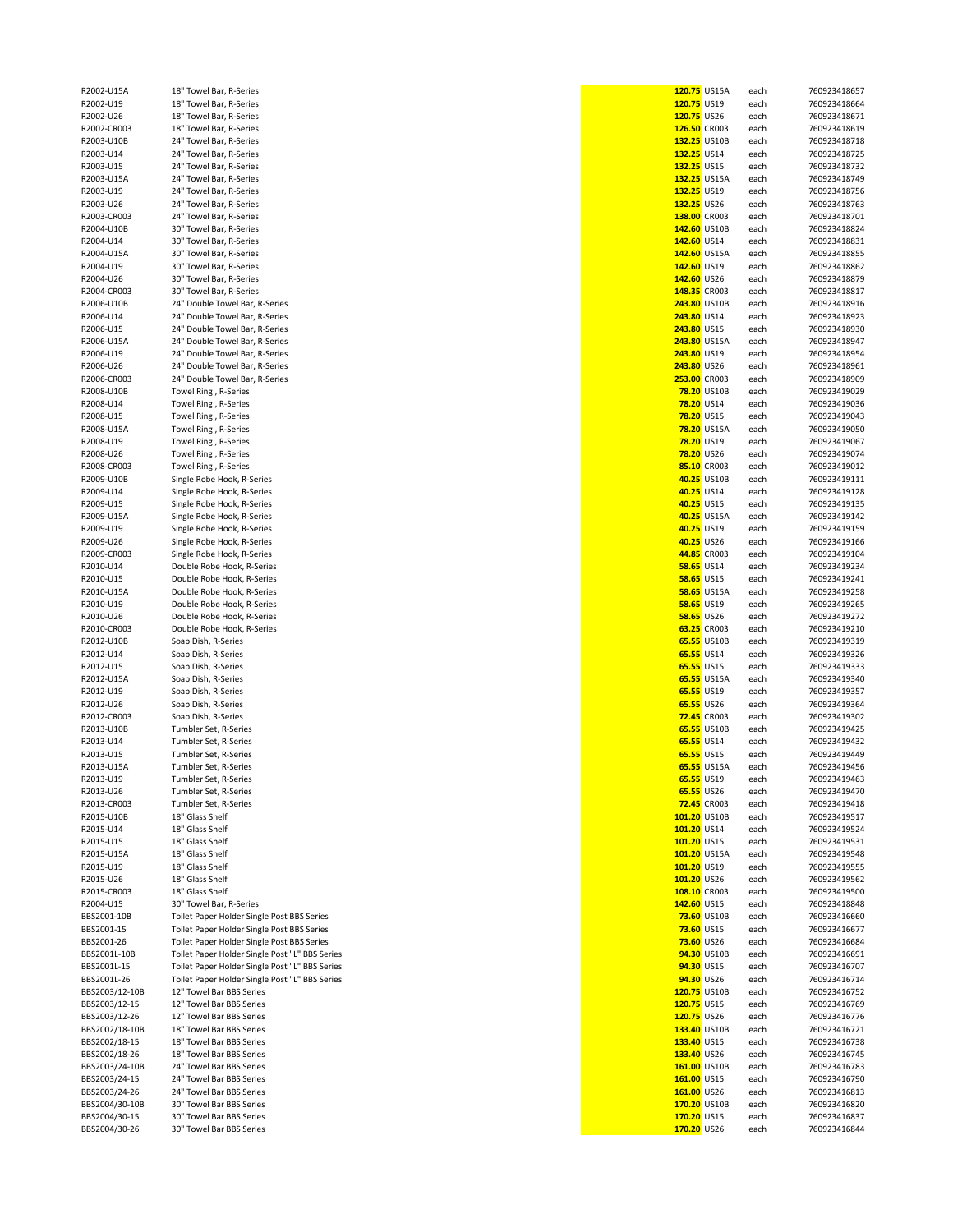| R2002-U15A                     | 18" Towel Bar, R-Series                        | 120.75 US15A       | each | 760923418657 |
|--------------------------------|------------------------------------------------|--------------------|------|--------------|
| R2002-U19                      | 18" Towel Bar, R-Series                        | 120.75 US19        | each | 760923418664 |
| R2002-U26                      | 18" Towel Bar, R-Series                        | 120.75 US26        | each | 760923418671 |
|                                |                                                |                    |      |              |
| R2002-CR003                    | 18" Towel Bar, R-Series                        | 126.50 CR003       | each | 760923418619 |
| R2003-U10B                     | 24" Towel Bar, R-Series                        | 132.25 US10B       | each | 760923418718 |
| R2003-U14                      | 24" Towel Bar, R-Series                        | 132.25 US14        | each | 760923418725 |
| R2003-U15                      | 24" Towel Bar, R-Series                        | 132.25 US15        | each | 760923418732 |
| R2003-U15A                     | 24" Towel Bar, R-Series                        | 132.25 US15A       | each | 760923418749 |
|                                |                                                |                    |      |              |
| R2003-U19                      | 24" Towel Bar, R-Series                        | 132.25 US19        | each | 760923418756 |
| R2003-U26                      | 24" Towel Bar, R-Series                        | 132.25 US26        | each | 760923418763 |
| R2003-CR003                    | 24" Towel Bar, R-Series                        | 138.00 CR003       | each | 760923418701 |
| R2004-U10B                     | 30" Towel Bar, R-Series                        | 142.60 US10B       | each | 760923418824 |
|                                | 30" Towel Bar, R-Series                        | 142.60 US14        |      |              |
| R2004-U14                      |                                                |                    | each | 760923418831 |
| R2004-U15A                     | 30" Towel Bar, R-Series                        | 142.60 US15A       | each | 760923418855 |
| R2004-U19                      | 30" Towel Bar, R-Series                        | 142.60 US19        | each | 760923418862 |
| R2004-U26                      | 30" Towel Bar, R-Series                        | 142.60 US26        | each | 760923418879 |
| R2004-CR003                    | 30" Towel Bar, R-Series                        | 148.35 CR003       | each | 760923418817 |
|                                |                                                |                    |      |              |
| R2006-U10B                     | 24" Double Towel Bar, R-Series                 | 243.80 US10B       | each | 760923418916 |
| R2006-U14                      | 24" Double Towel Bar, R-Series                 | 243.80 US14        | each | 760923418923 |
| R2006-U15                      | 24" Double Towel Bar, R-Series                 | 243.80 US15        | each | 760923418930 |
| R2006-U15A                     |                                                | 243.80 US15A       |      |              |
|                                | 24" Double Towel Bar, R-Series                 |                    | each | 760923418947 |
| R2006-U19                      | 24" Double Towel Bar, R-Series                 | 243.80 US19        | each | 760923418954 |
| R2006-U26                      | 24" Double Towel Bar, R-Series                 | 243.80 US26        | each | 760923418961 |
| R2006-CR003                    | 24" Double Towel Bar, R-Series                 | 253.00 CR003       | each | 760923418909 |
|                                |                                                | 78.20 US10B        |      | 760923419029 |
| R2008-U10B                     | Towel Ring, R-Series                           |                    | each |              |
| R2008-U14                      | Towel Ring, R-Series                           | 78.20 US14         | each | 760923419036 |
| R2008-U15                      | Towel Ring, R-Series                           | <b>78.20 US15</b>  | each | 760923419043 |
| R2008-U15A                     | Towel Ring, R-Series                           | 78.20 US15A        | each | 760923419050 |
|                                |                                                |                    |      |              |
| R2008-U19                      | Towel Ring, R-Series                           | 78.20 US19         | each | 760923419067 |
| R2008-U26                      | Towel Ring, R-Series                           | <b>78.20 US26</b>  | each | 760923419074 |
| R2008-CR003                    | Towel Ring, R-Series                           | 85.10 CR003        | each | 760923419012 |
| R2009-U10B                     | Single Robe Hook, R-Series                     | 40.25 US10B        | each | 760923419111 |
|                                |                                                |                    |      |              |
| R2009-U14                      | Single Robe Hook, R-Series                     | 40.25 US14         | each | 760923419128 |
| R2009-U15                      | Single Robe Hook, R-Series                     | 40.25 US15         | each | 760923419135 |
| R2009-U15A                     | Single Robe Hook, R-Series                     | 40.25 US15A        | each | 760923419142 |
| R2009-U19                      | Single Robe Hook, R-Series                     | 40.25 US19         | each | 760923419159 |
|                                |                                                |                    |      |              |
| R2009-U26                      | Single Robe Hook, R-Series                     | 40.25 US26         | each | 760923419166 |
| R2009-CR003                    | Single Robe Hook, R-Series                     | 44.85 CR003        | each | 760923419104 |
| R2010-U14                      | Double Robe Hook, R-Series                     | <b>58.65 US14</b>  | each | 760923419234 |
| R2010-U15                      | Double Robe Hook, R-Series                     | <b>58.65 US15</b>  |      | 760923419241 |
|                                |                                                |                    | each |              |
| R2010-U15A                     | Double Robe Hook, R-Series                     | <b>58.65 US15A</b> | each | 760923419258 |
| R2010-U19                      | Double Robe Hook, R-Series                     | 58.65 US19         | each | 760923419265 |
| R2010-U26                      | Double Robe Hook, R-Series                     | 58.65 US26         | each | 760923419272 |
| R2010-CR003                    | Double Robe Hook, R-Series                     | 63.25 CR003        | each | 760923419210 |
|                                |                                                |                    |      |              |
| R2012-U10B                     | Soap Dish, R-Series                            | 65.55 US10B        | each | 760923419319 |
| R2012-U14                      | Soap Dish, R-Series                            | 65.55 US14         | each | 760923419326 |
| R2012-U15                      | Soap Dish, R-Series                            | 65.55 US15         | each | 760923419333 |
| R2012-U15A                     | Soap Dish, R-Series                            | 65.55 US15A        | each | 760923419340 |
|                                |                                                |                    |      |              |
| R2012-U19                      | Soap Dish, R-Series                            | 65.55 US19         | each | 760923419357 |
| R2012-U26                      | Soap Dish, R-Series                            | 65.55 US26         | each | 760923419364 |
| R2012-CR003                    | Soap Dish, R-Series                            | 72.45 CR003        | each | 760923419302 |
| R2013-U10B                     | Tumbler Set, R-Series                          | 65.55 US10B        | each | 760923419425 |
| R2013-U14                      |                                                |                    |      |              |
|                                | Tumbler Set, R-Series                          | 65.55 US14         | each | 760923419432 |
| R2013-U15                      | Tumbler Set, R-Series                          | 65.55 US15         | each | 760923419449 |
| R2013-U15A                     | Tumbler Set, R-Series                          | 65.55 US15A        | each | 760923419456 |
| R2013-U19                      | Tumbler Set, R-Series                          | 65.55 US19         | each | 760923419463 |
| R2013-U26                      | Tumbler Set, R-Series                          | 65.55 US26         | each | 760923419470 |
|                                |                                                |                    |      |              |
| R2013-CR003                    | Tumbler Set, R-Series                          | 72.45 CR003        | each | 760923419418 |
| R2015-U10B                     | 18" Glass Shelf                                | 101.20 US10B       | each | 760923419517 |
| R2015-U14                      | 18" Glass Shelf                                | 101.20 US14        | each | 760923419524 |
| R2015-U15                      | 18" Glass Shelf                                | 101.20 US15        | each | 760923419531 |
|                                | 18" Glass Shelf                                |                    |      |              |
| R2015-U15A                     |                                                | 101.20 US15A       | each | 760923419548 |
| R2015-U19                      | 18" Glass Shelf                                | 101.20 US19        | each | 760923419555 |
| R2015-U26                      | 18" Glass Shelf                                | 101.20 US26        | each | 760923419562 |
| R2015-CR003                    | 18" Glass Shelf                                | 108.10 CR003       | each | 760923419500 |
| R2004-U15                      | 30" Towel Bar, R-Series                        | 142.60 US15        | each | 760923418848 |
|                                |                                                |                    |      |              |
| BBS2001-10B                    | Toilet Paper Holder Single Post BBS Series     | 73.60 US10B        | each | 760923416660 |
| BBS2001-15                     | Toilet Paper Holder Single Post BBS Series     | 73.60 US15         | each | 760923416677 |
| BBS2001-26                     | Toilet Paper Holder Single Post BBS Series     | 73.60 US26         | each | 760923416684 |
| BBS2001L-10B                   | Toilet Paper Holder Single Post "L" BBS Series | 94.30 US10B        | each | 760923416691 |
|                                |                                                |                    |      |              |
| BBS2001L-15                    | Toilet Paper Holder Single Post "L" BBS Series | 94.30 US15         | each | 760923416707 |
| BBS2001L-26                    | Toilet Paper Holder Single Post "L" BBS Series | 94.30 US26         | each | 760923416714 |
| BBS2003/12-10B                 | 12" Towel Bar BBS Series                       | 120.75 US10B       | each | 760923416752 |
| BBS2003/12-15                  | 12" Towel Bar BBS Series                       | 120.75 US15        | each | 760923416769 |
|                                |                                                |                    |      |              |
| BBS2003/12-26                  | 12" Towel Bar BBS Series                       | 120.75 US26        | each | 760923416776 |
| BBS2002/18-10B                 | 18" Towel Bar BBS Series                       | 133.40 US10B       | each | 760923416721 |
| BBS2002/18-15                  | 18" Towel Bar BBS Series                       | 133.40 US15        | each | 760923416738 |
| BBS2002/18-26                  | 18" Towel Bar BBS Series                       | 133.40 US26        | each | 760923416745 |
|                                |                                                |                    |      |              |
| BBS2003/24-10B                 | 24" Towel Bar BBS Series                       | 161.00 US10B       | each | 760923416783 |
| BBS2003/24-15                  | 24" Towel Bar BBS Series                       | 161.00 US15        | each | 760923416790 |
| BBS2003/24-26                  | 24" Towel Bar BBS Series                       | 161.00 US26        | each | 760923416813 |
| BBS2004/30-10B                 | 30" Towel Bar BBS Series                       | 170.20 US10B       | each | 760923416820 |
|                                |                                                |                    |      |              |
| BBS2004/30-15<br>BBS2004/30-26 | 30" Towel Bar BBS Series                       | 170.20 US15        | each | 760923416837 |
|                                | 30" Towel Bar BBS Series                       | 170.20 US26        | each | 760923416844 |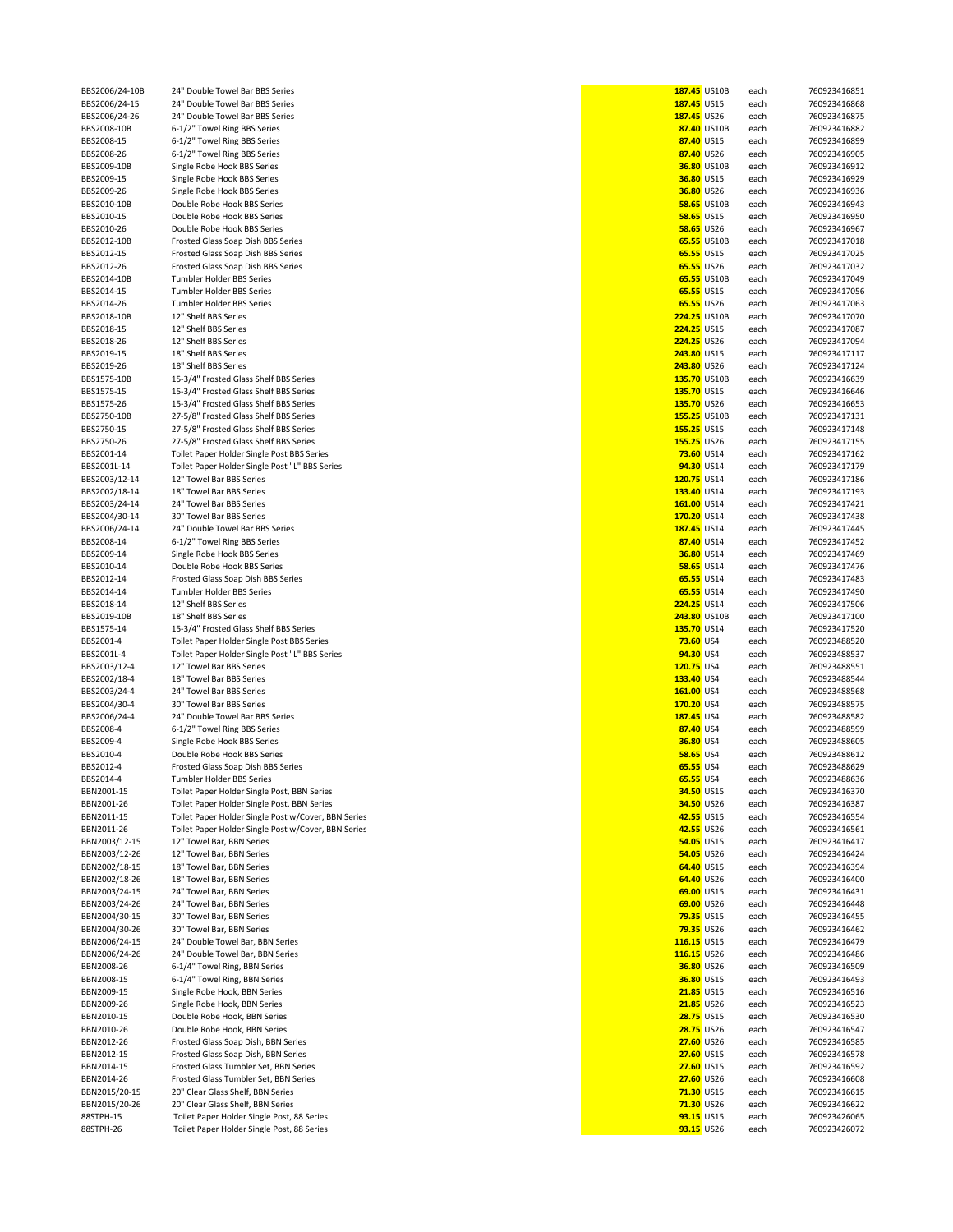| BBS2006/24-10B | 24" Double Towel Bar BBS Series                     | 187.45 US10B      |                    | each | 760923416851 |
|----------------|-----------------------------------------------------|-------------------|--------------------|------|--------------|
| BBS2006/24-15  | 24" Double Towel Bar BBS Series                     | 187.45 US15       |                    | each | 760923416868 |
| BBS2006/24-26  | 24" Double Towel Bar BBS Series                     | 187.45 US26       |                    | each | 760923416875 |
| BBS2008-10B    | 6-1/2" Towel Ring BBS Series                        |                   | 87.40 US10B        | each | 760923416882 |
| BBS2008-15     | 6-1/2" Towel Ring BBS Series                        | 87.40 US15        |                    | each | 760923416899 |
| BBS2008-26     | 6-1/2" Towel Ring BBS Series                        | 87.40 US26        |                    | each | 760923416905 |
| BBS2009-10B    | Single Robe Hook BBS Series                         |                   | 36.80 US10B        | each | 760923416912 |
| BBS2009-15     | Single Robe Hook BBS Series                         | 36.80 US15        |                    | each | 760923416929 |
| BBS2009-26     | Single Robe Hook BBS Series                         | 36.80 US26        |                    | each | 760923416936 |
| BBS2010-10B    | Double Robe Hook BBS Series                         |                   | <b>58.65 US10B</b> | each | 760923416943 |
| BBS2010-15     | Double Robe Hook BBS Series                         | <b>58.65 US15</b> |                    | each | 760923416950 |
| BBS2010-26     | Double Robe Hook BBS Series                         | 58.65 US26        |                    | each | 760923416967 |
| BBS2012-10B    | Frosted Glass Soap Dish BBS Series                  |                   | 65.55 US10B        | each | 760923417018 |
| BBS2012-15     | Frosted Glass Soap Dish BBS Series                  | 65.55 US15        |                    | each | 760923417025 |
| BBS2012-26     | Frosted Glass Soap Dish BBS Series                  | 65.55 US26        |                    | each | 760923417032 |
| BBS2014-10B    | Tumbler Holder BBS Series                           |                   | 65.55 US10B        | each | 760923417049 |
| BBS2014-15     | Tumbler Holder BBS Series                           | 65.55 US15        |                    | each | 760923417056 |
| BBS2014-26     | Tumbler Holder BBS Series                           | 65.55 US26        |                    | each | 760923417063 |
| BBS2018-10B    | 12" Shelf BBS Series                                | 224.25 US10B      |                    | each | 760923417070 |
| BBS2018-15     | 12" Shelf BBS Series                                | 224.25 US15       |                    | each | 760923417087 |
| BBS2018-26     | 12" Shelf BBS Series                                | 224.25 US26       |                    | each | 760923417094 |
|                | 18" Shelf BBS Series                                |                   |                    |      | 760923417117 |
| BBS2019-15     |                                                     | 243.80 US15       |                    | each |              |
| BBS2019-26     | 18" Shelf BBS Series                                | 243.80 US26       |                    | each | 760923417124 |
| BBS1575-10B    | 15-3/4" Frosted Glass Shelf BBS Series              | 135.70 US10B      |                    | each | 760923416639 |
| BBS1575-15     | 15-3/4" Frosted Glass Shelf BBS Series              | 135.70 US15       |                    | each | 760923416646 |
| BBS1575-26     | 15-3/4" Frosted Glass Shelf BBS Series              | 135.70 US26       |                    | each | 760923416653 |
| BBS2750-10B    | 27-5/8" Frosted Glass Shelf BBS Series              | 155.25 US10B      |                    | each | 760923417131 |
| BBS2750-15     | 27-5/8" Frosted Glass Shelf BBS Series              | 155.25 US15       |                    | each | 760923417148 |
| BBS2750-26     | 27-5/8" Frosted Glass Shelf BBS Series              | 155.25 US26       |                    | each | 760923417155 |
| BBS2001-14     | Toilet Paper Holder Single Post BBS Series          | 73.60 US14        |                    | each | 760923417162 |
| BBS2001L-14    | Toilet Paper Holder Single Post "L" BBS Series      | 94.30 US14        |                    | each | 760923417179 |
| BBS2003/12-14  | 12" Towel Bar BBS Series                            | 120.75 US14       |                    | each | 760923417186 |
| BBS2002/18-14  | 18" Towel Bar BBS Series                            | 133.40 US14       |                    | each | 760923417193 |
| BBS2003/24-14  | 24" Towel Bar BBS Series                            | 161.00 US14       |                    | each | 760923417421 |
| BBS2004/30-14  | 30" Towel Bar BBS Series                            | 170.20 US14       |                    | each | 760923417438 |
|                | 24" Double Towel Bar BBS Series                     | 187.45 US14       |                    |      | 760923417445 |
| BBS2006/24-14  |                                                     |                   |                    | each |              |
| BBS2008-14     | 6-1/2" Towel Ring BBS Series                        | 87.40 US14        |                    | each | 760923417452 |
| BBS2009-14     | Single Robe Hook BBS Series                         | 36.80 US14        |                    | each | 760923417469 |
| BBS2010-14     | Double Robe Hook BBS Series                         | 58.65 US14        |                    | each | 760923417476 |
| BBS2012-14     | Frosted Glass Soap Dish BBS Series                  | 65.55 US14        |                    | each | 760923417483 |
| BBS2014-14     | Tumbler Holder BBS Series                           | 65.55 US14        |                    | each | 760923417490 |
| BBS2018-14     | 12" Shelf BBS Series                                | 224.25 US14       |                    | each | 760923417506 |
| BBS2019-10B    | 18" Shelf BBS Series                                | 243.80 US10B      |                    | each | 760923417100 |
| BBS1575-14     | 15-3/4" Frosted Glass Shelf BBS Series              | 135.70 US14       |                    | each | 760923417520 |
| BBS2001-4      | Toilet Paper Holder Single Post BBS Series          | 73.60 US4         |                    | each | 760923488520 |
| BBS2001L-4     | Toilet Paper Holder Single Post "L" BBS Series      | 94.30 US4         |                    | each | 760923488537 |
| BBS2003/12-4   | 12" Towel Bar BBS Series                            | 120.75 US4        |                    | each | 760923488551 |
| BBS2002/18-4   | 18" Towel Bar BBS Series                            | 133.40 US4        |                    | each | 760923488544 |
| BBS2003/24-4   | 24" Towel Bar BBS Series                            | 161.00 US4        |                    | each | 760923488568 |
| BBS2004/30-4   | 30" Towel Bar BBS Series                            | 170.20 US4        |                    | each | 760923488575 |
| BBS2006/24-4   | 24" Double Towel Bar BBS Series                     | 187.45 US4        |                    | each | 760923488582 |
| BBS2008-4      | 6-1/2" Towel Ring BBS Series                        | 87.40 US4         |                    | each | 760923488599 |
|                |                                                     |                   |                    |      |              |
| BBS2009-4      | Single Robe Hook BBS Series                         | 36.80 US4         |                    | each | 760923488605 |
| BBS2010-4      | Double Robe Hook BBS Series                         | <b>58.65 US4</b>  |                    | each | 760923488612 |
| BBS2012-4      | Frosted Glass Soap Dish BBS Series                  | 65.55 US4         |                    | each | 760923488629 |
| BBS2014-4      | Tumbler Holder BBS Series                           | 65.55 US4         |                    | each | 760923488636 |
| BBN2001-15     | Toilet Paper Holder Single Post, BBN Series         | 34.50 US15        |                    | each | 760923416370 |
| BBN2001-26     | Toilet Paper Holder Single Post, BBN Series         | 34.50 US26        |                    | each | 760923416387 |
| BBN2011-15     | Toilet Paper Holder Single Post w/Cover, BBN Series | 42.55 US15        |                    | each | 760923416554 |
| BBN2011-26     | Toilet Paper Holder Single Post w/Cover, BBN Series | 42.55 US26        |                    | each | 760923416561 |
| BBN2003/12-15  | 12" Towel Bar, BBN Series                           | 54.05 US15        |                    | each | 760923416417 |
| BBN2003/12-26  | 12" Towel Bar, BBN Series                           | 54.05 US26        |                    | each | 760923416424 |
| BBN2002/18-15  | 18" Towel Bar, BBN Series                           | 64.40 US15        |                    | each | 760923416394 |
| BBN2002/18-26  | 18" Towel Bar, BBN Series                           | 64.40 US26        |                    | each | 760923416400 |
| BBN2003/24-15  | 24" Towel Bar, BBN Series                           | 69.00 US15        |                    | each | 760923416431 |
| BBN2003/24-26  | 24" Towel Bar, BBN Series                           | 69.00 US26        |                    | each | 760923416448 |
| BBN2004/30-15  | 30" Towel Bar, BBN Series                           | 79.35 US15        |                    | each | 760923416455 |
| BBN2004/30-26  | 30" Towel Bar, BBN Series                           | 79.35 US26        |                    | each | 760923416462 |
| BBN2006/24-15  | 24" Double Towel Bar, BBN Series                    | 116.15 US15       |                    | each | 760923416479 |
|                | 24" Double Towel Bar, BBN Series                    | 116.15 US26       |                    |      | 760923416486 |
| BBN2006/24-26  |                                                     |                   |                    | each |              |
| BBN2008-26     | 6-1/4" Towel Ring, BBN Series                       | 36.80 US26        |                    | each | 760923416509 |
| BBN2008-15     | 6-1/4" Towel Ring, BBN Series                       | 36.80 US15        |                    | each | 760923416493 |
| BBN2009-15     | Single Robe Hook, BBN Series                        | 21.85 US15        |                    | each | 760923416516 |
| BBN2009-26     | Single Robe Hook, BBN Series                        | 21.85 US26        |                    | each | 760923416523 |
| BBN2010-15     | Double Robe Hook, BBN Series                        | 28.75 US15        |                    | each | 760923416530 |
| BBN2010-26     | Double Robe Hook, BBN Series                        | 28.75 US26        |                    | each | 760923416547 |
| BBN2012-26     | Frosted Glass Soap Dish, BBN Series                 | 27.60 US26        |                    | each | 760923416585 |
| BBN2012-15     | Frosted Glass Soap Dish, BBN Series                 | 27.60 US15        |                    | each | 760923416578 |
| BBN2014-15     | Frosted Glass Tumbler Set, BBN Series               | 27.60 US15        |                    | each | 760923416592 |
| BBN2014-26     | Frosted Glass Tumbler Set, BBN Series               | 27.60 US26        |                    | each | 760923416608 |
| BBN2015/20-15  | 20" Clear Glass Shelf, BBN Series                   | 71.30 US15        |                    | each | 760923416615 |
| BBN2015/20-26  | 20" Clear Glass Shelf, BBN Series                   | 71.30 US26        |                    | each | 760923416622 |
| 88STPH-15      | Toilet Paper Holder Single Post, 88 Series          | 93.15 US15        |                    | each | 760923426065 |
| 88STPH-26      | Toilet Paper Holder Single Post, 88 Series          | 93.15 US26        |                    | each | 760923426072 |
|                |                                                     |                   |                    |      |              |

| 187.45 US10B                    |                    | each         | 76092341685                |
|---------------------------------|--------------------|--------------|----------------------------|
| 187.45 US15                     |                    | each         | 76092341686                |
| 187.45 US26                     | 87.40 US10B        | each<br>each | 76092341687<br>76092341688 |
| 87.40 US15                      |                    | each         | 76092341689                |
| 87.40 US26                      |                    | each         | 76092341690                |
|                                 | 36.80 US10B        | each         | 76092341691                |
| 36.80 US15                      |                    | each         | 76092341692                |
| 36.80 US26                      |                    | each         | 76092341693                |
|                                 | <b>58.65 US10B</b> | each         | 76092341694                |
| <b>58.65 US15</b>               |                    | each         | 76092341695                |
| 58.65 US26                      |                    | each         | 76092341696                |
|                                 | 65.55 US10B        | each         | 76092341701                |
| 65.55 US15                      |                    | each         | 76092341702                |
| 65.55 US26                      |                    | each         | 76092341703                |
|                                 | 65.55 US10B        | each         | 76092341704                |
| 65.55 US15<br>65.55 US26        |                    | each         | 76092341705<br>76092341706 |
|                                 | 224.25 US10B       | each<br>each | 76092341707                |
| 224.25 US15                     |                    | each         | 76092341708                |
| <b>224.25</b> US26              |                    | each         | 76092341709                |
| 243.80 US15                     |                    | each         | 76092341711                |
| 243.80 US26                     |                    | each         | 76092341712                |
|                                 | 135.70 US10B       | each         | 76092341663                |
| 135.70 US15                     |                    | each         | 76092341664                |
| 135.70 US26                     |                    | each         | 76092341665                |
|                                 | 155.25 US10B       | each         | 76092341713                |
| 155.25 US15                     |                    | each         | 76092341714                |
| 155.25 US26                     |                    | each         | 76092341715                |
| <b>73.60 US14</b><br>94.30 US14 |                    | each         | 76092341716                |
| 120.75 US14                     |                    | each<br>each | 76092341717<br>76092341718 |
| 133.40 US14                     |                    | each         | 76092341719                |
| 161.00 US14                     |                    | each         | 76092341742                |
| 170.20 US14                     |                    | each         | 76092341743                |
| 187.45 US14                     |                    | each         | 76092341744                |
| 87.40 US14                      |                    | each         | 76092341745                |
| 36.80 US14                      |                    | each         | 76092341746                |
| <b>58.65 US14</b>               |                    | each         | 76092341747                |
| 65.55 US14                      |                    | each         | 76092341748                |
| 65.55 US14                      |                    | each         | 76092341749                |
| 224.25 US14                     |                    | each         | 76092341750                |
| 243.80 US10B                    |                    | each         | 76092341710                |
| 135.70 US14<br>73.60 US4        |                    | each         | 76092341752<br>76092348852 |
| 94.30 US4                       |                    | each<br>each | 76092348853                |
| 120.75 US4                      |                    | each         | 76092348855                |
| 133.40 US4                      |                    | each         | 76092348854                |
| 161.00 US4                      |                    | each         | 76092348856                |
| 170.20 US4                      |                    | each         | 76092348857                |
| 187.45 US4                      |                    | each         | 76092348858                |
| 87.40 US4                       |                    | each         | 76092348859                |
| 36.80 US4                       |                    | each         | 76092348860                |
| <b>58.65 US4</b>                |                    | each         | 76092348861                |
| 65.55 US4                       |                    | each         | 76092348862                |
| 65.55 US4<br>34.50 US15         |                    | each         | 76092348863                |
| 34.50 US26                      |                    | each<br>each | 76092341637<br>76092341638 |
| 42.55 US15                      |                    | each         | 76092341655                |
| 42.55 US26                      |                    | each         | 76092341656                |
| 54.05 US15                      |                    | each         | 76092341641                |
| 54.05 US26                      |                    | each         | 76092341642                |
| 64.40 US15                      |                    | each         | 76092341639                |
| 64.40 US26                      |                    | each         | 76092341640                |
| 69.00 US15                      |                    | each         | 76092341643                |
| 69.00 US26                      |                    | each         | 76092341644                |
| 79.35 US15                      |                    | each         | 76092341645                |
| 79.35 US26                      |                    | each         | 76092341646                |
| 116.15 US15<br>116.15 US26      |                    | each         | 76092341647<br>76092341648 |
| 36.80 US26                      |                    | each<br>each | 76092341650                |
| 36.80 US15                      |                    | each         | 76092341649                |
| 21.85 US15                      |                    | each         | 76092341651                |
| 21.85 US26                      |                    | each         | 76092341652                |
| 28.75                           | <b>US15</b>        | each         | 76092341653                |
| 28.75 US26                      |                    | each         | 76092341654                |
| 27.60 US26                      |                    | each         | 76092341658                |
| 27.60 US15                      |                    | each         | 76092341657                |
| 27.60 US15                      |                    | each         | 76092341659                |
| 27.60 US26                      |                    | each         | 76092341660                |
| 71.30 US15                      |                    | each         | 76092341661                |
| 71.30 US26                      |                    | each         | 76092341662                |
| 93.15 US15<br>93.15 US26        |                    | each         | 76092342606<br>76092342607 |
|                                 |                    | each         |                            |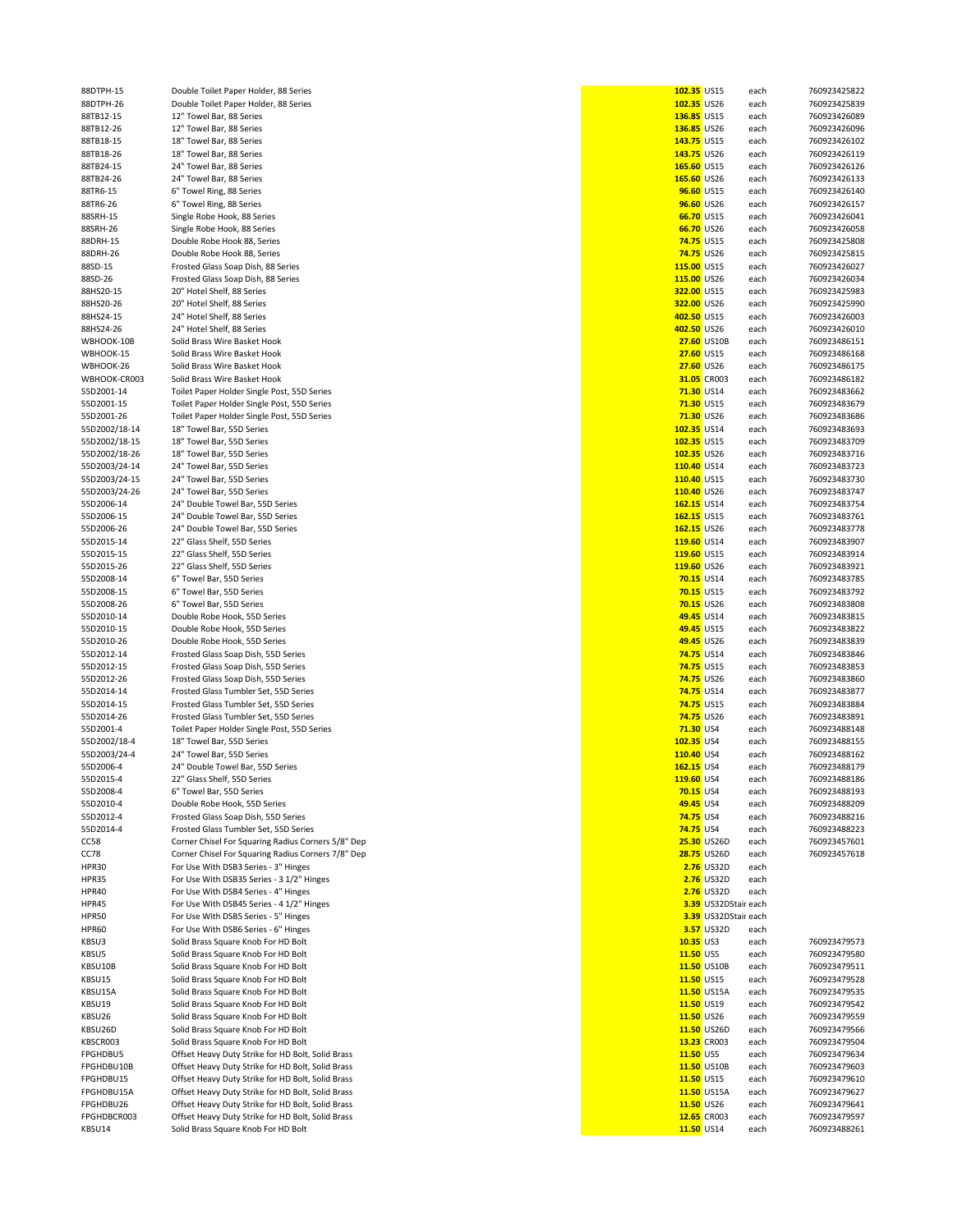|               |                                                    | 102.35 US15       |                      | each | 760923425822 |
|---------------|----------------------------------------------------|-------------------|----------------------|------|--------------|
| 88DTPH-15     | Double Toilet Paper Holder, 88 Series              |                   |                      |      |              |
| 88DTPH-26     | Double Toilet Paper Holder, 88 Series              | 102.35 US26       |                      | each | 760923425839 |
| 88TB12-15     | 12" Towel Bar, 88 Series                           | 136.85 US15       |                      | each | 760923426089 |
| 88TB12-26     | 12" Towel Bar, 88 Series                           | 136.85 US26       |                      | each | 760923426096 |
| 88TB18-15     | 18" Towel Bar, 88 Series                           | 143.75 US15       |                      | each | 760923426102 |
| 88TB18-26     | 18" Towel Bar, 88 Series                           | 143.75 US26       |                      | each | 760923426119 |
|               |                                                    |                   |                      |      |              |
| 88TB24-15     | 24" Towel Bar, 88 Series                           | 165.60 US15       |                      | each | 760923426126 |
| 88TB24-26     | 24" Towel Bar, 88 Series                           | 165.60 US26       |                      | each | 760923426133 |
| 88TR6-15      | 6" Towel Ring, 88 Series                           | 96.60 US15        |                      | each | 760923426140 |
|               |                                                    |                   |                      |      |              |
| 88TR6-26      | 6" Towel Ring, 88 Series                           | 96.60 US26        |                      | each | 760923426157 |
| 88SRH-15      | Single Robe Hook, 88 Series                        | 66.70 US15        |                      | each | 760923426041 |
| 88SRH-26      | Single Robe Hook, 88 Series                        | 66.70 US26        |                      | each | 760923426058 |
| 88DRH-15      | Double Robe Hook 88, Series                        | <b>74.75 US15</b> |                      | each | 760923425808 |
|               |                                                    |                   |                      |      |              |
| 88DRH-26      | Double Robe Hook 88, Series                        | <b>74.75 US26</b> |                      | each | 760923425815 |
| 88SD-15       | Frosted Glass Soap Dish, 88 Series                 | 115.00 US15       |                      | each | 760923426027 |
| 88SD-26       | Frosted Glass Soap Dish, 88 Series                 | 115.00 US26       |                      | each | 760923426034 |
|               |                                                    |                   |                      |      |              |
| 88HS20-15     | 20" Hotel Shelf, 88 Series                         | 322.00 US15       |                      | each | 760923425983 |
| 88HS20-26     | 20" Hotel Shelf, 88 Series                         | 322.00 US26       |                      | each | 760923425990 |
| 88HS24-15     | 24" Hotel Shelf, 88 Series                         | 402.50 US15       |                      | each | 760923426003 |
| 88HS24-26     | 24" Hotel Shelf, 88 Series                         | 402.50 US26       |                      | each | 760923426010 |
|               |                                                    |                   |                      |      |              |
| WBHOOK-10B    | Solid Brass Wire Basket Hook                       |                   | 27.60 US10B          | each | 760923486151 |
| WBHOOK-15     | Solid Brass Wire Basket Hook                       | 27.60 US15        |                      | each | 760923486168 |
| WBHOOK-26     | Solid Brass Wire Basket Hook                       | 27.60 US26        |                      | each | 760923486175 |
|               |                                                    |                   |                      |      |              |
| WBHOOK-CR003  | Solid Brass Wire Basket Hook                       |                   | 31.05 CR003          | each | 760923486182 |
| 55D2001-14    | Toilet Paper Holder Single Post, 55D Series        | 71.30 US14        |                      | each | 760923483662 |
| 55D2001-15    | Toilet Paper Holder Single Post, 55D Series        | 71.30 US15        |                      | each | 760923483679 |
| 55D2001-26    | Toilet Paper Holder Single Post, 55D Series        | 71.30 US26        |                      | each | 760923483686 |
|               |                                                    |                   |                      |      |              |
| 55D2002/18-14 | 18" Towel Bar, 55D Series                          | 102.35 US14       |                      | each | 760923483693 |
| 55D2002/18-15 | 18" Towel Bar, 55D Series                          | 102.35 US15       |                      | each | 760923483709 |
| 55D2002/18-26 | 18" Towel Bar, 55D Series                          | 102.35 US26       |                      | each | 760923483716 |
|               |                                                    |                   |                      |      |              |
| 55D2003/24-14 | 24" Towel Bar, 55D Series                          | 110.40 US14       |                      | each | 760923483723 |
| 55D2003/24-15 | 24" Towel Bar, 55D Series                          | 110.40 US15       |                      | each | 760923483730 |
| 55D2003/24-26 | 24" Towel Bar, 55D Series                          | 110.40 US26       |                      | each | 760923483747 |
| 55D2006-14    | 24" Double Towel Bar, 55D Series                   | 162.15 US14       |                      |      | 760923483754 |
|               |                                                    |                   |                      | each |              |
| 55D2006-15    | 24" Double Towel Bar, 55D Series                   | 162.15 US15       |                      | each | 760923483761 |
| 55D2006-26    | 24" Double Towel Bar, 55D Series                   | 162.15 US26       |                      | each | 760923483778 |
| 55D2015-14    | 22" Glass Shelf, 55D Series                        | 119.60 US14       |                      | each | 760923483907 |
|               |                                                    |                   |                      |      |              |
| 55D2015-15    | 22" Glass Shelf, 55D Series                        | 119.60 US15       |                      | each | 760923483914 |
| 55D2015-26    | 22" Glass Shelf, 55D Series                        | 119.60 US26       |                      | each | 760923483921 |
| 55D2008-14    | 6" Towel Bar, 55D Series                           | 70.15 US14        |                      | each | 760923483785 |
| 55D2008-15    | 6" Towel Bar, 55D Series                           | <b>70.15 US15</b> |                      |      | 760923483792 |
|               |                                                    |                   |                      | each |              |
| 55D2008-26    | 6" Towel Bar, 55D Series                           | <b>70.15 US26</b> |                      | each | 760923483808 |
| 55D2010-14    | Double Robe Hook, 55D Series                       | 49.45 US14        |                      | each | 760923483815 |
| 55D2010-15    | Double Robe Hook, 55D Series                       | 49.45 US15        |                      | each | 760923483822 |
|               |                                                    |                   |                      |      |              |
| 55D2010-26    | Double Robe Hook, 55D Series                       | 49.45 US26        |                      | each | 760923483839 |
| 55D2012-14    | Frosted Glass Soap Dish, 55D Series                | 74.75 US14        |                      | each | 760923483846 |
| 55D2012-15    | Frosted Glass Soap Dish, 55D Series                | <b>74.75 US15</b> |                      | each | 760923483853 |
| 55D2012-26    | Frosted Glass Soap Dish, 55D Series                | <b>74.75 US26</b> |                      | each | 760923483860 |
|               |                                                    |                   |                      |      |              |
| 55D2014-14    | Frosted Glass Tumbler Set, 55D Series              | 74.75 US14        |                      | each | 760923483877 |
| 55D2014-15    | Frosted Glass Tumbler Set, 55D Series              | <b>74.75 US15</b> |                      | each | 760923483884 |
| 55D2014-26    | Frosted Glass Tumbler Set, 55D Series              | <b>74.75 US26</b> |                      | each | 760923483891 |
|               | Toilet Paper Holder Single Post, 55D Series        |                   |                      |      |              |
| 55D2001-4     |                                                    | 71.30 US4         |                      | each | 760923488148 |
| 55D2002/18-4  | 18" Towel Bar, 55D Series                          | 102.35 US4        |                      | each | 760923488155 |
| 55D2003/24-4  | 24" Towel Bar, 55D Series                          | 110.40 US4        |                      | each | 760923488162 |
| 55D2006-4     | 24" Double Towel Bar, 55D Series                   | 162.15 US4        |                      | each | 760923488179 |
|               |                                                    |                   |                      |      |              |
| 55D2015-4     | 22" Glass Shelf, 55D Series                        | 119.60 US4        |                      | each | 760923488186 |
| 55D2008-4     | 6" Towel Bar, 55D Series                           | <b>70.15 US4</b>  |                      | each | 760923488193 |
| 55D2010-4     | Double Robe Hook, 55D Series                       | 49.45 US4         |                      | each | 760923488209 |
| 55D2012-4     | Frosted Glass Soap Dish, 55D Series                | 74.75 US4         |                      |      | 760923488216 |
|               |                                                    |                   |                      | each |              |
| 55D2014-4     | Frosted Glass Tumbler Set, 55D Series              | 74.75 US4         |                      | each | 760923488223 |
| CC58          | Corner Chisel For Squaring Radius Corners 5/8" Dep |                   | 25.30 US26D          | each | 760923457601 |
| CC78          | Corner Chisel For Squaring Radius Corners 7/8" Dep |                   | <b>28.75 US26D</b>   | each | 760923457618 |
| HPR30         | For Use With DSB3 Series - 3" Hinges               |                   | 2.76 US32D           | each |              |
|               |                                                    |                   |                      |      |              |
| HPR35         | For Use With DSB35 Series - 3 1/2" Hinges          |                   | <b>2.76</b> US32D    | each |              |
| HPR40         | For Use With DSB4 Series - 4" Hinges               |                   | 2.76 US32D           | each |              |
| HPR45         | For Use With DSB45 Series - 4 1/2" Hinges          |                   | 3.39 US32DStair each |      |              |
|               |                                                    |                   |                      |      |              |
| HPR50         | For Use With DSB5 Series - 5" Hinges               |                   | 3.39 US32DStair each |      |              |
| HPR60         | For Use With DSB6 Series - 6" Hinges               |                   | <b>3.57</b> US32D    | each |              |
| KBSU3         | Solid Brass Square Knob For HD Bolt                | 10.35 US3         |                      | each | 760923479573 |
| KBSU5         | Solid Brass Square Knob For HD Bolt                | 11.50 US5         |                      | each | 760923479580 |
|               |                                                    |                   |                      |      |              |
| KBSU10B       | Solid Brass Square Knob For HD Bolt                |                   | 11.50 US10B          | each | 760923479511 |
| KBSU15        | Solid Brass Square Knob For HD Bolt                | 11.50 US15        |                      | each | 760923479528 |
| KBSU15A       | Solid Brass Square Knob For HD Bolt                |                   | 11.50 US15A          | each | 760923479535 |
|               |                                                    | 11.50 US19        |                      |      |              |
| KBSU19        | Solid Brass Square Knob For HD Bolt                |                   |                      | each | 760923479542 |
| KBSU26        | Solid Brass Square Knob For HD Bolt                | 11.50 US26        |                      | each | 760923479559 |
| KBSU26D       | Solid Brass Square Knob For HD Bolt                |                   | 11.50 US26D          | each | 760923479566 |
| KBSCR003      | Solid Brass Square Knob For HD Bolt                |                   | 13.23 CR003          | each | 760923479504 |
|               |                                                    |                   |                      |      |              |
| FPGHDBU5      | Offset Heavy Duty Strike for HD Bolt, Solid Brass  | 11.50 US5         |                      | each | 760923479634 |
| FPGHDBU10B    | Offset Heavy Duty Strike for HD Bolt, Solid Brass  |                   | 11.50 US10B          | each | 760923479603 |
| FPGHDBU15     | Offset Heavy Duty Strike for HD Bolt, Solid Brass  | 11.50 US15        |                      | each | 760923479610 |
| FPGHDBU15A    | Offset Heavy Duty Strike for HD Bolt, Solid Brass  |                   | 11.50 US15A          |      | 760923479627 |
|               |                                                    |                   |                      | each |              |
| FPGHDBU26     | Offset Heavy Duty Strike for HD Bolt, Solid Brass  | 11.50 US26        |                      | each | 760923479641 |
| FPGHDBCR003   | Offset Heavy Duty Strike for HD Bolt, Solid Brass  |                   | 12.65 CR003          | each | 760923479597 |
| KBSU14        | Solid Brass Square Knob For HD Bolt                | 11.50 US14        |                      | each | 760923488261 |
|               |                                                    |                   |                      |      |              |

| 102.35 US15       |                      | each | 760923425822 |
|-------------------|----------------------|------|--------------|
| 102.35 US26       |                      | each | 760923425839 |
| 136.85 US15       |                      | each | 760923426089 |
| 136.85 US26       |                      | each | 760923426096 |
| 143.75 US15       |                      | each | 760923426102 |
| 143.75 US26       |                      | each | 760923426119 |
| 165.60 US15       |                      | each | 760923426126 |
|                   |                      |      | 760923426133 |
| 165.60 US26       |                      | each | 760923426140 |
| 96.60 US15        |                      | each |              |
| 96.60 US26        |                      | each | 760923426157 |
| 66.70 US15        |                      | each | 760923426041 |
| 66.70 US26        |                      | each | 760923426058 |
| 74.75 US15        |                      | each | 760923425808 |
| 74.75 US26        |                      | each | 760923425815 |
| 115.00 US15       |                      | each | 760923426027 |
| 115.00 US26       |                      | each | 760923426034 |
| 322.00 US15       |                      | each | 760923425983 |
| 322.00 US26       |                      | each | 760923425990 |
| 402.50 US15       |                      | each | 760923426003 |
| 402.50 US26       |                      | each | 760923426010 |
|                   | 27.60 US10B          | each | 760923486151 |
| 27.60 US15        |                      | each | 760923486168 |
| 27.60 US26        |                      | each | 760923486175 |
|                   | 31.05 CR003          | each | 760923486182 |
| 71.30 US14        |                      | each | 760923483662 |
| 71.30 US15        |                      | each | 760923483679 |
| 71.30 US26        |                      | each | 760923483686 |
| 102.35 US14       |                      | each | 760923483693 |
| 102.35 US15       |                      | each | 760923483709 |
| 102.35 US26       |                      | each | 760923483716 |
| 110.40 US14       |                      | each | 760923483723 |
| 110.40 US15       |                      | each | 760923483730 |
| 110.40 US26       |                      | each | 760923483747 |
| 162.15 US14       |                      | each | 760923483754 |
| 162.15 US15       |                      | each | 760923483761 |
| 162.15 US26       |                      | each | 760923483778 |
| 119.60 US14       |                      | each | 760923483907 |
| 119.60 US15       |                      | each | 760923483914 |
| 119.60 US26       |                      | each | 760923483921 |
| 70.15 US14        |                      |      | 760923483785 |
| 70.15 US15        |                      | each |              |
|                   |                      | each | 760923483792 |
| 70.15 US26        |                      | each | 760923483808 |
| 49.45 US14        |                      | each | 760923483815 |
| 49.45 US15        |                      | each | 760923483822 |
| 49.45 US26        |                      | each | 760923483839 |
| 74.75 US14        |                      | each | 760923483846 |
| <b>74.75 US15</b> |                      | each | 760923483853 |
| 74.75 US26        |                      | each | 760923483860 |
| 74.75 US14        |                      | each | 760923483877 |
| <b>74.75 US15</b> |                      | each | 760923483884 |
| <b>74.75</b> US26 |                      | each | 760923483891 |
| 71.30 US4         |                      | each | 760923488148 |
| 102.35 US4        |                      | each | 760923488155 |
| 110.40 US4        |                      | each | 760923488162 |
| 162.15 US4        |                      | each | 760923488179 |
| 119.60 US4        |                      | each | 760923488186 |
| 70.15 US4         |                      | each | 760923488193 |
| 49.45 US4         |                      | each | 760923488209 |
| 74.75 US4         |                      | each | 760923488216 |
| <b>74.75 US4</b>  |                      | each | 760923488223 |
|                   | 25.30 US26D          | each | 760923457601 |
|                   | <b>28.75 US26D</b>   | each | 760923457618 |
|                   | 2.76 US32D           | each |              |
|                   | 2.76 US32D           | each |              |
|                   | 2.76 US32D           | each |              |
|                   | 3.39 US32DStair each |      |              |
|                   | 3.39 US32DStair each |      |              |
|                   | 3.57 US32D           | each |              |
| 10.35 US3         |                      | each | 760923479573 |
| 11.50 US5         |                      | each | 760923479580 |
|                   | 11.50 US10B          | each | 760923479511 |
| 11.50 US15        |                      | each | 760923479528 |
|                   | 11.50 US15A          | each | 760923479535 |
| 11.50 US19        |                      | each | 760923479542 |
| 11.50 US26        |                      | each | 760923479559 |
|                   | 11.50 US26D          | each | 760923479566 |
|                   | 13.23 CR003          | each | 760923479504 |
| 11.50 US5         |                      | each | 760923479634 |
|                   | 11.50 US10B          | each | 760923479603 |
| 11.50 US15        |                      | each | 760923479610 |
|                   | 11.50 US15A          | each | 760923479627 |
| 11.50 US26        |                      | each | 760923479641 |
|                   | 12.65 CR003          | each | 760923479597 |
| 11.50 US14        |                      | each | 760923488261 |
|                   |                      |      |              |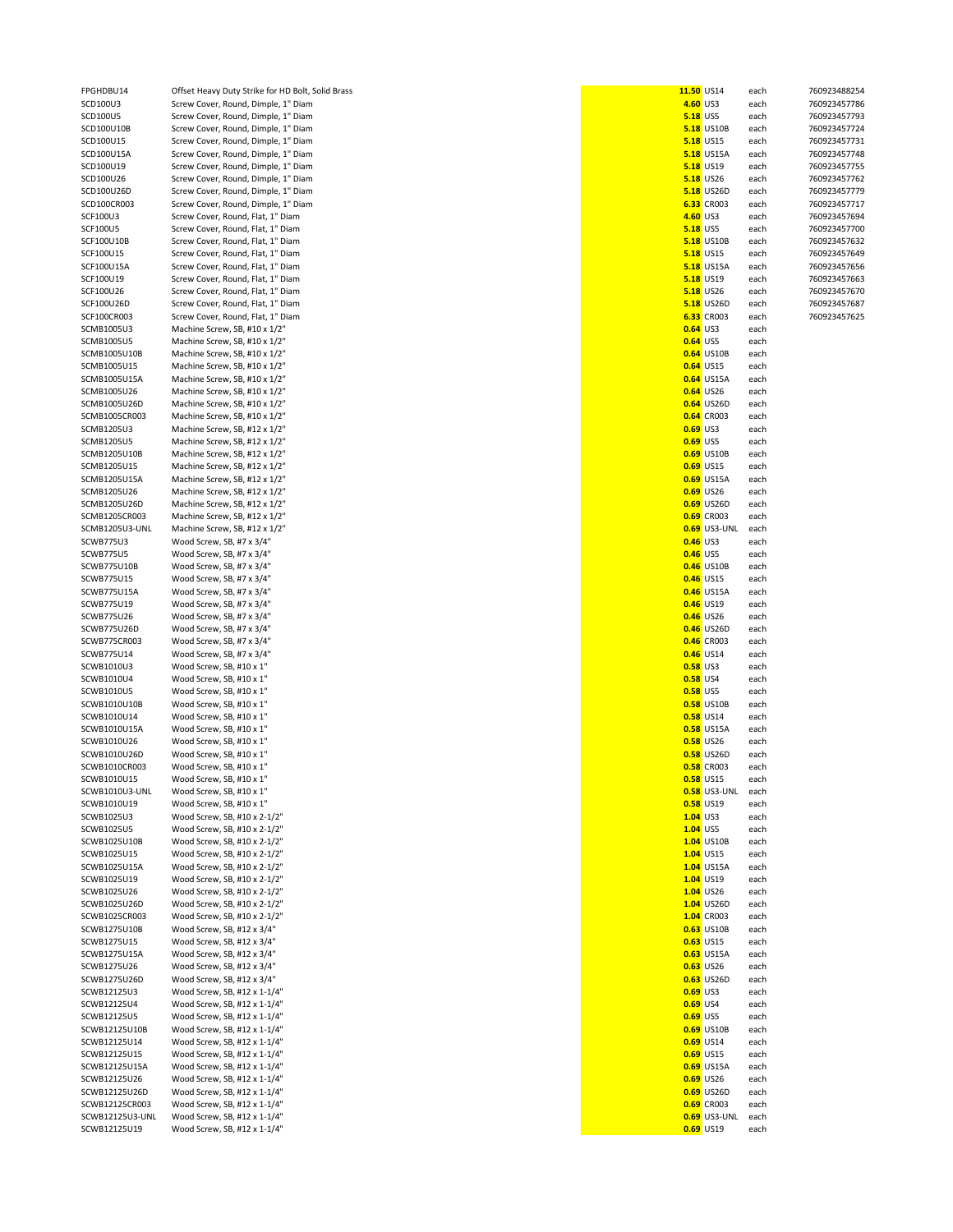| FPGHDBU14       | Offset Heavy Duty Strike for HD Bolt, Solid Brass | 11.50 US14      |                     | each | 760923488254 |
|-----------------|---------------------------------------------------|-----------------|---------------------|------|--------------|
| SCD100U3        | Screw Cover, Round, Dimple, 1" Diam               | 4.60 US3        |                     | each | 760923457786 |
| SCD100U5        | Screw Cover, Round, Dimple, 1" Diam               | <b>5.18 US5</b> |                     | each | 760923457793 |
| SCD100U10B      | Screw Cover, Round, Dimple, 1" Diam               |                 | <b>5.18</b> US10B   | each | 760923457724 |
| SCD100U15       | Screw Cover, Round, Dimple, 1" Diam               |                 | <b>5.18 US15</b>    | each | 760923457731 |
| SCD100U15A      | Screw Cover, Round, Dimple, 1" Diam               |                 | <b>5.18</b> US15A   | each | 760923457748 |
|                 |                                                   |                 | <b>5.18</b> US19    |      |              |
| SCD100U19       | Screw Cover, Round, Dimple, 1" Diam               |                 |                     | each | 760923457755 |
| SCD100U26       | Screw Cover, Round, Dimple, 1" Diam               |                 | <b>5.18</b> US26    | each | 760923457762 |
| SCD100U26D      | Screw Cover, Round, Dimple, 1" Diam               |                 | <b>5.18 US26D</b>   | each | 760923457779 |
| SCD100CR003     | Screw Cover, Round, Dimple, 1" Diam               |                 | 6.33 CR003          | each | 760923457717 |
| SCF100U3        | Screw Cover, Round, Flat, 1" Diam                 | 4.60 US3        |                     | each | 760923457694 |
| <b>SCF100U5</b> | Screw Cover, Round, Flat, 1" Diam                 | <b>5.18 US5</b> |                     | each | 760923457700 |
| SCF100U10B      | Screw Cover, Round, Flat, 1" Diam                 |                 | <b>5.18 US10B</b>   | each | 760923457632 |
| SCF100U15       | Screw Cover, Round, Flat, 1" Diam                 |                 | <b>5.18 US15</b>    | each | 760923457649 |
| SCF100U15A      | Screw Cover, Round, Flat, 1" Diam                 |                 | <b>5.18</b> US15A   | each | 760923457656 |
| SCF100U19       | Screw Cover, Round, Flat, 1" Diam                 |                 | <b>5.18 US19</b>    | each | 760923457663 |
| SCF100U26       | Screw Cover, Round, Flat, 1" Diam                 |                 | <b>5.18 US26</b>    | each | 760923457670 |
|                 |                                                   |                 | <b>5.18 US26D</b>   |      |              |
| SCF100U26D      | Screw Cover, Round, Flat, 1" Diam                 |                 |                     | each | 760923457687 |
| SCF100CR003     | Screw Cover, Round, Flat, 1" Diam                 |                 | 6.33 CR003          | each | 760923457625 |
| SCMB1005U3      | Machine Screw, SB, #10 x 1/2"                     | <b>0.64 US3</b> |                     | each |              |
| SCMB1005U5      | Machine Screw, SB, #10 x 1/2"                     | <b>0.64 US5</b> |                     | each |              |
| SCMB1005U10B    | Machine Screw, SB, #10 x 1/2"                     |                 | <b>0.64 US10B</b>   | each |              |
| SCMB1005U15     | Machine Screw, SB, #10 x 1/2"                     |                 | <b>0.64</b> US15    | each |              |
| SCMB1005U15A    | Machine Screw, SB, #10 x 1/2"                     |                 | <b>0.64</b> US15A   | each |              |
| SCMB1005U26     | Machine Screw, SB, #10 x 1/2"                     |                 | <b>0.64</b> US26    | each |              |
| SCMB1005U26D    | Machine Screw, SB, #10 x 1/2"                     |                 | <b>0.64</b> US26D   | each |              |
|                 |                                                   |                 |                     |      |              |
| SCMB1005CR003   | Machine Screw, SB, #10 x 1/2"                     |                 | <b>0.64</b> CR003   | each |              |
| SCMB1205U3      | Machine Screw, SB, #12 x 1/2"                     | <b>0.69 US3</b> |                     | each |              |
| SCMB1205U5      | Machine Screw, SB, #12 x 1/2"                     | <b>0.69 US5</b> |                     | each |              |
| SCMB1205U10B    | Machine Screw, SB, #12 x 1/2"                     |                 | <b>0.69 US10B</b>   | each |              |
| SCMB1205U15     | Machine Screw, SB, #12 x 1/2"                     |                 | <b>0.69 US15</b>    | each |              |
| SCMB1205U15A    | Machine Screw, SB, #12 x 1/2"                     |                 | <b>0.69 US15A</b>   | each |              |
| SCMB1205U26     | Machine Screw, SB, #12 x 1/2"                     |                 | <b>0.69</b> US26    | each |              |
|                 |                                                   |                 |                     |      |              |
| SCMB1205U26D    | Machine Screw, SB, #12 x 1/2"                     |                 | 0.69 US26D          | each |              |
| SCMB1205CR003   | Machine Screw, SB, #12 x 1/2"                     |                 | <b>0.69</b> CR003   | each |              |
| SCMB1205U3-UNL  | Machine Screw, SB, #12 x 1/2"                     |                 | <b>0.69</b> US3-UNL | each |              |
| SCWB775U3       | Wood Screw, SB, #7 x 3/4"                         | <b>0.46</b> US3 |                     | each |              |
| SCWB775U5       | Wood Screw, SB, #7 x 3/4"                         | <b>0.46</b> US5 |                     | each |              |
| SCWB775U10B     | Wood Screw, SB, #7 x 3/4"                         |                 | <b>0.46</b> US10B   | each |              |
| SCWB775U15      | Wood Screw, SB, #7 x 3/4"                         |                 | <b>0.46</b> US15    | each |              |
|                 | Wood Screw, SB, #7 x 3/4"                         |                 | <b>0.46</b> US15A   |      |              |
| SCWB775U15A     |                                                   |                 |                     | each |              |
| SCWB775U19      | Wood Screw, SB, #7 x 3/4"                         |                 | <b>0.46</b> US19    | each |              |
| SCWB775U26      | Wood Screw, SB, #7 x 3/4"                         |                 | <b>0.46</b> US26    | each |              |
| SCWB775U26D     | Wood Screw, SB, #7 x 3/4"                         |                 | 0.46 US26D          | each |              |
| SCWB775CR003    | Wood Screw, SB, #7 x 3/4"                         |                 | 0.46 CR003          | each |              |
| SCWB775U14      | Wood Screw, SB, #7 x 3/4"                         |                 | <b>0.46</b> US14    | each |              |
| SCWB1010U3      | Wood Screw, SB, #10 x 1"                          | <b>0.58 US3</b> |                     | each |              |
| SCWB1010U4      | Wood Screw, SB, #10 x 1"                          | <b>0.58 US4</b> |                     | each |              |
|                 |                                                   | <b>0.58 US5</b> |                     |      |              |
| SCWB1010U5      | Wood Screw, SB, #10 x 1"                          |                 |                     | each |              |
| SCWB1010U10B    | Wood Screw, SB, #10 x 1"                          |                 | <b>0.58 US10B</b>   | each |              |
| SCWB1010U14     | Wood Screw, SB, #10 x 1"                          |                 | <b>0.58</b> US14    | each |              |
| SCWB1010U15A    | Wood Screw, SB, #10 x 1"                          |                 | <b>0.58</b> US15A   | each |              |
| SCWB1010U26     | Wood Screw, SB, #10 x 1"                          |                 | <b>0.58</b> US26    | each |              |
| SCWB1010U26D    | Wood Screw, SB, #10 x 1"                          |                 | <b>0.58 US26D</b>   | each |              |
| SCWB1010CR003   | Wood Screw, SB, #10 x 1"                          |                 | <b>0.58</b> CR003   | each |              |
| SCWB1010U15     | Wood Screw, SB, #10 x 1"                          |                 | <b>0.58</b> US15    | each |              |
| SCWB1010U3-UNL  | Wood Screw, SB, #10 x 1"                          |                 | <b>0.58</b> US3-UNL | each |              |
| SCWB1010U19     | Wood Screw, SB, #10 x 1"                          |                 | 0.58 US19           | each |              |
|                 | Wood Screw, SB, #10 x 2-1/2"                      |                 |                     |      |              |
| SCWB1025U3      |                                                   | <b>1.04</b> US3 |                     | each |              |
| SCWB1025U5      | Wood Screw, SB, #10 x 2-1/2"                      | $1.04$ US5      |                     | each |              |
| SCWB1025U10B    | Wood Screw, SB, #10 x 2-1/2"                      |                 | 1.04 US10B          | each |              |
| SCWB1025U15     | Wood Screw, SB, #10 x 2-1/2"                      |                 | 1.04 US15           | each |              |
| SCWB1025U15A    | Wood Screw, SB, #10 x 2-1/2"                      |                 | 1.04 US15A          | each |              |
| SCWB1025U19     | Wood Screw, SB, #10 x 2-1/2"                      |                 | 1.04 US19           | each |              |
| SCWB1025U26     | Wood Screw, SB, #10 x 2-1/2"                      |                 | 1.04 US26           | each |              |
| SCWB1025U26D    | Wood Screw, SB, #10 x 2-1/2"                      |                 | 1.04 US26D          | each |              |
| SCWB1025CR003   | Wood Screw, SB, #10 x 2-1/2"                      |                 | 1.04 CR003          | each |              |
| SCWB1275U10B    | Wood Screw, SB, #12 x 3/4"                        |                 | 0.63 US10B          | each |              |
|                 |                                                   |                 |                     |      |              |
| SCWB1275U15     | Wood Screw, SB, #12 x 3/4"                        |                 | <b>0.63</b> US15    | each |              |
| SCWB1275U15A    | Wood Screw, SB, #12 x 3/4"                        |                 | <b>0.63 US15A</b>   | each |              |
| SCWB1275U26     | Wood Screw, SB, #12 x 3/4"                        |                 | 0.63 US26           | each |              |
| SCWB1275U26D    | Wood Screw, SB, #12 x 3/4"                        |                 | 0.63 US26D          | each |              |
| SCWB12125U3     | Wood Screw, SB, #12 x 1-1/4"                      | <b>0.69 US3</b> |                     | each |              |
| SCWB12125U4     | Wood Screw, SB, #12 x 1-1/4"                      | <b>0.69 US4</b> |                     | each |              |
| SCWB12125U5     | Wood Screw, SB, #12 x 1-1/4"                      | <b>0.69</b> US5 |                     | each |              |
| SCWB12125U10B   | Wood Screw, SB, #12 x 1-1/4"                      |                 | <b>0.69 US10B</b>   | each |              |
|                 |                                                   |                 |                     |      |              |
| SCWB12125U14    | Wood Screw, SB, #12 x 1-1/4"                      |                 | 0.69 US14           | each |              |
| SCWB12125U15    | Wood Screw, SB, #12 x 1-1/4"                      |                 | <b>0.69 US15</b>    | each |              |
| SCWB12125U15A   | Wood Screw, SB, #12 x 1-1/4"                      |                 | <b>0.69 US15A</b>   | each |              |
| SCWB12125U26    | Wood Screw, SB, #12 x 1-1/4"                      |                 | 0.69 US26           | each |              |
| SCWB12125U26D   | Wood Screw, SB, #12 x 1-1/4"                      |                 | 0.69 US26D          | each |              |
| SCWB12125CR003  | Wood Screw, SB, #12 x 1-1/4"                      |                 | <b>0.69</b> CR003   | each |              |
| SCWB12125U3-UNL | Wood Screw, SB, #12 x 1-1/4"                      |                 | 0.69 US3-UNL        | each |              |
| SCWB12125U19    | Wood Screw, SB, #12 x 1-1/4"                      |                 | 0.69 US19           | each |              |
|                 |                                                   |                 |                     |      |              |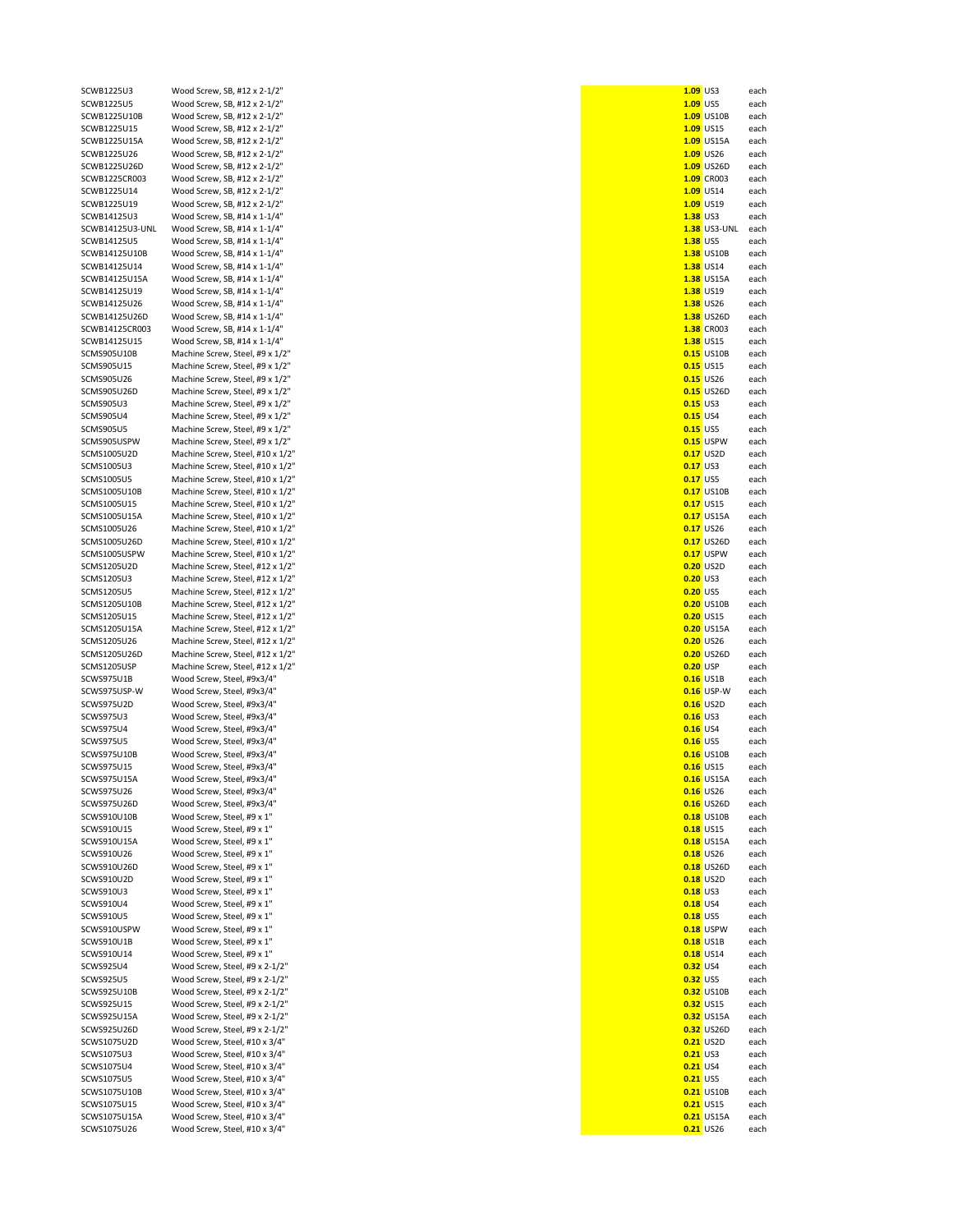| SCWB1225U3       | Wood Screw, SB, #12 x 2-1/2"     | $1.09$ US3          | each |
|------------------|----------------------------------|---------------------|------|
| SCWB1225U5       | Wood Screw, SB, #12 x 2-1/2"     | 1.09 US5            | each |
| SCWB1225U10B     | Wood Screw, SB, #12 x 2-1/2"     | 1.09 US10B          | each |
| SCWB1225U15      | Wood Screw, SB, #12 x 2-1/2"     | 1.09 US15           | each |
|                  |                                  |                     |      |
| SCWB1225U15A     | Wood Screw, SB, #12 x 2-1/2"     | 1.09 US15A          | each |
| SCWB1225U26      | Wood Screw, SB, #12 x 2-1/2"     | 1.09 US26           | each |
| SCWB1225U26D     | Wood Screw, SB, #12 x 2-1/2"     | 1.09 US26D          | each |
| SCWB1225CR003    | Wood Screw, SB, #12 x 2-1/2"     | 1.09 CR003          | each |
| SCWB1225U14      | Wood Screw, SB, #12 x 2-1/2"     | 1.09 US14           | each |
|                  |                                  |                     |      |
| SCWB1225U19      | Wood Screw, SB, #12 x 2-1/2"     | 1.09 US19           | each |
| SCWB14125U3      | Wood Screw, SB, #14 x 1-1/4"     | 1.38 US3            | each |
| SCWB14125U3-UNL  | Wood Screw, SB, #14 x 1-1/4"     | <b>1.38</b> US3-UNL | each |
| SCWB14125U5      | Wood Screw, SB, #14 x 1-1/4"     | <b>1.38 US5</b>     | each |
|                  |                                  |                     |      |
| SCWB14125U10B    | Wood Screw, SB, #14 x 1-1/4"     | 1.38 US10B          | each |
| SCWB14125U14     | Wood Screw, SB, #14 x 1-1/4"     | <b>1.38</b> US14    | each |
| SCWB14125U15A    | Wood Screw, SB, #14 x 1-1/4"     | <b>1.38</b> US15A   | each |
| SCWB14125U19     | Wood Screw, SB, #14 x 1-1/4"     | 1.38 US19           | each |
| SCWB14125U26     |                                  | 1.38 US26           |      |
|                  | Wood Screw, SB, #14 x 1-1/4"     |                     | each |
| SCWB14125U26D    | Wood Screw, SB, #14 x 1-1/4"     | 1.38 US26D          | each |
| SCWB14125CR003   | Wood Screw, SB, #14 x 1-1/4"     | 1.38 CR003          | each |
| SCWB14125U15     | Wood Screw, SB, #14 x 1-1/4"     | 1.38 US15           | each |
| SCMS905U10B      | Machine Screw, Steel, #9 x 1/2"  | <b>0.15</b> US10B   | each |
|                  |                                  |                     |      |
| SCMS905U15       | Machine Screw, Steel, #9 x 1/2"  | <b>0.15</b> US15    | each |
| SCMS905U26       | Machine Screw, Steel, #9 x 1/2"  | <b>0.15</b> US26    | each |
| SCMS905U26D      | Machine Screw, Steel, #9 x 1/2"  | 0.15 US26D          | each |
| SCMS905U3        | Machine Screw, Steel, #9 x 1/2"  | <b>0.15 US3</b>     | each |
|                  |                                  |                     |      |
| <b>SCMS905U4</b> | Machine Screw, Steel, #9 x 1/2"  | $0.15$ US4          | each |
| SCMS905U5        | Machine Screw, Steel, #9 x 1/2"  | <b>0.15 US5</b>     | each |
| SCMS905USPW      | Machine Screw, Steel, #9 x 1/2"  | 0.15 USPW           | each |
| SCMS1005U2D      | Machine Screw, Steel, #10 x 1/2" | $0.17$ US2D         | each |
|                  |                                  |                     |      |
| SCMS1005U3       | Machine Screw, Steel, #10 x 1/2" | <b>0.17 US3</b>     | each |
| SCMS1005U5       | Machine Screw, Steel, #10 x 1/2" | <b>0.17 US5</b>     | each |
| SCMS1005U10B     | Machine Screw, Steel, #10 x 1/2" | <b>0.17 US10B</b>   | each |
| SCMS1005U15      | Machine Screw, Steel, #10 x 1/2" | <b>0.17</b> US15    | each |
|                  |                                  |                     |      |
| SCMS1005U15A     | Machine Screw, Steel, #10 x 1/2" | <b>0.17</b> US15A   | each |
| SCMS1005U26      | Machine Screw, Steel, #10 x 1/2" | <b>0.17</b> US26    | each |
| SCMS1005U26D     | Machine Screw, Steel, #10 x 1/2" | 0.17 US26D          | each |
| SCMS1005USPW     | Machine Screw, Steel, #10 x 1/2" | 0.17 USPW           | each |
|                  |                                  |                     |      |
| SCMS1205U2D      | Machine Screw, Steel, #12 x 1/2" | 0.20 US2D           | each |
| SCMS1205U3       | Machine Screw, Steel, #12 x 1/2" | <b>0.20 US3</b>     | each |
| SCMS1205U5       | Machine Screw, Steel, #12 x 1/2" | <b>0.20 US5</b>     | each |
| SCMS1205U10B     | Machine Screw, Steel, #12 x 1/2" | 0.20 US10B          | each |
|                  |                                  |                     |      |
| SCMS1205U15      | Machine Screw, Steel, #12 x 1/2" | <b>0.20 US15</b>    | each |
| SCMS1205U15A     | Machine Screw, Steel, #12 x 1/2" | <b>0.20</b> US15A   | each |
| SCMS1205U26      | Machine Screw, Steel, #12 x 1/2" | <b>0.20</b> US26    | each |
| SCMS1205U26D     | Machine Screw, Steel, #12 x 1/2" | 0.20 US26D          | each |
|                  |                                  |                     |      |
| SCMS1205USP      | Machine Screw, Steel, #12 x 1/2" | 0.20 USP            | each |
| SCWS975U1B       | Wood Screw, Steel, #9x3/4"       | <b>0.16</b> US1B    | each |
| SCWS975USP-W     | Wood Screw, Steel, #9x3/4"       | 0.16 USP-W          | each |
| SCWS975U2D       | Wood Screw, Steel, #9x3/4"       | $0.16$ US2D         | each |
|                  |                                  |                     |      |
| SCWS975U3        | Wood Screw, Steel, #9x3/4"       | $0.16$ US3          | each |
| SCWS975U4        | Wood Screw, Steel, #9x3/4"       | $0.16$ US4          | each |
| SCWS975U5        | Wood Screw, Steel, #9x3/4"       | <b>0.16</b> US5     | each |
| SCWS975U10B      | Wood Screw, Steel, #9x3/4"       | <b>0.16 US10B</b>   | each |
|                  |                                  |                     |      |
| SCWS975U15       | Wood Screw, Steel, #9x3/4"       | <b>0.16</b> US15    | each |
| SCWS975U15A      | Wood Screw, Steel, #9x3/4"       | <b>0.16</b> US15A   | each |
| SCWS975U26       | Wood Screw, Steel, #9x3/4"       | 0.16 US26           | each |
| SCWS975U26D      | Wood Screw, Steel, #9x3/4"       | 0.16 US26D          | each |
|                  |                                  |                     |      |
| SCWS910U10B      | Wood Screw, Steel, #9 x 1"       | <b>0.18</b> US10B   | each |
| SCWS910U15       | Wood Screw, Steel, #9 x 1"       | <b>0.18 US15</b>    | each |
| SCWS910U15A      | Wood Screw, Steel, #9 x 1"       | <b>0.18</b> US15A   | each |
| SCWS910U26       | Wood Screw, Steel, #9 x 1"       | <b>0.18</b> US26    | each |
|                  |                                  | 0.18 US26D          | each |
| SCWS910U26D      | Wood Screw, Steel, #9 x 1"       |                     |      |
| SCWS910U2D       | Wood Screw, Steel, #9 x 1"       | 0.18 US2D           | each |
| SCWS910U3        | Wood Screw, Steel, #9 x 1"       | <b>0.18 US3</b>     | each |
| SCWS910U4        | Wood Screw, Steel, #9 x 1"       | <b>0.18</b> US4     | each |
|                  | Wood Screw, Steel, #9 x 1"       | <b>0.18</b> US5     |      |
| SCWS910U5        |                                  |                     | each |
| SCWS910USPW      | Wood Screw, Steel, #9 x 1"       | 0.18 USPW           | each |
| SCWS910U1B       | Wood Screw, Steel, #9 x 1"       | <b>0.18</b> US1B    | each |
| SCWS910U14       | Wood Screw, Steel, #9 x 1"       | <b>0.18</b> US14    | each |
| SCWS925U4        | Wood Screw, Steel, #9 x 2-1/2"   | <b>0.32 US4</b>     | each |
|                  |                                  |                     |      |
| SCWS925U5        | Wood Screw, Steel, #9 x 2-1/2"   | <b>0.32 US5</b>     | each |
| SCWS925U10B      | Wood Screw, Steel, #9 x 2-1/2"   | 0.32 US10B          | each |
| SCWS925U15       | Wood Screw, Steel, #9 x 2-1/2"   | <b>0.32 US15</b>    | each |
| SCWS925U15A      | Wood Screw, Steel, #9 x 2-1/2"   | 0.32 US15A          | each |
|                  |                                  |                     |      |
| SCWS925U26D      | Wood Screw, Steel, #9 x 2-1/2"   | 0.32 US26D          | each |
| SCWS1075U2D      | Wood Screw, Steel, #10 x 3/4"    | 0.21 US2D           | each |
| SCWS1075U3       | Wood Screw, Steel, #10 x 3/4"    | <b>0.21 US3</b>     | each |
| SCWS1075U4       | Wood Screw, Steel, #10 x 3/4"    | <b>0.21</b> US4     | each |
|                  |                                  |                     |      |
| SCWS1075U5       | Wood Screw, Steel, #10 x 3/4"    | <b>0.21 US5</b>     | each |
| SCWS1075U10B     | Wood Screw, Steel, #10 x 3/4"    | <b>0.21 US10B</b>   | each |
| SCWS1075U15      | Wood Screw, Steel, #10 x 3/4"    | <b>0.21 US15</b>    | each |
| SCWS1075U15A     | Wood Screw, Steel, #10 x 3/4"    | <b>0.21</b> US15A   | each |
|                  |                                  |                     |      |
| SCWS1075U26      | Wood Screw, Steel, #10 x 3/4"    | 0.21 US26           | each |

| $1.09$ US3      |                             | each         |
|-----------------|-----------------------------|--------------|
| 1.09            | US5                         | each         |
|                 | 1.09 US10B<br>1.09 US15     | each<br>each |
| 1.09            | US15A                       | each         |
|                 | 1.09 US26                   | each         |
| 1.09            | <b>US26D</b>                | each         |
| 1.09            | CR003                       | each         |
|                 | 1.09 US14                   | each         |
| 1.09            | US19                        | each         |
| 1.38            | US3                         | each         |
| 1.38<br>1.38    | US3-UNL<br>US5              | each<br>each |
| 1.38            | US10B                       | each         |
| 1.38            | <b>US14</b>                 | each         |
| 1.38            | <b>US15A</b>                | each         |
| 1.38            | US19                        | each         |
| 1.38            | <b>US26</b>                 | each         |
| 1.38            | US26D                       | each         |
|                 | 1.38 CR003                  | each         |
|                 | 1.38 US15                   | each         |
| 0.15<br>0.15    | US10B<br><b>US15</b>        | each<br>each |
|                 | <b>0.15</b> US26            | each         |
| 0.15            | US26D                       | each         |
| 0.15            | US3                         | each         |
| $0.15$ US4      |                             | each         |
| 0.15            | US5                         | each         |
| 0.15            | <b>USPW</b>                 | each         |
| 0.17            | US2D                        | each         |
| 0.17<br>0.17    | US3<br>US5                  | each         |
| 0.17            | <b>US10B</b>                | each<br>each |
| 0.17            | <b>US15</b>                 | each         |
| 0.17            | <b>US15A</b>                | each         |
| 0.17            | <b>US26</b>                 | each         |
| 0.17            | US26D                       | each         |
| 0.17            | <b>USPW</b>                 | each         |
| 0.20            | US2D                        | each         |
| 0.20            | US3                         | each         |
| <b>0.20</b> US5 | 0.20 US10B                  | each<br>each |
| 0.20            | <b>US15</b>                 | each         |
|                 | 0.20 US15A                  | each         |
| 0.20            | <b>US26</b>                 | each         |
| 0.20            | <b>US26D</b>                | each         |
| 0.20 USP        |                             | each         |
| 0.16            | US1B                        | each         |
| 0.16            | USP-W                       | each         |
| 0.16            | 0.16 US2D<br>US3            | each<br>each |
| 0.16            | US4                         | each         |
| <b>0.16</b> US5 |                             | each         |
| 0.16            | US10B                       | each         |
| 0.16            | <b>US15</b>                 | each         |
| 0.16            | <b>US15A</b>                | each         |
| 0.16            | <b>US26</b>                 | each         |
| 0.16            | <b>US26D</b>                | each         |
| 0.18<br>0.18    | <b>US10B</b><br><b>US15</b> | each<br>each |
| 0.18            | <b>US15A</b>                | each         |
| 0.18            | <b>US26</b>                 | each         |
| 0.18            | <b>US26D</b>                | each         |
| 0.18            | US2D                        | each         |
| 0.18            | US3                         | each         |
| 0.18            | US4                         | each         |
| 0.18            | US5                         | each         |
| 0.18<br>0.18    | <b>USPW</b><br>US1B         | each<br>each |
| 0.18            | <b>US14</b>                 | each         |
| 0.32            | US4                         | each         |
| 0.32            | US5                         | each         |
| 0.32            | <b>US10B</b>                | each         |
| 0.32            | <b>US15</b>                 | each         |
| 0.32            | <b>US15A</b>                | each         |
| 0.32            | <b>US26D</b>                | each         |
| 0.21<br>0.21    | US2D<br>US3                 | each<br>each |
| 0.21            | US4                         | each         |
| 0.21            | US5                         | each         |
| 0.21            | <b>US10B</b>                | each         |
| 0.21            | <b>US15</b>                 | each         |
| 0.21            | <b>US15A</b>                | each         |
| 0.21            | <b>US26</b>                 | each         |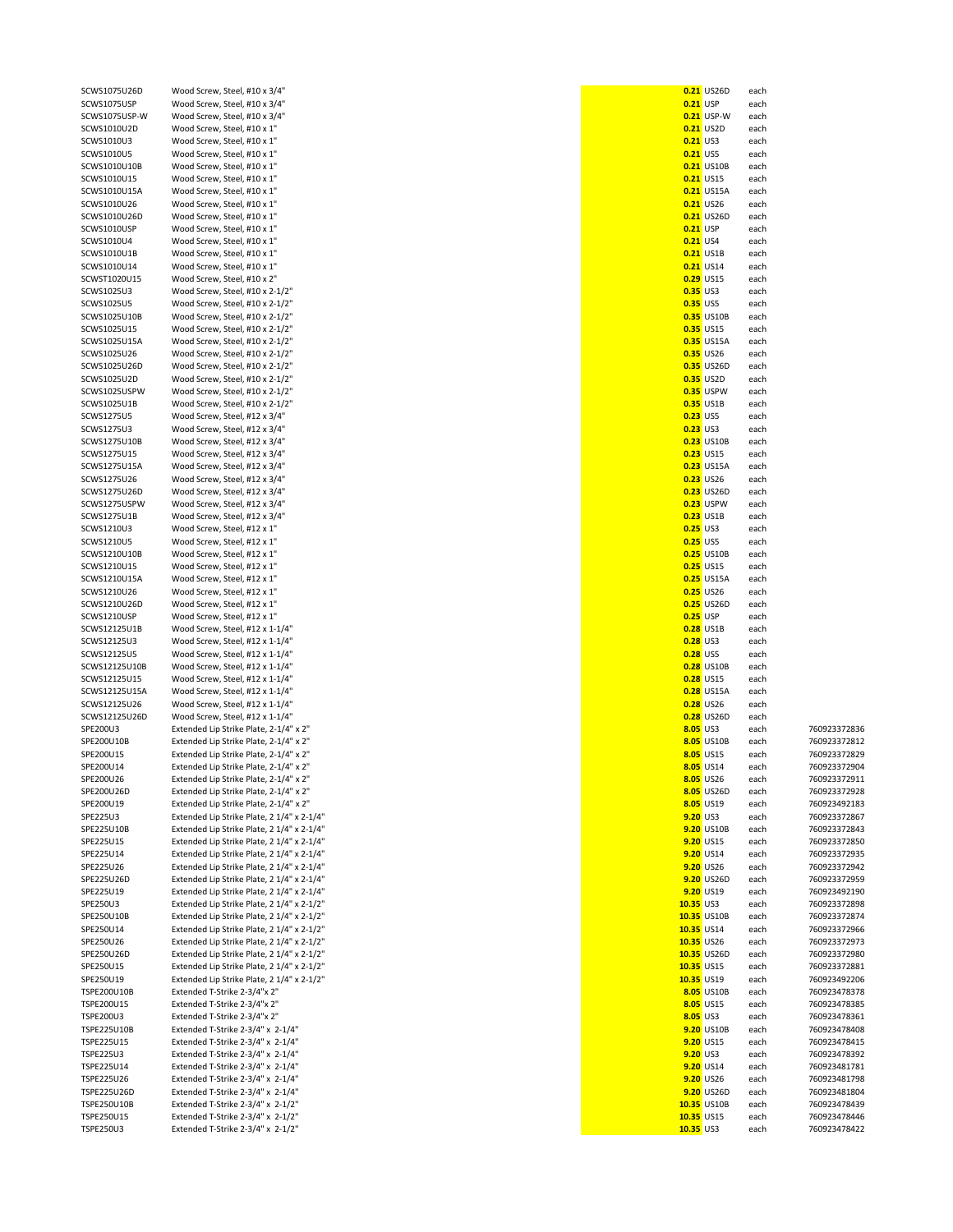| SCWS1075U26D            | Wood Screw, Steel, #10 x 3/4"                                          |                         | <b>0.21 US26D</b> | each |                              |
|-------------------------|------------------------------------------------------------------------|-------------------------|-------------------|------|------------------------------|
|                         |                                                                        |                         |                   |      |                              |
| SCWS1075USP             | Wood Screw, Steel, #10 x 3/4"                                          | <b>0.21 USP</b>         |                   | each |                              |
| SCWS1075USP-W           | Wood Screw, Steel, #10 x 3/4"                                          |                         | 0.21 USP-W        | each |                              |
| SCWS1010U2D             | Wood Screw, Steel, #10 x 1"                                            |                         | 0.21 US2D         | each |                              |
|                         |                                                                        |                         |                   |      |                              |
| SCWS1010U3              | Wood Screw, Steel, #10 x 1"                                            | <b>0.21 US3</b>         |                   | each |                              |
| SCWS1010U5              | Wood Screw, Steel, #10 x 1"                                            | $0.21$ US5              |                   | each |                              |
| SCWS1010U10B            | Wood Screw, Steel, #10 x 1"                                            |                         | <b>0.21 US10B</b> | each |                              |
|                         |                                                                        |                         |                   |      |                              |
| SCWS1010U15             | Wood Screw, Steel, #10 x 1"                                            |                         | <b>0.21</b> US15  | each |                              |
| SCWS1010U15A            | Wood Screw, Steel, #10 x 1"                                            |                         | <b>0.21 US15A</b> | each |                              |
| SCWS1010U26             | Wood Screw, Steel, #10 x 1"                                            |                         | <b>0.21</b> US26  | each |                              |
|                         |                                                                        |                         |                   |      |                              |
| SCWS1010U26D            | Wood Screw, Steel, #10 x 1"                                            |                         | <b>0.21 US26D</b> | each |                              |
| SCWS1010USP             | Wood Screw, Steel, #10 x 1"                                            | $0.21$ USP              |                   | each |                              |
| SCWS1010U4              | Wood Screw, Steel, #10 x 1"                                            | <b>0.21 US4</b>         |                   | each |                              |
|                         |                                                                        |                         |                   |      |                              |
| SCWS1010U1B             | Wood Screw, Steel, #10 x 1"                                            |                         | <b>0.21</b> US1B  | each |                              |
| SCWS1010U14             | Wood Screw, Steel, #10 x 1"                                            |                         | 0.21 US14         | each |                              |
| SCWST1020U15            | Wood Screw, Steel, #10 x 2"                                            |                         | <b>0.29 US15</b>  | each |                              |
|                         |                                                                        |                         |                   |      |                              |
| SCWS1025U3              | Wood Screw, Steel, #10 x 2-1/2"                                        | <b>0.35 US3</b>         |                   | each |                              |
| SCWS1025U5              | Wood Screw, Steel, #10 x 2-1/2"                                        | <b>0.35 US5</b>         |                   | each |                              |
| SCWS1025U10B            | Wood Screw, Steel, #10 x 2-1/2"                                        |                         | <b>0.35 US10B</b> | each |                              |
|                         |                                                                        |                         |                   |      |                              |
| SCWS1025U15             | Wood Screw, Steel, #10 x 2-1/2"                                        |                         | <b>0.35 US15</b>  | each |                              |
| SCWS1025U15A            | Wood Screw, Steel, #10 x 2-1/2"                                        |                         | 0.35 US15A        | each |                              |
| SCWS1025U26             | Wood Screw, Steel, #10 x 2-1/2"                                        |                         | <b>0.35</b> US26  | each |                              |
|                         |                                                                        |                         |                   |      |                              |
| SCWS1025U26D            | Wood Screw, Steel, #10 x 2-1/2"                                        |                         | 0.35 US26D        | each |                              |
| SCWS1025U2D             | Wood Screw, Steel, #10 x 2-1/2"                                        |                         | 0.35 US2D         | each |                              |
|                         |                                                                        |                         |                   |      |                              |
| SCWS1025USPW            | Wood Screw, Steel, #10 x 2-1/2"                                        |                         | 0.35 USPW         | each |                              |
| SCWS1025U1B             | Wood Screw, Steel, #10 x 2-1/2"                                        |                         | <b>0.35 US1B</b>  | each |                              |
| SCWS1275U5              | Wood Screw, Steel, #12 x 3/4"                                          | <b>0.23 US5</b>         |                   | each |                              |
|                         |                                                                        |                         |                   |      |                              |
| SCWS1275U3              | Wood Screw, Steel, #12 x 3/4"                                          | <b>0.23 US3</b>         |                   | each |                              |
| SCWS1275U10B            | Wood Screw, Steel, #12 x 3/4"                                          |                         | <b>0.23 US10B</b> | each |                              |
| SCWS1275U15             | Wood Screw, Steel, #12 x 3/4"                                          |                         | <b>0.23</b> US15  | each |                              |
|                         |                                                                        |                         |                   |      |                              |
| SCWS1275U15A            | Wood Screw, Steel, #12 x 3/4"                                          |                         | <b>0.23 US15A</b> | each |                              |
| SCWS1275U26             | Wood Screw, Steel, #12 x 3/4"                                          |                         | <b>0.23</b> US26  | each |                              |
| SCWS1275U26D            | Wood Screw, Steel, #12 x 3/4"                                          |                         | 0.23 US26D        | each |                              |
|                         |                                                                        |                         |                   |      |                              |
| SCWS1275USPW            | Wood Screw, Steel, #12 x 3/4"                                          |                         | 0.23 USPW         | each |                              |
| SCWS1275U1B             | Wood Screw, Steel, #12 x 3/4"                                          |                         | <b>0.23 US1B</b>  | each |                              |
| SCWS1210U3              | Wood Screw, Steel, #12 x 1"                                            | <b>0.25 US3</b>         |                   | each |                              |
|                         |                                                                        |                         |                   |      |                              |
| SCWS1210U5              | Wood Screw, Steel, #12 x 1"                                            | <b>0.25 US5</b>         |                   | each |                              |
| SCWS1210U10B            | Wood Screw, Steel, #12 x 1"                                            |                         | <b>0.25 US10B</b> | each |                              |
|                         |                                                                        |                         |                   |      |                              |
| SCWS1210U15             | Wood Screw, Steel, #12 x 1"                                            |                         | <b>0.25</b> US15  | each |                              |
| SCWS1210U15A            | Wood Screw, Steel, #12 x 1"                                            |                         | <b>0.25</b> US15A | each |                              |
| SCWS1210U26             | Wood Screw, Steel, #12 x 1"                                            |                         | <b>0.25</b> US26  | each |                              |
|                         |                                                                        |                         |                   |      |                              |
| SCWS1210U26D            | Wood Screw, Steel, #12 x 1"                                            |                         | <b>0.25</b> US26D | each |                              |
| SCWS1210USP             | Wood Screw, Steel, #12 x 1"                                            | <b>0.25 USP</b>         |                   | each |                              |
| SCWS12125U1B            | Wood Screw, Steel, #12 x 1-1/4"                                        |                         | <b>0.28</b> US1B  | each |                              |
|                         |                                                                        |                         |                   |      |                              |
| SCWS12125U3             | Wood Screw, Steel, #12 x 1-1/4"                                        | <b>0.28 US3</b>         |                   | each |                              |
| SCWS12125U5             | Wood Screw, Steel, #12 x 1-1/4"                                        | <b>0.28 US5</b>         |                   | each |                              |
| SCWS12125U10B           | Wood Screw, Steel, #12 x 1-1/4"                                        |                         | <b>0.28</b> US10B | each |                              |
|                         |                                                                        |                         |                   |      |                              |
| SCWS12125U15            | Wood Screw, Steel, #12 x 1-1/4"                                        |                         | <b>0.28</b> US15  | each |                              |
| SCWS12125U15A           | Wood Screw, Steel, #12 x 1-1/4"                                        |                         | <b>0.28</b> US15A | each |                              |
| SCWS12125U26            | Wood Screw, Steel, #12 x 1-1/4"                                        |                         | <b>0.28</b> US26  | each |                              |
|                         |                                                                        |                         |                   |      |                              |
| SCWS12125U26D           | Wood Screw, Steel, #12 x 1-1/4"                                        |                         | 0.28 US26D        | each |                              |
| SPE200U3                | Extended Lip Strike Plate, 2-1/4" x 2"                                 | 8.05 US3                |                   | each | 760923372836                 |
| SPE200U10B              |                                                                        |                         | 8.05 US10B        | each | 760923372812                 |
|                         | Extended Lip Strike Plate, 2-1/4" x 2"                                 |                         |                   |      |                              |
| SPE200U15               | Extended Lip Strike Plate, 2-1/4" x 2"                                 |                         | 8.05 US15         | each | 760923372829                 |
| SPE200U14               | Extended Lip Strike Plate, 2-1/4" x 2"                                 |                         | 8.05 US14         | each | 760923372904                 |
|                         |                                                                        |                         |                   |      |                              |
| SPE200U26               | Extended Lip Strike Plate, 2-1/4" x 2"                                 |                         | 8.05 US26         | each | 760923372911                 |
| SPE200U26D              | Extended Lip Strike Plate, 2-1/4" x 2"                                 |                         | 8.05 US26D        | each | 760923372928                 |
| SPE200U19               | Extended Lip Strike Plate, 2-1/4" x 2"                                 |                         | 8.05 US19         | each | 760923492183                 |
| SPE225U3                | Extended Lip Strike Plate, 2 1/4" x 2-1/4"                             | 9.20 US3                |                   | each | 760923372867                 |
|                         |                                                                        |                         |                   |      |                              |
| SPE225U10B              | Extended Lip Strike Plate, 2 1/4" x 2-1/4"                             |                         | 9.20 US10B        | each | 760923372843                 |
| SPE225U15               | Extended Lip Strike Plate, 2 1/4" x 2-1/4"                             |                         | 9.20 US15         | each | 760923372850                 |
| SPE225U14               | Extended Lip Strike Plate, 2 1/4" x 2-1/4"                             |                         | 9.20 US14         | each | 760923372935                 |
|                         |                                                                        |                         |                   |      |                              |
| SPE225U26               | Extended Lip Strike Plate, 2 1/4" x 2-1/4"                             |                         | 9.20 US26         | each | 760923372942                 |
| SPE225U26D              | Extended Lip Strike Plate, 2 1/4" x 2-1/4"                             |                         | 9.20 US26D        | each | 760923372959                 |
| SPE225U19               | Extended Lip Strike Plate, 2 1/4" x 2-1/4"                             |                         | 9.20 US19         |      | 760923492190                 |
|                         |                                                                        |                         |                   | each |                              |
| SPE250U3                | Extended Lip Strike Plate, 2 1/4" x 2-1/2"                             | $10.35$ US3             |                   | each | 760923372898                 |
| SPE250U10B              | Extended Lip Strike Plate, 2 1/4" x 2-1/2"                             |                         | 10.35 US10B       | each | 760923372874                 |
|                         |                                                                        |                         |                   |      | 760923372966                 |
| SPE250U14               | Extended Lip Strike Plate, 2 1/4" x 2-1/2"                             | 10.35 US14              |                   | each |                              |
| SPE250U26               | Extended Lip Strike Plate, 2 1/4" x 2-1/2"                             | 10.35 US26              |                   | each | 760923372973                 |
| SPE250U26D              | Extended Lip Strike Plate, 2 1/4" x 2-1/2"                             |                         | 10.35 US26D       | each | 760923372980                 |
|                         |                                                                        |                         |                   |      |                              |
| SPE250U15               | Extended Lip Strike Plate, 2 1/4" x 2-1/2"                             | 10.35 US15              |                   | each | 760923372881                 |
| SPE250U19               | Extended Lip Strike Plate, 2 1/4" x 2-1/2"                             | 10.35 US19              |                   | each | 760923492206                 |
| TSPE200U10B             | Extended T-Strike 2-3/4"x 2"                                           |                         | 8.05 US10B        | each | 760923478378                 |
|                         |                                                                        |                         |                   |      |                              |
| TSPE200U15              | Extended T-Strike 2-3/4"x 2"                                           | 8.05 US15               |                   | each | 760923478385                 |
| TSPE200U3               | Extended T-Strike 2-3/4"x 2"                                           | 8.05 US3                |                   | each | 760923478361                 |
| TSPE225U10B             | Extended T-Strike 2-3/4" x 2-1/4"                                      |                         | 9.20 US10B        | each | 760923478408                 |
|                         |                                                                        |                         |                   |      |                              |
| TSPE225U15              | Extended T-Strike 2-3/4" x 2-1/4"                                      |                         | 9.20 US15         | each | 760923478415                 |
| TSPE225U3               | Extended T-Strike 2-3/4" x 2-1/4"                                      | 9.20 US3                |                   | each | 760923478392                 |
|                         |                                                                        |                         | 9.20 US14         | each | 760923481781                 |
|                         |                                                                        |                         |                   |      |                              |
| TSPE225U14              | Extended T-Strike 2-3/4" x 2-1/4"                                      |                         |                   |      |                              |
| TSPE225U26              | Extended T-Strike 2-3/4" x 2-1/4"                                      |                         | 9.20 US26         | each | 760923481798                 |
|                         |                                                                        |                         |                   |      |                              |
| TSPE225U26D             | Extended T-Strike 2-3/4" x 2-1/4"                                      |                         | 9.20 US26D        | each | 760923481804                 |
| TSPE250U10B             | Extended T-Strike 2-3/4" x 2-1/2"                                      |                         | 10.35 US10B       | each | 760923478439                 |
| TSPE250U15<br>TSPE250U3 | Extended T-Strike 2-3/4" x 2-1/2"<br>Extended T-Strike 2-3/4" x 2-1/2" | 10.35 US15<br>10.35 US3 |                   | each | 760923478446<br>760923478422 |

| SCWS1075U26D                 | Wood Screw, Steel, #10 x 3/4"                                                            |           | 0.21 US26D                          | each         |                              |
|------------------------------|------------------------------------------------------------------------------------------|-----------|-------------------------------------|--------------|------------------------------|
| SCWS1075USP                  | Wood Screw, Steel, #10 x 3/4"                                                            |           | $0.21$ USP                          | each         |                              |
| SCWS1075USP-W                | Wood Screw, Steel, #10 x 3/4"                                                            |           | 0.21 USP-W                          | each         |                              |
| SCWS1010U2D<br>SCWS1010U3    | Wood Screw, Steel, #10 x 1"<br>Wood Screw, Steel, #10 x 1"                               |           | 0.21 US2D<br>$0.21$ US3             | each<br>each |                              |
| SCWS1010U5                   | Wood Screw, Steel, #10 x 1"                                                              |           | <b>0.21 US5</b>                     | each         |                              |
| SCWS1010U10B                 | Wood Screw, Steel, #10 x 1"                                                              |           | <b>0.21 US10B</b>                   | each         |                              |
| SCWS1010U15                  | Wood Screw, Steel, #10 x 1"                                                              |           | <b>0.21 US15</b>                    | each         |                              |
| SCWS1010U15A                 | Wood Screw, Steel, #10 x 1"                                                              |           | <b>0.21</b> US15A                   | each         |                              |
| SCWS1010U26                  | Wood Screw, Steel, #10 x 1"                                                              |           | <b>0.21</b> US26                    | each         |                              |
| SCWS1010U26D                 | Wood Screw, Steel, #10 x 1"                                                              |           | 0.21 US26D                          | each         |                              |
| SCWS1010USP<br>SCWS1010U4    | Wood Screw, Steel, #10 x 1"                                                              |           | <b>0.21 USP</b><br>$0.21$ US4       | each<br>each |                              |
| SCWS1010U1B                  | Wood Screw, Steel, #10 x 1"<br>Wood Screw, Steel, #10 x 1"                               |           | <b>0.21</b> US1B                    | each         |                              |
| SCWS1010U14                  | Wood Screw, Steel, #10 x 1"                                                              |           | <b>0.21</b> US14                    | each         |                              |
| SCWST1020U15                 | Wood Screw, Steel, #10 x 2"                                                              |           | 0.29 US15                           | each         |                              |
| SCWS1025U3                   | Wood Screw, Steel, #10 x 2-1/2"                                                          |           | <b>0.35 US3</b>                     | each         |                              |
| SCWS1025U5                   | Wood Screw, Steel, #10 x 2-1/2"                                                          |           | <b>0.35 US5</b>                     | each         |                              |
| SCWS1025U10B                 | Wood Screw, Steel, #10 x 2-1/2"                                                          |           | <b>0.35 US10B</b>                   | each         |                              |
| SCWS1025U15                  | Wood Screw, Steel, #10 x 2-1/2"                                                          |           | <b>0.35 US15</b>                    | each         |                              |
| SCWS1025U15A                 | Wood Screw, Steel, #10 x 2-1/2"                                                          |           | <b>0.35 US15A</b>                   | each         |                              |
| SCWS1025U26                  | Wood Screw, Steel, #10 x 2-1/2"                                                          |           | <b>0.35</b> US26                    | each         |                              |
| SCWS1025U26D<br>SCWS1025U2D  | Wood Screw, Steel, #10 x 2-1/2"<br>Wood Screw, Steel, #10 x 2-1/2"                       |           | 0.35 US26D<br>0.35 US2D             | each<br>each |                              |
| SCWS1025USPW                 | Wood Screw, Steel, #10 x 2-1/2"                                                          |           | 0.35 USPW                           | each         |                              |
| SCWS1025U1B                  | Wood Screw, Steel, #10 x 2-1/2"                                                          |           | <b>0.35 US1B</b>                    | each         |                              |
| SCWS1275U5                   | Wood Screw, Steel, #12 x 3/4"                                                            |           | <b>0.23 US5</b>                     | each         |                              |
| SCWS1275U3                   | Wood Screw, Steel, #12 x 3/4"                                                            |           | <b>0.23 US3</b>                     | each         |                              |
| SCWS1275U10B                 | Wood Screw, Steel, #12 x 3/4"                                                            |           | <b>0.23 US10B</b>                   | each         |                              |
| SCWS1275U15                  | Wood Screw, Steel, #12 x 3/4"                                                            |           | <b>0.23</b> US15                    | each         |                              |
| SCWS1275U15A                 | Wood Screw, Steel, #12 x 3/4"                                                            |           | 0.23 US15A                          | each         |                              |
| SCWS1275U26                  | Wood Screw, Steel, #12 x 3/4"                                                            |           | <b>0.23</b> US26                    | each         |                              |
| SCWS1275U26D<br>SCWS1275USPW | Wood Screw, Steel, #12 x 3/4"<br>Wood Screw, Steel, #12 x 3/4"                           |           | 0.23 US26D<br>0.23 USPW             | each         |                              |
| SCWS1275U1B                  | Wood Screw, Steel, #12 x 3/4"                                                            |           | 0.23 US1B                           | each<br>each |                              |
| SCWS1210U3                   | Wood Screw, Steel, #12 x 1"                                                              |           | <b>0.25 US3</b>                     | each         |                              |
| SCWS1210U5                   | Wood Screw, Steel, #12 x 1"                                                              |           | <b>0.25 US5</b>                     | each         |                              |
| SCWS1210U10B                 | Wood Screw, Steel, #12 x 1"                                                              |           | <b>0.25 US10B</b>                   | each         |                              |
| SCWS1210U15                  | Wood Screw, Steel, #12 x 1"                                                              |           | <b>0.25 US15</b>                    | each         |                              |
| SCWS1210U15A                 | Wood Screw, Steel, #12 x 1"                                                              |           | <b>0.25</b> US15A                   | each         |                              |
| SCWS1210U26                  | Wood Screw, Steel, #12 x 1"                                                              |           | <b>0.25</b> US26                    | each         |                              |
| SCWS1210U26D                 | Wood Screw, Steel, #12 x 1"                                                              |           | 0.25 US26D                          | each         |                              |
| SCWS1210USP<br>SCWS12125U1B  | Wood Screw, Steel, #12 x 1"                                                              |           | <b>0.25 USP</b><br><b>0.28</b> US1B | each<br>each |                              |
| SCWS12125U3                  | Wood Screw, Steel, #12 x 1-1/4"<br>Wood Screw, Steel, #12 x 1-1/4"                       |           | <b>0.28</b> US3                     | each         |                              |
| SCWS12125U5                  | Wood Screw, Steel, #12 x 1-1/4"                                                          |           | <b>0.28 US5</b>                     | each         |                              |
| SCWS12125U10B                | Wood Screw, Steel, #12 x 1-1/4"                                                          |           | <b>0.28</b> US10B                   | each         |                              |
| SCWS12125U15                 | Wood Screw, Steel, #12 x 1-1/4"                                                          |           | <b>0.28 US15</b>                    | each         |                              |
| SCWS12125U15A                | Wood Screw, Steel, #12 x 1-1/4"                                                          |           | <b>0.28</b> US15A                   | each         |                              |
| SCWS12125U26                 | Wood Screw, Steel, #12 x 1-1/4"                                                          |           | <b>0.28</b> US26                    | each         |                              |
| SCWS12125U26D                | Wood Screw, Steel, #12 x 1-1/4"                                                          |           | 0.28 US26D                          | each         |                              |
| SPE200U3                     | Extended Lip Strike Plate, 2-1/4" x 2"                                                   |           | 8.05 US3                            | each         | 760923372836                 |
| SPE200U10B                   | Extended Lip Strike Plate, 2-1/4" x 2"                                                   |           | 8.05 US10B                          | each         | 760923372812                 |
| SPE200U15<br>SPE200U14       | Extended Lip Strike Plate, 2-1/4" x 2"<br>Extended Lip Strike Plate, 2-1/4" x 2"         |           | 8.05 US15<br>8.05 US14              | each<br>each | 760923372829<br>760923372904 |
| SPE200U26                    | Extended Lip Strike Plate, 2-1/4" x 2"                                                   |           | 8.05 US26                           | each         | 760923372911                 |
| SPE200U26D                   | Extended Lip Strike Plate, 2-1/4" x 2"                                                   |           | 8.05 US26D                          | each         | 760923372928                 |
| SPE200U19                    | Extended Lip Strike Plate, 2-1/4" x 2"                                                   |           | 8.05 US19                           | each         | 760923492183                 |
| SPE225U3                     | Extended Lip Strike Plate, 2 1/4" x 2-1/4"                                               |           | 9.20 US3                            | each         | 760923372867                 |
| SPE225U10B                   | Extended Lip Strike Plate, 2 1/4" x 2-1/4"                                               |           | 9.20 US10B                          | each         | 760923372843                 |
| SPE225U15                    | Extended Lip Strike Plate, 2 1/4" x 2-1/4"                                               |           | 9.20 US15                           | each         | 760923372850                 |
| SPE225U14                    | Extended Lip Strike Plate, 2 1/4" x 2-1/4"                                               |           | 9.20 US14                           | each         | 760923372935                 |
| SPE225U26<br>SPE225U26D      | Extended Lip Strike Plate, 2 1/4" x 2-1/4"<br>Extended Lip Strike Plate, 2 1/4" x 2-1/4" |           | 9.20 US26<br>9.20 US26D             | each<br>each | 760923372942<br>760923372959 |
| SPE225U19                    | Extended Lip Strike Plate, 2 1/4" x 2-1/4"                                               |           | 9.20 US19                           | each         | 760923492190                 |
| SPE250U3                     | Extended Lip Strike Plate, 2 1/4" x 2-1/2"                                               | 10.35 US3 |                                     | each         | 760923372898                 |
| SPE250U10B                   | Extended Lip Strike Plate, 2 1/4" x 2-1/2"                                               |           | 10.35 US10B                         | each         | 760923372874                 |
| SPE250U14                    | Extended Lip Strike Plate, 2 1/4" x 2-1/2"                                               |           | 10.35 US14                          | each         | 760923372966                 |
| SPE250U26                    | Extended Lip Strike Plate, 2 1/4" x 2-1/2"                                               |           | 10.35 US26                          | each         | 760923372973                 |
| SPE250U26D                   | Extended Lip Strike Plate, 2 1/4" x 2-1/2"                                               |           | 10.35 US26D                         | each         | 760923372980                 |
| SPE250U15                    | Extended Lip Strike Plate, 2 1/4" x 2-1/2"                                               |           | 10.35 US15                          | each         | 760923372881                 |
| SPE250U19                    | Extended Lip Strike Plate, 2 1/4" x 2-1/2"                                               |           | 10.35 US19                          | each         | 760923492206                 |
| TSPE200U10B<br>TSPE200U15    | Extended T-Strike 2-3/4"x 2"<br>Extended T-Strike 2-3/4"x 2"                             |           | 8.05 US10B<br>8.05 US15             | each<br>each | 760923478378<br>760923478385 |
| TSPE200U3                    | Extended T-Strike 2-3/4"x 2"                                                             |           | 8.05 US3                            | each         | 760923478361                 |
| TSPE225U10B                  | Extended T-Strike 2-3/4" x 2-1/4"                                                        |           | 9.20 US10B                          | each         | 760923478408                 |
| TSPE225U15                   | Extended T-Strike 2-3/4" x 2-1/4"                                                        |           | 9.20 US15                           | each         | 760923478415                 |
| TSPE225U3                    | Extended T-Strike 2-3/4" x 2-1/4"                                                        |           | 9.20 US3                            | each         | 760923478392                 |
| TSPE225U14                   | Extended T-Strike 2-3/4" x 2-1/4"                                                        |           | 9.20 US14                           | each         | 760923481781                 |
| TSPE225U26                   | Extended T-Strike 2-3/4" x 2-1/4"                                                        |           | 9.20 US26                           | each         | 760923481798                 |
| TSPE225U26D                  | Extended T-Strike 2-3/4" x 2-1/4"                                                        |           | 9.20 US26D                          | each         | 760923481804                 |
| TSPE250U10B<br>TSPE250U15    | Extended T-Strike 2-3/4" x 2-1/2"<br>Extended T-Strike 2-3/4" x 2-1/2"                   |           | 10.35 US10B<br>10.35 US15           | each<br>each | 760923478439<br>760923478446 |
| TCDE3FALI3                   | $ad$ T Christian $2/d$ <sup>11</sup> $\approx$ 2.4 $/d$ <sup>11</sup>                    | 0.25      |                                     |              | $70002170122$                |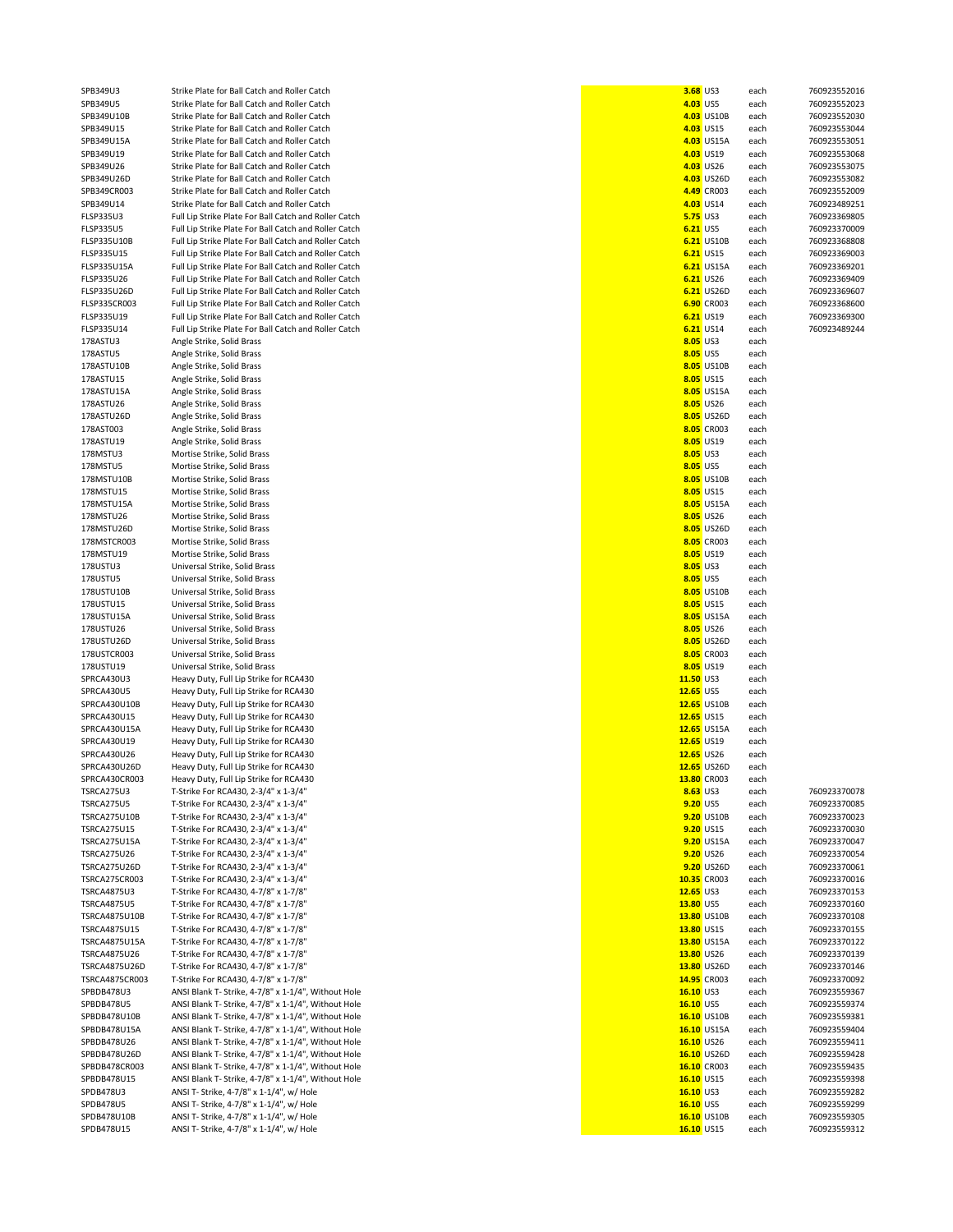| SPB349U3             | Strike Plate for Ball Catch and Roller Catch          | 3.68 US3        |             | each | 760923552016 |
|----------------------|-------------------------------------------------------|-----------------|-------------|------|--------------|
| SPB349U5             | Strike Plate for Ball Catch and Roller Catch          | 4.03 US5        |             | each | 760923552023 |
|                      |                                                       |                 |             |      |              |
| SPB349U10B           | Strike Plate for Ball Catch and Roller Catch          |                 | 4.03 US10B  | each | 760923552030 |
| SPB349U15            | Strike Plate for Ball Catch and Roller Catch          |                 | 4.03 US15   | each | 760923553044 |
| SPB349U15A           | Strike Plate for Ball Catch and Roller Catch          |                 | 4.03 US15A  | each | 760923553051 |
|                      |                                                       |                 | 4.03 US19   |      |              |
| SPB349U19            | Strike Plate for Ball Catch and Roller Catch          |                 |             | each | 760923553068 |
| SPB349U26            | Strike Plate for Ball Catch and Roller Catch          |                 | 4.03 US26   | each | 760923553075 |
| SPB349U26D           | Strike Plate for Ball Catch and Roller Catch          |                 | 4.03 US26D  | each | 760923553082 |
|                      |                                                       |                 |             |      | 760923552009 |
| SPB349CR003          | Strike Plate for Ball Catch and Roller Catch          |                 | 4.49 CR003  | each |              |
| SPB349U14            | Strike Plate for Ball Catch and Roller Catch          |                 | 4.03 US14   | each | 760923489251 |
| FLSP335U3            | Full Lip Strike Plate For Ball Catch and Roller Catch | <b>5.75 US3</b> |             | each | 760923369805 |
|                      |                                                       |                 |             |      |              |
| <b>FLSP335U5</b>     | Full Lip Strike Plate For Ball Catch and Roller Catch | 6.21 US5        |             | each | 760923370009 |
| FLSP335U10B          | Full Lip Strike Plate For Ball Catch and Roller Catch |                 | 6.21 US10B  | each | 760923368808 |
| FLSP335U15           | Full Lip Strike Plate For Ball Catch and Roller Catch |                 | 6.21 US15   | each | 760923369003 |
|                      |                                                       |                 |             |      |              |
| <b>FLSP335U15A</b>   | Full Lip Strike Plate For Ball Catch and Roller Catch |                 | 6.21 US15A  | each | 760923369201 |
| FLSP335U26           | Full Lip Strike Plate For Ball Catch and Roller Catch |                 | 6.21 US26   | each | 760923369409 |
| FLSP335U26D          | Full Lip Strike Plate For Ball Catch and Roller Catch |                 | 6.21 US26D  | each | 760923369607 |
|                      |                                                       |                 |             |      |              |
| FLSP335CR003         | Full Lip Strike Plate For Ball Catch and Roller Catch |                 | 6.90 CR003  | each | 760923368600 |
| FLSP335U19           | Full Lip Strike Plate For Ball Catch and Roller Catch |                 | 6.21 US19   | each | 760923369300 |
| FLSP335U14           | Full Lip Strike Plate For Ball Catch and Roller Catch |                 | 6.21 US14   | each | 760923489244 |
|                      |                                                       |                 |             |      |              |
| 178ASTU3             | Angle Strike, Solid Brass                             | 8.05 US3        |             | each |              |
| 178ASTU5             | Angle Strike, Solid Brass                             | 8.05 US5        |             | each |              |
| 178ASTU10B           | Angle Strike, Solid Brass                             |                 | 8.05 US10B  | each |              |
|                      |                                                       |                 |             |      |              |
| 178ASTU15            | Angle Strike, Solid Brass                             |                 | 8.05 US15   | each |              |
| 178ASTU15A           | Angle Strike, Solid Brass                             |                 | 8.05 US15A  | each |              |
| 178ASTU26            | Angle Strike, Solid Brass                             |                 | 8.05 US26   | each |              |
|                      |                                                       |                 |             |      |              |
| 178ASTU26D           | Angle Strike, Solid Brass                             |                 | 8.05 US26D  | each |              |
| 178AST003            | Angle Strike, Solid Brass                             |                 | 8.05 CR003  | each |              |
|                      | Angle Strike, Solid Brass                             |                 |             |      |              |
| 178ASTU19            |                                                       |                 | 8.05 US19   | each |              |
| 178MSTU3             | Mortise Strike, Solid Brass                           | 8.05 US3        |             | each |              |
| 178MSTU5             | Mortise Strike, Solid Brass                           | 8.05 US5        |             | each |              |
|                      |                                                       |                 | 8.05 US10B  |      |              |
| 178MSTU10B           | Mortise Strike, Solid Brass                           |                 |             | each |              |
| 178MSTU15            | Mortise Strike, Solid Brass                           |                 | 8.05 US15   | each |              |
| 178MSTU15A           | Mortise Strike, Solid Brass                           |                 | 8.05 US15A  | each |              |
|                      |                                                       |                 |             |      |              |
| 178MSTU26            | Mortise Strike, Solid Brass                           |                 | 8.05 US26   | each |              |
| 178MSTU26D           | Mortise Strike, Solid Brass                           |                 | 8.05 US26D  | each |              |
| 178MSTCR003          | Mortise Strike, Solid Brass                           |                 | 8.05 CR003  | each |              |
|                      |                                                       |                 |             |      |              |
| 178MSTU19            | Mortise Strike, Solid Brass                           |                 | 8.05 US19   | each |              |
| 178USTU3             | Universal Strike, Solid Brass                         | 8.05 US3        |             | each |              |
| 178USTU5             | Universal Strike, Solid Brass                         | 8.05 US5        |             | each |              |
|                      |                                                       |                 |             |      |              |
| 178USTU10B           | Universal Strike, Solid Brass                         |                 | 8.05 US10B  | each |              |
| 178USTU15            | Universal Strike, Solid Brass                         |                 | 8.05 US15   | each |              |
| 178USTU15A           | Universal Strike, Solid Brass                         |                 | 8.05 US15A  | each |              |
|                      |                                                       |                 |             |      |              |
| 178USTU26            | Universal Strike, Solid Brass                         |                 | 8.05 US26   | each |              |
| 178USTU26D           | Universal Strike, Solid Brass                         |                 | 8.05 US26D  | each |              |
| 178USTCR003          | Universal Strike, Solid Brass                         |                 | 8.05 CR003  | each |              |
|                      |                                                       |                 |             |      |              |
| 178USTU19            | Universal Strike, Solid Brass                         |                 | 8.05 US19   | each |              |
| SPRCA430U3           | Heavy Duty, Full Lip Strike for RCA430                | 11.50 US3       |             | each |              |
| SPRCA430U5           | Heavy Duty, Full Lip Strike for RCA430                | 12.65 US5       |             | each |              |
|                      |                                                       |                 |             |      |              |
| SPRCA430U10B         | Heavy Duty, Full Lip Strike for RCA430                |                 | 12.65 US10B | each |              |
| SPRCA430U15          | Heavy Duty, Full Lip Strike for RCA430                | 12.65 US15      |             | each |              |
| SPRCA430U15A         |                                                       |                 | 12.65 US15A |      |              |
|                      | Heavy Duty, Full Lip Strike for RCA430                |                 |             | each |              |
| SPRCA430U19          | Heavy Duty, Full Lip Strike for RCA430                | 12.65 US19      |             | each |              |
| SPRCA430U26          | Heavy Duty, Full Lip Strike for RCA430                | 12.65 US26      |             |      |              |
|                      |                                                       |                 |             |      |              |
| SPRCA430U26D         |                                                       |                 |             | each |              |
|                      | Heavy Duty, Full Lip Strike for RCA430                |                 | 12.65 US26D | each |              |
| SPRCA430CR003        | Heavy Duty, Full Lip Strike for RCA430                |                 | 13.80 CR003 | each |              |
|                      |                                                       |                 |             |      |              |
| TSRCA275U3           | T-Strike For RCA430, 2-3/4" x 1-3/4"                  | 8.63 US3        |             | each | 760923370078 |
| TSRCA275U5           | T-Strike For RCA430, 2-3/4" x 1-3/4"                  | 9.20 US5        |             | each | 760923370085 |
| <b>TSRCA275U10B</b>  | T-Strike For RCA430, 2-3/4" x 1-3/4"                  |                 | 9.20 US10B  | each | 760923370023 |
|                      |                                                       |                 |             |      |              |
| <b>TSRCA275U15</b>   | T-Strike For RCA430, 2-3/4" x 1-3/4"                  |                 | 9.20 US15   | each | 760923370030 |
| TSRCA275U15A         | T-Strike For RCA430, 2-3/4" x 1-3/4"                  |                 | 9.20 US15A  | each | 760923370047 |
| <b>TSRCA275U26</b>   | T-Strike For RCA430, 2-3/4" x 1-3/4"                  |                 | 9.20 US26   | each | 760923370054 |
|                      | T-Strike For RCA430, 2-3/4" x 1-3/4"                  |                 |             |      | 760923370061 |
| TSRCA275U26D         |                                                       |                 | 9.20 US26D  | each |              |
| <b>TSRCA275CR003</b> | T-Strike For RCA430, 2-3/4" x 1-3/4"                  |                 | 10.35 CR003 | each | 760923370016 |
| <b>TSRCA4875U3</b>   | T-Strike For RCA430, 4-7/8" x 1-7/8"                  | 12.65 US3       |             | each | 760923370153 |
|                      |                                                       |                 |             |      |              |
| <b>TSRCA4875U5</b>   | T-Strike For RCA430, 4-7/8" x 1-7/8"                  | 13.80 US5       |             | each | 760923370160 |
| TSRCA4875U10B        | T-Strike For RCA430, 4-7/8" x 1-7/8"                  |                 | 13.80 US10B | each | 760923370108 |
| TSRCA4875U15         | T-Strike For RCA430, 4-7/8" x 1-7/8"                  | 13.80 US15      |             | each | 760923370155 |
|                      |                                                       |                 | 13.80 US15A |      |              |
| <b>TSRCA4875U15A</b> | T-Strike For RCA430, 4-7/8" x 1-7/8"                  |                 |             | each | 760923370122 |
| TSRCA4875U26         | T-Strike For RCA430, 4-7/8" x 1-7/8"                  | 13.80 US26      |             | each | 760923370139 |
| TSRCA4875U26D        | T-Strike For RCA430, 4-7/8" x 1-7/8"                  |                 | 13.80 US26D | each | 760923370146 |
|                      |                                                       |                 |             |      |              |
| TSRCA4875CR003       | T-Strike For RCA430, 4-7/8" x 1-7/8"                  |                 | 14.95 CR003 | each | 760923370092 |
| SPBDB478U3           | ANSI Blank T- Strike, 4-7/8" x 1-1/4", Without Hole   | 16.10 US3       |             | each | 760923559367 |
| SPBDB478U5           | ANSI Blank T- Strike, 4-7/8" x 1-1/4", Without Hole   | 16.10 US5       |             | each | 760923559374 |
|                      |                                                       |                 |             |      |              |
| SPBDB478U10B         | ANSI Blank T- Strike, 4-7/8" x 1-1/4", Without Hole   |                 | 16.10 US10B | each | 760923559381 |
| SPBDB478U15A         | ANSI Blank T- Strike, 4-7/8" x 1-1/4", Without Hole   |                 | 16.10 US15A | each | 760923559404 |
| SPBDB478U26          | ANSI Blank T- Strike, 4-7/8" x 1-1/4", Without Hole   | 16.10 US26      |             | each | 760923559411 |
|                      |                                                       |                 |             |      |              |
| SPBDB478U26D         | ANSI Blank T- Strike, 4-7/8" x 1-1/4", Without Hole   |                 | 16.10 US26D | each | 760923559428 |
| SPBDB478CR003        | ANSI Blank T- Strike, 4-7/8" x 1-1/4", Without Hole   |                 | 16.10 CR003 | each | 760923559435 |
| SPBDB478U15          | ANSI Blank T- Strike, 4-7/8" x 1-1/4", Without Hole   | 16.10 US15      |             | each | 760923559398 |
|                      |                                                       |                 |             |      |              |
| SPDB478U3            | ANSI T- Strike, 4-7/8" x 1-1/4", w/ Hole              | 16.10 US3       |             | each | 760923559282 |
| <b>SPDB478U5</b>     | ANSI T- Strike, 4-7/8" x 1-1/4", w/ Hole              | 16.10 US5       |             | each | 760923559299 |
| SPDB478U10B          | ANSI T- Strike, 4-7/8" x 1-1/4", w/ Hole              |                 | 16.10 US10B | each | 760923559305 |
| SPDB478U15           | ANSI T- Strike, 4-7/8" x 1-1/4", w/ Hole              | 16.10 US15      |             | each | 760923559312 |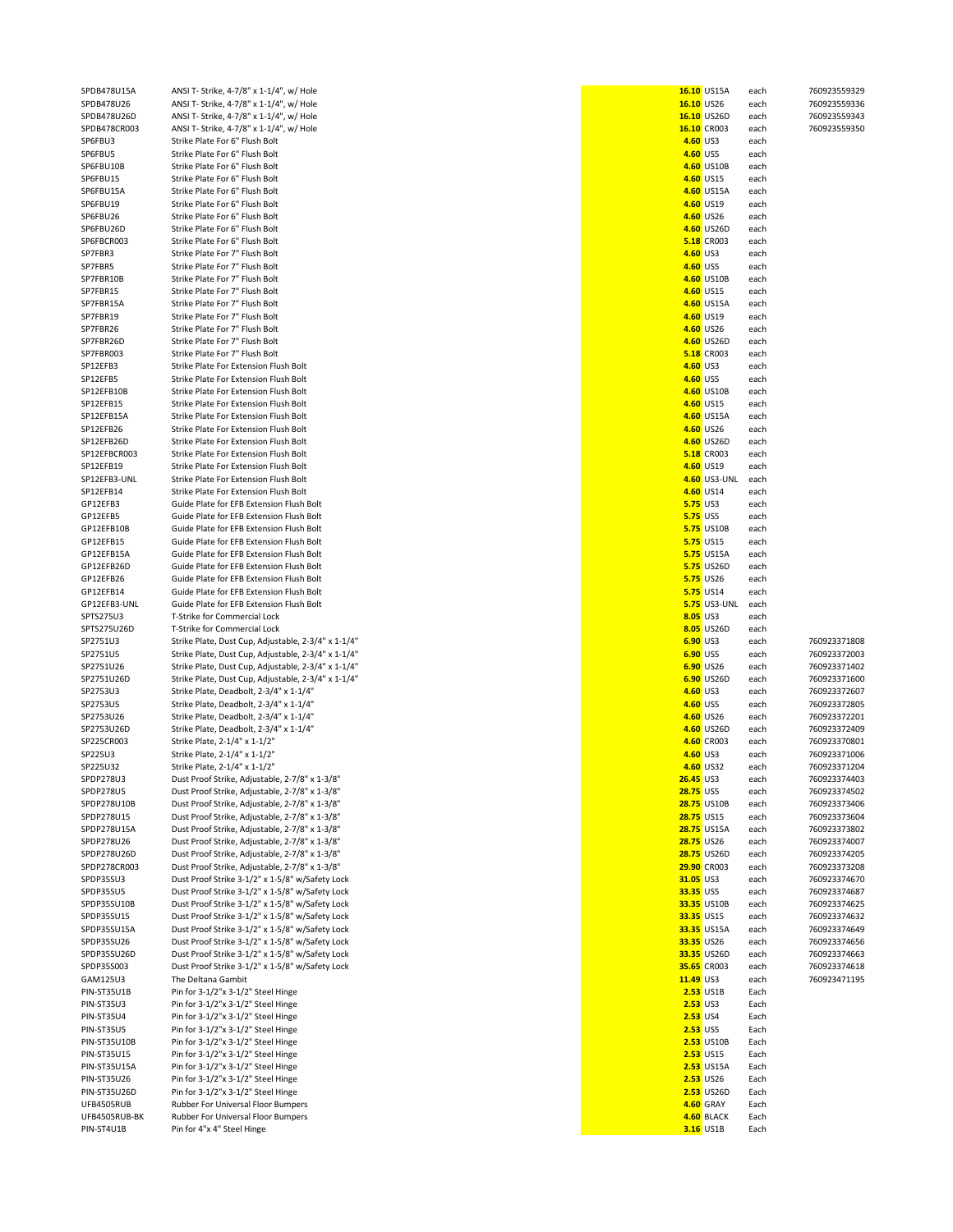| SPDB478U15A               | ANSI T- Strike, 4-7/8" x 1-1/4", w/ Hole            |                  | 16.10 US15A         | each | 760923559329 |
|---------------------------|-----------------------------------------------------|------------------|---------------------|------|--------------|
| SPDB478U26                | ANSI T- Strike, 4-7/8" x 1-1/4", w/ Hole            | 16.10 US26       |                     | each | 760923559336 |
| SPDB478U26D               | ANSI T- Strike, 4-7/8" x 1-1/4", w/ Hole            |                  | 16.10 US26D         | each | 760923559343 |
| SPDB478CR003              | ANSI T- Strike, 4-7/8" x 1-1/4", w/ Hole            |                  | 16.10 CR003         | each | 760923559350 |
| SP6FBU3                   | Strike Plate For 6" Flush Bolt                      | 4.60 US3         |                     | each |              |
| SP6FBU5                   | Strike Plate For 6" Flush Bolt                      | 4.60 US5         |                     | each |              |
| SP6FBU10B                 | Strike Plate For 6" Flush Bolt                      |                  | 4.60 US10B          | each |              |
| SP6FBU15                  | Strike Plate For 6" Flush Bolt                      |                  | 4.60 US15           | each |              |
| SP6FBU15A                 | Strike Plate For 6" Flush Bolt                      |                  | 4.60 US15A          | each |              |
| SP6FBU19                  | Strike Plate For 6" Flush Bolt                      |                  | 4.60 US19           | each |              |
| SP6FBU26                  | Strike Plate For 6" Flush Bolt                      |                  | 4.60 US26           | each |              |
| SP6FBU26D                 | Strike Plate For 6" Flush Bolt                      |                  | 4.60 US26D          | each |              |
| SP6FBCR003                | Strike Plate For 6" Flush Bolt                      |                  | <b>5.18 CR003</b>   | each |              |
| SP7FBR3                   | Strike Plate For 7" Flush Bolt                      | 4.60 US3         |                     | each |              |
| SP7FBR5                   | Strike Plate For 7" Flush Bolt                      | 4.60 US5         |                     | each |              |
| SP7FBR10B                 | Strike Plate For 7" Flush Bolt                      |                  | 4.60 US10B          | each |              |
| SP7FBR15                  | Strike Plate For 7" Flush Bolt                      |                  | 4.60 US15           | each |              |
| SP7FBR15A                 | Strike Plate For 7" Flush Bolt                      |                  | 4.60 US15A          | each |              |
| SP7FBR19                  | Strike Plate For 7" Flush Bolt                      |                  | 4.60 US19           | each |              |
| SP7FBR26                  | Strike Plate For 7" Flush Bolt                      |                  | 4.60 US26           | each |              |
| SP7FBR26D                 | Strike Plate For 7" Flush Bolt                      |                  | 4.60 US26D          | each |              |
| SP7FBR003                 | Strike Plate For 7" Flush Bolt                      |                  | <b>5.18</b> CR003   | each |              |
|                           |                                                     |                  |                     |      |              |
| SP12EFB3                  | Strike Plate For Extension Flush Bolt               | 4.60 US3         |                     | each |              |
| SP12EFB5                  | Strike Plate For Extension Flush Bolt               | 4.60 US5         |                     | each |              |
| SP12EFB10B                | Strike Plate For Extension Flush Bolt               |                  | 4.60 US10B          | each |              |
| SP12EFB15                 | Strike Plate For Extension Flush Bolt               |                  | 4.60 US15           | each |              |
| SP12EFB15A                | Strike Plate For Extension Flush Bolt               |                  | 4.60 US15A          | each |              |
| SP12EFB26                 | Strike Plate For Extension Flush Bolt               |                  | 4.60 US26           | each |              |
| SP12EFB26D                | Strike Plate For Extension Flush Bolt               |                  | 4.60 US26D          | each |              |
| SP12EFBCR003              | Strike Plate For Extension Flush Bolt               |                  | <b>5.18</b> CR003   | each |              |
| SP12EFB19                 | Strike Plate For Extension Flush Bolt               |                  | 4.60 US19           | each |              |
| SP12EFB3-UNL              | Strike Plate For Extension Flush Bolt               |                  | 4.60 US3-UNL        | each |              |
| SP12EFB14                 | Strike Plate For Extension Flush Bolt               |                  | 4.60 US14           | each |              |
| GP12EFB3                  | Guide Plate for EFB Extension Flush Bolt            | <b>5.75 US3</b>  |                     | each |              |
| GP12EFB5                  | Guide Plate for EFB Extension Flush Bolt            | <b>5.75 US5</b>  |                     | each |              |
| GP12EFB10B                | Guide Plate for EFB Extension Flush Bolt            |                  | <b>5.75 US10B</b>   | each |              |
| GP12EFB15                 | Guide Plate for EFB Extension Flush Bolt            |                  | <b>5.75 US15</b>    | each |              |
| GP12EFB15A                | Guide Plate for EFB Extension Flush Bolt            |                  | <b>5.75 US15A</b>   | each |              |
| GP12EFB26D                | Guide Plate for EFB Extension Flush Bolt            |                  | <b>5.75 US26D</b>   | each |              |
| GP12EFB26                 | Guide Plate for EFB Extension Flush Bolt            |                  | <b>5.75</b> US26    | each |              |
| GP12EFB14                 |                                                     |                  | <b>5.75</b> US14    |      |              |
|                           | Guide Plate for EFB Extension Flush Bolt            |                  |                     | each |              |
| GP12EFB3-UNL              | Guide Plate for EFB Extension Flush Bolt            |                  | <b>5.75</b> US3-UNL | each |              |
| SPTS275U3                 | T-Strike for Commercial Lock                        | 8.05 US3         |                     | each |              |
| SPTS275U26D               | T-Strike for Commercial Lock                        |                  | 8.05 US26D          | each |              |
| SP2751U3                  | Strike Plate, Dust Cup, Adjustable, 2-3/4" x 1-1/4" | 6.90 US3         |                     | each | 760923371808 |
| SP2751U5                  | Strike Plate, Dust Cup, Adjustable, 2-3/4" x 1-1/4" | 6.90 US5         |                     | each | 760923372003 |
| SP2751U26                 | Strike Plate, Dust Cup, Adjustable, 2-3/4" x 1-1/4" |                  | 6.90 US26           | each | 760923371402 |
| SP2751U26D                | Strike Plate, Dust Cup, Adjustable, 2-3/4" x 1-1/4" |                  | 6.90 US26D          | each | 760923371600 |
| SP2753U3                  | Strike Plate, Deadbolt, 2-3/4" x 1-1/4"             | 4.60 US3         |                     | each | 760923372607 |
| SP2753U5                  | Strike Plate, Deadbolt, 2-3/4" x 1-1/4"             | 4.60 US5         |                     | each | 760923372805 |
| SP2753U26                 | Strike Plate, Deadbolt, 2-3/4" x 1-1/4"             |                  | 4.60 US26           | each | 760923372201 |
| SP2753U26D                | Strike Plate, Deadbolt, 2-3/4" x 1-1/4"             |                  | 4.60 US26D          | each | 760923372409 |
| SP225CR003                | Strike Plate, 2-1/4" x 1-1/2"                       |                  | 4.60 CR003          | each | 760923370801 |
| SP225U3                   | Strike Plate, 2-1/4" x 1-1/2"                       | 4.60 US3         |                     | each | 760923371006 |
| SP225U32                  | Strike Plate, 2-1/4" x 1-1/2"                       |                  | 4.60 US32           | each | 760923371204 |
| SPDP278U3                 | Dust Proof Strike, Adjustable, 2-7/8" x 1-3/8"      | <b>26.45 US3</b> |                     | each | 760923374403 |
| SPDP278U5                 | Dust Proof Strike, Adjustable, 2-7/8" x 1-3/8"      | 28.75 US5        |                     | each | 760923374502 |
| SPDP278U10B               | Dust Proof Strike, Adjustable, 2-7/8" x 1-3/8"      |                  | <b>28.75 US10B</b>  | each | 760923373406 |
| SPDP278U15                | Dust Proof Strike, Adjustable, 2-7/8" x 1-3/8"      | 28.75 US15       |                     | each | 760923373604 |
| SPDP278U15A               | Dust Proof Strike, Adjustable, 2-7/8" x 1-3/8"      |                  | 28.75 US15A         | each | 760923373802 |
| SPDP278U26                | Dust Proof Strike, Adjustable, 2-7/8" x 1-3/8"      | 28.75 US26       |                     | each | 760923374007 |
| SPDP278U26D               | Dust Proof Strike, Adjustable, 2-7/8" x 1-3/8"      |                  | 28.75 US26D         | each | 760923374205 |
| SPDP278CR003              | Dust Proof Strike, Adjustable, 2-7/8" x 1-3/8"      |                  | 29.90 CR003         | each | 760923373208 |
| SPDP35SU3                 | Dust Proof Strike 3-1/2" x 1-5/8" w/Safety Lock     | 31.05 US3        |                     | each | 760923374670 |
| SPDP35SU5                 | Dust Proof Strike 3-1/2" x 1-5/8" w/Safety Lock     | 33.35 US5        |                     | each | 760923374687 |
|                           | Dust Proof Strike 3-1/2" x 1-5/8" w/Safety Lock     |                  | 33.35 US10B         |      | 760923374625 |
| SPDP35SU10B<br>SPDP35SU15 | Dust Proof Strike 3-1/2" x 1-5/8" w/Safety Lock     | 33.35 US15       |                     | each |              |
|                           |                                                     |                  |                     | each | 760923374632 |
| SPDP35SU15A               | Dust Proof Strike 3-1/2" x 1-5/8" w/Safety Lock     |                  | 33.35 US15A         | each | 760923374649 |
| SPDP35SU26                | Dust Proof Strike 3-1/2" x 1-5/8" w/Safety Lock     | 33.35 US26       |                     | each | 760923374656 |
| SPDP35SU26D               | Dust Proof Strike 3-1/2" x 1-5/8" w/Safety Lock     |                  | 33.35 US26D         | each | 760923374663 |
| SPDP35S003                | Dust Proof Strike 3-1/2" x 1-5/8" w/Safety Lock     |                  | 35.65 CR003         | each | 760923374618 |
| GAM125U3                  | The Deltana Gambit                                  | 11.49 US3        |                     | each | 760923471195 |
| PIN-ST35U1B               | Pin for 3-1/2"x 3-1/2" Steel Hinge                  |                  | 2.53 US1B           | Each |              |
| <b>PIN-ST35U3</b>         | Pin for 3-1/2"x 3-1/2" Steel Hinge                  | <b>2.53 US3</b>  |                     | Each |              |
| <b>PIN-ST35U4</b>         | Pin for 3-1/2"x 3-1/2" Steel Hinge                  | 2.53 US4         |                     | Each |              |
| <b>PIN-ST35U5</b>         | Pin for 3-1/2"x 3-1/2" Steel Hinge                  | <b>2.53 US5</b>  |                     | Each |              |
| PIN-ST35U10B              | Pin for 3-1/2"x 3-1/2" Steel Hinge                  |                  | <b>2.53 US10B</b>   | Each |              |
| <b>PIN-ST35U15</b>        | Pin for 3-1/2"x 3-1/2" Steel Hinge                  |                  | <b>2.53</b> US15    | Each |              |
| <b>PIN-ST35U15A</b>       | Pin for 3-1/2"x 3-1/2" Steel Hinge                  |                  | <b>2.53</b> US15A   | Each |              |
| <b>PIN-ST35U26</b>        | Pin for 3-1/2"x 3-1/2" Steel Hinge                  |                  | <b>2.53</b> US26    | Each |              |
| PIN-ST35U26D              | Pin for 3-1/2"x 3-1/2" Steel Hinge                  |                  | 2.53 US26D          | Each |              |
| UFB4505RUB                | Rubber For Universal Floor Bumpers                  |                  | 4.60 GRAY           | Each |              |
| UFB4505RUB-BK             | Rubber For Universal Floor Bumpers                  |                  | 4.60 BLACK          | Each |              |
|                           |                                                     |                  |                     |      |              |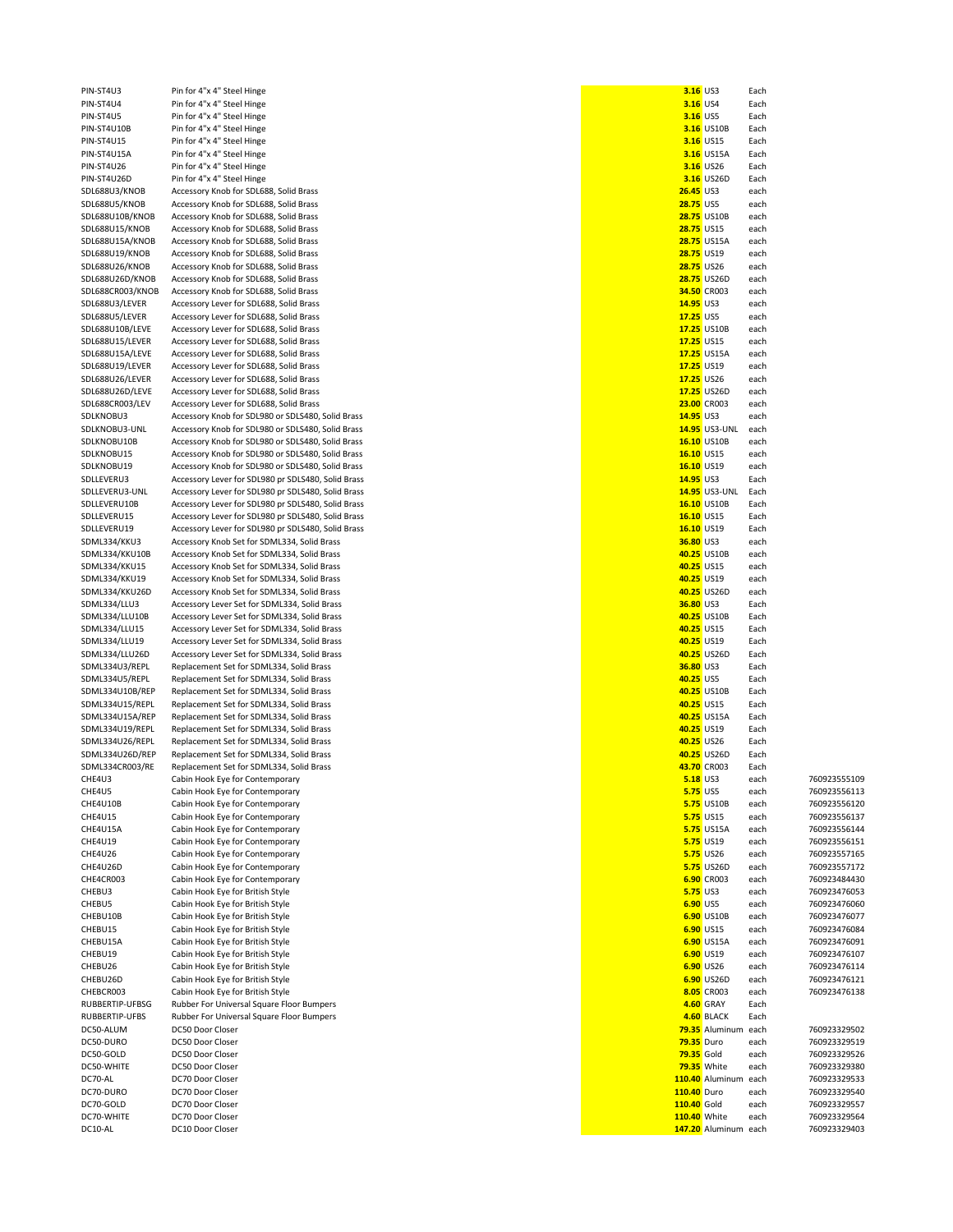PIN-ST4U4 Pin for 4"x 4" Steel Hinge<br>**PIN-ST4U5** Pin for 4"x 4" Steel Hinge PIN-ST4U10B Pin for 4"x 4" Steel Hinge<br>
PIN-ST4U15 Pin for 4"x 4" Steel Hinge PIN-ST4U15A Pin for 4"x 4" Steel Hinge<br>**PIN-ST4U26** Pin for 4"x 4" Steel Hinge

PIN-ST4U3 Pin for 4"x 4" Steel Hinge<br>**PIN-ST4U4** Pin for 4"x 4" Steel Hinge PIN-ST4U5 Pin for 4"x 4" Steel Hinge **3.16** US5 Each PIN-ST4U15 Pin for 4"x 4" Steel Hinge **3.16** US15 Each PIN-ST4U26 Pin for 4"x 4" Steel Hinge **3.16** US26 Each PIN-ST4U26D Pin for 4"x 4" Steel Hinge **3.16** US26D Each SDL688U3/KNOB Accessory Knob for SDL688, Solid Brass<br>**26.4588U5/KNOB** Accessory Knob for SDL688. Solid Brass SDL688U5/KNOB Accessory Knob for SDL688, Solid Brass<br>**28.75 SDL688U10B/KNOB** Accessory Knob for SDL688, Solid Brass SDL688U10B/KNOB Accessory Knob for SDL688, Solid Brass<br>**28.88.75 PDL688U15/KNOB** Accessory Knob for SDL688, Solid Brass SDL688U15/KNOB Accessory Knob for SDL688, Solid Brass<br>**28.752.888U15A/KNOB** Accessory Knob for SDL688, Solid Brass SDL688U15A/KNOB Accessory Knob for SDL688, Solid Brass<br>**28.752.888U19/KNOB** Accessory Knob for SDL688, Solid Brass SDL688U19/KNOB Accessory Knob for SDL688, Solid Brass<br>**28.888U26/KNOB** Accessory Knob for SDL688, Solid Brass SDL688U26/KNOB Accessory Knob for SDL688, Solid Brass<br>**28.752.88.725 Each Accessory Knob for SDL688**, Solid Brass SDL688U26D/KNOB Accessory Knob for SDL688, Solid Brass<br>**28.752.88.88.75 DEACH Accessory Knob for SDL688.** Solid Brass SDL688CR003/KNOB Accessory Knob for SDL688, Solid Brass<br>**SDL688U3/LEVER** Accessory Lever for SDL688, Solid Brass SDL688U3/LEVER Accessory Lever for SDL688, Solid Brass<br>**14.9581.958 Each Accessory Lever for SDL688**, Solid Brass SDL688U5/LEVER Accessory Lever for SDL688, Solid Brass<br>**SDL688U10B/LEVE** Accessory Lever for SDL688, Solid Brass SDL688U10B/LEVE Accessory Lever for SDL688, Solid Brass<br>**SDL688U15/LEVER** Accessory Lever for SDL688. Solid Brass SDL688U15/LEVER Accessory Lever for SDL688, Solid Brass<br>**SDL688U15A/LEVE** Accessory Lever for SDL688, Solid Brass SDL688U15A/LEVE Accessory Lever for SDL688, Solid Brass<br>**SDL688U19/LEVER** Accessory Lever for SDL688, Solid Brass SDL688U19/LEVER Accessory Lever for SDL688, Solid Brass<br>**17.1588U26/LEVER** Accessory Lever for SDL688. Solid Brass **Accessory Lever for SDL688, Solid Brass** SDL688U26D/LEVE Accessory Lever for SDL688, Solid Brass<br>**SDL688CR003/LEV Accessory Lever for SDL688**, Solid Brass SDL688CR003/LEV Accessory Lever for SDL688, Solid Brass<br>**23.0008123** Accessory Knob for SDL980 or SDLS480 Accessory Knob for SDL980 or SDLS480, Solid Brass SDLKNOBU3-UNL Accessory Knob for SDL980 or SDL5480, Solid Brass<br>**14.95** SDLKNOBU10B Accessory Knob for SDL980 or SDL5480, Solid Brass SDLKNOBU10B Accessory Knob for SDL980 or SDL5480, Solid Brass<br>SDLKNOBU115 Accessory Knob for SDL980 or SDL5480, Solid Brass SDLKNOBU15 Accessory Knob for SDL980 or SDL5480, Solid Brass<br>**16.10081200 SDL980 or SDL980 or SDL5480** Solid Brass SDLKNOBU19 Accessory Knob for SDL980 or SDL5480, Solid Brass<br>**16.11 EVERU3** Accessory Lever for SDL980 or SDL5480, Solid Brass SDLLEVERU3 **Accessory Lever for SDL980 pr SDLS480, Solid Brass**<br>SDLLEVERU3-UNL Accessory Lever for SDL980 pr SDLS480, Solid Brass SDLLEVERU3-UNL Accessory Lever for SDL980 pr SDLS480, Solid Brass<br>SDLLEVERU10B Accessory Lever for SDL980 pr SDLS480, Solid Brass SDLLEVERU10B Accessory Lever for SDL980 pr SDLS480, Solid Brass<br>**16.1008 SDLLEVERU15** Accessory Lever for SDL980 pr SDLS480. Solid Brass SDLLEVERU15 Accessory Lever for SDL980 pr SDLS480, Solid Brass<br>**16.100 SOLLEVERU19** Accessory Lever for SDL980 pr SDLS480, Solid Brass SDLLEVERU19 Accessory Lever for SDL980 pr SDLS480, Solid Brass<br>**16.10.100 SDLS400** Accessory Knob Set for SDML334, Solid Brass SDML334/KKU3 Accessory Knob Set for SDML334, Solid Brass<br>**SDML334/KKU10B** Accessory Knob Set for SDML334, Solid Brass SDML334/KKU10B Accessory Knob Set for SDML334, Solid Brass<br>**5DML334/KKU15** Accessory Knob Set for SDML334, Solid Brass SDML334/KKU15 Accessory Knob Set for SDML334, Solid Brass<br>**5DML334/KKU19** Accessory Knob Set for SDML334, Solid Brass SDML334/KKU19 Accessory Knob Set for SDML334, Solid Brass<br>SDML334/KKU26D Accessory Knob Set for SDML334, Solid Brass SDML334/KKU26D Accessory Knob Set for SDML334, Solid Brass<br>**5DML334/LLU3** Accessory Lever Set for SDML334, Solid Brass SDML334/LLU3 Accessory Lever Set for SDML334, Solid Brass<br>**SDML334/LLU10B** Accessory Lever Set for SDML334, Solid Brass SDML334/LLU10B Accessory Lever Set for SDML334, Solid Brass<br>**5DML334/LLU15** Accessory Lever Set for SDML334, Solid Brass SDML334/LLU15 Accessory Lever Set for SDML334, Solid Brass<br>**5DML334/LLU19** Accessory Lever Set for SDML334, Solid Brass Accessory Lever Set for SDML334, Solid Brass SDML334/LLU26D Accessory Lever Set for SDML334, Solid Brass SDML334U3/REPL Replacement Set for SDML334, Solid Brass<br>SDML334U5/REPL Replacement Set for SDML334, Solid Brass **Replacement Set for SDML334, Solid Brass** SDML334U10B/REP Replacement Set for SDML334, Solid Brass SDML334U15/REPL Replacement Set for SDML334, Solid Brass SDML334U15A/REP Replacement Set for SDML334, Solid Brass<br>**5DML334U19/REPL Replacement Set for SDML334** Solid Brass Replacement Set for SDML334, Solid Brass SDML334U26/REPL Replacement Set for SDML334, Solid Brass SDML334U26D/REP Replacement Set for SDML334, Solid Brass<br>**5DML334CR003/RE** Replacement Set for SDML334, Solid Brass Replacement Set for SDML334, Solid Brass CHE4U3 Cabin Hook Eye for Contemporary **5.18** US3 each 760923555109 CHE4U5 Cabin Hook Eye for Contemporary **5.75** US5 each 760923556113 CHE4U10B Cabin Hook Eye for Contemporary **5.75** US10B each 760923556120 CHE4U15 Cabin Hook Eye for Contemporary **5.75** US15 each 760923556137 CHE4U15A Cabin Hook Eye for Contemporary **5.75** US15A each 760923556144 CHE4U19 Cabin Hook Eye for Contemporary **5.75** US19 each 760923556151 Cabin Hook Eye for Contemporary CHE4U26D Cabin Hook Eye for Contemporary **5.75** US26D each 760923557172 CHE4CR003 Cabin Hook Eye for Contemporary **6.90** CR003 each 760923484430 CHEBU3 Cabin Hook Eye for British Style **5.75** US3 each 760923476053 CHEBU5 Cabin Hook Eye for British Style **6.90** US5 each 760923476060 CHEBU10B Cabin Hook Eye for British Style **6.90** US10B each 760923476077 Cabin Hook Eye for British Style **6.90** US15 each 760923476084<br>Cabin Hook Eve for British Style **6.90** US15A each 760923476091 CHEBU15A Cabin Hook Eye for British Style **6.90** US15A each 760923476091 Cabin Hook Eye for British Style CHEBU26 Cabin Hook Eye for British Style **6.90** US26 each 760923476114 Cabin Hook Eye for British Style CHEBCR003 Cabin Hook Eye for British Style **8.05** CR003 each 760923476138 RUBBERTIP-UFBSG Rubber For Universal Square Floor Bumpers **4.60** GRAY Each RUBBERTIP-UFBS Rubber For Universal Square Floor Bumpers DC50-ALUM DC50 Door Closer **79.35** Aluminum each 760923329502 DC50-DURO DC50 Door Closer **79.35** Duro each 760923329519 DC50-GOLD DC50 Door Closer **79.35** Gold each 760923329526 DC50-WHITE DC50 Door Closer **79.35** White each 760923329380 DC70-AL DC70 Door Closer **110.40** Aluminum each 760923329533 DC70-DURO DC70 Door Closer **110.40** Duro each 760923329540 DC70-GOLD DC70 Door Closer **110.40** Gold each 760923329557 DC70-WHITE DC70 Door Closer **110.40** White each 760923329564 DC10-AL DC10 Door Closer **147.20** Aluminum each 760923329403

| 3.16 US3         |                                  | Each         |          |
|------------------|----------------------------------|--------------|----------|
|                  | 3.16 US4                         | Each         |          |
|                  | 3.16 US5                         | Each         |          |
|                  | 3.16 US10B<br>3.16 US15          | Each         |          |
|                  | 3.16 US15A                       | Each<br>Each |          |
|                  | 3.16 US26                        | Each         |          |
|                  | 3.16 US26D                       | Each         |          |
| <b>26.45 US3</b> |                                  | each         |          |
| 28.75 US5        |                                  | each         |          |
|                  | 28.75 US10B<br><b>28.75 US15</b> | each<br>each |          |
|                  | 28.75 US15A                      | each         |          |
|                  | 28.75 US19                       | each         |          |
|                  | <b>28.75</b> US26                | each         |          |
|                  | 28.75 US26D                      | each         |          |
| 14.95 US3        | 34.50 CR003                      | each         |          |
| <b>17.25 US5</b> |                                  | each<br>each |          |
|                  | 17.25 US10B                      | each         |          |
|                  | 17.25 US15                       | each         |          |
|                  | 17.25 US15A                      | each         |          |
|                  | 17.25 US19<br>17.25 US26         | each         |          |
|                  | 17.25 US26D                      | each<br>each |          |
|                  | 23.00 CR003                      | each         |          |
|                  | 14.95 US3                        | each         |          |
|                  | <b>14.95 US3-UNL</b>             | each         |          |
|                  | 16.10 US10B<br>16.10 US15        | each         |          |
|                  | 16.10 US19                       | each<br>each |          |
| 14.95 US3        |                                  | Each         |          |
|                  | 14.95 US3-UNL                    | Each         |          |
|                  | 16.10 US10B                      | Each         |          |
|                  | 16.10 US15                       | Each         |          |
| 36.80 US3        | 16.10 US19                       | Each<br>each |          |
|                  | 40.25 US10B                      | each         |          |
|                  | 40.25 US15                       | each         |          |
|                  | 40.25 US19                       | each         |          |
|                  | 40.25 US26D                      | each         |          |
| 36.80 US3        | 40.25 US10B                      | Each         |          |
|                  | 40.25 US15                       | Each<br>Each |          |
|                  | 40.25 US19                       | Each         |          |
|                  | 40.25 US26D                      | Each         |          |
| 36.80 US3        |                                  | Each         |          |
| 40.25 US5        | 40.25 US10B                      | Each<br>Each |          |
| 40.25 US15       |                                  | Each         |          |
|                  | 40.25 US15A                      | Each         |          |
|                  | 40.25 US19                       | Each         |          |
|                  | 40.25 US26                       | Each         |          |
|                  | 40.25 US26D<br>43.70 CR003       | Each<br>Each |          |
| <b>5.18 US3</b>  |                                  | each         | 76       |
| 5.75 US5         |                                  | each         | 76       |
|                  | 5.75 US10B                       | each         | 76       |
|                  | 5.75 US15                        | each         | 76       |
|                  | 5.75 US15A<br>5.75 US19          | each<br>each | 76<br>76 |
|                  | 5.75 US26                        | each         | 76       |
|                  | 5.75 US26D                       | each         | 76       |
|                  | 6.90 CR003                       | each         | 76       |
| <b>5.75 US3</b>  |                                  | each         | 76       |
| 6.90 US5         | 6.90 US10B                       | each<br>each | 76<br>76 |
|                  | 6.90 US15                        | each         | 76       |
|                  | 6.90 US15A                       | each         | 76       |
|                  | 6.90 US19                        | each         | 76       |
|                  | 6.90 US26                        | each         | 76       |
|                  | 6.90 US26D<br>8.05 CR003         | each<br>each | 76<br>76 |
|                  | 4.60 GRAY                        | Each         |          |
|                  | 4.60 BLACK                       | Each         |          |
|                  | 79.35 Aluminum each              |              | 76       |
| 79.35 Duro       |                                  | each         | 76       |
| 79.35 Gold       | 79.35 White                      | each<br>each | 76<br>76 |
|                  | 110.40 Aluminum                  | each         | 76       |
| 110.40 Duro      |                                  | each         | 76       |
| 110.40 Gold      |                                  | each         | 76       |
| 110.40 White     | 147.20 Aluminum each             | each         | 76       |
|                  |                                  |              | 76       |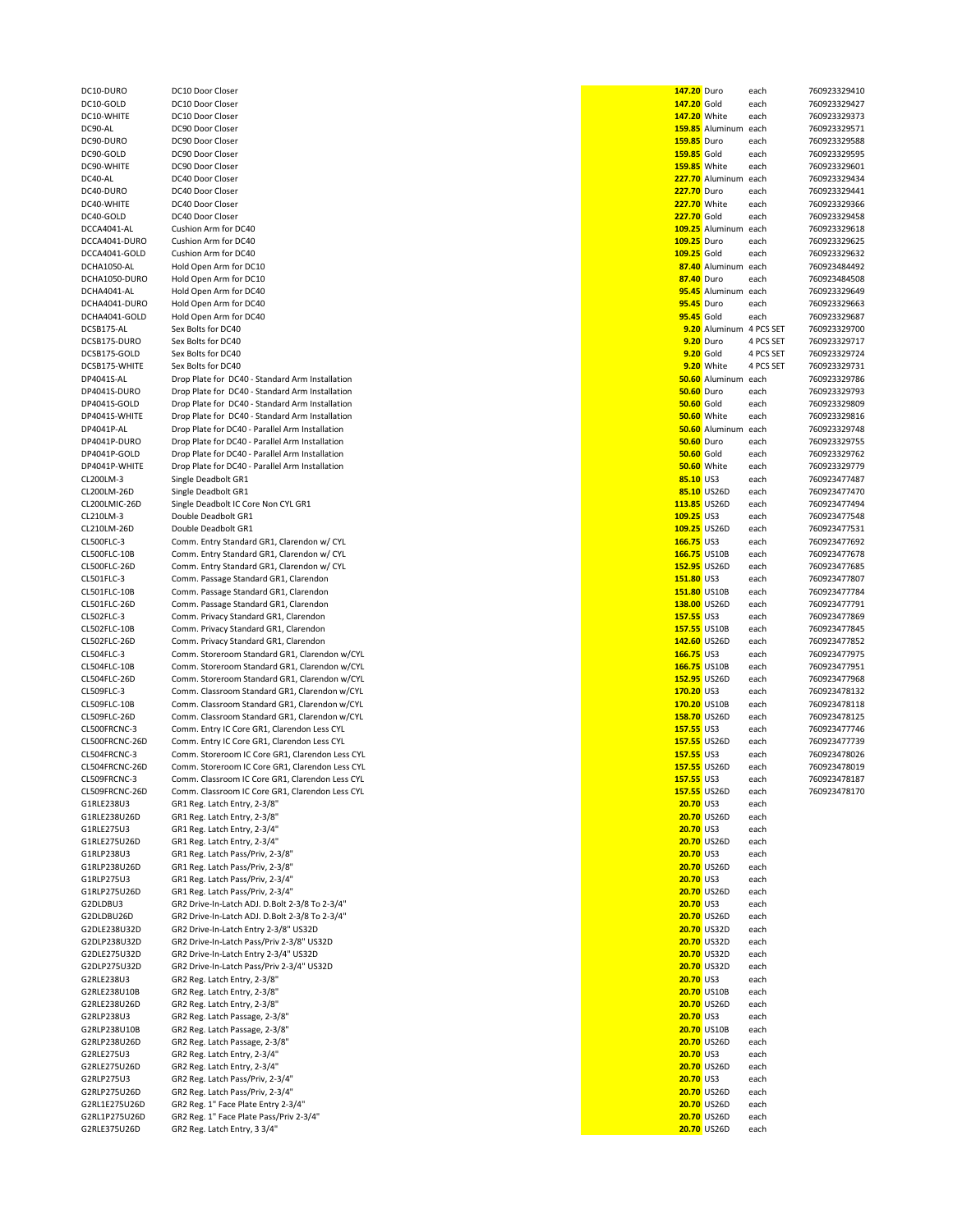| DC10-DURO                     | DC10 Door Closer                                                        | 147.20 Duro        |                            | each         | 760923329410 |
|-------------------------------|-------------------------------------------------------------------------|--------------------|----------------------------|--------------|--------------|
| DC10-GOLD                     | DC10 Door Closer                                                        | 147.20 Gold        |                            | each         | 760923329427 |
| DC10-WHITE                    | DC10 Door Closer                                                        |                    | <b>147.20</b> White        | each         | 760923329373 |
| DC90-AL                       | DC90 Door Closer                                                        |                    | 159.85 Aluminum            | each         | 760923329571 |
| DC90-DURO                     | DC90 Door Closer                                                        | <b>159.85</b> Duro |                            | each         | 760923329588 |
| DC90-GOLD                     | DC90 Door Closer                                                        | 159.85 Gold        |                            | each         | 760923329595 |
| DC90-WHITE                    | DC90 Door Closer                                                        |                    | <b>159.85</b> White        | each         | 760923329601 |
|                               | DC40 Door Closer                                                        |                    |                            |              |              |
| DC40-AL                       |                                                                         |                    | 227.70 Aluminum            | each         | 760923329434 |
| DC40-DURO                     | DC40 Door Closer                                                        | <b>227.70</b> Duro |                            | each         | 760923329441 |
| DC40-WHITE                    | DC40 Door Closer                                                        |                    | <b>227.70</b> White        | each         | 760923329366 |
| DC40-GOLD                     | DC40 Door Closer                                                        | 227.70 Gold        |                            | each         | 760923329458 |
| DCCA4041-AL                   | Cushion Arm for DC40                                                    |                    | 109.25 Aluminum            | each         | 760923329618 |
| DCCA4041-DURO                 | Cushion Arm for DC40                                                    | 109.25 Duro        |                            | each         | 760923329625 |
| DCCA4041-GOLD                 | Cushion Arm for DC40                                                    | 109.25 Gold        |                            | each         | 760923329632 |
| DCHA1050-AL                   | Hold Open Arm for DC10                                                  |                    | 87.40 Aluminum             | each         | 760923484492 |
| DCHA1050-DURO                 | Hold Open Arm for DC10                                                  | 87.40 Duro         |                            | each         | 760923484508 |
| DCHA4041-AL                   | Hold Open Arm for DC40                                                  |                    | 95.45 Aluminum             |              | 760923329649 |
|                               |                                                                         |                    |                            | each         |              |
| DCHA4041-DURO                 | Hold Open Arm for DC40                                                  | 95.45 Duro         |                            | each         | 760923329663 |
| DCHA4041-GOLD                 | Hold Open Arm for DC40                                                  | 95.45 Gold         |                            | each         | 760923329687 |
| DCSB175-AL                    | Sex Bolts for DC40                                                      |                    | 9.20 Aluminum 4 PCS SET    |              | 760923329700 |
| DCSB175-DURO                  | Sex Bolts for DC40                                                      |                    | 9.20 Duro                  | 4 PCS SET    | 760923329717 |
| DCSB175-GOLD                  | Sex Bolts for DC40                                                      | 9.20 Gold          |                            | 4 PCS SET    | 760923329724 |
| DCSB175-WHITE                 | Sex Bolts for DC40                                                      |                    | 9.20 White                 | 4 PCS SET    | 760923329731 |
| DP4041S-AL                    | Drop Plate for DC40 - Standard Arm Installation                         |                    | 50.60 Aluminum             | each         | 760923329786 |
| DP4041S-DURO                  | Drop Plate for DC40 - Standard Arm Installation                         | <b>50.60</b> Duro  |                            | each         | 760923329793 |
| DP4041S-GOLD                  |                                                                         |                    |                            |              |              |
|                               | Drop Plate for DC40 - Standard Arm Installation                         | <b>50.60</b> Gold  |                            | each         | 760923329809 |
| DP4041S-WHITE                 | Drop Plate for DC40 - Standard Arm Installation                         |                    | <b>50.60</b> White         | each         | 760923329816 |
| DP4041P-AL                    | Drop Plate for DC40 - Parallel Arm Installation                         |                    | 50.60 Aluminum             | each         | 760923329748 |
| DP4041P-DURO                  | Drop Plate for DC40 - Parallel Arm Installation                         | <b>50.60</b> Duro  |                            | each         | 760923329755 |
| DP4041P-GOLD                  | Drop Plate for DC40 - Parallel Arm Installation                         | <b>50.60</b> Gold  |                            | each         | 760923329762 |
| DP4041P-WHITE                 | Drop Plate for DC40 - Parallel Arm Installation                         |                    | 50.60 White                | each         | 760923329779 |
| CL200LM-3                     | Single Deadbolt GR1                                                     | 85.10 US3          |                            | each         | 760923477487 |
| CL200LM-26D                   | Single Deadbolt GR1                                                     |                    | 85.10 US26D                |              | 760923477470 |
|                               |                                                                         |                    |                            | each         |              |
| CL200LMIC-26D                 | Single Deadbolt IC Core Non CYL GR1                                     |                    | 113.85 US26D               | each         | 760923477494 |
| CL210LM-3                     | Double Deadbolt GR1                                                     | 109.25 US3         |                            | each         | 760923477548 |
| CL210LM-26D                   | Double Deadbolt GR1                                                     |                    | 109.25 US26D               | each         | 760923477531 |
| CL500FLC-3                    | Comm. Entry Standard GR1, Clarendon w/ CYL                              | 166.75 US3         |                            | each         | 760923477692 |
| CL500FLC-10B                  | Comm. Entry Standard GR1, Clarendon w/ CYL                              |                    | 166.75 US10B               | each         | 760923477678 |
|                               |                                                                         |                    |                            |              |              |
| CL500FLC-26D                  | Comm. Entry Standard GR1, Clarendon w/ CYL                              |                    | 152.95 US26D               | each         | 760923477685 |
| CL501FLC-3                    | Comm. Passage Standard GR1, Clarendon                                   | 151.80 US3         |                            | each         | 760923477807 |
| CL501FLC-10B                  | Comm. Passage Standard GR1, Clarendon                                   |                    | 151.80 US10B               | each         | 760923477784 |
| CL501FLC-26D                  | Comm. Passage Standard GR1, Clarendon                                   |                    | 138.00 US26D               | each         | 760923477791 |
| CL502FLC-3                    | Comm. Privacy Standard GR1, Clarendon                                   | 157.55 US3         |                            | each         | 760923477869 |
| CL502FLC-10B                  | Comm. Privacy Standard GR1, Clarendon                                   |                    | 157.55 US10B               | each         | 760923477845 |
| CL502FLC-26D                  | Comm. Privacy Standard GR1, Clarendon                                   |                    | 142.60 US26D               |              | 760923477852 |
|                               |                                                                         |                    |                            | each         |              |
| CL504FLC-3                    | Comm. Storeroom Standard GR1, Clarendon w/CYL                           | 166.75 US3         |                            | each         | 760923477975 |
| CL504FLC-10B                  | Comm. Storeroom Standard GR1, Clarendon w/CYL                           |                    | 166.75 US10B               | each         | 760923477951 |
| CL504FLC-26D                  | Comm. Storeroom Standard GR1, Clarendon w/CYL                           |                    | 152.95 US26D               | each         | 760923477968 |
| CL509FLC-3                    | Comm. Classroom Standard GR1, Clarendon w/CYL                           | 170.20 US3         |                            | each         | 760923478132 |
| CL509FLC-10B                  | Comm. Classroom Standard GR1, Clarendon w/CYL                           |                    | 170.20 US10B               | each         | 760923478118 |
| CL509FLC-26D                  | Comm. Classroom Standard GR1, Clarendon w/CYL                           |                    | 158.70 US26D               | each         | 760923478125 |
| CL500FRCNC-3                  | Comm. Entry IC Core GR1, Clarendon Less CYL                             | 157.55 US3         |                            | each         | 760923477746 |
|                               |                                                                         |                    |                            |              |              |
| CL500FRCNC-26D                | Comm. Entry IC Core GR1, Clarendon Less CYL                             |                    | 157.55 US26D               | each         | 760923477739 |
| CL504FRCNC-3                  | Comm. Storeroom IC Core GR1, Clarendon Less CYL                         | 157.55 US3         |                            | each         | 760923478026 |
| CL504FRCNC-26D                | Comm. Storeroom IC Core GR1, Clarendon Less CYL                         |                    | 157.55 US26D               | each         | 760923478019 |
| CL509FRCNC-3                  | Comm. Classroom IC Core GR1, Clarendon Less CYL                         | 157.55 US3         |                            | each         | 760923478187 |
| CL509FRCNC-26D                | Comm. Classroom IC Core GR1, Clarendon Less CYL                         |                    | 157.55 US26D               | each         | 760923478170 |
| G1RLE238U3                    | GR1 Reg. Latch Entry, 2-3/8"                                            | <b>20.70 US3</b>   |                            | each         |              |
| G1RLE238U26D                  | GR1 Reg. Latch Entry, 2-3/8"                                            |                    | 20.70 US26D                | each         |              |
| G1RLE275U3                    | GR1 Reg. Latch Entry, 2-3/4"                                            | 20.70 US3          |                            | each         |              |
|                               |                                                                         |                    |                            |              |              |
| G1RLE275U26D                  | GR1 Reg. Latch Entry, 2-3/4"                                            |                    | 20.70 US26D                | each         |              |
| G1RLP238U3                    | GR1 Reg. Latch Pass/Priv, 2-3/8"                                        | 20.70 US3          |                            | each         |              |
| G1RLP238U26D                  | GR1 Reg. Latch Pass/Priv, 2-3/8"                                        |                    | 20.70 US26D                | each         |              |
| G1RLP275U3                    | GR1 Reg. Latch Pass/Priv, 2-3/4"                                        | 20.70 US3          |                            | each         |              |
| G1RLP275U26D                  | GR1 Reg. Latch Pass/Priv, 2-3/4"                                        |                    | 20.70 US26D                | each         |              |
| G2DLDBU3                      | GR2 Drive-In-Latch ADJ. D.Bolt 2-3/8 To 2-3/4"                          | 20.70 US3          |                            | each         |              |
| G2DLDBU26D                    | GR2 Drive-In-Latch ADJ. D.Bolt 2-3/8 To 2-3/4"                          |                    | 20.70 US26D                | each         |              |
| G2DLE238U32D                  |                                                                         |                    | 20.70 US32D                |              |              |
|                               | GR2 Drive-In-Latch Entry 2-3/8" US32D                                   |                    |                            | each         |              |
| G2DLP238U32D                  | GR2 Drive-In-Latch Pass/Priv 2-3/8" US32D                               |                    | 20.70 US32D                | each         |              |
| G2DLE275U32D                  | GR2 Drive-In-Latch Entry 2-3/4" US32D                                   |                    | 20.70 US32D                | each         |              |
| G2DLP275U32D                  | GR2 Drive-In-Latch Pass/Priv 2-3/4" US32D                               |                    | 20.70 US32D                | each         |              |
| G2RLE238U3                    | GR2 Reg. Latch Entry, 2-3/8"                                            | <b>20.70 US3</b>   |                            | each         |              |
| G2RLE238U10B                  | GR2 Reg. Latch Entry, 2-3/8"                                            |                    | 20.70 US10B                | each         |              |
| G2RLE238U26D                  | GR2 Reg. Latch Entry, 2-3/8"                                            |                    | 20.70 US26D                | each         |              |
| G2RLP238U3                    | GR2 Reg. Latch Passage, 2-3/8"                                          | <b>20.70 US3</b>   |                            | each         |              |
|                               |                                                                         |                    |                            |              |              |
| G2RLP238U10B                  | GR2 Reg. Latch Passage, 2-3/8"                                          |                    | 20.70 US10B                | each         |              |
| G2RLP238U26D                  | GR2 Reg. Latch Passage, 2-3/8"                                          |                    | 20.70 US26D                | each         |              |
| G2RLE275U3                    | GR2 Reg. Latch Entry, 2-3/4"                                            | 20.70 US3          |                            | each         |              |
| G2RLE275U26D                  | GR2 Reg. Latch Entry, 2-3/4"                                            |                    | 20.70 US26D                | each         |              |
| G2RLP275U3                    | GR2 Reg. Latch Pass/Priv, 2-3/4"                                        | 20.70 US3          |                            | each         |              |
| G2RLP275U26D                  |                                                                         |                    | 20.70 US26D                | each         |              |
|                               |                                                                         |                    |                            |              |              |
|                               | GR2 Reg. Latch Pass/Priv, 2-3/4"                                        |                    |                            |              |              |
| G2RL1E275U26D                 | GR2 Reg. 1" Face Plate Entry 2-3/4"                                     |                    | 20.70 US26D                | each         |              |
| G2RL1P275U26D<br>G2RLE375U26D | GR2 Reg. 1" Face Plate Pass/Priv 2-3/4"<br>GR2 Reg. Latch Entry, 3 3/4" |                    | 20.70 US26D<br>20.70 US26D | each<br>each |              |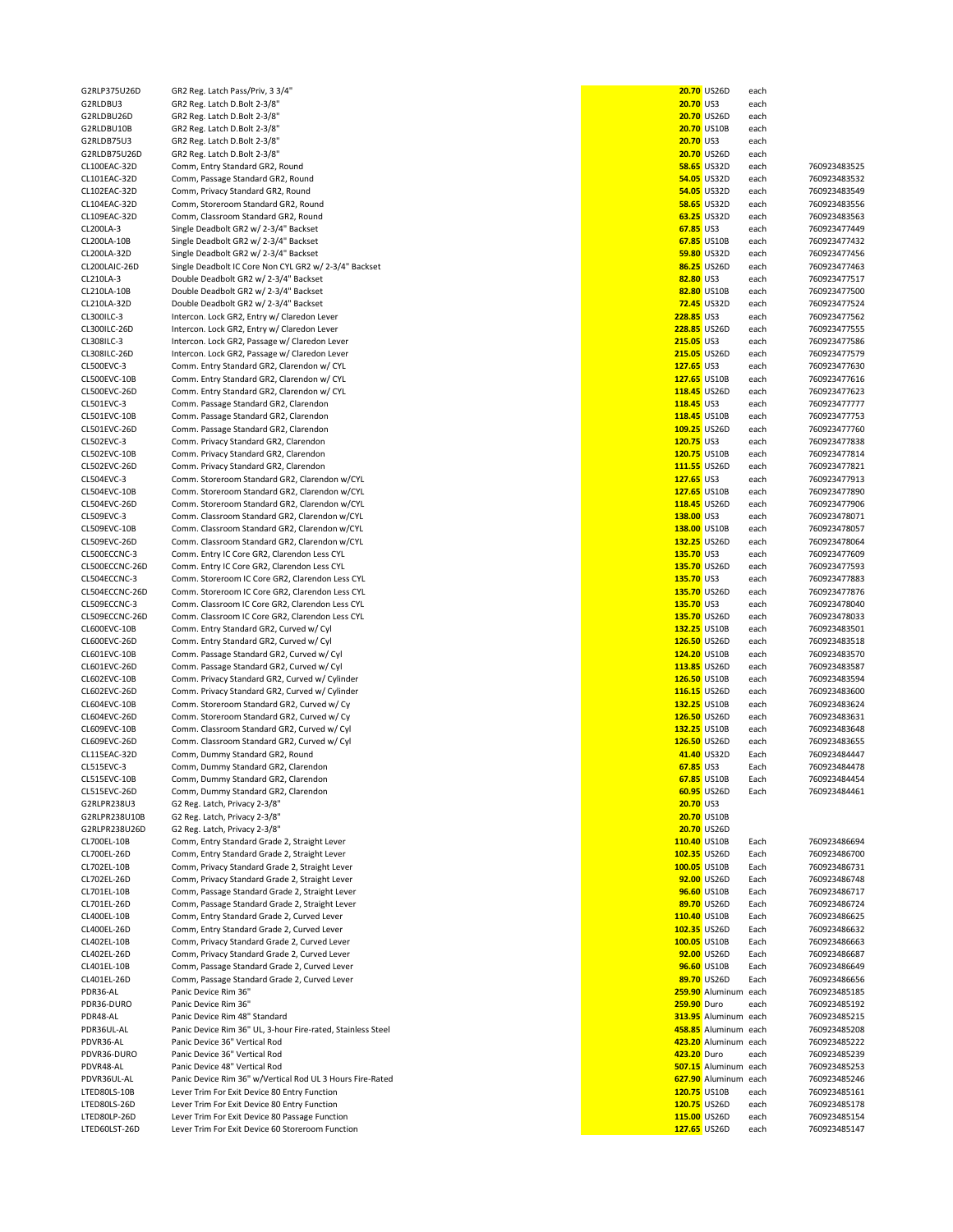G2RLDBU3 **GR2 Reg. Latch D.Bolt 2-3/8**<br>
GR2 Reg. Latch D.Bolt 2-3/8<sup>"</sup> GR2 Reg. Latch D.Bolt 2-3/8" G2RLDBU26D GR2 Reg. Latch D.Bolt 2-3/8'<br>G2RLDBU10B GR2 Reg. Latch D.Bolt 2-3/8' G2RLDB75U3 GR2 Reg. Latch D.Bolt 2-3/8<sup>"</sup><br>G2RLDB75U26D GR2 Reg. Latch D.Bolt 2-3/8" G2RLPR238U3 G2 Reg. Latch, Privacy 2-3/8" **20.70** US3 G2RLPR238U10B G2 Reg. Latch, Privacy 2-3/8"<br>G2 Reg. Latch, Privacy 2-3/8" G2RLPR238U26D G2 Reg. Latch, Privacy 2-3/8"<br>CL700EL-10B Comm. Entry Standard Grade

G2RLP375U26D GR2 Reg. Latch Pass/Priv, 3 3/4"<br>G2RLDBU3 GR2 Reg. Latch D.Bolt 2-3/8" GR2 Reg. Latch D.Bolt 2-3/8" GR2 Reg. Latch D.Bolt 2-3/8" CL100EAC-32D Comm, Entry Standard GR2, Round **58.65** US32D each 760923483525 CL101EAC-32D Comm, Passage Standard GR2, Round **54.05** US32D each 760923483532 CL102EAC-32D Comm, Privacy Standard GR2, Round<br>**54.05** Comm. Storeroom Standard GR2. Round CL104EAC-32D Comm, Storeroom Standard GR2, Round **1988, 1998 12:30 CL104EAC-32D each** 760923483556 US32D each 760923483556<br>CL109FAC-32D Comm. Classroom Standard GR2. Round CL109EAC-32D Comm, Classroom Standard GR2, Round **63.25** US32D each 760923483563<br>CL200LA-3 Single Deadbolt GR2 w/ 2-3/4" Backset **67.25** US3 each 760923477449 CL200LA-3 Single Deadbolt GR2 w/ 2-3/4" Backset **67.85** US3 each 760923477449<br>CL200LA-10B Single Deadbolt GR2 w/ 2-3/4" Backset **67.85** US10B each 760923477432 CL200LA-10B Single Deadbolt GR2 w/ 2-3/4" Backset<br>**CL200LA-32D** Single Deadbolt GR2 w/ 2-3/4" Backset CL200LA-32D Single Deadbolt GR2 w/ 2-3/4" Backset **59.80** US32D each 760923477456<br>CL200LAIC-26D Single Deadbolt IC Core Non CYL GR2 w/ 2-3/4" Backset **59.80** US32D each 760923477463 CL200LAIC-26D Single Deadbolt IC Core Non CYL GR2 w/ 2-3/4" Backset<br>**CL210LA-3** Double Deadbolt GR2 w/ 2-3/4" Backset CL210LA-3 Double Deadbolt GR2 w/ 2-3/4" Backset<br>**CL210LA-10B** Double Deadbolt GR2 w/ 2-3/4" Backset CL210LA-10B Double Deadbolt GR2 w/ 2-3/4" Backset<br>**CL210LA-32D** Double Deadbolt GR2 w/ 2-3/4" Backset CL210LA-32D Double Deadbolt GR2 w/ 2-3/4" Backset<br>**72.3001LC-3** Intercon. Lock GR2. Entry w/ Claredon Le CL300ILC-3 Intercon. Lock GR2, Entry w/ Claredon Lever<br>**CL300ILC-26D** Intercon. Lock GR2, Entry w/ Claredon Lever Intercon. Lock GR2, Entry w/ Claredon Lever **228.85** US26D each 760923477555 CL308ILC-3 Intercon. Lock GR2, Passage w/ Claredon Lever **2008**<br>CL308ILC-26D Intercon. Lock GR2, Passage w/ Claredon Lever **2008** US3 each 76092347757966 US26D each 760923477579 CL308ILC-26D Intercon. Lock GR2, Passage w/ Claredon Lever<br>CL500EVC-3 Comm. Entry Standard GR2. Clarendon w/ CYL CL500EVC-3 Comm. Entry Standard GR2, Clarendon w/ CYL **127.65** US3 each 760923477630<br>CL500EVC-10B Comm. Entry Standard GR2. Clarendon w/ CYL 127.65 US10B each 760923477616 Comm. Entry Standard GR2, Clarendon w/ CYL **127.65** US10B each 760923477616 CL500EVC-26D Comm. Entry Standard GR2, Clarendon w/ CYL **128.45** US26D each 760923477623<br>CL501EVC-3 Comm. Passage Standard GR2. Clarendon CL501EVC-3 Comm. Passage Standard GR2, Clarendon **118.45** US3 each 760923477777 CL501EVC-10B Comm. Passage Standard GR2, Clarendon **118.45** US10B each 760923477753 CL501EVC-26D Comm. Passage Standard GR2, Clarendon **109.25** US26D each 760923477760 CL502EVC-3 Comm. Privacy Standard GR2, Clarendon **120.2009 120.2009 120.75** US3 each 760923477838 CL502EVC-3 Comm<br>CL502EVC-10B Comm Privacy Standard GR2 Clarendon CL502EVC-10B Comm. Privacy Standard GR2, Clarendon **CL502EVC-26D** Comm. Privacy Standard GR2. Clarendon CL502EVC-26D Comm. Privacy Standard GR2, Clarendon **111.55** US26D each 760923477821<br>CL504EVC-3 Comm Standard GR2 Clarendon w/CYL CL504EVC-3 Comm. Storeroom Standard GR2, Clarendon w/CYL **127.65** US3 each 760923477913<br>CL504EVC-10B Comm. Storeroom Standard GR2. Clarendon w/CYL 127.65 US10B each 760923477890 CL504EVC-10B Comm. Storeroom Standard GR2, Clarendon w/CYL **127.65** US10B each 760923477890<br>CL504EVC-26D Comm. Storeroom Standard GR2. Clarendon w/CYL 127.65 US10B each 760923477906 CL504EVC-26D Comm. Storeroom Standard GR2, Clarendon w/CYL<br>CL509EVC-3 Comm. Classroom Standard GR2. Clarendon w/CYL Comm. Classroom Standard GR2, Clarendon w/CYL **138.00** US3 each 760923478071 CL509EVC-10B Comm. Classroom Standard GR2, Clarendon w/CYL<br>CL509EVC-26D Comm. Classroom Standard GR2, Clarendon w/CYL CL509EVC-26D Comm. Classroom Standard GR2, Clarendon w/CYL<br>CL500ECCNC-3 Comm. Entry IC Core GR2, Clarendon Less CYL CL500ECCNC-3 Comm. Entry IC Core GR2, Clarendon Less CYL<br>CL500ECCNC-26D Comm. Entry IC Core GR2. Clarendon Less CYL Comm. Entry IC Core GR2, Clarendon Less CYL CL504ECCNC-3 Comm. Storeroom IC Core GR2, Clarendon Less CYL **135.90** US3 each 760923477883<br>CL504ECCNC-26D Comm. Storeroom IC Core GR2. Clarendon Less CYL 135.70 US26D each 760923477876 Comm. Storeroom IC Core GR2, Clarendon Less CYL CL509ECCNC-3 Comm. Classroom IC Core GR2, Clarendon Less CYL **135.90** US3 each 760923478040<br>CL509ECCNC-26D Comm. Classroom IC Core GR2. Clarendon Less CYL 135.70 US26D each 760923478033 CL509ECCNC-26D Comm. Classroom IC Core GR2, Clarendon Less CYL **135.70** US26D each 760923478033<br>CL600EVC-10B Comm. Entry Standard GR2, Curved w/ Cyl CL600EVC-10B Comm. Entry Standard GR2, Curved w/ Cyl **132.25** US10B each 760923483501<br>CL600EVC-26D Comm. Entry Standard GR2, Curved w/ Cyl **132.25** US26D each 760923483518 Comm. Entry Standard GR2, Curved w/ Cyl **126.50** US26D each 760923483518 CL601EVC-10B Comm. Passage Standard GR2, Curved w/ Cyl **124.20** US10B each 760923483570 CL601EVC-26D Comm. Passage Standard GR2, Curved w/ Cyl **113.85** US26D each 760923483587<br>CL602EVC-10B Comm. Privacy Standard GR2. Curved w/ Cylinder 1986 CL602 each 760923483594 CL602EVC-10B Comm. Privacy Standard GR2, Curved w/ Cylinder **126.50** US10B each 760923483594 CL602EVC-26D Comm. Privacy Standard GR2, Curved w/ Cylinder **116.15** US26D each 760923483600 CL604EVC-10B Comm. Storeroom Standard GR2, Curved w/ Cy **132.25** US10B each 760923483624 CL604EVC-26D Comm. Storeroom Standard GR2, Curved w/ Cy **126.90 US260** each 760923483631<br>CL609EVC-10B Comm. Classroom Standard GR2. Curved w/ Cvl 126.00 US260 each 760923483648 Comm. Classroom Standard GR2, Curved w/ Cyl CL609EVC-26D Comm. Classroom Standard GR2, Curved w/ Cyl **126.50** US26D each 760923483655 CL115EAC-32D Comm, Dummy Standard GR2, Round **41.40** US32D Each 760923484447 Comm, Dummy Standard GR2, Clarendon **62.85** US3 Each 760923484478 CL515EVC-10B Comm, Dummy Standard GR2, Clarendon **67.85** US10B Each 760923484454<br>CL515EVC-26D Comm. Dummy Standard GR2. Clarendon **68.85** US26D Each 760923484461 CL515EVC-26D Comm, Dummy Standard GR2, Clarendon **60.95** US26D Each 760923484461<br>G2RLPR238U3 G2 Reg. Latch, Privacy 2-3/8" 20.70 US3 US26D Each 20.70 US3 CL700EL-10B Comm, Entry Standard Grade 2, Straight Lever **1000 CL700EL-10B CL700EL-10B** Each 760923486694<br>CL700EL-26D Comm, Entry Standard Grade 2, Straight Lever **102.49** CL700EL-26D Lach 76092348670G Comm, Entry Standard Grade 2, Straight Lever **102.35** US26D Each 760923486700 CL702EL-10B Comm, Privacy Standard Grade 2, Straight Lever<br>**100.05** Comm. Privacy Standard Grade 2. Straight Lever Comm, Privacy Standard Grade 2, Straight Lever **92.00** US26D Each 760923486748 CL701EL-10B Comm, Passage Standard Grade 2, Straight Lever **198.80 CL701EL-10B** 100023486717<br>CL701EL-26D Comm. Passage Standard Grade 2. Straight Lever 1998 CL701EL-260 10002000 10002000 100023486724 CL70 Comm, Passage Standard Grade 2, Straight Lever CL400EL-10B Comm, Entry Standard Grade 2, Curved Lever **1000 CL400EL-10B** CL400EL-10B Each 760923486625<br>CL400EL-26D Comm. Entry Standard Grade 2. Curved Lever **102.486632** US26D Each 760923486632 CL400EL-26D Comm, Entry Standard Grade 2, Curved Lever **102.35** US26D Each 760923486632 CL402EL-10B Comm, Privacy Standard Grade 2, Curved Lever **100.05** US10B Each 760923486663 CL402EL-26D Comm, Privacy Standard Grade 2, Curved Lever **92.00** US26D Each 760923486687 CL401EL-10B Comm, Passage Standard Grade 2, Curved Lever **96.60** US10B Each 760923486649 CL401EL-26D Comm, Passage Standard Grade 2, Curved Lever **89.70** US26D Each 760923486656 PDR36-AL Panic Device Rim 36" **259.90** Aluminum each 760923485185 PDR36-DURO Panic Device Rim 36" **259.90** Duro each 760923485192 PDR48-AL Panic Device Rim 48" Standard **313.95** Aluminum each 760923485215 PDR36UL-AL Panic Device Rim 36" UL, 3-hour Fire-rated, Stainless Steel **1988.85 Aluminum each 1988.85** Aluminum each 760923485208<br>PDVR36-AL Panic Device 36" Vertical Rod Panic Device 36" Vertical Rod **1996 12:00 Panic Device 36" Vertical Rod** 760923485222 PDVR36-DURO Panic Device 36" Vertical Rod **423.20** Duro each 760923485239 Panic Device 48" Vertical Rod **507.15** Aluminum each 760923485253 PDVR36UL-AL Panic Device Rim 36" w/Vertical Rod UL 3 Hours Fire-Rated **628.90** Aluminum each 760925246868525246852524685252468525246852524685252468525246852524685252468525246852524685252468525246852524685252468525246525254 Lever Trim For Exit Device 80 Entry Function **120.75** US10B each 760923485161 LTED80LS-26D Lever Trim For Exit Device 80 Entry Function **120.75** US26D each 760923485178<br>LTED80LP-26D Lever Trim For Exit Device 80 Passage Function 120.75 US26D each 760923485154 LTED80LP-26D Lever Trim For Exit Device 80 Passage Function<br>LTED60LST-26D Lever Trim For Exit Device 60 Storeroom Funct

| GR2 Reg. Latch Pass/Priv, 3 3/4"                            |                     | 20.70 US26D          | each |              |
|-------------------------------------------------------------|---------------------|----------------------|------|--------------|
| GR2 Reg. Latch D.Bolt 2-3/8"                                | 20.70 US3           |                      | each |              |
| GR2 Reg. Latch D.Bolt 2-3/8"                                |                     | 20.70 US26D          | each |              |
| GR2 Reg. Latch D.Bolt 2-3/8"                                |                     | 20.70 US10B          | each |              |
| GR2 Reg. Latch D.Bolt 2-3/8"                                | 20.70 US3           |                      | each |              |
| GR2 Reg. Latch D.Bolt 2-3/8"                                |                     | 20.70 US26D          | each |              |
| Comm, Entry Standard GR2, Round                             |                     | <b>58.65 US32D</b>   | each | 760923483525 |
| Comm, Passage Standard GR2, Round                           |                     | 54.05 US32D          | each | 760923483532 |
| Comm, Privacy Standard GR2, Round                           |                     | 54.05 US32D          | each | 760923483549 |
| Comm, Storeroom Standard GR2, Round                         |                     | <b>58.65 US32D</b>   |      |              |
|                                                             |                     |                      | each | 760923483556 |
| Comm, Classroom Standard GR2, Round                         |                     | 63.25 US32D          | each | 760923483563 |
| Single Deadbolt GR2 w/ 2-3/4" Backset                       | 67.85 US3           |                      | each | 760923477449 |
| Single Deadbolt GR2 w/ 2-3/4" Backset                       |                     | 67.85 US10B          | each | 760923477432 |
| Single Deadbolt GR2 w/ 2-3/4" Backset                       |                     | 59.80 US32D          | each | 760923477456 |
| Single Deadbolt IC Core Non CYL GR2 w/ 2-3/4" Backset       |                     | 86.25 US26D          | each | 760923477463 |
| Double Deadbolt GR2 w/ 2-3/4" Backset                       | 82.80 US3           |                      | each | 760923477517 |
| Double Deadbolt GR2 w/ 2-3/4" Backset                       |                     | 82.80 US10B          | each | 760923477500 |
| Double Deadbolt GR2 w/ 2-3/4" Backset                       |                     | 72.45 US32D          | each | 760923477524 |
| Intercon. Lock GR2, Entry w/ Claredon Lever                 | 228.85 US3          |                      | each | 760923477562 |
| Intercon. Lock GR2, Entry w/ Claredon Lever                 |                     | 228.85 US26D         | each | 760923477555 |
|                                                             |                     |                      |      |              |
| Intercon. Lock GR2, Passage w/ Claredon Lever               | 215.05 US3          |                      | each | 760923477586 |
| Intercon. Lock GR2, Passage w/ Claredon Lever               | <b>215.05 US26D</b> |                      | each | 760923477579 |
| Comm. Entry Standard GR2, Clarendon w/ CYL                  | 127.65 US3          |                      | each | 760923477630 |
| Comm. Entry Standard GR2, Clarendon w/ CYL                  | 127.65 US10B        |                      | each | 760923477616 |
| Comm. Entry Standard GR2, Clarendon w/ CYL                  | 118.45 US26D        |                      | each | 760923477623 |
| Comm. Passage Standard GR2, Clarendon                       | 118.45 US3          |                      | each | 760923477777 |
| Comm. Passage Standard GR2, Clarendon                       | 118.45 US10B        |                      | each | 760923477753 |
| Comm. Passage Standard GR2, Clarendon                       | 109.25 US26D        |                      | each | 760923477760 |
| Comm. Privacy Standard GR2, Clarendon                       | 120.75 US3          |                      | each | 760923477838 |
| Comm. Privacy Standard GR2, Clarendon                       |                     |                      |      | 760923477814 |
|                                                             | 120.75 US10B        |                      | each |              |
| Comm. Privacy Standard GR2, Clarendon                       | 111.55 US26D        |                      | each | 760923477821 |
| Comm. Storeroom Standard GR2, Clarendon w/CYL               | <b>127.65 US3</b>   |                      | each | 760923477913 |
| Comm. Storeroom Standard GR2, Clarendon w/CYL               | 127.65 US10B        |                      | each | 760923477890 |
| Comm. Storeroom Standard GR2, Clarendon w/CYL               | 118.45 US26D        |                      | each | 760923477906 |
| Comm. Classroom Standard GR2, Clarendon w/CYL               | 138.00 US3          |                      | each | 760923478071 |
| Comm. Classroom Standard GR2, Clarendon w/CYL               | 138.00 US10B        |                      | each | 760923478057 |
| Comm. Classroom Standard GR2, Clarendon w/CYL               | 132.25 US26D        |                      | each | 760923478064 |
| Comm. Entry IC Core GR2, Clarendon Less CYL                 | 135.70 US3          |                      | each | 760923477609 |
| Comm. Entry IC Core GR2, Clarendon Less CYL                 | 135.70 US26D        |                      | each | 760923477593 |
|                                                             |                     |                      |      |              |
| Comm. Storeroom IC Core GR2, Clarendon Less CYL             | 135.70 US3          |                      | each | 760923477883 |
| Comm. Storeroom IC Core GR2, Clarendon Less CYL             | 135.70 US26D        |                      | each | 760923477876 |
| Comm. Classroom IC Core GR2, Clarendon Less CYL             | 135.70 US3          |                      | each | 760923478040 |
| Comm. Classroom IC Core GR2, Clarendon Less CYL             | 135.70 US26D        |                      | each | 760923478033 |
| Comm. Entry Standard GR2, Curved w/ Cyl                     | 132.25 US10B        |                      | each | 760923483501 |
| Comm. Entry Standard GR2, Curved w/ Cyl                     | 126.50 US26D        |                      | each | 760923483518 |
| Comm. Passage Standard GR2, Curved w/ Cyl                   | 124.20 US10B        |                      | each | 760923483570 |
| Comm. Passage Standard GR2, Curved w/ Cyl                   | 113.85 US26D        |                      | each | 760923483587 |
| Comm. Privacy Standard GR2, Curved w/ Cylinder              | 126.50 US10B        |                      | each | 760923483594 |
| Comm. Privacy Standard GR2, Curved w/ Cylinder              | 116.15 US26D        |                      | each | 760923483600 |
| Comm. Storeroom Standard GR2, Curved w/ Cy                  | 132.25 US10B        |                      | each | 760923483624 |
|                                                             |                     |                      |      |              |
| Comm. Storeroom Standard GR2, Curved w/ Cy                  | 126.50 US26D        |                      | each | 760923483631 |
| Comm. Classroom Standard GR2, Curved w/ Cyl                 | 132.25 US10B        |                      | each | 760923483648 |
| Comm. Classroom Standard GR2, Curved w/ Cyl                 | 126.50 US26D        |                      | each | 760923483655 |
| Comm, Dummy Standard GR2, Round                             |                     | 41.40 US32D          | Each | 760923484447 |
| Comm, Dummy Standard GR2, Clarendon                         | 67.85 US3           |                      | Each | 760923484478 |
| Comm, Dummy Standard GR2, Clarendon                         |                     | 67.85 US10B          | Each | 760923484454 |
| Comm, Dummy Standard GR2, Clarendon                         |                     | 60.95 US26D          | Each | 760923484461 |
| G2 Reg. Latch, Privacy 2-3/8"                               | <b>20.70 US3</b>    |                      |      |              |
| G2 Reg. Latch, Privacy 2-3/8"                               |                     | 20.70 US10B          |      |              |
| G2 Reg. Latch, Privacy 2-3/8"                               |                     | 20.70 US26D          |      |              |
| Comm, Entry Standard Grade 2, Straight Lever                |                     | 110.40 US10B         | Each | 760923486694 |
|                                                             |                     |                      |      |              |
| Comm, Entry Standard Grade 2, Straight Lever                |                     | 102.35 US26D         | Each | 760923486700 |
| Comm, Privacy Standard Grade 2, Straight Lever              | 100.05 US10B        |                      | Each | 760923486731 |
| Comm, Privacy Standard Grade 2, Straight Lever              |                     | 92.00 US26D          | Each | 760923486748 |
| Comm, Passage Standard Grade 2, Straight Lever              |                     | 96.60 US10B          | Each | 760923486717 |
| Comm, Passage Standard Grade 2, Straight Lever              |                     | 89.70 US26D          | Each | 760923486724 |
| Comm, Entry Standard Grade 2, Curved Lever                  |                     | 110.40 US10B         | Each | 760923486625 |
| Comm, Entry Standard Grade 2, Curved Lever                  |                     | 102.35 US26D         | Each | 760923486632 |
| Comm, Privacy Standard Grade 2, Curved Lever                |                     | 100.05 US10B         | Each | 760923486663 |
| Comm, Privacy Standard Grade 2, Curved Lever                |                     | 92.00 US26D          | Each | 760923486687 |
|                                                             |                     | 96.60 US10B          |      |              |
| Comm, Passage Standard Grade 2, Curved Lever                |                     |                      | Each | 760923486649 |
| Comm, Passage Standard Grade 2, Curved Lever                |                     | 89.70 US26D          | Each | 760923486656 |
| Panic Device Rim 36"                                        |                     | 259.90 Aluminum each |      | 760923485185 |
| Panic Device Rim 36"                                        | <b>259.90</b> Duro  |                      | each | 760923485192 |
| Panic Device Rim 48" Standard                               |                     | 313.95 Aluminum each |      | 760923485215 |
| Panic Device Rim 36" UL, 3-hour Fire-rated, Stainless Steel |                     | 458.85 Aluminum each |      | 760923485208 |
| Panic Device 36" Vertical Rod                               |                     | 423.20 Aluminum each |      | 760923485222 |
| Panic Device 36" Vertical Rod                               | 423.20 Duro         |                      | each | 760923485239 |
| Panic Device 48" Vertical Rod                               |                     | 507.15 Aluminum each |      | 760923485253 |
| Panic Device Rim 36" w/Vertical Rod UL 3 Hours Fire-Rated   |                     | 627.90 Aluminum each |      | 760923485246 |
|                                                             |                     |                      |      |              |
| Lever Trim For Exit Device 80 Entry Function                | 120.75 US10B        |                      | each | 760923485161 |
| Lever Trim For Exit Device 80 Entry Function                | 120.75 US26D        |                      | each | 760923485178 |
| Lever Trim For Exit Device 80 Passage Function              | 115.00 US26D        |                      | each | 760923485154 |
| Lever Trim For Exit Device 60 Storeroom Function            | 127.65 US26D        |                      | each | 760923485147 |
|                                                             |                     |                      |      |              |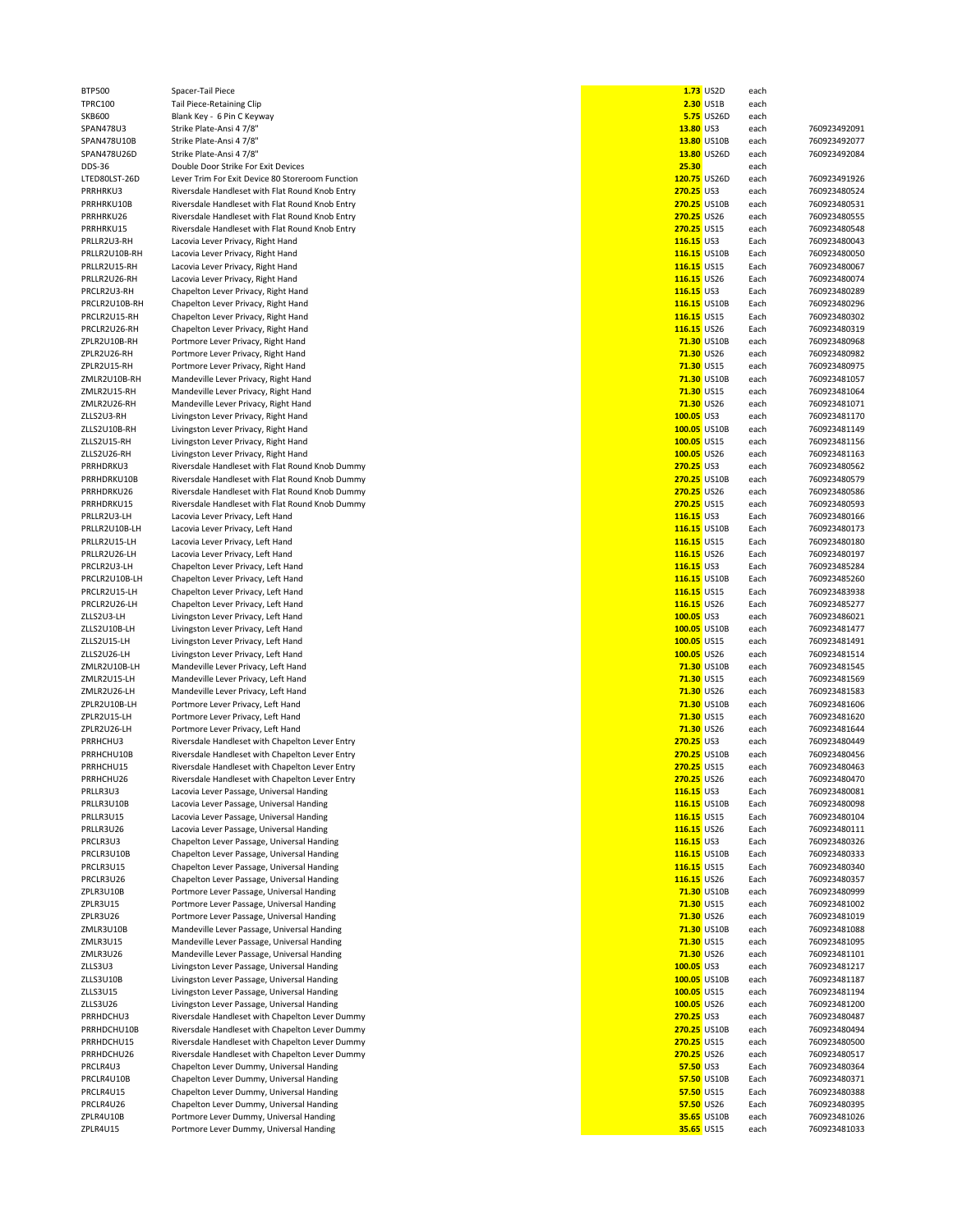| 2.30 US1B<br>13.80 US3<br>13.80 US26D<br>25.30<br>120.75 US26D<br>270.25 US3<br>270.25 US10B<br>270.25 US26<br>270.25 US15<br>116.15 US3<br>116.15 US10B<br>116.15 US15<br>116.15 US26<br>116.15 US3<br>116.15 US10B | <b>5.75 US26D</b><br>13.80 US10B | each<br>each<br>each<br>each<br>each<br>each<br>each<br>each<br>each<br>each<br>each<br>Each<br>Each<br>Each                                                                                                                                                                                                                                                                     | 760923492091<br>760923492077<br>760923492084<br>760923491926<br>760923480524<br>760923480531<br>760923480555<br>760923480548<br>760923480043                         |
|----------------------------------------------------------------------------------------------------------------------------------------------------------------------------------------------------------------------|----------------------------------|----------------------------------------------------------------------------------------------------------------------------------------------------------------------------------------------------------------------------------------------------------------------------------------------------------------------------------------------------------------------------------|----------------------------------------------------------------------------------------------------------------------------------------------------------------------|
|                                                                                                                                                                                                                      |                                  |                                                                                                                                                                                                                                                                                                                                                                                  |                                                                                                                                                                      |
|                                                                                                                                                                                                                      |                                  |                                                                                                                                                                                                                                                                                                                                                                                  |                                                                                                                                                                      |
|                                                                                                                                                                                                                      |                                  |                                                                                                                                                                                                                                                                                                                                                                                  |                                                                                                                                                                      |
|                                                                                                                                                                                                                      |                                  |                                                                                                                                                                                                                                                                                                                                                                                  |                                                                                                                                                                      |
|                                                                                                                                                                                                                      |                                  |                                                                                                                                                                                                                                                                                                                                                                                  |                                                                                                                                                                      |
|                                                                                                                                                                                                                      |                                  |                                                                                                                                                                                                                                                                                                                                                                                  |                                                                                                                                                                      |
|                                                                                                                                                                                                                      |                                  |                                                                                                                                                                                                                                                                                                                                                                                  |                                                                                                                                                                      |
|                                                                                                                                                                                                                      |                                  |                                                                                                                                                                                                                                                                                                                                                                                  |                                                                                                                                                                      |
|                                                                                                                                                                                                                      |                                  |                                                                                                                                                                                                                                                                                                                                                                                  |                                                                                                                                                                      |
|                                                                                                                                                                                                                      |                                  |                                                                                                                                                                                                                                                                                                                                                                                  |                                                                                                                                                                      |
|                                                                                                                                                                                                                      |                                  |                                                                                                                                                                                                                                                                                                                                                                                  |                                                                                                                                                                      |
|                                                                                                                                                                                                                      |                                  |                                                                                                                                                                                                                                                                                                                                                                                  |                                                                                                                                                                      |
|                                                                                                                                                                                                                      |                                  |                                                                                                                                                                                                                                                                                                                                                                                  |                                                                                                                                                                      |
|                                                                                                                                                                                                                      |                                  |                                                                                                                                                                                                                                                                                                                                                                                  |                                                                                                                                                                      |
|                                                                                                                                                                                                                      |                                  |                                                                                                                                                                                                                                                                                                                                                                                  |                                                                                                                                                                      |
|                                                                                                                                                                                                                      |                                  |                                                                                                                                                                                                                                                                                                                                                                                  | 760923480050                                                                                                                                                         |
|                                                                                                                                                                                                                      |                                  |                                                                                                                                                                                                                                                                                                                                                                                  | 760923480067                                                                                                                                                         |
|                                                                                                                                                                                                                      |                                  |                                                                                                                                                                                                                                                                                                                                                                                  |                                                                                                                                                                      |
|                                                                                                                                                                                                                      |                                  | Each                                                                                                                                                                                                                                                                                                                                                                             | 760923480074                                                                                                                                                         |
|                                                                                                                                                                                                                      |                                  | Each                                                                                                                                                                                                                                                                                                                                                                             | 760923480289                                                                                                                                                         |
|                                                                                                                                                                                                                      |                                  | Each                                                                                                                                                                                                                                                                                                                                                                             | 760923480296                                                                                                                                                         |
|                                                                                                                                                                                                                      | 116.15 US15                      | Each                                                                                                                                                                                                                                                                                                                                                                             | 760923480302                                                                                                                                                         |
|                                                                                                                                                                                                                      |                                  |                                                                                                                                                                                                                                                                                                                                                                                  |                                                                                                                                                                      |
| 116.15 US26                                                                                                                                                                                                          |                                  | Each                                                                                                                                                                                                                                                                                                                                                                             | 760923480319                                                                                                                                                         |
| 71.30 US10B                                                                                                                                                                                                          |                                  | each                                                                                                                                                                                                                                                                                                                                                                             | 760923480968                                                                                                                                                         |
| 71.30 US26                                                                                                                                                                                                           |                                  | each                                                                                                                                                                                                                                                                                                                                                                             | 760923480982                                                                                                                                                         |
|                                                                                                                                                                                                                      |                                  |                                                                                                                                                                                                                                                                                                                                                                                  |                                                                                                                                                                      |
| 71.30 US15                                                                                                                                                                                                           |                                  | each                                                                                                                                                                                                                                                                                                                                                                             | 760923480975                                                                                                                                                         |
|                                                                                                                                                                                                                      |                                  |                                                                                                                                                                                                                                                                                                                                                                                  | 760923481057                                                                                                                                                         |
|                                                                                                                                                                                                                      |                                  |                                                                                                                                                                                                                                                                                                                                                                                  | 760923481064                                                                                                                                                         |
|                                                                                                                                                                                                                      |                                  |                                                                                                                                                                                                                                                                                                                                                                                  | 760923481071                                                                                                                                                         |
|                                                                                                                                                                                                                      |                                  |                                                                                                                                                                                                                                                                                                                                                                                  |                                                                                                                                                                      |
|                                                                                                                                                                                                                      |                                  |                                                                                                                                                                                                                                                                                                                                                                                  | 760923481170                                                                                                                                                         |
|                                                                                                                                                                                                                      |                                  | each                                                                                                                                                                                                                                                                                                                                                                             | 760923481149                                                                                                                                                         |
|                                                                                                                                                                                                                      |                                  |                                                                                                                                                                                                                                                                                                                                                                                  | 760923481156                                                                                                                                                         |
|                                                                                                                                                                                                                      |                                  |                                                                                                                                                                                                                                                                                                                                                                                  |                                                                                                                                                                      |
|                                                                                                                                                                                                                      |                                  |                                                                                                                                                                                                                                                                                                                                                                                  | 760923481163                                                                                                                                                         |
|                                                                                                                                                                                                                      |                                  |                                                                                                                                                                                                                                                                                                                                                                                  | 760923480562                                                                                                                                                         |
|                                                                                                                                                                                                                      |                                  |                                                                                                                                                                                                                                                                                                                                                                                  | 760923480579                                                                                                                                                         |
|                                                                                                                                                                                                                      |                                  |                                                                                                                                                                                                                                                                                                                                                                                  | 760923480586                                                                                                                                                         |
|                                                                                                                                                                                                                      |                                  |                                                                                                                                                                                                                                                                                                                                                                                  |                                                                                                                                                                      |
|                                                                                                                                                                                                                      |                                  |                                                                                                                                                                                                                                                                                                                                                                                  | 760923480593                                                                                                                                                         |
|                                                                                                                                                                                                                      |                                  | Each                                                                                                                                                                                                                                                                                                                                                                             | 760923480166                                                                                                                                                         |
|                                                                                                                                                                                                                      |                                  |                                                                                                                                                                                                                                                                                                                                                                                  | 760923480173                                                                                                                                                         |
|                                                                                                                                                                                                                      |                                  |                                                                                                                                                                                                                                                                                                                                                                                  |                                                                                                                                                                      |
|                                                                                                                                                                                                                      |                                  |                                                                                                                                                                                                                                                                                                                                                                                  | 760923480180                                                                                                                                                         |
|                                                                                                                                                                                                                      |                                  |                                                                                                                                                                                                                                                                                                                                                                                  | 760923480197                                                                                                                                                         |
|                                                                                                                                                                                                                      |                                  |                                                                                                                                                                                                                                                                                                                                                                                  | 760923485284                                                                                                                                                         |
|                                                                                                                                                                                                                      |                                  |                                                                                                                                                                                                                                                                                                                                                                                  | 760923485260                                                                                                                                                         |
|                                                                                                                                                                                                                      |                                  |                                                                                                                                                                                                                                                                                                                                                                                  |                                                                                                                                                                      |
|                                                                                                                                                                                                                      |                                  |                                                                                                                                                                                                                                                                                                                                                                                  | 760923483938                                                                                                                                                         |
|                                                                                                                                                                                                                      |                                  | Each                                                                                                                                                                                                                                                                                                                                                                             | 760923485277                                                                                                                                                         |
|                                                                                                                                                                                                                      |                                  |                                                                                                                                                                                                                                                                                                                                                                                  | 760923486021                                                                                                                                                         |
|                                                                                                                                                                                                                      |                                  |                                                                                                                                                                                                                                                                                                                                                                                  |                                                                                                                                                                      |
|                                                                                                                                                                                                                      |                                  |                                                                                                                                                                                                                                                                                                                                                                                  | 760923481477                                                                                                                                                         |
|                                                                                                                                                                                                                      |                                  | each                                                                                                                                                                                                                                                                                                                                                                             | 760923481491                                                                                                                                                         |
|                                                                                                                                                                                                                      |                                  |                                                                                                                                                                                                                                                                                                                                                                                  | 760923481514                                                                                                                                                         |
|                                                                                                                                                                                                                      |                                  |                                                                                                                                                                                                                                                                                                                                                                                  | 760923481545                                                                                                                                                         |
|                                                                                                                                                                                                                      |                                  |                                                                                                                                                                                                                                                                                                                                                                                  |                                                                                                                                                                      |
|                                                                                                                                                                                                                      |                                  |                                                                                                                                                                                                                                                                                                                                                                                  | 760923481569                                                                                                                                                         |
| 71.30 US26                                                                                                                                                                                                           |                                  |                                                                                                                                                                                                                                                                                                                                                                                  |                                                                                                                                                                      |
|                                                                                                                                                                                                                      |                                  | each                                                                                                                                                                                                                                                                                                                                                                             | 760923481583                                                                                                                                                         |
|                                                                                                                                                                                                                      |                                  |                                                                                                                                                                                                                                                                                                                                                                                  |                                                                                                                                                                      |
|                                                                                                                                                                                                                      | 71.30 US10B                      | each                                                                                                                                                                                                                                                                                                                                                                             | 760923481606                                                                                                                                                         |
| 71.30 US15                                                                                                                                                                                                           |                                  | each                                                                                                                                                                                                                                                                                                                                                                             | 760923481620                                                                                                                                                         |
| 71.30 US26                                                                                                                                                                                                           |                                  | each                                                                                                                                                                                                                                                                                                                                                                             | 760923481644                                                                                                                                                         |
|                                                                                                                                                                                                                      |                                  |                                                                                                                                                                                                                                                                                                                                                                                  | 760923480449                                                                                                                                                         |
| 270.25 US3                                                                                                                                                                                                           |                                  | each                                                                                                                                                                                                                                                                                                                                                                             |                                                                                                                                                                      |
| 270.25 US10B                                                                                                                                                                                                         |                                  | each                                                                                                                                                                                                                                                                                                                                                                             | 760923480456                                                                                                                                                         |
| 270.25 US15                                                                                                                                                                                                          |                                  | each                                                                                                                                                                                                                                                                                                                                                                             | 760923480463                                                                                                                                                         |
| 270.25 US26                                                                                                                                                                                                          |                                  | each                                                                                                                                                                                                                                                                                                                                                                             | 760923480470                                                                                                                                                         |
|                                                                                                                                                                                                                      |                                  |                                                                                                                                                                                                                                                                                                                                                                                  |                                                                                                                                                                      |
| 116.15 US3                                                                                                                                                                                                           |                                  | Each                                                                                                                                                                                                                                                                                                                                                                             | 760923480081                                                                                                                                                         |
| 116.15 US10B                                                                                                                                                                                                         |                                  | Each                                                                                                                                                                                                                                                                                                                                                                             | 760923480098                                                                                                                                                         |
| 116.15 US15                                                                                                                                                                                                          |                                  | Each                                                                                                                                                                                                                                                                                                                                                                             | 760923480104                                                                                                                                                         |
| 116.15 US26                                                                                                                                                                                                          |                                  | Each                                                                                                                                                                                                                                                                                                                                                                             | 760923480111                                                                                                                                                         |
| 116.15 US3                                                                                                                                                                                                           |                                  | Each                                                                                                                                                                                                                                                                                                                                                                             | 760923480326                                                                                                                                                         |
|                                                                                                                                                                                                                      |                                  |                                                                                                                                                                                                                                                                                                                                                                                  |                                                                                                                                                                      |
| 116.15 US10B                                                                                                                                                                                                         |                                  | Each                                                                                                                                                                                                                                                                                                                                                                             | 760923480333                                                                                                                                                         |
| 116.15 US15                                                                                                                                                                                                          |                                  | Each                                                                                                                                                                                                                                                                                                                                                                             | 760923480340                                                                                                                                                         |
| 116.15 US26                                                                                                                                                                                                          |                                  | Each                                                                                                                                                                                                                                                                                                                                                                             | 760923480357                                                                                                                                                         |
| 71.30 US10B                                                                                                                                                                                                          |                                  |                                                                                                                                                                                                                                                                                                                                                                                  |                                                                                                                                                                      |
|                                                                                                                                                                                                                      |                                  | each                                                                                                                                                                                                                                                                                                                                                                             | 760923480999                                                                                                                                                         |
| 71.30 US15                                                                                                                                                                                                           |                                  | each                                                                                                                                                                                                                                                                                                                                                                             | 760923481002                                                                                                                                                         |
| 71.30 US26                                                                                                                                                                                                           |                                  | each                                                                                                                                                                                                                                                                                                                                                                             | 760923481019                                                                                                                                                         |
| 71.30 US10B                                                                                                                                                                                                          |                                  | each                                                                                                                                                                                                                                                                                                                                                                             | 760923481088                                                                                                                                                         |
|                                                                                                                                                                                                                      |                                  |                                                                                                                                                                                                                                                                                                                                                                                  | 760923481095                                                                                                                                                         |
| 71.30 US15                                                                                                                                                                                                           |                                  | each                                                                                                                                                                                                                                                                                                                                                                             |                                                                                                                                                                      |
| 71.30 US26                                                                                                                                                                                                           |                                  | each                                                                                                                                                                                                                                                                                                                                                                             | 760923481101                                                                                                                                                         |
| 100.05 US3                                                                                                                                                                                                           |                                  | each                                                                                                                                                                                                                                                                                                                                                                             | 760923481217                                                                                                                                                         |
| 100.05 US10B                                                                                                                                                                                                         |                                  | each                                                                                                                                                                                                                                                                                                                                                                             | 760923481187                                                                                                                                                         |
|                                                                                                                                                                                                                      |                                  |                                                                                                                                                                                                                                                                                                                                                                                  |                                                                                                                                                                      |
| 100.05 US15                                                                                                                                                                                                          |                                  | each                                                                                                                                                                                                                                                                                                                                                                             | 760923481194                                                                                                                                                         |
| 100.05 US26                                                                                                                                                                                                          |                                  | each                                                                                                                                                                                                                                                                                                                                                                             | 760923481200                                                                                                                                                         |
| 270.25 US3                                                                                                                                                                                                           |                                  | each                                                                                                                                                                                                                                                                                                                                                                             | 760923480487                                                                                                                                                         |
|                                                                                                                                                                                                                      |                                  |                                                                                                                                                                                                                                                                                                                                                                                  | 760923480494                                                                                                                                                         |
| 270.25 US10B                                                                                                                                                                                                         |                                  | each                                                                                                                                                                                                                                                                                                                                                                             |                                                                                                                                                                      |
| 270.25 US15                                                                                                                                                                                                          |                                  | each                                                                                                                                                                                                                                                                                                                                                                             | 760923480500                                                                                                                                                         |
| 270.25 US26                                                                                                                                                                                                          |                                  | each                                                                                                                                                                                                                                                                                                                                                                             | 760923480517                                                                                                                                                         |
| 57.50 US3                                                                                                                                                                                                            |                                  | Each                                                                                                                                                                                                                                                                                                                                                                             | 760923480364                                                                                                                                                         |
|                                                                                                                                                                                                                      |                                  |                                                                                                                                                                                                                                                                                                                                                                                  |                                                                                                                                                                      |
| 57.50 US10B                                                                                                                                                                                                          |                                  | Each                                                                                                                                                                                                                                                                                                                                                                             | 760923480371                                                                                                                                                         |
| 57.50 US15                                                                                                                                                                                                           |                                  | Each                                                                                                                                                                                                                                                                                                                                                                             | 760923480388                                                                                                                                                         |
| 57.50 US26                                                                                                                                                                                                           |                                  | Each                                                                                                                                                                                                                                                                                                                                                                             | 760923480395                                                                                                                                                         |
| 35.65 US10B                                                                                                                                                                                                          |                                  | each                                                                                                                                                                                                                                                                                                                                                                             | 760923481026                                                                                                                                                         |
|                                                                                                                                                                                                                      |                                  | 71.30 US10B<br>71.30 US15<br>71.30 US26<br>100.05 US3<br>100.05 US10B<br>100.05 US15<br>100.05 US26<br>270.25 US3<br>270.25 US10B<br>270.25 US26<br>270.25 US15<br>116.15 US3<br>116.15 US10B<br>116.15 US15<br>116.15 US26<br>116.15 US3<br>116.15 US10B<br>116.15 US15<br>116.15 US26<br>100.05 US3<br>100.05 US10B<br>100.05 US15<br>100.05 US26<br>71.30 US10B<br>71.30 US15 | each<br>each<br>each<br>each<br>each<br>each<br>each<br>each<br>each<br>each<br>Each<br>Each<br>Each<br>Each<br>Each<br>Each<br>each<br>each<br>each<br>each<br>each |